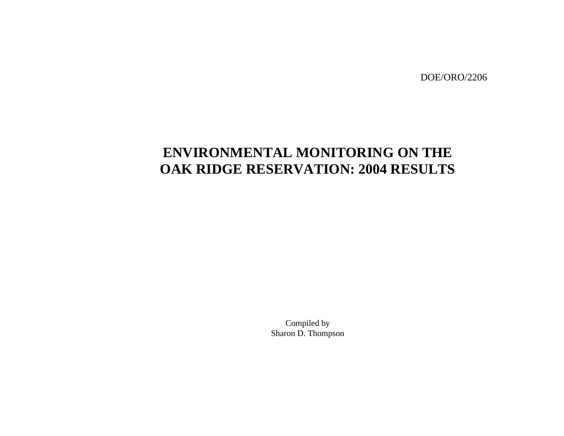DOE/ORO/2206

# **ENVIRONMENTAL MONITORING ON THE OAK RIDGE RESERVATION: 2004 RESULTS**

Compiled by Sharon D. Thompson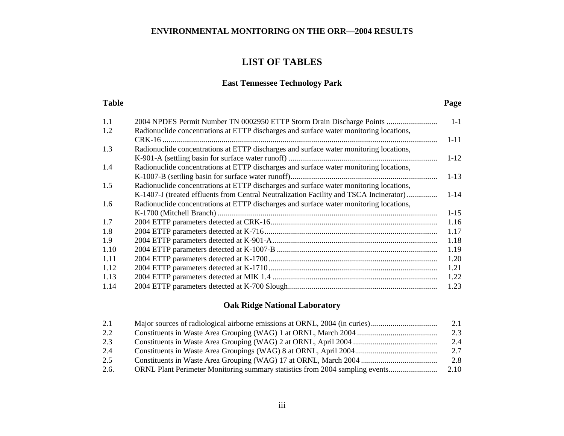# **LIST OF TABLES**

# **East Tennessee Technology Park**

# **Table**

### **Page**

| 1.1  | 2004 NPDES Permit Number TN 0002950 ETTP Storm Drain Discharge Points                  | $1 - 1$  |
|------|----------------------------------------------------------------------------------------|----------|
| 1.2  | Radionuclide concentrations at ETTP discharges and surface water monitoring locations, |          |
|      |                                                                                        | $1 - 11$ |
| 1.3  | Radionuclide concentrations at ETTP discharges and surface water monitoring locations, |          |
|      |                                                                                        | $1 - 12$ |
| 1.4  | Radionuclide concentrations at ETTP discharges and surface water monitoring locations, |          |
|      |                                                                                        | $1 - 13$ |
| 1.5  | Radionuclide concentrations at ETTP discharges and surface water monitoring locations, |          |
|      | K-1407-J (treated effluents from Central Neutralization Facility and TSCA Incinerator) | $1 - 14$ |
| 1.6  | Radionuclide concentrations at ETTP discharges and surface water monitoring locations, |          |
|      |                                                                                        | $1 - 15$ |
| 1.7  |                                                                                        | 1.16     |
| 1.8  |                                                                                        | 1.17     |
| 1.9  |                                                                                        | 1.18     |
| 1.10 |                                                                                        | 1.19     |
| 1.11 |                                                                                        | 1.20     |
| 1.12 |                                                                                        | 1.21     |
| 1.13 |                                                                                        | 1.22     |
| 1.14 |                                                                                        | 1.23     |

# **Oak Ridge National Laboratory**

| 2.1  |                                                                              | 2.1  |
|------|------------------------------------------------------------------------------|------|
| 2.2  |                                                                              | 2.3  |
| 2.3  |                                                                              | 2.4  |
| 2.4  |                                                                              | 2.7  |
| 2.5  |                                                                              | 2.8  |
| 2.6. | ORNL Plant Perimeter Monitoring summary statistics from 2004 sampling events | 2.10 |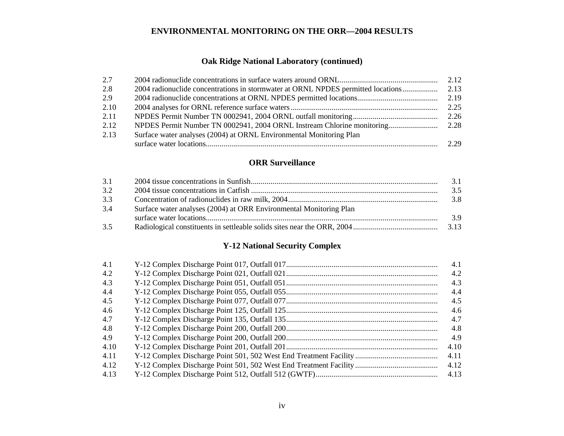# **Oak Ridge National Laboratory (continued)**

| 2.7  |                                                                                  | 2.12 |
|------|----------------------------------------------------------------------------------|------|
| 2.8  | 2004 radionuclide concentrations in stormwater at ORNL NPDES permitted locations | 2.13 |
| 2.9  |                                                                                  | 2.19 |
| 2.10 |                                                                                  | 2.25 |
| 2.11 |                                                                                  | 2.26 |
| 2.12 |                                                                                  |      |
| 2.13 | Surface water analyses (2004) at ORNL Environmental Monitoring Plan              |      |
|      |                                                                                  | 2.29 |

# **Example 2018** ORR Surveillance

| 3.1 |                                                                    | 3.1 |
|-----|--------------------------------------------------------------------|-----|
| 3.2 |                                                                    | 3.5 |
| 3.3 |                                                                    | 3.8 |
| 3.4 | Surface water analyses (2004) at ORR Environmental Monitoring Plan |     |
|     |                                                                    | 3.9 |
| 3.5 |                                                                    |     |

# **Y-12 National Security Complex**

| 4.1  | 4.1  |
|------|------|
| 4.2  | 4.2  |
| 4.3  | 4.3  |
| 4.4  | 4.4  |
| 4.5  | 4.5  |
| 4.6  | 4.6  |
| 4.7  | 4.7  |
| 4.8  | 4.8  |
| 4.9  | 4.9  |
| 4.10 | 4.10 |
| 4.11 | 4.11 |
| 4.12 | 4.12 |
| 4.13 | 4.13 |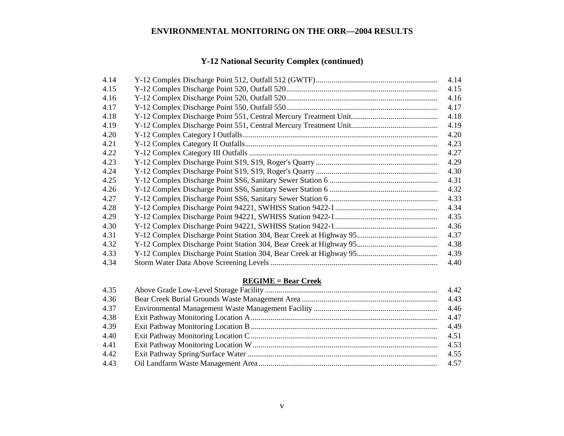# **Y-12 National Security Complex (continued)**

| 4.14 | 4.14 |
|------|------|
| 4.15 | 4.15 |
| 4.16 | 4.16 |
| 4.17 | 4.17 |
| 4.18 | 4.18 |
| 4.19 | 4.19 |
| 4.20 | 4.20 |
| 4.21 | 4.23 |
| 4.22 | 4.27 |
| 4.23 | 4.29 |
| 4.24 | 4.30 |
| 4.25 | 4.31 |
| 4.26 | 4.32 |
| 4.27 | 4.33 |
| 4.28 | 4.34 |
| 4.29 | 4.35 |
| 4.30 | 4.36 |
| 4.31 | 4.37 |
| 4.32 | 4.38 |
| 4.33 | 4.39 |
| 4.34 | 4.40 |

### **REGIME = Bear Creek**

| 4.35 | 4.42 |
|------|------|
| 4.36 |      |
| 4.37 |      |
| 4.38 |      |
| 4.39 |      |
| 4.40 | 4.51 |
| 4.41 | 4.53 |
| 4.42 | 4.55 |
| 4.43 |      |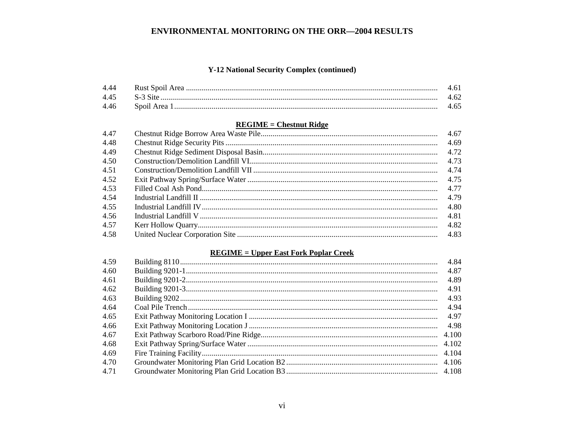# Y-12 National Security Complex (continued)

| 4.44 |           |  |
|------|-----------|--|
| 445  | S-3 Site. |  |
| 4.46 |           |  |

# **REGIME = Chestnut Ridge**

| 4.47 | 4.67 |
|------|------|
| 4.48 | 4.69 |
| 4.49 | 4.72 |
| 4.50 | 4.73 |
| 4.51 | 4.74 |
| 4.52 | 4.75 |
| 4.53 | 4.77 |
| 4.54 | 4.79 |
| 4.55 | 4.80 |
| 4.56 | 4.81 |
| 4.57 | 4.82 |
| 4.58 |      |

# **REGIME = Upper East Fork Poplar Creek**

| 4.84 |
|------|
| 4.87 |
| 4.89 |
| 4.91 |
| 4.93 |
| 4.94 |
| 4.97 |
| 4.98 |
|      |
|      |
|      |
|      |
|      |
|      |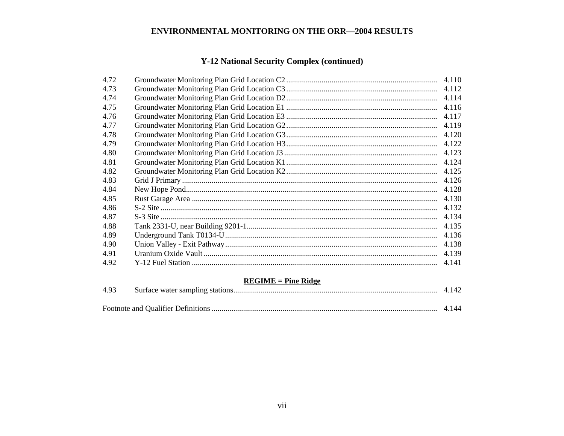# **Y-12 National Security Complex (continued)**

| 4.72 | 4.110 |
|------|-------|
| 4.73 |       |
| 4.74 | 4.114 |
| 4.75 | 4.116 |
| 4.76 | 4.117 |
| 4.77 | 4.119 |
| 4.78 | 4.120 |
| 4.79 | 4.122 |
| 4.80 |       |
| 4.81 | 4.124 |
| 4.82 | 4.125 |
| 4.83 | 4.126 |
| 4.84 | 4.128 |
| 4.85 | 4.130 |
| 4.86 | 4.132 |
| 4.87 | 4.134 |
| 4.88 |       |
| 4.89 |       |
| 4.90 |       |
| 4.91 | 4.139 |
| 4.92 | 4.141 |
|      |       |

# **REGIME = Pine Ridge**

| 4.93 |  |
|------|--|
|      |  |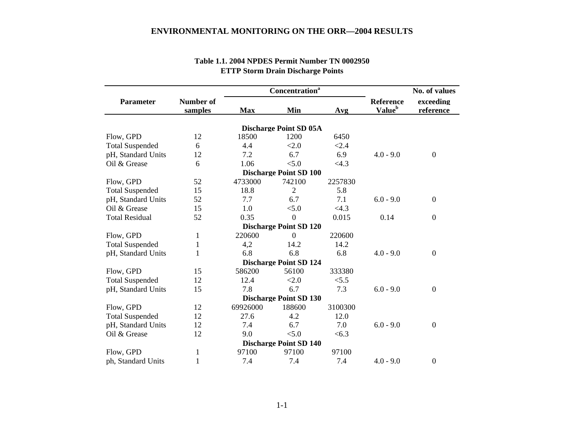|                        |                             |            | <b>Concentration</b> <sup>a</sup> |         | No. of values                          |                        |
|------------------------|-----------------------------|------------|-----------------------------------|---------|----------------------------------------|------------------------|
| <b>Parameter</b>       | <b>Number of</b><br>samples | <b>Max</b> | Min                               | Avg     | <b>Reference</b><br>Value <sup>b</sup> | exceeding<br>reference |
|                        |                             |            | <b>Discharge Point SD 05A</b>     |         |                                        |                        |
| Flow, GPD              | 12                          | 18500      | 1200                              | 6450    |                                        |                        |
| <b>Total Suspended</b> | 6                           | 4.4        | < 2.0                             | < 2.4   |                                        |                        |
| pH, Standard Units     | 12                          | 7.2        | 6.7                               | 6.9     | $4.0 - 9.0$                            | $\boldsymbol{0}$       |
| Oil & Grease           | 6                           | 1.06       | < 5.0                             | <4.3    |                                        |                        |
|                        |                             |            | <b>Discharge Point SD 100</b>     |         |                                        |                        |
| Flow, GPD              | 52                          | 4733000    | 742100                            | 2257830 |                                        |                        |
| <b>Total Suspended</b> | 15                          | 18.8       | $\overline{2}$                    | 5.8     |                                        |                        |
| pH, Standard Units     | 52                          | 7.7        | 6.7                               | 7.1     | $6.0 - 9.0$                            | $\overline{0}$         |
| Oil & Grease           | 15                          | 1.0        | < 5.0                             | <4.3    |                                        |                        |
| <b>Total Residual</b>  | 52                          | 0.35       | $\overline{0}$                    | 0.015   | 0.14                                   | $\overline{0}$         |
|                        |                             |            | <b>Discharge Point SD 120</b>     |         |                                        |                        |
| Flow, GPD              | 1                           | 220600     | $\Omega$                          | 220600  |                                        |                        |
| <b>Total Suspended</b> | 1                           | 4,2        | 14.2                              | 14.2    |                                        |                        |
| pH, Standard Units     | 1                           | 6.8        | 6.8                               | 6.8     | $4.0 - 9.0$                            | $\overline{0}$         |
|                        |                             |            | <b>Discharge Point SD 124</b>     |         |                                        |                        |
| Flow, GPD              | 15                          | 586200     | 56100                             | 333380  |                                        |                        |
| <b>Total Suspended</b> | 12                          | 12.4       | < 2.0                             | < 5.5   |                                        |                        |
| pH, Standard Units     | 15                          | 7.8        | 6.7                               | 7.3     | $6.0 - 9.0$                            | $\mathbf{0}$           |
|                        |                             |            | <b>Discharge Point SD 130</b>     |         |                                        |                        |
| Flow, GPD              | 12                          | 69926000   | 188600                            | 3100300 |                                        |                        |
| <b>Total Suspended</b> | 12                          | 27.6       | 4.2                               | 12.0    |                                        |                        |
| pH, Standard Units     | 12                          | 7.4        | 6.7                               | 7.0     | $6.0 - 9.0$                            | $\boldsymbol{0}$       |
| Oil & Grease           | 12                          | 9.0        | < 5.0                             | < 6.3   |                                        |                        |
|                        |                             |            | <b>Discharge Point SD 140</b>     |         |                                        |                        |
| Flow, GPD              | 1                           | 97100      | 97100                             | 97100   |                                        |                        |
| ph, Standard Units     | 1                           | 7.4        | 7.4                               | 7.4     | $4.0 - 9.0$                            | $\overline{0}$         |

# **Table 1.1. 2004 NPDES Permit Number TN 0002950 ETTP Storm Drain Discharge Points**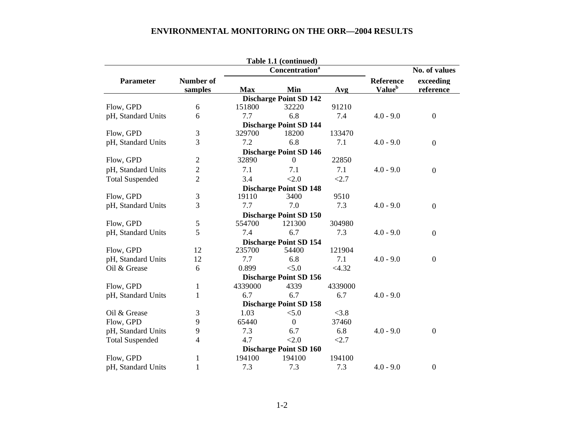|                        |                  |            | Table 1.1 (continued)         |         |                    |                  |
|------------------------|------------------|------------|-------------------------------|---------|--------------------|------------------|
|                        |                  |            | Concentration <sup>a</sup>    |         | No. of values      |                  |
| <b>Parameter</b>       | <b>Number of</b> |            |                               |         | <b>Reference</b>   | exceeding        |
|                        | samples          | <b>Max</b> | Min                           | Avg     | Value <sup>b</sup> | reference        |
|                        |                  |            | <b>Discharge Point SD 142</b> |         |                    |                  |
| Flow, GPD              | 6                | 151800     | 32220                         | 91210   |                    |                  |
| pH, Standard Units     | 6                | 7.7        | 6.8                           | 7.4     | $4.0 - 9.0$        | $\boldsymbol{0}$ |
|                        |                  |            | <b>Discharge Point SD 144</b> |         |                    |                  |
| Flow, GPD              | $\mathfrak{Z}$   | 329700     | 18200                         | 133470  |                    |                  |
| pH, Standard Units     | 3                | 7.2        | 6.8                           | 7.1     | $4.0 - 9.0$        | $\boldsymbol{0}$ |
|                        |                  |            | <b>Discharge Point SD 146</b> |         |                    |                  |
| Flow, GPD              | $\mathfrak{2}$   | 32890      | $\Omega$                      | 22850   |                    |                  |
| pH, Standard Units     | $\overline{2}$   | 7.1        | 7.1                           | 7.1     | $4.0 - 9.0$        | $\boldsymbol{0}$ |
| <b>Total Suspended</b> | $\overline{2}$   | 3.4        | < 2.0                         | < 2.7   |                    |                  |
|                        |                  |            | <b>Discharge Point SD 148</b> |         |                    |                  |
| Flow, GPD              | 3                | 19110      | 3400                          | 9510    |                    |                  |
| pH, Standard Units     | 3                | 7.7        | 7.0                           | 7.3     | $4.0 - 9.0$        | $\boldsymbol{0}$ |
|                        |                  |            | <b>Discharge Point SD 150</b> |         |                    |                  |
| Flow, GPD              | 5                | 554700     | 121300                        | 304980  |                    |                  |
| pH, Standard Units     | 5                | 7.4        | 6.7                           | 7.3     | $4.0 - 9.0$        | $\boldsymbol{0}$ |
|                        |                  |            | <b>Discharge Point SD 154</b> |         |                    |                  |
| Flow, GPD              | 12               | 235700     | 54400                         | 121904  |                    |                  |
| pH, Standard Units     | 12               | 7.7        | 6.8                           | 7.1     | $4.0 - 9.0$        | $\boldsymbol{0}$ |
| Oil & Grease           | 6                | 0.899      | < 5.0                         | <4.32   |                    |                  |
|                        |                  |            | <b>Discharge Point SD 156</b> |         |                    |                  |
| Flow, GPD              | 1                | 4339000    | 4339                          | 4339000 |                    |                  |
| pH, Standard Units     | 1                | 6.7        | 6.7                           | 6.7     | $4.0 - 9.0$        |                  |
|                        |                  |            | <b>Discharge Point SD 158</b> |         |                    |                  |
| Oil & Grease           | 3                | 1.03       | < 5.0                         | < 3.8   |                    |                  |
| Flow, GPD              | 9                | 65440      | $\overline{0}$                | 37460   |                    |                  |
| pH, Standard Units     | 9                | 7.3        | 6.7                           | 6.8     | $4.0 - 9.0$        | $\boldsymbol{0}$ |
| <b>Total Suspended</b> | 4                | 4.7        | < 2.0                         | <2.7    |                    |                  |
|                        |                  |            | <b>Discharge Point SD 160</b> |         |                    |                  |
| Flow, GPD              | 1                | 194100     | 194100                        | 194100  |                    |                  |
| pH, Standard Units     | $\mathbf{1}$     | 7.3        | 7.3                           | 7.3     | $4.0 - 9.0$        | $\boldsymbol{0}$ |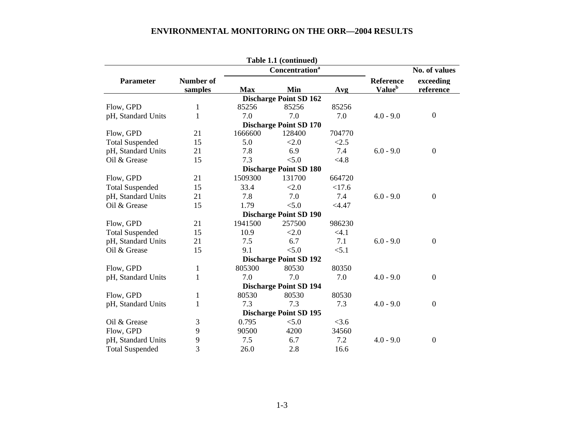|                        |                  |            | Table 1.1 (continued)         |         |                           |                  |
|------------------------|------------------|------------|-------------------------------|---------|---------------------------|------------------|
|                        |                  |            | Concentration <sup>a</sup>    |         | No. of values             |                  |
| <b>Parameter</b>       | <b>Number of</b> |            |                               |         | Reference                 | exceeding        |
|                        | samples          | <b>Max</b> | Min                           | Avg     | <b>Value</b> <sup>b</sup> | reference        |
|                        |                  |            | <b>Discharge Point SD 162</b> |         |                           |                  |
| Flow, GPD              | $\mathbf{1}$     | 85256      | 85256                         | 85256   |                           |                  |
| pH, Standard Units     | 1                | 7.0        | 7.0                           | 7.0     | $4.0 - 9.0$               | $\boldsymbol{0}$ |
|                        |                  |            | <b>Discharge Point SD 170</b> |         |                           |                  |
| Flow, GPD              | 21               | 1666600    | 128400                        | 704770  |                           |                  |
| <b>Total Suspended</b> | 15               | 5.0        | < 2.0                         | < 2.5   |                           |                  |
| pH, Standard Units     | 21               | 7.8        | 6.9                           | 7.4     | $6.0 - 9.0$               | $\mathbf{0}$     |
| Oil & Grease           | 15               | 7.3        | < 5.0                         | < 4.8   |                           |                  |
|                        |                  |            | <b>Discharge Point SD 180</b> |         |                           |                  |
| Flow, GPD              | 21               | 1509300    | 131700                        | 664720  |                           |                  |
| <b>Total Suspended</b> | 15               | 33.4       | < 2.0                         | <17.6   |                           |                  |
| pH, Standard Units     | 21               | 7.8        | 7.0                           | 7.4     | $6.0 - 9.0$               | $\overline{0}$   |
| Oil & Grease           | 15               | 1.79       | < 5.0                         | < 4.47  |                           |                  |
|                        |                  |            | <b>Discharge Point SD 190</b> |         |                           |                  |
| Flow, GPD              | 21               | 1941500    | 257500                        | 986230  |                           |                  |
| <b>Total Suspended</b> | 15               | 10.9       | < 2.0                         | $<$ 4.1 |                           |                  |
| pH, Standard Units     | 21               | 7.5        | 6.7                           | 7.1     | $6.0 - 9.0$               | $\overline{0}$   |
| Oil & Grease           | 15               | 9.1        | < 5.0                         | < 5.1   |                           |                  |
|                        |                  |            | <b>Discharge Point SD 192</b> |         |                           |                  |
| Flow, GPD              | $\mathbf{1}$     | 805300     | 80530                         | 80350   |                           |                  |
| pH, Standard Units     | $\mathbf{1}$     | 7.0        | 7.0                           | 7.0     | $4.0 - 9.0$               | $\mathbf{0}$     |
|                        |                  |            | <b>Discharge Point SD 194</b> |         |                           |                  |
| Flow, GPD              | $\mathbf{1}$     | 80530      | 80530                         | 80530   |                           |                  |
| pH, Standard Units     | $\mathbf{1}$     | 7.3        | 7.3                           | 7.3     | $4.0 - 9.0$               | $\mathbf{0}$     |
|                        |                  |            | <b>Discharge Point SD 195</b> |         |                           |                  |
| Oil & Grease           | 3                | 0.795      | < 5.0                         | $<$ 3.6 |                           |                  |
| Flow, GPD              | 9                | 90500      | 4200                          | 34560   |                           |                  |
| pH, Standard Units     | 9                | 7.5        | 6.7                           | 7.2     | $4.0 - 9.0$               | $\overline{0}$   |
| <b>Total Suspended</b> | 3                | 26.0       | 2.8                           | 16.6    |                           |                  |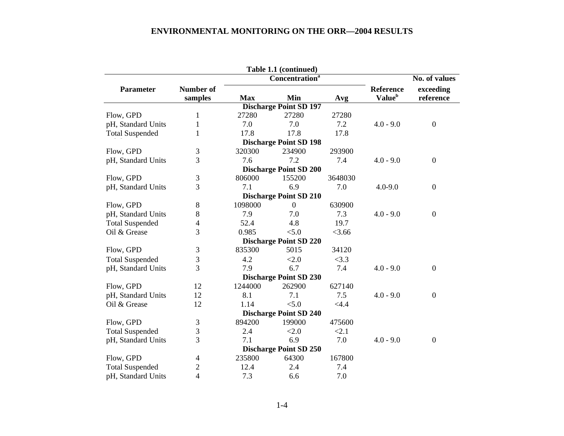|                                             |                  |            | Table 1.1 (continued)         |         |                    |                  |  |  |  |
|---------------------------------------------|------------------|------------|-------------------------------|---------|--------------------|------------------|--|--|--|
| Concentration <sup>a</sup><br>No. of values |                  |            |                               |         |                    |                  |  |  |  |
| <b>Parameter</b>                            | <b>Number of</b> |            |                               |         | <b>Reference</b>   | exceeding        |  |  |  |
|                                             | samples          | <b>Max</b> | Min                           | Avg     | Value <sup>b</sup> | reference        |  |  |  |
|                                             |                  |            | <b>Discharge Point SD 197</b> |         |                    |                  |  |  |  |
| Flow, GPD                                   | 1                | 27280      | 27280                         | 27280   |                    |                  |  |  |  |
| pH, Standard Units                          | $\mathbf{1}$     | 7.0        | 7.0                           | 7.2     | $4.0 - 9.0$        | $\overline{0}$   |  |  |  |
| <b>Total Suspended</b>                      | 1                | 17.8       | 17.8                          | 17.8    |                    |                  |  |  |  |
|                                             |                  |            | <b>Discharge Point SD 198</b> |         |                    |                  |  |  |  |
| Flow, GPD                                   | 3                | 320300     | 234900                        | 293900  |                    |                  |  |  |  |
| pH, Standard Units                          | 3                | 7.6        | 7.2                           | 7.4     | $4.0 - 9.0$        | $\boldsymbol{0}$ |  |  |  |
|                                             |                  |            | <b>Discharge Point SD 200</b> |         |                    |                  |  |  |  |
| Flow, GPD                                   | 3                | 806000     | 155200                        | 3648030 |                    |                  |  |  |  |
| pH, Standard Units                          | 3                | 7.1        | 6.9                           | 7.0     | $4.0 - 9.0$        | $\boldsymbol{0}$ |  |  |  |
|                                             |                  |            | <b>Discharge Point SD 210</b> |         |                    |                  |  |  |  |
| Flow, GPD                                   | 8                | 1098000    | $\overline{0}$                | 630900  |                    |                  |  |  |  |
| pH, Standard Units                          | 8                | 7.9        | 7.0                           | 7.3     | $4.0 - 9.0$        | $\boldsymbol{0}$ |  |  |  |
| <b>Total Suspended</b>                      | $\overline{4}$   | 52.4       | 4.8                           | 19.7    |                    |                  |  |  |  |
| Oil & Grease                                | 3                | 0.985      | < 5.0                         | < 3.66  |                    |                  |  |  |  |
|                                             |                  |            | <b>Discharge Point SD 220</b> |         |                    |                  |  |  |  |
| Flow, GPD                                   | 3                | 835300     | 5015                          | 34120   |                    |                  |  |  |  |
| <b>Total Suspended</b>                      | 3                | 4.2        | < 2.0                         | <3.3    |                    |                  |  |  |  |
| pH, Standard Units                          | 3                | 7.9        | 6.7                           | 7.4     | $4.0 - 9.0$        | $\overline{0}$   |  |  |  |
|                                             |                  |            | <b>Discharge Point SD 230</b> |         |                    |                  |  |  |  |
| Flow, GPD                                   | 12               | 1244000    | 262900                        | 627140  |                    |                  |  |  |  |
| pH, Standard Units                          | 12               | 8.1        | 7.1                           | 7.5     | $4.0 - 9.0$        | $\boldsymbol{0}$ |  |  |  |
| Oil & Grease                                | 12               | 1.14       | < 5.0                         | <4.4    |                    |                  |  |  |  |
|                                             |                  |            | <b>Discharge Point SD 240</b> |         |                    |                  |  |  |  |
| Flow, GPD                                   | 3                | 894200     | 199000                        | 475600  |                    |                  |  |  |  |
| <b>Total Suspended</b>                      | 3                | 2.4        | < 2.0                         | < 2.1   |                    |                  |  |  |  |
| pH, Standard Units                          | 3                | 7.1        | 6.9                           | 7.0     | $4.0 - 9.0$        | $\boldsymbol{0}$ |  |  |  |
|                                             |                  |            | <b>Discharge Point SD 250</b> |         |                    |                  |  |  |  |
| Flow, GPD                                   | 4                | 235800     | 64300                         | 167800  |                    |                  |  |  |  |
| <b>Total Suspended</b>                      | $\overline{c}$   | 12.4       | 2.4                           | 7.4     |                    |                  |  |  |  |
| pH, Standard Units                          | 4                | 7.3        | 6.6                           | 7.0     |                    |                  |  |  |  |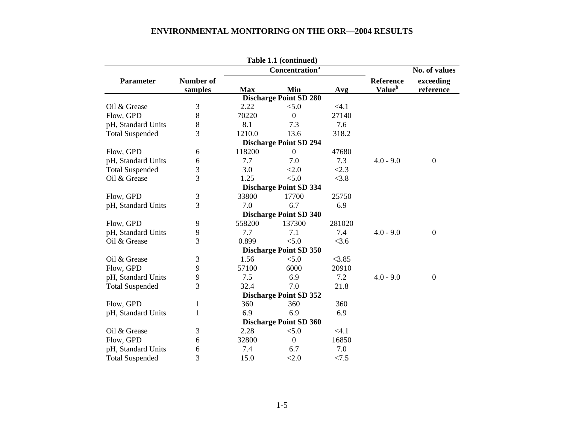|                                                    |                  |            | Table 1.1 (continued)         |        |                    |                  |  |  |
|----------------------------------------------------|------------------|------------|-------------------------------|--------|--------------------|------------------|--|--|
| <b>Concentration</b> <sup>a</sup><br>No. of values |                  |            |                               |        |                    |                  |  |  |
| <b>Parameter</b>                                   | <b>Number of</b> |            |                               |        | <b>Reference</b>   | exceeding        |  |  |
|                                                    | samples          | <b>Max</b> | Min                           | Avg    | Value <sup>b</sup> | reference        |  |  |
|                                                    |                  |            | <b>Discharge Point SD 280</b> |        |                    |                  |  |  |
| Oil & Grease                                       | $\mathfrak{Z}$   | 2.22       | < 5.0                         | < 4.1  |                    |                  |  |  |
| Flow, GPD                                          | 8                | 70220      | $\overline{0}$                | 27140  |                    |                  |  |  |
| pH, Standard Units                                 | 8                | 8.1        | 7.3                           | 7.6    |                    |                  |  |  |
| <b>Total Suspended</b>                             | 3                | 1210.0     | 13.6                          | 318.2  |                    |                  |  |  |
|                                                    |                  |            | <b>Discharge Point SD 294</b> |        |                    |                  |  |  |
| Flow, GPD                                          | 6                | 118200     | $\overline{0}$                | 47680  |                    |                  |  |  |
| pH, Standard Units                                 | 6                | 7.7        | 7.0                           | 7.3    | $4.0 - 9.0$        | $\boldsymbol{0}$ |  |  |
| <b>Total Suspended</b>                             | $\mathfrak{Z}$   | 3.0        | < 2.0                         | < 2.3  |                    |                  |  |  |
| Oil & Grease                                       | 3                | 1.25       | < 5.0                         | < 3.8  |                    |                  |  |  |
|                                                    |                  |            | <b>Discharge Point SD 334</b> |        |                    |                  |  |  |
| Flow, GPD                                          | 3                | 33800      | 17700                         | 25750  |                    |                  |  |  |
| pH, Standard Units                                 | 3                | 7.0        | 6.7                           | 6.9    |                    |                  |  |  |
|                                                    |                  |            | <b>Discharge Point SD 340</b> |        |                    |                  |  |  |
| Flow, GPD                                          | 9                | 558200     | 137300                        | 281020 |                    |                  |  |  |
| pH, Standard Units                                 | 9                | 7.7        | 7.1                           | 7.4    | $4.0 - 9.0$        | $\boldsymbol{0}$ |  |  |
| Oil & Grease                                       | 3                | 0.899      | < 5.0                         | < 3.6  |                    |                  |  |  |
|                                                    |                  |            | <b>Discharge Point SD 350</b> |        |                    |                  |  |  |
| Oil & Grease                                       | 3                | 1.56       | < 5.0                         | < 3.85 |                    |                  |  |  |
| Flow, GPD                                          | 9                | 57100      | 6000                          | 20910  |                    |                  |  |  |
| pH, Standard Units                                 | 9                | 7.5        | 6.9                           | 7.2    | $4.0 - 9.0$        | $\boldsymbol{0}$ |  |  |
| <b>Total Suspended</b>                             | 3                | 32.4       | 7.0                           | 21.8   |                    |                  |  |  |
|                                                    |                  |            | <b>Discharge Point SD 352</b> |        |                    |                  |  |  |
| Flow, GPD                                          | 1                | 360        | 360                           | 360    |                    |                  |  |  |
| pH, Standard Units                                 | 1                | 6.9        | 6.9                           | 6.9    |                    |                  |  |  |
|                                                    |                  |            | <b>Discharge Point SD 360</b> |        |                    |                  |  |  |
| Oil & Grease                                       | 3                | 2.28       | < 5.0                         | < 4.1  |                    |                  |  |  |
| Flow, GPD                                          | 6                | 32800      | $\boldsymbol{0}$              | 16850  |                    |                  |  |  |
| pH, Standard Units                                 | 6                | 7.4        | 6.7                           | 7.0    |                    |                  |  |  |
| <b>Total Suspended</b>                             | 3                | 15.0       | < 2.0                         | < 7.5  |                    |                  |  |  |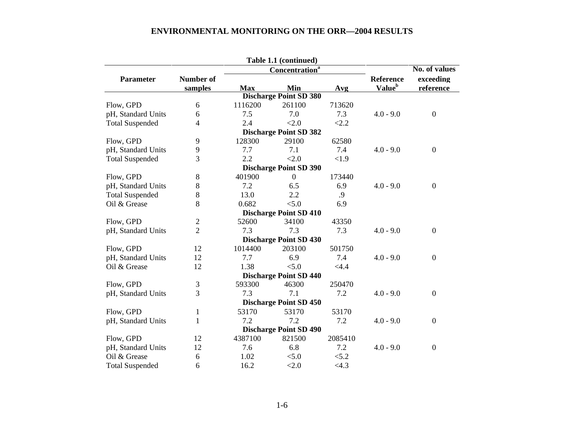|           |                                                                                                                                  |                                                                                         |                                                                                 | No. of values                                                                                                                                                                                                                                                                                                                                                                                                |                                                                                |
|-----------|----------------------------------------------------------------------------------------------------------------------------------|-----------------------------------------------------------------------------------------|---------------------------------------------------------------------------------|--------------------------------------------------------------------------------------------------------------------------------------------------------------------------------------------------------------------------------------------------------------------------------------------------------------------------------------------------------------------------------------------------------------|--------------------------------------------------------------------------------|
| Number of |                                                                                                                                  |                                                                                         |                                                                                 | <b>Reference</b>                                                                                                                                                                                                                                                                                                                                                                                             | exceeding                                                                      |
|           | <b>Max</b>                                                                                                                       | Min                                                                                     | Avg                                                                             |                                                                                                                                                                                                                                                                                                                                                                                                              | reference                                                                      |
|           |                                                                                                                                  |                                                                                         |                                                                                 |                                                                                                                                                                                                                                                                                                                                                                                                              |                                                                                |
| 6         | 1116200                                                                                                                          | 261100                                                                                  | 713620                                                                          |                                                                                                                                                                                                                                                                                                                                                                                                              |                                                                                |
| 6         | 7.5                                                                                                                              | 7.0                                                                                     | 7.3                                                                             | $4.0 - 9.0$                                                                                                                                                                                                                                                                                                                                                                                                  | $\boldsymbol{0}$                                                               |
| 4         | 2.4                                                                                                                              | < 2.0                                                                                   | < 2.2                                                                           |                                                                                                                                                                                                                                                                                                                                                                                                              |                                                                                |
|           |                                                                                                                                  |                                                                                         |                                                                                 |                                                                                                                                                                                                                                                                                                                                                                                                              |                                                                                |
| 9         | 128300                                                                                                                           | 29100                                                                                   | 62580                                                                           |                                                                                                                                                                                                                                                                                                                                                                                                              |                                                                                |
| 9         | 7.7                                                                                                                              | 7.1                                                                                     | 7.4                                                                             | $4.0 - 9.0$                                                                                                                                                                                                                                                                                                                                                                                                  | $\overline{0}$                                                                 |
| 3         | 2.2                                                                                                                              | < 2.0                                                                                   | < 1.9                                                                           |                                                                                                                                                                                                                                                                                                                                                                                                              |                                                                                |
|           |                                                                                                                                  |                                                                                         |                                                                                 |                                                                                                                                                                                                                                                                                                                                                                                                              |                                                                                |
| 8         | 401900                                                                                                                           | $\boldsymbol{0}$                                                                        | 173440                                                                          |                                                                                                                                                                                                                                                                                                                                                                                                              |                                                                                |
|           | 7.2                                                                                                                              | 6.5                                                                                     |                                                                                 | $4.0 - 9.0$                                                                                                                                                                                                                                                                                                                                                                                                  | $\boldsymbol{0}$                                                               |
|           | 13.0                                                                                                                             | 2.2                                                                                     | .9                                                                              |                                                                                                                                                                                                                                                                                                                                                                                                              |                                                                                |
| 8         | 0.682                                                                                                                            | < 5.0                                                                                   | 6.9                                                                             |                                                                                                                                                                                                                                                                                                                                                                                                              |                                                                                |
|           |                                                                                                                                  |                                                                                         |                                                                                 |                                                                                                                                                                                                                                                                                                                                                                                                              |                                                                                |
| 2         |                                                                                                                                  | 34100                                                                                   | 43350                                                                           |                                                                                                                                                                                                                                                                                                                                                                                                              |                                                                                |
|           | 7.3                                                                                                                              | 7.3                                                                                     |                                                                                 | $4.0 - 9.0$                                                                                                                                                                                                                                                                                                                                                                                                  | $\boldsymbol{0}$                                                               |
|           |                                                                                                                                  |                                                                                         |                                                                                 |                                                                                                                                                                                                                                                                                                                                                                                                              |                                                                                |
| 12        | 1014400                                                                                                                          | 203100                                                                                  | 501750                                                                          |                                                                                                                                                                                                                                                                                                                                                                                                              |                                                                                |
|           |                                                                                                                                  |                                                                                         | 7.4                                                                             |                                                                                                                                                                                                                                                                                                                                                                                                              | $\boldsymbol{0}$                                                               |
|           |                                                                                                                                  |                                                                                         |                                                                                 |                                                                                                                                                                                                                                                                                                                                                                                                              |                                                                                |
|           |                                                                                                                                  |                                                                                         |                                                                                 |                                                                                                                                                                                                                                                                                                                                                                                                              |                                                                                |
|           |                                                                                                                                  |                                                                                         | 250470                                                                          |                                                                                                                                                                                                                                                                                                                                                                                                              |                                                                                |
|           |                                                                                                                                  |                                                                                         |                                                                                 |                                                                                                                                                                                                                                                                                                                                                                                                              | $\overline{0}$                                                                 |
|           |                                                                                                                                  |                                                                                         |                                                                                 |                                                                                                                                                                                                                                                                                                                                                                                                              |                                                                                |
|           |                                                                                                                                  |                                                                                         |                                                                                 |                                                                                                                                                                                                                                                                                                                                                                                                              |                                                                                |
|           |                                                                                                                                  |                                                                                         |                                                                                 |                                                                                                                                                                                                                                                                                                                                                                                                              | $\boldsymbol{0}$                                                               |
|           |                                                                                                                                  |                                                                                         |                                                                                 |                                                                                                                                                                                                                                                                                                                                                                                                              |                                                                                |
|           |                                                                                                                                  |                                                                                         |                                                                                 |                                                                                                                                                                                                                                                                                                                                                                                                              |                                                                                |
|           |                                                                                                                                  |                                                                                         |                                                                                 |                                                                                                                                                                                                                                                                                                                                                                                                              | $\boldsymbol{0}$                                                               |
|           |                                                                                                                                  |                                                                                         |                                                                                 |                                                                                                                                                                                                                                                                                                                                                                                                              |                                                                                |
|           |                                                                                                                                  |                                                                                         |                                                                                 |                                                                                                                                                                                                                                                                                                                                                                                                              |                                                                                |
|           | samples<br>8<br>$8\,$<br>$\overline{2}$<br>12<br>12<br>$\mathfrak{Z}$<br>3<br>$\mathbf{1}$<br>$\mathbf{1}$<br>12<br>12<br>6<br>6 | 52600<br>7.7<br>1.38<br>593300<br>7.3<br>53170<br>7.2<br>4387100<br>7.6<br>1.02<br>16.2 | 6.9<br>< 5.0<br>46300<br>7.1<br>53170<br>7.2<br>821500<br>6.8<br>< 5.0<br>< 2.0 | Table 1.1 (continued)<br>Concentration <sup>a</sup><br><b>Discharge Point SD 380</b><br><b>Discharge Point SD 382</b><br><b>Discharge Point SD 390</b><br>6.9<br><b>Discharge Point SD 410</b><br>7.3<br><b>Discharge Point SD 430</b><br>< 4.4<br><b>Discharge Point SD 440</b><br>7.2<br><b>Discharge Point SD 450</b><br>53170<br>7.2<br><b>Discharge Point SD 490</b><br>2085410<br>7.2<br>< 5.2<br><4.3 | Value <sup>b</sup><br>$4.0 - 9.0$<br>$4.0 - 9.0$<br>$4.0 - 9.0$<br>$4.0 - 9.0$ |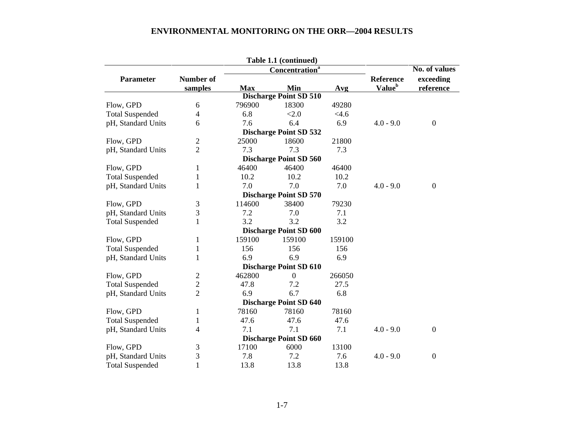|                        |                                   |            | Table 1.1 (continued)         |         |                    |                  |
|------------------------|-----------------------------------|------------|-------------------------------|---------|--------------------|------------------|
|                        | <b>Concentration</b> <sup>a</sup> |            |                               |         |                    | No. of values    |
| Parameter              | <b>Number of</b>                  |            |                               |         | <b>Reference</b>   | exceeding        |
|                        | samples                           | <b>Max</b> | Min                           | Avg     | Value <sup>b</sup> | reference        |
|                        |                                   |            | <b>Discharge Point SD 510</b> |         |                    |                  |
| Flow, GPD              | 6                                 | 796900     | 18300                         | 49280   |                    |                  |
| <b>Total Suspended</b> | 4                                 | 6.8        | < 2.0                         | $<$ 4.6 |                    |                  |
| pH, Standard Units     | 6                                 | 7.6        | 6.4                           | 6.9     | $4.0 - 9.0$        | $\boldsymbol{0}$ |
|                        |                                   |            | <b>Discharge Point SD 532</b> |         |                    |                  |
| Flow, GPD              | $\mathfrak{2}$                    | 25000      | 18600                         | 21800   |                    |                  |
| pH, Standard Units     | $\overline{2}$                    | 7.3        | 7.3                           | 7.3     |                    |                  |
|                        |                                   |            | <b>Discharge Point SD 560</b> |         |                    |                  |
| Flow, GPD              | 1                                 | 46400      | 46400                         | 46400   |                    |                  |
| <b>Total Suspended</b> | 1                                 | 10.2       | 10.2                          | 10.2    |                    |                  |
| pH, Standard Units     | 1                                 | 7.0        | 7.0                           | 7.0     | $4.0 - 9.0$        | $\boldsymbol{0}$ |
|                        |                                   |            | <b>Discharge Point SD 570</b> |         |                    |                  |
| Flow, GPD              | 3                                 | 114600     | 38400                         | 79230   |                    |                  |
| pH, Standard Units     | 3                                 | 7.2        | 7.0                           | 7.1     |                    |                  |
| <b>Total Suspended</b> | 1                                 | 3.2        | 3.2                           | 3.2     |                    |                  |
|                        |                                   |            | <b>Discharge Point SD 600</b> |         |                    |                  |
| Flow, GPD              | 1                                 | 159100     | 159100                        | 159100  |                    |                  |
| <b>Total Suspended</b> | $\mathbf{1}$                      | 156        | 156                           | 156     |                    |                  |
| pH, Standard Units     | 1                                 | 6.9        | 6.9                           | 6.9     |                    |                  |
|                        |                                   |            | <b>Discharge Point SD 610</b> |         |                    |                  |
| Flow, GPD              | 2                                 | 462800     | $\overline{0}$                | 266050  |                    |                  |
| <b>Total Suspended</b> | $\overline{c}$                    | 47.8       | 7.2                           | 27.5    |                    |                  |
| pH, Standard Units     | $\overline{2}$                    | 6.9        | 6.7                           | 6.8     |                    |                  |
|                        |                                   |            | <b>Discharge Point SD 640</b> |         |                    |                  |
| Flow, GPD              | 1                                 | 78160      | 78160                         | 78160   |                    |                  |
| <b>Total Suspended</b> | $\mathbf{1}$                      | 47.6       | 47.6                          | 47.6    |                    |                  |
| pH, Standard Units     | 4                                 | 7.1        | 7.1                           | 7.1     | $4.0 - 9.0$        | $\boldsymbol{0}$ |
|                        |                                   |            | <b>Discharge Point SD 660</b> |         |                    |                  |
| Flow, GPD              | 3                                 | 17100      | 6000                          | 13100   |                    |                  |
| pH, Standard Units     | 3                                 | 7.8        | 7.2                           | 7.6     | $4.0 - 9.0$        | $\boldsymbol{0}$ |
| <b>Total Suspended</b> | $\mathbf{1}$                      | 13.8       | 13.8                          | 13.8    |                    |                  |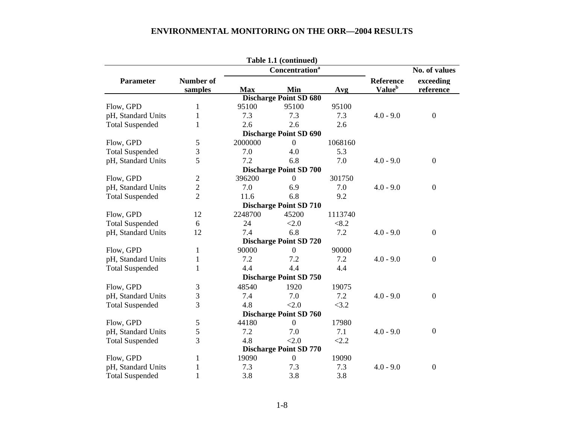|                        |                  |            | Table 1.1 (continued)             |         |                    |                  |
|------------------------|------------------|------------|-----------------------------------|---------|--------------------|------------------|
|                        |                  |            | <b>Concentration</b> <sup>a</sup> |         |                    | No. of values    |
| <b>Parameter</b>       | <b>Number of</b> |            |                                   |         | <b>Reference</b>   | exceeding        |
|                        | samples          | <b>Max</b> | Min                               | Avg     | Value <sup>b</sup> | reference        |
|                        |                  |            | Discharge Point SD 680            |         |                    |                  |
| Flow, GPD              | $\mathbf{1}$     | 95100      | 95100                             | 95100   |                    |                  |
| pH, Standard Units     | $\mathbf{1}$     | 7.3        | 7.3                               | 7.3     | $4.0 - 9.0$        | $\overline{0}$   |
| <b>Total Suspended</b> | 1                | 2.6        | 2.6                               | 2.6     |                    |                  |
|                        |                  |            | <b>Discharge Point SD 690</b>     |         |                    |                  |
| Flow, GPD              | 5                | 2000000    | $\overline{0}$                    | 1068160 |                    |                  |
| <b>Total Suspended</b> | 3                | 7.0        | 4.0                               | 5.3     |                    |                  |
| pH, Standard Units     | 5                | 7.2        | 6.8                               | 7.0     | $4.0 - 9.0$        | $\overline{0}$   |
|                        |                  |            | <b>Discharge Point SD 700</b>     |         |                    |                  |
| Flow, GPD              | $\overline{2}$   | 396200     | $\overline{0}$                    | 301750  |                    |                  |
| pH, Standard Units     | $\overline{c}$   | 7.0        | 6.9                               | 7.0     | $4.0 - 9.0$        | $\overline{0}$   |
| <b>Total Suspended</b> | $\overline{2}$   | 11.6       | 6.8                               | 9.2     |                    |                  |
|                        |                  |            | <b>Discharge Point SD 710</b>     |         |                    |                  |
| Flow, GPD              | 12               | 2248700    | 45200                             | 1113740 |                    |                  |
| <b>Total Suspended</b> | 6                | 24         | < 2.0                             | < 8.2   |                    |                  |
| pH, Standard Units     | 12               | 7.4        | 6.8                               | 7.2     | $4.0 - 9.0$        | $\overline{0}$   |
|                        |                  |            | <b>Discharge Point SD 720</b>     |         |                    |                  |
| Flow, GPD              | $\mathbf{1}$     | 90000      | $\overline{0}$                    | 90000   |                    |                  |
| pH, Standard Units     | 1                | 7.2        | 7.2                               | 7.2     | $4.0 - 9.0$        | $\overline{0}$   |
| <b>Total Suspended</b> | 1                | 4.4        | 4.4                               | 4.4     |                    |                  |
|                        |                  |            | <b>Discharge Point SD 750</b>     |         |                    |                  |
| Flow, GPD              | 3                | 48540      | 1920                              | 19075   |                    |                  |
| pH, Standard Units     | 3                | 7.4        | 7.0                               | 7.2     | $4.0 - 9.0$        | $\overline{0}$   |
| <b>Total Suspended</b> | 3                | 4.8        | < 2.0                             | <3.2    |                    |                  |
|                        |                  |            | <b>Discharge Point SD 760</b>     |         |                    |                  |
| Flow, GPD              | 5                | 44180      | $\boldsymbol{0}$                  | 17980   |                    |                  |
| pH, Standard Units     | 5                | 7.2        | 7.0                               | 7.1     | $4.0 - 9.0$        | $\boldsymbol{0}$ |
| <b>Total Suspended</b> | 3                | 4.8        | < 2.0                             | < 2.2   |                    |                  |
|                        |                  |            | <b>Discharge Point SD 770</b>     |         |                    |                  |
| Flow, GPD              | $\mathbf{1}$     | 19090      | $\boldsymbol{0}$                  | 19090   |                    |                  |
| pH, Standard Units     | $\mathbf{1}$     | 7.3        | 7.3                               | 7.3     | $4.0 - 9.0$        | $\boldsymbol{0}$ |
| <b>Total Suspended</b> | $\mathbf{1}$     | 3.8        | 3.8                               | 3.8     |                    |                  |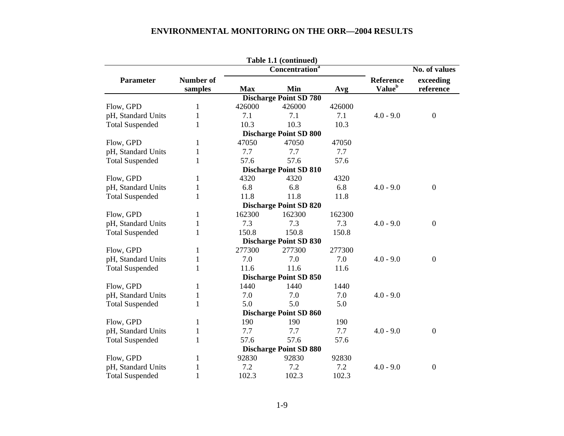|                        |              |                            | Table 1.1 (continued)         |               |                    |                  |
|------------------------|--------------|----------------------------|-------------------------------|---------------|--------------------|------------------|
|                        |              | Concentration <sup>a</sup> |                               | No. of values |                    |                  |
| Parameter              | Number of    |                            |                               |               | <b>Reference</b>   | exceeding        |
|                        | samples      | <b>Max</b>                 | Min                           | Avg           | Value <sup>b</sup> | reference        |
|                        |              |                            | <b>Discharge Point SD 780</b> |               |                    |                  |
| Flow, GPD              | 1            | 426000                     | 426000                        | 426000        |                    |                  |
| pH, Standard Units     | $\mathbf{1}$ | 7.1                        | 7.1                           | 7.1           | $4.0 - 9.0$        | $\boldsymbol{0}$ |
| <b>Total Suspended</b> | $\mathbf{1}$ | 10.3                       | 10.3                          | 10.3          |                    |                  |
|                        |              |                            | <b>Discharge Point SD 800</b> |               |                    |                  |
| Flow, GPD              | 1            | 47050                      | 47050                         | 47050         |                    |                  |
| pH, Standard Units     | $\mathbf{1}$ | 7.7                        | 7.7                           | 7.7           |                    |                  |
| <b>Total Suspended</b> | $\mathbf{1}$ | 57.6                       | 57.6                          | 57.6          |                    |                  |
|                        |              |                            | <b>Discharge Point SD 810</b> |               |                    |                  |
| Flow, GPD              | 1            | 4320                       | 4320                          | 4320          |                    |                  |
| pH, Standard Units     | $\mathbf{1}$ | 6.8                        | 6.8                           | 6.8           | $4.0 - 9.0$        | $\boldsymbol{0}$ |
| <b>Total Suspended</b> | $\mathbf{1}$ | 11.8                       | 11.8                          | 11.8          |                    |                  |
|                        |              |                            | <b>Discharge Point SD 820</b> |               |                    |                  |
| Flow, GPD              | 1            | 162300                     | 162300                        | 162300        |                    |                  |
| pH, Standard Units     | 1            | 7.3                        | 7.3                           | 7.3           | $4.0 - 9.0$        | $\overline{0}$   |
| <b>Total Suspended</b> | 1            | 150.8                      | 150.8                         | 150.8         |                    |                  |
|                        |              |                            | <b>Discharge Point SD 830</b> |               |                    |                  |
| Flow, GPD              | 1            | 277300                     | 277300                        | 277300        |                    |                  |
| pH, Standard Units     | $\mathbf{1}$ | 7.0                        | 7.0                           | 7.0           | $4.0 - 9.0$        | $\boldsymbol{0}$ |
| <b>Total Suspended</b> | 1            | 11.6                       | 11.6                          | 11.6          |                    |                  |
|                        |              |                            | <b>Discharge Point SD 850</b> |               |                    |                  |
| Flow, GPD              | 1            | 1440                       | 1440                          | 1440          |                    |                  |
| pH, Standard Units     | $\mathbf{1}$ | 7.0                        | 7.0                           | 7.0           | $4.0 - 9.0$        |                  |
| <b>Total Suspended</b> | 1            | 5.0                        | 5.0                           | 5.0           |                    |                  |
|                        |              |                            | <b>Discharge Point SD 860</b> |               |                    |                  |
| Flow, GPD              | 1            | 190                        | 190                           | 190           |                    |                  |
| pH, Standard Units     | $\mathbf{1}$ | 7.7                        | 7.7                           | 7.7           | $4.0 - 9.0$        | $\boldsymbol{0}$ |
| <b>Total Suspended</b> | 1            | 57.6                       | 57.6                          | 57.6          |                    |                  |
|                        |              |                            | <b>Discharge Point SD 880</b> |               |                    |                  |
| Flow, GPD              | 1            | 92830                      | 92830                         | 92830         |                    |                  |
| pH, Standard Units     | $\mathbf{1}$ | 7.2                        | 7.2                           | 7.2           | $4.0 - 9.0$        | $\boldsymbol{0}$ |
| <b>Total Suspended</b> | 1            | 102.3                      | 102.3                         | 102.3         |                    |                  |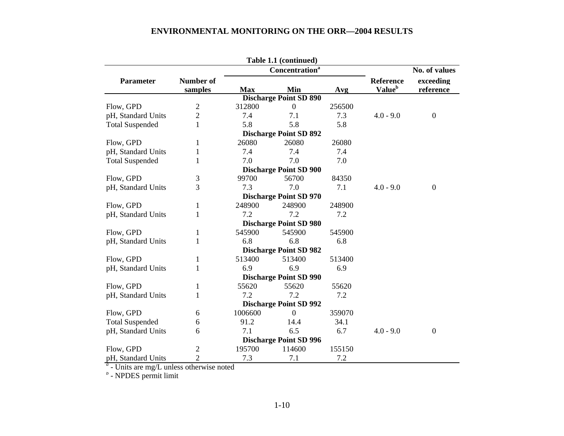|                                             |                |            | Table 1.1 (continued)             |        |                    |                  |
|---------------------------------------------|----------------|------------|-----------------------------------|--------|--------------------|------------------|
|                                             |                |            | <b>Concentration</b> <sup>a</sup> |        |                    | No. of values    |
| <b>Parameter</b>                            | Number of      |            |                                   |        | <b>Reference</b>   | exceeding        |
|                                             | samples        | <b>Max</b> | Min                               | Avg    | Value <sup>b</sup> | reference        |
|                                             |                |            | <b>Discharge Point SD 890</b>     |        |                    |                  |
| Flow, GPD                                   | $\mathbf{2}$   | 312800     | $\boldsymbol{0}$                  | 256500 |                    |                  |
| pH, Standard Units                          | $\overline{c}$ | 7.4        | 7.1                               | 7.3    | $4.0 - 9.0$        | $\boldsymbol{0}$ |
| <b>Total Suspended</b>                      | $\mathbf{1}$   | 5.8        | 5.8                               | 5.8    |                    |                  |
|                                             |                |            | <b>Discharge Point SD 892</b>     |        |                    |                  |
| Flow, GPD                                   | 1              | 26080      | 26080                             | 26080  |                    |                  |
| pH, Standard Units                          | 1              | 7.4        | 7.4                               | 7.4    |                    |                  |
| <b>Total Suspended</b>                      | 1              | 7.0        | 7.0                               | 7.0    |                    |                  |
|                                             |                |            | <b>Discharge Point SD 900</b>     |        |                    |                  |
| Flow, GPD                                   | 3              | 99700      | 56700                             | 84350  |                    |                  |
| pH, Standard Units                          | 3              | 7.3        | 7.0                               | 7.1    | $4.0 - 9.0$        | $\boldsymbol{0}$ |
|                                             |                |            | <b>Discharge Point SD 970</b>     |        |                    |                  |
| Flow, GPD                                   | 1              | 248900     | 248900                            | 248900 |                    |                  |
| pH, Standard Units                          | 1              | 7.2        | 7.2                               | 7.2    |                    |                  |
|                                             |                |            | <b>Discharge Point SD 980</b>     |        |                    |                  |
| Flow, GPD                                   | 1              | 545900     | 545900                            | 545900 |                    |                  |
| pH, Standard Units                          | 1              | 6.8        | 6.8                               | 6.8    |                    |                  |
|                                             |                |            | <b>Discharge Point SD 982</b>     |        |                    |                  |
| Flow, GPD                                   | 1              | 513400     | 513400                            | 513400 |                    |                  |
| pH, Standard Units                          | 1              | 6.9        | 6.9                               | 6.9    |                    |                  |
|                                             |                |            | <b>Discharge Point SD 990</b>     |        |                    |                  |
| Flow, GPD                                   | 1              | 55620      | 55620                             | 55620  |                    |                  |
| pH, Standard Units                          | 1              | 7.2        | 7.2                               | 7.2    |                    |                  |
|                                             |                |            | <b>Discharge Point SD 992</b>     |        |                    |                  |
| Flow, GPD                                   | 6              | 1006600    | $\theta$                          | 359070 |                    |                  |
| <b>Total Suspended</b>                      | 6              | 91.2       | 14.4                              | 34.1   |                    |                  |
| pH, Standard Units                          | 6              | 7.1        | 6.5                               | 6.7    | $4.0 - 9.0$        | $\boldsymbol{0}$ |
|                                             |                |            | <b>Discharge Point SD 996</b>     |        |                    |                  |
| Flow, GPD                                   | $\overline{2}$ | 195700     | 114600                            | 155150 |                    |                  |
| pH, Standard Units                          | $\overline{2}$ | 7.3        | 7.1                               | 7.2    |                    |                  |
| $a$ - Units are mg/L unless otherwise noted |                |            |                                   |        |                    |                  |
| $b$ - NPDES permit limit                    |                |            |                                   |        |                    |                  |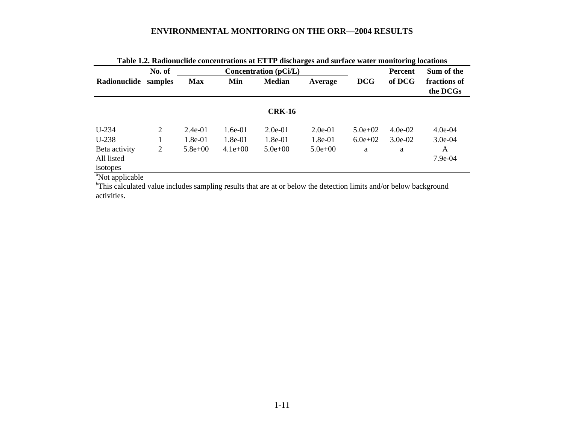|                                         | Table 1.2. Kaulonuchue concenti ations at ETTT uischafges and surface water monitoring focations<br>Concentration $(pCi/L)$<br>No. of |             |           |               |             |             | <b>Percent</b> | Sum of the               |
|-----------------------------------------|---------------------------------------------------------------------------------------------------------------------------------------|-------------|-----------|---------------|-------------|-------------|----------------|--------------------------|
| Radionuclide                            | samples                                                                                                                               | <b>Max</b>  | Min       | <b>Median</b> | Average     | <b>DCG</b>  | of DCG         | fractions of<br>the DCGs |
|                                         |                                                                                                                                       |             |           | <b>CRK-16</b> |             |             |                |                          |
| $U-234$                                 | $\overline{2}$                                                                                                                        | $2.4e-01$   | $1.6e-01$ | $2.0e-01$     | $2.0e-01$   | $5.0e+02$   | $4.0e-02$      | $4.0e-04$                |
| $U-238$                                 |                                                                                                                                       | $1.8e-01$   | $1.8e-01$ | $1.8e-01$     | $1.8e-01$   | $6.0e + 02$ | $3.0e-02$      | $3.0e-04$                |
| Beta activity<br>All listed<br>isotopes | $\overline{2}$                                                                                                                        | $5.8e + 00$ | $4.1e+00$ | $5.0e + 00$   | $5.0e + 00$ | a           | a              | A<br>7.9e-04             |

| Table 1.2. Radionuclide concentrations at ETTP discharges and surface water monitoring locations |  |
|--------------------------------------------------------------------------------------------------|--|
|--------------------------------------------------------------------------------------------------|--|

<sup>a</sup>Not applicable

*<sup>b</sup>*This calculated value includes sampling results that are at or below the detection limits and/or below background activities.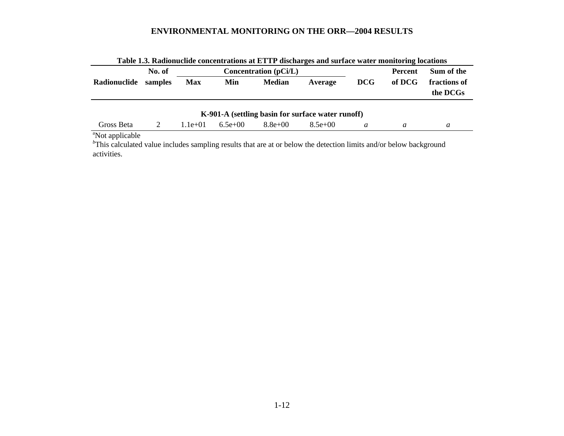|                                                                  | No. of  |            |           | Table 1.5. Kadionuchue concentrations at ETTP discharges and surface water monitoring locations<br>Concentration $(pCi/L)$ |                                                   |            | Percent | Sum of the               |
|------------------------------------------------------------------|---------|------------|-----------|----------------------------------------------------------------------------------------------------------------------------|---------------------------------------------------|------------|---------|--------------------------|
| Radionuclide                                                     | samples | <b>Max</b> | Min       | <b>Median</b>                                                                                                              | Average                                           | <b>DCG</b> | of DCG  | fractions of<br>the DCGs |
|                                                                  |         |            |           |                                                                                                                            | K-901-A (settling basin for surface water runoff) |            |         |                          |
| Gross Beta                                                       | 2       | $1.1e+01$  | $6.5e+00$ | $8.8e+00$                                                                                                                  | $8.5e+00$                                         | a          | a       | a                        |
| $\frac{dN_{\text{tot}}}{dt}$ and $\frac{1}{2}$ and $\frac{1}{2}$ |         |            |           |                                                                                                                            |                                                   |            |         |                          |

|  | Table 1.3. Radionuclide concentrations at ETTP discharges and surface water monitoring locations |
|--|--------------------------------------------------------------------------------------------------|
|  |                                                                                                  |

<sup>a</sup>Not applicable

*<sup>b</sup>*This calculated value includes sampling results that are at or below the detection limits and/or below background activities.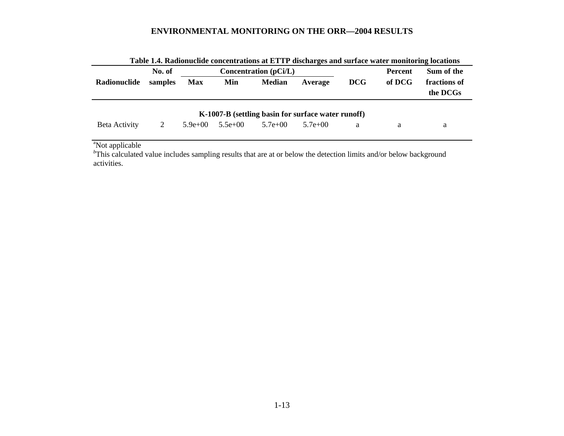|               | Table 1.4. Kadionuchue concentrations at ETTP discharges and surface water monitoring locations |            |                       |               |                                                    |            |                |              |  |
|---------------|-------------------------------------------------------------------------------------------------|------------|-----------------------|---------------|----------------------------------------------------|------------|----------------|--------------|--|
|               | No. of                                                                                          |            | Concentration (pCi/L) |               |                                                    |            | <b>Percent</b> | Sum of the   |  |
| Radionuclide  | samples                                                                                         | <b>Max</b> | Min                   | <b>Median</b> | Average                                            | <b>DCG</b> | of DCG         | fractions of |  |
|               |                                                                                                 |            |                       |               |                                                    |            |                | the DCGs     |  |
|               |                                                                                                 |            |                       |               | K-1007-B (settling basin for surface water runoff) |            |                |              |  |
| Beta Activity | 2                                                                                               | $5.9e+00$  | $5.5e+00$             | $5.7e+00$     | $5.7e+00$                                          | a          | a              | a            |  |

| Table 1.4. Radionuclide concentrations at ETTP discharges and surface water monitoring locations |  |  |
|--------------------------------------------------------------------------------------------------|--|--|
|--------------------------------------------------------------------------------------------------|--|--|

<sup>a</sup>Not applicable

*<sup>b</sup>*This calculated value includes sampling results that are at or below the detection limits and/or below background activities.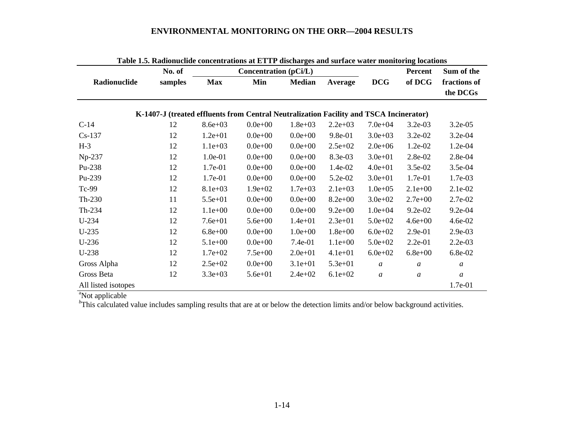|                             | No. of                                                                                 |             | Concentration (pCi/L) |               |             |                  | Percent          | Sum of the               |
|-----------------------------|----------------------------------------------------------------------------------------|-------------|-----------------------|---------------|-------------|------------------|------------------|--------------------------|
| Radionuclide                | samples                                                                                | <b>Max</b>  | Min                   | <b>Median</b> | Average     | <b>DCG</b>       | of DCG           | fractions of<br>the DCGs |
|                             | K-1407-J (treated effluents from Central Neutralization Facility and TSCA Incinerator) |             |                       |               |             |                  |                  |                          |
| $C-14$                      | 12                                                                                     | $8.6e + 03$ | $0.0e + 00$           | $1.8e + 03$   | $2.2e+03$   | $7.0e + 04$      | $3.2e-03$        | $3.2e-0.5$               |
| $Cs-137$                    | 12                                                                                     | $1.2e + 01$ | $0.0e + 00$           | $0.0e + 00$   | 9.8e-01     | $3.0e + 03$      | 3.2e-02          | $3.2e-04$                |
| $H-3$                       | 12                                                                                     | $1.1e+03$   | $0.0e + 00$           | $0.0e + 00$   | $2.5e+02$   | $2.0e + 06$      | 1.2e-02          | $1.2e-04$                |
| Np-237                      | 12                                                                                     | 1.0e-01     | $0.0e + 00$           | $0.0e + 00$   | 8.3e-03     | $3.0e + 01$      | 2.8e-02          | 2.8e-04                  |
| Pu-238                      | 12                                                                                     | 1.7e-01     | $0.0e + 00$           | $0.0e + 00$   | 1.4e-02     | $4.0e + 01$      | 3.5e-02          | $3.5e-04$                |
| Pu-239                      | 12                                                                                     | 1.7e-01     | $0.0e + 00$           | $0.0e + 00$   | 5.2e-02     | $3.0e + 01$      | 1.7e-01          | 1.7e-03                  |
| Tc-99                       | 12                                                                                     | $8.1e+03$   | $1.9e + 02$           | $1.7e + 03$   | $2.1e+03$   | $1.0e + 0.5$     | $2.1e+00$        | 2.1e-02                  |
| Th-230                      | 11                                                                                     | $5.5e+01$   | $0.0e + 00$           | $0.0e + 00$   | $8.2e + 00$ | $3.0e + 02$      | $2.7e+00$        | 2.7e-02                  |
| Th-234                      | 12                                                                                     | $1.1e+00$   | $0.0e + 00$           | $0.0e + 00$   | $9.2e + 00$ | $1.0e + 04$      | $9.2e-02$        | $9.2e-04$                |
| U-234                       | 12                                                                                     | $7.6e + 01$ | $5.6e + 00$           | $1.4e + 01$   | $2.3e+01$   | $5.0e + 02$      | $4.6e + 00$      | $4.6e-02$                |
| $U-235$                     | 12                                                                                     | $6.8e + 00$ | $0.0e + 00$           | $1.0e + 00$   | $1.8e + 00$ | $6.0e + 02$      | 2.9e-01          | 2.9e-03                  |
| $U-236$                     | 12                                                                                     | $5.1e+00$   | $0.0e + 00$           | 7.4e-01       | $1.1e+00$   | $5.0e + 02$      | $2.2e-01$        | $2.2e-03$                |
| U-238                       | 12                                                                                     | $1.7e + 02$ | $7.5e+00$             | $2.0e + 01$   | $4.1e+01$   | $6.0e + 02$      | $6.8e + 00$      | 6.8e-02                  |
| Gross Alpha                 | 12                                                                                     | $2.5e+02$   | $0.0e + 00$           | $3.1e+01$     | $5.3e + 01$ | $\boldsymbol{a}$ | $\boldsymbol{a}$ | $\mathfrak a$            |
| Gross Beta                  | 12                                                                                     | $3.3e+03$   | $5.6e + 01$           | $2.4e+02$     | $6.1e+02$   | $\boldsymbol{a}$ | $\boldsymbol{a}$ | $\mathfrak a$            |
| All listed isotopes         |                                                                                        |             |                       |               |             |                  |                  | 1.7e-01                  |
| <sup>a</sup> Not applicable |                                                                                        |             |                       |               |             |                  |                  |                          |

**Table 1.5. Radionuclide concentrations at ETTP discharges and surface water monitoring locations**

<sup>*b*</sup>This calculated value includes sampling results that are at or below the detection limits and/or below background activities.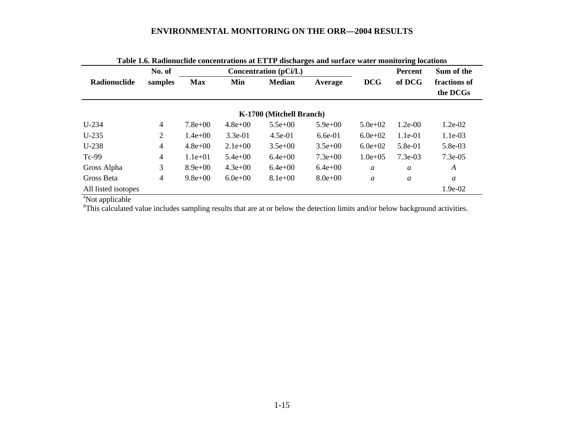|                             | No. of         |             |             | <b>Concentration</b> (pCi/L) |             | <b>Percent</b>   | Sum of the |                          |
|-----------------------------|----------------|-------------|-------------|------------------------------|-------------|------------------|------------|--------------------------|
| Radionuclide                | samples        | <b>Max</b>  | Min         | <b>Median</b>                | Average     | <b>DCG</b>       | of DCG     | fractions of<br>the DCGs |
|                             |                |             |             | K-1700 (Mitchell Branch)     |             |                  |            |                          |
| $U-234$                     | 4              | $7.8e + 00$ | $4.8e + 00$ | $5.5e+00$                    | $5.9e+00$   | $5.0e + 02$      | $1.2e-00$  | 1.2e-02                  |
| $U-235$                     | 2              | $1.4e+00$   | $3.3e-01$   | $4.5e-01$                    | $6.6e-01$   | $6.0e + 02$      | $1.1e-01$  | 1.1e-03                  |
| $U-238$                     | $\overline{4}$ | $4.8e + 00$ | $2.1e+00$   | $3.5e+00$                    | $3.5e+00$   | $6.0e+02$        | $5.8e-01$  | 5.8e-03                  |
| Tc-99                       | 4              | $1.1e+01$   | $5.4e + 00$ | $6.4e+00$                    | $7.3e+00$   | $1.0e + 0.5$     | $7.3e-03$  | $7.3e-0.5$               |
| Gross Alpha                 | 3              | $8.9e+00$   | $4.3e+00$   | $6.4e+00$                    | $6.4e+00$   | $\boldsymbol{a}$ | a          | A                        |
| Gross Beta                  | 4              | $9.8e+00$   | $6.0e+0.0$  | $8.1e+00$                    | $8.0e + 00$ | a                | a          | a                        |
| All listed isotopes<br>$2-$ |                |             |             |                              |             |                  |            | 1.9e-02                  |

**Table 1.6. Radionuclide concentrations at ETTP discharges and surface water monitoring locations**

<sup>a</sup>Not applicable

<sup>*b*</sup>This calculated value includes sampling results that are at or below the detection limits and/or below background activities.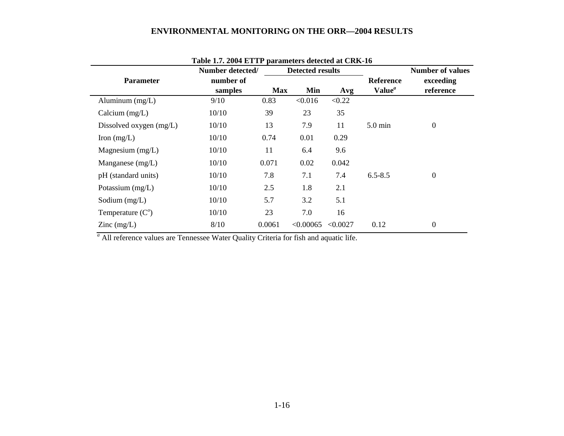|                                          | Number detected/     |            | <b>Detected results</b> |          |                                        | <b>Number of values</b> |  |
|------------------------------------------|----------------------|------------|-------------------------|----------|----------------------------------------|-------------------------|--|
| <b>Parameter</b>                         | number of<br>samples | <b>Max</b> | Min                     | Avg      | <b>Reference</b><br>Value <sup>a</sup> | exceeding<br>reference  |  |
| Aluminum $(mg/L)$                        | 9/10                 | 0.83       | < 0.016                 | < 0.22   |                                        |                         |  |
| Calcium $(mg/L)$                         | 10/10                | 39         | 23                      | 35       |                                        |                         |  |
| Dissolved oxygen (mg/L)                  | 10/10                | 13         | 7.9                     | 11       | $5.0$ min                              | $\boldsymbol{0}$        |  |
| Iron $(mg/L)$                            | 10/10                | 0.74       | 0.01                    | 0.29     |                                        |                         |  |
| Magnesium $(mg/L)$                       | 10/10                | 11         | 6.4                     | 9.6      |                                        |                         |  |
| Manganese $(mg/L)$                       | 10/10                | 0.071      | 0.02                    | 0.042    |                                        |                         |  |
| pH (standard units)                      | 10/10                | 7.8        | 7.1                     | 7.4      | $6.5 - 8.5$                            | $\boldsymbol{0}$        |  |
| Potassium $(mg/L)$                       | 10/10                | 2.5        | 1.8                     | 2.1      |                                        |                         |  |
| Sodium $(mg/L)$                          | 10/10                | 5.7        | 3.2                     | 5.1      |                                        |                         |  |
| Temperature $(C^{\circ})$                | 10/10                | 23         | 7.0                     | 16       |                                        |                         |  |
| $\text{Zinc} \left( \text{mg/L} \right)$ | 8/10                 | 0.0061     | < 0.00065               | < 0.0027 | 0.12                                   | $\boldsymbol{0}$        |  |

| Table 1.7. 2004 ETTP parameters detected at CRK-16 |  |  |
|----------------------------------------------------|--|--|
|----------------------------------------------------|--|--|

<sup>*a*</sup> All reference values are Tennessee Water Quality Criteria for fish and aquatic life.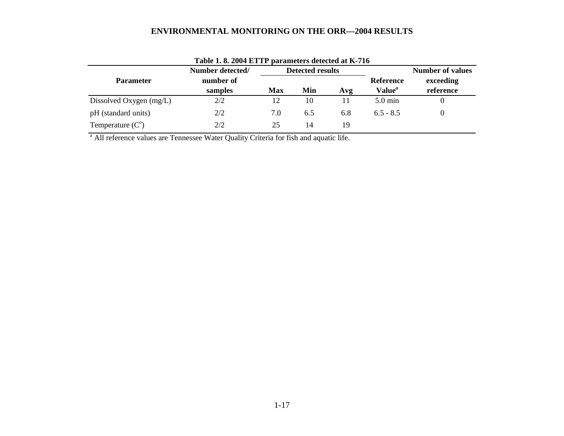| Table 1.8. 2004 ETTP parameters detected at K-716 |                  |                  |     |     |                           |           |  |  |
|---------------------------------------------------|------------------|------------------|-----|-----|---------------------------|-----------|--|--|
|                                                   | Number detected/ | Detected results |     |     | <b>Number of values</b>   |           |  |  |
| <b>Parameter</b>                                  | number of        |                  |     |     | <b>Reference</b>          | exceeding |  |  |
|                                                   | samples          | Max              | Min | Avg | Value <sup><i>a</i></sup> | reference |  |  |
| Dissolved Oxygen (mg/L)                           | 2/2              | 12               | 10  |     | $5.0 \text{ min}$         |           |  |  |
| pH (standard units)                               | 2/2              | 7.0              | 6.5 | 6.8 | $6.5 - 8.5$               | $\Omega$  |  |  |
| Temperature $(C^{\circ})$                         | 2/2              | 25               | 14  | 19  |                           |           |  |  |

<sup>a</sup> All reference values are Tennessee Water Quality Criteria for fish and aquatic life.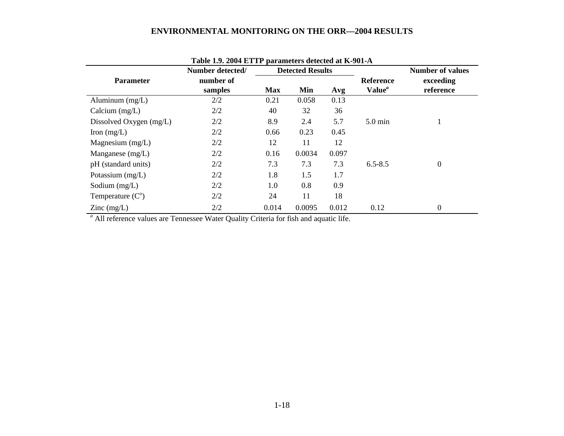|                                          | Number detected/ |            | <b>Detected Results</b> |       |                           | <b>Number of values</b> |  |
|------------------------------------------|------------------|------------|-------------------------|-------|---------------------------|-------------------------|--|
| <b>Parameter</b>                         | number of        |            |                         |       | <b>Reference</b>          | exceeding               |  |
|                                          | samples          | <b>Max</b> | Min                     | Avg   | Value <sup><i>a</i></sup> | reference               |  |
| Aluminum $(mg/L)$                        | 2/2              | 0.21       | 0.058                   | 0.13  |                           |                         |  |
| Calcium $(mg/L)$                         | 2/2              | 40         | 32                      | 36    |                           |                         |  |
| Dissolved Oxygen (mg/L)                  | 2/2              | 8.9        | 2.4                     | 5.7   | $5.0 \text{ min}$         |                         |  |
| Iron $(mg/L)$                            | 2/2              | 0.66       | 0.23                    | 0.45  |                           |                         |  |
| Magnesium $(mg/L)$                       | 2/2              | 12         | 11                      | 12    |                           |                         |  |
| Manganese $(mg/L)$                       | 2/2              | 0.16       | 0.0034                  | 0.097 |                           |                         |  |
| pH (standard units)                      | 2/2              | 7.3        | 7.3                     | 7.3   | $6.5 - 8.5$               | $\mathbf{0}$            |  |
| Potassium $(mg/L)$                       | 2/2              | 1.8        | 1.5                     | 1.7   |                           |                         |  |
| Sodium $(mg/L)$                          | 2/2              | 1.0        | 0.8                     | 0.9   |                           |                         |  |
| Temperature $(C^{\circ})$                | 2/2              | 24         | 11                      | 18    |                           |                         |  |
| $\text{Zinc} \left( \text{mg/L} \right)$ | 2/2              | 0.014      | 0.0095                  | 0.012 | 0.12                      | $\mathbf{0}$            |  |

**Table 1.9. 2004 ETTP parameters detected at K-901-A**

*a* All reference values are Tennessee Water Quality Criteria for fish and aquatic life.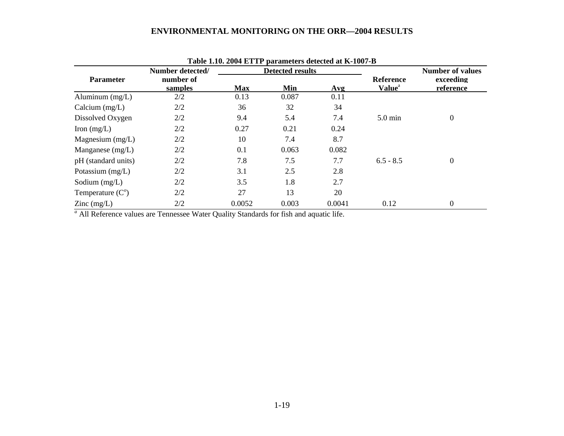|                                          | Number detected/     |            | <b>Detected results</b> |        |                                               | <b>Number of values</b> |
|------------------------------------------|----------------------|------------|-------------------------|--------|-----------------------------------------------|-------------------------|
| <b>Parameter</b>                         | number of<br>samples | <b>Max</b> | Min                     | Avg    | <b>Reference</b><br><b>Value</b> <sup>a</sup> | exceeding<br>reference  |
| Aluminum $(mg/L)$                        | 2/2                  | 0.13       | 0.087                   | 0.11   |                                               |                         |
| Calcium $(mg/L)$                         | 2/2                  | 36         | 32                      | 34     |                                               |                         |
| Dissolved Oxygen                         | 2/2                  | 9.4        | 5.4                     | 7.4    | $5.0 \text{ min}$                             | $\overline{0}$          |
| Iron $(mg/L)$                            | 2/2                  | 0.27       | 0.21                    | 0.24   |                                               |                         |
| Magnesium $(mg/L)$                       | 2/2                  | 10         | 7.4                     | 8.7    |                                               |                         |
| Manganese $(mg/L)$                       | 2/2                  | 0.1        | 0.063                   | 0.082  |                                               |                         |
| pH (standard units)                      | 2/2                  | 7.8        | 7.5                     | 7.7    | $6.5 - 8.5$                                   | $\overline{0}$          |
| Potassium $(mg/L)$                       | 2/2                  | 3.1        | 2.5                     | 2.8    |                                               |                         |
| Sodium $(mg/L)$                          | 2/2                  | 3.5        | 1.8                     | 2.7    |                                               |                         |
| Temperature $(C^{\circ})$                | 2/2                  | 27         | 13                      | 20     |                                               |                         |
| $\text{Zinc} \left( \text{mg/L} \right)$ | 2/2                  | 0.0052     | 0.003                   | 0.0041 | 0.12                                          | $\boldsymbol{0}$        |

**Table 1.10. 2004 ETTP parameters detected at K-1007-B**

*a* All Reference values are Tennessee Water Quality Standards for fish and aquatic life.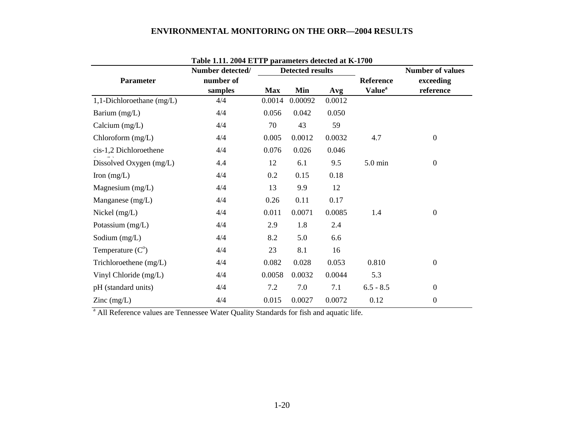|                                          |                  | Table 1.11. 2004 ETTP parameters detected at K-1700 |                         |        |                           |                         |  |  |  |  |  |
|------------------------------------------|------------------|-----------------------------------------------------|-------------------------|--------|---------------------------|-------------------------|--|--|--|--|--|
|                                          | Number detected/ |                                                     | <b>Detected results</b> |        |                           | <b>Number of values</b> |  |  |  |  |  |
| <b>Parameter</b>                         | number of        |                                                     |                         |        | <b>Reference</b>          | exceeding               |  |  |  |  |  |
|                                          | samples          | <b>Max</b>                                          | Min                     | Avg    | <b>Value</b> <sup>a</sup> | reference               |  |  |  |  |  |
| 1,1-Dichloroethane $(mg/L)$              | 4/4              | 0.0014                                              | 0.00092                 | 0.0012 |                           |                         |  |  |  |  |  |
| Barium (mg/L)                            | 4/4              | 0.056                                               | 0.042                   | 0.050  |                           |                         |  |  |  |  |  |
| Calcium $(mg/L)$                         | 4/4              | 70                                                  | 43                      | 59     |                           |                         |  |  |  |  |  |
| Chloroform (mg/L)                        | 4/4              | 0.005                                               | 0.0012                  | 0.0032 | 4.7                       | $\boldsymbol{0}$        |  |  |  |  |  |
| cis-1,2 Dichloroethene                   | 4/4              | 0.076                                               | 0.026                   | 0.046  |                           |                         |  |  |  |  |  |
| Dissolved Oxygen (mg/L)                  | 4.4              | 12                                                  | 6.1                     | 9.5    | 5.0 min                   | $\boldsymbol{0}$        |  |  |  |  |  |
| Iron $(mg/L)$                            | 4/4              | 0.2                                                 | 0.15                    | 0.18   |                           |                         |  |  |  |  |  |
| Magnesium $(mg/L)$                       | 4/4              | 13                                                  | 9.9                     | 12     |                           |                         |  |  |  |  |  |
| Manganese (mg/L)                         | 4/4              | 0.26                                                | 0.11                    | 0.17   |                           |                         |  |  |  |  |  |
| Nickel (mg/L)                            | 4/4              | 0.011                                               | 0.0071                  | 0.0085 | 1.4                       | $\boldsymbol{0}$        |  |  |  |  |  |
| Potassium (mg/L)                         | 4/4              | 2.9                                                 | 1.8                     | 2.4    |                           |                         |  |  |  |  |  |
| Sodium (mg/L)                            | 4/4              | 8.2                                                 | 5.0                     | 6.6    |                           |                         |  |  |  |  |  |
| Temperature $(C^{\circ})$                | 4/4              | 23                                                  | 8.1                     | 16     |                           |                         |  |  |  |  |  |
| Trichloroethene (mg/L)                   | 4/4              | 0.082                                               | 0.028                   | 0.053  | 0.810                     | $\boldsymbol{0}$        |  |  |  |  |  |
| Vinyl Chloride (mg/L)                    | 4/4              | 0.0058                                              | 0.0032                  | 0.0044 | 5.3                       |                         |  |  |  |  |  |
| pH (standard units)                      | 4/4              | 7.2                                                 | 7.0                     | 7.1    | $6.5 - 8.5$               | $\overline{0}$          |  |  |  |  |  |
| $\text{Zinc} \left( \text{mg/L} \right)$ | 4/4              | 0.015                                               | 0.0027                  | 0.0072 | 0.12                      | $\boldsymbol{0}$        |  |  |  |  |  |

**Table 1.11. 2004 ETTP parameters detected at K-1700** 

<sup>a</sup> All Reference values are Tennessee Water Quality Standards for fish and aquatic life.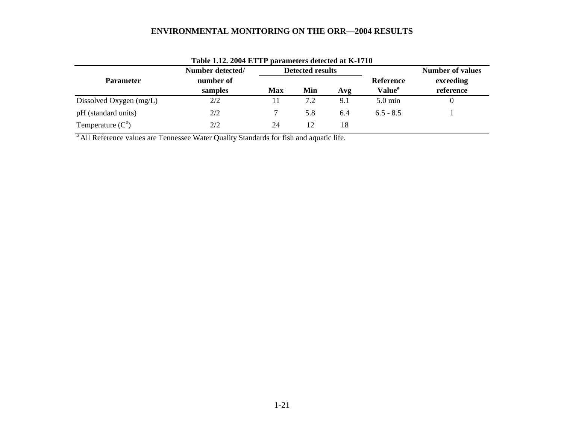|                           | Number detected/                   |    | <b>Detected results</b> |                                               |                   | <b>Number of values</b> |  |
|---------------------------|------------------------------------|----|-------------------------|-----------------------------------------------|-------------------|-------------------------|--|
| <b>Parameter</b>          | number of<br>samples<br><b>Max</b> |    | Min                     | Reference<br><b>Value</b> <sup>a</sup><br>Avg |                   | exceeding<br>reference  |  |
| Dissolved Oxygen (mg/L)   | 2/2                                |    | 7.2                     | 9.1                                           | $5.0 \text{ min}$ |                         |  |
| pH (standard units)       | 2/2                                |    | 5.8                     | 6.4                                           | $6.5 - 8.5$       |                         |  |
| Temperature $(C^{\circ})$ | 2/2                                | 24 | 12                      | 18                                            |                   |                         |  |

*a* All Reference values are Tennessee Water Quality Standards for fish and aquatic life.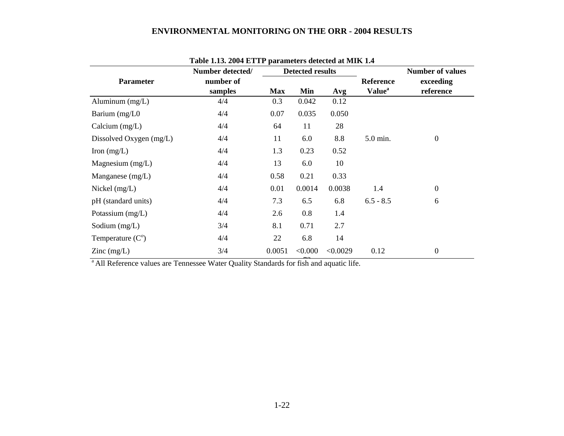|                           | Number detected/<br><b>Detected results</b> |            |         |          | Table 1.19. 2004 ET IT parameters detected at MIIX 1.4 | <b>Number of values</b> |
|---------------------------|---------------------------------------------|------------|---------|----------|--------------------------------------------------------|-------------------------|
| <b>Parameter</b>          | number of<br>samples                        | <b>Max</b> | Min     | Avg      | <b>Reference</b><br><b>Value</b> <sup>a</sup>          | exceeding<br>reference  |
| Aluminum $(mg/L)$         | 4/4                                         | 0.3        | 0.042   | 0.12     |                                                        |                         |
| Barium (mg/L0             | 4/4                                         | 0.07       | 0.035   | 0.050    |                                                        |                         |
| Calcium $(mg/L)$          | 4/4                                         | 64         | 11      | 28       |                                                        |                         |
| Dissolved Oxygen (mg/L)   | 4/4                                         | 11         | 6.0     | 8.8      | 5.0 min.                                               | $\boldsymbol{0}$        |
| Iron $(mg/L)$             | 4/4                                         | 1.3        | 0.23    | 0.52     |                                                        |                         |
| Magnesium $(mg/L)$        | 4/4                                         | 13         | 6.0     | 10       |                                                        |                         |
| Manganese $(mg/L)$        | 4/4                                         | 0.58       | 0.21    | 0.33     |                                                        |                         |
| Nickel $(mg/L)$           | 4/4                                         | 0.01       | 0.0014  | 0.0038   | 1.4                                                    | $\boldsymbol{0}$        |
| pH (standard units)       | 4/4                                         | 7.3        | 6.5     | 6.8      | $6.5 - 8.5$                                            | 6                       |
| Potassium $(mg/L)$        | 4/4                                         | 2.6        | 0.8     | 1.4      |                                                        |                         |
| Sodium $(mg/L)$           | 3/4                                         | 8.1        | 0.71    | 2.7      |                                                        |                         |
| Temperature $(C^{\circ})$ | 4/4                                         | 22         | 6.8     | 14       |                                                        |                         |
| $\text{Zinc}$ (mg/L)      | 3/4                                         | 0.0051     | < 0.000 | < 0.0029 | 0.12                                                   | $\boldsymbol{0}$        |

# **Table 1.13. 2004 ETTP parameters detected at MIK 1.4**

<sup>a</sup> All Reference values are Tennessee Water Quality Standards for fish and aquatic life.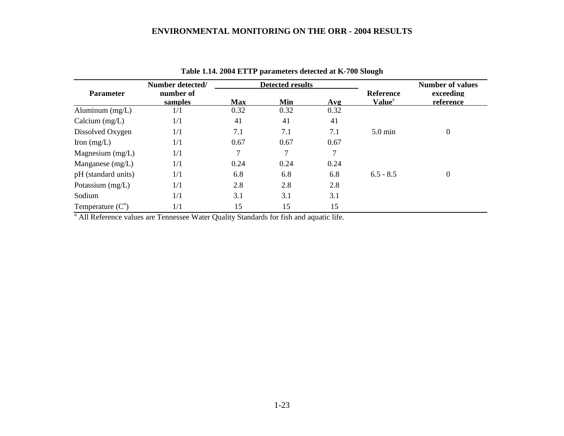|                           | Number detected/     |            | <b>Detected results</b> |        |                                               | <b>Number of values</b> |
|---------------------------|----------------------|------------|-------------------------|--------|-----------------------------------------------|-------------------------|
| <b>Parameter</b>          | number of<br>samples | <b>Max</b> | Min                     | Avg    | <b>Reference</b><br><b>Value</b> <sup>a</sup> | exceeding<br>reference  |
| Aluminum $(mg/L)$         | 1/1                  | 0.32       | 0.32                    | 0.32   |                                               |                         |
| Calcium $(mg/L)$          | 1/1                  | 41         | 41                      | 41     |                                               |                         |
| Dissolved Oxygen          | 1/1                  | 7.1        | 7.1                     | 7.1    | $5.0 \text{ min}$                             | $\boldsymbol{0}$        |
| Iron $(mg/L)$             | 1/1                  | 0.67       | 0.67                    | 0.67   |                                               |                         |
| Magnesium $(mg/L)$        | 1/1                  | 7          | 7                       | $\tau$ |                                               |                         |
| Manganese $(mg/L)$        | 1/1                  | 0.24       | 0.24                    | 0.24   |                                               |                         |
| pH (standard units)       | 1/1                  | 6.8        | 6.8                     | 6.8    | $6.5 - 8.5$                                   | $\overline{0}$          |
| Potassium $(mg/L)$        | 1/1                  | 2.8        | 2.8                     | 2.8    |                                               |                         |
| Sodium                    | 1/1                  | 3.1        | 3.1                     | 3.1    |                                               |                         |
| Temperature $(C^{\circ})$ | 1/1                  | 15         | 15                      | 15     |                                               |                         |

**Table 1.14. 2004 ETTP parameters detected at K-700 Slough**

*a* All Reference values are Tennessee Water Quality Standards for fish and aquatic life.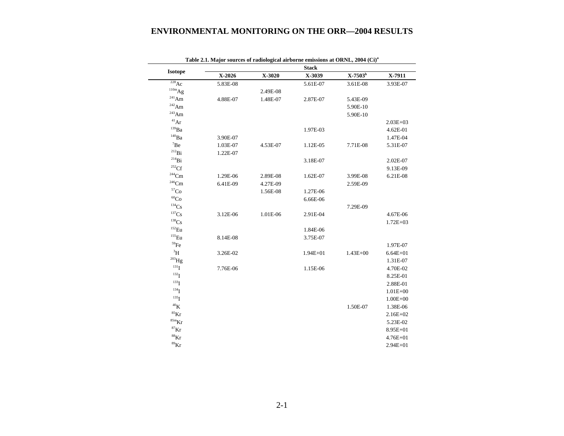|                              |          |          | <b>Stack</b> |              |              |
|------------------------------|----------|----------|--------------|--------------|--------------|
| <b>Isotope</b>               | X-2026   | X-3020   | X-3039       | $X-7503^b$   | X-7911       |
| $^{228}\text{Ac}$            | 5.83E-08 |          | 5.61E-07     | 3.61E-08     | 3.93E-07     |
| $^{110m}Ag$                  |          | 2.49E-08 |              |              |              |
| $\mathrm{^{241}Am}$          | 4.88E-07 | 1.48E-07 | 2.87E-07     | 5.43E-09     |              |
| $\mathrm{^{242}Am}$          |          |          |              | 5.90E-10     |              |
| $\mathrm{^{243}Am}$          |          |          |              | 5.90E-10     |              |
| $\rm ^{41}Ar$                |          |          |              |              | $2.03E + 03$ |
| $^{139}Ba$                   |          |          | 1.97E-03     |              | 4.62E-01     |
| $^{140}\mathrm{Ba}$          | 3.90E-07 |          |              |              | 1.47E-04     |
| $\mathrm{^7Be}$              | 1.03E-07 | 4.53E-07 | 1.12E-05     | 7.71E-08     | 5.31E-07     |
| $\mathrm{^{212}Bi}$          | 1.22E-07 |          |              |              |              |
| $^{214}Bi$                   |          |          | 3.18E-07     |              | 2.02E-07     |
| ${}^{252}\mathrm{Cf}$        |          |          |              |              | 9.13E-09     |
| $244$ Cm                     | 1.29E-06 | 2.89E-08 | 1.62E-07     | 3.99E-08     | 6.21E-08     |
| $^{246}\mathrm{Cm}$          | 6.41E-09 | 4.27E-09 |              | 2.59E-09     |              |
| ${}^{57}\mathrm{Co}$         |          | 1.56E-08 | 1.27E-06     |              |              |
| $\rm ^{60}Co$                |          |          | 6.66E-06     |              |              |
| $^{134}\mathrm{Cs}$          |          |          |              | 7.29E-09     |              |
| $^{137}\mathrm{Cs}$          | 3.12E-06 | 1.01E-06 | 2.91E-04     |              | 4.67E-06     |
| $138$ C <sub>S</sub>         |          |          |              |              | $1.72E + 03$ |
| $^{152}\mbox{Eu}$            |          |          | 1.84E-06     |              |              |
| $^{155}\mathrm{Eu}$          | 8.14E-08 |          | 3.75E-07     |              |              |
| $^{59}\mathrm{Fe}$           |          |          |              |              | 1.97E-07     |
| ${\rm ^3H}$                  | 3.26E-02 |          | $1.94E + 01$ | $1.43E + 00$ | $6.64E + 01$ |
| $^{203}\mathrm{Hg}$          |          |          |              |              | 1.31E-07     |
| $^{131}$ I                   | 7.76E-06 |          | 1.15E-06     |              | 4.70E-02     |
| 132 <sub>I</sub>             |          |          |              |              | 8.25E-01     |
| $133$ <sup>T</sup>           |          |          |              |              | 2.88E-01     |
| $134$ <sup>T</sup>           |          |          |              |              | $1.01E + 00$ |
| $^{135}$ I                   |          |          |              |              | $1.00E + 00$ |
| $^{40}{\rm K}$               |          |          |              | 1.50E-07     | 1.38E-06     |
| ${}^{85}$ Kr                 |          |          |              |              | $2.16E + 02$ |
| ${}^\mathrm{85m}\mathrm{Kr}$ |          |          |              |              | 5.23E-02     |
| ${}^{87}\text{Kr}$           |          |          |              |              | 8.95E+01     |
| $^{88}\mathrm{Kr}$           |          |          |              |              | $4.76E + 01$ |
| $^{89}\mathrm{Kr}$           |          |          |              |              | $2.94E + 01$ |

**Table 2.1. Major sources of radiological airborne emissions at ORNL, 2004 (Ci)a**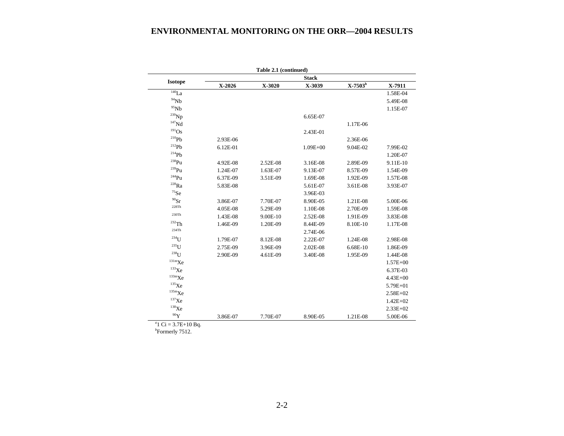| Table 2.1 (continued)<br><b>Stack</b> |          |          |              |            |              |  |  |  |  |
|---------------------------------------|----------|----------|--------------|------------|--------------|--|--|--|--|
| <b>Isotope</b>                        |          |          |              |            |              |  |  |  |  |
|                                       | X-2026   | X-3020   | X-3039       | $X-7503^b$ | X-7911       |  |  |  |  |
| $\overline{^{140}}La$                 |          |          |              |            | 1.58E-04     |  |  |  |  |
| $^{94}Nb$                             |          |          |              |            | 5.49E-08     |  |  |  |  |
| $95$ Nb                               |          |          |              |            | 1.15E-07     |  |  |  |  |
| $^{239}\mathrm{Np}$                   |          |          | 6.65E-07     |            |              |  |  |  |  |
| $147$ Nd                              |          |          |              | 1.17E-06   |              |  |  |  |  |
| $^{191}\mathrm{Os}$                   |          |          | 2.43E-01     |            |              |  |  |  |  |
| $^{210}Ph$                            | 2.93E-06 |          |              | 2.36E-06   |              |  |  |  |  |
| $^{212}Pb$                            | 6.12E-01 |          | $1.09E + 00$ | 9.04E-02   | 7.99E-02     |  |  |  |  |
| $^{214}Ph$                            |          |          |              |            | 1.20E-07     |  |  |  |  |
| $\mathrm{^{238}Pu}$                   | 4.92E-08 | 2.52E-08 | 3.16E-08     | 2.89E-09   | 9.11E-10     |  |  |  |  |
| $^{239}$ Pu                           | 1.24E-07 | 1.63E-07 | 9.13E-07     | 8.57E-09   | 1.54E-09     |  |  |  |  |
| $244$ Pu                              | 6.37E-09 | 3.51E-09 | 1.69E-08     | 1.92E-09   | 1.57E-08     |  |  |  |  |
| $^{228}Ra$                            | 5.83E-08 |          | 5.61E-07     | 3.61E-08   | 3.93E-07     |  |  |  |  |
| $^{75}\mathrm{Se}$                    |          |          | 3.96E-03     |            |              |  |  |  |  |
| $90$ Sr                               | 3.86E-07 | 7.70E-07 | 8.90E-05     | 1.21E-08   | 5.00E-06     |  |  |  |  |
| 228Th                                 | 4.05E-08 | 5.29E-09 | 1.10E-08     | 2.70E-09   | 1.59E-08     |  |  |  |  |
| 230Th                                 | 1.43E-08 | 9.00E-10 | 2.52E-08     | 1.91E-09   | 3.83E-08     |  |  |  |  |
| $232$ Th                              | 1.46E-09 | 1.20E-09 | 8.44E-09     | 8.10E-10   | 1.17E-08     |  |  |  |  |
| 234Th                                 |          |          | 2.74E-06     |            |              |  |  |  |  |
| $234$ U                               | 1.79E-07 | 8.12E-08 | 2.22E-07     | 1.24E-08   | 2.98E-08     |  |  |  |  |
| $235$ <sup>T</sup>                    | 2.75E-09 | 3.96E-09 | 2.02E-08     | 6.68E-10   | 1.86E-09     |  |  |  |  |
| $238$ <sup>U</sup>                    | 2.90E-09 | 4.61E-09 | 3.40E-08     | 1.95E-09   | 1.44E-08     |  |  |  |  |
| $\rm ^{131m}Xe$                       |          |          |              |            | $1.57E + 00$ |  |  |  |  |
| $^{133}\mathrm{Xe}$                   |          |          |              |            | 6.37E-03     |  |  |  |  |
| $\rm ^{133m}Xe$                       |          |          |              |            | $4.43E + 00$ |  |  |  |  |
| $^{135}\mathrm{Xe}$                   |          |          |              |            | $5.79E + 01$ |  |  |  |  |
| $^{135\mathrm{m}}\mathrm{Xe}$         |          |          |              |            | $2.58E + 02$ |  |  |  |  |
| $137$ Xe                              |          |          |              |            | $1.42E + 02$ |  |  |  |  |
| $^{138}\mathrm{Xe}$                   |          |          |              |            | $2.33E+02$   |  |  |  |  |
| $^{90}{\rm Y}$                        | 3.86E-07 | 7.70E-07 | 8.90E-05     | 1.21E-08   | 5.00E-06     |  |  |  |  |

 $a^2$ 1 Ci = 3.7E+10 Bq.

*<sup>b</sup>*Formerly 7512.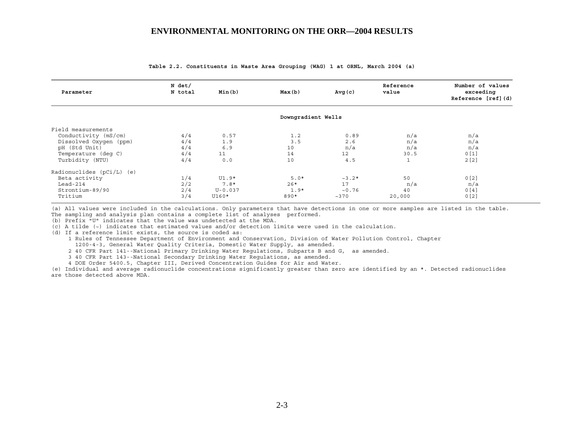| Parameter                   | N det/<br>N total | Min(b)      | Max(b)             | Avg(c)            | Reference<br>value | Number of values<br>exceeding<br>Reference [ref] (d) |
|-----------------------------|-------------------|-------------|--------------------|-------------------|--------------------|------------------------------------------------------|
|                             |                   |             | Downgradient Wells |                   |                    |                                                      |
| Field measurements          |                   |             |                    |                   |                    |                                                      |
| Conductivity (mS/cm)        | 4/4               | 0.57        | 1.2                | 0.89              | n/a                | n/a                                                  |
| Dissolved Oxygen (ppm)      | 4/4               | 1.9         | 3.5                | 2.6               | n/a                | n/a                                                  |
| pH (Std Unit)               | 4/4               | 6.9         | 10                 | n/a               | n/a                | n/a                                                  |
| Temperature (deq C)         | 4/4               | 11          | 14                 | $12 \overline{ }$ | 30.5               | 0[1]                                                 |
| Turbidity (NTU)             | 4/4               | 0.0         | 10                 | 4.5               | 1                  | 2[2]                                                 |
| Radionuclides $(pCi/L)$ (e) |                   |             |                    |                   |                    |                                                      |
| Beta activity               | 1/4               | $UI.9*$     | $5.0*$             | $~2*$             | 50                 | 0[2]                                                 |
| Lead-214                    | 2/2               | $7.8*$      | $26*$              | 17                | n/a                | n/a                                                  |
| Strontium-89/90             | 2/4               | $U - 0.037$ | $1.9*$             | ~10.76            | 40                 | 0[4]                                                 |
| Tritium                     | 3/4               | $U160*$     | 890*               | ~2370             | 20,000             | 0[2]                                                 |

**Table 2.2. Constituents in Waste Area Grouping (WAG) 1 at ORNL, March 2004 (a)** 

(a) All values were included in the calculations. Only parameters that have detections in one or more samples are listed in the table.

The sampling and analysis plan contains a complete list of analyses performed.

(b) Prefix "U" indicates that the value was undetected at the MDA.

(c) A tilde (~) indicates that estimated values and/or detection limits were used in the calculation.

(d) If a reference limit exists, the source is coded as:

 1 Rules of Tennessee Department of Environment and Conservation, Division of Water Pollution Control, Chapter 1200-4-3, General Water Quality Criteria, Domestic Water Supply, as amended.

2 40 CFR Part 141--National Primary Drinking Water Regulations, Subparts B and G, as amended.

3 40 CFR Part 143--National Secondary Drinking Water Regulations, as amended.

4 DOE Order 5400.5, Chapter III, Derived Concentration Guides for Air and Water.

(e) Individual and average radionuclide concentrations significantly greater than zero are identified by an \*. Detected radionuclides are those detected above MDA.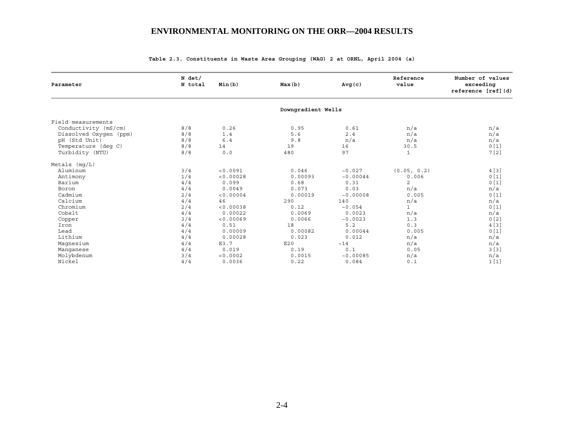| Parameter              | N det/<br>N total | Min(b)    | Max(b)             | Avg(c)    | Reference<br>value | Number of values<br>exceeding<br>reference [ref] (d) |
|------------------------|-------------------|-----------|--------------------|-----------|--------------------|------------------------------------------------------|
|                        |                   |           | Downgradient Wells |           |                    |                                                      |
| Field measurements     |                   |           |                    |           |                    |                                                      |
| Conductivity (mS/cm)   | 8/8               | 0.26      | 0.95               | 0.61      | n/a                | n/a                                                  |
| Dissolved Oxygen (ppm) | 8/8               | 1.4       | 5.6                | 2.4       | n/a                | n/a                                                  |
| pH (Std Unit)          | 8/8               | 6.4       | 9.8                | n/a       | n/a                | n/a                                                  |
| Temperature (deq C)    | 8/8               | 14        | 19                 | 16        | 30.5               | 0[1]                                                 |
| Turbidity (NTU)        | 8/8               | 0.0       | 480                | 97        | $\mathbf{1}$       | 7[2]                                                 |
| Metals $(mq/L)$        |                   |           |                    |           |                    |                                                      |
| Aluminum               | 3/4               | < 0.0091  | 0.046              | ~10.027   | (0.05, 0.2)        | 4 [3]                                                |
| Antimony               | 1/4               | < 0.00028 | 0.00093            | ~10.00044 | 0.006              | 0[1]                                                 |
| Barium                 | 4/4               | 0.099     | 0.68               | 0.31      | 2                  | 0[1]                                                 |
| Boron                  | 4/4               | 0.0049    | 0.073              | 0.03      | n/a                | n/a                                                  |
| Cadmium                | 2/4               | < 0.00004 | 0.00019            | ~10.00008 | 0.005              | 0[1]                                                 |
| Calcium                | 4/4               | 46        | 290                | 140       | n/a                | n/a                                                  |
| Chromium               | 2/4               | < 0.00038 | 0.12               | ~10.054   | $\mathbf{1}$       | 0[1]                                                 |
| Cobalt                 | 4/4               | 0.00022   | 0.0069             | 0.0023    | n/a                | n/a                                                  |
| Copper                 | 3/4               | < 0.00069 | 0.0066             | ~10.0023  | 1.3                | 0[2]                                                 |
| Iron                   | 4/4               | 0.51      | 18                 | 5.2       | 0.3                | 4[3]                                                 |
| Lead                   | 4/4               | 0.00009   | 0.00082            | 0.00044   | 0.005              | 0[1]                                                 |
| Lithium                | 4/4               | 0.00028   | 0.023              | 0.012     | n/a                | n/a                                                  |
| Magnesium              | 4/4               | E3.7      | E20                | ~14       | n/a                | n/a                                                  |
| Manqanese              | 4/4               | 0.019     | 0.19               | 0.1       | 0.05               | 3[3]                                                 |
| Molybdenum             | 3/4               | < 0.0002  | 0.0015             | ~10.00085 | n/a                | n/a                                                  |
| Nickel                 | 4/4               | 0.0036    | 0.22               | 0.084     | 0.1                | 1[1]                                                 |

#### **Table 2.3. Constituents in Waste Area Grouping (WAG) 2 at ORNL, April 2004 (a)**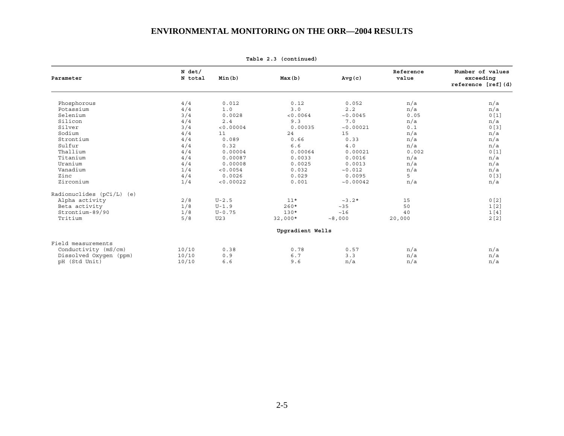| Parameter                   | $N$ det/<br>N total | Min(b)     | Max(b)           | Avg(c)    | Reference<br>value | Number of values<br>exceeding<br>reference [ref] (d) |
|-----------------------------|---------------------|------------|------------------|-----------|--------------------|------------------------------------------------------|
|                             |                     |            |                  |           |                    |                                                      |
| Phosphorous                 | 4/4                 | 0.012      | 0.12             | 0.052     | n/a                | n/a                                                  |
| Potassium                   | 4/4                 | 1.0        | 3.0              | 2.2       | n/a                | n/a                                                  |
| Selenium                    | 3/4                 | 0.0028     | < 0.0064         | ~10.0045  | 0.05               | 0[1]                                                 |
| Silicon                     | 4/4                 | 2.4        | 9.3              | 7.0       | n/a                | n/a                                                  |
| Silver                      | 3/4                 | < 0.00004  | 0.00035          | ~10.00021 | 0.1                | 0[3]                                                 |
| Sodium                      | 4/4                 | 11         | 24               | 15        | n/a                | n/a                                                  |
| Strontium                   | 4/4                 | 0.089      | 0.66             | 0.33      | n/a                | n/a                                                  |
| Sulfur                      | 4/4                 | 0.32       | 6.6              | 4.0       | n/a                | n/a                                                  |
| Thallium                    | 4/4                 | 0.00004    | 0.00064          | 0.00021   | 0.002              | 0[1]                                                 |
| Titanium                    | 4/4                 | 0.00087    | 0.0033           | 0.0016    | n/a                | n/a                                                  |
| Uranium                     | 4/4                 | 0.00008    | 0.0025           | 0.0013    | n/a                | n/a                                                  |
| Vanadium                    | 1/4                 | < 0.0054   | 0.032            | ~10.012   | n/a                | n/a                                                  |
| Zinc                        | 4/4                 | 0.0026     | 0.029            | 0.0095    | 5                  | 0[3]                                                 |
| Zirconium                   | 1/4                 | < 0.00022  | 0.001            | ~10.00042 | n/a                | n/a                                                  |
| Radionuclides $(pCi/L)$ (e) |                     |            |                  |           |                    |                                                      |
| Alpha activity              | 2/8                 | $U-2.5$    | $11*$            | $~2.3.2*$ | 15                 | 0[2]                                                 |
| Beta activity               | 1/8                 | $U-1.9$    | $260*$           | ~235      | 50                 | 1[2]                                                 |
| Strontium-89/90             | 1/8                 | $U - 0.75$ | $130*$           | ~16       | 40                 | 1[4]                                                 |
| Tritium                     | 5/8                 | U23        | $32,000*$        | ~1000     | 20,000             | 2[2]                                                 |
|                             |                     |            | Upgradient Wells |           |                    |                                                      |
| Field measurements          |                     |            |                  |           |                    |                                                      |
| Conductivity (mS/cm)        | 10/10               | 0.38       | 0.78             | 0.57      | n/a                | n/a                                                  |
| Dissolved Oxygen (ppm)      | 10/10               | 0.9        | 6.7              | 3.3       | n/a                | n/a                                                  |
| pH (Std Unit)               | 10/10               | 6.6        | 9.6              | n/a       | n/a                | n/a                                                  |

**Table 2.3 (continued)**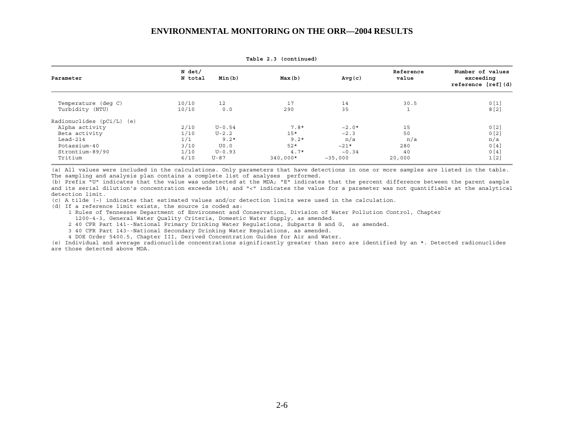| Parameter                              | N det/<br>N total | Min(b)     | Max(b)     | Avg(c)   | Reference<br>value | Number of values<br>exceeding<br>reference [ref] (d) |
|----------------------------------------|-------------------|------------|------------|----------|--------------------|------------------------------------------------------|
| Temperature (deg C)<br>Turbidity (NTU) | 10/10<br>10/10    | 12<br>0.0  | 17<br>290  | 14<br>35 | 30.5               | 0[1]<br>8[2]                                         |
| Radionuclides $(pCi/L)$ (e)            |                   |            |            |          |                    |                                                      |
| Alpha activity                         | 2/10              | $U - 0.54$ | $7.8*$     | $~2.0*$  | 15                 | 0[2]                                                 |
| Beta activity                          | 1/10              | $U-2.2$    | $15*$      | ~2.3     | 50                 | 0[2]                                                 |
| $Lead-214$                             | 1/1               | $9.2*$     | $9.2*$     | n/a      | n/a                | n/a                                                  |
| Potassium-40                           | 3/10              | U0.0       | $52*$      | $~21*$   | 280                | 0[4]                                                 |
| Strontium-89/90                        | 1/10              | $U - 0.93$ | $4.7*$     | ~10.34   | 40                 | 0[4]                                                 |
| Tritium                                | 6/10              | $U - 87$   | $340,000*$ | ~235,000 | 20,000             | 1[2]                                                 |

**Table 2.3 (continued)** 

(a) All values were included in the calculations. Only parameters that have detections in one or more samples are listed in the table. The sampling and analysis plan contains a complete list of analyses performed.

(b) Prefix "U" indicates that the value was undetected at the MDA; "E" indicates that the percent difference between the parent sample and its serial dilution's concentration exceeds 10%; and "<" indicates the value for a parameter was not quantifiable at the analytical detection limit.

(c) A tilde (~) indicates that estimated values and/or detection limits were used in the calculation.

(d) If a reference limit exists, the source is coded as:

 1 Rules of Tennessee Department of Environment and Conservation, Division of Water Pollution Control, Chapter 1200-4-3, General Water Quality Criteria, Domestic Water Supply, as amended.

2 40 CFR Part 141--National Primary Drinking Water Regulations, Subparts B and G, as amended.

3 40 CFR Part 143--National Secondary Drinking Water Regulations, as amended.

4 DOE Order 5400.5, Chapter III, Derived Concentration Guides for Air and Water.

(e) Individual and average radionuclide concentrations significantly greater than zero are identified by an \*. Detected radionuclides are those detected above MDA.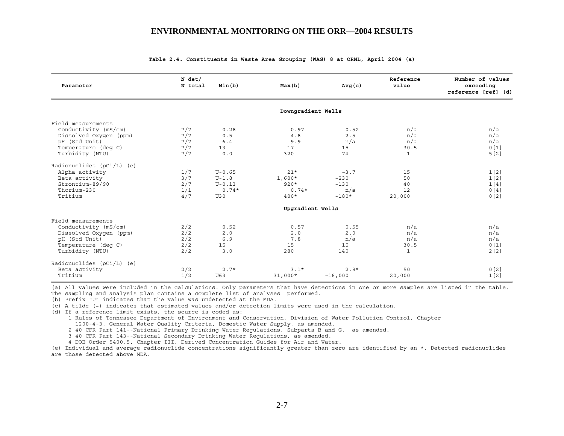| Parameter                   | N det/<br>N total | Min(b)     | Max(b)             | Avg(c)  | Reference<br>value | Number of values<br>exceeding<br>reference [ref] (d) |
|-----------------------------|-------------------|------------|--------------------|---------|--------------------|------------------------------------------------------|
|                             |                   |            | Downgradient Wells |         |                    |                                                      |
| Field measurements          |                   |            |                    |         |                    |                                                      |
| Conductivity (mS/cm)        | 7/7               | 0.28       | 0.97               | 0.52    | n/a                | n/a                                                  |
| Dissolved Oxygen (ppm)      | 7/7               | 0.5        | 4.8                | 2.5     | n/a                | n/a                                                  |
| pH (Std Unit)               | 7/7               | 6.4        | 9.9                | n/a     | n/a                | n/a                                                  |
| Temperature (deg C)         | 7/7               | 13         | 17                 | 15      | 30.5               | 0[1]                                                 |
| Turbidity (NTU)             | 7/7               | 0.0        | 320                | 74      | $\mathbf{1}$       | 5[2]                                                 |
| Radionuclides $(pCi/L)$ (e) |                   |            |                    |         |                    |                                                      |
| Alpha activity              | 1/7               | $U - 0.65$ | $21*$              | ~23.7   | 15                 | 1 <sub>[2]</sub>                                     |
| Beta activity               | 3/7               | $U-1.8$    | $1,600*$           | ~230    | 50                 | 1 <sub>[2]</sub>                                     |
| Strontium-89/90             | 2/7               | $U - 0.13$ | $920*$             | ~130    | 40                 | 1[4]                                                 |
| Thorium-230                 | 1/1               | $0.74*$    | $0.74*$            | n/a     | 12                 | 0[4]                                                 |
| Tritium                     | 4/7               | U30        | $400*$             | $~180*$ | 20,000             | 0[2]                                                 |
|                             |                   |            | Upgradient Wells   |         |                    |                                                      |
| Field measurements          |                   |            |                    |         |                    |                                                      |
| Conductivity (mS/cm)        | 2/2               | 0.52       | 0.57               | 0.55    | n/a                | n/a                                                  |
| Dissolved Oxygen (ppm)      | 2/2               | 2.0        | 2.0                | 2.0     | n/a                | n/a                                                  |
| pH (Std Unit)               | 2/2               | 6.9        | 7.8                | n/a     | n/a                | n/a                                                  |
| Temperature (deq C)         | 2/2               | 15         | 15                 | 15      | 30.5               | 0[1]                                                 |
| Turbidity (NTU)             | 2/2               | 3.0        | 280                | 140     | $\mathbf{1}$       | 2[2]                                                 |
| Radionuclides $(pCi/L)$ (e) |                   |            |                    |         |                    |                                                      |
| Beta activity               | 2/2               | $2.7*$     | $3.1*$             | $2.9*$  | 50                 | 0[2]                                                 |
| Tritium                     | 1/2               | U63        | $31,000*$          | ~16,000 | 20,000             | 1[2]                                                 |

**Table 2.4. Constituents in Waste Area Grouping (WAG) 8 at ORNL, April 2004 (a)** 

(a) All values were included in the calculations. Only parameters that have detections in one or more samples are listed in the table. The sampling and analysis plan contains a complete list of analyses performed.

(b) Prefix "U" indicates that the value was undetected at the MDA.

(c) A tilde (~) indicates that estimated values and/or detection limits were used in the calculation.

(d) If a reference limit exists, the source is coded as:

1 Rules of Tennessee Department of Environment and Conservation, Division of Water Pollution Control, Chapter

1200-4-3, General Water Quality Criteria, Domestic Water Supply, as amended.

2 40 CFR Part 141--National Primary Drinking Water Regulations, Subparts B and G, as amended.

3 40 CFR Part 143--National Secondary Drinking Water Regulations, as amended.

4 DOE Order 5400.5, Chapter III, Derived Concentration Guides for Air and Water.

(e) Individual and average radionuclide concentrations significantly greater than zero are identified by an \*. Detected radionuclides are those detected above MDA.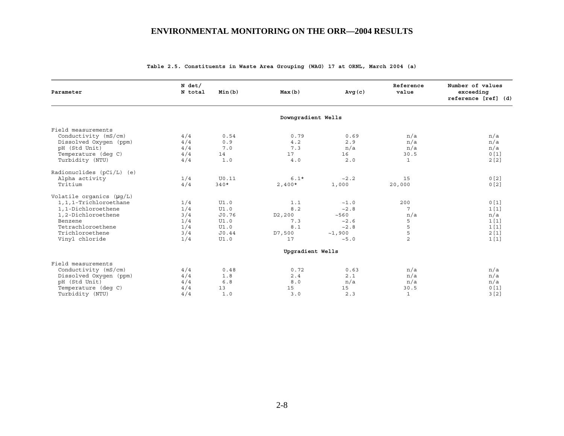| Parameter                     | N det/<br>N total | Min(b) | Max(b)               | Avg(c) | Reference<br>value | Number of values<br>exceeding<br>reference [ref] (d) |
|-------------------------------|-------------------|--------|----------------------|--------|--------------------|------------------------------------------------------|
|                               |                   |        | Downgradient Wells   |        |                    |                                                      |
| Field measurements            |                   |        |                      |        |                    |                                                      |
| Conductivity (mS/cm)          | 4/4               | 0.54   | 0.79                 | 0.69   | n/a                | n/a                                                  |
| Dissolved Oxygen (ppm)        | 4/4               | 0.9    | 4.2                  | 2.9    | n/a                | n/a                                                  |
| pH (Std Unit)                 | 4/4               | 7.0    | 7.3                  | n/a    | n/a                | n/a                                                  |
| Temperature (deq C)           | 4/4               | 14     | 17                   | 16     | 30.5               | 0[1]                                                 |
| Turbidity (NTU)               | 4/4               | 1.0    | 4.0                  | 2.0    | $\mathbf{1}$       | 2[2]                                                 |
| Radionuclides (pCi/L) (e)     |                   |        |                      |        |                    |                                                      |
| Alpha activity                | 1/4               | U0.11  | $6.1*$               | ~2.2   | 15                 | 0[2]                                                 |
| Tritium                       | 4/4               | $340*$ | $2,400*$             | 1,000  | 20,000             | 0[2]                                                 |
| Volatile organics $(\mu q/L)$ |                   |        |                      |        |                    |                                                      |
| 1,1,1-Trichloroethane         | 1/4               | UI.0   | 1.1                  | ~1.0   | 200                | 0[1]                                                 |
| 1,1-Dichloroethene            | 1/4               | UI.0   | 8.2                  | ~2.8   | 7                  | 1[1]                                                 |
| 1,2-Dichloroethene            | 3/4               | J0.76  | D <sub>2</sub> , 200 | ~560   | n/a                | n/a                                                  |
| Benzene                       | 1/4               | UI.0   | 7.3                  | ~2.6   | 5                  | 1[1]                                                 |
| Tetrachloroethene             | 1/4               | UI.0   | 8.1                  | ~2.8   | 5                  | 1[1]                                                 |
| Trichloroethene               | 3/4               | J0.44  | D7,500               | ~1,900 | 5                  | 2[1]                                                 |
| Vinyl chloride                | 1/4               | UI.0   | 17                   | ~5.0   | $\overline{a}$     | 1[1]                                                 |
|                               |                   |        | Upgradient Wells     |        |                    |                                                      |
| Field measurements            |                   |        |                      |        |                    |                                                      |
| Conductivity (mS/cm)          | 4/4               | 0.48   | 0.72                 | 0.63   | n/a                | n/a                                                  |
| Dissolved Oxygen (ppm)        | 4/4               | 1.8    | 2.4                  | 2.1    | n/a                | n/a                                                  |
| pH (Std Unit)                 | 4/4               | 6.8    | 8.0                  | n/a    | n/a                | n/a                                                  |
| Temperature (deq C)           | 4/4               | 13     | 15                   | 15     | 30.5               | 0[1]                                                 |
| Turbidity (NTU)               | 4/4               | 1.0    | 3.0                  | 2.3    | $\mathbf{1}$       | 3[2]                                                 |

**Table 2.5. Constituents in Waste Area Grouping (WAG) 17 at ORNL, March 2004 (a)**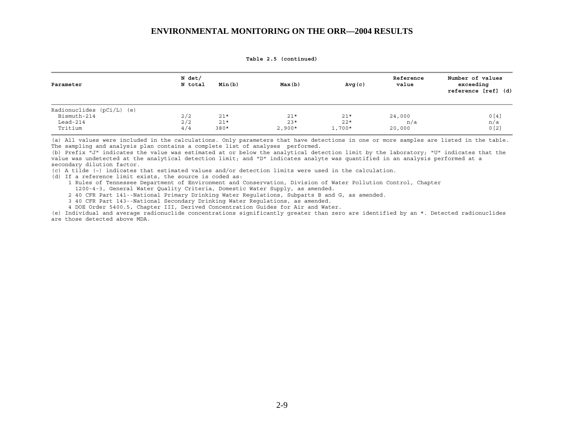**Table 2.5 (continued)** 

| Parameter                                                      | N det/<br>N total | Min(b)                   | Max(b)                     | Avg(c)                     | Reference<br>value      | Number of values<br>exceeding<br>reference [ref] (d) |
|----------------------------------------------------------------|-------------------|--------------------------|----------------------------|----------------------------|-------------------------|------------------------------------------------------|
| Radionuclides (pCi/L) (e)<br>Bismuth-214<br>$ڑ-214$<br>Tritium | 2/2<br>2/2<br>4/4 | $21*$<br>$21*$<br>$380*$ | $21*$<br>$23*$<br>$2,900*$ | $21*$<br>$22*$<br>$1,700*$ | 24,000<br>n/a<br>20,000 | 0[4]<br>n/a<br>0[2]                                  |

(a) All values were included in the calculations. Only parameters that have detections in one or more samples are listed in the table. The sampling and analysis plan contains a complete list of analyses performed.

(b) Prefix "J" indicates the value was estimated at or below the analytical detection limit by the laboratory; "U" indicates that the value was undetected at the analytical detection limit; and "D" indicates analyte was quantified in an analysis performed at a secondary dilution factor.

(c) A tilde (~) indicates that estimated values and/or detection limits were used in the calculation.

(d) If a reference limit exists, the source is coded as:

1 Rules of Tennessee Department of Environment and Conservation, Division of Water Pollution Control, Chapter

1200-4-3, General Water Quality Criteria, Domestic Water Supply, as amended.

2 40 CFR Part 141--National Primary Drinking Water Regulations, Subparts B and G, as amended.

3 40 CFR Part 143--National Secondary Drinking Water Regulations, as amended.

4 DOE Order 5400.5, Chapter III, Derived Concentration Guides for Air and Water.

(e) Individual and average radionuclide concentrations significantly greater than zero are identified by an \*. Detected radionuclides are those detected above MDA.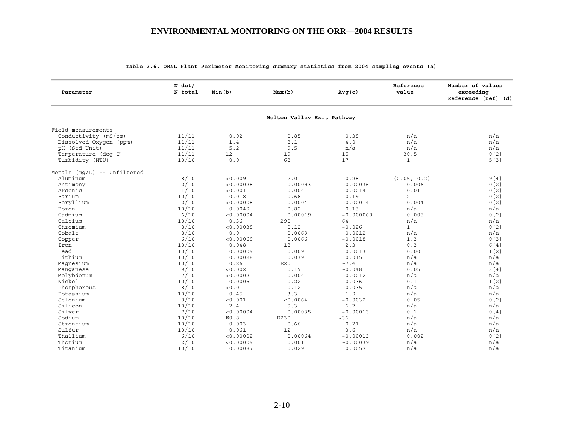| Parameter                     | N det/<br>N total | Min(b)    | Max(b)                     | Avg(c)     | Reference<br>value | Number of values<br>exceeding<br>Reference [ref] (d) |
|-------------------------------|-------------------|-----------|----------------------------|------------|--------------------|------------------------------------------------------|
|                               |                   |           | Melton Valley Exit Pathway |            |                    |                                                      |
| Field measurements            |                   |           |                            |            |                    |                                                      |
| Conductivity (mS/cm)          | 11/11             | 0.02      | 0.85                       | 0.38       | n/a                | n/a                                                  |
| Dissolved Oxygen (ppm)        | 11/11             | 1.4       | 8.1                        | $4.0$      | n/a                | n/a                                                  |
| pH (Std Unit)                 | 11/11             | 5.2       | 9.5                        | n/a        | n/a                | n/a                                                  |
| Temperature (deq C)           | 11/11             | 12        | 19                         | 15         | 30.5               | 0[2]                                                 |
| Turbidity (NTU)               | 10/10             | 0.0       | 68                         | 17         | $\mathbf{1}$       | 5[3]                                                 |
| Metals $(mq/L)$ -- Unfiltered |                   |           |                            |            |                    |                                                      |
| Aluminum                      | 8/10              | < 0.009   | 2.0                        | ~10.28     | (0.05, 0.2)        | 9[4]                                                 |
| Antimony                      | 2/10              | < 0.00028 | 0.00093                    | ~10.00036  | 0.006              | 0[2]                                                 |
| Arsenic                       | 1/10              | < 0.001   | 0.004                      | ~0.0014    | 0.01               | 0[2]                                                 |
| Barium                        | 10/10             | 0.018     | 0.68                       | 0.19       | $\overline{c}$     | 0 <sub>[2]</sub>                                     |
| Beryllium                     | 2/10              | < 0.00008 | 0.0004                     | ~10.00014  | 0.004              | 0[2]                                                 |
| Boron                         | 10/10             | 0.0049    | 0.82                       | 0.13       | n/a                | n/a                                                  |
| Cadmium                       | 6/10              | < 0.00004 | 0.00019                    | ~10.000068 | 0.005              | 0 <sub>[2]</sub>                                     |
| Calcium                       | 10/10             | 0.36      | 290                        | 64         | n/a                | n/a                                                  |
| Chromium                      | 8/10              | < 0.00038 | 0.12                       | ~10.026    | $\mathbf{1}$       | 0[2]                                                 |
| Cobalt                        | 8/10              | 0.0       | 0.0069                     | 0.0012     | n/a                | n/a                                                  |
| Copper                        | 6/10              | < 0.00069 | 0.0066                     | ~0.0018    | 1.3                | 0[3]                                                 |
| Iron                          | 10/10             | 0.048     | 18                         | 2.3        | 0.3                | 6 [4]                                                |
| Lead                          | 10/10             | 0.00009   | 0.009                      | 0.0013     | 0.005              | 1 <sub>[2]</sub>                                     |
| Lithium                       | 10/10             | 0.00028   | 0.039                      | 0.015      | n/a                | n/a                                                  |
| Magnesium                     | 10/10             | 0.26      | E20                        | ~1.4       | n/a                | n/a                                                  |
| Manqanese                     | 9/10              | < 0.002   | 0.19                       | ~10.048    | 0.05               | 3[4]                                                 |
| Molybdenum                    | 7/10              | < 0.0002  | 0.004                      | ~10.0012   | n/a                | n/a                                                  |
| Nickel                        | 10/10             | 0.0005    | 0.22                       | 0.036      | 0.1                | 1[2]                                                 |
| Phosphorous                   | 8/10              | < 0.01    | 0.12                       | ~10.035    | n/a                | n/a                                                  |
| Potassium                     | 10/10             | 0.45      | 3.3                        | 1.9        | n/a                | n/a                                                  |
| Selenium                      | 8/10              | < 0.001   | < 0.0064                   | ~10.0032   | 0.05               | 0[2]                                                 |
| Silicon                       | 10/10             | 2.4       | 9.3                        | 6.7        | n/a                | n/a                                                  |
| Silver                        | 7/10              | < 0.00004 | 0.00035                    | ~10.00013  | 0.1                | 0[4]                                                 |
| Sodium                        | 10/10             | E0.8      | E230                       | ~126       | n/a                | n/a                                                  |
| Strontium                     |                   |           | 0.66                       | 0.21       |                    |                                                      |
|                               | 10/10             | 0.003     |                            |            | n/a                | n/a                                                  |
| Sulfur                        | 10/10             | 0.061     | 12                         | 3.6        | n/a                | n/a                                                  |
| Thallium                      | 6/10              | < 0.00002 | 0.00064                    | ~10.00013  | 0.002              | 0[2]                                                 |
| Thorium                       | 2/10              | < 0.00009 | 0.001                      | ~10.00039  | n/a                | n/a                                                  |
| Titanium                      | 10/10             | 0.00087   | 0.029                      | 0.0057     | n/a                | n/a                                                  |

### **Table 2.6. ORNL Plant Perimeter Monitoring summary statistics from 2004 sampling events (a)**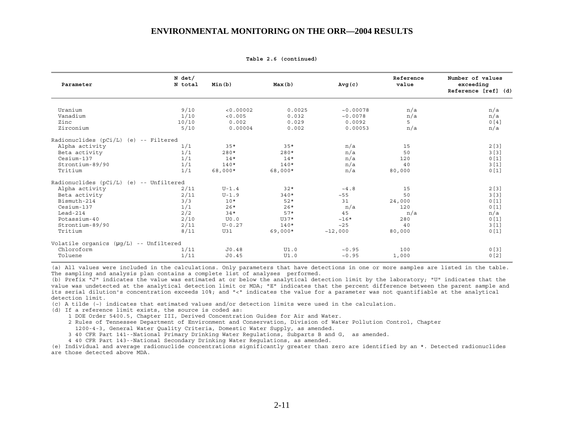| 9/10<br>Uranium<br>< 0.00002<br>0.0025<br>~10.00078<br>n/a<br>n/a<br>Vanadium<br>1/10<br>n/a<br>< 0.005<br>0.032<br>~10.0078<br>n/a<br>5<br>10/10<br>0[4]<br>Zinc<br>0.002<br>0.029<br>0.0092<br>Zirconium<br>5/10<br>0.00004<br>0.002<br>0.00053<br>n/a<br>n/a<br>2[3]<br>Alpha activity<br>1/1<br>n/a<br>$35*$<br>$35*$<br>15<br>1/1<br>n/a<br>Beta activity<br>3[3]<br>$280*$<br>$280*$<br>50<br>1/1<br>n/a<br>0[1]<br>Cesium-137<br>$14*$<br>$14*$<br>120<br>1/1<br>n/a<br>Strontium-89/90<br>3[1]<br>$140*$<br>$140*$<br>40<br>1/1<br>0[1]<br>Tritium<br>68,000*<br>n/a<br>68,000*<br>80,000<br>Alpha activity<br>2/11<br>$U-1.4$<br>$32*$<br>$\sim 4$ .8<br>15<br>2/11<br>Beta activity<br>$U-1.9$<br>~55<br>$340*$<br>50<br>3/3<br>Bismuth-214<br>$10*$<br>31<br>0[1]<br>$52*$<br>24,000<br>1/1<br>0[1]<br>Cesium-137<br>$26*$<br>$26*$<br>n/a<br>120<br>2/2<br>$57*$<br>$Lead-214$<br>$34*$<br>45<br>n/a<br>n/a<br>2/10<br>Potassium-40<br>$~16*$<br>0[1]<br>U0.0<br>$U37*$<br>280<br>2/11<br>3[1]<br>Strontium-89/90<br>$U - 0.27$<br>$140*$<br>~25<br>40<br>Tritium<br>8/11<br>0[1]<br>U31<br>$69,000*$<br>~12,000<br>80,000<br>Chloroform<br>1/11<br>J0.48<br>UI.0<br>~10.95<br>100 | Parameter | N det/<br>N total | Min(b) | Max(b) | Avg(c) | Reference<br>value | Number of values<br>exceeding<br>Reference [ref] (d) |
|------------------------------------------------------------------------------------------------------------------------------------------------------------------------------------------------------------------------------------------------------------------------------------------------------------------------------------------------------------------------------------------------------------------------------------------------------------------------------------------------------------------------------------------------------------------------------------------------------------------------------------------------------------------------------------------------------------------------------------------------------------------------------------------------------------------------------------------------------------------------------------------------------------------------------------------------------------------------------------------------------------------------------------------------------------------------------------------------------------------------------------------------------------------------------------------------|-----------|-------------------|--------|--------|--------|--------------------|------------------------------------------------------|
| Radionuclides (pCi/L) (e) -- Filtered<br>Radionuclides (pCi/L) (e) -- Unfiltered<br>Volatile organics $(\mu g/L)$ -- Unfiltered                                                                                                                                                                                                                                                                                                                                                                                                                                                                                                                                                                                                                                                                                                                                                                                                                                                                                                                                                                                                                                                                |           |                   |        |        |        |                    |                                                      |
|                                                                                                                                                                                                                                                                                                                                                                                                                                                                                                                                                                                                                                                                                                                                                                                                                                                                                                                                                                                                                                                                                                                                                                                                |           |                   |        |        |        |                    |                                                      |
|                                                                                                                                                                                                                                                                                                                                                                                                                                                                                                                                                                                                                                                                                                                                                                                                                                                                                                                                                                                                                                                                                                                                                                                                |           |                   |        |        |        |                    |                                                      |
|                                                                                                                                                                                                                                                                                                                                                                                                                                                                                                                                                                                                                                                                                                                                                                                                                                                                                                                                                                                                                                                                                                                                                                                                |           |                   |        |        |        |                    |                                                      |
|                                                                                                                                                                                                                                                                                                                                                                                                                                                                                                                                                                                                                                                                                                                                                                                                                                                                                                                                                                                                                                                                                                                                                                                                |           |                   |        |        |        |                    |                                                      |
|                                                                                                                                                                                                                                                                                                                                                                                                                                                                                                                                                                                                                                                                                                                                                                                                                                                                                                                                                                                                                                                                                                                                                                                                |           |                   |        |        |        |                    |                                                      |
|                                                                                                                                                                                                                                                                                                                                                                                                                                                                                                                                                                                                                                                                                                                                                                                                                                                                                                                                                                                                                                                                                                                                                                                                |           |                   |        |        |        |                    |                                                      |
|                                                                                                                                                                                                                                                                                                                                                                                                                                                                                                                                                                                                                                                                                                                                                                                                                                                                                                                                                                                                                                                                                                                                                                                                |           |                   |        |        |        |                    |                                                      |
|                                                                                                                                                                                                                                                                                                                                                                                                                                                                                                                                                                                                                                                                                                                                                                                                                                                                                                                                                                                                                                                                                                                                                                                                |           |                   |        |        |        |                    |                                                      |
|                                                                                                                                                                                                                                                                                                                                                                                                                                                                                                                                                                                                                                                                                                                                                                                                                                                                                                                                                                                                                                                                                                                                                                                                |           |                   |        |        |        |                    |                                                      |
|                                                                                                                                                                                                                                                                                                                                                                                                                                                                                                                                                                                                                                                                                                                                                                                                                                                                                                                                                                                                                                                                                                                                                                                                |           |                   |        |        |        |                    |                                                      |
|                                                                                                                                                                                                                                                                                                                                                                                                                                                                                                                                                                                                                                                                                                                                                                                                                                                                                                                                                                                                                                                                                                                                                                                                |           |                   |        |        |        |                    | 2[3]                                                 |
|                                                                                                                                                                                                                                                                                                                                                                                                                                                                                                                                                                                                                                                                                                                                                                                                                                                                                                                                                                                                                                                                                                                                                                                                |           |                   |        |        |        |                    | 3[3]                                                 |
|                                                                                                                                                                                                                                                                                                                                                                                                                                                                                                                                                                                                                                                                                                                                                                                                                                                                                                                                                                                                                                                                                                                                                                                                |           |                   |        |        |        |                    |                                                      |
|                                                                                                                                                                                                                                                                                                                                                                                                                                                                                                                                                                                                                                                                                                                                                                                                                                                                                                                                                                                                                                                                                                                                                                                                |           |                   |        |        |        |                    |                                                      |
|                                                                                                                                                                                                                                                                                                                                                                                                                                                                                                                                                                                                                                                                                                                                                                                                                                                                                                                                                                                                                                                                                                                                                                                                |           |                   |        |        |        |                    |                                                      |
|                                                                                                                                                                                                                                                                                                                                                                                                                                                                                                                                                                                                                                                                                                                                                                                                                                                                                                                                                                                                                                                                                                                                                                                                |           |                   |        |        |        |                    |                                                      |
|                                                                                                                                                                                                                                                                                                                                                                                                                                                                                                                                                                                                                                                                                                                                                                                                                                                                                                                                                                                                                                                                                                                                                                                                |           |                   |        |        |        |                    |                                                      |
|                                                                                                                                                                                                                                                                                                                                                                                                                                                                                                                                                                                                                                                                                                                                                                                                                                                                                                                                                                                                                                                                                                                                                                                                |           |                   |        |        |        |                    |                                                      |
|                                                                                                                                                                                                                                                                                                                                                                                                                                                                                                                                                                                                                                                                                                                                                                                                                                                                                                                                                                                                                                                                                                                                                                                                |           |                   |        |        |        |                    |                                                      |
|                                                                                                                                                                                                                                                                                                                                                                                                                                                                                                                                                                                                                                                                                                                                                                                                                                                                                                                                                                                                                                                                                                                                                                                                |           |                   |        |        |        |                    | 0[3]                                                 |
|                                                                                                                                                                                                                                                                                                                                                                                                                                                                                                                                                                                                                                                                                                                                                                                                                                                                                                                                                                                                                                                                                                                                                                                                | Toluene   | 1/11              | J0.45  | UI.0   | ~10.95 | 1,000              | 0[2]                                                 |

**Table 2.6 (continued)** 

(a) All values were included in the calculations. Only parameters that have detections in one or more samples are listed in the table. The sampling and analysis plan contains a complete list of analyses performed.

(b) Prefix "J" indicates the value was estimated at or below the analytical detection limit by the laboratory; "U" indicates that the value was undetected at the analytical detection limit or MDA; "E" indicates that the percent difference between the parent sample and its serial dilution's concentration exceeds 10%; and "<" indicates the value for a parameter was not quantifiable at the analytical detection limit.

(c) A tilde (~) indicates that estimated values and/or detection limits were used in the calculation.

(d) If a reference limit exists, the source is coded as:

1 DOE Order 5400.5, Chapter III, Derived Concentration Guides for Air and Water.

2 Rules of Tennessee Department of Environment and Conservation, Division of Water Pollution Control, Chapter

1200-4-3, General Water Quality Criteria, Domestic Water Supply, as amended.

3 40 CFR Part 141--National Primary Drinking Water Regulations, Subparts B and G, as amended.

4 40 CFR Part 143--National Secondary Drinking Water Regulations, as amended.

(e) Individual and average radionuclide concentrations significantly greater than zero are identified by an \*. Detected radionuclides are those detected above MDA.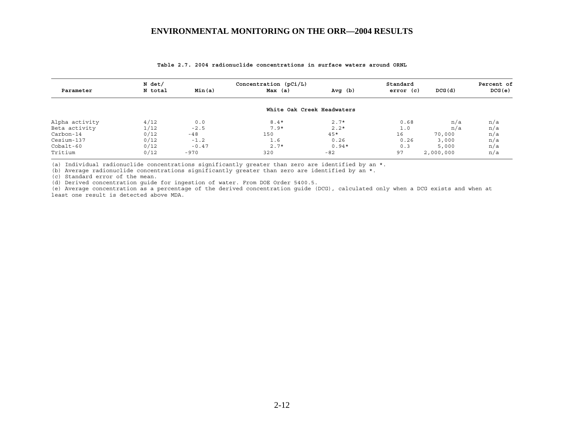|                | N det/  |         | Concentration $(pCi/L)$    |         | Standard |           | Percent of |
|----------------|---------|---------|----------------------------|---------|----------|-----------|------------|
| Parameter      | N total | Min(a)  | Max (a)                    | Avg(b)  | error(c) | DCG(d)    | DCG(e)     |
|                |         |         | White Oak Creek Headwaters |         |          |           |            |
| Alpha activity | 4/12    | 0.0     | $8.4*$                     | $2.7*$  | 0.68     | n/a       | n/a        |
| Beta activity  | 1/12    | $-2.5$  | $7.9*$                     | $2.2*$  | 1.0      | n/a       | n/a        |
| Carbon-14      | 0/12    | -48     | 150                        | $45*$   | 16       | 70,000    | n/a        |
| Cesium-137     | 0/12    | $-1.2$  | 1.6                        | 0.26    | 0.26     | 3,000     | n/a        |
| $Cobalt-60$    | 0/12    | $-0.47$ | $2.7*$                     | $0.94*$ | 0.3      | 5,000     | n/a        |
| Tritium        | 0/12    | $-970$  | 320                        | $-82$   | 97       | 2,000,000 | n/a        |

#### **Table 2.7. 2004 radionuclide concentrations in surface waters around ORNL**

(a) Individual radionuclide concentrations significantly greater than zero are identified by an \*.

(b) Average radionuclide concentrations significantly greater than zero are identified by an \*.

(c) Standard error of the mean.

(d) Derived concentration guide for ingestion of water. From DOE Order 5400.5.

(e) Average concentration as a percentage of the derived concentration guide (DCG), calculated only when a DCG exists and when at least one result is detected above MDA.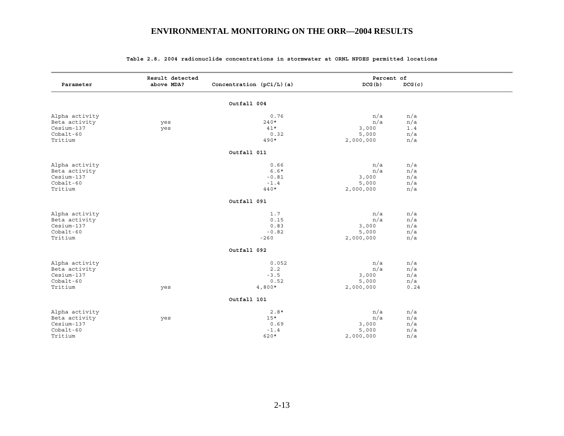|                | Result detected |                             | Percent of |        |  |
|----------------|-----------------|-----------------------------|------------|--------|--|
| Parameter      | above MDA?      | Concentration $(pCi/L)$ (a) | DCG (b)    | DCG(c) |  |
|                |                 | Outfall 004                 |            |        |  |
|                |                 |                             |            |        |  |
| Alpha activity |                 | 0.76                        | n/a        | n/a    |  |
| Beta activity  | yes             | $240*$                      | n/a        | n/a    |  |
| Cesium-137     | yes             | $41*$                       | 3,000      | 1.4    |  |
| $Cobalt-60$    |                 | 0.32                        | 5,000      | n/a    |  |
| Tritium        |                 | $490*$                      | 2,000,000  | n/a    |  |
|                |                 | Outfall 011                 |            |        |  |
| Alpha activity |                 | 0.66                        | n/a        | n/a    |  |
| Beta activity  |                 | $6.6*$                      | n/a        | n/a    |  |
| Cesium-137     |                 | $-0.81$                     | 3,000      | n/a    |  |
| $Cobalt-60$    |                 | $-1.4$                      | 5,000      | n/a    |  |
| Tritium        |                 | $440*$                      | 2,000,000  | n/a    |  |
|                |                 | Outfall 091                 |            |        |  |
| Alpha activity |                 | 1.7                         | n/a        | n/a    |  |
| Beta activity  |                 | 0.15                        | n/a        | n/a    |  |
| Cesium-137     |                 | 0.83                        | 3,000      | n/a    |  |
| Cobalt-60      |                 | $-0.82$                     | 5,000      | n/a    |  |
| Tritium        |                 | $-260$                      | 2,000,000  | n/a    |  |
|                |                 | Outfall 092                 |            |        |  |
| Alpha activity |                 | 0.052                       | n/a        | n/a    |  |
| Beta activity  |                 | 2.2                         | n/a        | n/a    |  |
| Cesium-137     |                 | $-3.5$                      | 3,000      | n/a    |  |
| $Cobalt-60$    |                 | 0.52                        | 5,000      | n/a    |  |
| Tritium        | yes             | $4,800*$                    | 2,000,000  | 0.24   |  |
|                |                 | Outfall 101                 |            |        |  |
|                |                 |                             |            |        |  |
| Alpha activity |                 | $2.8*$                      | n/a        | n/a    |  |
| Beta activity  | yes             | $15*$                       | n/a        | n/a    |  |
| Cesium-137     |                 | 0.69                        | 3,000      | n/a    |  |
| $Cobalt-60$    |                 | $-1.4$                      | 5,000      | n/a    |  |
| Tritium        |                 | 620*                        | 2,000,000  | n/a    |  |

#### **Table 2.8. 2004 radionuclide concentrations in stormwater at ORNL NPDES permitted locations**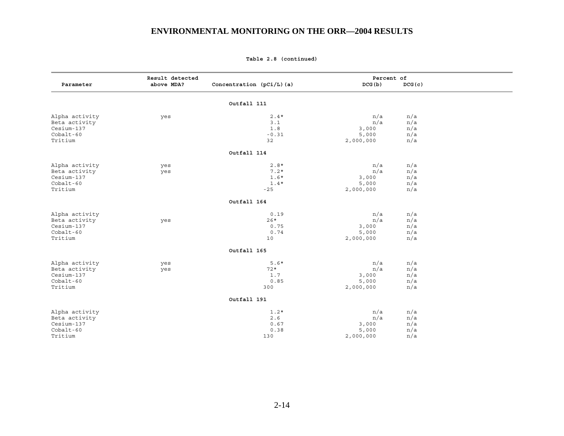|                | Result detected |                             | Percent of |        |  |
|----------------|-----------------|-----------------------------|------------|--------|--|
| Parameter      | above MDA?      | Concentration $(pCi/L)$ (a) | DCG(b)     | DCG(c) |  |
|                |                 | Outfall 111                 |            |        |  |
| Alpha activity | yes             | $2.4*$                      | n/a        | n/a    |  |
| Beta activity  |                 | 3.1                         | n/a        | n/a    |  |
| Cesium-137     |                 | 1.8                         | 3,000      | n/a    |  |
| Cobalt-60      |                 | $-0.31$                     | 5,000      | n/a    |  |
| Tritium        |                 | 32                          | 2,000,000  | n/a    |  |
|                |                 | Outfall 114                 |            |        |  |
| Alpha activity | yes             | $2.8*$                      | n/a        | n/a    |  |
| Beta activity  | yes             | $7.2*$                      | n/a        | n/a    |  |
| Cesium-137     |                 | $1.6*$                      | 3,000      | n/a    |  |
| Cobalt-60      |                 | $1.4*$                      | 5,000      | n/a    |  |
| Tritium        |                 | $-25$                       | 2,000,000  | n/a    |  |
|                |                 | Outfall 164                 |            |        |  |
| Alpha activity |                 | 0.19                        | n/a        | n/a    |  |
| Beta activity  | yes             | $26*$                       | n/a        | n/a    |  |
| Cesium-137     |                 | 0.75                        | 3,000      | n/a    |  |
| Cobalt-60      |                 | 0.74                        | 5,000      | n/a    |  |
| Tritium        |                 | 10                          | 2,000,000  | n/a    |  |
|                |                 | Outfall 165                 |            |        |  |
| Alpha activity | yes             | $5.6*$                      | n/a        | n/a    |  |
| Beta activity  | yes             | $72*$                       | n/a        | n/a    |  |
| Cesium-137     |                 | 1.7                         | 3,000      | n/a    |  |
| $Cobalt-60$    |                 | 0.85                        | 5,000      | n/a    |  |
| Tritium        |                 | 300                         | 2,000,000  | n/a    |  |
|                |                 | Outfall 191                 |            |        |  |
| Alpha activity |                 | $1.2*$                      | n/a        | n/a    |  |
| Beta activity  |                 | $2.6$                       | n/a        | n/a    |  |
| Cesium-137     |                 | 0.67                        | 3,000      | n/a    |  |
| $Cobalt-60$    |                 | 0.38                        | 5,000      | n/a    |  |
| Tritium        |                 | 130                         | 2,000,000  | n/a    |  |

**Table 2.8 (continued)**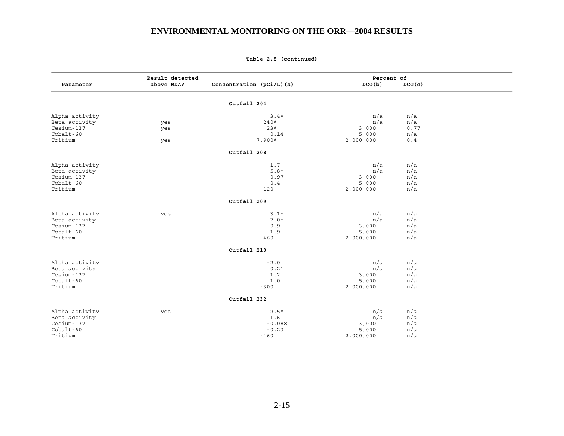|                | Result detected |                             | Percent of |        |  |
|----------------|-----------------|-----------------------------|------------|--------|--|
| Parameter      | above MDA?      | Concentration $(pCi/L)$ (a) | DCG(b)     | DCG(c) |  |
|                |                 | Outfall 204                 |            |        |  |
| Alpha activity |                 | $3.4*$                      | n/a        | n/a    |  |
| Beta activity  | yes             | $240*$                      | n/a        | n/a    |  |
| Cesium-137     | yes             | $23*$                       | 3,000      | 0.77   |  |
| Cobalt-60      |                 | 0.14                        | 5,000      | n/a    |  |
| Tritium        | yes             | $7,900*$                    | 2,000,000  | 0.4    |  |
|                |                 | Outfall 208                 |            |        |  |
| Alpha activity |                 | $-1.7$                      | n/a        | n/a    |  |
| Beta activity  |                 | $5.8*$                      | n/a        | n/a    |  |
| Cesium-137     |                 | 0.97                        | 3,000      | n/a    |  |
| Cobalt-60      |                 | 0.4                         | 5,000      | n/a    |  |
| Tritium        |                 | 120                         | 2,000,000  | n/a    |  |
|                |                 | Outfall 209                 |            |        |  |
| Alpha activity | yes             | $3.1*$                      | n/a        | n/a    |  |
| Beta activity  |                 | $7.0*$                      | n/a        | n/a    |  |
| Cesium-137     |                 | $-0.9$                      | 3,000      | n/a    |  |
| Cobalt-60      |                 | 1.9                         | 5,000      | n/a    |  |
| Tritium        |                 | $-460$                      | 2,000,000  | n/a    |  |
|                |                 | Outfall 210                 |            |        |  |
| Alpha activity |                 | $-2.0$                      | n/a        | n/a    |  |
| Beta activity  |                 | 0.21                        | n/a        | n/a    |  |
| Cesium-137     |                 | 1.2                         | 3,000      | n/a    |  |
| Cobalt-60      |                 | 1.0                         | 5,000      | n/a    |  |
| Tritium        |                 | $-300$                      | 2,000,000  | n/a    |  |
|                |                 | Outfall 232                 |            |        |  |
| Alpha activity | yes             | $2.5*$                      | n/a        | n/a    |  |
| Beta activity  |                 | 1.6                         | n/a        | n/a    |  |
| Cesium-137     |                 | $-0.088$                    | 3,000      | n/a    |  |
| Cobalt-60      |                 | $-0.23$                     | 5,000      | n/a    |  |
| Tritium        |                 | $-460$                      | 2,000,000  | n/a    |  |

#### **Table 2.8 (continued)**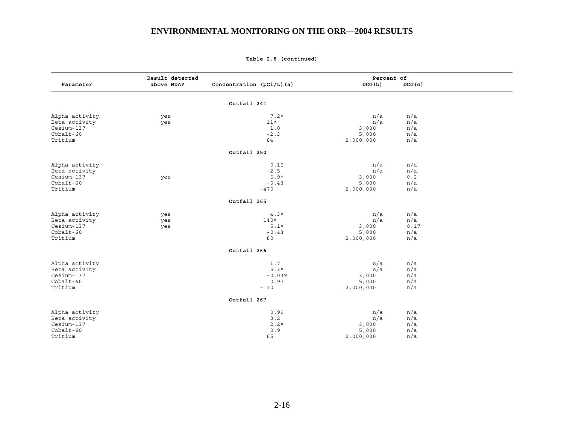|                | Result detected |                          | Percent of |        |  |
|----------------|-----------------|--------------------------|------------|--------|--|
| Parameter      | above MDA?      | Concentration (pCi/L)(a) | DCG(b)     | DCG(c) |  |
|                |                 | Outfall 241              |            |        |  |
|                |                 |                          |            |        |  |
| Alpha activity | yes             | $7.2*$                   | n/a        | n/a    |  |
| Beta activity  | yes             | $11*$                    | n/a        | n/a    |  |
| Cesium-137     |                 | 1.0                      | 3,000      | n/a    |  |
| Cobalt-60      |                 | $-2.3$                   | 5,000      | n/a    |  |
| Tritium        |                 | 84                       | 2,000,000  | n/a    |  |
|                |                 | Outfall 250              |            |        |  |
| Alpha activity |                 | 0.15                     | n/a        | n/a    |  |
| Beta activity  |                 | $-2.5$                   | n/a        | n/a    |  |
| Cesium-137     | yes             | $5.9*$                   | 3,000      | 0.2    |  |
| $Cobalt-60$    |                 | $-0.43$                  | 5,000      | n/a    |  |
| Tritium        |                 | $-470$                   | 2,000,000  | n/a    |  |
|                |                 | Outfall 265              |            |        |  |
| Alpha activity | yes             | $4.3*$                   | n/a        | n/a    |  |
| Beta activity  | yes             | $140*$                   | n/a        | n/a    |  |
| Cesium-137     | yes             | $5.1*$                   | 3,000      | 0.17   |  |
| Cobalt-60      |                 | $-0.43$                  | 5,000      | n/a    |  |
| Tritium        |                 | 80                       | 2,000,000  | n/a    |  |
|                |                 | Outfall 266              |            |        |  |
| Alpha activity |                 | 1.7                      | n/a        | n/a    |  |
| Beta activity  |                 | $5.3*$                   | n/a        | n/a    |  |
| Cesium-137     |                 | $-0.039$                 | 3,000      | n/a    |  |
| $Cobalt-60$    |                 | 0.97                     | 5,000      | n/a    |  |
| Tritium        |                 | $-170$                   | 2,000,000  | n/a    |  |
|                |                 | Outfall 267              |            |        |  |
| Alpha activity |                 | 0.99                     | n/a        | n/a    |  |
| Beta activity  |                 | 3.2                      | n/a        | n/a    |  |
| Cesium-137     |                 | $2.2*$                   | 3,000      | n/a    |  |
| $Cobalt-60$    |                 | 0.9                      | 5,000      | n/a    |  |
| Tritium        |                 | 65                       | 2,000,000  | n/a    |  |

**Table 2.8 (continued)**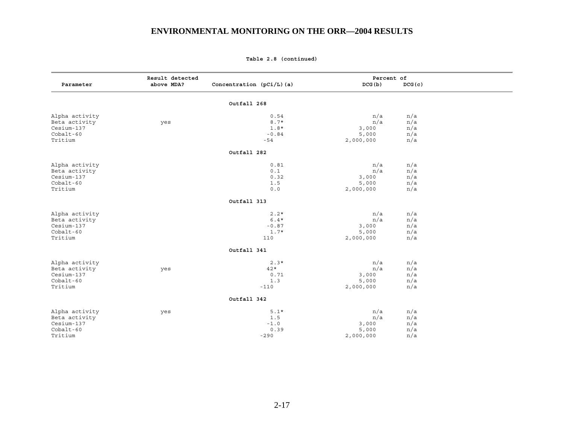|                | Result detected |                          | Percent of |        |  |
|----------------|-----------------|--------------------------|------------|--------|--|
| Parameter      | above MDA?      | Concentration (pCi/L)(a) | DCG (b)    | DCG(c) |  |
|                |                 | Outfall 268              |            |        |  |
| Alpha activity |                 | 0.54                     | n/a        | n/a    |  |
| Beta activity  | yes             | $8.7*$                   | n/a        | n/a    |  |
| Cesium-137     |                 | $1.8*$                   | 3,000      | n/a    |  |
| $Cobalt-60$    |                 | $-0.84$                  | 5,000      | n/a    |  |
| Tritium        |                 | -54                      | 2,000,000  | n/a    |  |
|                |                 | Outfall 282              |            |        |  |
| Alpha activity |                 | 0.81                     | n/a        | n/a    |  |
| Beta activity  |                 | 0.1                      | n/a        | n/a    |  |
| Cesium-137     |                 | 0.32                     | 3,000      | n/a    |  |
| Cobalt-60      |                 | 1.5                      | 5,000      | n/a    |  |
| Tritium        |                 | 0.0                      | 2,000,000  | n/a    |  |
|                |                 | Outfall 313              |            |        |  |
| Alpha activity |                 | $2.2*$                   | n/a        | n/a    |  |
| Beta activity  |                 | $6.4*$                   | n/a        | n/a    |  |
| Cesium-137     |                 | $-0.87$                  | 3,000      | n/a    |  |
| Cobalt-60      |                 | $1.7*$                   | 5,000      | n/a    |  |
| Tritium        |                 | 110                      | 2,000,000  | n/a    |  |
|                |                 | Outfall 341              |            |        |  |
| Alpha activity |                 | $2.3*$                   | n/a        | n/a    |  |
| Beta activity  | yes             | $42*$                    | n/a        | n/a    |  |
| Cesium-137     |                 | 0.71                     | 3,000      | n/a    |  |
| Cobalt-60      |                 | 1.3                      | 5,000      | n/a    |  |
| Tritium        |                 | $-110$                   | 2,000,000  | n/a    |  |
|                |                 | Outfall 342              |            |        |  |
| Alpha activity | yes             | $5.1*$                   | n/a        | n/a    |  |
| Beta activity  |                 | 1.5                      | n/a        | n/a    |  |
| Cesium-137     |                 | $-1.0$                   | 3,000      | n/a    |  |
| Cobalt-60      |                 | 0.39                     | 5,000      | n/a    |  |
| Tritium        |                 | $-290$                   | 2,000,000  | n/a    |  |

**Table 2.8 (continued)**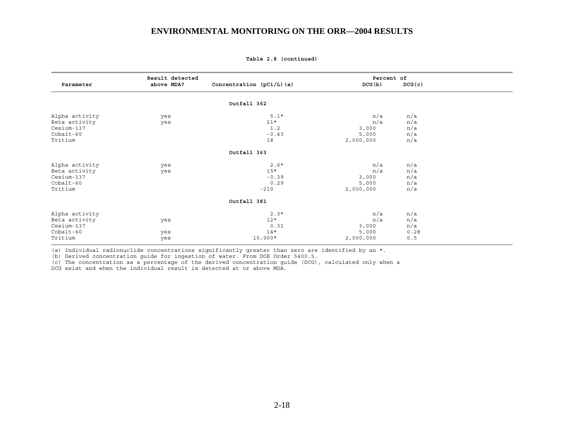|                | Result detected |                             | Percent of |        |  |
|----------------|-----------------|-----------------------------|------------|--------|--|
| Parameter      | above MDA?      | Concentration $(pCi/L)$ (a) | DCG(b)     | DCG(c) |  |
|                |                 |                             |            |        |  |
|                |                 | Outfall 362                 |            |        |  |
| Alpha activity | yes             | $5.1*$                      | n/a        | n/a    |  |
| Beta activity  | yes             | $21*$                       | n/a        | n/a    |  |
| Cesium-137     |                 | 1.2                         | 3,000      | n/a    |  |
| $Cobalt-60$    |                 | $-0.43$                     | 5,000      | n/a    |  |
| Tritium        |                 | 18                          | 2,000,000  | n/a    |  |
|                |                 | Outfall 363                 |            |        |  |
| Alpha activity | yes             | $2.6*$                      | n/a        | n/a    |  |
| Beta activity  | yes             | $15*$                       | n/a        | n/a    |  |
| Cesium-137     |                 | $-0.39$                     | 3,000      | n/a    |  |
| $Cobalt-60$    |                 | 0.29                        | 5,000      | n/a    |  |
| Tritium        |                 | $-210$                      | 2,000,000  | n/a    |  |
|                |                 | Outfall 381                 |            |        |  |
| Alpha activity |                 | $2.3*$                      | n/a        | n/a    |  |
| Beta activity  | yes             | $12*$                       | n/a        | n/a    |  |
| Cesium-137     |                 | 0.31                        | 3,000      | n/a    |  |
| $Cobalt-60$    | yes             | $14*$                       | 5,000      | 0.28   |  |
| Tritium        | yes             | $10,000*$                   | 2,000,000  | 0.5    |  |

**Table 2.8 (continued)** 

(a) Individual radionuclide concentrations significantly greater than zero are identified by an \*.

(b) Derived concentration guide for ingestion of water. From DOE Order 5400.5.

(c) The concentration as a percentage of the derived concentration guide (DCG), calculated only when a DCG exist and when the individual result is detected at or above MDA.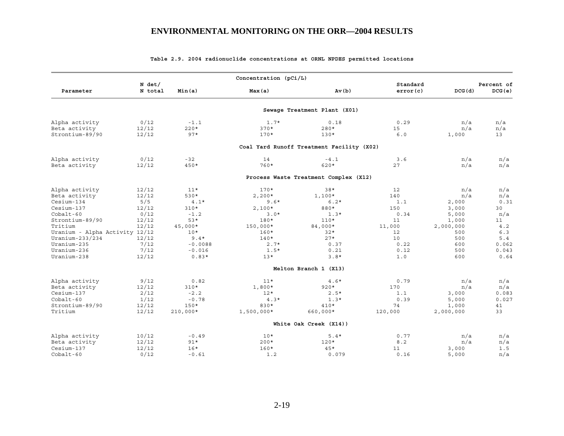|                                |                     |            | Concentration (pCi/L) |                                           |                      |           |                      |
|--------------------------------|---------------------|------------|-----------------------|-------------------------------------------|----------------------|-----------|----------------------|
| Parameter                      | $N$ det/<br>N total | Min(a)     | Max(a)                | Av(b)                                     | Standard<br>error(c) | DCG(d)    | Percent of<br>DCG(e) |
|                                |                     |            |                       | Sewage Treatment Plant (X01)              |                      |           |                      |
| Alpha activity                 | 0/12                | $-1.1$     | $1.7*$                | 0.18                                      | 0.29                 | n/a       | n/a                  |
| Beta activity                  | 12/12               | $220*$     | $370*$                | $280*$                                    | 15                   | n/a       | n/a                  |
| Strontium-89/90                | 12/12               | $97*$      | $170*$                | $130*$                                    | 6.0                  | 1,000     | 13                   |
|                                |                     |            |                       | Coal Yard Runoff Treatment Facility (X02) |                      |           |                      |
| Alpha activity                 | 0/12                | $-32$      | 14                    | $-4.1$                                    | 3.6                  | n/a       | n/a                  |
| Beta activity                  | 12/12               | $450*$     | 760*                  | $620*$                                    | 27                   | n/a       | n/a                  |
|                                |                     |            |                       | Process Waste Treatment Complex (X12)     |                      |           |                      |
| Alpha activity                 | 12/12               | $11*$      | $170*$                | $38*$                                     | 12                   | n/a       | n/a                  |
| Beta activity                  | 12/12               | 530*       | $2,200*$              | $1,100*$                                  | 140                  | n/a       | n/a                  |
| Cesium-134                     | 5/5                 | $4.1*$     | $9.6*$                | $6.2*$                                    | 1.1                  | 2,000     | 0.31                 |
| Cesium-137                     | 12/12               | $310*$     | $2,100*$              | 880*                                      | 150                  | 3,000     | 30                   |
| $Cobalt-60$                    | 0/12                | $-1.2$     | $3.0*$                | $1.3*$                                    | 0.34                 | 5,000     | n/a                  |
| Strontium-89/90                | 12/12               | $53*$      | 180*                  | $110*$                                    | 11                   | 1,000     | 11                   |
| Tritium                        | 12/12               | 45,000*    | 150,000*              | 84,000*                                   | 11,000               | 2,000,000 | 4.2                  |
| Uranium - Alpha Activity 12/12 |                     | $10*$      | $160*$                | $32*$                                     | $12 \overline{ }$    | 500       | 6.3                  |
| Uranium-233/234                | 12/12               | $9.4*$     | $140*$                | $27*$                                     | 10                   | 500       | 5.4                  |
| Uranium-235                    | 7/12                | $-0.0088$  | $2.7*$                | 0.37                                      | 0.22                 | 600       | 0.062                |
| Uranium-236                    | 7/12                | $-0.016$   | $1.5*$                | 0.21                                      | 0.12                 | 500       | 0.043                |
| Uranium-238                    | 12/12               | $0.83*$    | $13*$                 | $3.8*$                                    | 1.0                  | 600       | 0.64                 |
|                                |                     |            |                       | Melton Branch 1 (X13)                     |                      |           |                      |
| Alpha activity                 | 9/12                | 0.82       | $11*$                 | $4.6*$                                    | 0.79                 | n/a       | n/a                  |
| Beta activity                  | 12/12               | $310*$     | $1,800*$              | $920*$                                    | 170                  | n/a       | n/a                  |
| Cesium-137                     | 2/12                | $-2.2$     | $12*$                 | $2.5*$                                    | 1.1                  | 3,000     | 0.083                |
| $Cobalt-60$                    | 1/12                | $-0.78$    | $4.3*$                | $1.3*$                                    | 0.39                 | 5,000     | 0.027                |
| Strontium-89/90                | 12/12               | $150*$     | 830*                  | $410*$                                    | 74                   | 1,000     | 41                   |
| Tritium                        | 12/12               | $210,000*$ | $1,500,000*$          | $660,000*$                                | 120,000              | 2,000,000 | 33                   |
|                                |                     |            |                       | White Oak Creek (X14))                    |                      |           |                      |
| Alpha activity                 | 10/12               | $-0.49$    | $10*$                 | $5.4*$                                    | 0.77                 | n/a       | n/a                  |
| Beta activity                  | 12/12               | $91*$      | $200*$                | $120*$                                    | 8.2                  | n/a       | n/a                  |
| Cesium-137                     | 12/12               | $16*$      | $160*$                | $45*$                                     | 11                   | 3,000     | 1.5                  |
| $Cobalt-60$                    | 0/12                | $-0.61$    | 1.2                   | 0.079                                     | 0.16                 | 5,000     | n/a                  |

#### **Table 2.9. 2004 radionuclide concentrations at ORNL NPDES permitted locations**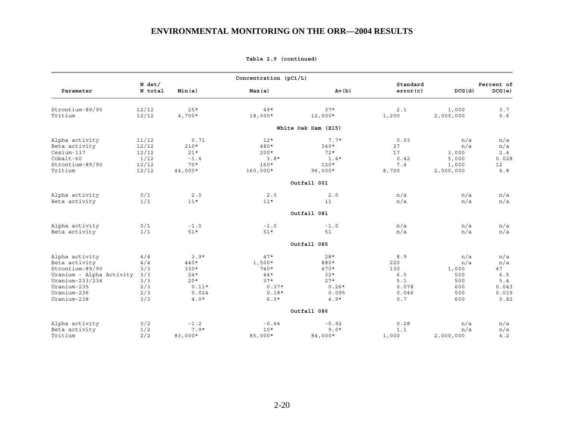|                                                                                                                                                |                                                      |                                                                          | Concentration $(pCi/L)$                                                       |                                                                                        |                                                            |                                                        |                                                          |
|------------------------------------------------------------------------------------------------------------------------------------------------|------------------------------------------------------|--------------------------------------------------------------------------|-------------------------------------------------------------------------------|----------------------------------------------------------------------------------------|------------------------------------------------------------|--------------------------------------------------------|----------------------------------------------------------|
| Parameter                                                                                                                                      | $N$ det/<br>N total                                  | Min(a)                                                                   | Max(a)                                                                        | Av(b)                                                                                  | Standard<br>error(c)                                       | DCG(d)                                                 | Percent of<br>DCG(e)                                     |
| Strontium-89/90<br>Tritium                                                                                                                     | 12/12<br>12/12                                       | $25*$<br>$4,700*$                                                        | $49*$<br>18,000*                                                              | $37*$<br>$12,000*$                                                                     | 2.1<br>1,200                                               | 1,000<br>2,000,000                                     | 3.7<br>0.6                                               |
|                                                                                                                                                |                                                      |                                                                          |                                                                               | White Oak Dam (X15)                                                                    |                                                            |                                                        |                                                          |
| Alpha activity<br>Beta activity<br>Cesium-137<br>$Cobalt-60$<br>Strontium-89/90<br>Tritium                                                     | 11/12<br>12/12<br>12/12<br>1/12<br>12/12<br>12/12    | 0.71<br>$210*$<br>$21*$<br>$-1.4$<br>$70*$<br>$44,000*$                  | $12*$<br>$480*$<br>$200*$<br>$3.8*$<br>$160*$<br>$160,000*$                   | $7.7*$<br>$340*$<br>$72*$<br>$1.4*$<br>$120*$<br>$96,000*$                             | 0.93<br>27<br>17<br>0.42<br>7.4<br>8,700                   | n/a<br>n/a<br>3,000<br>5,000<br>1,000<br>2,000,000     | n/a<br>n/a<br>2.4<br>0.028<br>12<br>$4.8$                |
|                                                                                                                                                |                                                      |                                                                          |                                                                               | Outfall 001                                                                            |                                                            |                                                        |                                                          |
| Alpha activity<br>Beta activity                                                                                                                | 0/1<br>1/1                                           | 2.0<br>$11*$                                                             | 2.0<br>$11*$                                                                  | 2.0<br>11                                                                              | n/a<br>n/a                                                 | n/a<br>n/a                                             | n/a<br>n/a                                               |
|                                                                                                                                                |                                                      |                                                                          |                                                                               | Outfall 081                                                                            |                                                            |                                                        |                                                          |
| Alpha activity<br>Beta activity                                                                                                                | 0/1<br>1/1                                           | $-1.0$<br>$51*$                                                          | $-1.0$<br>$51*$                                                               | $-1.0$<br>51                                                                           | n/a<br>n/a                                                 | n/a<br>n/a                                             | n/a<br>n/a                                               |
|                                                                                                                                                |                                                      |                                                                          |                                                                               | Outfall 085                                                                            |                                                            |                                                        |                                                          |
| Alpha activity<br>Beta activity<br>Strontium-89/90<br>Uranium - Alpha Activity<br>Uranium-233/234<br>Uranium-235<br>Uranium-236<br>Uranium-238 | 4/4<br>4/4<br>3/3<br>3/3<br>3/3<br>2/3<br>2/3<br>3/3 | $3.9*$<br>440*<br>$330*$<br>$24*$<br>$20*$<br>$0.11*$<br>0.024<br>$4.0*$ | $47*$<br>$1,500*$<br>$740*$<br>$44*$<br>$37*$<br>$0.37*$<br>$0.18*$<br>$6.3*$ | $28*$<br>880*<br>$470*$<br>$32*$<br>$27*$<br>$0.26*$<br>0.095<br>$4.9*$<br>Outfall 086 | 8.9<br>220<br>130<br>$6.0$<br>5.1<br>0.078<br>0.046<br>0.7 | n/a<br>n/a<br>1,000<br>500<br>500<br>600<br>500<br>600 | n/a<br>n/a<br>47<br>6.5<br>5.4<br>0.043<br>0.019<br>0.82 |
| Alpha activity<br>Beta activity<br>Tritium                                                                                                     | 0/2<br>1/2<br>2/2                                    | $-1.2$<br>$7.9*$<br>83,000*                                              | $-0.64$<br>$10*$<br>85,000*                                                   | $-0.92$<br>$9.0*$<br>84,000*                                                           | 0.28<br>1.1<br>1,000                                       | n/a<br>n/a<br>2,000,000                                | n/a<br>n/a<br>4.2                                        |

**Table 2.9 (continued)**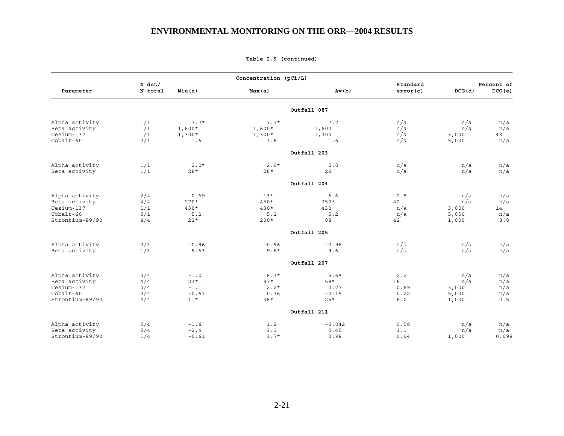|                 |                     |          | Concentration (pCi/L) |             |                      |        |                      |
|-----------------|---------------------|----------|-----------------------|-------------|----------------------|--------|----------------------|
| Parameter       | $N$ det/<br>N total | Min(a)   | Max(a)                | Av(b)       | Standard<br>error(c) | DCG(d) | Percent of<br>DCG(e) |
|                 |                     |          |                       | Outfall 087 |                      |        |                      |
| Alpha activity  | 1/1                 | $7.7*$   | $7.7*$                | 7.7         | n/a                  | n/a    | n/a                  |
| Beta activity   | 1/1                 | $1,600*$ | $1,600*$              | 1,600       | n/a                  | n/a    | n/a                  |
| Cesium-137      | 1/1                 | $1,300*$ | $1,300*$              | 1,300       | n/a                  | 3,000  | 43                   |
| Cobalt-60       | 0/1                 | 1.6      | 1.6                   | 1.6         | n/a                  | 5,000  | n/a                  |
|                 |                     |          |                       | Outfall 203 |                      |        |                      |
| Alpha activity  | 1/1                 | $2.0*$   | $2.0*$                | $2.0$       | n/a                  | n/a    | n/a                  |
| Beta activity   | 1/1                 | $26*$    | $26*$                 | 26          | n/a                  | n/a    | n/a                  |
|                 |                     |          |                       | Outfall 204 |                      |        |                      |
| Alpha activity  | 2/4                 | 0.69     | $13*$                 | 6.6         | 2.9                  | n/a    | n/a                  |
| Beta activity   | 4/4                 | $270*$   | $450*$                | $350*$      | 42                   | n/a    | n/a                  |
| Cesium-137      | 1/1                 | $430*$   | $430*$                | 430         | n/a                  | 3,000  | 14                   |
| $Cobalt-60$     | 0/1                 | 5.2      | 5.2                   | 5.2         | n/a                  | 5,000  | n/a                  |
| Strontium-89/90 | 4/4                 | $22*$    | $200*$                | 88          | 42                   | 1,000  | 8.8                  |
|                 |                     |          |                       | Outfall 205 |                      |        |                      |
| Alpha activity  | 0/1                 | $-0.96$  | $-0.96$               | $-0.96$     | n/a                  | n/a    | n/a                  |
| Beta activity   | 1/1                 | $9.6*$   | $9.6*$                | 9.6         | n/a                  | n/a    | n/a                  |
|                 |                     |          |                       | Outfall 207 |                      |        |                      |
| Alpha activity  | 3/4                 | $-1.0$   | $8.3*$                | $5.6*$      | 2.2                  | n/a    | n/a                  |
| Beta activity   | 4/4                 | $23*$    | $97*$                 | 58*         | 16                   | n/a    | n/a                  |
| Cesium-137      | 0/4                 | $-1.1$   | $2.2*$                | 0.77        | 0.69                 | 3,000  | n/a                  |
| $Cobalt-60$     | 0/4                 | $-0.61$  | 0.36                  | $-0.15$     | 0.22                 | 5,000  | n/a                  |
| Strontium-89/90 | 4/4                 | $11*$    | $38*$                 | $25*$       | 6.0                  | 1,000  | 2.5                  |
|                 |                     |          |                       | Outfall 211 |                      |        |                      |
| Alpha activity  | 0/4                 | $-1.6$   | 1.2                   | $-0.042$    | 0.58                 | n/a    | n/a                  |
| Beta activity   | 0/4                 | $-2.4$   | 3.1                   | 0.45        | 1.1                  | n/a    | n/a                  |
| Strontium-89/90 | 1/4                 | $-0.61$  | $3.7*$                | 0.98        | 0.94                 | 1,000  | 0.098                |

**Table 2.9 (continued)**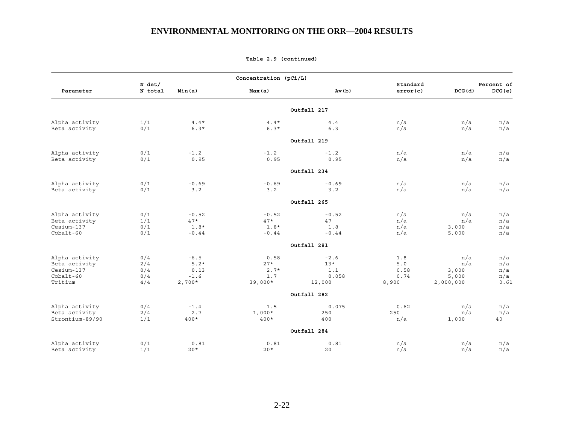|                                                                         |                                 |                                                | Concentration (pCi/L)                       |                                           |                                       |                                           |                                  |
|-------------------------------------------------------------------------|---------------------------------|------------------------------------------------|---------------------------------------------|-------------------------------------------|---------------------------------------|-------------------------------------------|----------------------------------|
| Parameter                                                               | N det/<br>N total               | Min(a)                                         | Max(a)                                      | Av(b)                                     | Standard<br>error(c)                  | DCG(d)                                    | Percent of<br>DCG(e)             |
|                                                                         |                                 |                                                |                                             | Outfall 217                               |                                       |                                           |                                  |
| Alpha activity<br>Beta activity                                         | 1/1<br>0/1                      | $4.4*$<br>$6.3*$                               | $4.4*$<br>$6.3*$                            | 4.4<br>6.3                                | n/a<br>n/a                            | n/a<br>n/a                                | n/a<br>n/a                       |
|                                                                         |                                 |                                                |                                             | Outfall 219                               |                                       |                                           |                                  |
| Alpha activity<br>Beta activity                                         | 0/1<br>0/1                      | $-1.2$<br>0.95                                 | $-1.2$<br>0.95                              | $-1.2$<br>0.95                            | n/a<br>n/a                            | n/a<br>n/a                                | n/a<br>n/a                       |
|                                                                         |                                 |                                                |                                             | Outfall 234                               |                                       |                                           |                                  |
| Alpha activity                                                          | 0/1                             | $-0.69$                                        | $-0.69$                                     | $-0.69$                                   | n/a                                   | n/a                                       | n/a                              |
| Beta activity                                                           | 0/1                             | 3.2                                            | 3.2                                         | 3.2                                       | n/a                                   | n/a                                       | n/a                              |
|                                                                         |                                 |                                                |                                             | Outfall 265                               |                                       |                                           |                                  |
| Alpha activity<br>Beta activity<br>Cesium-137<br>Cobalt-60              | 0/1<br>1/1<br>0/1<br>0/1        | $-0.52$<br>$47*$<br>$1.8*$<br>$-0.44$          | $-0.52$<br>$47*$<br>$1.8*$<br>$-0.44$       | $-0.52$<br>47<br>1.8<br>$-0.44$           | n/a<br>n/a<br>n/a<br>n/a              | n/a<br>n/a<br>3,000<br>5,000              | n/a<br>n/a<br>n/a<br>n/a         |
|                                                                         |                                 |                                                |                                             | Outfall 281                               |                                       |                                           |                                  |
| Alpha activity<br>Beta activity<br>Cesium-137<br>$Cobalt-60$<br>Tritium | 0/4<br>2/4<br>0/4<br>0/4<br>4/4 | $-6.5$<br>$5.2*$<br>0.13<br>$-1.6$<br>$2,700*$ | 0.58<br>$27*$<br>$2.7*$<br>1.7<br>$39,000*$ | $-2.6$<br>$13*$<br>1.1<br>0.058<br>12,000 | 1.8<br>$5.0$<br>0.58<br>0.74<br>8,900 | n/a<br>n/a<br>3,000<br>5,000<br>2,000,000 | n/a<br>n/a<br>n/a<br>n/a<br>0.61 |
|                                                                         |                                 |                                                |                                             | Outfall 282                               |                                       |                                           |                                  |
| Alpha activity<br>Beta activity<br>Strontium-89/90                      | 0/4<br>2/4<br>1/1               | $-1.4$<br>2.7<br>400*                          | 1.5<br>$1,000*$<br>$400*$                   | 0.075<br>250<br>400                       | 0.62<br>250<br>n/a                    | n/a<br>n/a<br>1,000                       | n/a<br>n/a<br>40                 |
|                                                                         |                                 |                                                |                                             | Outfall 284                               |                                       |                                           |                                  |
| Alpha activity<br>Beta activity                                         | 0/1<br>1/1                      | 0.81<br>$20*$                                  | 0.81<br>$20*$                               | 0.81<br>20                                | n/a<br>n/a                            | n/a<br>n/a                                | n/a<br>n/a                       |

**Table 2.9 (continued)**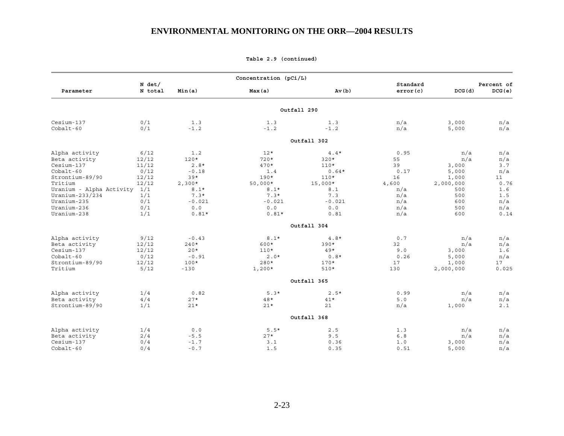|                              |                   |          | Concentration (pCi/L) |             |                      |           |                      |
|------------------------------|-------------------|----------|-----------------------|-------------|----------------------|-----------|----------------------|
| Parameter                    | N det/<br>N total | Min(a)   | Max(a)                | Av(b)       | Standard<br>error(c) | DCG(d)    | Percent of<br>DCG(e) |
|                              |                   |          |                       | Outfall 290 |                      |           |                      |
| Cesium-137                   | 0/1               | 1.3      | 1.3                   | 1.3         | n/a                  | 3,000     | n/a                  |
| $Cobalt-60$                  | 0/1               | $-1.2$   | $-1.2$                | $-1.2$      | n/a                  | 5,000     | n/a                  |
|                              |                   |          |                       | Outfall 302 |                      |           |                      |
| Alpha activity               | 6/12              | 1.2      | $12*$                 | $4.4*$      | 0.95                 | n/a       | n/a                  |
| Beta activity                | 12/12             | $120*$   | $720*$                | $320*$      | 55                   | n/a       | n/a                  |
| Cesium-137                   | 11/12             | $2.8*$   | $470*$                | $110*$      | 39                   | 3,000     | 3.7                  |
| $Cobalt-60$                  | 0/12              | $-0.18$  | 1.4                   | $0.64*$     | 0.17                 | 5,000     | n/a                  |
| Strontium-89/90              | 12/12             | $39*$    | $190*$                | $110*$      | 16                   | 1,000     | 11                   |
| Tritium                      | 12/12             | $2,300*$ | $50,000*$             | $15,000*$   | 4,600                | 2,000,000 | 0.76                 |
| Uranium - Alpha Activity 1/1 |                   | $8.1*$   | $8.1*$                | 8.1         | n/a                  | 500       | 1.6                  |
| Uranium-233/234              | 1/1               | $7.3*$   | $7.3*$                | 7.3         | n/a                  | 500       | 1.5                  |
| Uranium-235                  | 0/1               | $-0.021$ | $-0.021$              | $-0.021$    | n/a                  | 600       | n/a                  |
| Uranium-236                  | 0/1               | 0.0      | 0.0                   | 0.0         | n/a                  | 500       | n/a                  |
| Uranium-238                  | 1/1               | $0.81*$  | $0.81*$               | 0.81        | n/a                  | 600       | 0.14                 |
|                              |                   |          |                       | Outfall 304 |                      |           |                      |
| Alpha activity               | 9/12              | $-0.43$  | $8.1*$                | $4.8*$      | 0.7                  | n/a       | n/a                  |
| Beta activity                | 12/12             | $240*$   | 600*                  | $390*$      | 32                   | n/a       | n/a                  |
| Cesium-137                   | 12/12             | $20*$    | $110*$                | $49*$       | 9.0                  | 3,000     | 1.6                  |
| $Cobalt-60$                  | 0/12              | $-0.91$  | $2.0*$                | $0.8*$      | 0.26                 | 5,000     | n/a                  |
| Strontium-89/90              | 12/12             | $100*$   | $280*$                | $170*$      | 17                   | 1,000     | 17                   |
| Tritium                      | 5/12              | $-130$   | $1,200*$              | $510*$      | 130                  | 2,000,000 | 0.025                |
|                              |                   |          |                       | Outfall 365 |                      |           |                      |
|                              |                   |          |                       |             |                      |           |                      |
| Alpha activity               | 1/4               | 0.82     | $5.3*$                | $2.5*$      | 0.99                 | n/a       | n/a                  |
| Beta activity                | 4/4               | $27*$    | 48*                   | $41*$       | 5.0                  | n/a       | n/a                  |
| Strontium-89/90              | 1/1               | $21*$    | $21*$                 | 21          | n/a                  | 1,000     | 2.1                  |
|                              |                   |          |                       | Outfall 368 |                      |           |                      |
| Alpha activity               | 1/4               | 0.0      | $5.5*$                | 2.5         | 1.3                  | n/a       | n/a                  |
| Beta activity                | 2/4               | $-5.5$   | $27*$                 | 9.5         | 6.8                  | n/a       | n/a                  |
| Cesium-137                   | 0/4               | $-1.7$   | 3.1                   | 0.36        | 1.0                  | 3,000     | n/a                  |
| $Cobalt-60$                  | 0/4               | $-0.7$   | 1.5                   | 0.35        | 0.51                 | 5,000     | n/a                  |

**Table 2.9 (continued)**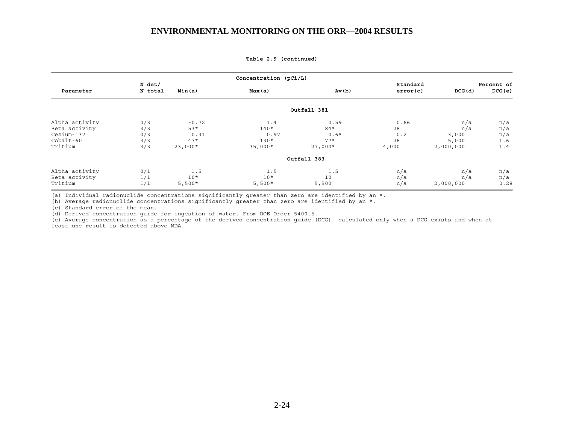**Concentration (pCi/L) N** det/ **Standard Percent of a standard Percent of a standard percent of**  $\mathbf{S}$  **Parameter N total Min(a) Max(a) Av(b) error(c) DCG(d) DCG(e) Outfall 381** Alpha activity 0/3 -0.72 1.4 0.59 0.66 n/a n/a Beta activity 3/3 53\* 140\* 84\* 28 n/a n/a Cesium-137 0/3 0.31 0.97 0.6\* 0.2 3,000 n/a  $\text{Cobalt-60}$  .  $3/3$  .  $47*$  .  $130*$  .  $77*$  .  $26$  . 5,000 .  $1.6$ Tritium 3/3 23,000\* 35,000\* 27,000\* 4,000 2,000,000 1.4 **Outfall 383** Alpha activity 0/1 1.5 1.5 n/a n/a n/a Beta activity 1/1 10\* 10\* 10 n/a n/a n/a Tritium 1/1 5,500\* 5,500\* 5,500 n/a 2,000,000 0.28

**Table 2.9 (continued)** 

(a) Individual radionuclide concentrations significantly greater than zero are identified by an \*.

(b) Average radionuclide concentrations significantly greater than zero are identified by an \*.

(c) Standard error of the mean.

(d) Derived concentration guide for ingestion of water. From DOE Order 5400.5.

(e) Average concentration as a percentage of the derived concentration guide (DCG), calculated only when a DCG exists and when at least one result is detected above MDA.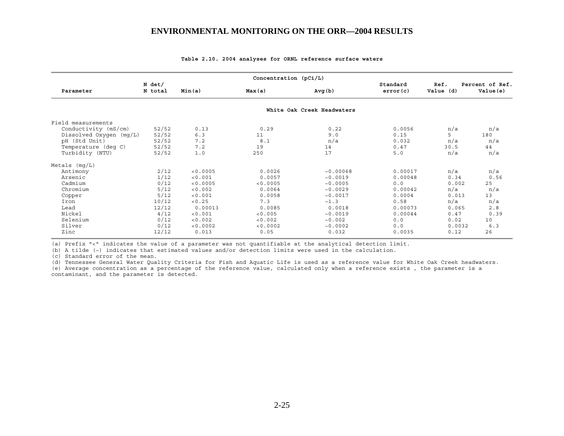|                           |                   |          | Concentration $(pCi/L)$ |                            |                      |                   |                              |
|---------------------------|-------------------|----------|-------------------------|----------------------------|----------------------|-------------------|------------------------------|
| Parameter                 | N det/<br>N total | Min(a)   | Max(a)                  | Avg(b)                     | Standard<br>error(c) | Ref.<br>Value (d) | Percent of Ref.<br>Value (e) |
|                           |                   |          |                         | White Oak Creek Headwaters |                      |                   |                              |
| Field measurements        |                   |          |                         |                            |                      |                   |                              |
| Conductivity (mS/cm)      | 52/52             | 0.13     | 0.29                    | 0.22                       | 0.0056               | n/a               | n/a                          |
| Dissolved Oxygen $(mq/L)$ | 52/52             | 6.3      | 11                      | 9.0                        | 0.15                 | 5                 | 180                          |
| pH (Std Unit)             | 52/52             | 7.2      | 8.1                     | n/a                        | 0.032                | n/a               | n/a                          |
| Temperature (deq C)       | 52/52             | 7.2      | 19                      | 14                         | 0.47                 | 30.5              | 44                           |
| Turbidity (NTU)           | 52/52             | 1.0      | 250                     | 17                         | 5.0                  | n/a               | n/a                          |
| Metals $(mq/L)$           |                   |          |                         |                            |                      |                   |                              |
| Antimony                  | 2/12              | < 0.0005 | 0.0026                  | ~10.00068                  | 0.00017              | n/a               | n/a                          |
| Arsenic                   | 1/12              | < 0.001  | 0.0057                  | ~10.0019                   | 0.00048              | 0.34              | 0.56                         |
| Cadmium                   | 0/12              | < 0.0005 | < 0.0005                | ~10.0005                   | 0.0                  | 0.002             | 25                           |
| Chromium                  | 5/12              | < 0.002  | 0.0064                  | ~10.0029                   | 0.00042              | n/a               | n/a                          |
| Copper                    | 5/12              | < 0.001  | 0.0058                  | ~10.0017                   | 0.0004               | 0.013             | 13                           |
| Iron                      | 10/12             | < 0.25   | 7.3                     | ~1.3                       | 0.58                 | n/a               | n/a                          |
| Lead                      | 12/12             | 0.00013  | 0.0085                  | 0.0018                     | 0.00073              | 0.065             | 2.8                          |
| Nickel                    | 4/12              | < 0.001  | < 0.005                 | ~10.0019                   | 0.00044              | 0.47              | 0.39                         |
| Selenium                  | 0/12              | < 0.002  | < 0.002                 | ~10.002                    | 0.0                  | 0.02              | 10                           |
| Silver                    | 0/12              | < 0.0002 | < 0.0002                | ~10.0002                   | 0.0                  | 0.0032            | 6.3                          |
| Zinc                      | 12/12             | 0.013    | 0.05                    | 0.032                      | 0.0035               | 0.12              | 26                           |

#### **Table 2.10. 2004 analyses for ORNL reference surface waters**

(a) Prefix "<" indicates the value of a parameter was not quantifiable at the analytical detection limit.

(b) A tilde (~) indicates that estimated values and/or detection limits were used in the calculation.

(c) Standard error of the mean.

(d) Tennessee General Water Quality Criteria for Fish and Aquatic Life is used as a reference value for White Oak Creek headwaters. (e) Average concentration as a percentage of the reference value, calculated only when a reference exists , the parameter is a contaminant, and the parameter is detected.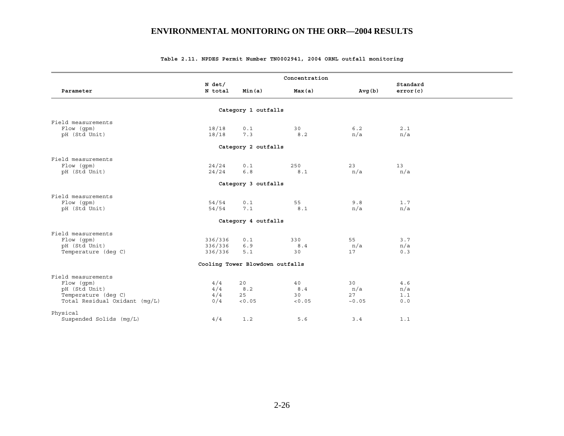|                               |                     |                                 | Concentration |        |                      |
|-------------------------------|---------------------|---------------------------------|---------------|--------|----------------------|
| Parameter                     | $N$ det/<br>N total | Min(a)                          | Max(a)        | Avg(b) | Standard<br>error(c) |
|                               |                     |                                 |               |        |                      |
|                               |                     | Category 1 outfalls             |               |        |                      |
| Field measurements            |                     |                                 |               |        |                      |
| Flow (qpm)                    | 18/18               | $0.1$                           | 30            | $6.2$  | 2.1                  |
| pH (Std Unit)                 | 18/18               | 7.3                             | 8.2           | n/a    | n/a                  |
|                               |                     | Category 2 outfalls             |               |        |                      |
| Field measurements            |                     |                                 |               |        |                      |
| Flow (gpm)                    | 24/24               | 0.1                             | 250           | 23     | 13                   |
| pH (Std Unit)                 | 24/24               | $6.8$                           | 8.1           | n/a    | n/a                  |
|                               |                     |                                 |               |        |                      |
|                               |                     | Category 3 outfalls             |               |        |                      |
| Field measurements            |                     |                                 |               |        |                      |
| Flow (qpm)                    | 54/54               | $0.1$                           | 55            | 9.8    | 1.7                  |
| pH (Std Unit)                 | 54/54               | 7.1                             | $8\ .\ 1$     | n/a    | n/a                  |
|                               |                     | Category 4 outfalls             |               |        |                      |
| Field measurements            |                     |                                 |               |        |                      |
| Flow (gpm)                    | 336/336             | $0.1$                           | 330           | 55     | 3.7                  |
| pH (Std Unit)                 | 336/336             | 6.9                             | 8.4           | n/a    | n/a                  |
| Temperature (deg C)           | 336/336             | 5.1                             | 30            | 17     | 0.3                  |
|                               |                     | Cooling Tower Blowdown outfalls |               |        |                      |
| Field measurements            |                     |                                 |               |        |                      |
| Flow (gpm)                    | 4/4                 | 20                              | 40            | 30     | 4.6                  |
| pH (Std Unit)                 | 4/4                 | 8.2                             | 8.4           | n/a    | n/a                  |
| Temperature (deq C)           | 4/4                 | 25                              | 30            | 27     | 1.1                  |
| Total Residual Oxidant (mq/L) | 0/4                 | < 0.05                          | < 0.05        | ~10.05 | 0.0                  |
| Physical                      |                     |                                 |               |        |                      |
| Suspended Solids (mg/L)       | 4/4                 | 1.2                             | 5.6           | 3.4    | 1.1                  |

#### **Table 2.11. NPDES Permit Number TN0002941, 2004 ORNL outfall monitoring**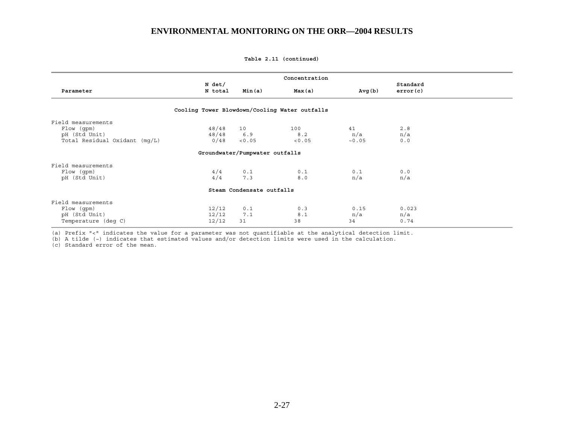**Table 2.11 (continued)** 

|                               |                                               |                                | Concentration |         |          |  |
|-------------------------------|-----------------------------------------------|--------------------------------|---------------|---------|----------|--|
|                               | N det/                                        |                                |               |         | Standard |  |
| Parameter                     | N total                                       | Min(a)                         | Max(a)        | Avg (b) | error(c) |  |
|                               |                                               |                                |               |         |          |  |
|                               | Cooling Tower Blowdown/Cooling Water outfalls |                                |               |         |          |  |
| Field measurements            |                                               |                                |               |         |          |  |
| Flow (gpm)                    | 48/48                                         | 10                             | 100           | 41      | 2.8      |  |
| pH (Std Unit)                 | 48/48                                         | 6.9                            | 8.2           | n/a     | n/a      |  |
| Total Residual Oxidant (mg/L) | 0/48                                          | < 0.05                         | < 0.05        | ~10.05  | 0.0      |  |
|                               |                                               | Groundwater/Pumpwater outfalls |               |         |          |  |
| Field measurements            |                                               |                                |               |         |          |  |
| Flow (gpm)                    | 4/4                                           | 0.1                            | 0.1           | 0.1     | 0.0      |  |
| pH (Std Unit)                 | 4/4                                           | 7.3                            | 8.0           | n/a     | n/a      |  |
|                               |                                               | Steam Condensate outfalls      |               |         |          |  |
|                               |                                               |                                |               |         |          |  |
| Field measurements            |                                               |                                |               |         |          |  |
| Flow (gpm)                    | 12/12                                         | 0.1                            | 0.3           | 0.15    | 0.023    |  |
| pH (Std Unit)                 | 12/12                                         | 7.1                            | 8.1           | n/a     | n/a      |  |
| Temperature (deq C)           | 12/12                                         | 31                             | 38            | 34      | 0.74     |  |

(a) Prefix "<" indicates the value for a parameter was not quantifiable at the analytical detection limit.

(b) A tilde (~) indicates that estimated values and/or detection limits were used in the calculation.

(c) Standard error of the mean.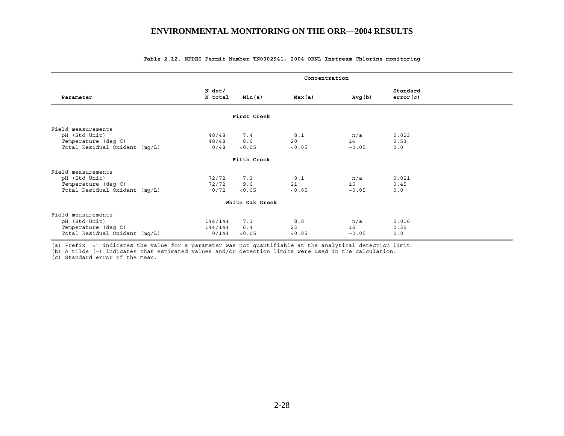|                                                                                             | Concentration               |                        |                     |                      |                      |  |
|---------------------------------------------------------------------------------------------|-----------------------------|------------------------|---------------------|----------------------|----------------------|--|
| Parameter                                                                                   | N det/<br>N total           | Min(a)                 | Max(a)              | Avg (b)              | Standard<br>error(c) |  |
|                                                                                             |                             | First Creek            |                     |                      |                      |  |
| Field measurements<br>pH (Std Unit)<br>Temperature (deg C)<br>Total Residual Oxidant (mg/L) | 48/48<br>48/48<br>0/48      | 7.4<br>8.0<br>< 0.05   | 8.1<br>20<br>< 0.05 | n/a<br>14<br>~10.05  | 0.023<br>0.53<br>0.0 |  |
|                                                                                             |                             | Fifth Creek            |                     |                      |                      |  |
| Field measurements<br>pH (Std Unit)<br>Temperature (deg C)<br>Total Residual Oxidant (mq/L) | 72/72<br>72/72<br>0/72      | 7.3<br>9.0<br>< 0.05   | 8.1<br>21<br>< 0.05 | n/a<br>1.5<br>~10.05 | 0.021<br>0.45<br>0.0 |  |
|                                                                                             |                             | White Oak Creek        |                     |                      |                      |  |
| Field measurements<br>pH (Std Unit)<br>Temperature (deg C)<br>Total Residual Oxidant (mg/L) | 144/144<br>144/144<br>0/144 | 7.1<br>$6.4$<br>< 0.05 | 8.0<br>23<br>< 0.05 | n/a<br>16<br>~10.05  | 0.016<br>0.39<br>0.0 |  |

#### **Table 2.12. NPDES Permit Number TN0002941, 2004 ORNL Instream Chlorine monitoring**

(a) Prefix "<" indicates the value for a parameter was not quantifiable at the analytical detection limit.

(b) A tilde (~) indicates that estimated values and/or detection limits were used in the calculation.

(c) Standard error of the mean.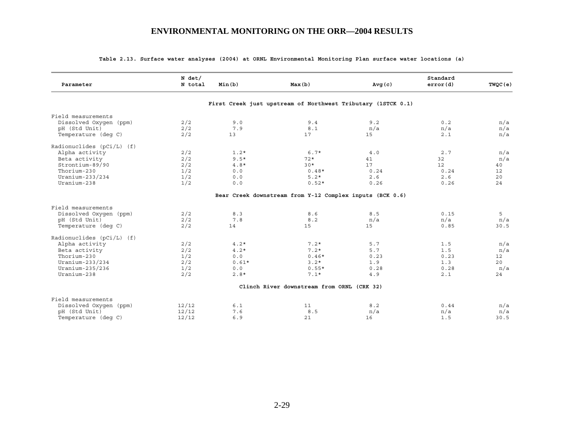| Parameter                   | $N$ det/<br>N total | Min(b)  | Max(b)                                                       | Avg(c) | Standard<br>error(d) | TWQC(e) |
|-----------------------------|---------------------|---------|--------------------------------------------------------------|--------|----------------------|---------|
|                             |                     |         | First Creek just upstream of Northwest Tributary (1STCK 0.1) |        |                      |         |
| Field measurements          |                     |         |                                                              |        |                      |         |
| Dissolved Oxygen (ppm)      | 2/2                 | 9.0     | 9.4                                                          | 9.2    | 0.2                  | n/a     |
| pH (Std Unit)               | 2/2                 | 7.9     | $8.1\,$                                                      | n/a    | n/a                  | n/a     |
| Temperature (deq C)         | 2/2                 | 13      | 17                                                           | 15     | 2.1                  | n/a     |
|                             |                     |         |                                                              |        |                      |         |
| Radionuclides $(pCi/L)$ (f) |                     |         |                                                              |        |                      |         |
| Alpha activity              | 2/2                 | $1.2*$  | $6.7*$                                                       | 4.0    | 2.7                  | n/a     |
| Beta activity               | 2/2                 | $9.5*$  | $72*$                                                        | 41     | 32                   | n/a     |
| Strontium-89/90             | 2/2                 | $4.8*$  | $30*$                                                        | 17     | 12                   | 40      |
| Thorium-230                 | 1/2                 | 0.0     | $0.48*$                                                      | 0.24   | 0.24                 | 12      |
| Uranium-233/234             | 1/2                 | 0.0     | $5.2*$                                                       | 2.6    | 2.6                  | 20      |
| Uranium-238                 | 1/2                 | 0.0     | $0.52*$                                                      | 0.26   | 0.26                 | 24      |
|                             |                     |         | Bear Creek downstream from Y-12 Complex inputs (BCK 0.6)     |        |                      |         |
| Field measurements          |                     |         |                                                              |        |                      |         |
|                             |                     |         |                                                              |        |                      |         |
| Dissolved Oxygen (ppm)      | 2/2                 | 8.3     | 8.6                                                          | 8.5    | 0.15                 | 5       |
| pH (Std Unit)               | 2/2                 | 7.8     | 8.2                                                          | n/a    | n/a                  | n/a     |
| Temperature (deq C)         | 2/2                 | 14      | 15                                                           | 15     | 0.85                 | 30.5    |
| Radionuclides $(pCi/L)$ (f) |                     |         |                                                              |        |                      |         |
| Alpha activity              | 2/2                 | $4.2*$  | $7.2*$                                                       | 5.7    | 1.5                  | n/a     |
| Beta activity               | 2/2                 | $4.2*$  | $7.2*$                                                       | 5.7    | 1.5                  | n/a     |
| Thorium-230                 | 1/2                 | 0.0     | $0.46*$                                                      | 0.23   | 0.23                 | 12      |
| Uranium-233/234             | 2/2                 | $0.61*$ | $3.2*$                                                       | 1.9    | 1.3                  | 20      |
| Uranium-235/236             | 1/2                 | 0.0     | $0.55*$                                                      | 0.28   | 0.28                 | n/a     |
| Uranium-238                 | 2/2                 | $2.8*$  | $7.1*$                                                       | 4.9    | 2.1                  | 24      |
|                             |                     |         |                                                              |        |                      |         |
|                             |                     |         | Clinch River downstream from ORNL (CRK 32)                   |        |                      |         |
| Field measurements          |                     |         |                                                              |        |                      |         |
| Dissolved Oxygen (ppm)      | 12/12               | 6.1     | 11                                                           | 8.2    | 0.44                 | n/a     |
| pH (Std Unit)               | 12/12               | 7.6     | 8.5                                                          | n/a    | n/a                  | n/a     |
| Temperature (deq C)         | 12/12               | 6.9     | 21                                                           | 16     | 1.5                  | 30.5    |

### **Table 2.13. Surface water analyses (2004) at ORNL Environmental Monitoring Plan surface water locations (a)**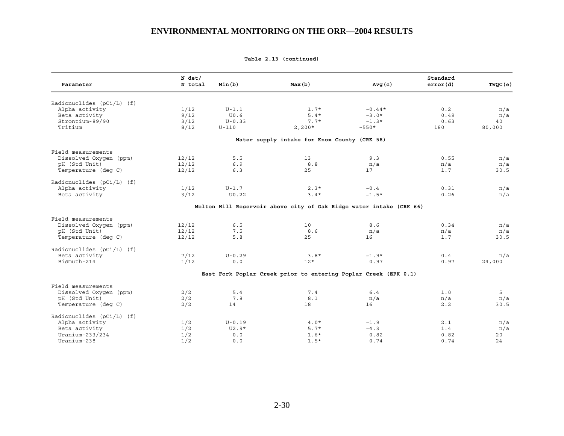| Parameter                                     | $N$ det/<br>N total | Min(b)     | Max(b)                                                              | Avg(c)    | Standard<br>error(d) | TWQC(e) |
|-----------------------------------------------|---------------------|------------|---------------------------------------------------------------------|-----------|----------------------|---------|
|                                               |                     |            |                                                                     |           |                      |         |
| Radionuclides $(pCi/L)$ (f)<br>Alpha activity | 1/12                | $U-1.1$    | $1.7*$                                                              | $~10.44*$ | 0.2                  | n/a     |
| Beta activity                                 | 9/12                | U0.6       | $5.4*$                                                              | $~1.0*$   | 0.49                 | n/a     |
| Strontium-89/90                               | 3/12                | $U - 0.33$ | $7.7*$                                                              | $~1.3*$   | 0.63                 | 40      |
| Tritium                                       | 8/12                | $U-110$    | $2,200*$                                                            | $~1.550*$ | 180                  | 80,000  |
|                                               |                     |            |                                                                     |           |                      |         |
|                                               |                     |            | Water supply intake for Knox County (CRK 58)                        |           |                      |         |
| Field measurements                            |                     |            |                                                                     |           |                      |         |
| Dissolved Oxygen (ppm)                        | 12/12               | 5.5        | 13                                                                  | 9.3       | 0.55                 | n/a     |
| pH (Std Unit)                                 | 12/12               | 6.9        | 8.8                                                                 | n/a       | n/a                  | n/a     |
| Temperature (deq C)                           | 12/12               | 6.3        | 25                                                                  | 17        | 1.7                  | 30.5    |
| Radionuclides (pCi/L) (f)                     |                     |            |                                                                     |           |                      |         |
| Alpha activity                                | 1/12                | $U-1.7$    | $2.3*$                                                              | ~0.4      | 0.31                 | n/a     |
| Beta activity                                 | 3/12                | U0.22      | $3.4*$                                                              | $~1.5*$   | 0.26                 | n/a     |
|                                               |                     |            |                                                                     |           |                      |         |
|                                               |                     |            | Melton Hill Reservoir above city of Oak Ridge water intake (CRK 66) |           |                      |         |
| Field measurements                            |                     |            |                                                                     |           |                      |         |
| Dissolved Oxygen (ppm)                        | 12/12               | 6.5        | 10                                                                  | 8.6       | 0.34                 | n/a     |
| pH (Std Unit)                                 | 12/12               | 7.5        | 8.6                                                                 | n/a       | n/a                  | n/a     |
| Temperature (deq C)                           | 12/12               | 5.8        | 25                                                                  | 16        | 1.7                  | 30.5    |
| Radionuclides (pCi/L) (f)                     |                     |            |                                                                     |           |                      |         |
| Beta activity                                 | 7/12                | $U - 0.29$ | $3.8*$                                                              | $~1.9*$   | 0.4                  | n/a     |
| Bismuth-214                                   | 1/12                | 0.0        | $12*$                                                               | 0.97      | 0.97                 | 24,000  |
|                                               |                     |            | East Fork Poplar Creek prior to entering Poplar Creek (EFK 0.1)     |           |                      |         |
| Field measurements                            |                     |            |                                                                     |           |                      |         |
| Dissolved Oxygen (ppm)                        | 2/2                 | 5.4        | 7.4                                                                 | 6.4       | 1.0                  | 5       |
| pH (Std Unit)                                 | 2/2                 | 7.8        | 8.1                                                                 | n/a       | n/a                  | n/a     |
| Temperature (deq C)                           | 2/2                 | 14         | 18                                                                  | 16        | 2.2                  | 30.5    |
| Radionuclides $(pCi/L)$ (f)                   |                     |            |                                                                     |           |                      |         |
| Alpha activity                                | 1/2                 | $U - 0.19$ | $4.0*$                                                              | ~1.9      | 2.1                  | n/a     |
| Beta activity                                 | 1/2                 | $U2.9*$    | $5.7*$                                                              | ~14.3     | 1.4                  | n/a     |
| Uranium-233/234                               | 1/2                 | 0.0        | $1.6*$                                                              | 0.82      | 0.82                 | 20      |
| Uranium-238                                   | 1/2                 | 0.0        | $1.5*$                                                              | 0.74      | 0.74                 | 24      |
|                                               |                     |            |                                                                     |           |                      |         |

**Table 2.13 (continued)**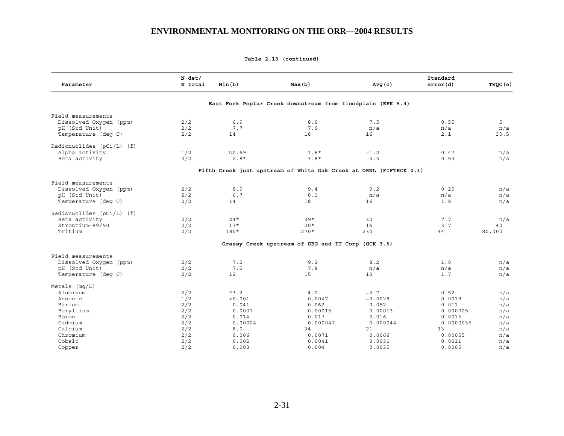**Table 2.13 (continued)** 

| Parameter                   | $N$ det/<br>N total | Min(b)  | Max(b)                                                             | Avg(c)   | Standard<br>error(d) | TWQC(e) |
|-----------------------------|---------------------|---------|--------------------------------------------------------------------|----------|----------------------|---------|
|                             |                     |         | East Fork Poplar Creek downstream from floodplain (EFK 5.4)        |          |                      |         |
| Field measurements          |                     |         |                                                                    |          |                      |         |
| Dissolved Oxygen (ppm)      | 2/2                 | 6.9     | 8.0                                                                | 7.5      | 0.55                 | 5       |
| pH (Std Unit)               | 2/2                 | 7.7     | 7.9                                                                | n/a      | n/a                  | n/a     |
| Temperature (deq C)         | 2/2                 | 14      | 18                                                                 | 16       | 2.1                  | 30.5    |
| Radionuclides $(pCi/L)$ (f) |                     |         |                                                                    |          |                      |         |
| Alpha activity              | 1/2                 | U0.69   | $1.6*$                                                             | ~1.2     | 0.47                 | n/a     |
| Beta activity               | 2/2                 | $2.8*$  | $3.8*$                                                             | 3.3      | 0.53                 | n/a     |
|                             |                     |         | Fifth Creek just upstream of White Oak Creek at ORNL (FIFTHCK 0.1) |          |                      |         |
| Field measurements          |                     |         |                                                                    |          |                      |         |
| Dissolved Oxygen (ppm)      | 2/2                 | 8.9     | 9.4                                                                | 9.2      | 0.25                 | n/a     |
| pH (Std Unit)               | 2/2                 | 6.7     | $8.1\,$                                                            | n/a      | n/a                  | n/a     |
| Temperature (deq C)         | 2/2                 | 14      | 18                                                                 | 16       | 1.8                  | n/a     |
| Radionuclides $(pCi/L)$ (f) |                     |         |                                                                    |          |                      |         |
| Beta activity               | 2/2                 | $24*$   | $39*$                                                              | 32       | 7.7                  | n/a     |
| Strontium-89/90             | 2/2                 | $13*$   | $20*$                                                              | 16       | 3.7                  | 40      |
| Tritium                     | 2/2                 | 180*    | $270*$                                                             | 230      | 44                   | 80,000  |
|                             |                     |         | Grassy Creek upstream of SEG and IT Corp (GCK 3.6)                 |          |                      |         |
| Field measurements          |                     |         |                                                                    |          |                      |         |
| Dissolved Oxygen (ppm)      | 2/2                 | 7.2     | 9.2                                                                | 8.2      | 1.0                  | n/a     |
| pH (Std Unit)               | 2/2                 | 7.5     | 7.8                                                                | n/a      | n/a                  | n/a     |
| Temperature (deq C)         | 2/2                 | 12      | 15                                                                 | 13       | 1.7                  | n/a     |
| Metals $(mq/L)$             |                     |         |                                                                    |          |                      |         |
| Aluminum                    | 2/2                 | E3.2    | 4.2                                                                | ~23.7    | 0.52                 | n/a     |
| Arsenic                     | 1/2                 | < 0.001 | 0.0047                                                             | ~10.0029 | 0.0019               | n/a     |
| Barium                      | 2/2                 | 0.041   | 0.062                                                              | 0.052    | 0.011                | n/a     |
| Beryllium                   | 2/2                 | 0.0001  | 0.00015                                                            | 0.00013  | 0.000025             | n/a     |
| Boron                       | 2/2                 | 0.014   | 0.017                                                              | 0.016    | 0.0015               | n/a     |
| Cadmium                     | 2/2                 | 0.00004 | 0.000047                                                           | 0.000044 | 0.0000035            | n/a     |
| Calcium                     | 2/2                 | 8.0     | 34                                                                 | 21       | 13                   | n/a     |
| Chromium                    | 2/2                 | 0.006   | 0.0071                                                             | 0.0066   | 0.00055              | n/a     |
| Cobalt                      | 2/2                 | 0.002   | 0.0041                                                             | 0.0031   | 0.0011               | n/a     |
| Copper                      | 2/2                 | 0.003   | 0.004                                                              | 0.0035   | 0.0005               | n/a     |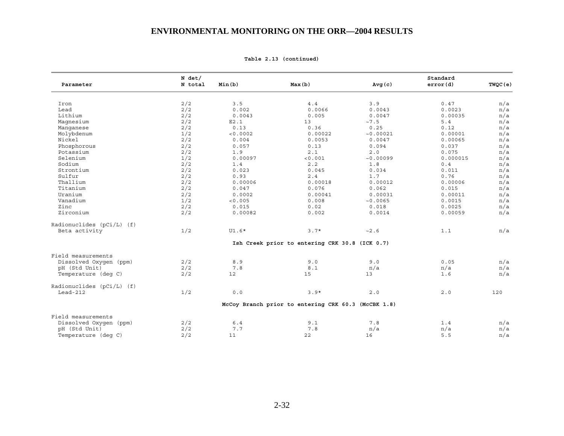| Parameter                   | $N$ det/<br>N total | Min(b)   | Max(b)                                              | Avg(c)    | Standard<br>error(d) | TWQC(e) |
|-----------------------------|---------------------|----------|-----------------------------------------------------|-----------|----------------------|---------|
|                             |                     |          |                                                     |           |                      |         |
| Iron                        | 2/2                 | 3.5      | $4.4$                                               | 3.9       | 0.47                 | n/a     |
| Lead                        | 2/2                 | 0.002    | 0.0066                                              | 0.0043    | 0.0023               | n/a     |
| Lithium                     | 2/2                 | 0.0043   | 0.005                                               | 0.0047    | 0.00035              | n/a     |
| Magnesium                   | 2/2                 | E2.1     | 13                                                  | ~1.5      | 5.4                  | n/a     |
| Manqanese                   | 2/2                 | 0.13     | 0.36                                                | 0.25      | 0.12                 | n/a     |
| Molybdenum                  | 1/2                 | < 0.0002 | 0.00022                                             | ~0.00021  | 0.00001              | n/a     |
| Nickel                      | 2/2                 | 0.004    | 0.0053                                              | 0.0047    | 0.00065              | n/a     |
| Phosphorous                 | 2/2                 | 0.057    | 0.13                                                | 0.094     | 0.037                | n/a     |
| Potassium                   | 2/2                 | 1.9      | 2.1                                                 | 2.0       | 0.075                | n/a     |
| Selenium                    | 1/2                 |          | < 0.001                                             | ~10.00099 |                      | n/a     |
|                             |                     | 0.00097  |                                                     |           | 0.000015             |         |
| Sodium                      | 2/2                 | 1.4      | 2.2                                                 | 1.8       | 0.4                  | n/a     |
| Strontium                   | 2/2                 | 0.023    | 0.045                                               | 0.034     | 0.011                | n/a     |
| Sulfur                      | 2/2                 | 0.93     | 2.4                                                 | 1.7       | 0.76                 | n/a     |
| Thallium                    | 2/2                 | 0.00006  | 0.00018                                             | 0.00012   | 0.00006              | n/a     |
| Titanium                    | 2/2                 | 0.047    | 0.076                                               | 0.062     | 0.015                | n/a     |
| Uranium                     | 2/2                 | 0.0002   | 0.00041                                             | 0.00031   | 0.00011              | n/a     |
| Vanadium                    | 1/2                 | < 0.005  | 0.008                                               | ~10.0065  | 0.0015               | n/a     |
| Zinc                        | 2/2                 | 0.015    | 0.02                                                | 0.018     | 0.0025               | n/a     |
| Zirconium                   | 2/2                 | 0.00082  | 0.002                                               | 0.0014    | 0.00059              | n/a     |
| Radionuclides $(pCi/L)$ (f) |                     |          |                                                     |           |                      |         |
| Beta activity               | 1/2                 | $UI.6*$  | $3.7*$                                              | ~2.6      | 1.1                  | n/a     |
|                             |                     |          | Ish Creek prior to entering CRK 30.8 (ICK 0.7)      |           |                      |         |
| Field measurements          |                     |          |                                                     |           |                      |         |
| Dissolved Oxygen (ppm)      | 2/2                 | 8.9      | 9.0                                                 | 9.0       | 0.05                 | n/a     |
| pH (Std Unit)               | 2/2                 | 7.8      | 8.1                                                 | n/a       | n/a                  | n/a     |
| Temperature (deq C)         | 2/2                 | 12       | 15                                                  | 13        | 1.6                  | n/a     |
| Radionuclides (pCi/L) (f)   |                     |          |                                                     |           |                      |         |
| Lead-212                    | 1/2                 | $0.0$    | $3.9*$                                              | $2.0$     | 2.0                  | 120     |
|                             |                     |          | McCoy Branch prior to entering CRK 60.3 (McCBK 1.8) |           |                      |         |
| Field measurements          |                     |          |                                                     |           |                      |         |
| Dissolved Oxygen (ppm)      | 2/2                 | $6.4$    | 9.1                                                 | 7.8       | 1.4                  | n/a     |
| pH (Std Unit)               | 2/2                 | 7.7      | 7.8                                                 | n/a       | n/a                  | n/a     |
| Temperature (deg C)         | 2/2                 | 11       | 22                                                  | 16        | 5.5                  | n/a     |
|                             |                     |          |                                                     |           |                      |         |

**Table 2.13 (continued)**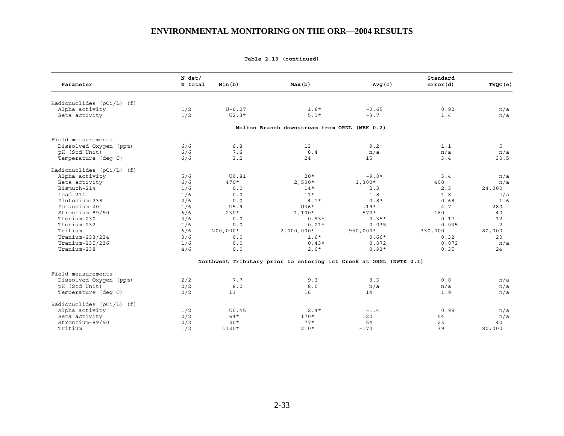| Parameter                   | $N$ det/<br>N total | Min(b)       | Max(b)                                                             | Avg(c)          | Standard<br>error(d) | TWQC(e) |
|-----------------------------|---------------------|--------------|--------------------------------------------------------------------|-----------------|----------------------|---------|
|                             |                     |              |                                                                    |                 |                      |         |
| Radionuclides (pCi/L) (f)   |                     |              |                                                                    |                 |                      |         |
| Alpha activity              | 1/2                 | $U - 0.27$   | $1.6*$                                                             | ~10.65          | 0.92                 | n/a     |
| Beta activity               | 1/2                 | $U2.3*$      | $5.1*$                                                             | ~2.7            | 1.4                  | n/a     |
|                             |                     |              | Melton Branch downstream from ORNL (MEK 0.2)                       |                 |                      |         |
| Field measurements          |                     |              |                                                                    |                 |                      |         |
| Dissolved Oxygen (ppm)      | 6/6                 | $6.8$        | 13                                                                 | 9.2             | 1.1                  | 5       |
| pH (Std Unit)               | 6/6                 | 7.6          | 8.4                                                                | n/a             | n/a                  | n/a     |
| Temperature (deq C)         | 6/6                 | 3.2          | 24                                                                 | 15              | 3.4                  | 30.5    |
| Radionuclides $(pCi/L)$ (f) |                     |              |                                                                    |                 |                      |         |
| Alpha activity              | 5/6                 | <b>U0.81</b> | $20*$                                                              | $~10*$          | 3.4                  | n/a     |
| Beta activity               | 6/6                 | $470*$       | $2,500*$                                                           | $1,300*$        | 400                  | n/a     |
| Bismuth-214                 | 1/6                 | 0.0          | $14*$                                                              | 2.3             | 2.3                  | 24,000  |
| $Lead-214$                  | 1/6                 | 0.0          | $11*$                                                              | 1.8             | 1.8                  | n/a     |
| Plutonium-238               | 2/6                 | 0.0          | $4.1*$                                                             | 0.83            | 0.68                 | 1.6     |
| Potassium-40                | 1/6                 | U5.9         | $U36*$                                                             | $~19*$          | 4.7                  | 280     |
| Strontium-89/90             | 6/6                 | $230*$       | $1,100*$                                                           | $570*$          | 160                  | 40      |
| Thorium-230                 | 3/6                 | 0.0          | $0.93*$                                                            | $0.35*$         | 0.17                 | 12      |
| Thorium-232                 | 1/6                 | 0.0          | $0.21*$                                                            | 0.035           | 0.035                | 2       |
| Tritium                     | 6/6                 | $200,000*$   | $2,000,000*$                                                       | $950,000*$      | 330,000              | 80,000  |
| Uranium-233/234             | 3/6                 | 0.0          | $1.6*$                                                             | $0.66*$         | 0.32                 | 20      |
| Uranium-235/236             | 1/6                 | 0.0          | $0.43*$                                                            | 0.072           | 0.072                | n/a     |
| Uranium-238                 | 4/6                 | 0.0          | $2.0*$                                                             | $0.93*$         | 0.35                 | 24      |
|                             |                     |              | Northwest Tributary prior to entering 1st Creek at ORNL (NWTK 0.1) |                 |                      |         |
| Field measurements          |                     |              |                                                                    |                 |                      |         |
| Dissolved Oxygen (ppm)      | 2/2                 | 7.7          | 9.3                                                                | 8.5             | 0.8                  | n/a     |
| pH (Std Unit)               | 2/2                 | 8.0          | 8.0                                                                | n/a             | n/a                  | n/a     |
| Temperature (deq C)         | 2/2                 | 13           | 16                                                                 | 14              | 1.9                  | n/a     |
| Radionuclides (pCi/L) (f)   |                     |              |                                                                    |                 |                      |         |
| Alpha activity              | 1/2                 | U0.45        | $2.4*$                                                             | $\sim\!1$ . $4$ | 0.99                 | n/a     |
| Beta activity               | 2/2                 | $64*$        | $170*$                                                             | 120             | 54                   | n/a     |
| Strontium-89/90             | 2/2                 | $30*$        | $77*$                                                              | 54              | 23                   | 40      |
| Tritium                     | 1/2                 | $U130*$      | $210*$                                                             | ~170            | 39                   | 80,000  |
|                             |                     |              |                                                                    |                 |                      |         |

**Table 2.13 (continued)**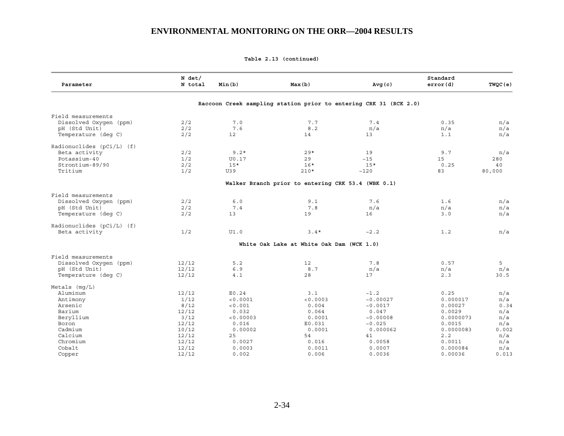**Table 2.13 (continued)** 

| Parameter                   | $N$ det/<br>N total | Min(b)    | Max(b)                                                            | Avg(c)    | Standard<br>error(d) | TWQC(e) |
|-----------------------------|---------------------|-----------|-------------------------------------------------------------------|-----------|----------------------|---------|
|                             |                     |           | Raccoon Creek sampling station prior to entering CRK 31 (RCK 2.0) |           |                      |         |
| Field measurements          |                     |           |                                                                   |           |                      |         |
| Dissolved Oxygen (ppm)      | 2/2                 | 7.0       | 7.7                                                               | 7.4       | 0.35                 | n/a     |
| pH (Std Unit)               | 2/2                 | 7.6       | 8.2                                                               | n/a       | n/a                  | n/a     |
| Temperature (deg C)         | 2/2                 | 12        | 14                                                                | 13        | 1.1                  | n/a     |
| Radionuclides $(pCi/L)$ (f) |                     |           |                                                                   |           |                      |         |
| Beta activity               | 2/2                 | $9.2*$    | $29*$                                                             | 19        | 9.7                  | n/a     |
| Potassium-40                | 1/2                 | U0.17     | 29                                                                | $\sim 15$ | 15                   | 280     |
| Strontium-89/90             | 2/2                 | $15*$     | $16*$                                                             | $15*$     | 0.25                 | 40      |
| Tritium                     | 1/2                 | U39       | $210*$                                                            | ~120      | 83                   | 80,000  |
|                             |                     |           | Walker Branch prior to entering CRK 53.4 (WBK 0.1)                |           |                      |         |
| Field measurements          |                     |           |                                                                   |           |                      |         |
| Dissolved Oxygen (ppm)      | 2/2                 | 6.0       | 9.1                                                               | 7.6       | 1.6                  | n/a     |
| pH (Std Unit)               | 2/2                 | 7.4       | 7.8                                                               | n/a       | n/a                  | n/a     |
| Temperature (deq C)         | 2/2                 | 13        | 19                                                                | 16        | 3.0                  | n/a     |
| Radionuclides $(pCi/L)$ (f) |                     |           |                                                                   |           |                      |         |
| Beta activity               | 1/2                 | UI.0      | $3.4*$                                                            | ~2.2      | 1.2                  | n/a     |
|                             |                     |           | White Oak Lake at White Oak Dam (WCK 1.0)                         |           |                      |         |
| Field measurements          |                     |           |                                                                   |           |                      |         |
| Dissolved Oxygen (ppm)      | 12/12               | 5.2       | 12                                                                | 7.8       | 0.57                 | 5       |
| pH (Std Unit)               | 12/12               | 6.9       | 8.7                                                               | n/a       | n/a                  | n/a     |
| Temperature (deg C)         | 12/12               | 4.1       | 28                                                                | 17        | 2.3                  | 30.5    |
| Metals $(mq/L)$             |                     |           |                                                                   |           |                      |         |
| Aluminum                    | 12/12               | E0.24     | 3.1                                                               | ~1.2      | 0.25                 | n/a     |
| Antimony                    | 1/12                | < 0.0001  | < 0.0003                                                          | ~10.00027 | 0.000017             | n/a     |
| Arsenic                     | 8/12                | < 0.001   | 0.004                                                             | ~10.0017  | 0.00027              | 0.34    |
| Barium                      | 12/12               | 0.032     | 0.064                                                             | 0.047     | 0.0029               | n/a     |
| Beryllium                   | 3/12                | < 0.00003 | 0.0001                                                            | ~10.00008 | 0.0000073            | n/a     |
| Boron                       | 12/12               | 0.016     | E0.031                                                            | ~10.025   | 0.0015               | n/a     |
| Cadmium                     | 10/12               | 0.00002   | 0.0001                                                            | 0.000062  | 0.0000083            | 0.002   |
| Calcium                     | 12/12               | 25        | 54                                                                | 41        | 2.2                  | n/a     |
| Chromium                    | 12/12               | 0.0027    | 0.016                                                             | 0.0058    | 0.0011               | n/a     |
| Cobalt                      | 12/12               | 0.0003    | 0.0011                                                            | 0.0007    | 0.000084             | n/a     |
| Copper                      | 12/12               | 0.002     | 0.006                                                             | 0.0036    | 0.00036              | 0.013   |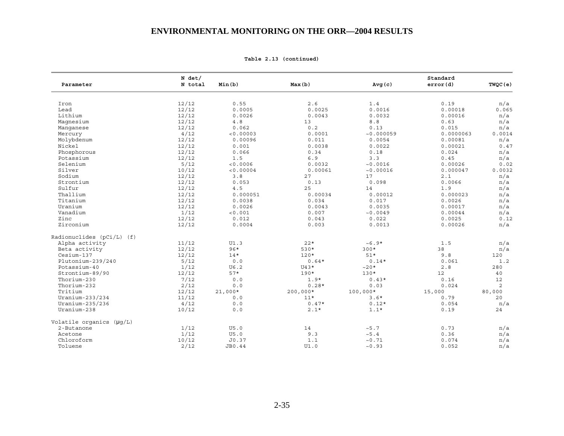| Parameter                 | N det/<br>N total | Min(b)    | Max(b)     | Avg(c)           | Standard<br>error(d) | TWQC(e) |
|---------------------------|-------------------|-----------|------------|------------------|----------------------|---------|
|                           |                   |           |            |                  |                      |         |
| Iron                      | 12/12             | 0.55      | 2.6        | 1.4              | 0.19                 | n/a     |
| Lead                      | 12/12             | 0.0005    | 0.0025     | 0.0016           | 0.00018              | 0.065   |
| Lithium                   | 12/12             | 0.0026    | 0.0043     | 0.0032           | 0.00016              | n/a     |
| Magnesium                 | 12/12             | $4.8\,$   | 13         | $8.8$            | 0.63                 | n/a     |
| Manqanese                 | 12/12             | 0.062     | 0.2        | 0.13             | 0.015                | n/a     |
| Mercury                   | 4/12              | < 0.00003 | 0.0001     | ~10.000059       | 0.0000063            | 0.0014  |
| Molybdenum                | 12/12             | 0.00096   | 0.011      | 0.0054           | 0.00081              | n/a     |
| Nickel                    | 12/12             | 0.001     | 0.0038     | 0.0022           | 0.00021              | 0.47    |
| Phosphorous               | 12/12             | 0.066     | 0.34       | 0.18             | 0.024                | n/a     |
| Potassium                 | 12/12             | 1.5       | 6.9        | 3.3              | 0.45                 | n/a     |
| Selenium                  | 5/12              | < 0.0006  | 0.0032     | ~10.0016         | 0.00026              | 0.02    |
| Silver                    | 10/12             | < 0.00004 | 0.00061    | ~10.00016        | 0.000047             | 0.0032  |
| Sodium                    | 12/12             | 3.8       | 27         | 17               | 2.1                  | n/a     |
| Strontium                 | 12/12             | 0.053     | 0.13       | 0.098            | 0.0066               | n/a     |
| Sulfur                    | 12/12             | 4.5       | 25         | 14               | 1.9                  | n/a     |
| Thallium                  | 12/12             | 0.000051  | 0.00034    | 0.00012          | 0.000023             | n/a     |
| Titanium                  | 12/12             | 0.0038    | 0.034      | 0.017            | 0.0026               | n/a     |
| Uranium                   | 12/12             | 0.0026    | 0.0043     | 0.0035           | 0.00017              | n/a     |
| Vanadium                  | 1/12              | < 0.001   | 0.007      | ~10.0049         | 0.00044              | n/a     |
| Zinc                      | 12/12             | 0.012     | 0.043      | 0.022            | 0.0025               | 0.12    |
| Zirconium                 | 12/12             | 0.0004    | 0.003      | 0.0013           | 0.00026              | n/a     |
| Radionuclides (pCi/L) (f) |                   |           |            |                  |                      |         |
| Alpha activity            | 11/12             | UI.3      | $22*$      | $~10^{-6}$ . 9*  | 1.5                  | n/a     |
| Beta activity             | 12/12             | $96*$     | 530*       | $300*$           | 38                   | n/a     |
| Cesium-137                | 12/12             | $14*$     | $120*$     | $51*$            | 9.8                  | 120     |
| Plutonium-239/240         | 5/12              | 0.0       | $0.64*$    | $0.14*$          | 0.061                | 1.2     |
| Potassium-40              | 1/12              | U6.2      | $U43*$     | $~20*$           | $2.8$                | 280     |
| Strontium-89/90           | 12/12             | $57*$     | $190*$     | $130*$           | 12                   | 40      |
| Thorium-230               | 7/12              | 0.0       | $1.9*$     | $0.43*$          | 0.16                 | 12      |
| Thorium-232               | 2/12              | 0.0       | $0.28*$    | 0.03             | 0.024                | 2       |
| Tritium                   | 12/12             | $21,000*$ | $200,000*$ | $100,000*$       | 15,000               | 80,000  |
| Uranium-233/234           | 11/12             | 0.0       | $11*$      | $3.6*$           | 0.79                 | 20      |
| Uranium-235/236           | 4/12              | $0.0$     | $0.47*$    | $0.12*$          | 0.054                | n/a     |
| Uranium-238               | 10/12             | 0.0       | $2.1*$     | $1.1*$           | 0.19                 | 24      |
| Volatile organics (µq/L)  |                   |           |            |                  |                      |         |
| 2-Butanone                | 1/12              | U5.0      | 14         | ~5.7             | 0.73                 | n/a     |
| Acetone                   | 1/12              | U5.0      | 9.3        | ~5.4             | 0.36                 | n/a     |
| Chloroform                | 10/12             | J0.37     | $1.1$      | $\sim\!0$ . $71$ | 0.074                | n/a     |
| Toluene                   | 2/12              | JB0.44    | UI.0       | ~10.93           | 0.052                | n/a     |

**Table 2.13 (continued)**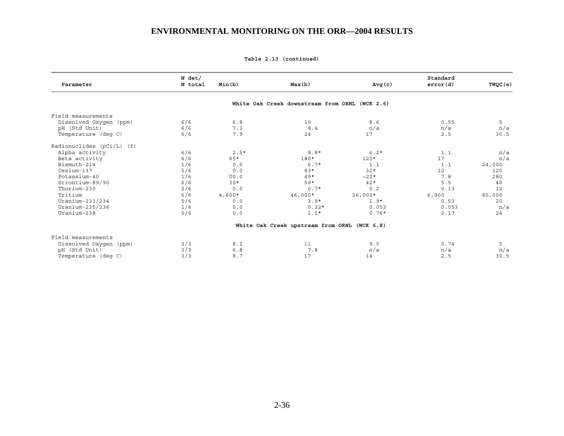|  | Table 2.13 (continued) |
|--|------------------------|
|  |                        |

| Parameter                 | $N$ det/<br>N total | Min(b)   | Max(b)                                         | Avg(c)    | Standard<br>error(d) | TWQC(e) |
|---------------------------|---------------------|----------|------------------------------------------------|-----------|----------------------|---------|
|                           |                     |          | White Oak Creek downstream from ORNL (WCK 2.6) |           |                      |         |
| Field measurements        |                     |          |                                                |           |                      |         |
| Dissolved Oxygen (ppm)    | 6/6                 | 6.8      | 10                                             | 8.6       | 0.55                 | 5       |
| pH (Std Unit)             | 6/6                 | 7.3      | 8.4                                            | n/a       | n/a                  | n/a     |
| Temperature (deq C)       | 6/6                 | 7.9      | 24                                             | 17        | 2.5                  | 30.5    |
| Radionuclides (pCi/L) (f) |                     |          |                                                |           |                      |         |
| Alpha activity            | 6/6                 | $2.5*$   | $8.8*$                                         | $6.2*$    | 1.1                  | n/a     |
| Beta activity             | 6/6                 | $65*$    | 180*                                           | $120*$    | 17                   | n/a     |
| Bismuth-214               | 1/6                 | 0.0      | $6.7*$                                         | 1.1       | 1.1                  | 24,000  |
| Cesium-137                | 5/6                 | 0.0      | $83*$                                          | $32*$     | 12                   | 120     |
| Potassium-40              | 1/6                 | U0.0     | $49*$                                          | $~22*$    | 7.8                  | 280     |
| Strontium-89/90           | 6/6                 | $30*$    | 59*                                            | $42*$     | 5.5                  | 40      |
| Thorium-230               | 2/6                 | 0.0      | $0.7*$                                         | 0.2       | 0.13                 | 12      |
| Tritium                   | 6/6                 | $4,600*$ | $46,000*$                                      | $26,000*$ | 6,900                | 80,000  |
| Uranium-233/234           | 5/6                 | 0.0      | $3.9*$                                         | $1.9*$    | 0.53                 | 20      |
| Uranium-235/236           | 1/6                 | 0.0      | $0.32*$                                        | 0.053     | 0.053                | n/a     |
| Uranium-238               | 5/6                 | 0.0      | $1.1*$                                         | $0.76*$   | 0.17                 | 24      |
|                           |                     |          | White Oak Creek upstream from ORNL (WCK 6.8)   |           |                      |         |
| Field measurements        |                     |          |                                                |           |                      |         |
| Dissolved Oxygen (ppm)    | 3/3                 | 8.2      | 11                                             | 9.0       | 0.74                 | 5       |
| pH (Std Unit)             | 3/3                 | $6.8$    | 7.8                                            | n/a       | n/a                  | n/a     |
| Temperature (deq C)       | 3/3                 | 8.7      | 17                                             | 14        | 2.5                  | 30.5    |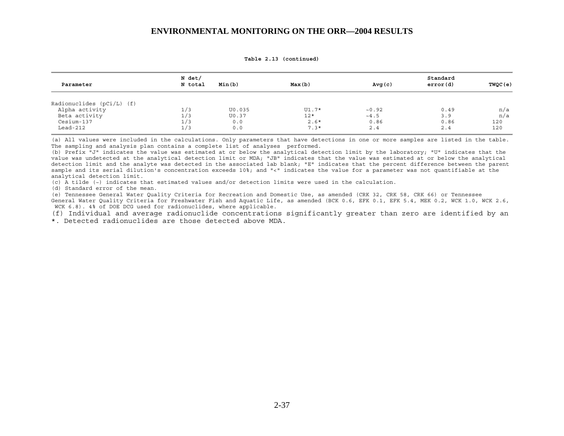| Parameter                   | N det/<br>N total | Min(b) | Max(b)  | Avg(c) | Standard<br>error(d) | TWQC (e) |
|-----------------------------|-------------------|--------|---------|--------|----------------------|----------|
| Radionuclides $(pCi/L)$ (f) |                   |        |         |        |                      |          |
| Alpha activity              | 1/3               | U0.035 | $UI.7*$ | ~10.92 | 0.49                 | n/a      |
| Beta activity               | 1/3               | U0.37  | $12*$   | ~14.5  | 3.9                  | n/a      |
| Cesium-137                  | 1/3               | 0.0    | $2.6*$  | 0.86   | 0.86                 | 120      |
| $Lead-212$                  | 1/3               | 0.0    | $7.3*$  | 2.4    | 2.4                  | 120      |

**Table 2.13 (continued)** 

(a) All values were included in the calculations. Only parameters that have detections in one or more samples are listed in the table. The sampling and analysis plan contains a complete list of analyses performed.

(b) Prefix "J" indicates the value was estimated at or below the analytical detection limit by the laboratory; "U" indicates that the value was undetected at the analytical detection limit or MDA; "JB" indicates that the value was estimated at or below the analytical detection limit and the analyte was detected in the associated lab blank; "E" indicates that the percent difference between the parent sample and its serial dilution's concentration exceeds 10%; and "<" indicates the value for a parameter was not quantifiable at the analytical detection limit.

(c) A tilde (~) indicates that estimated values and/or detection limits were used in the calculation.

(d) Standard error of the mean.

(e) Tennessee General Water Quality Criteria for Recreation and Domestic Use, as amended (CRK 32, CRK 58, CRK 66) or Tennessee General Water Quality Criteria for Freshwater Fish and Aquatic Life, as amended (BCK 0.6, EFK 0.1, EFK 5.4, MEK 0.2, WCK 1.0, WCK 2.6, WCK 6.8). 4% of DOE DCG used for radionuclides, where applicable.

(f) Individual and average radionuclide concentrations significantly greater than zero are identified by an \*. Detected radionuclides are those detected above MDA.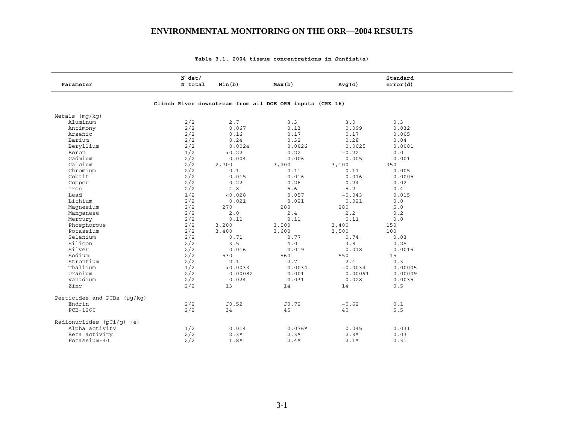| Parameter                   | $N$ det/<br>N total | Min(b)   | Max(b)                                                   | Avg(c)   | Standard<br>error(d) |
|-----------------------------|---------------------|----------|----------------------------------------------------------|----------|----------------------|
|                             |                     |          | Clinch River downstream from all DOE ORR inputs (CRK 16) |          |                      |
|                             |                     |          |                                                          |          |                      |
| Metals (mg/kg)              |                     |          |                                                          |          |                      |
| Aluminum                    | 2/2                 | 2.7      | 3.3                                                      | 3.0      | 0.3                  |
| Antimony                    | 2/2                 | 0.067    | 0.13                                                     | 0.099    | 0.032                |
| Arsenic                     | 2/2                 | 0.16     | 0.17                                                     | 0.17     | 0.005                |
| Barium                      | 2/2                 | 0.24     | 0.32                                                     | 0.28     | 0.04                 |
| Beryllium                   | 2/2                 | 0.0024   | 0.0026                                                   | 0.0025   | 0.0001               |
| Boron                       | 1/2                 | < 0.22   | 0.22                                                     | ~10.22   | 0.0                  |
| Cadmium                     | 2/2                 | 0.004    | 0.006                                                    | 0.005    | 0.001                |
| Calcium                     | 2/2                 | 2,700    | 3,400                                                    | 3,100    | 350                  |
| Chromium                    | 2/2                 | 0.1      | 0.11                                                     | 0.11     | 0.005                |
| Cobalt                      | 2/2                 | 0.015    | 0.016                                                    | 0.016    | 0.0005               |
| Copper                      | 2/2                 | 0.22     | 0.26                                                     | 0.24     | 0.02                 |
| Iron                        | 2/2                 | $4.8$    | 5.6                                                      | 5.2      | 0.4                  |
| Lead                        | 1/2                 | < 0.028  | 0.057                                                    | ~10.043  | 0.015                |
| Lithium                     | 2/2                 | 0.021    | 0.021                                                    | 0.021    | 0.0                  |
| Magnesium                   | 2/2                 | 270      | 280                                                      | 280      | 5.0                  |
| Manqanese                   | 2/2                 | 2.0      | 2.4                                                      | 2.2      | 0.2                  |
| Mercury                     | 2/2                 | 0.11     | 0.11                                                     | 0.11     | 0.0                  |
| Phosphorous                 | 2/2                 | 3,200    | 3,500                                                    | 3,400    | 150                  |
| Potassium                   | 2/2                 | 3,400    | 3,600                                                    | 3,500    | 100                  |
| Selenium                    | 2/2                 | 0.71     | 0.77                                                     | 0.74     | 0.03                 |
| Silicon                     | 2/2                 | 3.5      | 4.0                                                      | 3.8      | 0.25                 |
| Silver                      | 2/2                 | 0.016    | 0.019                                                    | 0.018    | 0.0015               |
| Sodium                      | 2/2                 | 530      | 560                                                      | 550      | 15                   |
| Strontium                   | 2/2                 | 2.1      | 2.7                                                      | 2.4      | 0.3                  |
| Thallium                    | 1/2                 | < 0.0033 | 0.0034                                                   | ~10.0034 | 0.00005              |
| Uranium                     | 2/2                 | 0.00082  | 0.001                                                    | 0.00091  | 0.00009              |
| Vanadium                    | 2/2                 | 0.024    | 0.031                                                    | 0.028    | 0.0035               |
| Zinc                        | 2/2                 | 13       | 14                                                       | 14       | 0.5                  |
|                             |                     |          |                                                          |          |                      |
| Pesticides and PCBs (µq/kq) |                     |          |                                                          |          |                      |
| Endrin                      | 2/2                 | J0.52    | J0.72                                                    | ~10.62   | 0.1                  |
| PCB-1260                    | 2/2                 | 34       | 45                                                       | 40       | 5.5                  |
| Radionuclides $(pCi/q)$ (e) |                     |          |                                                          |          |                      |
| Alpha activity              | 1/2                 | 0.014    | $0.076*$                                                 | 0.045    | 0.031                |
| Beta activity               | 2/2                 | $2.3*$   | $2.3*$                                                   | $2.3*$   | 0.03                 |
| Potassium-40                | 2/2                 | $1.8*$   | $2.4*$                                                   | $2.1*$   | 0.31                 |

#### **Table 3.1. 2004 tissue concentrations in Sunfish(a)**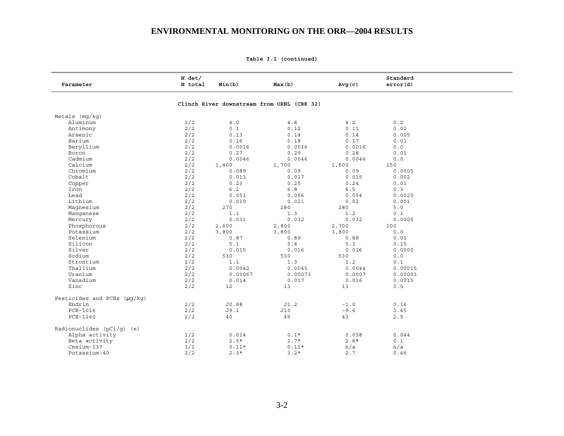**Table 3.1 (continued)** 

| Parameter                   | $N$ det/<br>N total | Min(b)  | Max(b)                                     | Avg(c)          | Standard<br>error(d) |  |
|-----------------------------|---------------------|---------|--------------------------------------------|-----------------|----------------------|--|
|                             |                     |         | Clinch River downstream from ORNL (CRK 32) |                 |                      |  |
| Metals $(mq/kg)$            |                     |         |                                            |                 |                      |  |
| Aluminum                    | 2/2                 | 4.0     | $4\,\ldotp4$                               | 4.2             | 0.2                  |  |
| Antimony                    | 2/2                 | 0.1     | 0.12                                       | 0.11            | 0.01                 |  |
| Arsenic                     | 2/2                 | 0.13    | 0.14                                       | 0.14            | 0.005                |  |
| Barium                      | 2/2                 | 0.16    | 0.18                                       | 0.17            | 0.01                 |  |
| Beryllium                   | 2/2                 | 0.0016  | 0.0016                                     | 0.0016          | 0.0                  |  |
| Boron                       | 2/2                 | 0.27    | 0.29                                       | 0.28            | 0.01                 |  |
| Cadmium                     | 2/2                 | 0.0046  | 0.0046                                     | 0.0046          | 0.0                  |  |
| Calcium                     | 2/2                 | 1,400   | 1,700                                      | 1,600           | 150                  |  |
| Chromium                    | 2/2                 | 0.089   | 0.09                                       | 0.09            | 0.0005               |  |
| Cobalt                      | 2/2                 | 0.013   | 0.017                                      | 0.015           | 0.002                |  |
| Copper                      | 2/2                 | 0.23    | 0.25                                       | 0.24            | 0.01                 |  |
| Iron                        | 2/2                 | 6.2     | $6.8$                                      | 6.5             | 0.3                  |  |
| Lead                        | 2/2                 | 0.051   | 0.056                                      | 0.054           | 0.0025               |  |
| Lithium                     | 2/2                 | 0.019   | 0.021                                      | 0.02            | 0.001                |  |
| Magnesium                   | 2/2                 | 270     | 280                                        | 280             | 5.0                  |  |
| Manqanese                   | 2/2                 | 1.1     | 1.3                                        | 1.2             | $0.1$                |  |
| Mercury                     | 2/2                 | 0.031   | 0.032                                      | 0.032           | 0.0005               |  |
| Phosphorous                 | 2/2                 | 2,600   | 2,800                                      | 2,700           | 100                  |  |
| Potassium                   | 2/2                 | 3,800   | 3,800                                      | 3,800           | 0.0                  |  |
| Selenium                    | 2/2                 | 0.87    | 0.89                                       | 0.88            | 0.01                 |  |
| Silicon                     | 2/2                 | 5.1     | 5.4                                        | 5.3             | 0.15                 |  |
| Silver                      | 2/2                 | 0.015   | 0.016                                      | 0.016           | 0.0005               |  |
| Sodium                      | 2/2                 | 530     | 530                                        | 530             | 0.0                  |  |
| Strontium                   | 2/2                 | 1.1     | 1.3                                        | 1.2             | 0.1                  |  |
| Thallium                    | 2/2                 | 0.0042  | 0.0045                                     | 0.0044          | 0.00015              |  |
| Uranium                     | 2/2                 | 0.00067 | 0.00073                                    | 0.0007          | 0.00003              |  |
| Vanadium                    | 2/2                 | 0.014   | 0.017                                      | 0.016           | 0.0015               |  |
| Zinc                        | 2/2                 | 12      | 13                                         | 13              | 0.5                  |  |
| Pesticides and PCBs (µq/kq) |                     |         |                                            |                 |                      |  |
| Endrin                      | 2/2                 | J0.88   | J1.2                                       | $\sim\!1$ . $0$ | 0.16                 |  |
| PCB-1016                    | 2/2                 | J9.1    | J10                                        | ~10.6           | 0.45                 |  |
| PCB-1260                    | 2/2                 | 40      | 45                                         | 43              | 2.5                  |  |
| Radionuclides (pCi/g) (e)   |                     |         |                                            |                 |                      |  |
| Alpha activity              | 1/2                 | 0.014   | $0.1*$                                     | 0.058           | 0.044                |  |
| Beta activity               | 2/2                 | $2.5*$  | $2.7*$                                     | $2.6*$          | 0.1                  |  |
| Cesium-137                  | 1/1                 | $0.11*$ | $0.11*$                                    | n/a             | n/a                  |  |
| Potassium-40                | 2/2                 | $2.3*$  | $3.2*$                                     | 2.7             | 0.46                 |  |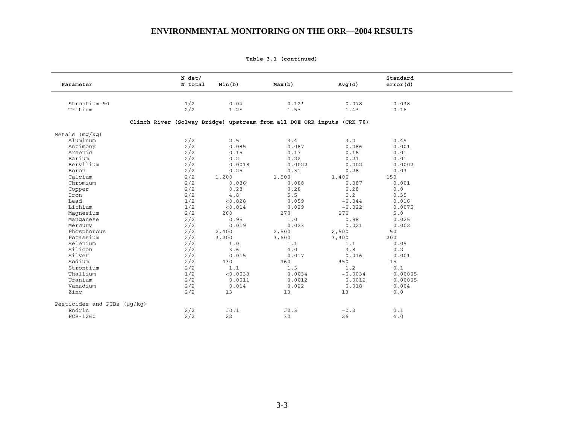|  | Table 3.1 (continued) |
|--|-----------------------|
|  |                       |

| Parameter                          | $N$ det/<br>N total                                                    | Min(b)   | Max(b)  | Avg(c)   | Standard<br>error(d) |
|------------------------------------|------------------------------------------------------------------------|----------|---------|----------|----------------------|
|                                    |                                                                        |          |         |          |                      |
| Strontium-90                       | 1/2                                                                    | 0.04     | $0.12*$ | 0.078    | 0.038                |
| Tritium                            | 2/2                                                                    | $1.2*$   | $1.5*$  | $1.4*$   | 0.16                 |
|                                    |                                                                        |          |         |          |                      |
|                                    | Clinch River (Solway Bridge) upstream from all DOE ORR inputs (CRK 70) |          |         |          |                      |
| Metals $(mq/kg)$                   |                                                                        |          |         |          |                      |
| Aluminum                           | 2/2                                                                    | 2.5      | 3.4     | 3.0      | 0.45                 |
| Antimony                           | 2/2                                                                    | 0.085    | 0.087   | 0.086    | 0.001                |
| Arsenic                            | 2/2                                                                    | 0.15     | 0.17    | 0.16     | 0.01                 |
| Barium                             | 2/2                                                                    | 0.2      | 0.22    | 0.21     | 0.01                 |
| Beryllium                          | 2/2                                                                    | 0.0018   | 0.0022  | 0.002    | 0.0002               |
| Boron                              | 2/2                                                                    | 0.25     | 0.31    | 0.28     | 0.03                 |
| Calcium                            | 2/2                                                                    | 1,200    | 1,500   | 1,400    | 150                  |
| Chromium                           | 2/2                                                                    | 0.086    | 0.088   | 0.087    | 0.001                |
| Copper                             | 2/2                                                                    | 0.28     | 0.28    | 0.28     | 0.0                  |
| Iron                               | 2/2                                                                    | 4.8      | 5.5     | 5.2      | 0.35                 |
| Lead                               | 1/2                                                                    | < 0.028  | 0.059   | ~10.044  | 0.016                |
| Lithium                            | 1/2                                                                    | < 0.014  | 0.029   | ~10.022  | 0.0075               |
| Magnesium                          | 2/2                                                                    | 260      | 270     | 270      | 5.0                  |
| Manqanese                          | 2/2                                                                    | 0.95     | 1.0     | 0.98     | 0.025                |
| Mercury                            | 2/2                                                                    | 0.019    | 0.023   | 0.021    | 0.002                |
| Phosphorous                        | 2/2                                                                    | 2,400    | 2,500   | 2,500    | 50                   |
| Potassium                          | 2/2                                                                    | 3,200    | 3,600   | 3,400    | 200                  |
| Selenium                           | 2/2                                                                    | 1.0      | 1.1     | 1.1      | 0.05                 |
| Silicon                            | 2/2                                                                    | 3.6      | $4.0$   | 3.8      | 0.2                  |
| Silver                             | 2/2                                                                    | 0.015    | 0.017   | 0.016    | 0.001                |
| Sodium                             | 2/2                                                                    | 430      | 460     | 450      | 15                   |
| Strontium                          | 2/2                                                                    | 1.1      | 1.3     | 1.2      | 0.1                  |
| Thallium                           | 1/2                                                                    | < 0.0033 | 0.0034  | ~10.0034 | 0.00005              |
| Uranium                            | 2/2                                                                    | 0.0011   | 0.0012  | 0.0012   | 0.00005              |
| Vanadium                           | 2/2                                                                    | 0.014    | 0.022   | 0.018    | 0.004                |
| Zinc                               | 2/2                                                                    | 13       | 13      | 13       | 0.0                  |
| Pesticides and PCBs $(\mu q / kq)$ |                                                                        |          |         |          |                      |
| Endrin                             | 2/2                                                                    | J0.1     | JO.3    | ~10.2    | 0.1                  |
| PCB-1260                           | 2/2                                                                    | 22       | 30      | 26       | 4.0                  |
|                                    |                                                                        |          |         |          |                      |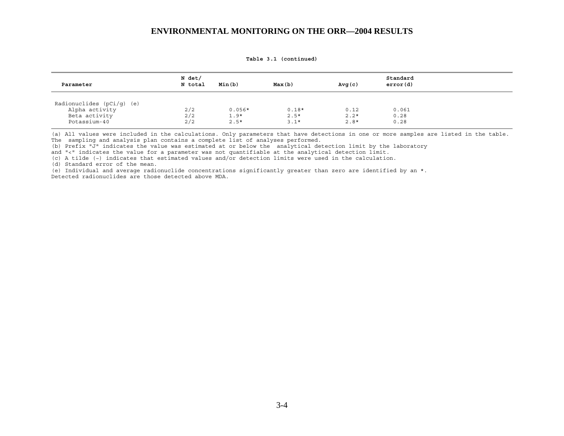| Parameter                       | N det/<br>N total | Min(b)   | Max(b)            | Avg(c)         | Standard<br>error(d) |  |
|---------------------------------|-------------------|----------|-------------------|----------------|----------------------|--|
| Radionuclides $(pCi/q)$ (e)     |                   | $0.056*$ |                   |                | 0.061                |  |
| Alpha activity<br>Beta activity | 2/2<br>2/2        | $1.9*$   | $0.18*$<br>$2.5*$ | 0.12<br>$2.2*$ | 0.28                 |  |
| Potassium-40                    | 2/2               | $2.5*$   | $3.1*$            | $2.8*$         | 0.28                 |  |

**Table 3.1 (continued)** 

(a) All values were included in the calculations. Only parameters that have detections in one or more samples are listed in the table. The sampling and analysis plan contains a complete list of analyses performed.

(b) Prefix "J" indicates the value was estimated at or below the analytical detection limit by the laboratory

and "<" indicates the value for a parameter was not quantifiable at the analytical detection limit.

(c) A tilde (~) indicates that estimated values and/or detection limits were used in the calculation.

(d) Standard error of the mean.

(e) Individual and average radionuclide concentrations significantly greater than zero are identified by an \*. Detected radionuclides are those detected above MDA.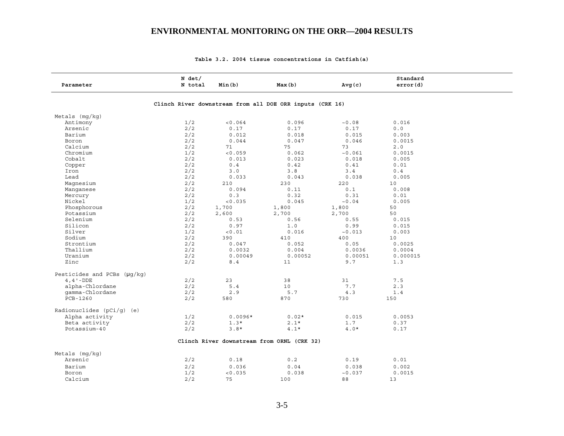| Parameter                          | N det/<br>N total | Min(b)    | Max(b)                                                   | Avg(c)  | Standard<br>error(d) |  |
|------------------------------------|-------------------|-----------|----------------------------------------------------------|---------|----------------------|--|
|                                    |                   |           | Clinch River downstream from all DOE ORR inputs (CRK 16) |         |                      |  |
| Metals $(mq/kg)$                   |                   |           |                                                          |         |                      |  |
| Antimony                           | 1/2               | < 0.064   | 0.096                                                    | ~10.08  | 0.016                |  |
| Arsenic                            | 2/2               | 0.17      | 0.17                                                     | 0.17    | 0.0                  |  |
| Barium                             | 2/2               | 0.012     | 0.018                                                    | 0.015   | 0.003                |  |
| Boron                              | 2/2               | 0.044     | 0.047                                                    | 0.046   | 0.0015               |  |
| Calcium                            | 2/2               | 71        | 75                                                       | 73      | 2.0                  |  |
| Chromium                           | 1/2               | < 0.059   | 0.062                                                    | ~0.061  | 0.0015               |  |
| Cobalt                             | 2/2               | 0.013     | 0.023                                                    | 0.018   | 0.005                |  |
| Copper                             | 2/2               | 0.4       | 0.42                                                     | 0.41    | 0.01                 |  |
| Iron                               | 2/2               | 3.0       | 3.8                                                      | 3.4     | 0.4                  |  |
| Lead                               | 2/2               | 0.033     | 0.043                                                    | 0.038   | 0.005                |  |
| Magnesium                          | 2/2               | 210       | 230                                                      | 220     | 10                   |  |
| Manqanese                          | 2/2               | 0.094     | 0.11                                                     | 0.1     | 0.008                |  |
| Mercury                            | 2/2               | 0.3       | 0.32                                                     | 0.31    | 0.01                 |  |
| Nickel                             | 1/2               | < 0.035   | 0.045                                                    | ~10.04  | 0.005                |  |
| Phosphorous                        | 2/2               | 1,700     | 1,800                                                    | 1,800   | 50                   |  |
| Potassium                          | 2/2               | 2,600     | 2,700                                                    | 2,700   | 50                   |  |
| Selenium                           | 2/2               | 0.53      | 0.56                                                     | 0.55    | 0.015                |  |
| Silicon                            | 2/2               | 0.97      | 1.0                                                      | 0.99    | 0.015                |  |
| Silver                             | 1/2               | < 0.01    | 0.016                                                    | ~10.013 | 0.003                |  |
| Sodium                             | 2/2               | 390       | 410                                                      | 400     | 10                   |  |
| Strontium                          | 2/2               | 0.047     | 0.052                                                    | 0.05    | 0.0025               |  |
| Thallium                           | 2/2               | 0.0032    | 0.004                                                    | 0.0036  | 0.0004               |  |
| Uranium                            | 2/2               | 0.00049   | 0.00052                                                  | 0.00051 | 0.000015             |  |
| Zinc                               | 2/2               | 8.4       | 11                                                       | 9.7     | 1.3                  |  |
| Pesticides and PCBs $(\mu q / kq)$ |                   |           |                                                          |         |                      |  |
| $4, 4$ ' -DDE                      | 2/2               | 23        | 38                                                       | 31      | 7.5                  |  |
| alpha-Chlordane                    | 2/2               | 5.4       | 10                                                       | 7.7     | 2.3                  |  |
| qamma-Chlordane                    | 2/2               | 2.9       | 5.7                                                      | 4.3     | 1.4                  |  |
| PCB-1260                           | 2/2               | 580       | 870                                                      | 730     | 150                  |  |
| Radionuclides $(pCi/q)$ (e)        |                   |           |                                                          |         |                      |  |
| Alpha activity                     | 1/2               | $0.0096*$ | $0.02*$                                                  | 0.015   | 0.0053               |  |
| Beta activity                      | 2/2               | $1.3*$    | $2.1*$                                                   | 1.7     | 0.37                 |  |
| Potassium-40                       | 2/2               | $3.8*$    | $4.1*$                                                   | $4.0*$  | 0.17                 |  |
|                                    |                   |           | Clinch River downstream from ORNL (CRK 32)               |         |                      |  |
| Metals $(mq/kg)$                   |                   |           |                                                          |         |                      |  |
| Arsenic                            | 2/2               | 0.18      | 0.2                                                      | 0.19    | 0.01                 |  |
| Barium                             | 2/2               | 0.036     | 0.04                                                     | 0.038   | 0.002                |  |
| Boron                              | 1/2               | < 0.035   | 0.038                                                    | ~10.037 | 0.0015               |  |
| Calcium                            | 2/2               | 75        | 100                                                      | 88      | 13                   |  |

### **Table 3.2. 2004 tissue concentrations in Catfish(a)**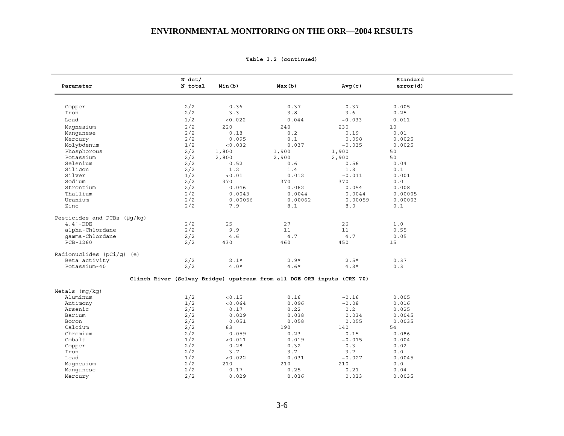|  |  | Table 3.2 (continued) |  |
|--|--|-----------------------|--|
|--|--|-----------------------|--|

| Parameter                   | N det/<br>N total                                                      | Min(b)  | Max(b)  | Avg(c)  | Standard<br>error(d) |  |
|-----------------------------|------------------------------------------------------------------------|---------|---------|---------|----------------------|--|
|                             |                                                                        |         |         |         |                      |  |
| Copper                      | 2/2                                                                    | 0.36    | 0.37    | 0.37    | 0.005                |  |
| Iron                        | 2/2                                                                    | 3.3     | 3.8     | 3.6     | 0.25                 |  |
| Lead                        | 1/2                                                                    | < 0.022 | 0.044   | ~10.033 | 0.011                |  |
| Magnesium                   | 2/2                                                                    | 220     | 240     | 230     | 10                   |  |
| Manqanese                   | 2/2                                                                    | 0.18    | 0.2     | 0.19    | 0.01                 |  |
| Mercury                     | 2/2                                                                    | 0.095   | 0.1     | 0.098   | 0.0025               |  |
| Molybdenum                  | 1/2                                                                    | < 0.032 | 0.037   | ~10.035 | 0.0025               |  |
| Phosphorous                 | 2/2                                                                    | 1,800   | 1,900   | 1,900   | 50                   |  |
| Potassium                   | 2/2                                                                    |         | 2,900   |         | 50                   |  |
|                             |                                                                        | 2,800   |         | 2,900   |                      |  |
| Selenium                    | 2/2                                                                    | 0.52    | 0.6     | 0.56    | 0.04                 |  |
| Silicon                     | 2/2                                                                    | 1.2     | 1.4     | 1.3     | 0.1                  |  |
| Silver                      | 1/2                                                                    | < 0.01  | 0.012   | ~10.011 | 0.001                |  |
| Sodium                      | 2/2                                                                    | 370     | 370     | 370     | 0.0                  |  |
| Strontium                   | 2/2                                                                    | 0.046   | 0.062   | 0.054   | 0.008                |  |
| Thallium                    | 2/2                                                                    | 0.0043  | 0.0044  | 0.0044  | 0.00005              |  |
| Uranium                     | 2/2                                                                    | 0.00056 | 0.00062 | 0.00059 | 0.00003              |  |
| Zinc                        | 2/2                                                                    | 7.9     | 8.1     | 8.0     | 0.1                  |  |
| Pesticides and PCBs (µg/kg) |                                                                        |         |         |         |                      |  |
| $4, 4$ '-DDE                | 2/2                                                                    | 25      | 27      | 26      | 1.0                  |  |
| alpha-Chlordane             | 2/2                                                                    | 9.9     | 11      | 11      | 0.55                 |  |
| qamma-Chlordane             | 2/2                                                                    | 4.6     | 4.7     | 4.7     | 0.05                 |  |
| PCB-1260                    | 2/2                                                                    | 430     | 460     | 450     | 15                   |  |
| Radionuclides $(pCi/q)$ (e) |                                                                        |         |         |         |                      |  |
| Beta activity               | 2/2                                                                    | $2.1*$  | $2.9*$  | $2.5*$  | 0.37                 |  |
| Potassium-40                | 2/2                                                                    | $4.0*$  | $4.6*$  | $4.3*$  | 0.3                  |  |
|                             | Clinch River (Solway Bridge) upstream from all DOE ORR inputs (CRK 70) |         |         |         |                      |  |
| Metals $(mq/kg)$            |                                                                        |         |         |         |                      |  |
| Aluminum                    | 1/2                                                                    | < 0.15  | 0.16    | ~16     | 0.005                |  |
| Antimony                    | 1/2                                                                    | < 0.064 | 0.096   | ~0.08   | 0.016                |  |
| Arsenic                     | 2/2                                                                    | 0.17    | 0.22    | 0.2     | 0.025                |  |
| Barium                      | 2/2                                                                    | 0.029   | 0.038   | 0.034   | 0.0045               |  |
| Boron                       | 2/2                                                                    | 0.051   | 0.058   | 0.055   | 0.0035               |  |
| Calcium                     | 2/2                                                                    | 83      | 190     | 140     | 54                   |  |
| Chromium                    | 2/2                                                                    | 0.059   | 0.23    | 0.15    | 0.086                |  |
| Cobalt                      | 1/2                                                                    | < 0.011 | 0.019   | ~10.015 | 0.004                |  |
|                             |                                                                        |         |         |         |                      |  |
| Copper                      | 2/2                                                                    | 0.28    | 0.32    | 0.3     | 0.02                 |  |
| Iron                        | 2/2                                                                    | 3.7     | 3.7     | 3.7     | 0.0                  |  |
| Lead                        | 1/2                                                                    | < 0.022 | 0.031   | ~10.027 | 0.0045               |  |
| Magnesium                   | 2/2                                                                    | 210     | 210     | 210     | $0.0$                |  |
| Manganese                   | 2/2                                                                    | 0.17    | 0.25    | 0.21    | 0.04                 |  |
| Mercury                     | 2/2                                                                    | 0.029   | 0.036   | 0.033   | 0.0035               |  |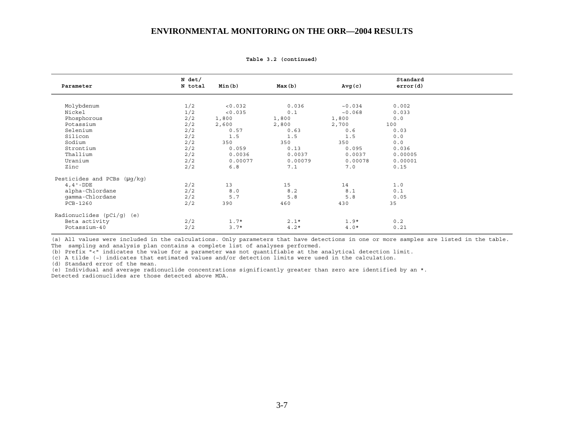|                                  | N det/  |         |         |         | Standard |  |
|----------------------------------|---------|---------|---------|---------|----------|--|
| Parameter                        | N total | Min(b)  | Max(b)  | Avg(c)  | error(d) |  |
| Molybdenum                       | 1/2     | < 0.032 | 0.036   | ~10.034 | 0.002    |  |
| Nickel                           | 1/2     | < 0.035 | 0.1     | ~10.068 | 0.033    |  |
| Phosphorous                      | 2/2     | 1,800   | 1,800   | 1,800   | 0.0      |  |
| Potassium                        | 2/2     | 2,600   | 2,800   | 2,700   | 100      |  |
| Selenium                         | 2/2     | 0.57    | 0.63    | 0.6     | 0.03     |  |
| Silicon                          | 2/2     | 1.5     | 1.5     | 1.5     | 0.0      |  |
| Sodium                           | 2/2     | 350     | 350     | 350     | 0.0      |  |
| Strontium                        | 2/2     | 0.059   | 0.13    | 0.095   | 0.036    |  |
| Thallium                         | 2/2     | 0.0036  | 0.0037  | 0.0037  | 0.00005  |  |
| Uranium                          | 2/2     | 0.00077 | 0.00079 | 0.00078 | 0.00001  |  |
| Zinc                             | 2/2     | 6.8     | 7.1     | 7.0     | 0.15     |  |
| Pesticides and PCBs $(\mu q/kg)$ |         |         |         |         |          |  |
| $4, 4$ $-DDE$                    | 2/2     | 13      | 15      | 14      | 1.0      |  |
| alpha-Chlordane                  | 2/2     | 8.0     | 8.2     | 8.1     | 0.1      |  |
| qamma-Chlordane                  | 2/2     | 5.7     | 5.8     | 5.8     | 0.05     |  |
| PCB-1260                         | 2/2     | 390     | 460     | 430     | 35       |  |
| Radionuclides $(pCi/q)$ (e)      |         |         |         |         |          |  |
| Beta activity                    | 2/2     | $1.7*$  | $2.1*$  | $1.9*$  | 0.2      |  |
| Potassium-40                     | 2/2     | $3.7*$  | $4.2*$  | $4.0*$  | 0.21     |  |

**Table 3.2 (continued)** 

(a) All values were included in the calculations. Only parameters that have detections in one or more samples are listed in the table. The sampling and analysis plan contains a complete list of analyses performed.

(b) Prefix "<" indicates the value for a parameter was not quantifiable at the analytical detection limit.

(c) A tilde (~) indicates that estimated values and/or detection limits were used in the calculation.

(d) Standard error of the mean.

(e) Individual and average radionuclide concentrations significantly greater than zero are identified by an \*. Detected radionuclides are those detected above MDA.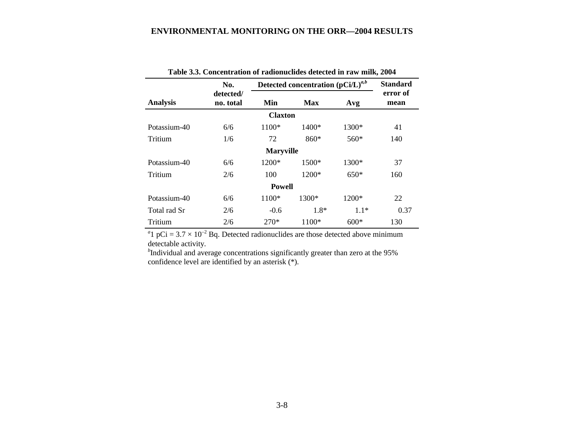| Table 3.3. Concentration of radionuclides detected in raw milk, 2004 |                               |                  |                                        |        |                  |  |  |  |  |
|----------------------------------------------------------------------|-------------------------------|------------------|----------------------------------------|--------|------------------|--|--|--|--|
|                                                                      | No.                           |                  | Detected concentration $(pCi/L)^{a,b}$ |        | <b>Standard</b>  |  |  |  |  |
| <b>Analysis</b>                                                      | detected/<br>no. total<br>Min |                  | <b>Max</b>                             | Avg    | error of<br>mean |  |  |  |  |
|                                                                      |                               | <b>Claxton</b>   |                                        |        |                  |  |  |  |  |
| Potassium-40                                                         | 6/6                           | 1100*            | $1400*$                                | 1300*  | 41               |  |  |  |  |
| Tritium                                                              | 1/6                           | 72               | 860*                                   | $560*$ | 140              |  |  |  |  |
|                                                                      |                               | <b>Maryville</b> |                                        |        |                  |  |  |  |  |
| Potassium-40                                                         | 6/6                           | 1200*            | 1500*                                  | 1300*  | 37               |  |  |  |  |
| Tritium                                                              | 2/6                           | 100              | 1200*                                  | $650*$ | 160              |  |  |  |  |
|                                                                      |                               | <b>Powell</b>    |                                        |        |                  |  |  |  |  |
| Potassium-40                                                         | 6/6                           | 1100*            | 1300*                                  | 1200*  | 22               |  |  |  |  |
| Total rad Sr                                                         | 2/6                           | $-0.6$           | 1.8*                                   | $1.1*$ | 0.37             |  |  |  |  |
| Tritium                                                              | 2/6                           | 270*             | 1100*                                  | $600*$ | 130              |  |  |  |  |

<sup>a</sup>l pCi =  $3.7 \times 10^{-2}$  Bq. Detected radionuclides are those detected above minimum detectable activity.

<sup>b</sup>Individual and average concentrations significantly greater than zero at the 95% confidence level are identified by an asterisk (\*).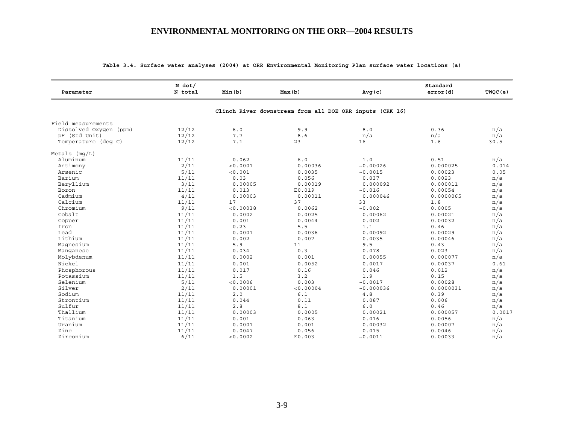| Parameter              | $N$ det/<br>N total | Min(b)    | Max(b)                                                   | Avg(c)     | Standard<br>error(d) | TWQC(e) |
|------------------------|---------------------|-----------|----------------------------------------------------------|------------|----------------------|---------|
|                        |                     |           | Clinch River downstream from all DOE ORR inputs (CRK 16) |            |                      |         |
| Field measurements     |                     |           |                                                          |            |                      |         |
| Dissolved Oxygen (ppm) | 12/12               | $6.0$     | 9.9                                                      | 8.0        | 0.36                 | n/a     |
| pH (Std Unit)          | 12/12               | 7.7       | 8.6                                                      | n/a        | n/a                  | n/a     |
| Temperature (deq C)    | 12/12               | 7.1       | 23                                                       | 16         | 1.6                  | 30.5    |
| Metals $(mq/L)$        |                     |           |                                                          |            |                      |         |
| Aluminum               | 11/11               | 0.062     | $6.0$                                                    | 1.0        | 0.51                 | n/a     |
| Antimony               | 2/11                | < 0.0001  | 0.00036                                                  | ~10.00026  | 0.000025             | 0.014   |
| Arsenic                | 5/11                | < 0.001   | 0.0035                                                   | ~0.0015    | 0.00023              | 0.05    |
| Barium                 | 11/11               | 0.03      | 0.056                                                    | 0.037      | 0.0023               | n/a     |
| Beryllium              | 3/11                | 0.00005   | 0.00019                                                  | 0.000092   | 0.000011             | n/a     |
| Boron                  | 11/11               | 0.013     | E0.019                                                   | ~10.016    | 0.00054              | n/a     |
| Cadmium                | 4/11                | 0.00003   | 0.00011                                                  | 0.000046   | 0.0000065            | n/a     |
| Calcium                | 11/11               | 17        | 37                                                       | 33         | 1.8                  | n/a     |
| Chromium               | 9/11                | < 0.00038 | 0.0062                                                   | ~10.002    | 0.0005               | n/a     |
| Cobalt                 | 11/11               | 0.0002    | 0.0025                                                   | 0.00062    | 0.00021              | n/a     |
| Copper                 | 11/11               | 0.001     | 0.0044                                                   | 0.002      | 0.00032              | n/a     |
| Iron                   | 11/11               | 0.23      | 5.5                                                      | 1.1        | 0.46                 | n/a     |
| Lead                   | 11/11               | 0.0001    | 0.0036                                                   | 0.00092    | 0.00029              | n/a     |
| Lithium                | 11/11               | 0.002     | 0.007                                                    | 0.0035     | 0.00046              | n/a     |
| Magnesium              | 11/11               | 5.9       | 11                                                       | 9.5        | 0.43                 | n/a     |
| Manqanese              | 11/11               | 0.034     | 0.3                                                      | 0.078      | 0.023                | n/a     |
| Molybdenum             | 11/11               | 0.0002    | 0.001                                                    | 0.00055    | 0.000077             | n/a     |
| Nickel                 | 11/11               | 0.001     | 0.0052                                                   | 0.0017     | 0.00037              | 0.61    |
| Phosphorous            | 11/11               | 0.017     | 0.16                                                     | 0.046      | 0.012                | n/a     |
| Potassium              | 11/11               | 1.5       | 3.2                                                      | 1.9        | 0.15                 | n/a     |
| Selenium               | 5/11                | 0.0006    | 0.003                                                    | ~10.0017   | 0.00028              | n/a     |
| Silver                 | 2/11                | 0.00001   | < 0.00004                                                | ~10.000036 | 0.0000031            | n/a     |
| Sodium                 | 11/11               | 2.0       | 6.1                                                      | $4.8$      | 0.39                 | n/a     |
| Strontium              | 11/11               | 0.044     | 0.11                                                     | 0.087      | 0.006                | n/a     |
| Sulfur                 | 11/11               | $2.8$     | 8.1                                                      | 6.0        | 0.46                 | n/a     |
| Thallium               | 11/11               | 0.00003   | 0.0005                                                   | 0.00021    | 0.000057             | 0.0017  |
| Titanium               | 11/11               | 0.001     | 0.063                                                    | 0.016      | 0.0056               | n/a     |
| Uranium                | 11/11               | 0.0001    | 0.001                                                    | 0.00032    | 0.00007              | n/a     |
| Zinc                   | 11/11               | 0.0047    | 0.056                                                    | 0.015      | 0.0046               | n/a     |
| Zirconium              | 6/11                | < 0.0002  | E0.003                                                   | ~0.0011    | 0.00033              | n/a     |

#### **Table 3.4. Surface water analyses (2004) at ORR Environmental Monitoring Plan surface water locations (a)**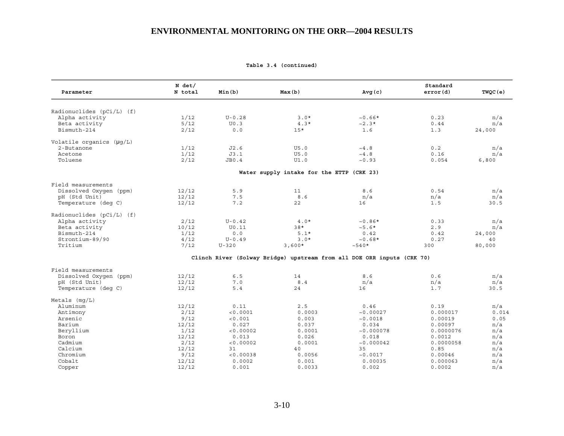| Parameter                   | $N$ det/<br>N total | Min(b)     | Max(b)                                    | Avg(c)                                                                 | Standard<br>error(d) | TWQC(e) |
|-----------------------------|---------------------|------------|-------------------------------------------|------------------------------------------------------------------------|----------------------|---------|
|                             |                     |            |                                           |                                                                        |                      |         |
| Radionuclides $(pCi/L)$ (f) |                     |            |                                           |                                                                        |                      |         |
| Alpha activity              | 1/12                | $U - 0.28$ | $3.0*$                                    | $~10.66*$                                                              | 0.23                 | n/a     |
| Beta activity               | 5/12                | U0.3       | $4.3*$                                    | $~2.3*$                                                                | 0.44                 | n/a     |
| Bismuth-214                 | 2/12                | 0.0        | $15*$                                     | 1.6                                                                    | 1.3                  | 24,000  |
| Volatile organics (µq/L)    |                     |            |                                           |                                                                        |                      |         |
| 2-Butanone                  | 1/12                | J2.6       | U5.0                                      | ~1.8                                                                   | 0.2                  | n/a     |
| Acetone                     | 1/12                | J3.1       | U5.0                                      | ~1.8                                                                   | 0.16                 | n/a     |
| Toluene                     | 2/12                | JB0.4      | UI.0                                      | ~10.93                                                                 | 0.054                | 6,800   |
|                             |                     |            | Water supply intake for the ETTP (CRK 23) |                                                                        |                      |         |
| Field measurements          |                     |            |                                           |                                                                        |                      |         |
| Dissolved Oxygen (ppm)      | 12/12               | 5.9        | 11                                        | 8.6                                                                    | 0.54                 | n/a     |
| pH (Std Unit)               | 12/12               | 7.5        | 8.6                                       | n/a                                                                    | n/a                  | n/a     |
| Temperature (deq C)         | 12/12               | 7.2        | 22                                        | 16                                                                     | 1.5                  | 30.5    |
| Radionuclides $(pCi/L)$ (f) |                     |            |                                           |                                                                        |                      |         |
| Alpha activity              | 2/12                | $U - 0.42$ | $4.0*$                                    | $~10.86*$                                                              | 0.33                 | n/a     |
| Beta activity               | 10/12               | U0.11      | $38*$                                     | $~5.6*$                                                                | 2.9                  | n/a     |
| Bismuth-214                 | 1/12                | 0.0        | $5.1*$                                    | 0.42                                                                   | 0.42                 | 24,000  |
| Strontium-89/90             | 4/12                | $U - 0.49$ | $3.0*$                                    | $~10.68*$                                                              | 0.27                 | 40      |
| Tritium                     | 7/12                | $U - 320$  | $3,600*$                                  | $~10*$                                                                 | 300                  | 80,000  |
|                             |                     |            |                                           | Clinch River (Solway Bridge) upstream from all DOE ORR inputs (CRK 70) |                      |         |
| Field measurements          |                     |            |                                           |                                                                        |                      |         |
| Dissolved Oxygen (ppm)      | 12/12               | 6.5        | 14                                        | 8.6                                                                    | 0.6                  | n/a     |
| pH (Std Unit)               | 12/12               | 7.0        | 8.4                                       | n/a                                                                    | n/a                  | n/a     |
| Temperature (deq C)         | 12/12               | 5.4        | 24                                        | 16                                                                     | 1.7                  | 30.5    |
| Metals $(mq/L)$             |                     |            |                                           |                                                                        |                      |         |
| Aluminum                    | 12/12               | 0.11       | 2.5                                       | 0.46                                                                   | 0.19                 | n/a     |
| Antimony                    | 2/12                | < 0.0001   | 0.0003                                    | ~10.00027                                                              | 0.000017             | 0.014   |
| Arsenic                     | 9/12                | < 0.001    | 0.003                                     | ~0.0018                                                                | 0.00019              | 0.05    |
| Barium                      | 12/12               | 0.027      | 0.037                                     | 0.034                                                                  | 0.00097              | n/a     |
| Beryllium                   | 1/12                | < 0.00002  | 0.0001                                    | ~10.000078                                                             | 0.0000076            | n/a     |
| Boron                       | 12/12               | 0.013      | 0.026                                     | 0.018                                                                  | 0.0012               | n/a     |
| Cadmium                     | 2/12                | < 0.00002  | 0.0001                                    | ~10.000042                                                             | 0.0000058            | n/a     |
| Calcium                     | 12/12               | 31         | 40                                        | 35                                                                     | 0.85                 | n/a     |
| Chromium                    | 9/12                | < 0.00038  | 0.0056                                    | ~0.0017                                                                | 0.00046              | n/a     |
| Cobalt                      | 12/12               | 0.0002     | 0.001                                     | 0.00035                                                                | 0.000063             | n/a     |
| Copper                      | 12/12               | 0.001      | 0.0033                                    | 0.002                                                                  | 0.0002               | n/a     |

**Table 3.4 (continued)**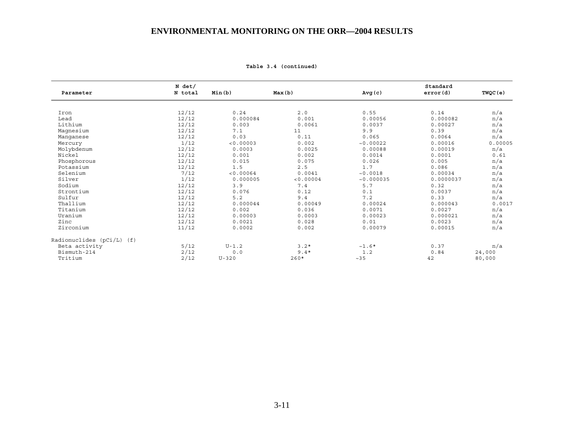| Parameter                 | $N$ det/<br>N total | Min(b)    | Max(b)    | Avg(c)     | Standard<br>error(d) | TWQC (e) |
|---------------------------|---------------------|-----------|-----------|------------|----------------------|----------|
|                           |                     |           |           |            |                      |          |
| Iron                      | 12/12               | 0.24      | 2.0       | 0.55       | 0.14                 | n/a      |
| Lead                      | 12/12               | 0.000084  | 0.001     | 0.00056    | 0.000082             | n/a      |
| Lithium                   | 12/12               | 0.003     | 0.0061    | 0.0037     | 0.00027              | n/a      |
| Magnesium                 | 12/12               | 7.1       | 11        | 9.9        | 0.39                 | n/a      |
| Manqanese                 | 12/12               | 0.03      | 0.11      | 0.065      | 0.0064               | n/a      |
| Mercury                   | 1/12                | < 0.00003 | 0.002     | ~10.00022  | 0.00016              | 0.00005  |
| Molybdenum                | 12/12               | 0.0003    | 0.0025    | 0.00088    | 0.00019              | n/a      |
| Nickel                    | 12/12               | 0.001     | 0.002     | 0.0014     | 0.0001               | 0.61     |
| Phosphorous               | 12/12               | 0.015     | 0.075     | 0.026      | 0.005                | n/a      |
| Potassium                 | 12/12               | 1.5       | 2.5       | 1.7        | 0.086                | n/a      |
| Selenium                  | 7/12                | < 0.00064 | 0.0041    | ~10.0018   | 0.00034              | n/a      |
| Silver                    | 1/12                | 0.000005  | < 0.00004 | ~10.000035 | 0.0000037            | n/a      |
| Sodium                    | 12/12               | 3.9       | 7.4       | 5.7        | 0.32                 | n/a      |
| Strontium                 | 12/12               | 0.076     | 0.12      | 0.1        | 0.0037               | n/a      |
| Sulfur                    | 12/12               | 5.2       | 9.4       | 7.2        | 0.33                 | n/a      |
| Thallium                  | 12/12               | 0.000044  | 0.00049   | 0.00024    | 0.000043             | 0.0017   |
| Titanium                  | 12/12               | 0.002     | 0.036     | 0.0071     | 0.0027               | n/a      |
| Uranium                   | 12/12               | 0.00003   | 0.0003    | 0.00023    | 0.000021             | n/a      |
| Zinc                      | 12/12               | 0.0021    | 0.028     | 0.01       | 0.0023               | n/a      |
| Zirconium                 | 11/12               | 0.0002    | 0.002     | 0.00079    | 0.00015              | n/a      |
| Radionuclides (pCi/L) (f) |                     |           |           |            |                      |          |
| Beta activity             | 5/12                | $U-1.2$   | $3.2*$    | $~1.6*$    | 0.37                 | n/a      |
| Bismuth-214               | 2/12                | 0.0       | $9.4*$    | 1.2        | 0.84                 | 24,000   |
| Tritium                   | 2/12                | $U - 320$ | $260*$    | $~1 - 35$  | 42                   | 80,000   |

**Table 3.4 (continued)**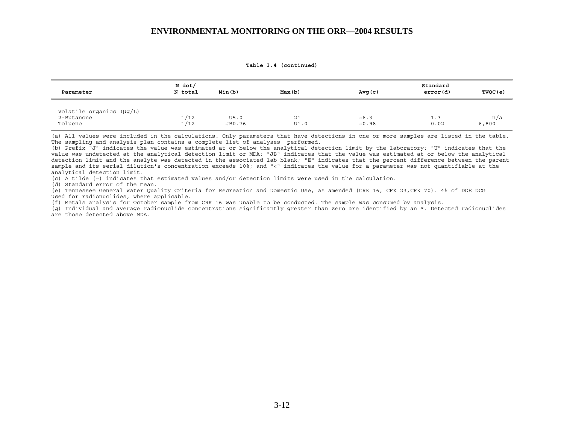**Table 3.4 (continued)** 

| Parameter                                         | N det/<br>N total | Min(b)         | Max(b)     | Avg(c)                | Standard<br>error(d) | TWQC(e)      |
|---------------------------------------------------|-------------------|----------------|------------|-----------------------|----------------------|--------------|
| Volatile organics (µg/L)<br>2-Butanone<br>Toluene | 1/12<br>1/12      | U5.0<br>JB0.76 | 21<br>UI.0 | $~10 - 6.3$<br>~10.98 | 1.3<br>0.02          | n/a<br>6,800 |

(a) All values were included in the calculations. Only parameters that have detections in one or more samples are listed in the table. The sampling and analysis plan contains a complete list of analyses performed.

(b) Prefix "J" indicates the value was estimated at or below the analytical detection limit by the laboratory; "U" indicates that the value was undetected at the analytical detection limit or MDA; "JB" indicates that the value was estimated at or below the analytical detection limit and the analyte was detected in the associated lab blank; "E" indicates that the percent difference between the parent sample and its serial dilution's concentration exceeds 10%; and "<" indicates the value for a parameter was not quantifiable at the analytical detection limit.

(c) A tilde (~) indicates that estimated values and/or detection limits were used in the calculation.

(d) Standard error of the mean.

(e) Tennessee General Water Quality Criteria for Recreation and Domestic Use, as amended (CRK 16, CRK 23,CRK 70). 4% of DOE DCG used for radionuclides, where applicable.

(f) Metals analysis for October sample from CRK 16 was unable to be conducted. The sample was consumed by analysis.

(g) Individual and average radionuclide concentrations significantly greater than zero are identified by an \*. Detected radionuclides are those detected above MDA.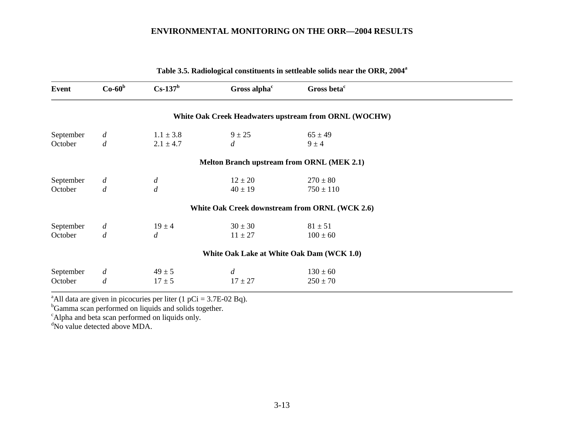| <b>Event</b> | $Co-60b$         | $Cs-137b$        | Gross alpha <sup>c</sup>                   | Gross beta <sup>c</sup>                               |  |
|--------------|------------------|------------------|--------------------------------------------|-------------------------------------------------------|--|
|              |                  |                  |                                            | White Oak Creek Headwaters upstream from ORNL (WOCHW) |  |
| September    | $\overline{d}$   | $1.1 \pm 3.8$    | $9 \pm 25$                                 | $65 \pm 49$                                           |  |
| October      | $\boldsymbol{d}$ | $2.1 \pm 4.7$    | $\boldsymbol{d}$                           | $9 \pm 4$                                             |  |
|              |                  |                  | Melton Branch upstream from ORNL (MEK 2.1) |                                                       |  |
| September    | $\overline{d}$   | $\overline{d}$   | $12 \pm 20$                                | $270 \pm 80$                                          |  |
| October      | $\boldsymbol{d}$ | $\boldsymbol{d}$ | $40 \pm 19$                                | $750 \pm 110$                                         |  |
|              |                  |                  |                                            | White Oak Creek downstream from ORNL (WCK 2.6)        |  |
| September    | $\overline{d}$   | $19 \pm 4$       | $30 \pm 30$                                | $81 \pm 51$                                           |  |
| October      | $\boldsymbol{d}$ | $\overline{d}$   | $11 \pm 27$                                | $100 \pm 60$                                          |  |
|              |                  |                  | White Oak Lake at White Oak Dam (WCK 1.0)  |                                                       |  |
| September    | $\overline{d}$   | $49 \pm 5$       | $\boldsymbol{d}$                           | $130 \pm 60$                                          |  |
| October      | $\overline{d}$   | $17 \pm 5$       | $17 \pm 27$                                | $250 \pm 70$                                          |  |

**Table 3.5. Radiological constituents in settleable solids near the ORR, 2004a**

<sup>a</sup>All data are given in picocuries per liter (1 pCi = 3.7E-02 Bq).

<sup>b</sup>Gamma scan performed on liquids and solids together.

<sup>c</sup>Alpha and beta scan performed on liquids only.

<sup>d</sup>No value detected above MDA.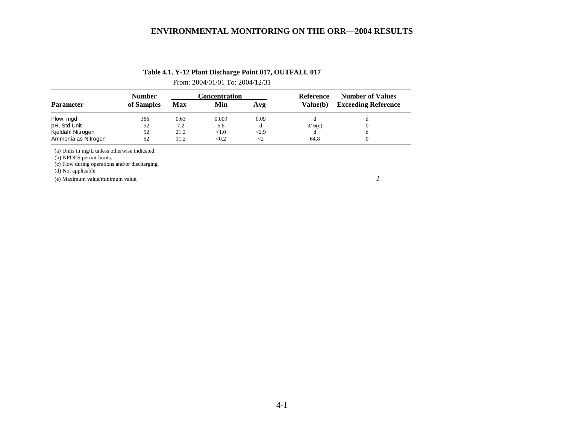| Table 4.1. Y-12 Plant Discharge Point 017, OUTFALL 017 |  |
|--------------------------------------------------------|--|
|--------------------------------------------------------|--|

From: 2004/01/01 To: 2004/12/31

|                     | <b>Number</b> |      | Concentration |      | Reference | <b>Number of Values</b>    |  |
|---------------------|---------------|------|---------------|------|-----------|----------------------------|--|
| <b>Parameter</b>    | of Samples    | Max  | Min           | Avg  | Value(b)  | <b>Exceeding Reference</b> |  |
| Flow, mgd           | 366           | 0.63 | 0.009         | 0.09 |           |                            |  |
| pH, Std Unit        | 52            | 7.2  | 6.6           |      | 9/6(e)    |                            |  |
| Kjeldahl Nitrogen   | 52            | 21.2 | <1.0          | 2.9  |           |                            |  |
| Ammonia as Nitrogen | 52            | 11.2 | < 0.2         |      | 64.8      |                            |  |

(a) Units in mg/L unless otherwise indicated.

(b) NPDES permit limits.

(c) Flow during operations and/or discharging.

(d) Not applicable.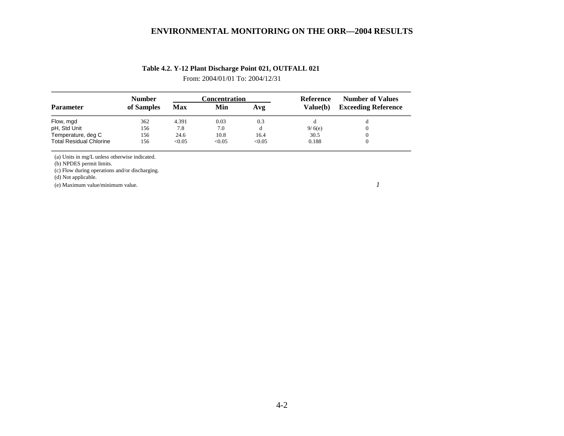From: 2004/01/01 To: 2004/12/31

|                                | <b>Number</b> |        | Concentration |        |          | <b>Number of Values</b>    |  |
|--------------------------------|---------------|--------|---------------|--------|----------|----------------------------|--|
| <b>Parameter</b>               | of Samples    | Max    | Min           | Avg    | Value(b) | <b>Exceeding Reference</b> |  |
| Flow, mgd                      | 362           | 4.391  | 0.03          | 0.3    |          |                            |  |
| pH, Std Unit                   | 156           | 7.8    | 7.0           | đ      | 9/6(e)   | $\Omega$                   |  |
| Temperature, deg C             | 156           | 24.6   | 10.8          | 16.4   | 30.5     |                            |  |
| <b>Total Residual Chlorine</b> | 156           | < 0.05 | < 0.05        | < 0.05 | 0.188    |                            |  |

(a) Units in mg/L unless otherwise indicated.

(b) NPDES permit limits.

(c) Flow during operations and/or discharging.

(d) Not applicable.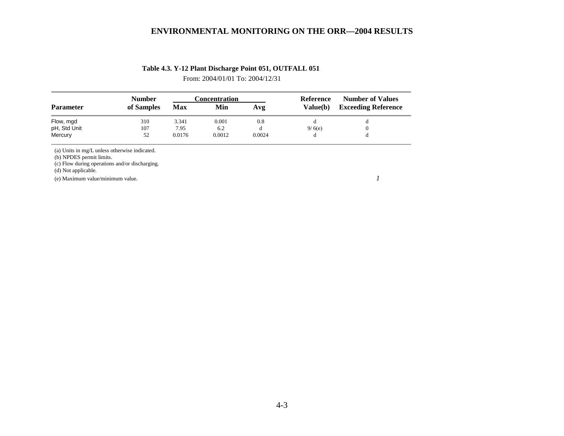## **Table 4.3. Y-12 Plant Discharge Point 051, OUTFALL 051**

From: 2004/01/01 To: 2004/12/31

|                  | <b>Number</b> |        | Concentration | Reference | <b>Number of Values</b> |                            |
|------------------|---------------|--------|---------------|-----------|-------------------------|----------------------------|
| <b>Parameter</b> | of Samples    | Max    | Min           | Avg       | Value(b)                | <b>Exceeding Reference</b> |
| Flow, mgd        | 310           | 3.341  | 0.001         | 0.8       |                         |                            |
| pH, Std Unit     | 107           | 7.95   | 6.2           |           | 9/6(e)                  |                            |
| Mercury          | 52            | 0.0176 | 0.0012        | 0.0024    |                         |                            |

(a) Units in mg/L unless otherwise indicated.

(b) NPDES permit limits.

(c) Flow during operations and/or discharging.

(d) Not applicable.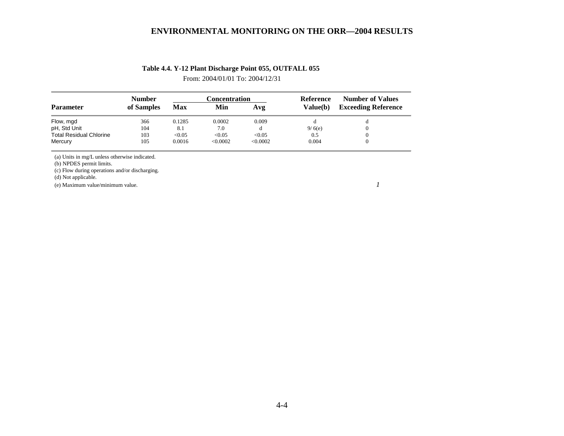# **Table 4.4. Y-12 Plant Discharge Point 055, OUTFALL 055**

From: 2004/01/01 To: 2004/12/31

|                                | <b>Number</b> |        | Concentration |          | Reference       | <b>Number of Values</b>    |  |
|--------------------------------|---------------|--------|---------------|----------|-----------------|----------------------------|--|
| <b>Parameter</b>               | of Samples    | Max    | Min           | Avg      | <b>Value(b)</b> | <b>Exceeding Reference</b> |  |
| Flow, mgd                      | 366           | 0.1285 | 0.0002        | 0.009    |                 | đ                          |  |
| pH, Std Unit                   | 104           | 8.1    | 7.0           |          | 9/6(e)          |                            |  |
| <b>Total Residual Chlorine</b> | 103           | < 0.05 | < 0.05        | < 0.05   | 0.5             |                            |  |
| Mercury                        | 105           | 0.0016 | <0.0002       | < 0.0002 | 0.004           |                            |  |

(a) Units in mg/L unless otherwise indicated.

(b) NPDES permit limits.

(c) Flow during operations and/or discharging.

(d) Not applicable.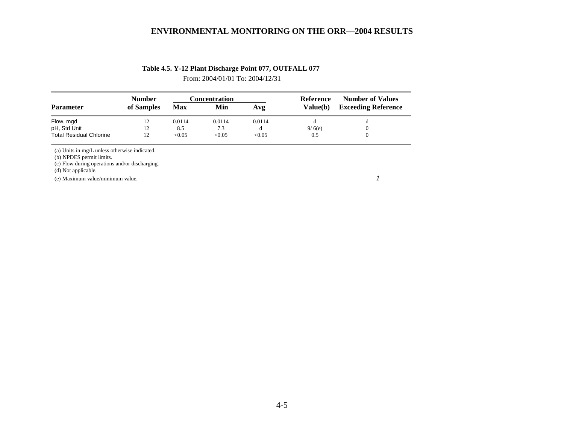# **Table 4.5. Y-12 Plant Discharge Point 077, OUTFALL 077**

From: 2004/01/01 To: 2004/12/31

|                                | <b>Number</b> | Concentration |        |        | Reference | <b>Number of Values</b>    |  |
|--------------------------------|---------------|---------------|--------|--------|-----------|----------------------------|--|
| <b>Parameter</b>               | of Samples    | Max           | Min    | Avg    | Value(b)  | <b>Exceeding Reference</b> |  |
| Flow, mgd                      | 12            | 0.0114        | 0.0114 | 0.0114 |           |                            |  |
| pH, Std Unit                   |               | 8.5           | 7.3    | đ      | 9/6(e)    |                            |  |
| <b>Total Residual Chlorine</b> |               | < 0.05        | < 0.05 | < 0.05 | 0.5       |                            |  |

(a) Units in mg/L unless otherwise indicated.

(b) NPDES permit limits.

(c) Flow during operations and/or discharging.

(d) Not applicable.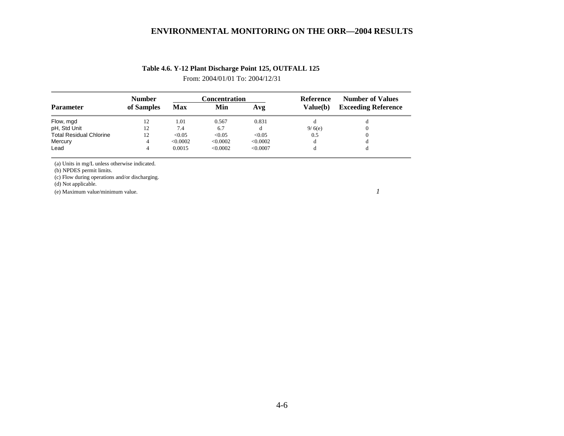From: 2004/01/01 To: 2004/12/31

|                                | <b>Number</b> |          | Concentration |          | Reference | <b>Number of Values</b>    |  |
|--------------------------------|---------------|----------|---------------|----------|-----------|----------------------------|--|
| <b>Parameter</b>               | of Samples    | Max      | Min           | Avg      | Value(b)  | <b>Exceeding Reference</b> |  |
| Flow, mgd                      |               | 1.01     | 0.567         | 0.831    |           |                            |  |
| pH, Std Unit                   |               | 7.4      | 6.7           |          | 9/6(e)    |                            |  |
| <b>Total Residual Chlorine</b> | 12            | < 0.05   | < 0.05        | < 0.05   | 0.5       | $\overline{0}$             |  |
| Mercury                        |               | < 0.0002 | < 0.0002      | < 0.0002 |           |                            |  |
| Lead                           |               | 0.0015   | < 0.0002      | < 0.0007 |           |                            |  |

(a) Units in mg/L unless otherwise indicated.

(b) NPDES permit limits.

(c) Flow during operations and/or discharging.

(d) Not applicable.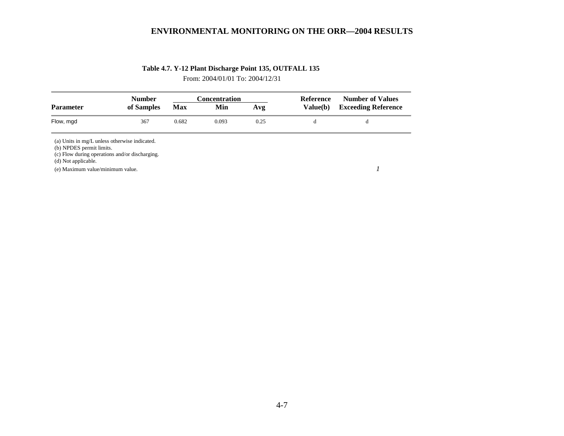# **Table 4.7. Y-12 Plant Discharge Point 135, OUTFALL 135**

From: 2004/01/01 To: 2004/12/31

| <b>Parameter</b>         | <b>Number</b>                                  |            | <b>Concentration</b> |      | Reference | <b>Number of Values</b>    |  |
|--------------------------|------------------------------------------------|------------|----------------------|------|-----------|----------------------------|--|
|                          | of Samples                                     | <b>Max</b> | Min                  | Avg  | Value(b)  | <b>Exceeding Reference</b> |  |
| Flow, mgd                | 367                                            | 0.682      | 0.093                | 0.25 | d         | d                          |  |
|                          | (a) Units in mg/L unless otherwise indicated.  |            |                      |      |           |                            |  |
| (b) NPDES permit limits. |                                                |            |                      |      |           |                            |  |
| (d) Not applicable.      | (c) Flow during operations and/or discharging. |            |                      |      |           |                            |  |
|                          | (e) Maximum value/minimum value.               |            |                      |      |           |                            |  |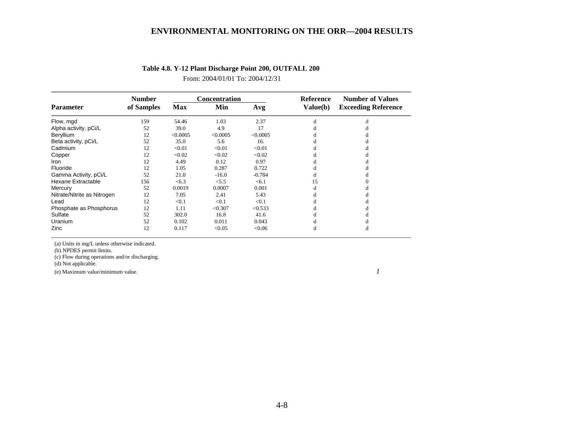|                             | <b>Number</b> |            | <b>Concentration</b> |          | <b>Reference</b> | <b>Number of Values</b>    |  |
|-----------------------------|---------------|------------|----------------------|----------|------------------|----------------------------|--|
| <b>Parameter</b>            | of Samples    | <b>Max</b> | Min                  | Avg      | Value(b)         | <b>Exceeding Reference</b> |  |
| Flow, mgd                   | 159           | 54.46      | 1.03                 | 2.37     | d                | đ                          |  |
| Alpha activity, pCi/L       | 52            | 39.0       | 4.9                  | 17       |                  |                            |  |
| Beryllium                   | 12            | < 0.0005   | < 0.0005             | < 0.0005 |                  |                            |  |
| Beta activity, pCi/L        | 52            | 35.0       | 5.6                  | 16.      |                  |                            |  |
| Cadmium                     | 12            | < 0.01     | < 0.01               | < 0.01   |                  |                            |  |
| Copper                      | 12            | < 0.02     | < 0.02               | < 0.02   |                  |                            |  |
| Iron                        | 12            | 4.49       | 0.12                 | 0.97     |                  |                            |  |
| Fluoride                    | 12            | 1.05       | 0.287                | 0.722    |                  |                            |  |
| Gamma Activity, pCi/L       | 52            | 21.0       | $-16.0$              | $-0.784$ | đ                |                            |  |
| Hexane Extractable          | 156           | < 6.3      | < 5.5                | < 6.1    | 15               |                            |  |
| Mercury                     | 52            | 0.0019     | 0.0007               | 0.001    | d                |                            |  |
| Nitrate/Nitrite as Nitrogen | 12            | 7.05       | 2.41                 | 5.43     |                  |                            |  |
| Lead                        | 12            | < 0.1      | < 0.1                | < 0.1    |                  |                            |  |
| Phosphate as Phosphorus     | 12            | 1.11       | < 0.307              | < 0.533  |                  |                            |  |
| Sulfate                     | 52            | 302.0      | 16.8                 | 41.6     |                  |                            |  |
| Uranium                     | 52            | 0.102      | 0.011                | 0.043    |                  |                            |  |
| Zinc                        | 12            | 0.117      | < 0.05               | <0.06    | d                | đ                          |  |

## **Table 4.8. Y-12 Plant Discharge Point 200, OUTFALL 200**

From: 2004/01/01 To: 2004/12/31

(a) Units in mg/L unless otherwise indicated.

(b) NPDES permit limits.

(c) Flow during operations and/or discharging.

(d) Not applicable.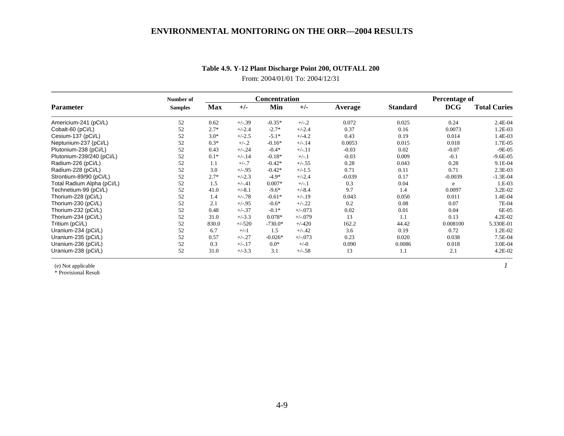|                                                                                                                                                                                                                                                                                                                                                 | Number of      |        |          | <b>Concentration</b> |            |          | Percentage of   |            |                     |
|-------------------------------------------------------------------------------------------------------------------------------------------------------------------------------------------------------------------------------------------------------------------------------------------------------------------------------------------------|----------------|--------|----------|----------------------|------------|----------|-----------------|------------|---------------------|
| <b>Parameter</b><br>Americium-241 (pCi/L)<br>Cobalt-60 (pCi/L)<br>Cesium-137 (pCi/L)<br>Neptunium-237 (pCi/L)<br>Plutonium-238 (pCi/L)<br>Plutonium-239/240 (pCi/L)<br>Radium-226 (pCi/L)<br>Radium-228 (pCi/L)<br>Strontium-89/90 (pCi/L)<br>Total Radium Alpha (pCi/L)<br>Technetium-99 (pCi/L)<br>Thorium-228 (pCi/L)<br>Thorium-230 (pCi/L) | <b>Samples</b> | Max    | $+/-$    | Min                  | $+/-$      | Average  | <b>Standard</b> | <b>DCG</b> | <b>Total Curies</b> |
|                                                                                                                                                                                                                                                                                                                                                 | 52             | 0.62   | $+/-39$  | $-0.35*$             | $+/-.2$    | 0.072    | 0.025           | 0.24       | 2.4E-04             |
|                                                                                                                                                                                                                                                                                                                                                 | 52             | $2.7*$ | $+/-2.4$ | $-2.7*$              | $+/-2.4$   | 0.37     | 0.16            | 0.0073     | 1.2E-03             |
|                                                                                                                                                                                                                                                                                                                                                 | 52             | $3.0*$ | $+/-2.5$ | $-5.1*$              | $+/-4.2$   | 0.43     | 0.19            | 0.014      | 1.4E-03             |
|                                                                                                                                                                                                                                                                                                                                                 | 52             | $0.3*$ | $+/-.2$  | $-0.16*$             | $+/-.14$   | 0.0053   | 0.015           | 0.018      | 1.7E-05             |
|                                                                                                                                                                                                                                                                                                                                                 | 52             | 0.43   | $+/-.24$ | $-0.4*$              | $+/-.11$   | $-0.03$  | 0.02            | $-0.07$    | $-9E-05$            |
|                                                                                                                                                                                                                                                                                                                                                 | 52             | $0.1*$ | $+/-.14$ | $-0.18*$             | $+/-.1$    | $-0.03$  | 0.009           | $-0.1$     | $-9.6E - 05$        |
|                                                                                                                                                                                                                                                                                                                                                 | 52             | 1.1    | $+/-.7$  | $-0.42*$             | $+/-.55$   | 0.28     | 0.043           | 0.28       | 9.1E-04             |
|                                                                                                                                                                                                                                                                                                                                                 | 52             | 3.0    | $+/-.95$ | $-0.42*$             | $+/-1.5$   | 0.71     | 0.11            | 0.71       | $2.3E-03$           |
|                                                                                                                                                                                                                                                                                                                                                 | 52             | $2.7*$ | $+/-2.3$ | $-4.9*$              | $+/-2.4$   | $-0.039$ | 0.17            | $-0.0039$  | $-1.3E-04$          |
|                                                                                                                                                                                                                                                                                                                                                 | 52             | 1.5    | $+/-.41$ | $0.007*$             | $+/-.1$    | 0.3      | 0.04            | e          | 1.E-03              |
|                                                                                                                                                                                                                                                                                                                                                 | 52             | 41.0   | $+/-8.1$ | $-9.6*$              | $+/-8.4$   | 9.7      | 1.4             | 0.0097     | 3.2E-02             |
|                                                                                                                                                                                                                                                                                                                                                 | 52             | 1.4    | $+/-.78$ | $-0.61*$             | $+/-.19$   | 0.043    | 0.050           | 0.011      | 1.4E-04             |
|                                                                                                                                                                                                                                                                                                                                                 | 52             | 2.1    | $+/-.95$ | $-0.6*$              | $+/-.22$   | 0.2      | 0.08            | 0.07       | 7E-04               |
| Thorium-232 (pCi/L)                                                                                                                                                                                                                                                                                                                             | 52             | 0.48   | $+/-.37$ | $-0.1*$              | $+/-0.073$ | 0.02     | 0.01            | 0.04       | 6E-05               |
| Thorium-234 (pCi/L)                                                                                                                                                                                                                                                                                                                             | 52             | 31.0   | $+/-3.3$ | $0.078*$             | $+/-079$   | 13       | 1.1             | 0.13       | 4.2E-02             |
| Tritium (pCi/L)                                                                                                                                                                                                                                                                                                                                 | 52             | 830.0  | $+/-520$ | $-730.0*$            | $+/-420$   | 162.2    | 44.42           | 0.008100   | 5.330E-01           |
| Uranium-234 (pCi/L)                                                                                                                                                                                                                                                                                                                             | 52             | 6.7    | $+/-1$   | 1.5                  | $+/-.42$   | 3.6      | 0.19            | 0.72       | 1.2E-02             |
| Uranium-235 (pCi/L)                                                                                                                                                                                                                                                                                                                             | 52             | 0.57   | $+/-.27$ | $-0.026*$            | $+/-073$   | 0.23     | 0.020           | 0.038      | 7.5E-04             |
| Uranium-236 (pCi/L)                                                                                                                                                                                                                                                                                                                             | 52             | 0.3    | $+/-.17$ | $0.0*$               | $+/-0$     | 0.090    | 0.0086          | 0.018      | 3.0E-04             |
| Uranium-238 (pCi/L)                                                                                                                                                                                                                                                                                                                             | 52             | 31.0   | $+/-3.3$ | 3.1                  | $+/-.58$   | 13       | 1.1             | 2.1        | $4.2E-02$           |

# **Table 4.9. Y-12 Plant Discharge Point 200, OUTFALL 200**

From: 2004/01/01 To: 2004/12/31

(e) Not applicable *1*

\* Provisional Result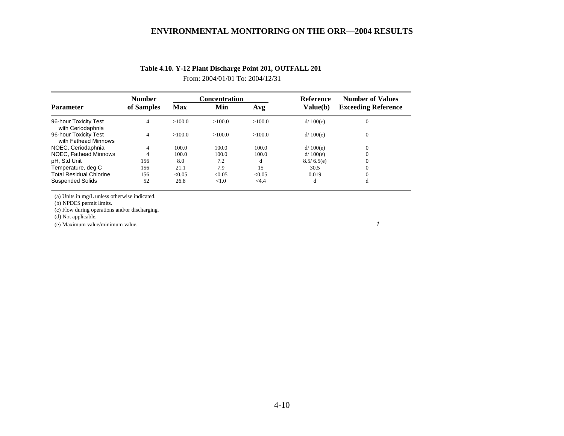| <b>Parameter</b>                              | <b>Number</b> |                   | <b>Concentration</b> |         | Reference  | <b>Number of Values</b>    |  |
|-----------------------------------------------|---------------|-------------------|----------------------|---------|------------|----------------------------|--|
|                                               | of Samples    | <b>Max</b><br>Min |                      | Avg     | Value(b)   | <b>Exceeding Reference</b> |  |
| 96-hour Toxicity Test<br>with Ceriodaphnia    | 4             | >100.0            | >100.0               | >100.0  | d/100(e)   | $\mathbf{0}$               |  |
| 96-hour Toxicity Test<br>with Fathead Minnows | 4             | >100.0            | >100.0               | >100.0  | d/100(e)   | $\mathbf{0}$               |  |
| NOEC, Ceriodaphnia                            | 4             | 100.0             | 100.0                | 100.0   | d/100(e)   | $\Omega$                   |  |
| NOEC, Fathead Minnows                         |               | 100.0             | 100.0                | 100.0   | d/100(e)   | $\Omega$                   |  |
| pH, Std Unit                                  | 156           | 8.0               | 7.2                  | d       | 8.5/6.5(e) | $\Omega$                   |  |
| Temperature, deg C                            | 156           | 21.1              | 7.9                  | 15      | 30.5       | $\Omega$                   |  |
| <b>Total Residual Chlorine</b>                | 156           | < 0.05            | < 0.05               | < 0.05  | 0.019      | $\Omega$                   |  |
| <b>Suspended Solids</b>                       | 52            | 26.8              | < 1.0                | $<$ 4.4 | đ          | đ                          |  |

## **Table 4.10. Y-12 Plant Discharge Point 201, OUTFALL 201**

From: 2004/01/01 To: 2004/12/31

(a) Units in mg/L unless otherwise indicated.

(b) NPDES permit limits.

(c) Flow during operations and/or discharging.

(d) Not applicable.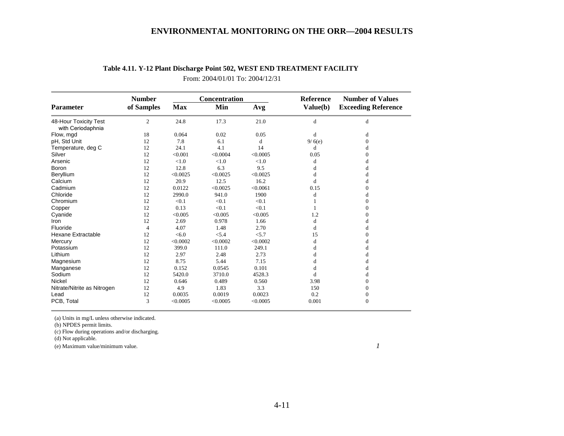|                                            | <b>Number</b>  |            | Concentration |          | Reference | <b>Number of Values</b>    |
|--------------------------------------------|----------------|------------|---------------|----------|-----------|----------------------------|
| <b>Parameter</b>                           | of Samples     | <b>Max</b> | Min           | Avg      | Value(b)  | <b>Exceeding Reference</b> |
| 48-Hour Toxicity Test<br>with Ceriodaphnia | 2              | 24.8       | 17.3          | 21.0     | d         | d                          |
| Flow, mgd                                  | 18             | 0.064      | 0.02          | 0.05     | d         | d                          |
| pH, Std Unit                               | 12             | 7.8        | 6.1           | d        | 9/6(e)    | $\overline{0}$             |
| Temperature, deg C                         | 12             | 24.1       | 4.1           | 14       | d         | d                          |
| Silver                                     | 12             | < 0.001    | < 0.0004      | < 0.0005 | 0.05      | 0                          |
| Arsenic                                    | 12             | < 1.0      | < 1.0         | < 1.0    | d         | d                          |
| Boron                                      | 12             | 12.8       | 6.3           | 9.5      | d         | d                          |
| Beryllium                                  | 12             | < 0.0025   | < 0.0025      | < 0.0025 | d         | đ                          |
| Calcium                                    | 12             | 20.9       | 12.5          | 16.2     | d         | d                          |
| Cadmium                                    | 12             | 0.0122     | < 0.0025      | < 0.0061 | 0.15      | 0                          |
| Chloride                                   | 12             | 2990.0     | 941.0         | 1900     | d         | d                          |
| Chromium                                   | 12             | < 0.1      | < 0.1         | < 0.1    |           | 0                          |
| Copper                                     | 12             | 0.13       | < 0.1         | < 0.1    |           | 0                          |
| Cyanide                                    | 12             | < 0.005    | < 0.005       | < 0.005  | 1.2       | 0                          |
| Iron                                       | 12             | 2.69       | 0.978         | 1.66     | d         | d                          |
| Fluoride                                   | $\overline{4}$ | 4.07       | 1.48          | 2.70     | d         |                            |
| <b>Hexane Extractable</b>                  | 12             | < 6.0      | < 5.4         | < 5.7    | 15        | 0                          |
| Mercury                                    | 12             | < 0.0002   | < 0.0002      | < 0.0002 | d         | d                          |
| Potassium                                  | 12             | 399.0      | 111.0         | 249.1    | d         |                            |
| Lithium                                    | 12             | 2.97       | 2.48          | 2.73     | d         | d                          |
| Magnesium                                  | 12             | 8.75       | 5.44          | 7.15     | d         | d                          |
| Manganese                                  | 12             | 0.152      | 0.0545        | 0.101    | d         |                            |
| Sodium                                     | 12             | 5420.0     | 3710.0        | 4528.3   | d         |                            |
| <b>Nickel</b>                              | 12             | 0.646      | 0.489         | 0.560    | 3.98      | 0                          |
| Nitrate/Nitrite as Nitrogen                | 12             | 4.9        | 1.83          | 3.3      | 150       | 0                          |
| Lead                                       | 12             | 0.0035     | 0.0019        | 0.0023   | 0.2       | 0                          |
| PCB, Total                                 | 3              | < 0.0005   | < 0.0005      | < 0.0005 | 0.001     | $\overline{0}$             |

## **Table 4.11. Y-12 Plant Discharge Point 502, WEST END TREATMENT FACILITY**

From: 2004/01/01 To: 2004/12/31

(a) Units in mg/L unless otherwise indicated.

(b) NPDES permit limits.

(c) Flow during operations and/or discharging.

(d) Not applicable.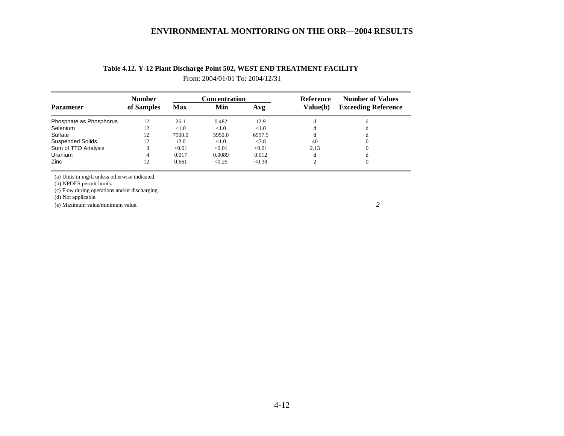|                         | <b>Number</b> |                   | Concentration |          | Reference | <b>Number of Values</b>    |  |
|-------------------------|---------------|-------------------|---------------|----------|-----------|----------------------------|--|
| <b>Parameter</b>        | of Samples    | Min<br><b>Max</b> |               | Avg      | Value(b)  | <b>Exceeding Reference</b> |  |
| Phosphate as Phosphorus | 12            | 26.1              | 0.482         | 12.9     |           |                            |  |
| Selenium                | 12            | < 1.0             | < 1.0         | ${<}1.0$ |           |                            |  |
| Sulfate                 | 12            | 7900.0            | 5950.0        | 6997.5   |           |                            |  |
| <b>Suspended Solids</b> | 12            | 12.0              | < 1.0         | < 3.8    | 40        |                            |  |
| Sum of TTO Analysis     |               | < 0.01            | < 0.01        | < 0.01   | 2.13      |                            |  |
| <b>Uranium</b>          |               | 0.017             | 0.0089        | 0.012    |           |                            |  |
| Zinc                    | 12            | 0.661             | < 0.25        | < 0.38   |           |                            |  |

## **Table 4.12. Y-12 Plant Discharge Point 502, WEST END TREATMENT FACILITY**

From: 2004/01/01 To: 2004/12/31

(a) Units in mg/L unless otherwise indicated.

(b) NPDES permit limits.

(c) Flow during operations and/or discharging.

(d) Not applicable.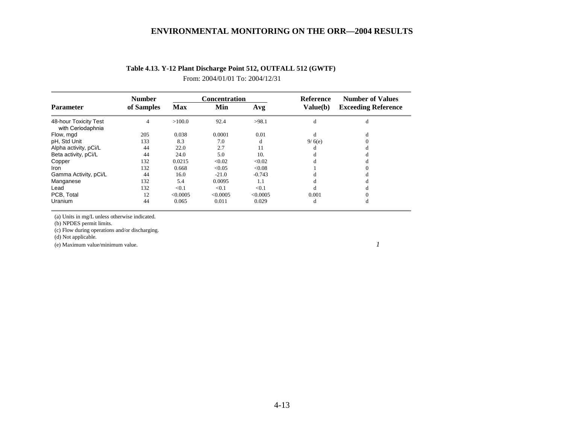|                                            | <b>Number</b>  |            | <b>Concentration</b> |          | <b>Reference</b> | <b>Number of Values</b><br><b>Exceeding Reference</b> |  |
|--------------------------------------------|----------------|------------|----------------------|----------|------------------|-------------------------------------------------------|--|
| <b>Parameter</b>                           | of Samples     | <b>Max</b> | Min                  | Avg      | Value(b)         |                                                       |  |
| 48-hour Toxicity Test<br>with Ceriodaphnia | $\overline{4}$ | >100.0     | 92.4                 | >98.1    | d                | d                                                     |  |
| Flow, mgd                                  | 205            | 0.038      | 0.0001               | 0.01     | d                | d                                                     |  |
| pH, Std Unit                               | 133            | 8.3        | 7.0                  | đ        | 9/6(e)           |                                                       |  |
| Alpha activity, pCi/L                      | 44             | 22.0       | 2.7                  | 11       |                  |                                                       |  |
| Beta activity, pCi/L                       | 44             | 24.0       | 5.0                  | 10.      |                  |                                                       |  |
| Copper                                     | 132            | 0.0215     | < 0.02               | < 0.02   |                  |                                                       |  |
| <b>Iron</b>                                | 132            | 0.668      | < 0.05               | < 0.08   |                  |                                                       |  |
| Gamma Activity, pCi/L                      | 44             | 16.0       | $-21.0$              | $-0.743$ |                  |                                                       |  |
| Manganese                                  | 132            | 5.4        | 0.0095               | 1.1      |                  |                                                       |  |
| Lead                                       | 132            | < 0.1      | < 0.1                | < 0.1    |                  |                                                       |  |
| PCB. Total                                 | 12             | < 0.0005   | < 0.0005             | < 0.0005 | 0.001            |                                                       |  |
| Uranium                                    | 44             | 0.065      | 0.011                | 0.029    | d                | đ                                                     |  |

## **Table 4.13. Y-12 Plant Discharge Point 512, OUTFALL 512 (GWTF)**

From: 2004/01/01 To: 2004/12/31

(a) Units in mg/L unless otherwise indicated.

(b) NPDES permit limits.

(c) Flow during operations and/or discharging.

(d) Not applicable.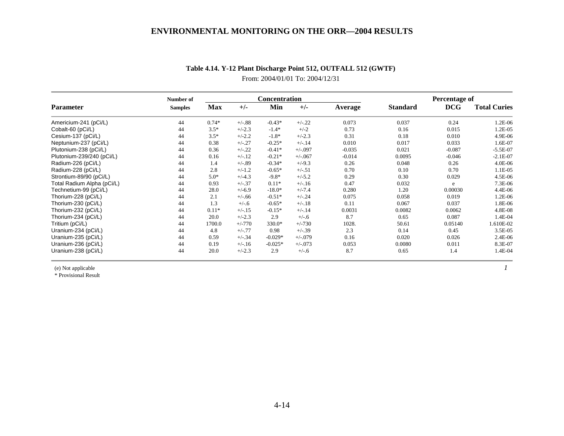|                                                                                                                                                                                                                                                                                          | Number of      |            |          | <b>Concentration</b> |            |          |                 | Percentage of |                     |
|------------------------------------------------------------------------------------------------------------------------------------------------------------------------------------------------------------------------------------------------------------------------------------------|----------------|------------|----------|----------------------|------------|----------|-----------------|---------------|---------------------|
| Parameter<br>Americium-241 (pCi/L)<br>Cesium-137 (pCi/L)<br>Plutonium-238 (pCi/L)<br>Plutonium-239/240 (pCi/L)<br>Strontium-89/90 (pCi/L)<br>Total Radium Alpha (pCi/L)<br>Technetium-99 (pCi/L)<br>Thorium-228 (pCi/L)<br>Thorium-230 (pCi/L)<br>Thorium-232 (pCi/L)<br>Tritium (pCi/L) | <b>Samples</b> | <b>Max</b> | $+/-$    | Min                  | $+/-$      | Average  | <b>Standard</b> | <b>DCG</b>    | <b>Total Curies</b> |
|                                                                                                                                                                                                                                                                                          | 44             | $0.74*$    | $+/-.88$ | $-0.43*$             | $+/-.22$   | 0.073    | 0.037           | 0.24          | 1.2E-06             |
| Cobalt-60 (pCi/L)                                                                                                                                                                                                                                                                        | 44             | $3.5*$     | $+/-2.3$ | $-1.4*$              | $+/-2$     | 0.73     | 0.16            | 0.015         | 1.2E-05             |
|                                                                                                                                                                                                                                                                                          | 44             | $3.5*$     | $+/-2.2$ | $-1.8*$              | $+/-2.3$   | 0.31     | 0.18            | 0.010         | 4.9E-06             |
| Neptunium-237 (pCi/L)                                                                                                                                                                                                                                                                    | 44             | 0.38       | $+/-27$  | $-0.25*$             | $+/-.14$   | 0.010    | 0.017           | 0.033         | 1.6E-07             |
|                                                                                                                                                                                                                                                                                          | 44             | 0.36       | $+/-.22$ | $-0.41*$             | $+/-0.97$  | $-0.035$ | 0.021           | $-0.087$      | $-5.5E-07$          |
|                                                                                                                                                                                                                                                                                          | 44             | 0.16       | $+/-.12$ | $-0.21*$             | $+/-067$   | $-0.014$ | 0.0095          | $-0.046$      | $-2.1E-07$          |
| Radium-226 (pCi/L)                                                                                                                                                                                                                                                                       | 44             | 1.4        | $+/-.89$ | $-0.34*$             | $+/-9.3$   | 0.26     | 0.048           | 0.26          | 4.0E-06             |
| Radium-228 (pCi/L)                                                                                                                                                                                                                                                                       | 44             | 2.8        | $+/-1.2$ | $-0.65*$             | $+/-.51$   | 0.70     | 0.10            | 0.70          | 1.1E-05             |
|                                                                                                                                                                                                                                                                                          | 44             | $5.0*$     | $+/-4.3$ | $-9.8*$              | $+/-5.2$   | 0.29     | 0.30            | 0.029         | 4.5E-06             |
|                                                                                                                                                                                                                                                                                          | 44             | 0.93       | $+/-37$  | $0.11*$              | $+/-16$    | 0.47     | 0.032           | e             | 7.3E-06             |
|                                                                                                                                                                                                                                                                                          | 44             | 28.0       | $+/-6.9$ | $-18.0*$             | $+/-7.4$   | 0.280    | 1.20            | 0.00030       | 4.4E-06             |
|                                                                                                                                                                                                                                                                                          | 44             | 2.1        | $+/-.66$ | $-0.51*$             | $+/-.24$   | 0.075    | 0.058           | 0.019         | 1.2E-06             |
|                                                                                                                                                                                                                                                                                          | 44             | 1.3        | $+/-.6$  | $-0.65*$             | $+/-.18$   | 0.11     | 0.067           | 0.037         | 1.8E-06             |
|                                                                                                                                                                                                                                                                                          | 44             | $0.11*$    | $+/-15$  | $-0.15*$             | $+/-.14$   | 0.0031   | 0.0082          | 0.0062        | 4.8E-08             |
| Thorium-234 (pCi/L)                                                                                                                                                                                                                                                                      | 44             | 20.0       | $+/-2.3$ | 2.9                  | $+/-.6$    | 8.7      | 0.65            | 0.087         | 1.4E-04             |
|                                                                                                                                                                                                                                                                                          | 44             | 1700.0     | $+/-770$ | 330.0*               | $+/-730$   | 1028.    | 50.61           | 0.05140       | 1.610E-02           |
| Uranium-234 (pCi/L)                                                                                                                                                                                                                                                                      | 44             | 4.8        | $+/-.77$ | 0.98                 | $+/-39$    | 2.3      | 0.14            | 0.45          | 3.5E-05             |
| Uranium-235 (pCi/L)                                                                                                                                                                                                                                                                      | 44             | 0.59       | $+/-34$  | $-0.029*$            | $+/-079$   | 0.16     | 0.020           | 0.026         | 2.4E-06             |
| Uranium-236 (pCi/L)                                                                                                                                                                                                                                                                      | 44             | 0.19       | $+/-16$  | $-0.025*$            | $+/-0.073$ | 0.053    | 0.0080          | 0.011         | 8.3E-07             |
| Uranium-238 (pCi/L)                                                                                                                                                                                                                                                                      | 44             | 20.0       | $+/-2.3$ | 2.9                  | $+/-.6$    | 8.7      | 0.65            | 1.4           | 1.4E-04             |

# **Table 4.14. Y-12 Plant Discharge Point 512, OUTFALL 512 (GWTF)**

From: 2004/01/01 To: 2004/12/31

(e) Not applicable *1*

\* Provisional Result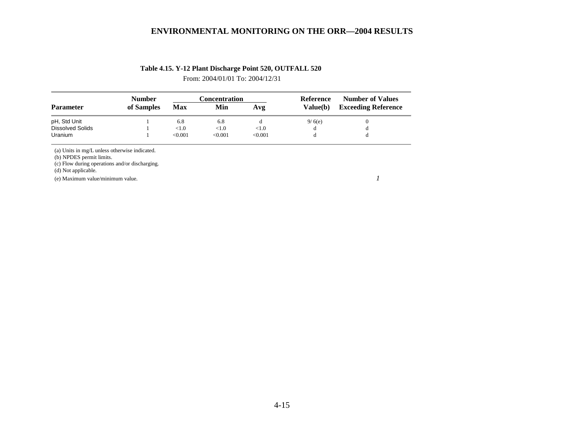## **Table 4.15. Y-12 Plant Discharge Point 520, OUTFALL 520**

From: 2004/01/01 To: 2004/12/31

|                         | <b>Number</b> |            | Concentration |         | Reference | <b>Number of Values</b>    |  |
|-------------------------|---------------|------------|---------------|---------|-----------|----------------------------|--|
| <b>Parameter</b>        | of Samples    | <b>Max</b> | Min           |         | Value(b)  | <b>Exceeding Reference</b> |  |
| pH, Std Unit            |               | 6.8        | 6.8           |         | 9/6(e)    |                            |  |
| <b>Dissolved Solids</b> |               | < 1.0      | < 1.0         | < 1.0   | α         | d                          |  |
| <b>Uranium</b>          |               | < 0.001    | < 0.001       | < 0.001 |           |                            |  |

(a) Units in mg/L unless otherwise indicated.

(b) NPDES permit limits.

(c) Flow during operations and/or discharging.

(d) Not applicable.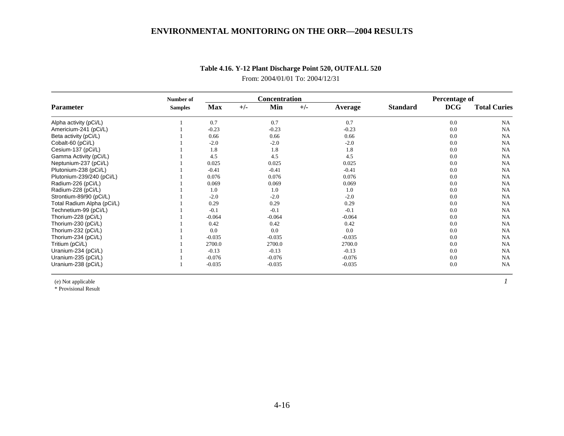|                            | Number of      |            | <b>Concentration</b> |          |       |          | Percentage of   |            |                     |
|----------------------------|----------------|------------|----------------------|----------|-------|----------|-----------------|------------|---------------------|
| <b>Parameter</b>           | <b>Samples</b> | <b>Max</b> | $+/-$                | Min      | $+/-$ | Average  | <b>Standard</b> | <b>DCG</b> | <b>Total Curies</b> |
| Alpha activity (pCi/L)     |                | 0.7        |                      | 0.7      |       | 0.7      |                 | 0.0        | <b>NA</b>           |
| Americium-241 (pCi/L)      |                | $-0.23$    |                      | $-0.23$  |       | $-0.23$  |                 | 0.0        | <b>NA</b>           |
| Beta activity (pCi/L)      |                | 0.66       |                      | 0.66     |       | 0.66     |                 | 0.0        | <b>NA</b>           |
| Cobalt-60 (pCi/L)          |                | $-2.0$     |                      | $-2.0$   |       | $-2.0$   |                 | 0.0        | <b>NA</b>           |
| Cesium-137 (pCi/L)         |                | 1.8        |                      | 1.8      |       | 1.8      |                 | 0.0        | <b>NA</b>           |
| Gamma Activity (pCi/L)     |                | 4.5        |                      | 4.5      |       | 4.5      |                 | 0.0        | <b>NA</b>           |
| Neptunium-237 (pCi/L)      |                | 0.025      |                      | 0.025    |       | 0.025    |                 | 0.0        | NA                  |
| Plutonium-238 (pCi/L)      |                | $-0.41$    |                      | $-0.41$  |       | $-0.41$  |                 | 0.0        | <b>NA</b>           |
| Plutonium-239/240 (pCi/L)  |                | 0.076      |                      | 0.076    |       | 0.076    |                 | 0.0        | <b>NA</b>           |
| Radium-226 (pCi/L)         |                | 0.069      |                      | 0.069    |       | 0.069    |                 | 0.0        | <b>NA</b>           |
| Radium-228 (pCi/L)         |                | 1.0        |                      | 1.0      |       | 1.0      |                 | 0.0        | <b>NA</b>           |
| Strontium-89/90 (pCi/L)    |                | $-2.0$     |                      | $-2.0$   |       | $-2.0$   |                 | 0.0        | <b>NA</b>           |
| Total Radium Alpha (pCi/L) |                | 0.29       |                      | 0.29     |       | 0.29     |                 | 0.0        | <b>NA</b>           |
| Technetium-99 (pCi/L)      |                | $-0.1$     |                      | $-0.1$   |       | $-0.1$   |                 | 0.0        | <b>NA</b>           |
| Thorium-228 (pCi/L)        |                | $-0.064$   |                      | $-0.064$ |       | $-0.064$ |                 | 0.0        | <b>NA</b>           |
| Thorium-230 (pCi/L)        |                | 0.42       |                      | 0.42     |       | 0.42     |                 | 0.0        | <b>NA</b>           |
| Thorium-232 (pCi/L)        |                | 0.0        |                      | 0.0      |       | 0.0      |                 | 0.0        | <b>NA</b>           |
| Thorium-234 (pCi/L)        |                | $-0.035$   |                      | $-0.035$ |       | $-0.035$ |                 | 0.0        | <b>NA</b>           |
| Tritium (pCi/L)            |                | 2700.0     |                      | 2700.0   |       | 2700.0   |                 | 0.0        | <b>NA</b>           |
| Uranium-234 (pCi/L)        |                | $-0.13$    |                      | $-0.13$  |       | $-0.13$  |                 | 0.0        | <b>NA</b>           |
| Uranium-235 (pCi/L)        |                | $-0.076$   |                      | $-0.076$ |       | $-0.076$ |                 | 0.0        | <b>NA</b>           |
| Uranium-238 (pCi/L)        |                | $-0.035$   |                      | $-0.035$ |       | $-0.035$ |                 | 0.0        | <b>NA</b>           |

# **Table 4.16. Y-12 Plant Discharge Point 520, OUTFALL 520**

From: 2004/01/01 To: 2004/12/31

(e) Not applicable *1*

\* Provisional Result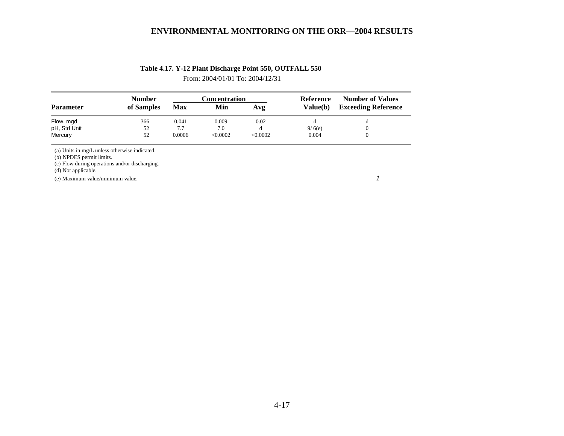## **Table 4.17. Y-12 Plant Discharge Point 550, OUTFALL 550**

From: 2004/01/01 To: 2004/12/31

|                  | <b>Number</b> |        | Concentration |          | Reference       | <b>Number of Values</b>    |  |
|------------------|---------------|--------|---------------|----------|-----------------|----------------------------|--|
| <b>Parameter</b> | of Samples    | Max    | Min           | Avg      | <b>Value(b)</b> | <b>Exceeding Reference</b> |  |
| Flow, mgd        | 366           | 0.041  | 0.009         | 0.02     |                 |                            |  |
| pH, Std Unit     | 52            | 7.7    | 7.0           |          | 9/6(e)          |                            |  |
| Mercury          | 52            | 0.0006 | <0.0002       | < 0.0002 | 0.004           |                            |  |

(a) Units in mg/L unless otherwise indicated.

(b) NPDES permit limits.

(c) Flow during operations and/or discharging.

(d) Not applicable.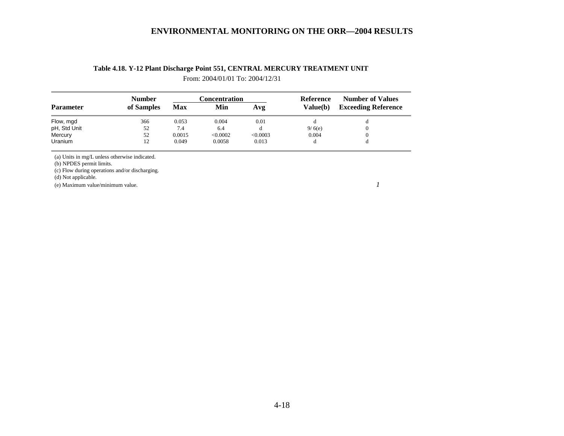|              | <b>Number</b> |            | <b>Concentration</b> |          | Reference | <b>Number of Values</b>    |  |
|--------------|---------------|------------|----------------------|----------|-----------|----------------------------|--|
| Parameter    | of Samples    | <b>Max</b> | Min                  | Avg      | Value(b)  | <b>Exceeding Reference</b> |  |
| Flow, mgd    | 366           | 0.053      | 0.004                | 0.01     | đ         | d                          |  |
| pH, Std Unit | 52            | 7.4        | 6.4                  | đ        | 9/6(e)    | 0                          |  |
| Mercury      | 52            | 0.0015     | < 0.0002             | < 0.0003 | 0.004     | 0                          |  |
| Uranium      | 12            | 0.049      | 0.0058               | 0.013    | d         |                            |  |

# **Table 4.18. Y-12 Plant Discharge Point 551, CENTRAL MERCURY TREATMENT UNIT**

From: 2004/01/01 To: 2004/12/31

(a) Units in mg/L unless otherwise indicated.

(b) NPDES permit limits.

(c) Flow during operations and/or discharging.

(d) Not applicable.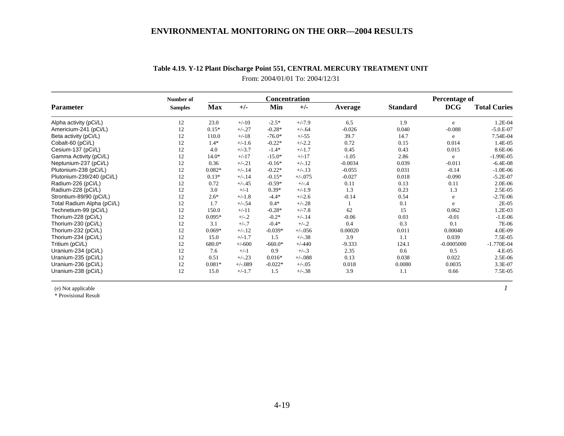|                            | Number of      |          |          | Concentration |            |                | Percentage of   |              |                     |
|----------------------------|----------------|----------|----------|---------------|------------|----------------|-----------------|--------------|---------------------|
| Parameter                  | <b>Samples</b> | Max      | $+/-$    | Min           | $+/-$      | <b>Average</b> | <b>Standard</b> | DCG          | <b>Total Curies</b> |
| Alpha activity (pCi/L)     | 12             | 23.0     | $+/-10$  | $-2.5*$       | $+/-7.9$   | 6.5            | 1.9             | e            | 1.2E-04             |
| Americium-241 (pCi/L)      | 12             | $0.15*$  | $+/-.27$ | $-0.28*$      | $+/-.64$   | $-0.026$       | 0.040           | $-0.088$     | $-5.0.E-07$         |
| Beta activity (pCi/L)      | 12             | 110.0    | $+/-18$  | $-76.0*$      | $+/-55$    | 39.7           | 14.7            | e            | 7.54E-04            |
| Cobalt-60 (pCi/L)          | 12             | $1.4*$   | $+/-1.6$ | $-0.22*$      | $+/-2.2$   | 0.72           | 0.15            | 0.014        | 1.4E-05             |
| Cesium-137 (pCi/L)         | 12             | 4.0      | $+/-3.7$ | $-1.4*$       | $+/-1.7$   | 0.45           | 0.43            | 0.015        | 8.6E-06             |
| Gamma Activity (pCi/L)     | 12             | $14.0*$  | $+/-17$  | $-15.0*$      | $+/-17$    | $-1.05$        | 2.86            | e            | $-1.99E-05$         |
| Neptunium-237 (pCi/L)      | 12             | 0.36     | $+/-.21$ | $-0.16*$      | $+/-.12$   | $-0.0034$      | 0.039           | $-0.011$     | $-6.4E-08$          |
| Plutonium-238 (pCi/L)      | 12             | $0.082*$ | $+/-.14$ | $-0.22*$      | $+/-.13$   | $-0.055$       | 0.031           | $-0.14$      | $-1.0E-06$          |
| Plutonium-239/240 (pCi/L)  | 12             | $0.13*$  | $+/-.14$ | $-0.15*$      | $+/-0.075$ | $-0.027$       | 0.018           | $-0.090$     | $-5.2E-07$          |
| Radium-226 (pCi/L)         | 12             | 0.72     | $+/-.45$ | $-0.59*$      | $+/-.4$    | 0.11           | 0.13            | 0.11         | 2.0E-06             |
| Radium-228 (pCi/L)         | 12             | 3.0      | $+/-1$   | $0.39*$       | $+/-1.9$   | 1.3            | 0.23            | 1.3          | 2.5E-05             |
| Strontium-89/90 (pCi/L)    | 12             | $2.6*$   | $+/-1.8$ | $-4.4*$       | $+/-2.6$   | $-0.14$        | 0.54            | e            | $-2.7E-06$          |
| Total Radium Alpha (pCi/L) | 12             | 1.7      | $+/-.54$ | $0.4*$        | $+/-.28$   |                | 0.1             | e            | 2E-05               |
| Technetium-99 (pCi/L)      | 12             | 150.0    | $+/-11$  | $-0.28*$      | $+/-7.8$   | 62             | 15              | 0.062        | 1.2E-03             |
| Thorium-228 (pCi/L)        | 12             | $0.095*$ | $+/-.2$  | $-0.2*$       | $+/-.14$   | $-0.06$        | 0.03            | $-0.01$      | $-1.E-06$           |
| Thorium-230 (pCi/L)        | 12             | 3.1      | $+/-.7$  | $-0.4*$       | $+/-.2$    | 0.4            | 0.3             | 0.1          | 7E-06               |
| Thorium-232 (pCi/L)        | 12             | $0.069*$ | $+/-.12$ | $-0.039*$     | $+/-0.56$  | 0.00020        | 0.011           | 0.00040      | 4.0E-09             |
| Thorium-234 (pCi/L)        | 12             | 15.0     | $+/-1.7$ | 1.5           | $+/-.38$   | 3.9            | 1.1             | 0.039        | 7.5E-05             |
| Tritium (pCi/L)            | 12             | 680.0*   | $+/-600$ | $-660.0*$     | $+/-440$   | $-9.333$       | 124.1           | $-0.0005000$ | $-1.770E-04$        |
| Uranium-234 (pCi/L)        | 12             | 7.6      | $+/-1$   | 0.9           | $+/-.3$    | 2.35           | 0.6             | 0.5          | 4.E-05              |
| Uranium-235 (pCi/L)        | 12             | 0.51     | $+/-.23$ | $0.016*$      | $+/-088$   | 0.13           | 0.038           | 0.022        | 2.5E-06             |
| Uranium-236 (pCi/L)        | 12             | $0.081*$ | $+/-089$ | $-0.022*$     | $+/-0.05$  | 0.018          | 0.0080          | 0.0035       | 3.3E-07             |
| Uranium-238 (pCi/L)        | 12             | 15.0     | $+/-1.7$ | 1.5           | $+/-.38$   | 3.9            | 1.1             | 0.66         | 7.5E-05             |

# **Table 4.19. Y-12 Plant Discharge Point 551, CENTRAL MERCURY TREATMENT UNIT** From: 2004/01/01 To: 2004/12/31

(e) Not applicable *1*

\* Provisional Result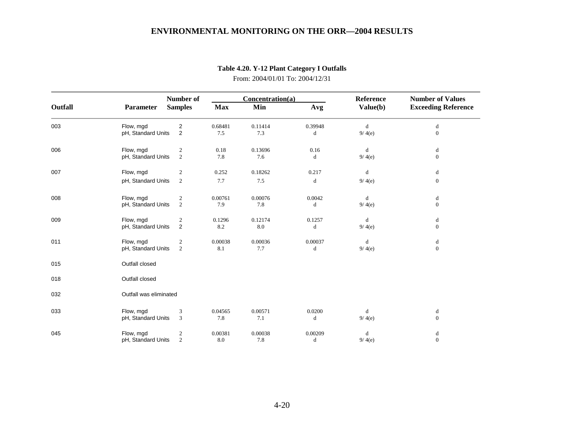|         |                        | Number of      | Concentration(a) |         |         | Reference                                      | <b>Number of Values</b>    |  |
|---------|------------------------|----------------|------------------|---------|---------|------------------------------------------------|----------------------------|--|
| Outfall | Parameter              | <b>Samples</b> | <b>Max</b>       | Min     | Avg     | Value(b)                                       | <b>Exceeding Reference</b> |  |
| 003     | Flow, mgd              | $\overline{2}$ | 0.68481          | 0.11414 | 0.39948 | $\mathrm{d}% \left\  \mathcal{A}\right\  ^{2}$ | d                          |  |
|         | pH, Standard Units     | $\overline{2}$ | 7.5              | 7.3     | d       | 9/4(e)                                         | $\mathbf{0}$               |  |
| 006     | Flow, mgd              | $\overline{c}$ | 0.18             | 0.13696 | 0.16    | d                                              | d                          |  |
|         | pH, Standard Units     | $\overline{c}$ | 7.8              | 7.6     | d       | 9/4(e)                                         | $\mathbf{0}$               |  |
| 007     | Flow, mgd              | $\overline{2}$ | 0.252            | 0.18262 | 0.217   | d                                              | d                          |  |
|         | pH, Standard Units     | $\overline{2}$ | 7.7              | 7.5     | d       | 9/4(e)                                         | $\mathbf{0}$               |  |
| 008     | Flow, mgd              | $\overline{2}$ | 0.00761          | 0.00076 | 0.0042  | d                                              | d                          |  |
|         | pH, Standard Units     | $\overline{c}$ | 7.9              | 7.8     | d       | 9/4(e)                                         | $\mathbf{0}$               |  |
| 009     | Flow, mgd              | $\overline{2}$ | 0.1296           | 0.12174 | 0.1257  | d                                              | d                          |  |
|         | pH, Standard Units     | $\overline{2}$ | 8.2              | 8.0     | d       | 9/4(e)                                         | $\overline{0}$             |  |
| 011     | Flow, mgd              | $\overline{2}$ | 0.00038          | 0.00036 | 0.00037 | d                                              | d                          |  |
|         | pH, Standard Units     | 2              | 8.1              | 7.7     | d       | 9/4(e)                                         | $\boldsymbol{0}$           |  |
| 015     | Outfall closed         |                |                  |         |         |                                                |                            |  |
| 018     | Outfall closed         |                |                  |         |         |                                                |                            |  |
| 032     | Outfall was eliminated |                |                  |         |         |                                                |                            |  |
| 033     | Flow, mgd              | 3              | 0.04565          | 0.00571 | 0.0200  | d                                              | d                          |  |
|         | pH, Standard Units     | 3              | 7.8              | 7.1     | d       | 9/4(e)                                         | $\mathbf{0}$               |  |
| 045     | Flow, mgd              | $\overline{c}$ | 0.00381          | 0.00038 | 0.00209 | d                                              | d                          |  |
|         | pH, Standard Units     | $\overline{2}$ | 8.0              | 7.8     | d       | 9/4(e)                                         | $\overline{0}$             |  |

**Table 4.20. Y-12 Plant Category I Outfalls** 

From: 2004/01/01 To: 2004/12/31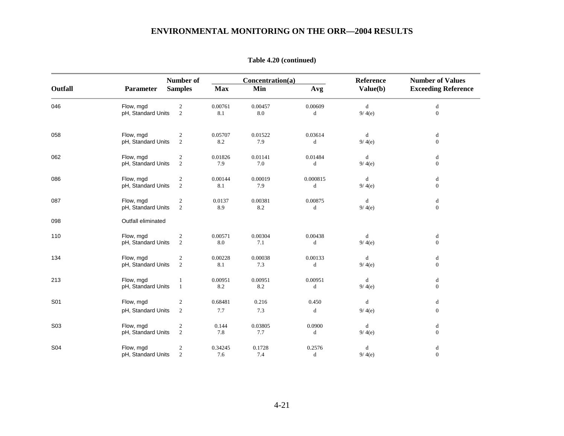|            |                    | <b>Number of</b>        |            | Concentration(a) | Reference | <b>Number of Values</b> |                            |
|------------|--------------------|-------------------------|------------|------------------|-----------|-------------------------|----------------------------|
| Outfall    | <b>Parameter</b>   | <b>Samples</b>          | <b>Max</b> | Min              | Avg       | Value(b)                | <b>Exceeding Reference</b> |
| 046        | Flow, mgd          | $\sqrt{2}$              | 0.00761    | 0.00457          | 0.00609   | $\mathbf d$             | d                          |
|            | pH, Standard Units | $\overline{2}$          | 8.1        | 8.0              | d         | 9/4(e)                  | $\mathbf{0}$               |
| 058        | Flow, mgd          | $\sqrt{2}$              | 0.05707    | 0.01522          | 0.03614   | d                       | d                          |
|            | pH, Standard Units | $\sqrt{2}$              | 8.2        | 7.9              | d         | 9/4(e)                  | $\mathbf{0}$               |
| 062        | Flow, mgd          | $\boldsymbol{2}$        | 0.01826    | 0.01141          | 0.01484   | d                       | d                          |
|            | pH, Standard Units | 2                       | 7.9        | 7.0              | d         | 9/4(e)                  | $\mathbf{0}$               |
| 086        | Flow, mgd          | $\sqrt{2}$              | 0.00144    | 0.00019          | 0.000815  | d                       | d                          |
|            | pH, Standard Units | $\sqrt{2}$              | 8.1        | 7.9              | $\rm d$   | 9/4(e)                  | $\boldsymbol{0}$           |
| 087        | Flow, mgd          | $\sqrt{2}$              | 0.0137     | 0.00381          | 0.00875   | d                       | d                          |
|            | pH, Standard Units | $\overline{2}$          | 8.9        | 8.2              | d         | 9/4(e)                  | $\boldsymbol{0}$           |
| 098        | Outfall eliminated |                         |            |                  |           |                         |                            |
| 110        | Flow, mgd          | $\sqrt{2}$              | 0.00571    | 0.00304          | 0.00438   | d                       | d                          |
|            | pH, Standard Units | 2                       | 8.0        | 7.1              | d         | 9/4(e)                  | $\mathbf{0}$               |
| 134        | Flow, mgd          | $\sqrt{2}$              | 0.00228    | 0.00038          | 0.00133   | d                       | d                          |
|            | pH, Standard Units | $\sqrt{2}$              | 8.1        | 7.3              | $\rm d$   | 9/4(e)                  | $\mathbf{0}$               |
| 213        | Flow, mgd          | $\mathbf{1}$            | 0.00951    | 0.00951          | 0.00951   | d                       | d                          |
|            | pH, Standard Units | $\mathbf{1}$            | 8.2        | 8.2              | d         | 9/4(e)                  | $\mathbf{0}$               |
| S01        | Flow, mgd          | $\sqrt{2}$              | 0.68481    | 0.216            | 0.450     | d                       | $\mathbf d$                |
|            | pH, Standard Units | $\overline{c}$          | 7.7        | 7.3              | d         | 9/4(e)                  | $\mathbf{0}$               |
| S03        | Flow, mgd          | $\overline{2}$          | 0.144      | 0.03805          | 0.0900    | d                       | d                          |
|            | pH, Standard Units | 2                       | 7.8        | 7.7              | d         | 9/4(e)                  | $\mathbf{0}$               |
| <b>S04</b> | Flow, mgd          | $\overline{\mathbf{c}}$ | 0.34245    | 0.1728           | 0.2576    | d                       | $\mathbf d$                |
|            | pH, Standard Units | $\overline{2}$          | 7.6        | 7.4              | d         | 9/4(e)                  | $\boldsymbol{0}$           |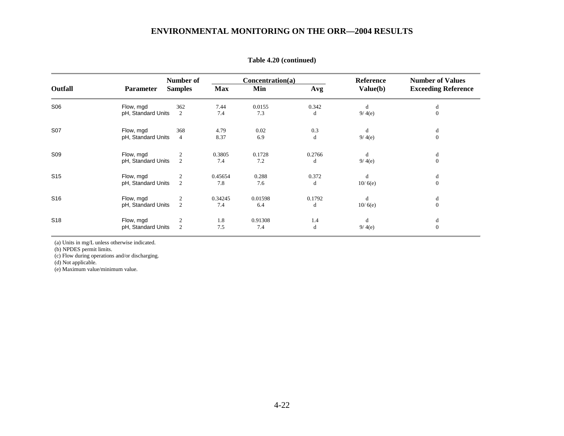|                 |                    | Number of      | Concentration(a) |         |        |          | <b>Number of Values</b>    |
|-----------------|--------------------|----------------|------------------|---------|--------|----------|----------------------------|
| Outfall         | Parameter          | <b>Samples</b> | <b>Max</b>       | Min     | Avg    | Value(b) | <b>Exceeding Reference</b> |
| S06             | Flow, mgd          | 362            | 7.44             | 0.0155  | 0.342  | d        | d                          |
|                 | pH, Standard Units | 2              | 7.4              | 7.3     | d      | 9/4(e)   | $\Omega$                   |
| S07             | Flow, mgd          | 368            | 4.79             | 0.02    | 0.3    | d        | d                          |
|                 | pH, Standard Units | $\overline{4}$ | 8.37             | 6.9     | d      | 9/4(e)   | $\mathbf{0}$               |
| S <sub>09</sub> | Flow, mgd          | $\overline{2}$ | 0.3805           | 0.1728  | 0.2766 | d        | d                          |
|                 | pH, Standard Units | 2              | 7.4              | 7.2     | d      | 9/4(e)   | $\Omega$                   |
| S <sub>15</sub> | Flow, mgd          | $\overline{2}$ | 0.45654          | 0.288   | 0.372  | d        | d                          |
|                 | pH, Standard Units | 2              | 7.8              | 7.6     | d      | 10/6(e)  | $\mathbf{0}$               |
| S <sub>16</sub> | Flow, mgd          | $\frac{2}{2}$  | 0.34245          | 0.01598 | 0.1792 | d        | d                          |
|                 | pH, Standard Units |                | 7.4              | 6.4     | d      | 10/6(e)  | $\Omega$                   |
| S <sub>18</sub> | Flow, mgd          | $\overline{2}$ | 1.8              | 0.91308 | 1.4    | d        | d                          |
|                 | pH, Standard Units | 2              | 7.5              | 7.4     | d      | 9/4(e)   | $\mathbf{0}$               |

**Table 4.20 (continued)** 

(a) Units in mg/L unless otherwise indicated.

(b) NPDES permit limits.

(c) Flow during operations and/or discharging.

(d) Not applicable.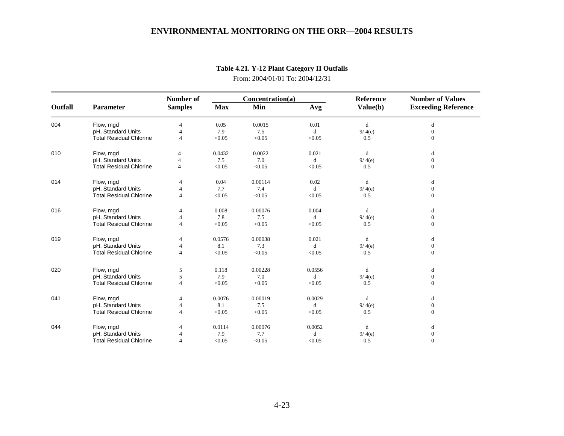|         |                                | Number of      | Concentration(a) |         |             | Reference | <b>Number of Values</b>    |  |
|---------|--------------------------------|----------------|------------------|---------|-------------|-----------|----------------------------|--|
| Outfall | Parameter                      | <b>Samples</b> | <b>Max</b>       | Min     | Avg         | Value(b)  | <b>Exceeding Reference</b> |  |
| 004     | Flow, mgd                      | $\overline{4}$ | 0.05             | 0.0015  | 0.01        | d         | d                          |  |
|         | pH, Standard Units             | $\overline{4}$ | 7.9              | 7.5     | $\mathbf d$ | 9/4(e)    | $\boldsymbol{0}$           |  |
|         | <b>Total Residual Chlorine</b> | $\overline{4}$ | < 0.05           | < 0.05  | < 0.05      | 0.5       | $\mathbf{0}$               |  |
| 010     | Flow, mgd                      | 4              | 0.0432           | 0.0022  | 0.021       | d         | d                          |  |
|         | pH, Standard Units             | $\overline{4}$ | 7.5              | 7.0     | $\mathbf d$ | 9/4(e)    | $\mathbf{0}$               |  |
|         | <b>Total Residual Chlorine</b> | $\overline{4}$ | < 0.05           | < 0.05  | < 0.05      | 0.5       | $\mathbf{0}$               |  |
| 014     | Flow, mgd                      | $\overline{4}$ | 0.04             | 0.00114 | 0.02        | d         | d                          |  |
|         | pH, Standard Units             | $\overline{4}$ | 7.7              | 7.4     | d           | 9/4(e)    | $\overline{0}$             |  |
|         | <b>Total Residual Chlorine</b> | $\overline{4}$ | < 0.05           | < 0.05  | < 0.05      | 0.5       | $\mathbf{0}$               |  |
| 016     | Flow, mgd                      |                | 0.008            | 0.00076 | 0.004       | d         | d                          |  |
|         | pH, Standard Units             | $\overline{4}$ | 7.8              | 7.5     | d           | 9/4(e)    | $\mathbf{0}$               |  |
|         | <b>Total Residual Chlorine</b> |                | < 0.05           | < 0.05  | < 0.05      | 0.5       | $\mathbf{0}$               |  |
| 019     | Flow, mgd                      |                | 0.0576           | 0.00038 | 0.021       | d         | d                          |  |
|         | pH, Standard Units             | $\overline{4}$ | 8.1              | 7.3     | d           | 9/4(e)    | $\mathbf{0}$               |  |
|         | <b>Total Residual Chlorine</b> | $\overline{4}$ | < 0.05           | < 0.05  | < 0.05      | 0.5       | $\boldsymbol{0}$           |  |
| 020     | Flow, mgd                      | 5              | 0.118            | 0.00228 | 0.0556      | d         | d                          |  |
|         | pH, Standard Units             | 5              | 7.9              | 7.0     | $\mathbf d$ | 9/4(e)    | $\mathbf{0}$               |  |
|         | <b>Total Residual Chlorine</b> | $\overline{4}$ | < 0.05           | < 0.05  | < 0.05      | 0.5       | $\mathbf{0}$               |  |
| 041     | Flow, mgd                      | 4              | 0.0076           | 0.00019 | 0.0029      | d         | d                          |  |
|         | pH, Standard Units             | 4              | 8.1              | 7.5     | $\mathbf d$ | 9/4(e)    | $\mathbf{0}$               |  |
|         | <b>Total Residual Chlorine</b> | $\overline{4}$ | < 0.05           | < 0.05  | < 0.05      | 0.5       | $\mathbf{0}$               |  |
| 044     | Flow, mgd                      |                | 0.0114           | 0.00076 | 0.0052      | d         | d                          |  |
|         | pH, Standard Units             |                | 7.9              | 7.7     | d           | 9/4(e)    | $\mathbf{0}$               |  |
|         | <b>Total Residual Chlorine</b> | $\overline{4}$ | < 0.05           | < 0.05  | < 0.05      | 0.5       | $\Omega$                   |  |

# **Table 4.21. Y-12 Plant Category II Outfalls**

From: 2004/01/01 To: 2004/12/31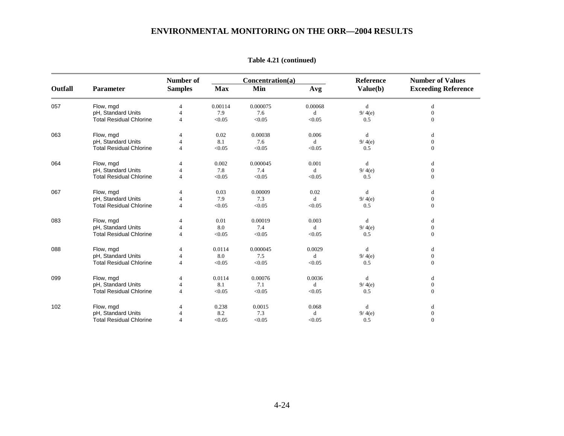|         |                                | Number of      |            | Concentration(a) |             | Reference   | <b>Number of Values</b>    |  |
|---------|--------------------------------|----------------|------------|------------------|-------------|-------------|----------------------------|--|
| Outfall | Parameter                      | <b>Samples</b> | <b>Max</b> | Min              | Avg         | Value(b)    | <b>Exceeding Reference</b> |  |
| 057     | Flow, mgd                      | $\overline{4}$ | 0.00114    | 0.000075         | 0.00068     | d           | d                          |  |
|         | pH, Standard Units             | $\overline{4}$ | 7.9        | 7.6              | d           | 9/4(e)      | $\mathbf{0}$               |  |
|         | <b>Total Residual Chlorine</b> | $\overline{4}$ | < 0.05     | < 0.05           | < 0.05      | 0.5         | $\mathbf{0}$               |  |
| 063     | Flow, mgd                      |                | 0.02       | 0.00038          | 0.006       | d           | d                          |  |
|         | pH, Standard Units             | $\overline{4}$ | 8.1        | 7.6              | $\mathbf d$ | 9/4(e)      | $\mathbf{0}$               |  |
|         | <b>Total Residual Chlorine</b> | $\Delta$       | < 0.05     | < 0.05           | < 0.05      | 0.5         | $\Omega$                   |  |
| 064     | Flow, mgd                      |                | 0.002      | 0.000045         | 0.001       | $\mathbf d$ | d                          |  |
|         | pH, Standard Units             |                | 7.8        | 7.4              | d           | 9/4(e)      | $\boldsymbol{0}$           |  |
|         | <b>Total Residual Chlorine</b> | $\overline{4}$ | < 0.05     | < 0.05           | < 0.05      | 0.5         | $\Omega$                   |  |
| 067     | Flow, mgd                      |                | 0.03       | 0.00009          | 0.02        | d           | d                          |  |
|         | pH, Standard Units             | $\overline{4}$ | 7.9        | 7.3              | d           | 9/4(e)      | $\boldsymbol{0}$           |  |
|         | <b>Total Residual Chlorine</b> | $\overline{4}$ | < 0.05     | < 0.05           | < 0.05      | 0.5         | $\Omega$                   |  |
| 083     | Flow, mgd                      |                | 0.01       | 0.00019          | 0.003       | d           | d                          |  |
|         | pH, Standard Units             |                | 8.0        | 7.4              | d           | 9/4(e)      | $\boldsymbol{0}$           |  |
|         | <b>Total Residual Chlorine</b> | $\overline{4}$ | < 0.05     | < 0.05           | < 0.05      | 0.5         | $\Omega$                   |  |
| 088     | Flow, mgd                      |                | 0.0114     | 0.000045         | 0.0029      | d           | d                          |  |
|         | pH, Standard Units             | $\overline{4}$ | 8.0        | 7.5              | d           | 9/4(e)      | $\boldsymbol{0}$           |  |
|         | <b>Total Residual Chlorine</b> | $\overline{4}$ | < 0.05     | < 0.05           | < 0.05      | 0.5         | $\Omega$                   |  |
| 099     | Flow, mgd                      |                | 0.0114     | 0.00076          | 0.0036      | d           | d                          |  |
|         | pH, Standard Units             | 4              | 8.1        | 7.1              | d           | 9/4(e)      | $\overline{0}$             |  |
|         | <b>Total Residual Chlorine</b> |                | < 0.05     | < 0.05           | < 0.05      | 0.5         | $\Omega$                   |  |
| 102     | Flow, mgd                      |                | 0.238      | 0.0015           | 0.068       | d           | d                          |  |
|         | pH, Standard Units             |                | 8.2        | 7.3              | d           | 9/4(e)      | $\mathbf{0}$               |  |
|         | <b>Total Residual Chlorine</b> | $\overline{4}$ | < 0.05     | < 0.05           | < 0.05      | 0.5         | $\Omega$                   |  |

**Table 4.21 (continued)**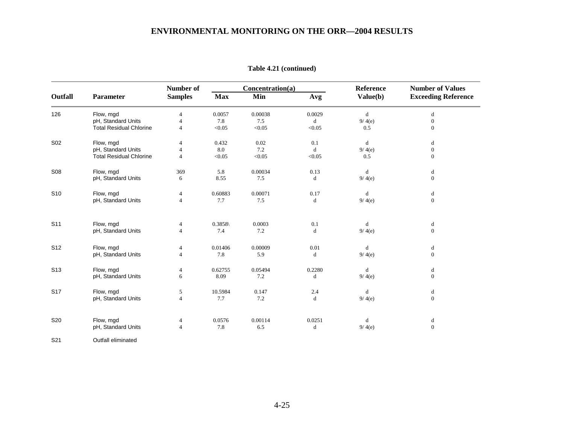|                 |                                | <b>Number of</b> |            | Concentration(a) |             | Reference   | <b>Number of Values</b>    |
|-----------------|--------------------------------|------------------|------------|------------------|-------------|-------------|----------------------------|
| Outfall         | <b>Parameter</b>               | <b>Samples</b>   | <b>Max</b> | Min              | Avg         | Value(b)    | <b>Exceeding Reference</b> |
| 126             | Flow, mgd                      | $\overline{4}$   | 0.0057     | 0.00038          | 0.0029      | $\mathbf d$ | $\mathbf d$                |
|                 | pH, Standard Units             | $\overline{4}$   | 7.8        | 7.5              | $\mathbf d$ | 9/4(e)      | $\boldsymbol{0}$           |
|                 | <b>Total Residual Chlorine</b> | $\overline{4}$   | < 0.05     | < 0.05           | < 0.05      | 0.5         | $\boldsymbol{0}$           |
| S <sub>02</sub> | Flow, mgd                      | $\overline{4}$   | 0.432      | 0.02             | 0.1         | d           | d                          |
|                 | pH, Standard Units             | $\overline{4}$   | 8.0        | 7.2              | d           | 9/4(e)      | $\mathbf{0}$               |
|                 | <b>Total Residual Chlorine</b> | $\overline{4}$   | < 0.05     | < 0.05           | < 0.05      | 0.5         | $\Omega$                   |
| S <sub>08</sub> | Flow, mgd                      | 369              | 5.8        | 0.00034          | 0.13        | d           | d                          |
|                 | pH, Standard Units             | 6                | 8.55       | 7.5              | d           | 9/4(e)      | $\mathbf{0}$               |
| S <sub>10</sub> | Flow, mgd                      | $\overline{4}$   | 0.60883    | 0.00071          | 0.17        | d           | d                          |
|                 | pH, Standard Units             | $\overline{4}$   | 7.7        | 7.5              | d           | 9/4(e)      | $\mathbf{0}$               |
| S <sub>11</sub> | Flow, mgd                      | 4                | 0.3858     | 0.0003           | 0.1         | d           | d                          |
|                 | pH, Standard Units             | $\overline{4}$   | 7.4        | 7.2              | $\mathbf d$ | 9/4(e)      | $\mathbf{0}$               |
| S <sub>12</sub> | Flow, mgd                      | 4                | 0.01406    | 0.00009          | 0.01        | $\mathbf d$ | d                          |
|                 | pH, Standard Units             | $\overline{4}$   | 7.8        | 5.9              | d           | 9/4(e)      | $\mathbf{0}$               |
| S <sub>13</sub> | Flow, mgd                      | $\overline{4}$   | 0.62755    | 0.05494          | 0.2280      | d           | d                          |
|                 | pH, Standard Units             | 6                | 8.09       | 7.2              | d           | 9/4(e)      | $\mathbf{0}$               |
| S <sub>17</sub> | Flow, mgd                      | 5                | 10.5984    | 0.147            | 2.4         | d           | d                          |
|                 | pH, Standard Units             | $\overline{4}$   | 7.7        | 7.2              | d           | 9/4(e)      | $\boldsymbol{0}$           |
| <b>S20</b>      | Flow, mgd                      | 4                | 0.0576     | 0.00114          | 0.0251      | d           | d                          |
|                 | pH, Standard Units             | $\overline{4}$   | 7.8        | 6.5              | d           | 9/4(e)      | $\mathbf{0}$               |

**Table 4.21 (continued)** 

S21 Outfall eliminated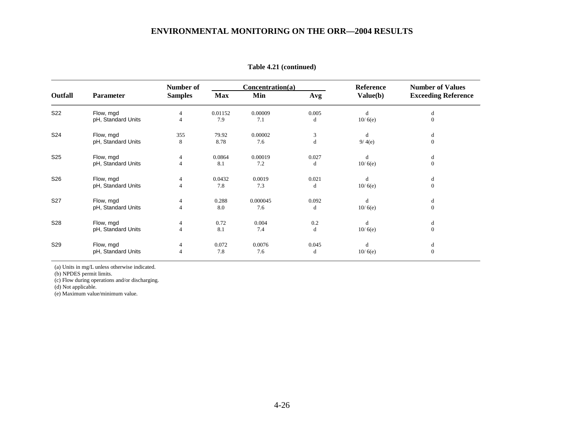|                 | <b>Parameter</b>   | Number of<br><b>Samples</b> | Concentration(a) |          |       | Reference | <b>Number of Values</b>    |
|-----------------|--------------------|-----------------------------|------------------|----------|-------|-----------|----------------------------|
| Outfall         |                    |                             | <b>Max</b>       | Min      | Avg   | Value(b)  | <b>Exceeding Reference</b> |
| S22             | Flow, mgd          | 4                           | 0.01152          | 0.00009  | 0.005 | d         | d                          |
|                 | pH, Standard Units | $\overline{4}$              | 7.9              | 7.1      | d     | 10/6(e)   | $\mathbf{0}$               |
| S24             | Flow, mgd          | 355                         | 79.92            | 0.00002  | 3     | d         | d                          |
|                 | pH, Standard Units | 8                           | 8.78             | 7.6      | d     | 9/4(e)    | $\mathbf{0}$               |
| S <sub>25</sub> | Flow, mgd          | $\overline{4}$              | 0.0864           | 0.00019  | 0.027 | d         | d                          |
|                 | pH, Standard Units | $\overline{4}$              | 8.1              | 7.2      | d     | 10/6(e)   | $\mathbf{0}$               |
| S26             | Flow, mgd          | 4                           | 0.0432           | 0.0019   | 0.021 | d         | d                          |
|                 | pH, Standard Units | $\overline{4}$              | 7.8              | 7.3      | d     | 10/6(e)   | $\mathbf{0}$               |
| S <sub>27</sub> | Flow, mgd          | 4                           | 0.288            | 0.000045 | 0.092 | d         | d                          |
|                 | pH, Standard Units | 4                           | 8.0              | 7.6      | d     | 10/6(e)   | $\mathbf{0}$               |
| <b>S28</b>      | Flow, mgd          | 4                           | 0.72             | 0.004    | 0.2   | d         | d                          |
|                 | pH, Standard Units | 4                           | 8.1              | 7.4      | d     | 10/6(e)   | $\theta$                   |
| S29             | Flow, mgd          | $\overline{4}$              | 0.072            | 0.0076   | 0.045 | d         | d                          |
|                 | pH, Standard Units | $\overline{4}$              | 7.8              | 7.6      | d     | 10/6(e)   | $\mathbf{0}$               |

(a) Units in mg/L unless otherwise indicated.

(b) NPDES permit limits.

(c) Flow during operations and/or discharging.

(d) Not applicable.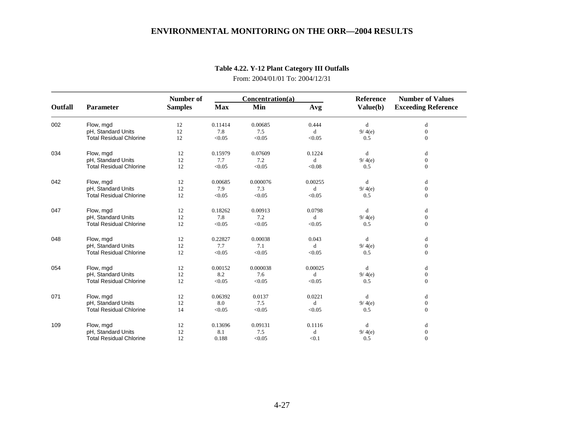|         | Parameter                      | Number of      | Concentration(a) |          |         | Reference | <b>Number of Values</b>    |
|---------|--------------------------------|----------------|------------------|----------|---------|-----------|----------------------------|
| Outfall |                                | <b>Samples</b> | <b>Max</b>       | Min      | Avg     | Value(b)  | <b>Exceeding Reference</b> |
| 002     | Flow, mgd                      | 12             | 0.11414          | 0.00685  | 0.444   | d         | d                          |
|         | pH, Standard Units             | 12             | 7.8              | 7.5      | d       | 9/4(e)    | $\mathbf{0}$               |
|         | <b>Total Residual Chlorine</b> | 12             | < 0.05           | < 0.05   | < 0.05  | 0.5       | $\mathbf{0}$               |
| 034     | Flow, mgd                      | 12             | 0.15979          | 0.07609  | 0.1224  | d         | d                          |
|         | pH, Standard Units             | 12             | 7.7              | 7.2      | d       | 9/4(e)    | $\mathbf{0}$               |
|         | <b>Total Residual Chlorine</b> | 12             | < 0.05           | < 0.05   | < 0.08  | 0.5       | $\mathbf{0}$               |
| 042     | Flow, mgd                      | 12             | 0.00685          | 0.000076 | 0.00255 | d         | d                          |
|         | pH, Standard Units             | 12             | 7.9              | 7.3      | d       | 9/4(e)    | $\mathbf{0}$               |
|         | <b>Total Residual Chlorine</b> | 12             | < 0.05           | < 0.05   | < 0.05  | 0.5       | $\mathbf{0}$               |
| 047     | Flow, mgd                      | 12             | 0.18262          | 0.00913  | 0.0798  | d         | d                          |
|         | pH, Standard Units             | 12             | 7.8              | 7.2      | d       | 9/4(e)    | $\mathbf{0}$               |
|         | <b>Total Residual Chlorine</b> | 12             | < 0.05           | < 0.05   | < 0.05  | 0.5       | $\mathbf{0}$               |
| 048     | Flow, mgd                      | 12             | 0.22827          | 0.00038  | 0.043   | d         | d                          |
|         | pH, Standard Units             | 12             | 7.7              | 7.1      | d       | 9/4(e)    | $\boldsymbol{0}$           |
|         | <b>Total Residual Chlorine</b> | 12             | < 0.05           | < 0.05   | < 0.05  | 0.5       | $\mathbf{0}$               |
| 054     | Flow, mgd                      | 12             | 0.00152          | 0.000038 | 0.00025 | d         | d                          |
|         | pH, Standard Units             | 12             | 8.2              | 7.6      | d       | 9/4(e)    | $\boldsymbol{0}$           |
|         | <b>Total Residual Chlorine</b> | 12             | < 0.05           | < 0.05   | < 0.05  | 0.5       | $\mathbf{0}$               |
| 071     | Flow, mgd                      | 12             | 0.06392          | 0.0137   | 0.0221  | d         | d                          |
|         | pH, Standard Units             | 12             | 8.0              | 7.5      | d       | 9/4(e)    | $\mathbf{0}$               |
|         | <b>Total Residual Chlorine</b> | 14             | < 0.05           | < 0.05   | < 0.05  | 0.5       | $\mathbf{0}$               |
| 109     | Flow, mgd                      | 12             | 0.13696          | 0.09131  | 0.1116  | d         | d                          |
|         | pH, Standard Units             | 12             | 8.1              | 7.5      | d       | 9/4(e)    | $\mathbf{0}$               |
|         | <b>Total Residual Chlorine</b> | 12             | 0.188            | < 0.05   | < 0.1   | 0.5       | $\Omega$                   |

# **Table 4.22. Y-12 Plant Category III Outfalls**

From: 2004/01/01 To: 2004/12/31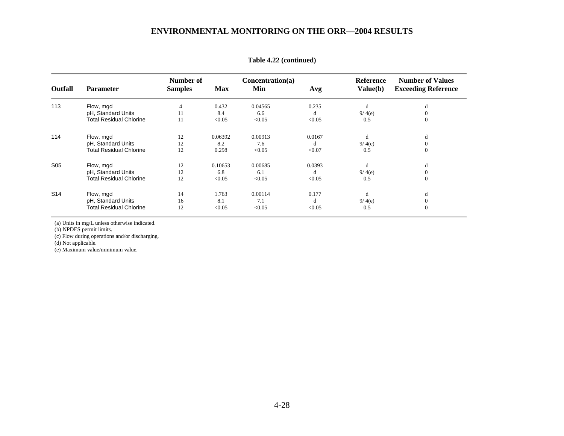|                 | <b>Parameter</b>               | Number of      |         | Concentration(a) |        | Reference<br>Value(b) | <b>Number of Values</b><br><b>Exceeding Reference</b> |
|-----------------|--------------------------------|----------------|---------|------------------|--------|-----------------------|-------------------------------------------------------|
| <b>Outfall</b>  |                                | <b>Samples</b> | Max     | Min              | Avg    |                       |                                                       |
| 113             | Flow, mgd                      | 4              | 0.432   | 0.04565          | 0.235  | d                     | d                                                     |
|                 | pH, Standard Units             | 11             | 8.4     | 6.6              | d      | 9/4(e)                | $\Omega$                                              |
|                 | <b>Total Residual Chlorine</b> | 11             | < 0.05  | < 0.05           | < 0.05 | 0.5                   | $\Omega$                                              |
| 114             | Flow, mgd                      | 12             | 0.06392 | 0.00913          | 0.0167 | d                     | d                                                     |
|                 | pH, Standard Units             | 12             | 8.2     | 7.6              | d      | 9/4(e)                | $\Omega$                                              |
|                 | <b>Total Residual Chlorine</b> | 12             | 0.298   | < 0.05           | < 0.07 | 0.5                   | $\theta$                                              |
| S <sub>05</sub> | Flow, mgd                      | 12             | 0.10653 | 0.00685          | 0.0393 | d                     | d                                                     |
|                 | pH, Standard Units             | 12             | 6.8     | 6.1              | d      | 9/4(e)                | $\Omega$                                              |
|                 | <b>Total Residual Chlorine</b> | 12             | < 0.05  | < 0.05           | < 0.05 | 0.5                   | $\Omega$                                              |
| S <sub>14</sub> | Flow, mgd                      | 14             | 1.763   | 0.00114          | 0.177  | d                     | d                                                     |
|                 | pH, Standard Units             | 16             | 8.1     | 7.1              | d      | 9/4(e)                | $\Omega$                                              |
|                 | <b>Total Residual Chlorine</b> | 12             | < 0.05  | < 0.05           | < 0.05 | 0.5                   | $\mathbf{0}$                                          |

**Table 4.22 (continued)**

(a) Units in mg/L unless otherwise indicated.

(b) NPDES permit limits.

(c) Flow during operations and/or discharging.

(d) Not applicable.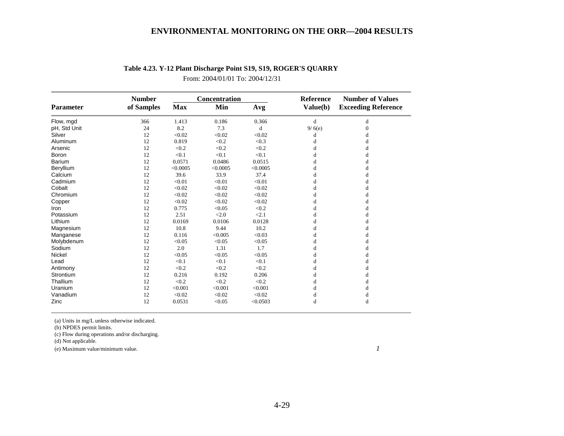|                  | <b>Number</b> |            | Concentration |          | Reference | <b>Number of Values</b><br><b>Exceeding Reference</b> |
|------------------|---------------|------------|---------------|----------|-----------|-------------------------------------------------------|
| <b>Parameter</b> | of Samples    | <b>Max</b> | Min           | Avg      | Value(b)  |                                                       |
| Flow, mgd        | 366           | 1.413      | 0.186         | 0.366    | d         | d                                                     |
| pH, Std Unit     | 24            | 8.2        | 7.3           | d        | 9/6(e)    | $\Omega$                                              |
| Silver           | 12            | < 0.02     | < 0.02        | < 0.02   | d         | d                                                     |
| Aluminum         | 12            | 0.819      | < 0.2         | < 0.3    | d         | d                                                     |
| Arsenic          | 12            | < 0.2      | < 0.2         | < 0.2    | d         |                                                       |
| Boron            | 12            | < 0.1      | < 0.1         | < 0.1    | d         | d                                                     |
| Barium           | 12            | 0.0571     | 0.0486        | 0.0515   | d         | d                                                     |
| Beryllium        | 12            | < 0.0005   | < 0.0005      | < 0.0005 | d         | d                                                     |
| Calcium          | 12            | 39.6       | 33.9          | 37.4     | d         | d                                                     |
| Cadmium          | 12            | < 0.01     | < 0.01        | < 0.01   | d         | d                                                     |
| Cobalt           | 12            | < 0.02     | < 0.02        | < 0.02   | d         | d                                                     |
| Chromium         | 12            | < 0.02     | < 0.02        | < 0.02   | d         | d                                                     |
| Copper           | 12            | < 0.02     | < 0.02        | < 0.02   | d         | d                                                     |
| Iron             | 12            | 0.775      | < 0.05        | < 0.2    | d         | d                                                     |
| Potassium        | 12            | 2.51       | < 2.0         | < 2.1    | d         | d                                                     |
| Lithium          | 12            | 0.0169     | 0.0106        | 0.0128   | d         | d                                                     |
| Magnesium        | 12            | 10.8       | 9.44          | 10.2     | d         | d                                                     |
| Manganese        | 12            | 0.116      | < 0.005       | < 0.03   | d         | d                                                     |
| Molybdenum       | 12            | < 0.05     | < 0.05        | < 0.05   | d         | d                                                     |
| Sodium           | 12            | 2.0        | 1.31          | 1.7      | d         |                                                       |
| <b>Nickel</b>    | 12            | < 0.05     | < 0.05        | < 0.05   | d         | d                                                     |
| Lead             | 12            | < 0.1      | < 0.1         | < 0.1    | d         | d                                                     |
| Antimony         | 12            | < 0.2      | < 0.2         | < 0.2    | d         |                                                       |
| Strontium        | 12            | 0.216      | 0.192         | 0.206    | d         | d                                                     |
| Thallium         | 12            | < 0.2      | < 0.2         | < 0.2    | d         | d                                                     |
| Uranium          | 12            | < 0.001    | < 0.001       | < 0.001  | d         |                                                       |
| Vanadium         | 12            | < 0.02     | < 0.02        | < 0.02   | d         | d                                                     |
| Zinc             | 12            | 0.0531     | < 0.05        | < 0.0503 | d         | d                                                     |

## **Table 4.23. Y-12 Plant Discharge Point S19, S19, ROGER'S QUARRY**

From: 2004/01/01 To: 2004/12/31

(a) Units in mg/L unless otherwise indicated.

(b) NPDES permit limits.

(c) Flow during operations and/or discharging.

(d) Not applicable.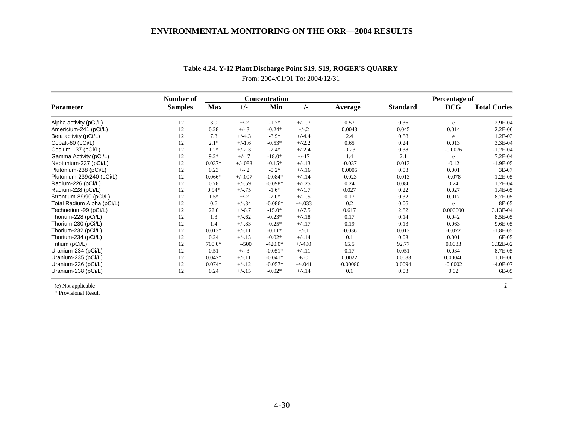|                            | Number of      |            |           | <b>Concentration</b> |            |            |                 | Percentage of |                     |
|----------------------------|----------------|------------|-----------|----------------------|------------|------------|-----------------|---------------|---------------------|
| Parameter                  | <b>Samples</b> | <b>Max</b> | $+/-$     | Min                  | $+/-$      | Average    | <b>Standard</b> | DCG           | <b>Total Curies</b> |
| Alpha activity (pCi/L)     | 12             | 3.0        | $+/-2$    | $-1.7*$              | $+/-1.7$   | 0.57       | 0.36            | e             | 2.9E-04             |
| Americium-241 (pCi/L)      | 12             | 0.28       | $+/-.3$   | $-0.24*$             | $+/-.2$    | 0.0043     | 0.045           | 0.014         | 2.2E-06             |
| Beta activity (pCi/L)      | 12             | 7.3        | $+/-4.3$  | $-3.9*$              | $+/-4.4$   | 2.4        | 0.88            | e             | 1.2E-03             |
| Cobalt-60 (pCi/L)          | 12             | $2.1*$     | $+/-1.6$  | $-0.53*$             | $+/-2.2$   | 0.65       | 0.24            | 0.013         | 3.3E-04             |
| Cesium-137 (pCi/L)         | 12             | $1.2*$     | $+/-2.3$  | $-2.4*$              | $+/-2.4$   | $-0.23$    | 0.38            | $-0.0076$     | $-1.2E - 04$        |
| Gamma Activity (pCi/L)     | 12             | $9.2*$     | $+/-17$   | $-18.0*$             | $+/-17$    | 1.4        | 2.1             | e             | 7.2E-04             |
| Neptunium-237 (pCi/L)      | 12             | $0.037*$   | $+/-088$  | $-0.15*$             | $+/-.13$   | $-0.037$   | 0.013           | $-0.12$       | $-1.9E-05$          |
| Plutonium-238 (pCi/L)      | 12             | 0.23       | $+/-2$    | $-0.2*$              | $+/-16$    | 0.0005     | 0.03            | 0.001         | 3E-07               |
| Plutonium-239/240 (pCi/L)  | 12             | $0.066*$   | $+/-0.97$ | $-0.084*$            | $+/-.14$   | $-0.023$   | 0.013           | $-0.078$      | $-1.2E-05$          |
| Radium-226 (pCi/L)         | 12             | 0.78       | $+/-.59$  | $-0.098*$            | $+/-.25$   | 0.24       | 0.080           | 0.24          | 1.2E-04             |
| Radium-228 (pCi/L)         | 12             | $0.94*$    | $+/-.75$  | $-1.6*$              | $+/-1.7$   | 0.027      | 0.22            | 0.027         | 1.4E-05             |
| Strontium-89/90 (pCi/L)    | 12             | $1.5*$     | $+/-2$    | $-2.0*$              | $+/-1.5$   | 0.17       | 0.32            | 0.017         | 8.7E-05             |
| Total Radium Alpha (pCi/L) | 12             | 0.6        | $+/-34$   | $-0.086*$            | $+/-0.033$ | 0.2        | 0.06            | e             | 8E-05               |
| Technetium-99 (pCi/L)      | 12             | 22.0       | $+/-6.7$  | $-15.0*$             | $+/-7.5$   | 0.617      | 2.82            | 0.000600      | 3.13E-04            |
| Thorium-228 (pCi/L)        | 12             | 1.3        | $+/-.62$  | $-0.23*$             | $+/-.18$   | 0.17       | 0.14            | 0.042         | 8.5E-05             |
| Thorium-230 (pCi/L)        | 12             | 1.4        | $+/-.83$  | $-0.25*$             | $+/-.17$   | 0.19       | 0.13            | 0.063         | 9.6E-05             |
| Thorium-232 (pCi/L)        | 12             | $0.013*$   | $+/-.11$  | $-0.11*$             | $+/-1$     | $-0.036$   | 0.013           | $-0.072$      | $-1.8E-05$          |
| Thorium-234 (pCi/L)        | 12             | 0.24       | $+/-15$   | $-0.02*$             | $+/-.14$   | 0.1        | 0.03            | 0.001         | 6E-05               |
| Tritium (pCi/L)            | 12             | 700.0*     | $+/-500$  | $-420.0*$            | $+/-490$   | 65.5       | 92.77           | 0.0033        | 3.32E-02            |
| Uranium-234 (pCi/L)        | 12             | 0.51       | $+/-3$    | $-0.051*$            | $+/-.11$   | 0.17       | 0.051           | 0.034         | 8.7E-05             |
| Uranium-235 (pCi/L)        | 12             | $0.047*$   | $+/-.11$  | $-0.041*$            | $+/-0$     | 0.0022     | 0.0083          | 0.00040       | 1.1E-06             |
| Uranium-236 (pCi/L)        | 12             | $0.074*$   | $+/-.12$  | $-0.057*$            | $+/-.041$  | $-0.00080$ | 0.0094          | $-0.0002$     | $-4.0E-07$          |
| Uranium-238 (pCi/L)        | 12             | 0.24       | $+/-15$   | $-0.02*$             | $+/-.14$   | 0.1        | 0.03            | 0.02          | 6E-05               |

# **Table 4.24. Y-12 Plant Discharge Point S19, S19, ROGER'S QUARRY**  From: 2004/01/01 To: 2004/12/31

(e) Not applicable *1*

\* Provisional Result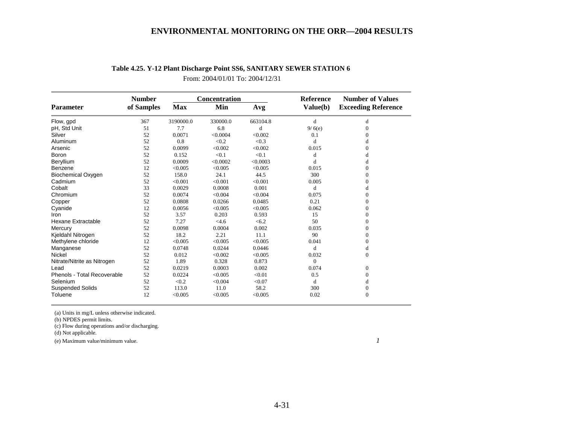|                             | <b>Number</b> |            | Concentration |          | <b>Reference</b> | <b>Number of Values</b>    |
|-----------------------------|---------------|------------|---------------|----------|------------------|----------------------------|
| <b>Parameter</b>            | of Samples    | <b>Max</b> | Min           | Avg      | Value(b)         | <b>Exceeding Reference</b> |
| Flow, gpd                   | 367           | 3190000.0  | 330000.0      | 663104.8 | d                | d                          |
| pH, Std Unit                | 51            | 7.7        | 6.8           | d        | 9/6(e)           | 0                          |
| Silver                      | 52            | 0.0071     | < 0.0004      | < 0.002  | 0.1              | 0                          |
| Aluminum                    | 52            | 0.8        | < 0.2         | < 0.3    | d                | d                          |
| Arsenic                     | 52            | 0.0099     | < 0.002       | < 0.002  | 0.015            | $\Omega$                   |
| Boron                       | 52            | 0.152      | < 0.1         | < 0.1    | d                | d                          |
| Beryllium                   | 52            | 0.0009     | < 0.0002      | < 0.0003 | d                | d                          |
| Benzene                     | 12            | < 0.005    | < 0.005       | < 0.005  | 0.015            | $\Omega$                   |
| <b>Biochemical Oxygen</b>   | 52            | 158.0      | 24.1          | 44.5     | 300              | $\Omega$                   |
| Cadmium                     | 52            | < 0.001    | < 0.001       | < 0.001  | 0.005            | $\Omega$                   |
| Cobalt                      | 33            | 0.0029     | 0.0008        | 0.001    | d                | d                          |
| Chromium                    | 52            | 0.0074     | < 0.004       | < 0.004  | 0.075            | $\theta$                   |
| Copper                      | 52            | 0.0808     | 0.0266        | 0.0485   | 0.21             | $\Omega$                   |
| Cyanide                     | 12            | 0.0056     | < 0.005       | < 0.005  | 0.062            | 0                          |
| Iron                        | 52            | 3.57       | 0.203         | 0.593    | 15               | $\Omega$                   |
| <b>Hexane Extractable</b>   | 52            | 7.27       | <4.6          | < 6.2    | 50               | 0                          |
| Mercury                     | 52            | 0.0098     | 0.0004        | 0.002    | 0.035            | 0                          |
| Kjeldahl Nitrogen           | 52            | 18.2       | 2.21          | 11.1     | 90               | $\Omega$                   |
| Methylene chloride          | 12            | < 0.005    | < 0.005       | < 0.005  | 0.041            | 0                          |
| Manganese                   | 52            | 0.0748     | 0.0244        | 0.0446   | d                | d                          |
| <b>Nickel</b>               | 52            | 0.012      | < 0.002       | < 0.005  | 0.032            | $\Omega$                   |
| Nitrate/Nitrite as Nitrogen | 52            | 1.89       | 0.328         | 0.873    | $\mathbf{0}$     |                            |
| Lead                        | 52            | 0.0219     | 0.0003        | 0.002    | 0.074            | 0                          |
| Phenols - Total Recoverable | 52            | 0.0224     | < 0.005       | < 0.01   | 0.5              | $\mathbf{0}$               |
| Selenium                    | 52            | < 0.2      | < 0.004       | < 0.07   | d                | d                          |
| <b>Suspended Solids</b>     | 52            | 113.0      | 11.0          | 58.2     | 300              | 0                          |
| Toluene                     | 12            | < 0.005    | < 0.005       | < 0.005  | 0.02             | $\overline{0}$             |

# **Table 4.25. Y-12 Plant Discharge Point SS6, SANITARY SEWER STATION 6** From: 2004/01/01 To: 2004/12/31

(a) Units in mg/L unless otherwise indicated.

(b) NPDES permit limits.

(c) Flow during operations and/or discharging.

(d) Not applicable.

(e) Maximum value/minimum value. *1*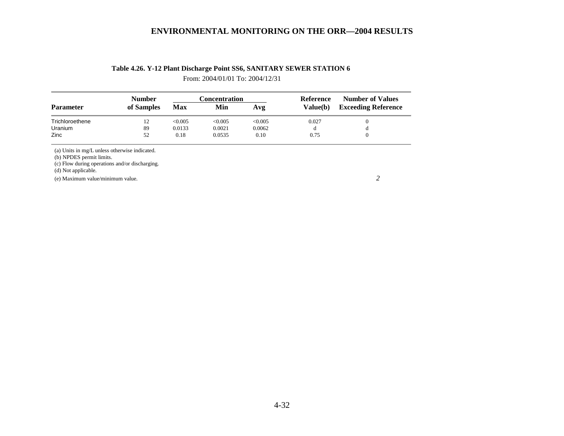| Table 4.26. Y-12 Plant Discharge Point SS6, SANITARY SEWER STATION 6 |  |  |
|----------------------------------------------------------------------|--|--|
|                                                                      |  |  |

From: 2004/01/01 To: 2004/12/31

| <b>Number</b> |        |         |          | Reference     | <b>Number of Values</b><br><b>Exceeding Reference</b> |  |
|---------------|--------|---------|----------|---------------|-------------------------------------------------------|--|
| of Samples    | Max    | Min     | Avg      | Value(b)      |                                                       |  |
| $12^{\circ}$  | <0.005 | < 0.005 | <0.005   | 0.027         |                                                       |  |
| 89            | 0.0133 | 0.0021  | 0.0062   |               | đ                                                     |  |
| 52            | 0.18   | 0.0535  | $0.10\,$ | 0.75          |                                                       |  |
|               |        |         |          | Concentration |                                                       |  |

(a) Units in mg/L unless otherwise indicated.

(b) NPDES permit limits.

(c) Flow during operations and/or discharging.

(d) Not applicable.

(e) Maximum value/minimum value. *2*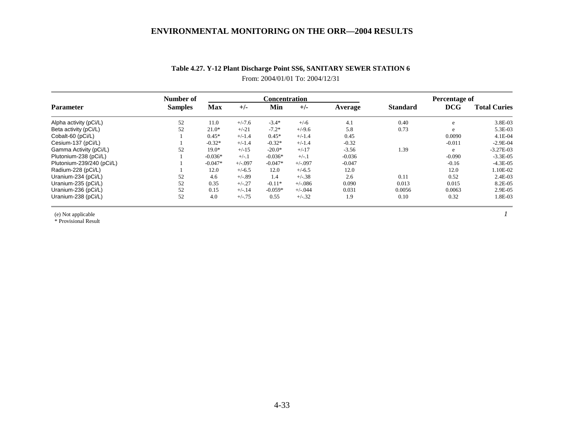|                           | Number of      |            |            | <b>Concentration</b> |            | Percentage of |                 |          |                     |
|---------------------------|----------------|------------|------------|----------------------|------------|---------------|-----------------|----------|---------------------|
| <b>Parameter</b>          | <b>Samples</b> | <b>Max</b> | $+/-$      | Min                  | $+/-$      | Average       | <b>Standard</b> | DCG      | <b>Total Curies</b> |
| Alpha activity (pCi/L)    | 52             | 11.0       | $+/-7.6$   | $-3.4*$              | $+/-6$     | 4.1           | 0.40            | e        | 3.8E-03             |
| Beta activity (pCi/L)     | 52             | $21.0*$    | $+/-21$    | $-7.2*$              | $+/-9.6$   | 5.8           | 0.73            | e        | 5.3E-03             |
| Cobalt-60 (pCi/L)         |                | $0.45*$    | $+/-1.4$   | $0.45*$              | $+/-1.4$   | 0.45          |                 | 0.0090   | $4.1E-04$           |
| Cesium-137 (pCi/L)        |                | $-0.32*$   | $+/-1.4$   | $-0.32*$             | $+/-1.4$   | $-0.32$       |                 | $-0.011$ | $-2.9E-04$          |
| Gamma Activity (pCi/L)    | 52             | $19.0*$    | $+/-15$    | $-20.0*$             | $+/-17$    | $-3.56$       | 1.39            | e        | $-3.27E-03$         |
| Plutonium-238 (pCi/L)     |                | $-0.036*$  | $+/-.1$    | $-0.036*$            | $+/-.1$    | $-0.036$      |                 | $-0.090$ | $-3.3E-0.5$         |
| Plutonium-239/240 (pCi/L) |                | $-0.047*$  | $+/-0.097$ | $-0.047*$            | $+/-.097$  | $-0.047$      |                 | $-0.16$  | $-4.3E-05$          |
| Radium-228 (pCi/L)        |                | 12.0       | $+/-6.5$   | 12.0                 | $+/-6.5$   | 12.0          |                 | 12.0     | 1.10E-02            |
| Uranium-234 (pCi/L)       | 52             | 4.6        | $+/-.89$   | 1.4                  | $+/-.38$   | 2.6           | 0.11            | 0.52     | 2.4E-03             |
| Uranium-235 (pCi/L)       | 52             | 0.35       | $+/-.27$   | $-0.11*$             | $+/-0.086$ | 0.090         | 0.013           | 0.015    | 8.2E-05             |
| Uranium-236 (pCi/L)       | 52             | 0.15       | $+/-.14$   | $-0.059*$            | $+/-.044$  | 0.031         | 0.0056          | 0.0063   | 2.9E-05             |
| Uranium-238 (pCi/L)       | 52             | 4.0        | $+/-.75$   | 0.55                 | $+/-.32$   | 1.9           | 0.10            | 0.32     | 1.8E-03             |

# **Table 4.27. Y-12 Plant Discharge Point SS6, SANITARY SEWER STATION 6**  From: 2004/01/01 To: 2004/12/31

(e) Not applicable *1*

\* Provisional Result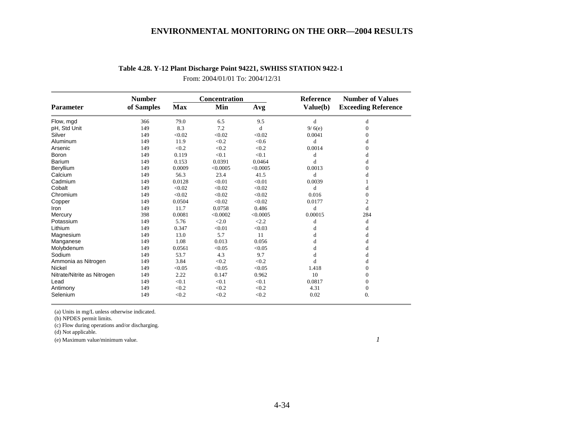|                             | <b>Number</b> |            | Concentration |          | <b>Reference</b> | <b>Number of Values</b>    |
|-----------------------------|---------------|------------|---------------|----------|------------------|----------------------------|
| <b>Parameter</b>            | of Samples    | <b>Max</b> | Min           | Avg      | Value(b)         | <b>Exceeding Reference</b> |
| Flow, mgd                   | 366           | 79.0       | 6.5           | 9.5      | d                | d                          |
| pH, Std Unit                | 149           | 8.3        | 7.2           | d        | 9/6(e)           | $\Omega$                   |
| Silver                      | 149           | < 0.02     | < 0.02        | < 0.02   | 0.0041           | $\Omega$                   |
| Aluminum                    | 149           | 11.9       | < 0.2         | < 0.6    | d                | d                          |
| Arsenic                     | 149           | < 0.2      | < 0.2         | < 0.2    | 0.0014           | $\Omega$                   |
| Boron                       | 149           | 0.119      | < 0.1         | < 0.1    | d                | d                          |
| Barium                      | 149           | 0.153      | 0.0391        | 0.0464   | d                | d                          |
| Beryllium                   | 149           | 0.0009     | < 0.0005      | < 0.0005 | 0.0013           | $\Omega$                   |
| Calcium                     | 149           | 56.3       | 23.4          | 41.5     | d                | d                          |
| Cadmium                     | 149           | 0.0128     | < 0.01        | < 0.01   | 0.0039           |                            |
| Cobalt                      | 149           | < 0.02     | < 0.02        | < 0.02   | d                | d                          |
| Chromium                    | 149           | < 0.02     | < 0.02        | < 0.02   | 0.016            | $\overline{0}$             |
| Copper                      | 149           | 0.0504     | < 0.02        | < 0.02   | 0.0177           | $\overline{c}$             |
| Iron                        | 149           | 11.7       | 0.0758        | 0.486    | d                | d                          |
| Mercury                     | 398           | 0.0081     | < 0.0002      | < 0.0005 | 0.00015          | 284                        |
| Potassium                   | 149           | 5.76       | <2.0          | < 2.2    | d                | d                          |
| Lithium                     | 149           | 0.347      | < 0.01        | < 0.03   | d                | d                          |
| Magnesium                   | 149           | 13.0       | 5.7           | 11       | d                | d                          |
| Manganese                   | 149           | 1.08       | 0.013         | 0.056    | d                | d                          |
| Molybdenum                  | 149           | 0.0561     | < 0.05        | < 0.05   | d                | d                          |
| Sodium                      | 149           | 53.7       | 4.3           | 9.7      | d                | d                          |
| Ammonia as Nitrogen         | 149           | 3.84       | < 0.2         | < 0.2    | d                | d                          |
| <b>Nickel</b>               | 149           | < 0.05     | < 0.05        | < 0.05   | 1.418            | $\Omega$                   |
| Nitrate/Nitrite as Nitrogen | 149           | 2.22       | 0.147         | 0.962    | 10               | $\Omega$                   |
| Lead                        | 149           | < 0.1      | < 0.1         | < 0.1    | 0.0817           | $\Omega$                   |
| Antimony                    | 149           | < 0.2      | < 0.2         | < 0.2    | 4.31             | 0                          |
| Selenium                    | 149           | < 0.2      | < 0.2         | < 0.2    | 0.02             | $\Omega$ .                 |

## **Table 4.28. Y-12 Plant Discharge Point 94221, SWHISS STATION 9422-1**

From: 2004/01/01 To: 2004/12/31

(a) Units in mg/L unless otherwise indicated.

(b) NPDES permit limits.

(c) Flow during operations and/or discharging.

 $(d)$  Not applicable.

(e) Maximum value/minimum value. *1*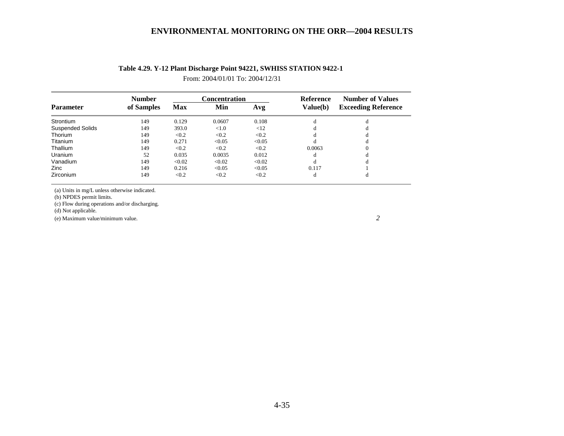|                         | <b>Number</b> |            | <b>Concentration</b> |        | Reference<br>Value(b) | <b>Number of Values</b><br><b>Exceeding Reference</b> |  |
|-------------------------|---------------|------------|----------------------|--------|-----------------------|-------------------------------------------------------|--|
| <b>Parameter</b>        | of Samples    | <b>Max</b> | Min                  | Avg    |                       |                                                       |  |
| Strontium               | 149           | 0.129      | 0.0607               | 0.108  | d                     |                                                       |  |
| <b>Suspended Solids</b> | 149           | 393.0      | < 1.0                | <12    | đ                     |                                                       |  |
| Thorium                 | 149           | < 0.2      | < 0.2                | < 0.2  | d                     |                                                       |  |
| Titanium                | 149           | 0.271      | < 0.05               | < 0.05 | d                     |                                                       |  |
| Thallium                | 149           | < 0.2      | < 0.2                | < 0.2  | 0.0063                | $\Omega$                                              |  |
| Uranium                 | 52            | 0.035      | 0.0035               | 0.012  | d                     |                                                       |  |
| Vanadium                | 149           | < 0.02     | < 0.02               | < 0.02 | d                     | đ                                                     |  |
| Zinc                    | 149           | 0.216      | < 0.05               | < 0.05 | 0.117                 |                                                       |  |
| Zirconium               | 149           | < 0.2      | < 0.2                | < 0.2  | d                     | đ                                                     |  |

## **Table 4.29. Y-12 Plant Discharge Point 94221, SWHISS STATION 9422-1**

From: 2004/01/01 To: 2004/12/31

(a) Units in mg/L unless otherwise indicated.

(b) NPDES permit limits.

(c) Flow during operations and/or discharging.

(d) Not applicable.

(e) Maximum value/minimum value. *2*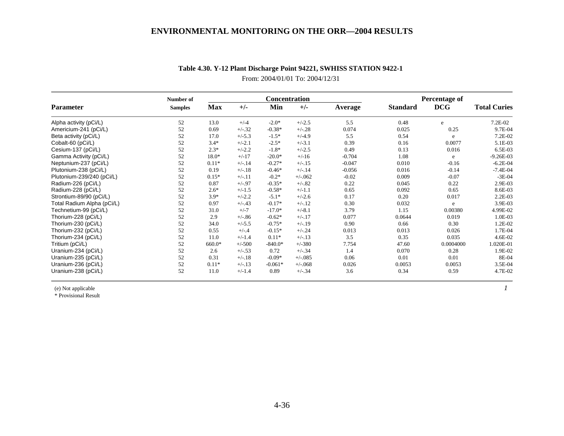|                            | Number of      |            |          | Concentration |            |          | <b>Percentage of</b> |            |                     |
|----------------------------|----------------|------------|----------|---------------|------------|----------|----------------------|------------|---------------------|
| <b>Parameter</b>           | <b>Samples</b> | <b>Max</b> | $+/-$    | Min           | $+/-$      | Average  | <b>Standard</b>      | <b>DCG</b> | <b>Total Curies</b> |
| Alpha activity (pCi/L)     | 52             | 13.0       | $+/-4$   | $-2.0*$       | $+/-2.5$   | 5.5      | 0.48                 | e          | 7.2E-02             |
| Americium-241 (pCi/L)      | 52             | 0.69       | $+/-32$  | $-0.38*$      | $+/-.28$   | 0.074    | 0.025                | 0.25       | 9.7E-04             |
| Beta activity (pCi/L)      | 52             | 17.0       | $+/-5.3$ | $-1.5*$       | $+/-4.9$   | 5.5      | 0.54                 | e          | 7.2E-02             |
| Cobalt-60 (pCi/L)          | 52             | $3.4*$     | $+/-2.1$ | $-2.5*$       | $+/-3.1$   | 0.39     | 0.16                 | 0.0077     | 5.1E-03             |
| Cesium-137 (pCi/L)         | 52             | $2.3*$     | $+/-2.2$ | $-1.8*$       | $+/-2.5$   | 0.49     | 0.13                 | 0.016      | 6.5E-03             |
| Gamma Activity (pCi/L)     | 52             | $18.0*$    | $+/-17$  | $-20.0*$      | $+/-16$    | $-0.704$ | 1.08                 | e          | $-9.26E - 03$       |
| Neptunium-237 (pCi/L)      | 52             | $0.11*$    | $+/-.14$ | $-0.27*$      | $+/-.15$   | $-0.047$ | 0.010                | $-0.16$    | $-6.2E - 04$        |
| Plutonium-238 (pCi/L)      | 52             | 0.19       | $+/-.18$ | $-0.46*$      | $+/-.14$   | $-0.056$ | 0.016                | $-0.14$    | $-7.4E - 04$        |
| Plutonium-239/240 (pCi/L)  | 52             | $0.15*$    | $+/-.11$ | $-0.2*$       | $+/-062$   | $-0.02$  | 0.009                | $-0.07$    | $-3E-04$            |
| Radium-226 (pCi/L)         | 52             | 0.87       | $+/-.97$ | $-0.35*$      | $+/-.82$   | 0.22     | 0.045                | 0.22       | 2.9E-03             |
| Radium-228 (pCi/L)         | 52             | $2.6*$     | $+/-1.5$ | $-0.58*$      | $+/-1.1$   | 0.65     | 0.092                | 0.65       | 8.6E-03             |
| Strontium-89/90 (pCi/L)    | 52             | $3.9*$     | $+/-2.2$ | $-5.1*$       | $+/-2.6$   | 0.17     | 0.20                 | 0.017      | $2.2E-03$           |
| Total Radium Alpha (pCi/L) | 52             | 0.97       | $+/-.43$ | $-0.17*$      | $+/-.12$   | 0.30     | 0.032                | e          | 3.9E-03             |
| Technetium-99 (pCi/L)      | 52             | 31.0       | $+/-7$   | $-17.0*$      | $+/-8.1$   | 3.79     | 1.15                 | 0.00380    | 4.99E-02            |
| Thorium-228 (pCi/L)        | 52             | 2.9        | $+/-.86$ | $-0.62*$      | $+/-.17$   | 0.077    | 0.0644               | 0.019      | 1.0E-03             |
| Thorium-230 (pCi/L)        | 52             | 34.0       | $+/-5.5$ | $-0.75*$      | $+/-.19$   | 0.90     | 0.66                 | 0.30       | 1.2E-02             |
| Thorium-232 (pCi/L)        | 52             | 0.55       | $+/-.4$  | $-0.15*$      | $+/-.24$   | 0.013    | 0.013                | 0.026      | 1.7E-04             |
| Thorium-234 (pCi/L)        | 52             | 11.0       | $+/-1.4$ | $0.11*$       | $+/-.13$   | 3.5      | 0.35                 | 0.035      | 4.6E-02             |
| Tritium (pCi/L)            | 52             | 660.0*     | $+/-500$ | $-840.0*$     | $+/-380$   | 7.754    | 47.60                | 0.0004000  | 1.020E-01           |
| Uranium-234 (pCi/L)        | 52             | 2.6        | $+/-.53$ | 0.72          | $+/-34$    | 1.4      | 0.070                | 0.28       | 1.9E-02             |
| Uranium-235 (pCi/L)        | 52             | 0.31       | $+/-.18$ | $-0.09*$      | $+/-0.085$ | 0.06     | 0.01                 | 0.01       | 8E-04               |
| Uranium-236 (pCi/L)        | 52             | $0.11*$    | $+/-.13$ | $-0.061*$     | $+/-068$   | 0.026    | 0.0053               | 0.0053     | 3.5E-04             |
| Uranium-238 (pCi/L)        | 52             | 11.0       | $+/-1.4$ | 0.89          | $+/-34$    | 3.6      | 0.34                 | 0.59       | 4.7E-02             |

# **Table 4.30. Y-12 Plant Discharge Point 94221, SWHISS STATION 9422-1**

From: 2004/01/01 To: 2004/12/31

(e) Not applicable *1*

\* Provisional Result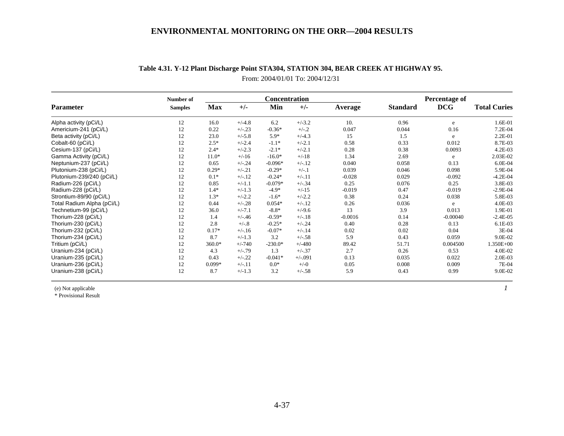|                            | Number of      |            |          | <b>Concentration</b> |           |           | <b>Percentage of</b> |            |                     |
|----------------------------|----------------|------------|----------|----------------------|-----------|-----------|----------------------|------------|---------------------|
| <b>Parameter</b>           | <b>Samples</b> | <b>Max</b> | $+/-$    | Min                  | $+/-$     | Average   | <b>Standard</b>      | <b>DCG</b> | <b>Total Curies</b> |
| Alpha activity (pCi/L)     | 12             | 16.0       | $+/-4.8$ | 6.2                  | $+/-3.2$  | 10.       | 0.96                 | e          | 1.6E-01             |
| Americium-241 (pCi/L)      | 12             | 0.22       | $+/-.23$ | $-0.36*$             | $+/-.2$   | 0.047     | 0.044                | 0.16       | 7.2E-04             |
| Beta activity (pCi/L)      | 12             | 23.0       | $+/-5.8$ | $5.9*$               | $+/-4.3$  | 15        | 1.5                  | e          | 2.2E-01             |
| Cobalt-60 (pCi/L)          | 12             | $2.5*$     | $+/-2.4$ | $-1.1*$              | $+/-2.1$  | 0.58      | 0.33                 | 0.012      | 8.7E-03             |
| Cesium-137 (pCi/L)         | 12             | $2.4*$     | $+/-2.3$ | $-2.1*$              | $+/-2.1$  | 0.28      | 0.38                 | 0.0093     | $4.2E-03$           |
| Gamma Activity (pCi/L)     | 12             | $11.0*$    | $+/-16$  | $-16.0*$             | $+/-18$   | 1.34      | 2.69                 | e          | 2.03E-02            |
| Neptunium-237 (pCi/L)      | 12             | 0.65       | $+/-.24$ | $-0.096*$            | $+/-.12$  | 0.040     | 0.058                | 0.13       | 6.0E-04             |
| Plutonium-238 (pCi/L)      | 12             | $0.29*$    | $+/-.21$ | $-0.29*$             | $+/-.1$   | 0.039     | 0.046                | 0.098      | 5.9E-04             |
| Plutonium-239/240 (pCi/L)  | 12             | $0.1*$     | $+/-.12$ | $-0.24*$             | $+/-11$   | $-0.028$  | 0.029                | $-0.092$   | $-4.2E - 04$        |
| Radium-226 (pCi/L)         | 12             | 0.85       | $+/-1.1$ | $-0.079*$            | $+/-.34$  | 0.25      | 0.076                | 0.25       | 3.8E-03             |
| Radium-228 (pCi/L)         | 12             | $1.4*$     | $+/-1.3$ | $-4.9*$              | $+/-15$   | $-0.019$  | 0.47                 | $-0.019$   | $-2.9E - 04$        |
| Strontium-89/90 (pCi/L)    | 12             | $1.3*$     | $+/-2.2$ | $-1.6*$              | $+/-2.2$  | 0.38      | 0.24                 | 0.038      | 5.8E-03             |
| Total Radium Alpha (pCi/L) | 12             | 0.44       | $+/-.28$ | $0.054*$             | $+/-.12$  | 0.26      | 0.036                | e          | 4.0E-03             |
| Technetium-99 (pCi/L)      | 12             | 36.0       | $+/-7.1$ | $-8.8*$              | $+/-9.6$  | 13        | 3.9                  | 0.013      | 1.9E-01             |
| Thorium-228 (pCi/L)        | 12             | 1.4        | $+/-.46$ | $-0.59*$             | $+/-.18$  | $-0.0016$ | 0.14                 | $-0.00040$ | $-2.4E-05$          |
| Thorium-230 (pCi/L)        | 12             | 2.8        | $+/-.8$  | $-0.25*$             | $+/-.24$  | 0.40      | 0.28                 | 0.13       | 6.1E-03             |
| Thorium-232 (pCi/L)        | 12             | $0.17*$    | $+/-16$  | $-0.07*$             | $+/-.14$  | 0.02      | 0.02                 | 0.04       | 3E-04               |
| Thorium-234 (pCi/L)        | 12             | 8.7        | $+/-1.3$ | 3.2                  | $+/-.58$  | 5.9       | 0.43                 | 0.059      | 9.0E-02             |
| Tritium (pCi/L)            | 12             | 360.0*     | $+/-740$ | $-230.0*$            | $+/-480$  | 89.42     | 51.71                | 0.004500   | 1.350E+00           |
| Uranium-234 (pCi/L)        | 12             | 4.3        | $+/-.79$ | 1.3                  | $+/-.37$  | 2.7       | 0.26                 | 0.53       | 4.0E-02             |
| Uranium-235 (pCi/L)        | 12             | 0.43       | $+/-.22$ | $-0.041*$            | $+/-.091$ | 0.13      | 0.035                | 0.022      | 2.0E-03             |
| Uranium-236 (pCi/L)        | 12             | $0.099*$   | $+/-.11$ | $0.0*$               | $+/-0$    | 0.05      | 0.008                | 0.009      | 7E-04               |
| Uranium-238 (pCi/L)        | 12             | 8.7        | $+/-1.3$ | 3.2                  | $+/-.58$  | 5.9       | 0.43                 | 0.99       | 9.0E-02             |

# **Table 4.31. Y-12 Plant Discharge Point STA304, STATION 304, BEAR CREEK AT HIGHWAY 95.** From: 2004/01/01 To: 2004/12/31

(e) Not applicable *1*

\* Provisional Result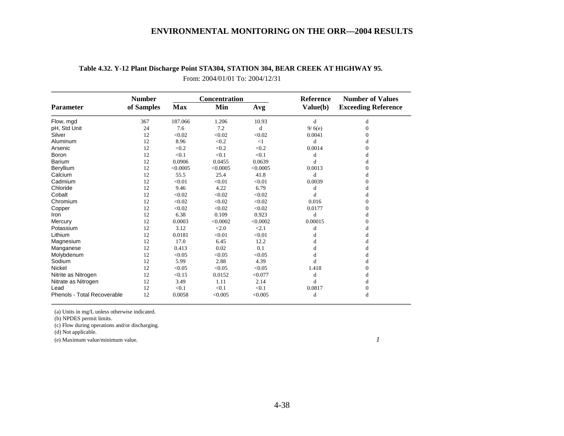|                             | <b>Number</b> |            | Concentration |          | <b>Reference</b> | <b>Number of Values</b>    |  |  |
|-----------------------------|---------------|------------|---------------|----------|------------------|----------------------------|--|--|
| <b>Parameter</b>            | of Samples    | <b>Max</b> | Min           | Avg      | Value(b)         | <b>Exceeding Reference</b> |  |  |
| Flow, mgd                   | 367           | 187.066    | 1.206         | 10.93    | d                | d                          |  |  |
| pH, Std Unit                | 24            | 7.6        | 7.2           | d        | 9/6(e)           | $\Omega$                   |  |  |
| Silver                      | 12            | < 0.02     | < 0.02        | < 0.02   | 0.0041           | $\Omega$                   |  |  |
| Aluminum                    | 12            | 8.96       | < 0.2         | <1       | d                | d                          |  |  |
| Arsenic                     | 12            | < 0.2      | < 0.2         | < 0.2    | 0.0014           | $\Omega$                   |  |  |
| Boron                       | 12            | < 0.1      | < 0.1         | < 0.1    | d                | d                          |  |  |
| <b>Barium</b>               | 12            | 0.0906     | 0.0455        | 0.0639   | d                | d                          |  |  |
| Beryllium                   | 12            | < 0.0005   | < 0.0005      | < 0.0005 | 0.0013           | 0                          |  |  |
| Calcium                     | 12            | 55.5       | 25.4          | 41.8     | d                | d                          |  |  |
| Cadmium                     | 12            | < 0.01     | < 0.01        | < 0.01   | 0.0039           | $\Omega$                   |  |  |
| Chloride                    | 12            | 9.46       | 4.22          | 6.79     | d                | d                          |  |  |
| Cobalt                      | 12            | < 0.02     | < 0.02        | < 0.02   | d                | d                          |  |  |
| Chromium                    | 12            | < 0.02     | < 0.02        | < 0.02   | 0.016            | $\Omega$                   |  |  |
| Copper                      | 12            | < 0.02     | < 0.02        | < 0.02   | 0.0177           | $\Omega$                   |  |  |
| Iron                        | 12            | 6.38       | 0.109         | 0.923    | d                | d                          |  |  |
| Mercury                     | 12            | 0.0003     | < 0.0002      | < 0.0002 | 0.00015          | 0                          |  |  |
| Potassium                   | 12            | 3.12       | < 2.0         | < 2.1    | d                | d                          |  |  |
| Lithium                     | 12            | 0.0181     | < 0.01        | < 0.01   | d                | đ                          |  |  |
| Magnesium                   | 12            | 17.0       | 6.45          | 12.2     | d                |                            |  |  |
| Manganese                   | 12            | 0.413      | 0.02          | 0.1      | d                | d                          |  |  |
| Molybdenum                  | 12            | < 0.05     | < 0.05        | < 0.05   | d                | d                          |  |  |
| Sodium                      | 12            | 5.99       | 2.88          | 4.39     | d                | d                          |  |  |
| Nickel                      | 12            | < 0.05     | < 0.05        | < 0.05   | 1.418            | $\Omega$                   |  |  |
| Nitrite as Nitrogen         | 12            | < 0.15     | 0.0152        | < 0.077  | d                | d                          |  |  |
| Nitrate as Nitrogen         | 12            | 3.49       | 1.11          | 2.14     | d                | d                          |  |  |
| Lead                        | 12            | < 0.1      | < 0.1         | < 0.1    | 0.0817           | $\mathbf{0}$               |  |  |
| Phenols - Total Recoverable | 12            | 0.0058     | < 0.005       | < 0.005  | d                | d                          |  |  |

# **Table 4.32. Y-12 Plant Discharge Point STA304, STATION 304, BEAR CREEK AT HIGHWAY 95.**

From: 2004/01/01 To: 2004/12/31

(a) Units in mg/L unless otherwise indicated.

(b) NPDES permit limits.

(c) Flow during operations and/or discharging.

 $(d)$  Not applicable.

(e) Maximum value/minimum value. *1*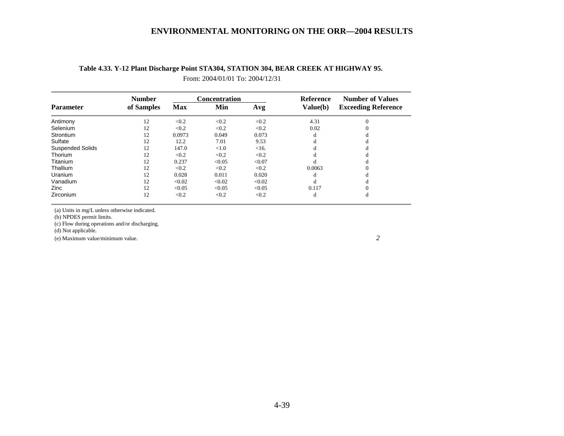|                         | <b>Number</b> |            | Concentration |        | <b>Reference</b> | <b>Number of Values</b><br><b>Exceeding Reference</b> |  |
|-------------------------|---------------|------------|---------------|--------|------------------|-------------------------------------------------------|--|
| <b>Parameter</b>        | of Samples    | <b>Max</b> | Min           | Avg    | Value(b)         |                                                       |  |
| Antimony                | 12            | < 0.2      | < 0.2         | < 0.2  | 4.31             |                                                       |  |
| Selenium                | 12            | < 0.2      | < 0.2         | < 0.2  | 0.02             |                                                       |  |
| Strontium               | 12            | 0.0973     | 0.049         | 0.073  | d                |                                                       |  |
| Sulfate                 | 12            | 12.2       | 7.01          | 9.53   | đ                |                                                       |  |
| <b>Suspended Solids</b> | 12            | 147.0      | < 1.0         | <16.   |                  |                                                       |  |
| Thorium                 | 12            | < 0.2      | < 0.2         | < 0.2  | đ                |                                                       |  |
| Titanium                | 12            | 0.237      | < 0.05        | < 0.07 | d                |                                                       |  |
| Thallium                | 12            | < 0.2      | < 0.2         | < 0.2  | 0.0063           |                                                       |  |
| <b>Uranium</b>          | 12            | 0.028      | 0.011         | 0.020  | d                |                                                       |  |
| Vanadium                | 12            | < 0.02     | < 0.02        | < 0.02 | d                |                                                       |  |
| Zinc                    | 12            | < 0.05     | < 0.05        | < 0.05 | 0.117            |                                                       |  |
| Zirconium               | 12            | < 0.2      | < 0.2         | < 0.2  | d                | đ                                                     |  |

# **Table 4.33. Y-12 Plant Discharge Point STA304, STATION 304, BEAR CREEK AT HIGHWAY 95.** From: 2004/01/01 To: 2004/12/31

(a) Units in mg/L unless otherwise indicated.

(b) NPDES permit limits.

(c) Flow during operations and/or discharging.

(d) Not applicable.

(e) Maximum value/minimum value. *2*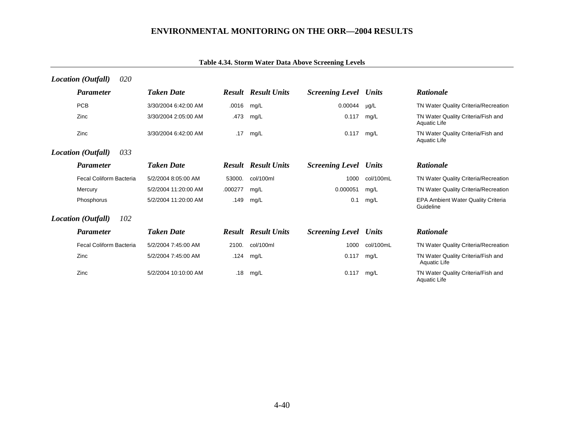| <b>Location</b> (Outfall) | 020 |                      |         |                            |                              |              |                                                           |
|---------------------------|-----|----------------------|---------|----------------------------|------------------------------|--------------|-----------------------------------------------------------|
| <b>Parameter</b>          |     | <b>Taken Date</b>    |         | <b>Result Result Units</b> | <b>Screening Level Units</b> |              | <b>Rationale</b>                                          |
| <b>PCB</b>                |     | 3/30/2004 6:42:00 AM | .0016   | mg/L                       | 0.00044                      | $\mu$ g/L    | TN Water Quality Criteria/Recreation                      |
| Zinc                      |     | 3/30/2004 2:05:00 AM | .473    | mg/L                       | 0.117                        | mg/L         | TN Water Quality Criteria/Fish and<br>Aquatic Life        |
| Zinc                      |     | 3/30/2004 6:42:00 AM | .17     | mg/L                       | 0.117                        | mg/L         | TN Water Quality Criteria/Fish and<br><b>Aquatic Life</b> |
| <b>Location</b> (Outfall) | 033 |                      |         |                            |                              |              |                                                           |
| <b>Parameter</b>          |     | <b>Taken Date</b>    |         | <b>Result Result Units</b> | <b>Screening Level Units</b> |              | <b>Rationale</b>                                          |
| Fecal Coliform Bacteria   |     | 5/2/2004 8:05:00 AM  | 53000.  | col/100ml                  | 1000                         | col/100mL    | TN Water Quality Criteria/Recreation                      |
| Mercury                   |     | 5/2/2004 11:20:00 AM | .000277 | mg/L                       | 0.000051                     | mg/L         | TN Water Quality Criteria/Recreation                      |
| Phosphorus                |     | 5/2/2004 11:20:00 AM | .149    | mg/L                       | 0.1                          | mg/L         | <b>EPA Ambient Water Quality Criteria</b><br>Guideline    |
| Location (Outfall)        | 102 |                      |         |                            |                              |              |                                                           |
| <b>Parameter</b>          |     | <b>Taken Date</b>    |         | <b>Result Result Units</b> | <b>Screening Level</b>       | <b>Units</b> | <b>Rationale</b>                                          |
| Fecal Coliform Bacteria   |     | 5/2/2004 7:45:00 AM  | 2100.   | col/100ml                  | 1000                         | col/100mL    | TN Water Quality Criteria/Recreation                      |
| Zinc                      |     | 5/2/2004 7:45:00 AM  | .124    | mg/L                       | 0.117                        | mg/L         | TN Water Quality Criteria/Fish and<br>Aquatic Life        |
| Zinc                      |     | 5/2/2004 10:10:00 AM | .18     | mg/L                       | 0.117                        | mg/L         | TN Water Quality Criteria/Fish and<br><b>Aquatic Life</b> |

# **Table 4.34. Storm Water Data Above Screening Levels**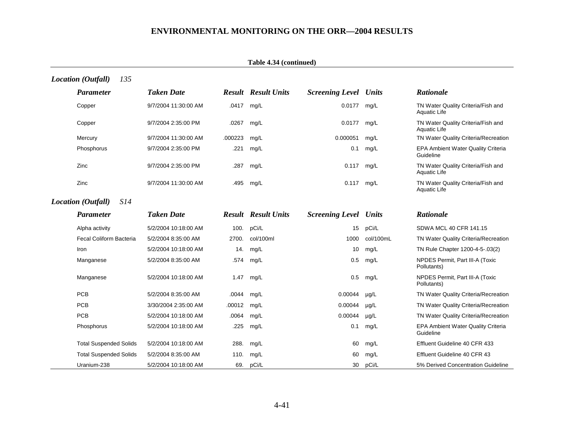|                                  |                      |         | Table 4.34 (continued)     |                              |           |                                                           |
|----------------------------------|----------------------|---------|----------------------------|------------------------------|-----------|-----------------------------------------------------------|
| <b>Location</b> (Outfall)<br>135 |                      |         |                            |                              |           |                                                           |
| <b>Parameter</b>                 | <b>Taken Date</b>    |         | <b>Result Result Units</b> | <b>Screening Level Units</b> |           | Rationale                                                 |
| Copper                           | 9/7/2004 11:30:00 AM | .0417   | mg/L                       | 0.0177                       | mg/L      | TN Water Quality Criteria/Fish and<br><b>Aquatic Life</b> |
| Copper                           | 9/7/2004 2:35:00 PM  | .0267   | mg/L                       | 0.0177                       | mg/L      | TN Water Quality Criteria/Fish and<br><b>Aquatic Life</b> |
| Mercury                          | 9/7/2004 11:30:00 AM | .000223 | mg/L                       | 0.000051                     | mg/L      | TN Water Quality Criteria/Recreation                      |
| Phosphorus                       | 9/7/2004 2:35:00 PM  | .221    | mg/L                       | 0.1                          | mg/L      | EPA Ambient Water Quality Criteria<br>Guideline           |
| Zinc                             | 9/7/2004 2:35:00 PM  | .287    | mg/L                       | 0.117                        | mg/L      | TN Water Quality Criteria/Fish and<br><b>Aquatic Life</b> |
| Zinc                             | 9/7/2004 11:30:00 AM | .495    | mg/L                       | 0.117                        | mg/L      | TN Water Quality Criteria/Fish and<br><b>Aquatic Life</b> |
| Location (Outfall)<br><i>S14</i> |                      |         |                            |                              |           |                                                           |
| <b>Parameter</b>                 | <b>Taken Date</b>    |         | <b>Result Result Units</b> | <b>Screening Level Units</b> |           | <b>Rationale</b>                                          |
| Alpha activity                   | 5/2/2004 10:18:00 AM | 100.    | pCi/L                      | 15                           | pCi/L     | SDWA MCL 40 CFR 141.15                                    |
| Fecal Coliform Bacteria          | 5/2/2004 8:35:00 AM  | 2700.   | col/100ml                  | 1000                         | col/100mL | TN Water Quality Criteria/Recreation                      |
| Iron                             | 5/2/2004 10:18:00 AM | 14.     | mg/L                       | 10                           | mg/L      | TN Rule Chapter 1200-4-5-.03(2)                           |
| Manganese                        | 5/2/2004 8:35:00 AM  | .574    | mg/L                       | 0.5                          | mg/L      | NPDES Permit, Part III-A (Toxic<br>Pollutants)            |
| Manganese                        | 5/2/2004 10:18:00 AM | 1.47    | mg/L                       | 0.5                          | mg/L      | NPDES Permit, Part III-A (Toxic<br>Pollutants)            |
| <b>PCB</b>                       | 5/2/2004 8:35:00 AM  | .0044   | mg/L                       | 0.00044                      | $\mu$ g/L | TN Water Quality Criteria/Recreation                      |
| <b>PCB</b>                       | 3/30/2004 2:35:00 AM | .00012  | mg/L                       | 0.00044                      | $\mu$ g/L | TN Water Quality Criteria/Recreation                      |
| PCB                              | 5/2/2004 10:18:00 AM | .0064   | mg/L                       | 0.00044                      | $\mu$ g/L | TN Water Quality Criteria/Recreation                      |
| Phosphorus                       | 5/2/2004 10:18:00 AM | .225    | mg/L                       | 0.1                          | mg/L      | EPA Ambient Water Quality Criteria<br>Guideline           |
| <b>Total Suspended Solids</b>    | 5/2/2004 10:18:00 AM | 288.    | mg/L                       | 60                           | mg/L      | Effluent Guideline 40 CFR 433                             |
| <b>Total Suspended Solids</b>    | 5/2/2004 8:35:00 AM  | 110.    | mg/L                       | 60                           | mg/L      | Effluent Guideline 40 CFR 43                              |
| Uranium-238                      | 5/2/2004 10:18:00 AM | 69.     | pCi/L                      | 30                           | pCi/L     | 5% Derived Concentration Guideline                        |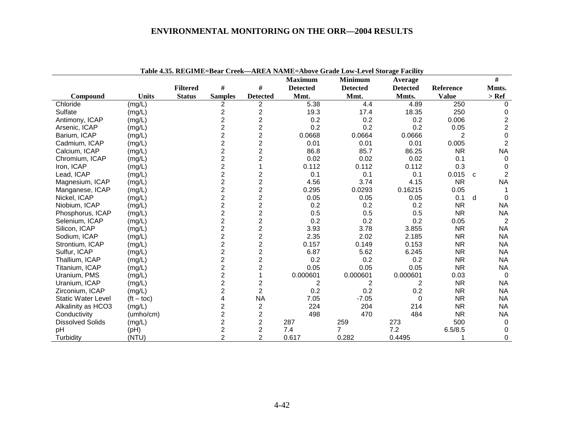|                           |                    |                 |                         |                         | <b>Maximum</b>  | <b>Minimum</b>  | Average         |              |   | $\#$                    |
|---------------------------|--------------------|-----------------|-------------------------|-------------------------|-----------------|-----------------|-----------------|--------------|---|-------------------------|
|                           |                    | <b>Filtered</b> | $\#$                    | #                       | <b>Detected</b> | <b>Detected</b> | <b>Detected</b> | Reference    |   | Mmts.                   |
| Compound                  | <b>Units</b>       | <b>Status</b>   | <b>Samples</b>          | <b>Detected</b>         | Mmt.            | Mmt.            | Mmts.           | <b>Value</b> |   | $>$ Ref                 |
| Chloride                  | (mg/L)             |                 | 2                       | $\overline{c}$          | 5.38            | 4.4             | 4.89            | 250          |   | $\Omega$                |
| Sulfate                   | (mg/L)             |                 | $\overline{c}$          | 2                       | 19.3            | 17.4            | 18.35           | 250          |   | 0                       |
| Antimony, ICAP            | (mg/L)             |                 | $\overline{\mathbf{c}}$ | 2                       | 0.2             | 0.2             | 0.2             | 0.006        |   | $\overline{\mathbf{c}}$ |
| Arsenic, ICAP             | (mg/L)             |                 | $\overline{c}$          | $\overline{c}$          | 0.2             | 0.2             | 0.2             | 0.05         |   | $\overline{c}$          |
| Barium, ICAP              | (mg/L)             |                 | $\overline{c}$          | $\overline{2}$          | 0.0668          | 0.0664          | 0.0666          | 2            |   | $\pmb{0}$               |
| Cadmium, ICAP             | (mg/L)             |                 | $\overline{c}$          | $\overline{2}$          | 0.01            | 0.01            | 0.01            | 0.005        |   | $\overline{2}$          |
| Calcium, ICAP             | (mg/L)             |                 | $\overline{2}$          | $\overline{2}$          | 86.8            | 85.7            | 86.25           | <b>NR</b>    |   | <b>NA</b>               |
| Chromium, ICAP            | (mg/L)             |                 | $\overline{c}$          | 2                       | 0.02            | 0.02            | 0.02            | 0.1          |   | $\mathbf 0$             |
| Iron, ICAP                | (mg/L)             |                 | $\overline{c}$          |                         | 0.112           | 0.112           | 0.112           | 0.3          |   | 0                       |
| Lead, ICAP                | (mg/L)             |                 | $\overline{c}$          | $\overline{c}$          | 0.1             | 0.1             | 0.1             | 0.015        | C | $\overline{2}$          |
| Magnesium, ICAP           | (mg/L)             |                 | $\overline{c}$          | $\overline{c}$          | 4.56            | 3.74            | 4.15            | <b>NR</b>    |   | <b>NA</b>               |
| Manganese, ICAP           | (mg/L)             |                 | $\overline{2}$          | $\overline{c}$          | 0.295           | 0.0293          | 0.16215         | 0.05         |   |                         |
| Nickel, ICAP              | (mg/L)             |                 | $\overline{2}$          | $\overline{c}$          | 0.05            | 0.05            | 0.05            | 0.1          | d | $\Omega$                |
| Niobium, ICAP             | (mg/L)             |                 | $\overline{\mathbf{c}}$ | $\overline{\mathbf{c}}$ | 0.2             | 0.2             | 0.2             | <b>NR</b>    |   | <b>NA</b>               |
| Phosphorus, ICAP          | (mg/L)             |                 | $\overline{c}$          | $\overline{c}$          | 0.5             | 0.5             | 0.5             | <b>NR</b>    |   | <b>NA</b>               |
| Selenium, ICAP            | (mg/L)             |                 | $\overline{c}$          | $\overline{c}$          | 0.2             | 0.2             | 0.2             | 0.05         |   | 2                       |
| Silicon, ICAP             | (mg/L)             |                 | $\overline{2}$          | $\overline{c}$          | 3.93            | 3.78            | 3.855           | <b>NR</b>    |   | <b>NA</b>               |
| Sodium, ICAP              | (mg/L)             |                 | $\overline{2}$          | $\overline{c}$          | 2.35            | 2.02            | 2.185           | <b>NR</b>    |   | <b>NA</b>               |
| Strontium, ICAP           | (mg/L)             |                 | $\overline{c}$          | $\overline{\mathbf{c}}$ | 0.157           | 0.149           | 0.153           | <b>NR</b>    |   | <b>NA</b>               |
| Sulfur, ICAP              | (mg/L)             |                 | $\overline{c}$          | $\overline{c}$          | 6.87            | 5.62            | 6.245           | <b>NR</b>    |   | <b>NA</b>               |
| Thallium, ICAP            | (mg/L)             |                 | $\overline{c}$          | $\overline{c}$          | 0.2             | 0.2             | 0.2             | <b>NR</b>    |   | <b>NA</b>               |
| Titanium, ICAP            | (mg/L)             |                 | $\overline{c}$          | 2                       | 0.05            | 0.05            | 0.05            | <b>NR</b>    |   | <b>NA</b>               |
| Uranium, PMS              | (mg/L)             |                 | $\overline{c}$          |                         | 0.000601        | 0.000601        | 0.000601        | 0.03         |   | $\Omega$                |
| Uranium, ICAP             | (mg/L)             |                 | $\overline{2}$          | $\overline{c}$          | 2               | 2               | 2               | <b>NR</b>    |   | <b>NA</b>               |
| Zirconium, ICAP           | (mg/L)             |                 | $\overline{\mathbf{c}}$ | $\overline{c}$          | 0.2             | 0.2             | 0.2             | <b>NR</b>    |   | <b>NA</b>               |
| <b>Static Water Level</b> | $(t - \text{toc})$ |                 | 4                       | <b>NA</b>               | 7.05            | $-7.05$         | $\Omega$        | <b>NR</b>    |   | <b>NA</b>               |
| Alkalinity as HCO3        | (mg/L)             |                 | $\overline{c}$          | $\overline{c}$          | 224             | 204             | 214             | <b>NR</b>    |   | <b>NA</b>               |
| Conductivity              | (umho/cm)          |                 | $\overline{c}$          | $\overline{c}$          | 498             | 470             | 484             | <b>NR</b>    |   | <b>NA</b>               |
| <b>Dissolved Solids</b>   | (mg/L)             |                 | $\overline{2}$          | $\overline{2}$          | 287             | 259             | 273             | 500          |   | 0                       |
| pH                        | (Hq)               |                 | $\overline{c}$          | $\overline{c}$          | 7.4             | $\overline{7}$  | 7.2             | 6.5/8.5      |   | 0                       |
| Turbidity                 | (NTU)              |                 | $\overline{2}$          | $\overline{2}$          | 0.617           | 0.282           | 0.4495          |              |   | 0                       |

**Table 4.35. REGIME=Bear Creek—AREA NAME=Above Grade Low-Level Storage Facility**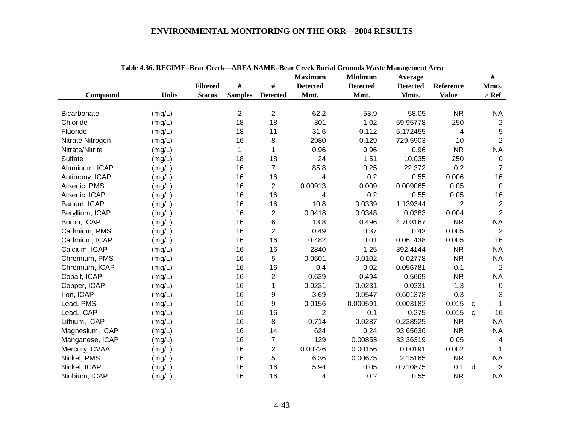|                  |              |                 |                |                 | <b>Maximum</b>  | <b>Minimum</b>  | Average         |                | #            |                |
|------------------|--------------|-----------------|----------------|-----------------|-----------------|-----------------|-----------------|----------------|--------------|----------------|
|                  |              | <b>Filtered</b> | $\#$           | $\#$            | <b>Detected</b> | <b>Detected</b> | <b>Detected</b> | Reference      | Mmts.        |                |
| Compound         | <b>Units</b> | <b>Status</b>   | <b>Samples</b> | <b>Detected</b> | Mmt.            | Mmt.            | Mmts.           | <b>Value</b>   | $>$ Ref      |                |
|                  |              |                 |                |                 |                 |                 |                 |                |              |                |
| Bicarbonate      | (mg/L)       |                 | $\overline{2}$ | $\overline{2}$  | 62.2            | 53.9            | 58.05           | <b>NR</b>      | <b>NA</b>    |                |
| Chloride         | (mg/L)       |                 | 18             | 18              | 301             | 1.02            | 59.95778        | 250            |              | 2              |
| Fluoride         | (mg/L)       |                 | 18             | 11              | 31.6            | 0.112           | 5.172455        | 4              |              | $\sqrt{5}$     |
| Nitrate Nitrogen | (mg/L)       |                 | 16             | 8               | 2980            | 0.129           | 729.5903        | 10             |              | $\overline{2}$ |
| Nitrate/Nitrite  | (mg/L)       |                 | 1              | 1               | 0.96            | 0.96            | 0.96            | <b>NR</b>      | <b>NA</b>    |                |
| Sulfate          | (mg/L)       |                 | 18             | 18              | 24              | 1.51            | 10.035          | 250            |              | $\mathbf 0$    |
| Aluminum, ICAP   | (mg/L)       |                 | 16             | $\overline{7}$  | 85.8            | 0.25            | 22.372          | 0.2            |              | $\overline{7}$ |
| Antimony, ICAP   | (mg/L)       |                 | 16             | 16              | 4               | 0.2             | 0.55            | 0.006          |              | 16             |
| Arsenic, PMS     | (mg/L)       |                 | 16             | $\overline{2}$  | 0.00913         | 0.009           | 0.009065        | 0.05           |              | $\mathbf 0$    |
| Arsenic, ICAP    | (mg/L)       |                 | 16             | 16              | 4               | 0.2             | 0.55            | 0.05           |              | 16             |
| Barium, ICAP     | (mg/L)       |                 | 16             | 16              | 10.8            | 0.0339          | 1.139344        | $\overline{2}$ |              | 2              |
| Beryllium, ICAP  | (mg/L)       |                 | 16             | $\overline{2}$  | 0.0418          | 0.0348          | 0.0383          | 0.004          |              | 2              |
| Boron, ICAP      | (mg/L)       |                 | 16             | 6               | 13.8            | 0.496           | 4.703167        | <b>NR</b>      | <b>NA</b>    |                |
| Cadmium, PMS     | (mg/L)       |                 | 16             | $\overline{2}$  | 0.49            | 0.37            | 0.43            | 0.005          |              | 2              |
| Cadmium, ICAP    | (mg/L)       |                 | 16             | 16              | 0.482           | 0.01            | 0.061438        | 0.005          |              | 16             |
| Calcium, ICAP    | (mg/L)       |                 | 16             | 16              | 2840            | 1.25            | 392.4144        | <b>NR</b>      | <b>NA</b>    |                |
| Chromium, PMS    | (mg/L)       |                 | 16             | 5               | 0.0601          | 0.0102          | 0.02778         | <b>NR</b>      | <b>NA</b>    |                |
| Chromium, ICAP   | (mg/L)       |                 | 16             | 16              | 0.4             | 0.02            | 0.056781        | 0.1            |              | $\overline{2}$ |
| Cobalt, ICAP     | (mg/L)       |                 | 16             | $\overline{c}$  | 0.639           | 0.494           | 0.5665          | <b>NR</b>      | <b>NA</b>    |                |
| Copper, ICAP     | (mg/L)       |                 | 16             | $\mathbf{1}$    | 0.0231          | 0.0231          | 0.0231          | 1.3            |              | $\overline{0}$ |
| Iron, ICAP       | (mg/L)       |                 | 16             | 9               | 3.69            | 0.0547          | 0.601378        | 0.3            |              | 3              |
| Lead, PMS        | (mg/L)       |                 | 16             | 9               | 0.0156          | 0.000591        | 0.003182        | 0.015          | C            | 1              |
| Lead, ICAP       | (mg/L)       |                 | 16             | 16              | $\overline{2}$  | 0.1             | 0.275           | 0.015          | $\mathbf{C}$ | 16             |
| Lithium, ICAP    | (mg/L)       |                 | 16             | 8               | 0.714           | 0.0287          | 0.238525        | <b>NR</b>      | <b>NA</b>    |                |
| Magnesium, ICAP  | (mg/L)       |                 | 16             | 14              | 624             | 0.24            | 93.65636        | <b>NR</b>      | <b>NA</b>    |                |
| Manganese, ICAP  | (mg/L)       |                 | 16             | $\overline{7}$  | 129             | 0.00853         | 33.36319        | 0.05           |              | $\overline{4}$ |
| Mercury, CVAA    | (mg/L)       |                 | 16             | $\overline{2}$  | 0.00226         | 0.00156         | 0.00191         | 0.002          |              | 1              |
| Nickel, PMS      | (mg/L)       |                 | 16             | 5               | 6.36            | 0.00675         | 2.15165         | <b>NR</b>      | <b>NA</b>    |                |
| Nickel, ICAP     | (mg/L)       |                 | 16             | 16              | 5.94            | 0.05            | 0.710875        | 0.1            | d            | 3              |
| Niobium, ICAP    | (mg/L)       |                 | 16             | 16              | 4               | 0.2             | 0.55            | <b>NR</b>      | <b>NA</b>    |                |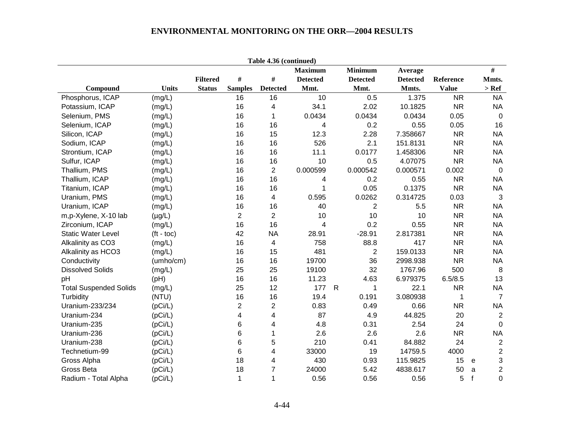|                               |              |                 |                 | Table 4.36 (continued)  |                 |   |                 |                 |              |              |                |
|-------------------------------|--------------|-----------------|-----------------|-------------------------|-----------------|---|-----------------|-----------------|--------------|--------------|----------------|
|                               |              |                 |                 |                         | <b>Maximum</b>  |   | <b>Minimum</b>  | Average         |              |              | $\#$           |
|                               |              | <b>Filtered</b> | $\#$            | $\#$                    | <b>Detected</b> |   | <b>Detected</b> | <b>Detected</b> | Reference    |              | Mmts.          |
| Compound                      | <b>Units</b> | <b>Status</b>   | <b>Samples</b>  | <b>Detected</b>         | Mmt.            |   | Mmt.            | Mmts.           | <b>Value</b> |              | $>$ Ref $\,$   |
| Phosphorus, ICAP              | (mg/L)       |                 | 16              | 16                      | 10              |   | 0.5             | 1.375           | <b>NR</b>    |              | <b>NA</b>      |
| Potassium, ICAP               | (mg/L)       |                 | 16              | 4                       | 34.1            |   | 2.02            | 10.1825         | <b>NR</b>    |              | <b>NA</b>      |
| Selenium, PMS                 | (mg/L)       |                 | 16              | 1                       | 0.0434          |   | 0.0434          | 0.0434          | 0.05         |              | $\mathbf 0$    |
| Selenium, ICAP                | (mg/L)       |                 | 16              | 16                      | 4               |   | 0.2             | 0.55            | 0.05         |              | 16             |
| Silicon, ICAP                 | (mg/L)       |                 | 16              | 15                      | 12.3            |   | 2.28            | 7.358667        | <b>NR</b>    |              | <b>NA</b>      |
| Sodium, ICAP                  | (mg/L)       |                 | 16              | 16                      | 526             |   | 2.1             | 151.8131        | <b>NR</b>    |              | <b>NA</b>      |
| Strontium, ICAP               | (mg/L)       |                 | 16              | 16                      | 11.1            |   | 0.0177          | 1.458306        | <b>NR</b>    |              | <b>NA</b>      |
| Sulfur, ICAP                  | (mg/L)       |                 | 16              | 16                      | 10              |   | 0.5             | 4.07075         | <b>NR</b>    |              | <b>NA</b>      |
| Thallium, PMS                 | (mg/L)       |                 | 16              | $\overline{2}$          | 0.000599        |   | 0.000542        | 0.000571        | 0.002        |              | $\mathbf 0$    |
| Thallium, ICAP                | (mg/L)       |                 | 16              | 16                      | 4               |   | 0.2             | 0.55            | <b>NR</b>    |              | <b>NA</b>      |
| Titanium, ICAP                | (mg/L)       |                 | 16              | 16                      | 1               |   | 0.05            | 0.1375          | <b>NR</b>    |              | <b>NA</b>      |
| Uranium, PMS                  | (mg/L)       |                 | 16              | 4                       | 0.595           |   | 0.0262          | 0.314725        | 0.03         |              | 3              |
| Uranium, ICAP                 | (mg/L)       |                 | 16              | 16                      | 40              |   | $\overline{2}$  | 5.5             | <b>NR</b>    |              | <b>NA</b>      |
| m,p-Xylene, X-10 lab          | $(\mu g/L)$  |                 | $\overline{2}$  | $\overline{2}$          | 10              |   | 10              | 10              | <b>NR</b>    |              | <b>NA</b>      |
| Zirconium, ICAP               | (mg/L)       |                 | 16              | 16                      | 4               |   | 0.2             | 0.55            | <b>NR</b>    |              | <b>NA</b>      |
| <b>Static Water Level</b>     | $(t - toc)$  |                 | 42              | <b>NA</b>               | 28.91           |   | $-28.91$        | 2.817381        | <b>NR</b>    |              | <b>NA</b>      |
| Alkalinity as CO3             | (mg/L)       |                 | 16              | 4                       | 758             |   | 88.8            | 417             | <b>NR</b>    |              | <b>NA</b>      |
| Alkalinity as HCO3            | (mg/L)       |                 | 16              | 15                      | 481             |   | $\overline{2}$  | 159.0133        | <b>NR</b>    |              | <b>NA</b>      |
| Conductivity                  | (umho/cm)    |                 | 16              | 16                      | 19700           |   | 36              | 2998.938        | <b>NR</b>    |              | <b>NA</b>      |
| <b>Dissolved Solids</b>       | (mg/L)       |                 | 25              | 25                      | 19100           |   | 32              | 1767.96         | 500          |              | 8              |
| pH                            | (Hq)         |                 | 16              | 16                      | 11.23           |   | 4.63            | 6.979375        | 6.5/8.5      |              | 13             |
| <b>Total Suspended Solids</b> | (mg/L)       |                 | 25              | 12                      | 177             | R | $\mathbf 1$     | 22.1            | <b>NR</b>    |              | <b>NA</b>      |
| Turbidity                     | (NTU)        |                 | 16              | 16                      | 19.4            |   | 0.191           | 3.080938        | 1            |              | $\overline{7}$ |
| Uranium-233/234               | (pCi/L)      |                 | $\overline{2}$  | $\overline{\mathbf{c}}$ | 0.83            |   | 0.49            | 0.66            | <b>NR</b>    |              | <b>NA</b>      |
| Uranium-234                   | (pCi/L)      |                 | 4               | 4                       | 87              |   | 4.9             | 44.825          | 20           |              | $\overline{2}$ |
| Uranium-235                   | (pCi/L)      |                 | $6\phantom{1}6$ | 4                       | 4.8             |   | 0.31            | 2.54            | 24           |              | $\mathbf 0$    |
| Uranium-236                   | (pCi/L)      |                 | $6\phantom{1}6$ | 1                       | 2.6             |   | 2.6             | 2.6             | <b>NR</b>    |              | <b>NA</b>      |
| Uranium-238                   | (pCi/L)      |                 | $6\phantom{1}6$ | 5                       | 210             |   | 0.41            | 84.882          | 24           |              | $\sqrt{2}$     |
| Technetium-99                 | (pCi/L)      |                 | $6\phantom{1}6$ | 4                       | 33000           |   | 19              | 14759.5         | 4000         |              | $\sqrt{2}$     |
| Gross Alpha                   | (pCi/L)      |                 | 18              | 4                       | 430             |   | 0.93            | 115.9825        | 15           | e            | 3              |
| Gross Beta                    | (pCi/L)      |                 | 18              | $\overline{7}$          | 24000           |   | 5.42            | 4838.617        | 50           | $\mathsf{a}$ | $\overline{c}$ |
| Radium - Total Alpha          | (pCi/L)      |                 | $\mathbf{1}$    | 1                       | 0.56            |   | 0.56            | 0.56            | 5            | $\mathbf{f}$ | 0              |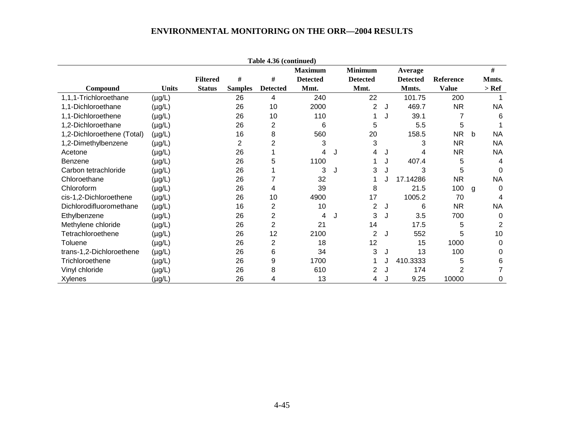|                            |              |                 |                | Table 4.36 (continued) |                 |   |                 |   |                 |              |   |           |
|----------------------------|--------------|-----------------|----------------|------------------------|-----------------|---|-----------------|---|-----------------|--------------|---|-----------|
|                            |              |                 |                |                        | <b>Maximum</b>  |   | <b>Minimum</b>  |   | Average         |              |   | $\#$      |
|                            |              | <b>Filtered</b> | #              | #                      | <b>Detected</b> |   | <b>Detected</b> |   | <b>Detected</b> | Reference    |   | Mmts.     |
| Compound                   | <b>Units</b> | <b>Status</b>   | <b>Samples</b> | <b>Detected</b>        | Mmt.            |   | Mmt.            |   | Mmts.           | <b>Value</b> |   | $>$ Ref   |
| 1,1,1-Trichloroethane      | $(\mu g/L)$  |                 | 26             | 4                      | 240             |   | 22              |   | 101.75          | 200          |   |           |
| 1,1-Dichloroethane         | $(\mu g/L)$  |                 | 26             | 10                     | 2000            |   | 2               | J | 469.7           | <b>NR</b>    |   | <b>NA</b> |
| 1,1-Dichloroethene         | $(\mu g/L)$  |                 | 26             | 10                     | 110             |   |                 |   | 39.1            |              |   | 6         |
| 1,2-Dichloroethane         | $(\mu g/L)$  |                 | 26             | 2                      | 6               |   | 5               |   | 5.5             | 5            |   |           |
| 1,2-Dichloroethene (Total) | $(\mu g/L)$  |                 | 16             | 8                      | 560             |   | 20              |   | 158.5           | <b>NR</b>    | b | <b>NA</b> |
| 1,2-Dimethylbenzene        | $(\mu g/L)$  |                 | 2              | 2                      | 3               |   | 3               |   | 3               | <b>NR</b>    |   | <b>NA</b> |
| Acetone                    | $(\mu g/L)$  |                 | 26             |                        | 4               | J | 4               | J | 4               | <b>NR</b>    |   | <b>NA</b> |
| <b>Benzene</b>             | (µg/L)       |                 | 26             | 5                      | 1100            |   |                 |   | 407.4           | 5            |   | 4         |
| Carbon tetrachloride       | $(\mu g/L)$  |                 | 26             |                        | 3               | J | 3               |   | 3               | 5            |   |           |
| Chloroethane               | $(\mu g/L)$  |                 | 26             |                        | 32              |   |                 |   | 17.14286        | <b>NR</b>    |   | <b>NA</b> |
| Chloroform                 | $(\mu g/L)$  |                 | 26             | 4                      | 39              |   | 8               |   | 21.5            | 100          | g | $\Omega$  |
| cis-1,2-Dichloroethene     | $(\mu g/L)$  |                 | 26             | 10                     | 4900            |   | 17              |   | 1005.2          | 70           |   | 4         |
| Dichlorodifluoromethane    | $(\mu g/L)$  |                 | 16             | 2                      | 10              |   | $\overline{c}$  | J | 6               | <b>NR</b>    |   | <b>NA</b> |
| Ethylbenzene               | $(\mu g/L)$  |                 | 26             | 2                      | 4               |   | 3               | J | 3.5             | 700          |   | 0         |
| Methylene chloride         | $(\mu g/L)$  |                 | 26             | $\overline{2}$         | 21              |   | 14              |   | 17.5            | 5            |   |           |
| Tetrachloroethene          | (µg/L)       |                 | 26             | 12                     | 2100            |   | 2               | J | 552             | 5            |   | 10        |
| Toluene                    | $(\mu g/L)$  |                 | 26             | 2                      | 18              |   | 12              |   | 15              | 1000         |   | $\Omega$  |
| trans-1,2-Dichloroethene   | $(\mu g/L)$  |                 | 26             | 6                      | 34              |   | 3               | J | 13              | 100          |   | 0         |
| Trichloroethene            | $(\mu g/L)$  |                 | 26             | 9                      | 1700            |   |                 | J | 410.3333        | 5            |   | 6         |
| Vinyl chloride             | (µg/L)       |                 | 26             | 8                      | 610             |   | 2               |   | 174             | 2            |   |           |
| Xylenes                    | (µg/L)       |                 | 26             | 4                      | 13              |   | 4               |   | 9.25            | 10000        |   | 0         |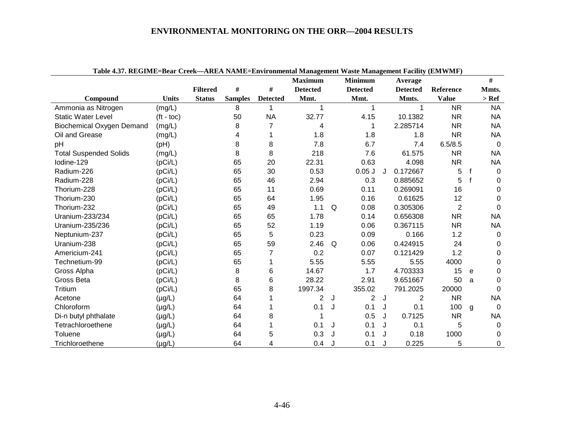| Table 4.57. REGIME=Dear Creek—AREA NAME=Environmental Management waste Management Facinty (EMWMF) |              |                 |                |                 | <b>Maximum</b>  |   | <b>Minimum</b>  |   | Average         |                |             | #           |
|---------------------------------------------------------------------------------------------------|--------------|-----------------|----------------|-----------------|-----------------|---|-----------------|---|-----------------|----------------|-------------|-------------|
|                                                                                                   |              | <b>Filtered</b> | $\#$           | $\#$            | <b>Detected</b> |   | <b>Detected</b> |   | <b>Detected</b> | Reference      |             | Mmts.       |
| Compound                                                                                          | <b>Units</b> | <b>Status</b>   | <b>Samples</b> | <b>Detected</b> | Mmt.            |   | Mmt.            |   | Mmts.           | <b>Value</b>   |             | $>$ Ref     |
| Ammonia as Nitrogen                                                                               | (mg/L)       |                 | 8              | 1               | 1               |   | 1               |   | 1               | <b>NR</b>      |             | <b>NA</b>   |
| <b>Static Water Level</b>                                                                         | $(t - toc)$  |                 | 50             | <b>NA</b>       | 32.77           |   | 4.15            |   | 10.1382         | <b>NR</b>      |             | <b>NA</b>   |
| <b>Biochemical Oxygen Demand</b>                                                                  | (mg/L)       |                 | 8              |                 | 4               |   | 1               |   | 2.285714        | <b>NR</b>      |             | <b>NA</b>   |
| Oil and Grease                                                                                    | (mg/L)       |                 | 4              |                 | 1.8             |   | 1.8             |   | 1.8             | <b>NR</b>      |             | <b>NA</b>   |
| pH                                                                                                | (Hq)         |                 | 8              | 8               | 7.8             |   | 6.7             |   | 7.4             | 6.5/8.5        |             | $\mathbf 0$ |
| <b>Total Suspended Solids</b>                                                                     | (mg/L)       |                 | 8              | 8               | 218             |   | 7.6             |   | 61.575          | <b>NR</b>      |             | <b>NA</b>   |
| Iodine-129                                                                                        | (pCi/L)      |                 | 65             | 20              | 22.31           |   | 0.63            |   | 4.098           | <b>NR</b>      |             | <b>NA</b>   |
| Radium-226                                                                                        | (pCi/L)      |                 | 65             | 30              | 0.53            |   | $0.05$ J        | J | 0.172667        | 5              | $\mathbf f$ | $\Omega$    |
| Radium-228                                                                                        | (pCi/L)      |                 | 65             | 46              | 2.94            |   | 0.3             |   | 0.885652        | 5              |             | 0           |
| Thorium-228                                                                                       | (pCi/L)      |                 | 65             | 11              | 0.69            |   | 0.11            |   | 0.269091        | 16             |             | 0           |
| Thorium-230                                                                                       | (pCi/L)      |                 | 65             | 64              | 1.95            |   | 0.16            |   | 0.61625         | 12             |             | 0           |
| Thorium-232                                                                                       | (pCi/L)      |                 | 65             | 49              | 1.1             | Q | 0.08            |   | 0.305306        | $\overline{2}$ |             | $\Omega$    |
| Uranium-233/234                                                                                   | (pCi/L)      |                 | 65             | 65              | 1.78            |   | 0.14            |   | 0.656308        | <b>NR</b>      |             | <b>NA</b>   |
| Uranium-235/236                                                                                   | (pCi/L)      |                 | 65             | 52              | 1.19            |   | 0.06            |   | 0.367115        | <b>NR</b>      |             | <b>NA</b>   |
| Neptunium-237                                                                                     | (pCi/L)      |                 | 65             | 5               | 0.23            |   | 0.09            |   | 0.166           | 1.2            |             | 0           |
| Uranium-238                                                                                       | (pCi/L)      |                 | 65             | 59              | 2.46            | Q | 0.06            |   | 0.424915        | 24             |             | 0           |
| Americium-241                                                                                     | (pCi/L)      |                 | 65             | 7               | 0.2             |   | 0.07            |   | 0.121429        | 1.2            |             | $\Omega$    |
| Technetium-99                                                                                     | (pCi/L)      |                 | 65             |                 | 5.55            |   | 5.55            |   | 5.55            | 4000           |             | 0           |
| Gross Alpha                                                                                       | (pCi/L)      |                 | 8              | 6               | 14.67           |   | 1.7             |   | 4.703333        | 15             | e           | $\Omega$    |
| Gross Beta                                                                                        | (pCi/L)      |                 | 8              | 6               | 28.22           |   | 2.91            |   | 9.651667        | 50             | a           | $\Omega$    |
| Tritium                                                                                           | (pCi/L)      |                 | 65             | 8               | 1997.34         |   | 355.02          |   | 791.2025        | 20000          |             | $\Omega$    |
| Acetone                                                                                           | $(\mu g/L)$  |                 | 64             |                 | 2               | J | 2               | J | 2               | <b>NR</b>      |             | <b>NA</b>   |
| Chloroform                                                                                        | $(\mu g/L)$  |                 | 64             |                 | 0.1             | J | 0.1             | J | 0.1             | 100            | g           | $\Omega$    |
| Di-n butyl phthalate                                                                              | $(\mu g/L)$  |                 | 64             | 8               |                 |   | 0.5             | J | 0.7125          | <b>NR</b>      |             | <b>NA</b>   |
| Tetrachloroethene                                                                                 | $(\mu g/L)$  |                 | 64             |                 | 0.1             | J | 0.1             | J | 0.1             | 5              |             | $\Omega$    |
| Toluene                                                                                           | $(\mu g/L)$  |                 | 64             | 5               | 0.3             |   | 0.1             |   | 0.18            | 1000           |             | 0           |
| Trichloroethene                                                                                   | (µg/L)       |                 | 64             | 4               | 0.4             | J | 0.1             | J | 0.225           | 5              |             | $\Omega$    |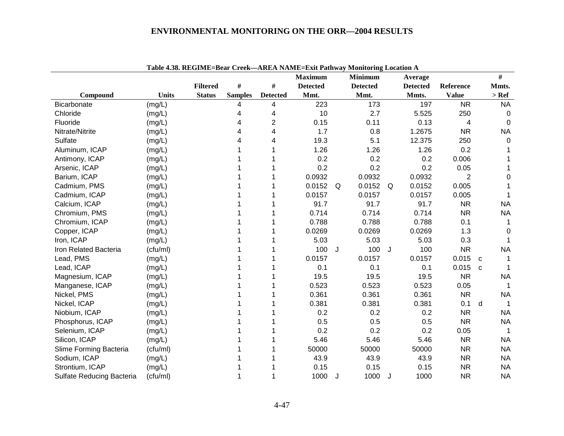|                           |              | radic 4.00. Ke Ghule–Dcar Creek—AKeA RAME–exit I athway molitioning Eocation A |                |                 | <b>Maximum</b>  |   | <b>Minimum</b>  |   | Average         |                |   | #         |
|---------------------------|--------------|--------------------------------------------------------------------------------|----------------|-----------------|-----------------|---|-----------------|---|-----------------|----------------|---|-----------|
|                           |              | <b>Filtered</b>                                                                | $\#$           | $\#$            | <b>Detected</b> |   | <b>Detected</b> |   | <b>Detected</b> | Reference      |   | Mmts.     |
| Compound                  | <b>Units</b> | <b>Status</b>                                                                  | <b>Samples</b> | <b>Detected</b> | Mmt.            |   | Mmt.            |   | Mmts.           | <b>Value</b>   |   | $>$ Ref   |
| Bicarbonate               | (mg/L)       |                                                                                | 4              | 4               | 223             |   | 173             |   | 197             | <b>NR</b>      |   | <b>NA</b> |
| Chloride                  | (mg/L)       |                                                                                | 4              | 4               | 10              |   | 2.7             |   | 5.525           | 250            |   | $\Omega$  |
| Fluoride                  | (mg/L)       |                                                                                | 4              | 2               | 0.15            |   | 0.11            |   | 0.13            | 4              |   | $\Omega$  |
| Nitrate/Nitrite           | (mg/L)       |                                                                                |                | 4               | 1.7             |   | 0.8             |   | 1.2675          | <b>NR</b>      |   | <b>NA</b> |
| Sulfate                   | (mg/L)       |                                                                                |                | 4               | 19.3            |   | 5.1             |   | 12.375          | 250            |   | 0         |
| Aluminum, ICAP            | (mg/L)       |                                                                                |                |                 | 1.26            |   | 1.26            |   | 1.26            | 0.2            |   |           |
| Antimony, ICAP            | (mg/L)       |                                                                                |                |                 | 0.2             |   | 0.2             |   | 0.2             | 0.006          |   |           |
| Arsenic, ICAP             | (mg/L)       |                                                                                |                |                 | 0.2             |   | 0.2             |   | 0.2             | 0.05           |   |           |
| Barium, ICAP              | (mg/L)       |                                                                                |                |                 | 0.0932          |   | 0.0932          |   | 0.0932          | $\overline{2}$ |   | 0         |
| Cadmium, PMS              | (mg/L)       |                                                                                |                |                 | 0.0152          | Q | 0.0152          | Q | 0.0152          | 0.005          |   |           |
| Cadmium, ICAP             | (mg/L)       |                                                                                |                |                 | 0.0157          |   | 0.0157          |   | 0.0157          | 0.005          |   |           |
| Calcium, ICAP             | (mg/L)       |                                                                                |                |                 | 91.7            |   | 91.7            |   | 91.7            | <b>NR</b>      |   | <b>NA</b> |
| Chromium, PMS             | (mg/L)       |                                                                                |                |                 | 0.714           |   | 0.714           |   | 0.714           | <b>NR</b>      |   | <b>NA</b> |
| Chromium, ICAP            | (mg/L)       |                                                                                |                |                 | 0.788           |   | 0.788           |   | 0.788           | 0.1            |   |           |
| Copper, ICAP              | (mg/L)       |                                                                                |                |                 | 0.0269          |   | 0.0269          |   | 0.0269          | 1.3            |   | 0         |
| Iron, ICAP                | (mg/L)       |                                                                                |                |                 | 5.03            |   | 5.03            |   | 5.03            | 0.3            |   |           |
| Iron Related Bacteria     | (cfu/ml)     |                                                                                |                |                 | 100             | J | 100             | J | 100             | <b>NR</b>      |   | <b>NA</b> |
| Lead, PMS                 | (mg/L)       |                                                                                |                |                 | 0.0157          |   | 0.0157          |   | 0.0157          | 0.015          | C |           |
| Lead, ICAP                | (mg/L)       |                                                                                |                |                 | 0.1             |   | 0.1             |   | 0.1             | 0.015          | C |           |
| Magnesium, ICAP           | (mg/L)       |                                                                                |                |                 | 19.5            |   | 19.5            |   | 19.5            | <b>NR</b>      |   | <b>NA</b> |
| Manganese, ICAP           | (mg/L)       |                                                                                |                |                 | 0.523           |   | 0.523           |   | 0.523           | 0.05           |   | 1         |
| Nickel, PMS               | (mg/L)       |                                                                                |                |                 | 0.361           |   | 0.361           |   | 0.361           | <b>NR</b>      |   | <b>NA</b> |
| Nickel, ICAP              | (mg/L)       |                                                                                |                |                 | 0.381           |   | 0.381           |   | 0.381           | 0.1            | d | -1        |
| Niobium, ICAP             | (mg/L)       |                                                                                |                |                 | 0.2             |   | 0.2             |   | 0.2             | <b>NR</b>      |   | <b>NA</b> |
| Phosphorus, ICAP          | (mg/L)       |                                                                                |                |                 | 0.5             |   | 0.5             |   | 0.5             | <b>NR</b>      |   | <b>NA</b> |
| Selenium, ICAP            | (mg/L)       |                                                                                |                |                 | 0.2             |   | 0.2             |   | 0.2             | 0.05           |   |           |
| Silicon, ICAP             | (mg/L)       |                                                                                |                |                 | 5.46            |   | 5.46            |   | 5.46            | <b>NR</b>      |   | <b>NA</b> |
| Slime Forming Bacteria    | (cfu/ml)     |                                                                                |                |                 | 50000           |   | 50000           |   | 50000           | <b>NR</b>      |   | <b>NA</b> |
| Sodium, ICAP              | (mg/L)       |                                                                                |                |                 | 43.9            |   | 43.9            |   | 43.9            | <b>NR</b>      |   | <b>NA</b> |
| Strontium, ICAP           | (mg/L)       |                                                                                |                |                 | 0.15            |   | 0.15            |   | 0.15            | <b>NR</b>      |   | <b>NA</b> |
| Sulfate Reducing Bacteria | (cfu/ml)     |                                                                                |                |                 | 1000            | J | 1000            | J | 1000            | <b>NR</b>      |   | <b>NA</b> |

**Table 4.38. REGIME=Bear Creek—AREA NAME=Exit Pathway Monitoring Location A**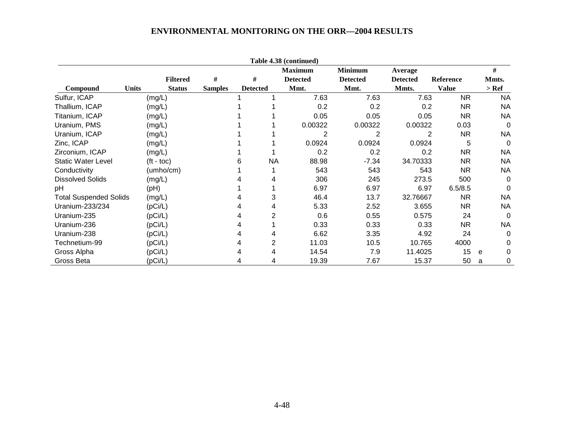|                               |              |                    |                |                 | Table 4.38 (continued) |                 |                 |                  |           |
|-------------------------------|--------------|--------------------|----------------|-----------------|------------------------|-----------------|-----------------|------------------|-----------|
|                               |              |                    |                |                 | <b>Maximum</b>         | <b>Minimum</b>  | <b>Average</b>  |                  | #         |
|                               |              | <b>Filtered</b>    | #              | #               | <b>Detected</b>        | <b>Detected</b> | <b>Detected</b> | <b>Reference</b> | Mmts.     |
| <b>Compound</b>               | <b>Units</b> | <b>Status</b>      | <b>Samples</b> | <b>Detected</b> | Mmt.                   | Mmt.            | Mmts.           | <b>Value</b>     | $>$ Ref   |
| Sulfur, ICAP                  |              | (mg/L)             |                |                 | 7.63                   | 7.63            | 7.63            | <b>NR</b>        | <b>NA</b> |
| Thallium, ICAP                |              | (mg/L)             |                |                 | 0.2                    | 0.2             | 0.2             | NR.              | <b>NA</b> |
| Titanium, ICAP                |              | (mg/L)             |                |                 | 0.05                   | 0.05            | 0.05            | NR.              | <b>NA</b> |
| Uranium, PMS                  |              | (mg/L)             |                |                 | 0.00322                | 0.00322         | 0.00322         | 0.03             | $\Omega$  |
| Uranium, ICAP                 |              | (mg/L)             |                |                 | 2                      | 2               |                 | <b>NR</b><br>2   | <b>NA</b> |
| Zinc, ICAP                    |              | (mg/L)             |                |                 | 0.0924                 | 0.0924          | 0.0924          | 5                | 0         |
| Zirconium, ICAP               |              | (mg/L)             |                |                 | 0.2                    | 0.2             | 0.2             | NR.              | <b>NA</b> |
| <b>Static Water Level</b>     |              | $(t - \text{toc})$ |                | <b>NA</b>       | 88.98                  | $-7.34$         | 34.70333        | NR.              | <b>NA</b> |
| Conductivity                  |              | (umbo/cm)          |                |                 | 543                    | 543             | 543             | NR.              | <b>NA</b> |
| <b>Dissolved Solids</b>       |              | (mg/L)             |                |                 | 306                    | 245             | 273.5           | 500              | 0         |
| pH                            |              | (PH)               |                |                 | 6.97                   | 6.97            | 6.97            | 6.5/8.5          | 0         |
| <b>Total Suspended Solids</b> |              | (mg/L)             |                | 3               | 46.4                   | 13.7            | 32.76667        | NR.              | <b>NA</b> |
| Uranium-233/234               |              | (pCi/L)            |                | 4               | 5.33                   | 2.52            | 3.655           | <b>NR</b>        | <b>NA</b> |
| Uranium-235                   |              | (pCi/L)            |                | 2               | 0.6                    | 0.55            | 0.575           | 24               | 0         |
| Uranium-236                   |              | (pCi/L)            |                |                 | 0.33                   | 0.33            | 0.33            | NR.              | <b>NA</b> |
| Uranium-238                   |              | (pCi/L)            |                | 4               | 6.62                   | 3.35            | 4.92            | 24               | 0         |
| Technetium-99                 |              | (pCi/L)            |                | 2               | 11.03                  | 10.5            | 10.765          | 4000             | 0         |
| Gross Alpha                   |              | (pCi/L)            |                | 4               | 14.54                  | 7.9             | 11.4025         | 15               | 0<br>e    |
| Gross Beta                    |              | (pCi/L)            |                | 4               | 19.39                  | 7.67            | 15.37           | 50               | 0<br>a    |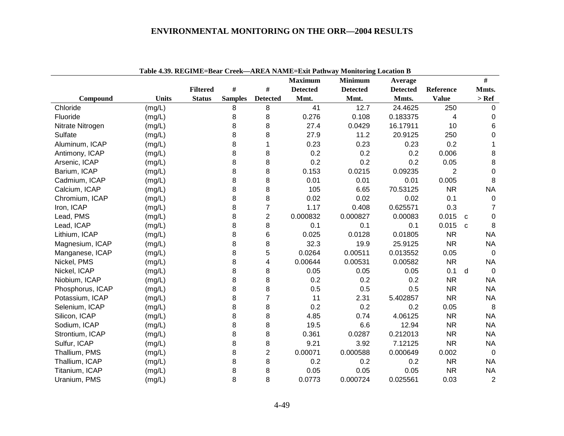|                  |              |                 |                |                 | <b>Maximum</b>  | 7.97. KEGIME–DEAL CREK—AKEA NAME–EAR I AMWAY MOMOHING LOCANON D<br><b>Minimum</b> | Average         |                | $\#$              |
|------------------|--------------|-----------------|----------------|-----------------|-----------------|-----------------------------------------------------------------------------------|-----------------|----------------|-------------------|
|                  |              | <b>Filtered</b> | $\#$           | $\#$            | <b>Detected</b> | <b>Detected</b>                                                                   | <b>Detected</b> | Reference      | Mmts.             |
| Compound         | <b>Units</b> | <b>Status</b>   | <b>Samples</b> | <b>Detected</b> | Mmt.            | Mmt.                                                                              | Mmts.           | <b>Value</b>   | $>$ Ref           |
| Chloride         | (mg/L)       |                 | 8              | 8               | 41              | 12.7                                                                              | 24.4625         | 250            | $\mathbf 0$       |
| Fluoride         | (mg/L)       |                 | 8              | 8               | 0.276           | 0.108                                                                             | 0.183375        | 4              | 0                 |
| Nitrate Nitrogen | (mg/L)       |                 | 8              | 8               | 27.4            | 0.0429                                                                            | 16.17911        | 10             | 6                 |
| Sulfate          | (mg/L)       |                 | 8              | 8               | 27.9            | 11.2                                                                              | 20.9125         | 250            | 0                 |
| Aluminum, ICAP   | (mg/L)       |                 | 8              | $\mathbf{1}$    | 0.23            | 0.23                                                                              | 0.23            | 0.2            | 1                 |
| Antimony, ICAP   | (mg/L)       |                 | 8              | 8               | 0.2             | 0.2                                                                               | 0.2             | 0.006          | 8                 |
| Arsenic, ICAP    | (mg/L)       |                 | 8              | 8               | 0.2             | 0.2                                                                               | 0.2             | 0.05           | 8                 |
| Barium, ICAP     | (mg/L)       |                 | 8              | 8               | 0.153           | 0.0215                                                                            | 0.09235         | $\overline{2}$ | $\mathbf 0$       |
| Cadmium, ICAP    | (mg/L)       |                 | 8              | 8               | 0.01            | 0.01                                                                              | 0.01            | 0.005          | 8                 |
| Calcium, ICAP    | (mg/L)       |                 | 8              | 8               | 105             | 6.65                                                                              | 70.53125        | <b>NR</b>      | <b>NA</b>         |
| Chromium, ICAP   | (mg/L)       |                 | 8              | 8               | 0.02            | 0.02                                                                              | 0.02            | 0.1            | $\mathbf 0$       |
| Iron, ICAP       | (mg/L)       |                 | 8              | $\overline{7}$  | 1.17            | 0.408                                                                             | 0.625571        | 0.3            | $\overline{7}$    |
| Lead, PMS        | (mg/L)       |                 | 8              | $\overline{c}$  | 0.000832        | 0.000827                                                                          | 0.00083         | 0.015          | 0<br>$\mathbf{C}$ |
| Lead, ICAP       | (mg/L)       |                 | 8              | 8               | 0.1             | 0.1                                                                               | 0.1             | 0.015          | 8<br>$\mathbf{C}$ |
| Lithium, ICAP    | (mg/L)       |                 | 8              | 6               | 0.025           | 0.0128                                                                            | 0.01805         | <b>NR</b>      | <b>NA</b>         |
| Magnesium, ICAP  | (mg/L)       |                 | 8              | 8               | 32.3            | 19.9                                                                              | 25.9125         | <b>NR</b>      | <b>NA</b>         |
| Manganese, ICAP  | (mg/L)       |                 | 8              | 5               | 0.0264          | 0.00511                                                                           | 0.013552        | 0.05           | $\overline{0}$    |
| Nickel, PMS      | (mg/L)       |                 | 8              | 4               | 0.00644         | 0.00531                                                                           | 0.00582         | <b>NR</b>      | <b>NA</b>         |
| Nickel, ICAP     | (mg/L)       |                 | 8              | 8               | 0.05            | 0.05                                                                              | 0.05            | 0.1            | d<br>$\mathbf 0$  |
| Niobium, ICAP    | (mg/L)       |                 | 8              | 8               | 0.2             | 0.2                                                                               | 0.2             | <b>NR</b>      | <b>NA</b>         |
| Phosphorus, ICAP | (mg/L)       |                 | 8              | 8               | 0.5             | 0.5                                                                               | 0.5             | <b>NR</b>      | <b>NA</b>         |
| Potassium, ICAP  | (mg/L)       |                 | 8              | $\overline{7}$  | 11              | 2.31                                                                              | 5.402857        | <b>NR</b>      | <b>NA</b>         |
| Selenium, ICAP   | (mg/L)       |                 | 8              | 8               | 0.2             | 0.2                                                                               | 0.2             | 0.05           | 8                 |
| Silicon, ICAP    | (mg/L)       |                 | 8              | 8               | 4.85            | 0.74                                                                              | 4.06125         | <b>NR</b>      | <b>NA</b>         |
| Sodium, ICAP     | (mg/L)       |                 | 8              | 8               | 19.5            | 6.6                                                                               | 12.94           | <b>NR</b>      | <b>NA</b>         |
| Strontium, ICAP  | (mg/L)       |                 | 8              | 8               | 0.361           | 0.0287                                                                            | 0.212013        | <b>NR</b>      | <b>NA</b>         |
| Sulfur, ICAP     | (mg/L)       |                 | 8              | 8               | 9.21            | 3.92                                                                              | 7.12125         | <b>NR</b>      | <b>NA</b>         |
| Thallium, PMS    | (mg/L)       |                 | 8              | $\overline{2}$  | 0.00071         | 0.000588                                                                          | 0.000649        | 0.002          | $\Omega$          |
| Thallium, ICAP   | (mg/L)       |                 | 8              | 8               | 0.2             | 0.2                                                                               | 0.2             | <b>NR</b>      | <b>NA</b>         |
| Titanium, ICAP   | (mg/L)       |                 | 8              | 8               | 0.05            | 0.05                                                                              | 0.05            | <b>NR</b>      | <b>NA</b>         |
| Uranium, PMS     | (mg/L)       |                 | 8              | 8               | 0.0773          | 0.000724                                                                          | 0.025561        | 0.03           | $\overline{2}$    |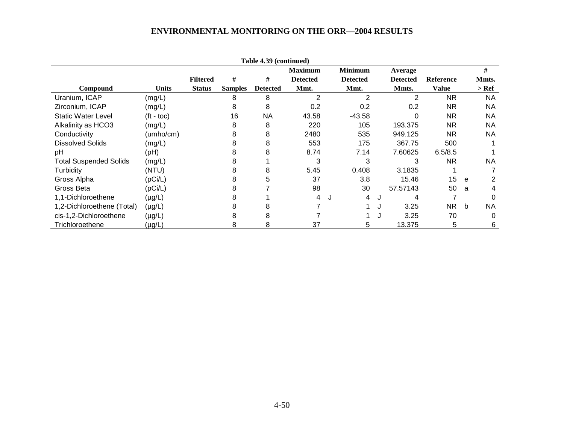|                               |              |                 |                | Table 4.39 (continued) |                 |   |                 |   |                 |                  |   |           |
|-------------------------------|--------------|-----------------|----------------|------------------------|-----------------|---|-----------------|---|-----------------|------------------|---|-----------|
|                               |              |                 |                |                        | <b>Maximum</b>  |   | <b>Minimum</b>  |   | Average         |                  |   | #         |
|                               |              | <b>Filtered</b> | #              | #                      | <b>Detected</b> |   | <b>Detected</b> |   | <b>Detected</b> | <b>Reference</b> |   | Mmts.     |
| <b>Compound</b>               | Units        | <b>Status</b>   | <b>Samples</b> | <b>Detected</b>        | Mmt.            |   | Mmt.            |   | Mmts.           | Value            |   | > Ref     |
| Uranium, ICAP                 | (mg/L)       |                 | 8              | 8                      | $\overline{2}$  |   | 2               |   | 2               | NR.              |   | <b>NA</b> |
| Zirconium, ICAP               | (mg/L)       |                 | 8              | 8                      | 0.2             |   | 0.2             |   | 0.2             | <b>NR</b>        |   | NA        |
| <b>Static Water Level</b>     | $(ft - toc)$ |                 | 16             | <b>NA</b>              | 43.58           |   | $-43.58$        |   |                 | <b>NR</b>        |   | NA        |
| Alkalinity as HCO3            | (mg/L)       |                 | 8              | 8                      | 220             |   | 105             |   | 193.375         | NR.              |   | NA        |
| Conductivity                  | (umho/cm)    |                 | 8              | 8                      | 2480            |   | 535             |   | 949.125         | NR.              |   | NA        |
| <b>Dissolved Solids</b>       | (mg/L)       |                 | 8              | 8                      | 553             |   | 175             |   | 367.75          | 500              |   |           |
| pH                            | (Hq)         |                 | 8              | 8                      | 8.74            |   | 7.14            |   | 7.60625         | 6.5/8.5          |   |           |
| <b>Total Suspended Solids</b> | (mg/L)       |                 | 8              |                        | 3               |   | 3               |   | 3               | <b>NR</b>        |   | NA        |
| Turbidity                     | (NTU)        |                 | 8              | 8                      | 5.45            |   | 0.408           |   | 3.1835          |                  |   |           |
| Gross Alpha                   | (pCi/L)      |                 | 8              | 5                      | 37              |   | 3.8             |   | 15.46           | 15               | e |           |
| Gross Beta                    | (pCi/L)      |                 | 8              |                        | 98              |   | 30              |   | 57.57143        | 50               | a | 4         |
| 1,1-Dichloroethene            | $(\mu g/L)$  |                 | 8              |                        | 4               | J | 4               | J | 4               |                  |   | $\Omega$  |
| 1,2-Dichloroethene (Total)    | $(\mu g/L)$  |                 | 8              | 8                      |                 |   |                 | J | 3.25            | NR               | b | <b>NA</b> |
| cis-1,2-Dichloroethene        | $(\mu g/L)$  |                 | 8              | 8                      |                 |   |                 |   | 3.25            | 70               |   | 0         |
| Trichloroethene               | $(\mu g/L)$  |                 | 8              | 8                      | 37              |   | 5.              |   | 13.375          | 5                |   | 6         |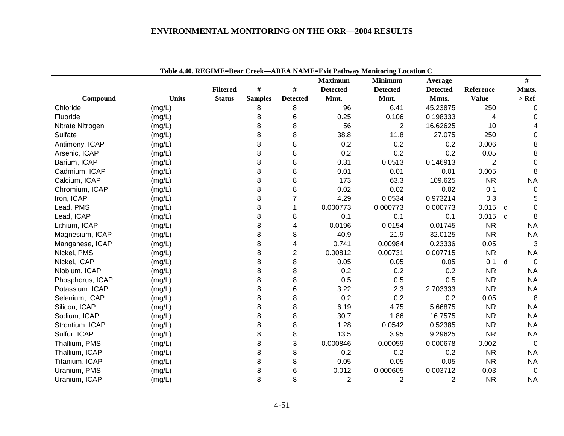|                  |              |                 |                |                 | <b>Maximum</b>  | <b>Minimum</b>  | Average         |                |              | #            |
|------------------|--------------|-----------------|----------------|-----------------|-----------------|-----------------|-----------------|----------------|--------------|--------------|
|                  |              | <b>Filtered</b> | #              | #               | <b>Detected</b> | <b>Detected</b> | <b>Detected</b> | Reference      |              | Mmts.        |
| Compound         | <b>Units</b> | <b>Status</b>   | <b>Samples</b> | <b>Detected</b> | Mmt.            | Mmt.            | Mmts.           | <b>Value</b>   |              | $>$ Ref      |
| Chloride         | (mg/L)       |                 | 8              | 8               | 96              | 6.41            | 45.23875        | 250            |              | 0            |
| Fluoride         | (mg/L)       |                 | 8              | 6               | 0.25            | 0.106           | 0.198333        | 4              |              | 0            |
| Nitrate Nitrogen | (mg/L)       |                 | 8              | 8               | 56              | 2               | 16.62625        | 10             |              | 4            |
| Sulfate          | (mg/L)       |                 | 8              | 8               | 38.8            | 11.8            | 27.075          | 250            |              | 0            |
| Antimony, ICAP   | (mg/L)       |                 | 8              | 8               | 0.2             | 0.2             | 0.2             | 0.006          |              | 8            |
| Arsenic, ICAP    | (mg/L)       |                 | 8              | 8               | 0.2             | 0.2             | 0.2             | 0.05           |              | 8            |
| Barium, ICAP     | (mg/L)       |                 | 8              | 8               | 0.31            | 0.0513          | 0.146913        | $\overline{2}$ |              | 0            |
| Cadmium, ICAP    | (mg/L)       |                 | 8              | 8               | 0.01            | 0.01            | 0.01            | 0.005          |              | 8            |
| Calcium, ICAP    | (mg/L)       |                 | 8              | 8               | 173             | 63.3            | 109.625         | <b>NR</b>      |              | <b>NA</b>    |
| Chromium, ICAP   | (mg/L)       |                 | 8              | 8               | 0.02            | 0.02            | 0.02            | 0.1            |              | $\mathbf 0$  |
| Iron, ICAP       | (mg/L)       |                 | 8              | $\overline{7}$  | 4.29            | 0.0534          | 0.973214        | 0.3            |              | 5            |
| Lead, PMS        | (mg/L)       |                 | 8              | 1               | 0.000773        | 0.000773        | 0.000773        | 0.015          | $\mathbf{C}$ | $\Omega$     |
| Lead, ICAP       | (mg/L)       |                 | 8              | 8               | 0.1             | 0.1             | 0.1             | 0.015          | $\mathbf{C}$ | 8            |
| Lithium, ICAP    | (mg/L)       |                 | 8              | 4               | 0.0196          | 0.0154          | 0.01745         | <b>NR</b>      |              | <b>NA</b>    |
| Magnesium, ICAP  | (mg/L)       |                 | 8              | 8               | 40.9            | 21.9            | 32.0125         | <b>NR</b>      |              | <b>NA</b>    |
| Manganese, ICAP  | (mg/L)       |                 | 8              | 4               | 0.741           | 0.00984         | 0.23336         | 0.05           |              | 3            |
| Nickel, PMS      | (mg/L)       |                 | 8              | $\overline{2}$  | 0.00812         | 0.00731         | 0.007715        | <b>NR</b>      |              | <b>NA</b>    |
| Nickel, ICAP     | (mg/L)       |                 | 8              | 8               | 0.05            | 0.05            | 0.05            | 0.1            | d            | $\Omega$     |
| Niobium, ICAP    | (mg/L)       |                 | 8              | 8               | 0.2             | 0.2             | 0.2             | <b>NR</b>      |              | <b>NA</b>    |
| Phosphorus, ICAP | (mg/L)       |                 | 8              | 8               | 0.5             | 0.5             | 0.5             | <b>NR</b>      |              | <b>NA</b>    |
| Potassium, ICAP  | (mg/L)       |                 | 8              | 6               | 3.22            | 2.3             | 2.703333        | <b>NR</b>      |              | <b>NA</b>    |
| Selenium, ICAP   | (mg/L)       |                 | 8              | 8               | 0.2             | 0.2             | 0.2             | 0.05           |              | 8            |
| Silicon, ICAP    | (mg/L)       |                 | 8              | 8               | 6.19            | 4.75            | 5.66875         | <b>NR</b>      |              | <b>NA</b>    |
| Sodium, ICAP     | (mg/L)       |                 | 8              | 8               | 30.7            | 1.86            | 16.7575         | <b>NR</b>      |              | <b>NA</b>    |
| Strontium, ICAP  | (mg/L)       |                 | 8              | 8               | 1.28            | 0.0542          | 0.52385         | <b>NR</b>      |              | <b>NA</b>    |
| Sulfur, ICAP     | (mg/L)       |                 | 8              | 8               | 13.5            | 3.95            | 9.29625         | <b>NR</b>      |              | <b>NA</b>    |
| Thallium, PMS    | (mg/L)       |                 | 8              | 3               | 0.000846        | 0.00059         | 0.000678        | 0.002          |              | $\Omega$     |
| Thallium, ICAP   | (mg/L)       |                 | 8              | 8               | 0.2             | 0.2             | 0.2             | <b>NR</b>      |              | <b>NA</b>    |
| Titanium, ICAP   | (mg/L)       |                 | 8              | 8               | 0.05            | 0.05            | 0.05            | <b>NR</b>      |              | <b>NA</b>    |
| Uranium, PMS     | (mg/L)       |                 | 8              | 6               | 0.012           | 0.000605        | 0.003712        | 0.03           |              | $\mathbf{0}$ |
| Uranium, ICAP    | (mg/L)       |                 | 8              | 8               | $\overline{2}$  | $\overline{2}$  | $\overline{2}$  | <b>NR</b>      |              | <b>NA</b>    |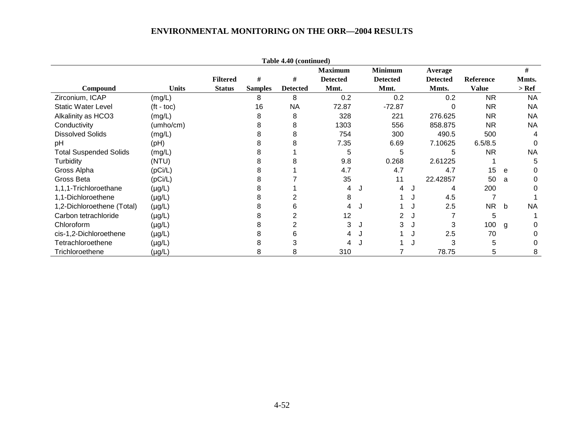|                               |                    |                 |                | Table 4.40 (continued) |                 |   |                 |   |                 |                  |   |           |
|-------------------------------|--------------------|-----------------|----------------|------------------------|-----------------|---|-----------------|---|-----------------|------------------|---|-----------|
|                               |                    |                 |                |                        | <b>Maximum</b>  |   | <b>Minimum</b>  |   | Average         |                  |   | #         |
|                               |                    | <b>Filtered</b> | #              | #                      | <b>Detected</b> |   | <b>Detected</b> |   | <b>Detected</b> | <b>Reference</b> |   | Mmts.     |
| Compound                      | <b>Units</b>       | <b>Status</b>   | <b>Samples</b> | <b>Detected</b>        | Mmt.            |   | Mmt.            |   | Mmts.           | <b>Value</b>     |   | $>$ Ref   |
| Zirconium, ICAP               | (mg/L)             |                 | 8              | 8                      | 0.2             |   | 0.2             |   | 0.2             | <b>NR</b>        |   | <b>NA</b> |
| <b>Static Water Level</b>     | $(t - \text{toc})$ |                 | 16             | <b>NA</b>              | 72.87           |   | $-72.87$        |   | 0               | <b>NR</b>        |   | <b>NA</b> |
| Alkalinity as HCO3            | (mg/L)             |                 |                | 8                      | 328             |   | 221             |   | 276.625         | <b>NR</b>        |   | NA.       |
| Conductivity                  | (umho/cm)          |                 |                | 8                      | 1303            |   | 556             |   | 858.875         | <b>NR</b>        |   | <b>NA</b> |
| <b>Dissolved Solids</b>       | (mg/L)             |                 |                | 8                      | 754             |   | 300             |   | 490.5           | 500              |   |           |
| pH                            | (Hq)               |                 |                | 8                      | 7.35            |   | 6.69            |   | 7.10625         | 6.5/8.5          |   |           |
| <b>Total Suspended Solids</b> | (mg/L)             |                 |                |                        | 5               |   | 5               |   | 5               | <b>NR</b>        |   | <b>NA</b> |
| Turbidity                     | (NTU)              |                 |                | 8                      | 9.8             |   | 0.268           |   | 2.61225         |                  |   | 5         |
| Gross Alpha                   | (pCi/L)            |                 |                |                        | 4.7             |   | 4.7             |   | 4.7             | 15               | e | 0         |
| Gross Beta                    | (pCi/L)            |                 |                |                        | 35              |   | 11              |   | 22.42857        | 50               | a | 0         |
| 1,1,1-Trichloroethane         | $(\mu g/L)$        |                 |                |                        | 4               | J | 4               | J | 4               | 200              |   | 0         |
| 1,1-Dichloroethene            | $(\mu g/L)$        |                 |                |                        | 8               |   |                 |   | 4.5             |                  |   |           |
| 1,2-Dichloroethene (Total)    | $(\mu g/L)$        |                 |                | 6                      |                 |   |                 |   | 2.5             | <b>NR</b>        | b | <b>NA</b> |
| Carbon tetrachloride          | $(\mu g/L)$        |                 |                | 2                      | 12              |   |                 |   |                 | 5                |   |           |
| Chloroform                    | $(\mu g/L)$        |                 |                |                        | 3               | J | 3               | J | 3               | 100              | g | 0         |
| cis-1,2-Dichloroethene        | $(\mu g/L)$        |                 |                | 6                      |                 |   |                 |   | 2.5             | 70               |   |           |
| Tetrachloroethene             | $(\mu g/L)$        |                 |                | 3                      |                 |   |                 |   | 3               | 5                |   |           |
| Trichloroethene               | (µg/L)             |                 | 8              | 8                      | 310             |   |                 |   | 78.75           | 5                |   | 8         |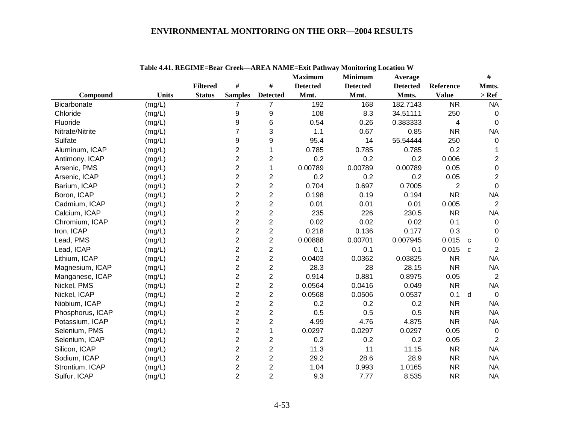|                  | Tabit 7.71. REGIME-Dtal Critic |                 |                         |                         | <b>Maximum</b>  | $\tau$ ANEA NABIE $\tau$ EAR Fathway Mollitoring Location $\tau$<br><b>Minimum</b> | Average         |                | #                              |
|------------------|--------------------------------|-----------------|-------------------------|-------------------------|-----------------|------------------------------------------------------------------------------------|-----------------|----------------|--------------------------------|
|                  |                                | <b>Filtered</b> | #                       | $\#$                    | <b>Detected</b> | <b>Detected</b>                                                                    | <b>Detected</b> | Reference      | Mmts.                          |
| Compound         | <b>Units</b>                   | <b>Status</b>   | <b>Samples</b>          | <b>Detected</b>         | Mmt.            | Mmt.                                                                               | Mmts.           | <b>Value</b>   | $>$ Ref                        |
| Bicarbonate      | (mg/L)                         |                 | $\overline{7}$          | $\overline{7}$          | 192             | 168                                                                                | 182.7143        | <b>NR</b>      | <b>NA</b>                      |
| Chloride         | (mg/L)                         |                 | 9                       | 9                       | 108             | 8.3                                                                                | 34.51111        | 250            | 0                              |
| Fluoride         | (mg/L)                         |                 | 9                       | 6                       | 0.54            | 0.26                                                                               | 0.383333        | $\overline{4}$ | $\mathbf 0$                    |
| Nitrate/Nitrite  | (mg/L)                         |                 | 7                       | 3                       | 1.1             | 0.67                                                                               | 0.85            | <b>NR</b>      | <b>NA</b>                      |
| Sulfate          | (mg/L)                         |                 | 9                       | 9                       | 95.4            | 14                                                                                 | 55.54444        | 250            | $\Omega$                       |
| Aluminum, ICAP   | (mg/L)                         |                 | 2                       | 1                       | 0.785           | 0.785                                                                              | 0.785           | 0.2            |                                |
| Antimony, ICAP   | (mg/L)                         |                 | 2                       | $\overline{c}$          | 0.2             | 0.2                                                                                | 0.2             | 0.006          | $\overline{2}$                 |
| Arsenic, PMS     | (mg/L)                         |                 | 2                       | 1                       | 0.00789         | 0.00789                                                                            | 0.00789         | 0.05           | 0                              |
| Arsenic, ICAP    | (mg/L)                         |                 | $\overline{2}$          | $\overline{c}$          | 0.2             | 0.2                                                                                | 0.2             | 0.05           | $\overline{2}$                 |
| Barium, ICAP     | (mg/L)                         |                 | $\overline{2}$          | $\overline{c}$          | 0.704           | 0.697                                                                              | 0.7005          | $\overline{2}$ | $\mathbf 0$                    |
| Boron, ICAP      | (mg/L)                         |                 | $\overline{2}$          | $\overline{2}$          | 0.198           | 0.19                                                                               | 0.194           | <b>NR</b>      | <b>NA</b>                      |
| Cadmium, ICAP    | (mg/L)                         |                 | $\overline{c}$          | $\overline{c}$          | 0.01            | 0.01                                                                               | 0.01            | 0.005          | $\overline{2}$                 |
| Calcium, ICAP    | (mg/L)                         |                 | $\overline{c}$          | $\overline{c}$          | 235             | 226                                                                                | 230.5           | <b>NR</b>      | <b>NA</b>                      |
| Chromium, ICAP   | (mg/L)                         |                 | $\overline{2}$          | $\overline{c}$          | 0.02            | 0.02                                                                               | 0.02            | 0.1            | $\mathbf 0$                    |
| Iron, ICAP       | (mg/L)                         |                 | $\overline{2}$          | $\overline{2}$          | 0.218           | 0.136                                                                              | 0.177           | 0.3            | $\mathbf 0$                    |
| Lead, PMS        | (mg/L)                         |                 | $\overline{2}$          | $\overline{c}$          | 0.00888         | 0.00701                                                                            | 0.007945        | 0.015          | $\mathbf 0$<br>C               |
| Lead, ICAP       | (mg/L)                         |                 | $\overline{2}$          | $\overline{2}$          | 0.1             | 0.1                                                                                | 0.1             | 0.015          | $\overline{2}$<br>$\mathbf{C}$ |
| Lithium, ICAP    | (mg/L)                         |                 | $\overline{2}$          | $\overline{c}$          | 0.0403          | 0.0362                                                                             | 0.03825         | <b>NR</b>      | <b>NA</b>                      |
| Magnesium, ICAP  | (mg/L)                         |                 | $\overline{2}$          | $\overline{c}$          | 28.3            | 28                                                                                 | 28.15           | <b>NR</b>      | <b>NA</b>                      |
| Manganese, ICAP  | (mg/L)                         |                 | $\overline{2}$          | $\overline{2}$          | 0.914           | 0.881                                                                              | 0.8975          | 0.05           | 2                              |
| Nickel, PMS      | (mg/L)                         |                 | $\overline{2}$          | $\overline{2}$          | 0.0564          | 0.0416                                                                             | 0.049           | <b>NR</b>      | <b>NA</b>                      |
| Nickel, ICAP     | (mg/L)                         |                 | $\overline{2}$          | $\overline{c}$          | 0.0568          | 0.0506                                                                             | 0.0537          | 0.1            | d<br>$\Omega$                  |
| Niobium, ICAP    | (mg/L)                         |                 | $\overline{c}$          | $\overline{c}$          | 0.2             | 0.2                                                                                | 0.2             | <b>NR</b>      | <b>NA</b>                      |
| Phosphorus, ICAP | (mg/L)                         |                 | $\overline{\mathbf{c}}$ | $\overline{\mathbf{c}}$ | 0.5             | 0.5                                                                                | 0.5             | <b>NR</b>      | <b>NA</b>                      |
| Potassium, ICAP  | (mg/L)                         |                 | $\overline{c}$          | $\overline{c}$          | 4.99            | 4.76                                                                               | 4.875           | <b>NR</b>      | <b>NA</b>                      |
| Selenium, PMS    | (mg/L)                         |                 | $\overline{2}$          | 1                       | 0.0297          | 0.0297                                                                             | 0.0297          | 0.05           | $\overline{0}$                 |
| Selenium, ICAP   | (mg/L)                         |                 | $\overline{2}$          | $\overline{c}$          | 0.2             | 0.2                                                                                | 0.2             | 0.05           | $\overline{2}$                 |
| Silicon, ICAP    | (mg/L)                         |                 | $\overline{2}$          | $\overline{2}$          | 11.3            | 11                                                                                 | 11.15           | <b>NR</b>      | <b>NA</b>                      |
| Sodium, ICAP     | (mg/L)                         |                 | $\overline{2}$          | $\overline{2}$          | 29.2            | 28.6                                                                               | 28.9            | <b>NR</b>      | <b>NA</b>                      |
| Strontium, ICAP  | (mg/L)                         |                 | $\overline{2}$          | $\overline{\mathbf{c}}$ | 1.04            | 0.993                                                                              | 1.0165          | <b>NR</b>      | <b>NA</b>                      |
| Sulfur, ICAP     | (mg/L)                         |                 | $\overline{2}$          | $\overline{2}$          | 9.3             | 7.77                                                                               | 8.535           | <b>NR</b>      | <b>NA</b>                      |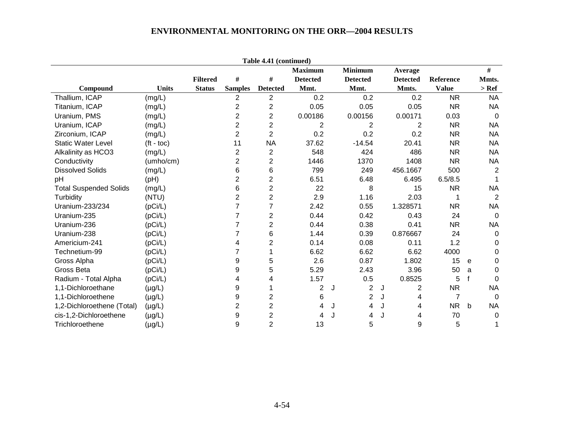| Table 4.41 (continued)        |              |                 |                |                         |                 |   |                 |   |                 |                  |              |                |
|-------------------------------|--------------|-----------------|----------------|-------------------------|-----------------|---|-----------------|---|-----------------|------------------|--------------|----------------|
|                               |              |                 |                |                         | <b>Maximum</b>  |   | <b>Minimum</b>  |   | Average         |                  |              | $\#$           |
|                               |              | <b>Filtered</b> | #              | $\#$                    | <b>Detected</b> |   | <b>Detected</b> |   | <b>Detected</b> | <b>Reference</b> |              | Mmts.          |
| Compound                      | <b>Units</b> | <b>Status</b>   | <b>Samples</b> | <b>Detected</b>         | Mmt.            |   | Mmt.            |   | Mmts.           | <b>Value</b>     |              | $>$ Ref        |
| Thallium, ICAP                | (mg/L)       |                 | 2              | $\overline{2}$          | 0.2             |   | 0.2             |   | 0.2             | <b>NR</b>        |              | <b>NA</b>      |
| Titanium, ICAP                | (mg/L)       |                 | $\overline{c}$ | $\overline{\mathbf{c}}$ | 0.05            |   | 0.05            |   | 0.05            | <b>NR</b>        |              | <b>NA</b>      |
| Uranium, PMS                  | (mg/L)       |                 | $\overline{2}$ | 2                       | 0.00186         |   | 0.00156         |   | 0.00171         | 0.03             |              | $\Omega$       |
| Uranium, ICAP                 | (mg/L)       |                 | $\overline{c}$ | $\overline{2}$          | 2               |   | 2               |   | 2               | <b>NR</b>        |              | <b>NA</b>      |
| Zirconium, ICAP               | (mg/L)       |                 | $\overline{2}$ | $\overline{2}$          | 0.2             |   | 0.2             |   | 0.2             | <b>NR</b>        |              | NA             |
| <b>Static Water Level</b>     | $(t - toc)$  |                 | 11             | <b>NA</b>               | 37.62           |   | $-14.54$        |   | 20.41           | <b>NR</b>        |              | <b>NA</b>      |
| Alkalinity as HCO3            | (mg/L)       |                 | $\overline{2}$ | $\mathbf 2$             | 548             |   | 424             |   | 486             | <b>NR</b>        |              | <b>NA</b>      |
| Conductivity                  | (umho/cm)    |                 | 2              | 2                       | 1446            |   | 1370            |   | 1408            | <b>NR</b>        |              | <b>NA</b>      |
| <b>Dissolved Solids</b>       | (mg/L)       |                 | 6              | 6                       | 799             |   | 249             |   | 456.1667        | 500              |              | $\overline{2}$ |
| pH                            | (Hq)         |                 | 2              | 2                       | 6.51            |   | 6.48            |   | 6.495           | 6.5/8.5          |              |                |
| <b>Total Suspended Solids</b> | (mg/L)       |                 | 6              | 2                       | 22              |   | 8               |   | 15              | <b>NR</b>        |              | <b>NA</b>      |
| Turbidity                     | (NTU)        |                 | 2              | 2                       | 2.9             |   | 1.16            |   | 2.03            | 1                |              | 2              |
| Uranium-233/234               | (pCi/L)      |                 |                | $\overline{7}$          | 2.42            |   | 0.55            |   | 1.328571        | <b>NR</b>        |              | <b>NA</b>      |
| Uranium-235                   | (pCi/L)      |                 |                | $\mathbf 2$             | 0.44            |   | 0.42            |   | 0.43            | 24               |              | $\overline{0}$ |
| Uranium-236                   | (pCi/L)      |                 |                | 2                       | 0.44            |   | 0.38            |   | 0.41            | <b>NR</b>        |              | <b>NA</b>      |
| Uranium-238                   | (pCi/L)      |                 |                | 6                       | 1.44            |   | 0.39            |   | 0.876667        | 24               |              | $\Omega$       |
| Americium-241                 | (pCi/L)      |                 | 4              | 2                       | 0.14            |   | 0.08            |   | 0.11            | 1.2              |              | $\Omega$       |
| Technetium-99                 | (pCi/L)      |                 | 7              | 1                       | 6.62            |   | 6.62            |   | 6.62            | 4000             |              | 0              |
| Gross Alpha                   | (pCi/L)      |                 | 9              | 5                       | 2.6             |   | 0.87            |   | 1.802           | 15               | e            | $\Omega$       |
| Gross Beta                    | (pCi/L)      |                 | 9              | $\,$ 5 $\,$             | 5.29            |   | 2.43            |   | 3.96            | 50               | a            | $\Omega$       |
| Radium - Total Alpha          | (pCi/L)      |                 | 4              | 4                       | 1.57            |   | 0.5             |   | 0.8525          | 5                | $\mathbf{f}$ | $\Omega$       |
| 1,1-Dichloroethane            | $(\mu g/L)$  |                 | 9              |                         | $\overline{2}$  | J | $\overline{2}$  | J | $\overline{c}$  | <b>NR</b>        |              | <b>NA</b>      |
| 1,1-Dichloroethene            | $(\mu g/L)$  |                 | 9              | 2                       | 6               |   | $\overline{2}$  |   | 4               | $\overline{7}$   |              | $\Omega$       |
| 1,2-Dichloroethene (Total)    | $(\mu g/L)$  |                 | 2              | 2                       | 4               | J | 4               |   | 4               | <b>NR</b>        | b            | <b>NA</b>      |
| cis-1,2-Dichloroethene        | $(\mu g/L)$  |                 | 9              | $\overline{2}$          | 4               |   | 4               |   | 4               | 70               |              | 0              |
| Trichloroethene               | $(\mu g/L)$  |                 | 9              | $\overline{2}$          | 13              |   | 5               |   | 9               | 5                |              |                |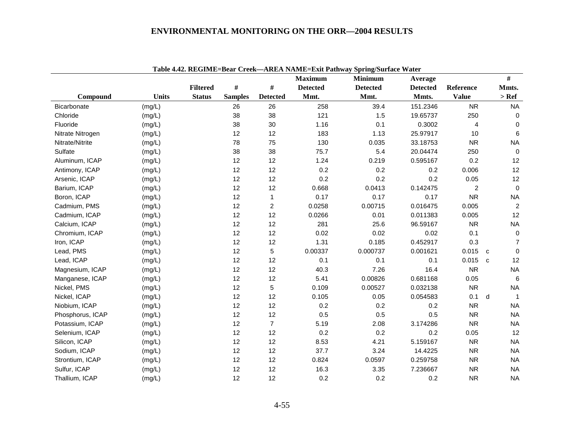|                    |              |                 |                |                 | <b>Maximum</b>  | <b>Minimum</b>  | Average         |                | #            |                |
|--------------------|--------------|-----------------|----------------|-----------------|-----------------|-----------------|-----------------|----------------|--------------|----------------|
|                    |              | <b>Filtered</b> | #              | $\#$            | <b>Detected</b> | <b>Detected</b> | <b>Detected</b> | Reference      | Mmts.        |                |
| Compound           | <b>Units</b> | <b>Status</b>   | <b>Samples</b> | <b>Detected</b> | Mmt.            | Mmt.            | Mmts.           | <b>Value</b>   | $>$ Ref      |                |
| <b>Bicarbonate</b> | (mg/L)       |                 | 26             | 26              | 258             | 39.4            | 151.2346        | <b>NR</b>      |              | <b>NA</b>      |
| Chloride           | (mg/L)       |                 | 38             | 38              | 121             | 1.5             | 19.65737        | 250            |              | 0              |
| Fluoride           | (mg/L)       |                 | 38             | 30              | 1.16            | 0.1             | 0.3002          | 4              |              | $\mathbf 0$    |
| Nitrate Nitrogen   | (mg/L)       |                 | 12             | 12              | 183             | 1.13            | 25.97917        | 10             |              | 6              |
| Nitrate/Nitrite    | (mg/L)       |                 | 78             | 75              | 130             | 0.035           | 33.18753        | <b>NR</b>      |              | <b>NA</b>      |
| Sulfate            | (mg/L)       |                 | 38             | 38              | 75.7            | 5.4             | 20.04474        | 250            |              | $\mathbf 0$    |
| Aluminum, ICAP     | (mg/L)       |                 | 12             | 12              | 1.24            | 0.219           | 0.595167        | 0.2            |              | 12             |
| Antimony, ICAP     | (mg/L)       |                 | 12             | 12              | 0.2             | 0.2             | 0.2             | 0.006          |              | 12             |
| Arsenic, ICAP      | (mg/L)       |                 | 12             | 12              | 0.2             | 0.2             | 0.2             | 0.05           |              | 12             |
| Barium, ICAP       | (mg/L)       |                 | 12             | 12              | 0.668           | 0.0413          | 0.142475        | $\overline{c}$ |              | $\mathbf 0$    |
| Boron, ICAP        | (mg/L)       |                 | 12             | $\mathbf{1}$    | 0.17            | 0.17            | 0.17            | <b>NR</b>      |              | <b>NA</b>      |
| Cadmium, PMS       | (mg/L)       |                 | 12             | $\overline{c}$  | 0.0258          | 0.00715         | 0.016475        | 0.005          |              | $\overline{2}$ |
| Cadmium, ICAP      | (mg/L)       |                 | 12             | 12              | 0.0266          | 0.01            | 0.011383        | 0.005          |              | 12             |
| Calcium, ICAP      | (mg/L)       |                 | 12             | 12              | 281             | 25.6            | 96.59167        | <b>NR</b>      |              | <b>NA</b>      |
| Chromium, ICAP     | (mg/L)       |                 | 12             | 12              | 0.02            | 0.02            | 0.02            | 0.1            |              | $\mathbf 0$    |
| Iron, ICAP         | (mg/L)       |                 | 12             | 12              | 1.31            | 0.185           | 0.452917        | 0.3            |              | $\overline{7}$ |
| Lead, PMS          | (mg/L)       |                 | 12             | 5               | 0.00337         | 0.000737        | 0.001621        | 0.015          | C            | $\mathbf{0}$   |
| Lead, ICAP         | (mg/L)       |                 | 12             | 12              | 0.1             | 0.1             | 0.1             | 0.015          | $\mathbf{C}$ | 12             |
| Magnesium, ICAP    | (mg/L)       |                 | 12             | 12              | 40.3            | 7.26            | 16.4            | <b>NR</b>      |              | <b>NA</b>      |
| Manganese, ICAP    | (mg/L)       |                 | 12             | 12              | 5.41            | 0.00826         | 0.681168        | 0.05           |              | 6              |
| Nickel, PMS        | (mg/L)       |                 | 12             | 5               | 0.109           | 0.00527         | 0.032138        | <b>NR</b>      |              | <b>NA</b>      |
| Nickel, ICAP       | (mg/L)       |                 | 12             | 12              | 0.105           | 0.05            | 0.054583        | 0.1            | d            | $\overline{1}$ |
| Niobium, ICAP      | (mg/L)       |                 | 12             | 12              | 0.2             | 0.2             | 0.2             | <b>NR</b>      |              | <b>NA</b>      |
| Phosphorus, ICAP   | (mg/L)       |                 | 12             | 12              | 0.5             | 0.5             | 0.5             | <b>NR</b>      |              | <b>NA</b>      |
| Potassium, ICAP    | (mg/L)       |                 | 12             | $\overline{7}$  | 5.19            | 2.08            | 3.174286        | <b>NR</b>      |              | <b>NA</b>      |
| Selenium, ICAP     | (mg/L)       |                 | 12             | 12              | 0.2             | 0.2             | 0.2             | 0.05           |              | 12             |
| Silicon, ICAP      | (mg/L)       |                 | 12             | 12              | 8.53            | 4.21            | 5.159167        | <b>NR</b>      |              | <b>NA</b>      |
| Sodium, ICAP       | (mg/L)       |                 | 12             | 12              | 37.7            | 3.24            | 14.4225         | <b>NR</b>      |              | <b>NA</b>      |
| Strontium, ICAP    | (mg/L)       |                 | 12             | 12              | 0.824           | 0.0597          | 0.259758        | <b>NR</b>      |              | <b>NA</b>      |
| Sulfur, ICAP       | (mg/L)       |                 | 12             | 12              | 16.3            | 3.35            | 7.236667        | <b>NR</b>      |              | <b>NA</b>      |
| Thallium, ICAP     | (mg/L)       |                 | 12             | 12              | 0.2             | 0.2             | 0.2             | <b>NR</b>      |              | <b>NA</b>      |

**Table 4.42. REGIME=Bear Creek—AREA NAME=Exit Pathway Spring/Surface Water**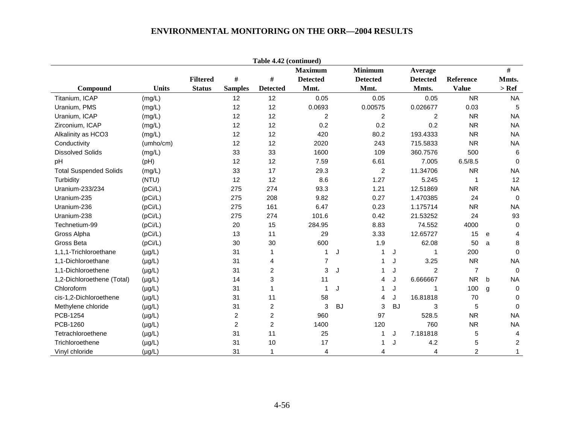|                               |              |                 |                | Table 4.42 (continued) |                 |           |                 |           |                 |                |   |                         |
|-------------------------------|--------------|-----------------|----------------|------------------------|-----------------|-----------|-----------------|-----------|-----------------|----------------|---|-------------------------|
|                               |              |                 |                |                        | <b>Maximum</b>  |           | <b>Minimum</b>  |           | Average         |                |   | #                       |
|                               |              | <b>Filtered</b> | $\#$           | $\#$                   | <b>Detected</b> |           | <b>Detected</b> |           | <b>Detected</b> | Reference      |   | Mmts.                   |
| Compound                      | <b>Units</b> | <b>Status</b>   | <b>Samples</b> | <b>Detected</b>        | Mmt.            |           | Mmt.            |           | Mmts.           | <b>Value</b>   |   | $>$ Ref                 |
| Titanium, ICAP                | (mg/L)       |                 | 12             | 12                     | 0.05            |           | 0.05            |           | 0.05            | <b>NR</b>      |   | <b>NA</b>               |
| Uranium, PMS                  | (mg/L)       |                 | 12             | 12                     | 0.0693          |           | 0.00575         |           | 0.026677        | 0.03           |   | 5                       |
| Uranium, ICAP                 | (mg/L)       |                 | 12             | 12                     | $\overline{c}$  |           | $\overline{c}$  |           | $\overline{c}$  | <b>NR</b>      |   | <b>NA</b>               |
| Zirconium, ICAP               | (mg/L)       |                 | 12             | 12                     | 0.2             |           | 0.2             |           | 0.2             | <b>NR</b>      |   | <b>NA</b>               |
| Alkalinity as HCO3            | (mg/L)       |                 | 12             | 12                     | 420             |           | 80.2            |           | 193.4333        | <b>NR</b>      |   | <b>NA</b>               |
| Conductivity                  | (umho/cm)    |                 | 12             | 12                     | 2020            |           | 243             |           | 715.5833        | <b>NR</b>      |   | <b>NA</b>               |
| <b>Dissolved Solids</b>       | (mg/L)       |                 | 33             | 33                     | 1600            |           | 109             |           | 360.7576        | 500            |   | 6                       |
| pH                            | (Hq)         |                 | 12             | 12                     | 7.59            |           | 6.61            |           | 7.005           | 6.5/8.5        |   | $\mathbf 0$             |
| <b>Total Suspended Solids</b> | (mg/L)       |                 | 33             | 17                     | 29.3            |           | $\overline{2}$  |           | 11.34706        | <b>NR</b>      |   | <b>NA</b>               |
| Turbidity                     | (NTU)        |                 | 12             | 12                     | 8.6             |           | 1.27            |           | 5.245           | $\mathbf 1$    |   | 12                      |
| Uranium-233/234               | (pCi/L)      |                 | 275            | 274                    | 93.3            |           | 1.21            |           | 12.51869        | <b>NR</b>      |   | <b>NA</b>               |
| Uranium-235                   | (pCi/L)      |                 | 275            | 208                    | 9.82            |           | 0.27            |           | 1.470385        | 24             |   | $\Omega$                |
| Uranium-236                   | (pCi/L)      |                 | 275            | 161                    | 6.47            |           | 0.23            |           | 1.175714        | <b>NR</b>      |   | <b>NA</b>               |
| Uranium-238                   | (pCi/L)      |                 | 275            | 274                    | 101.6           |           | 0.42            |           | 21.53252        | 24             |   | 93                      |
| Technetium-99                 | (pCi/L)      |                 | 20             | 15                     | 284.95          |           | 8.83            |           | 74.552          | 4000           |   | 0                       |
| Gross Alpha                   | (pCi/L)      |                 | 13             | 11                     | 29              |           | 3.33            |           | 12.65727        | 15             | e | 4                       |
| Gross Beta                    | (pCi/L)      |                 | 30             | 30                     | 600             |           | 1.9             |           | 62.08           | 50             | a | 8                       |
| 1,1,1-Trichloroethane         | $(\mu g/L)$  |                 | 31             | $\mathbf{1}$           | 1               | J         | 1               | J         | $\mathbf{1}$    | 200            |   | $\mathbf 0$             |
| 1.1-Dichloroethane            | $(\mu g/L)$  |                 | 31             | 4                      | $\overline{7}$  |           | 1               | J         | 3.25            | <b>NR</b>      |   | <b>NA</b>               |
| 1,1-Dichloroethene            | $(\mu g/L)$  |                 | 31             | $\overline{c}$         | 3               | J         | 1               | J         | 2               | $\overline{7}$ |   | $\Omega$                |
| 1,2-Dichloroethene (Total)    | $(\mu g/L)$  |                 | 14             | 3                      | 11              |           | 4               | J         | 6.666667        | <b>NR</b>      | b | <b>NA</b>               |
| Chloroform                    | $(\mu g/L)$  |                 | 31             | $\mathbf{1}$           | $\mathbf{1}$    | J         | 1               | J         | $\mathbf 1$     | 100            | g | 0                       |
| cis-1,2-Dichloroethene        | $(\mu g/L)$  |                 | 31             | 11                     | 58              |           | 4               | J         | 16.81818        | 70             |   | 0                       |
| Methylene chloride            | $(\mu g/L)$  |                 | 31             | 2                      | 3               | <b>BJ</b> | 3               | <b>BJ</b> | 3               | 5              |   | $\Omega$                |
| PCB-1254                      | $(\mu g/L)$  |                 | $\overline{c}$ | $\boldsymbol{2}$       | 960             |           | 97              |           | 528.5           | <b>NR</b>      |   | <b>NA</b>               |
| PCB-1260                      | $(\mu g/L)$  |                 | $\overline{c}$ | $\overline{2}$         | 1400            |           | 120             |           | 760             | <b>NR</b>      |   | <b>NA</b>               |
| Tetrachloroethene             | $(\mu g/L)$  |                 | 31             | 11                     | 25              |           | 1               | J         | 7.181818        | 5              |   | $\overline{4}$          |
| Trichloroethene               | $(\mu g/L)$  |                 | 31             | 10                     | 17              |           | 1               | J         | 4.2             | 5              |   | $\overline{\mathbf{c}}$ |
| Vinyl chloride                | $(\mu g/L)$  |                 | 31             | $\mathbf{1}$           | 4               |           | 4               |           | $\overline{4}$  | $\overline{2}$ |   | $\mathbf{1}$            |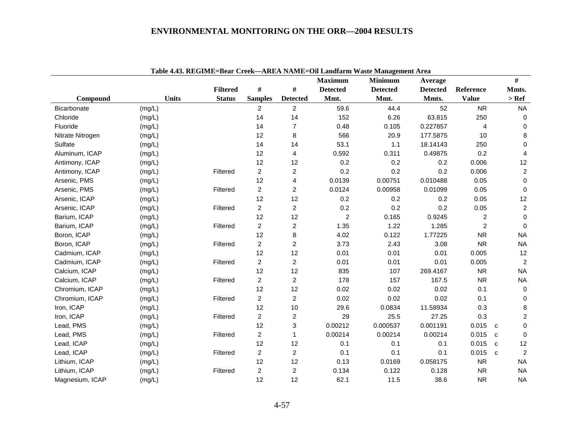|                  |              |                                  |                |                         |                         | Table 4.43. REGIME=Bear Creek—AREA NAME=Oil Landfarm Waste Management Area |                          |                           |                             |
|------------------|--------------|----------------------------------|----------------|-------------------------|-------------------------|----------------------------------------------------------------------------|--------------------------|---------------------------|-----------------------------|
|                  |              |                                  | $\#$           | $\#$                    | <b>Maximum</b>          | <b>Minimum</b>                                                             | Average                  |                           | $\#$                        |
| Compound         | <b>Units</b> | <b>Filtered</b><br><b>Status</b> | <b>Samples</b> | <b>Detected</b>         | <b>Detected</b><br>Mmt. | <b>Detected</b><br>Mmt.                                                    | <b>Detected</b><br>Mmts. | Reference<br><b>Value</b> | Mmts.<br>$>$ Ref $\,$       |
| Bicarbonate      |              |                                  | $\overline{2}$ | $\overline{c}$          | 59.6                    | 44.4                                                                       | 52                       | ${\sf NR}$                | <b>NA</b>                   |
| Chloride         | (mg/L)       |                                  | 14             | 14                      | 152                     | 6.26                                                                       | 63.815                   | 250                       | $\Omega$                    |
| Fluoride         | (mg/L)       |                                  | 14             | $\overline{7}$          | 0.48                    | 0.105                                                                      | 0.227857                 | $\overline{4}$            | $\mathbf 0$                 |
| Nitrate Nitrogen | (mg/L)       |                                  | 12             | 8                       | 566                     | 20.9                                                                       | 177.5875                 | 10                        | 8                           |
| Sulfate          | (mg/L)       |                                  | 14             |                         | 53.1                    | 1.1                                                                        | 18.14143                 |                           |                             |
|                  | (mg/L)       |                                  |                | 14                      |                         |                                                                            |                          | 250                       | $\mathbf 0$                 |
| Aluminum, ICAP   | (mg/L)       |                                  | 12             | 4                       | 0.592                   | 0.311                                                                      | 0.49875                  | 0.2                       | $\overline{4}$              |
| Antimony, ICAP   | (mg/L)       |                                  | 12             | 12                      | 0.2                     | 0.2                                                                        | 0.2                      | 0.006                     | 12                          |
| Antimony, ICAP   | (mg/L)       | Filtered                         | $\overline{c}$ | $\overline{c}$          | 0.2                     | 0.2                                                                        | 0.2                      | 0.006                     | $\overline{c}$              |
| Arsenic, PMS     | (mg/L)       |                                  | 12             | 4                       | 0.0139                  | 0.00751                                                                    | 0.010488                 | 0.05                      | $\mathbf 0$                 |
| Arsenic, PMS     | (mg/L)       | Filtered                         | $\overline{c}$ | $\overline{\mathbf{c}}$ | 0.0124                  | 0.00958                                                                    | 0.01099                  | 0.05                      | $\mathbf 0$                 |
| Arsenic, ICAP    | (mg/L)       |                                  | 12             | 12                      | 0.2                     | 0.2                                                                        | 0.2                      | 0.05                      | 12                          |
| Arsenic, ICAP    | (mg/L)       | Filtered                         | $\overline{c}$ | $\overline{c}$          | 0.2                     | 0.2                                                                        | 0.2                      | 0.05                      | $\overline{c}$              |
| Barium, ICAP     | (mg/L)       |                                  | 12             | 12                      | $\overline{c}$          | 0.165                                                                      | 0.9245                   | $\overline{2}$            | $\mathbf 0$                 |
| Barium, ICAP     | (mg/L)       | Filtered                         | $\overline{a}$ | $\overline{c}$          | 1.35                    | 1.22                                                                       | 1.285                    | $\overline{2}$            | $\mathbf 0$                 |
| Boron, ICAP      | (mg/L)       |                                  | 12             | 8                       | 4.02                    | 0.122                                                                      | 1.77225                  | <b>NR</b>                 | <b>NA</b>                   |
| Boron, ICAP      | (mg/L)       | Filtered                         | $\overline{2}$ | $\overline{c}$          | 3.73                    | 2.43                                                                       | 3.08                     | <b>NR</b>                 | <b>NA</b>                   |
| Cadmium, ICAP    | (mg/L)       |                                  | 12             | 12                      | 0.01                    | 0.01                                                                       | 0.01                     | 0.005                     | 12                          |
| Cadmium, ICAP    | (mg/L)       | Filtered                         | $\overline{2}$ | $\overline{c}$          | 0.01                    | 0.01                                                                       | 0.01                     | 0.005                     | $\overline{2}$              |
| Calcium, ICAP    | (mg/L)       |                                  | 12             | 12                      | 835                     | 107                                                                        | 269.4167                 | <b>NR</b>                 | <b>NA</b>                   |
| Calcium, ICAP    | (mg/L)       | Filtered                         | $\overline{c}$ | $\overline{c}$          | 178                     | 157                                                                        | 167.5                    | <b>NR</b>                 | <b>NA</b>                   |
| Chromium, ICAP   | (mg/L)       |                                  | 12             | 12                      | 0.02                    | 0.02                                                                       | 0.02                     | 0.1                       | $\mathbf 0$                 |
| Chromium, ICAP   | (mg/L)       | Filtered                         | $\overline{c}$ | $\overline{c}$          | 0.02                    | 0.02                                                                       | 0.02                     | 0.1                       | $\mathbf 0$                 |
| Iron, ICAP       | (mg/L)       |                                  | 12             | 10                      | 29.6                    | 0.0834                                                                     | 11.58934                 | 0.3                       | $\bf 8$                     |
| Iron, ICAP       | (mg/L)       | Filtered                         | $\overline{2}$ | $\overline{c}$          | 29                      | 25.5                                                                       | 27.25                    | 0.3                       | $\overline{c}$              |
| Lead, PMS        | (mg/L)       |                                  | 12             | 3                       | 0.00212                 | 0.000537                                                                   | 0.001191                 | 0.015                     | $\mathbf 0$<br>$\mathbf{C}$ |
| Lead, PMS        | (mg/L)       | Filtered                         | $\overline{c}$ | $\mathbf{1}$            | 0.00214                 | 0.00214                                                                    | 0.00214                  | 0.015                     | $\mathbf 0$<br>$\mathbf{C}$ |
| Lead, ICAP       | (mg/L)       |                                  | 12             | 12                      | 0.1                     | 0.1                                                                        | 0.1                      | 0.015                     | 12<br>$\mathbf{C}$          |
| Lead, ICAP       | (mg/L)       | Filtered                         | $\overline{a}$ | $\overline{c}$          | 0.1                     | 0.1                                                                        | 0.1                      | 0.015                     | 2<br>$\mathbf{c}$           |
| Lithium, ICAP    | (mg/L)       |                                  | 12             | 12                      | 0.13                    | 0.0169                                                                     | 0.058175                 | <b>NR</b>                 | <b>NA</b>                   |
| Lithium, ICAP    | (mg/L)       | Filtered                         | $\overline{c}$ | $\overline{c}$          | 0.134                   | 0.122                                                                      | 0.128                    | <b>NR</b>                 | <b>NA</b>                   |
| Magnesium, ICAP  | (mg/L)       |                                  | 12             | 12                      | 62.1                    | 11.5                                                                       | 38.6                     | <b>NR</b>                 | <b>NA</b>                   |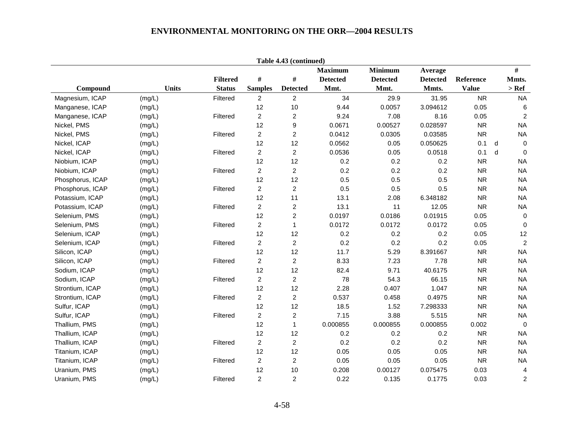| Table 4.43 (continued) |              |                 |                |                 |                 |                 |                 |              |   |                 |
|------------------------|--------------|-----------------|----------------|-----------------|-----------------|-----------------|-----------------|--------------|---|-----------------|
|                        |              |                 |                |                 | <b>Maximum</b>  | <b>Minimum</b>  | Average         |              |   | $\#$            |
|                        |              | <b>Filtered</b> | $\#$           | $\#$            | <b>Detected</b> | <b>Detected</b> | <b>Detected</b> | Reference    |   | Mmts.           |
| Compound               | <b>Units</b> | <b>Status</b>   | <b>Samples</b> | <b>Detected</b> | Mmt.            | Mmt.            | Mmts.           | <b>Value</b> |   | $>$ Ref         |
| Magnesium, ICAP        | (mg/L)       | Filtered        | $\overline{2}$ | $\overline{c}$  | 34              | 29.9            | 31.95           | <b>NR</b>    |   | <b>NA</b>       |
| Manganese, ICAP        | (mg/L)       |                 | 12             | 10              | 9.44            | 0.0057          | 3.094612        | 0.05         |   | $6\phantom{1}6$ |
| Manganese, ICAP        | (mg/L)       | Filtered        | $\overline{2}$ | $\overline{c}$  | 9.24            | 7.08            | 8.16            | 0.05         |   | 2               |
| Nickel, PMS            | (mg/L)       |                 | 12             | 9               | 0.0671          | 0.00527         | 0.028597        | <b>NR</b>    |   | <b>NA</b>       |
| Nickel, PMS            | (mg/L)       | Filtered        | $\overline{c}$ | $\overline{c}$  | 0.0412          | 0.0305          | 0.03585         | <b>NR</b>    |   | <b>NA</b>       |
| Nickel, ICAP           | (mg/L)       |                 | 12             | 12              | 0.0562          | 0.05            | 0.050625        | 0.1          | d | $\mathbf 0$     |
| Nickel, ICAP           | (mg/L)       | Filtered        | $\overline{c}$ | $\overline{c}$  | 0.0536          | 0.05            | 0.0518          | 0.1          | d | $\Omega$        |
| Niobium, ICAP          | (mg/L)       |                 | 12             | 12              | 0.2             | $0.2\,$         | 0.2             | <b>NR</b>    |   | <b>NA</b>       |
| Niobium, ICAP          | (mg/L)       | Filtered        | $\overline{2}$ | $\overline{c}$  | 0.2             | 0.2             | 0.2             | <b>NR</b>    |   | <b>NA</b>       |
| Phosphorus, ICAP       | (mg/L)       |                 | 12             | 12              | 0.5             | 0.5             | 0.5             | <b>NR</b>    |   | <b>NA</b>       |
| Phosphorus, ICAP       | (mg/L)       | Filtered        | $\overline{c}$ | $\overline{c}$  | 0.5             | 0.5             | 0.5             | <b>NR</b>    |   | <b>NA</b>       |
| Potassium, ICAP        | (mg/L)       |                 | 12             | 11              | 13.1            | 2.08            | 6.348182        | <b>NR</b>    |   | <b>NA</b>       |
| Potassium, ICAP        | (mg/L)       | Filtered        | $\overline{2}$ | $\overline{c}$  | 13.1            | 11              | 12.05           | <b>NR</b>    |   | <b>NA</b>       |
| Selenium, PMS          | (mg/L)       |                 | 12             | $\overline{c}$  | 0.0197          | 0.0186          | 0.01915         | 0.05         |   | $\mathbf 0$     |
| Selenium, PMS          | (mg/L)       | Filtered        | $\overline{c}$ | $\mathbf{1}$    | 0.0172          | 0.0172          | 0.0172          | 0.05         |   | $\mathbf 0$     |
| Selenium, ICAP         | (mg/L)       |                 | 12             | 12              | 0.2             | 0.2             | 0.2             | 0.05         |   | 12              |
| Selenium, ICAP         | (mg/L)       | Filtered        | $\overline{c}$ | $\overline{c}$  | 0.2             | 0.2             | 0.2             | 0.05         |   | $\overline{2}$  |
| Silicon, ICAP          | (mg/L)       |                 | 12             | 12              | 11.7            | 5.29            | 8.391667        | <b>NR</b>    |   | <b>NA</b>       |
| Silicon, ICAP          | (mg/L)       | Filtered        | $\overline{2}$ | $\overline{c}$  | 8.33            | 7.23            | 7.78            | <b>NR</b>    |   | <b>NA</b>       |
| Sodium, ICAP           | (mg/L)       |                 | 12             | 12              | 82.4            | 9.71            | 40.6175         | <b>NR</b>    |   | <b>NA</b>       |
| Sodium, ICAP           | (mg/L)       | Filtered        | $\overline{a}$ | $\overline{c}$  | 78              | 54.3            | 66.15           | <b>NR</b>    |   | <b>NA</b>       |
| Strontium, ICAP        | (mg/L)       |                 | 12             | 12              | 2.28            | 0.407           | 1.047           | <b>NR</b>    |   | <b>NA</b>       |
| Strontium, ICAP        | (mg/L)       | Filtered        | $\overline{c}$ | $\overline{c}$  | 0.537           | 0.458           | 0.4975          | <b>NR</b>    |   | <b>NA</b>       |
| Sulfur, ICAP           | (mg/L)       |                 | 12             | 12              | 18.5            | 1.52            | 7.298333        | ${\sf NR}$   |   | <b>NA</b>       |
| Sulfur, ICAP           | (mg/L)       | Filtered        | $\overline{c}$ | $\overline{c}$  | 7.15            | 3.88            | 5.515           | <b>NR</b>    |   | <b>NA</b>       |
| Thallium, PMS          | (mg/L)       |                 | 12             | $\mathbf{1}$    | 0.000855        | 0.000855        | 0.000855        | 0.002        |   | $\Omega$        |
| Thallium, ICAP         | (mg/L)       |                 | 12             | 12              | 0.2             | 0.2             | 0.2             | <b>NR</b>    |   | <b>NA</b>       |
| Thallium, ICAP         | (mg/L)       | Filtered        | $\overline{c}$ | $\overline{c}$  | 0.2             | 0.2             | 0.2             | <b>NR</b>    |   | <b>NA</b>       |
| Titanium, ICAP         | (mg/L)       |                 | 12             | 12              | 0.05            | 0.05            | 0.05            | <b>NR</b>    |   | <b>NA</b>       |
| Titanium, ICAP         | (mg/L)       | Filtered        | $\overline{2}$ | $\overline{c}$  | 0.05            | 0.05            | 0.05            | <b>NR</b>    |   | <b>NA</b>       |
| Uranium, PMS           | (mg/L)       |                 | 12             | 10              | 0.208           | 0.00127         | 0.075475        | 0.03         |   | $\overline{4}$  |
| Uranium, PMS           | (mg/L)       | Filtered        | $\overline{c}$ | $\overline{c}$  | 0.22            | 0.135           | 0.1775          | 0.03         |   | $\overline{c}$  |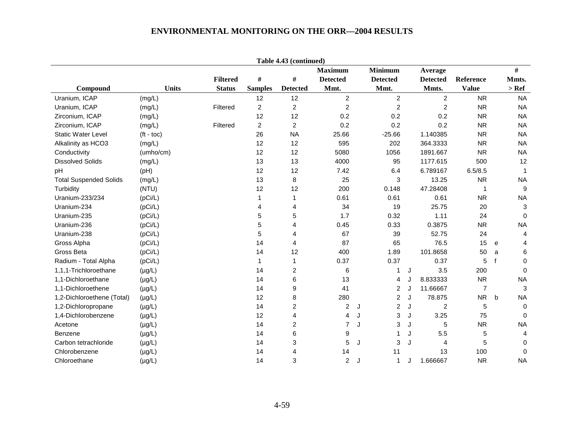|                               |                    |                 |                | Table 4.43 (continued) |                 |                     |                     |                |                             |
|-------------------------------|--------------------|-----------------|----------------|------------------------|-----------------|---------------------|---------------------|----------------|-----------------------------|
|                               |                    |                 |                |                        | <b>Maximum</b>  | <b>Minimum</b>      | Average             |                | $\#$                        |
|                               |                    | <b>Filtered</b> | #              | $\#$                   | <b>Detected</b> | <b>Detected</b>     | <b>Detected</b>     | Reference      | Mmts.                       |
| Compound                      | <b>Units</b>       | <b>Status</b>   | <b>Samples</b> | <b>Detected</b>        | Mmt.            | Mmt.                | Mmts.               | <b>Value</b>   | $>$ Ref                     |
| Uranium, ICAP                 | (mg/L)             |                 | 12             | 12                     | $\overline{c}$  | $\overline{c}$      | $\overline{2}$      | <b>NR</b>      | <b>NA</b>                   |
| Uranium, ICAP                 | (mg/L)             | Filtered        | $\overline{c}$ | $\overline{c}$         | $\overline{c}$  | $\overline{c}$      | $\overline{c}$      | <b>NR</b>      | <b>NA</b>                   |
| Zirconium, ICAP               | (mg/L)             |                 | 12             | 12                     | 0.2             | 0.2                 | 0.2                 | <b>NR</b>      | <b>NA</b>                   |
| Zirconium, ICAP               | (mg/L)             | Filtered        | $\overline{c}$ | $\overline{c}$         | 0.2             | 0.2                 | 0.2                 | <b>NR</b>      | <b>NA</b>                   |
| <b>Static Water Level</b>     | $(t - \text{toc})$ |                 | 26             | <b>NA</b>              | 25.66           | $-25.66$            | 1.140385            | <b>NR</b>      | <b>NA</b>                   |
| Alkalinity as HCO3            | (mg/L)             |                 | 12             | 12                     | 595             | 202                 | 364.3333            | <b>NR</b>      | <b>NA</b>                   |
| Conductivity                  | (umho/cm)          |                 | 12             | 12                     | 5080            | 1056                | 1891.667            | <b>NR</b>      | <b>NA</b>                   |
| <b>Dissolved Solids</b>       | (mg/L)             |                 | 13             | 13                     | 4000            | 95                  | 1177.615            | 500            | 12                          |
| pH                            | (pH)               |                 | 12             | 12                     | 7.42            | 6.4                 | 6.789167            | 6.5/8.5        | $\mathbf 1$                 |
| <b>Total Suspended Solids</b> | (mg/L)             |                 | 13             | 8                      | 25              | $\mathbf 3$         | 13.25               | <b>NR</b>      | <b>NA</b>                   |
| Turbidity                     | (NTU)              |                 | 12             | 12                     | 200             | 0.148               | 47.28408            | $\mathbf{1}$   | 9                           |
| Uranium-233/234               | (pCi/L)            |                 | 1              | 1                      | 0.61            | 0.61                | 0.61                | <b>NR</b>      | <b>NA</b>                   |
| Uranium-234                   | (pCi/L)            |                 | 4              | 4                      | 34              | 19                  | 25.75               | 20             | 3                           |
| Uranium-235                   | (pCi/L)            |                 | 5              | 5                      | 1.7             | 0.32                | 1.11                | 24             | $\mathbf 0$                 |
| Uranium-236                   | (pCi/L)            |                 | 5              | 4                      | 0.45            | 0.33                | 0.3875              | <b>NR</b>      | <b>NA</b>                   |
| Uranium-238                   | (pCi/L)            |                 | 5              | 4                      | 67              | 39                  | 52.75               | 24             | 4                           |
| Gross Alpha                   | (pCi/L)            |                 | 14             | 4                      | 87              | 65                  | 76.5                | 15             | 4<br>e                      |
| Gross Beta                    | (pCi/L)            |                 | 14             | 12                     | 400             | 1.89                | 101.8658            | 50             | 6<br>a                      |
| Radium - Total Alpha          | (pCi/L)            |                 | 1              | $\mathbf{1}$           | 0.37            | 0.37                | 0.37                | 5              | $\mathsf{f}$<br>$\mathbf 0$ |
| 1,1,1-Trichloroethane         | $(\mu g/L)$        |                 | 14             | $\overline{c}$         | 6               | 1                   | 3.5<br>J            | 200            | $\Omega$                    |
| 1,1-Dichloroethane            | $(\mu g/L)$        |                 | 14             | 6                      | 13              | 4                   | 8.833333            | <b>NR</b>      | <b>NA</b>                   |
| 1,1-Dichloroethene            | $(\mu g/L)$        |                 | 14             | 9                      | 41              | $\overline{c}$      | 11.66667<br>J       | $\overline{7}$ | $\sqrt{3}$                  |
| 1,2-Dichloroethene (Total)    | $(\mu g/L)$        |                 | 12             | 8                      | 280             | $\overline{2}$      | 78.875<br>J         | <b>NR</b>      | <b>NA</b><br>b              |
| 1,2-Dichloropropane           | $(\mu g/L)$        |                 | 14             | $\overline{c}$         | $\overline{c}$  | $\overline{c}$<br>J | $\overline{c}$<br>J | 5              | $\mathbf 0$                 |
| 1,4-Dichlorobenzene           | $(\mu g/L)$        |                 | 12             | 4                      | 4               | 3<br>J              | 3.25<br>J           | 75             | $\Omega$                    |
| Acetone                       | $(\mu g/L)$        |                 | 14             | $\overline{c}$         | $\overline{7}$  | 3<br>J              | 5<br>J              | <b>NR</b>      | <b>NA</b>                   |
| Benzene                       | $(\mu g/L)$        |                 | 14             | 6                      | 9               | 1                   | 5.5<br>J            | 5              | 4                           |
| Carbon tetrachloride          | $(\mu g/L)$        |                 | 14             | 3                      | 5               | 3<br>J              | $\overline{4}$<br>J | 5              | $\Omega$                    |
| Chlorobenzene                 | $(\mu g/L)$        |                 | 14             | 4                      | 14              | 11                  | 13                  | 100            | $\mathbf 0$                 |
| Chloroethane                  | $(\mu g/L)$        |                 | 14             | 3                      | $\overline{2}$  | 1<br>J              | 1.666667<br>J       | <b>NR</b>      | <b>NA</b>                   |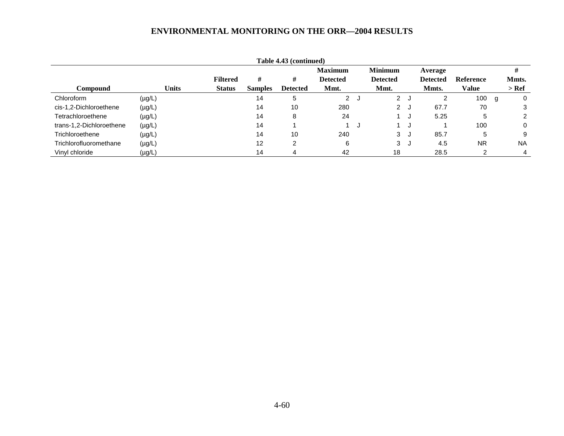| Table 4.43 (continued)   |             |              |                 |                |                 |                 |     |                 |     |                 |                  |   |           |
|--------------------------|-------------|--------------|-----------------|----------------|-----------------|-----------------|-----|-----------------|-----|-----------------|------------------|---|-----------|
|                          |             |              |                 |                |                 | <b>Maximum</b>  |     | <b>Minimum</b>  |     | Average         |                  |   |           |
|                          |             |              | <b>Filtered</b> | #              | #               | <b>Detected</b> |     | <b>Detected</b> |     | <b>Detected</b> | <b>Reference</b> |   | Mmts.     |
| Compound                 |             | <b>Units</b> | <b>Status</b>   | <b>Samples</b> | <b>Detected</b> | Mmt.            |     | Mmt.            |     | Mmts.           | Value            |   | $>$ Ref   |
| Chloroform               | $(\mu g/L)$ |              |                 | 14             | 5               | $\mathbf{2}$    | J   | $\overline{2}$  |     | 2               | 100              | g | 0         |
| cis-1,2-Dichloroethene   | $(\mu g/L)$ |              |                 | 14             | 10              | 280             |     | $\mathbf{2}$    | ل ا | 67.7            | 70               |   | 3         |
| Tetrachloroethene        | $(\mu g/L)$ |              |                 | 14             | 8               | 24              |     |                 |     | 5.25            | 5                |   | 2         |
| trans-1,2-Dichloroethene | $(\mu g/L)$ |              |                 | 14             |                 |                 | ل - |                 |     |                 | 100              |   | 0         |
| Trichloroethene          | $(\mu g/L)$ |              |                 | 14             | 10              | 240             |     | 3               | ل ا | 85.7            | 5                |   | 9         |
| Trichlorofluoromethane   | $(\mu g/L)$ |              |                 | 12             | 2               | 6               |     | 3               | ل.  | 4.5             | <b>NR</b>        |   | <b>NA</b> |
| Vinyl chloride           | $(\mu g/L)$ |              |                 | 14             | 4               | 42              |     | 18              |     | 28.5            |                  |   | 4         |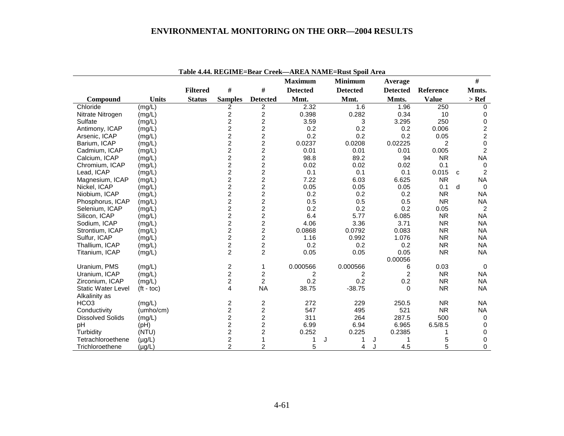|                           |                    |                 |                                            |                         | <b>Maximum</b>  | <b>Minimum</b>  | Average         |                |   | $\#$             |
|---------------------------|--------------------|-----------------|--------------------------------------------|-------------------------|-----------------|-----------------|-----------------|----------------|---|------------------|
|                           |                    | <b>Filtered</b> | #                                          | $\#$                    | <b>Detected</b> | <b>Detected</b> | <b>Detected</b> | Reference      |   | Mmts.            |
| Compound                  | <b>Units</b>       | <b>Status</b>   | <b>Samples</b>                             | <b>Detected</b>         | Mmt.            | Mmt.            | Mmts.           | <b>Value</b>   |   | $>$ Ref          |
| Chloride                  | (mg/L)             |                 | 2                                          | $\overline{c}$          | 2.32            | 1.6             | 1.96            | 250            |   | $\Omega$         |
| Nitrate Nitrogen          | (mg/L)             |                 | $\overline{2}$                             | $\overline{c}$          | 0.398           | 0.282           | 0.34            | 10             |   | 0                |
| Sulfate                   | (mg/L)             |                 | $\overline{c}$                             | $\overline{c}$          | 3.59            | 3               | 3.295           | 250            |   | 0                |
| Antimony, ICAP            | (mg/L)             |                 | $\overline{c}$                             | $\boldsymbol{2}$        | 0.2             | 0.2             | 0.2             | 0.006          |   | $\boldsymbol{2}$ |
| Arsenic, ICAP             | (mg/L)             |                 | $\overline{c}$                             | $\overline{c}$          | 0.2             | 0.2             | 0.2             | 0.05           |   | $\overline{c}$   |
| Barium, ICAP              | (mg/L)             |                 | $\overline{\mathbf{c}}$                    | $\overline{c}$          | 0.0237          | 0.0208          | 0.02225         | $\overline{2}$ |   | $\pmb{0}$        |
| Cadmium, ICAP             | (mg/L)             |                 | $\overline{c}$                             | $\boldsymbol{2}$        | 0.01            | 0.01            | 0.01            | 0.005          |   | $\overline{c}$   |
| Calcium, ICAP             | (mg/L)             |                 |                                            | $\overline{c}$          | 98.8            | 89.2            | 94              | <b>NR</b>      |   | <b>NA</b>        |
| Chromium, ICAP            | (mg/L)             |                 | $\begin{array}{c} 2 \\ 2 \\ 2 \end{array}$ | $\overline{c}$          | 0.02            | 0.02            | 0.02            | 0.1            |   | $\mathbf 0$      |
| Lead, ICAP                | (mg/L)             |                 |                                            | $\overline{2}$          | 0.1             | 0.1             | 0.1             | 0.015          | C | $\overline{2}$   |
| Magnesium, ICAP           | (mg/L)             |                 | $\frac{2}{2}$                              | $\overline{\mathbf{c}}$ | 7.22            | 6.03            | 6.625           | <b>NR</b>      |   | <b>NA</b>        |
| Nickel, ICAP              | (mg/L)             |                 |                                            | $\overline{2}$          | 0.05            | 0.05            | 0.05            | 0.1            | d | $\Omega$         |
| Niobium, ICAP             | (mg/L)             |                 | $\overline{2}$                             | $\overline{c}$          | 0.2             | 0.2             | 0.2             | <b>NR</b>      |   | <b>NA</b>        |
| Phosphorus, ICAP          | (mg/L)             |                 | $\overline{a}$                             | $\overline{c}$          | 0.5             | 0.5             | 0.5             | <b>NR</b>      |   | <b>NA</b>        |
| Selenium, ICAP            | (mg/L)             |                 | $\overline{2}$                             | $\boldsymbol{2}$        | 0.2             | 0.2             | 0.2             | 0.05           |   | $\overline{2}$   |
| Silicon, ICAP             | (mg/L)             |                 | $\overline{c}$                             | $\overline{c}$          | 6.4             | 5.77            | 6.085           | <b>NR</b>      |   | <b>NA</b>        |
| Sodium, ICAP              | (mg/L)             |                 | $\overline{c}$                             | $\overline{2}$          | 4.06            | 3.36            | 3.71            | <b>NR</b>      |   | <b>NA</b>        |
| Strontium, ICAP           | (mg/L)             |                 | $\overline{a}$                             | $\overline{c}$          | 0.0868          | 0.0792          | 0.083           | <b>NR</b>      |   | <b>NA</b>        |
| Sulfur, ICAP              | (mg/L)             |                 | $\overline{c}$                             | $\boldsymbol{2}$        | 1.16            | 0.992           | 1.076           | <b>NR</b>      |   | <b>NA</b>        |
| Thallium, ICAP            | (mg/L)             |                 | $\overline{c}$                             | $\overline{c}$          | 0.2             | 0.2             | 0.2             | <b>NR</b>      |   | <b>NA</b>        |
| Titanium, ICAP            | (mg/L)             |                 | $\overline{2}$                             | $\overline{2}$          | 0.05            | 0.05            | 0.05            | <b>NR</b>      |   | <b>NA</b>        |
|                           |                    |                 |                                            |                         |                 |                 | 0.00056         |                |   |                  |
| Uranium, PMS              | (mg/L)             |                 | $\overline{c}$                             | 1                       | 0.000566        | 0.000566        | 6               | 0.03           |   | $\mathbf 0$      |
| Uranium, ICAP             | (mg/L)             |                 | $\overline{c}$                             | $\overline{c}$          | 2               | $\overline{2}$  | $\overline{2}$  | <b>NR</b>      |   | <b>NA</b>        |
| Zirconium, ICAP           | (mg/L)             |                 | $\overline{c}$                             | $\overline{c}$          | 0.2             | 0.2             | 0.2             | <b>NR</b>      |   | <b>NA</b>        |
| <b>Static Water Level</b> | $(t - \text{toc})$ |                 | 4                                          | <b>NA</b>               | 38.75           | $-38.75$        | 0               | <b>NR</b>      |   | <b>NA</b>        |
| Alkalinity as             |                    |                 |                                            |                         |                 |                 |                 |                |   |                  |
| HCO <sub>3</sub>          | (mg/L)             |                 | $\overline{\mathbf{c}}$                    | $\overline{c}$          | 272             | 229             | 250.5           | <b>NR</b>      |   | <b>NA</b>        |
| Conductivity              | (umho/cm)          |                 | $\overline{c}$                             | $\boldsymbol{2}$        | 547             | 495             | 521             | <b>NR</b>      |   | <b>NA</b>        |
| <b>Dissolved Solids</b>   | (mg/L)             |                 | $\overline{\mathbf{c}}$                    | $\overline{\mathbf{c}}$ | 311             | 264             | 287.5           | 500            |   | $\mathbf 0$      |
| pH                        | (Hq)               |                 | $\overline{\mathbf{c}}$                    | $\overline{c}$          | 6.99            | 6.94            | 6.965           | 6.5/8.5        |   | 0                |
| Turbidity                 | (NTU)              |                 | $\overline{c}$                             | $\overline{\mathbf{c}}$ | 0.252           | 0.225           | 0.2385          |                |   | 0                |
| Tetrachloroethene         | $(\mu g/L)$        |                 | $\overline{\mathbf{c}}$                    | 1                       |                 | J               | J<br>1          | 5              |   | 0                |
| Trichloroethene           | $(\mu g/L)$        |                 | $\overline{2}$                             | 2                       | 5               | 4               | 4.5             | 5              |   | 0                |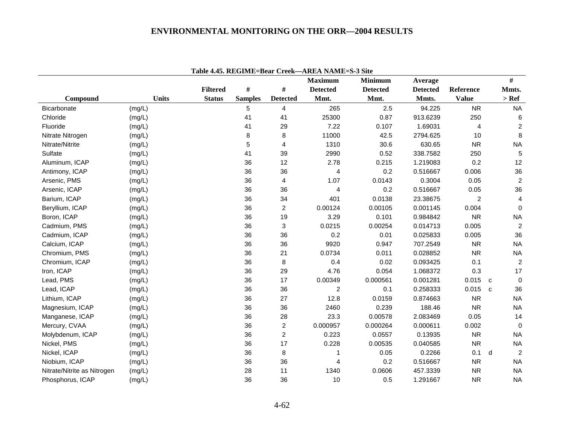|                             |              |                 |                |                  | Table 4.45. REGIME=Bear Creek—AREA NAME=S-3 Site<br><b>Maximum</b> |                                   |                            |                | $\#$                |
|-----------------------------|--------------|-----------------|----------------|------------------|--------------------------------------------------------------------|-----------------------------------|----------------------------|----------------|---------------------|
|                             |              | <b>Filtered</b> | $\#$           | $\#$             | <b>Detected</b>                                                    | <b>Minimum</b><br><b>Detected</b> | Average<br><b>Detected</b> | Reference      | Mmts.               |
| Compound                    | <b>Units</b> | <b>Status</b>   | <b>Samples</b> | <b>Detected</b>  | Mmt.                                                               | Mmt.                              | Mmts.                      | <b>Value</b>   | $>$ Ref             |
| Bicarbonate                 | (mg/L)       |                 | 5              | $\overline{4}$   | 265                                                                | 2.5                               | 94.225                     | <b>NR</b>      | <b>NA</b>           |
| Chloride                    | (mg/L)       |                 | 41             | 41               | 25300                                                              | 0.87                              | 913.6239                   | 250            | 6                   |
| Fluoride                    | (mg/L)       |                 | 41             | 29               | 7.22                                                               | 0.107                             | 1.69031                    | $\overline{4}$ | $\overline{c}$      |
| Nitrate Nitrogen            | (mg/L)       |                 | 8              | 8                | 11000                                                              | 42.5                              | 2794.625                   | 10             | 8                   |
| Nitrate/Nitrite             | (mg/L)       |                 | 5              | $\overline{4}$   | 1310                                                               | 30.6                              | 630.65                     | <b>NR</b>      | <b>NA</b>           |
| Sulfate                     | (mg/L)       |                 | 41             | 39               | 2990                                                               | 0.52                              | 338.7582                   | 250            | 5                   |
| Aluminum, ICAP              | (mg/L)       |                 | 36             | 12               | 2.78                                                               | 0.215                             | 1.219083                   | 0.2            | 12                  |
| Antimony, ICAP              | (mg/L)       |                 | 36             | 36               | $\overline{4}$                                                     | 0.2                               | 0.516667                   | 0.006          | 36                  |
| Arsenic, PMS                | (mg/L)       |                 | 36             | 4                | 1.07                                                               | 0.0143                            | 0.3004                     | 0.05           | $\boldsymbol{2}$    |
| Arsenic, ICAP               | (mg/L)       |                 | 36             | 36               | 4                                                                  | 0.2                               | 0.516667                   | 0.05           | 36                  |
| Barium, ICAP                | (mg/L)       |                 | 36             | 34               | 401                                                                | 0.0138                            | 23.38675                   | $\overline{c}$ | 4                   |
| Beryllium, ICAP             | (mg/L)       |                 | 36             | $\overline{c}$   | 0.00124                                                            | 0.00105                           | 0.001145                   | 0.004          | $\mathbf 0$         |
| Boron, ICAP                 | (mg/L)       |                 | 36             | 19               | 3.29                                                               | 0.101                             | 0.984842                   | <b>NR</b>      | <b>NA</b>           |
| Cadmium, PMS                | (mg/L)       |                 | 36             | $\mathbf{3}$     | 0.0215                                                             | 0.00254                           | 0.014713                   | 0.005          | $\overline{c}$      |
| Cadmium, ICAP               | (mg/L)       |                 | 36             | 36               | 0.2                                                                | 0.01                              | 0.025833                   | 0.005          | 36                  |
| Calcium, ICAP               | (mg/L)       |                 | 36             | 36               | 9920                                                               | 0.947                             | 707.2549                   | <b>NR</b>      | <b>NA</b>           |
| Chromium, PMS               | (mg/L)       |                 | 36             | 21               | 0.0734                                                             | 0.011                             | 0.028852                   | <b>NR</b>      | <b>NA</b>           |
| Chromium, ICAP              | (mg/L)       |                 | 36             | 8                | 0.4                                                                | 0.02                              | 0.093425                   | 0.1            | $\overline{c}$      |
| Iron, ICAP                  | (mg/L)       |                 | 36             | 29               | 4.76                                                               | 0.054                             | 1.068372                   | 0.3            | 17                  |
| Lead, PMS                   | (mg/L)       |                 | 36             | 17               | 0.00349                                                            | 0.000561                          | 0.001281                   | 0.015          | $\mathbf 0$<br>C    |
| Lead, ICAP                  | (mg/L)       |                 | 36             | 36               | $\overline{c}$                                                     | 0.1                               | 0.258333                   | 0.015          | 36<br>$\mathbf{C}$  |
| Lithium, ICAP               | (mg/L)       |                 | 36             | 27               | 12.8                                                               | 0.0159                            | 0.874663                   | <b>NR</b>      | <b>NA</b>           |
| Magnesium, ICAP             | (mg/L)       |                 | 36             | 36               | 2460                                                               | 0.239                             | 188.46                     | <b>NR</b>      | <b>NA</b>           |
| Manganese, ICAP             | (mg/L)       |                 | 36             | 28               | 23.3                                                               | 0.00578                           | 2.083469                   | 0.05           | 14                  |
| Mercury, CVAA               | (mg/L)       |                 | 36             | $\boldsymbol{2}$ | 0.000957                                                           | 0.000264                          | 0.000611                   | 0.002          | $\mathbf 0$         |
| Molybdenum, ICAP            | (mg/L)       |                 | 36             | $\overline{c}$   | 0.223                                                              | 0.0557                            | 0.13935                    | <b>NR</b>      | <b>NA</b>           |
| Nickel, PMS                 | (mg/L)       |                 | 36             | 17               | 0.228                                                              | 0.00535                           | 0.040585                   | <b>NR</b>      | <b>NA</b>           |
| Nickel, ICAP                | (mg/L)       |                 | 36             | 8                | 1                                                                  | 0.05                              | 0.2266                     | 0.1            | $\overline{2}$<br>d |
| Niobium, ICAP               | (mg/L)       |                 | 36             | 36               | 4                                                                  | 0.2                               | 0.516667                   | <b>NR</b>      | <b>NA</b>           |
| Nitrate/Nitrite as Nitrogen | (mg/L)       |                 | 28             | 11               | 1340                                                               | 0.0606                            | 457.3339                   | <b>NR</b>      | <b>NA</b>           |
| Phosphorus, ICAP            | (mg/L)       |                 | 36             | 36               | 10                                                                 | 0.5                               | 1.291667                   | <b>NR</b>      | <b>NA</b>           |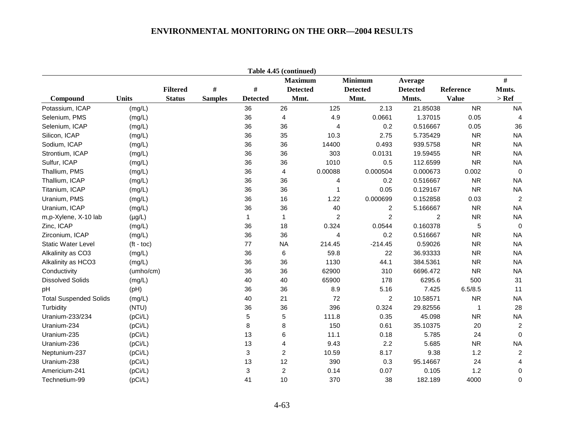|                               |              |                 |                |                 | Table 4.45 (continued) |         |                 |                 |              |                         |
|-------------------------------|--------------|-----------------|----------------|-----------------|------------------------|---------|-----------------|-----------------|--------------|-------------------------|
|                               |              |                 |                |                 | <b>Maximum</b>         |         | <b>Minimum</b>  | Average         |              | #                       |
|                               |              | <b>Filtered</b> | $\#$           | #               | <b>Detected</b>        |         | <b>Detected</b> | <b>Detected</b> | Reference    | Mmts.                   |
| Compound                      | <b>Units</b> | <b>Status</b>   | <b>Samples</b> | <b>Detected</b> | Mmt.                   |         | Mmt.            | Mmts.           | <b>Value</b> | $>$ Ref                 |
| Potassium, ICAP               | (mg/L)       |                 |                | 36              | 26                     | 125     | 2.13            | 21.85038        | <b>NR</b>    | <b>NA</b>               |
| Selenium, PMS                 | (mg/L)       |                 |                | 36              | 4                      | 4.9     | 0.0661          | 1.37015         | 0.05         | 4                       |
| Selenium, ICAP                | (mg/L)       |                 |                | 36              | 36                     | 4       | 0.2             | 0.516667        | 0.05         | 36                      |
| Silicon, ICAP                 | (mg/L)       |                 |                | 36              | 35                     | 10.3    | 2.75            | 5.735429        | <b>NR</b>    | <b>NA</b>               |
| Sodium, ICAP                  | (mg/L)       |                 |                | 36              | 36                     | 14400   | 0.493           | 939.5758        | <b>NR</b>    | <b>NA</b>               |
| Strontium, ICAP               | (mg/L)       |                 |                | 36              | 36                     | 303     | 0.0131          | 19.59455        | <b>NR</b>    | <b>NA</b>               |
| Sulfur, ICAP                  | (mg/L)       |                 |                | 36              | 36                     | 1010    | 0.5             | 112.6599        | <b>NR</b>    | <b>NA</b>               |
| Thallium, PMS                 | (mg/L)       |                 |                | 36              | 4                      | 0.00088 | 0.000504        | 0.000673        | 0.002        | $\overline{0}$          |
| Thallium, ICAP                | (mg/L)       |                 |                | 36              | 36                     | 4       | 0.2             | 0.516667        | <b>NR</b>    | <b>NA</b>               |
| Titanium, ICAP                | (mg/L)       |                 |                | 36              | 36                     | 1       | 0.05            | 0.129167        | <b>NR</b>    | <b>NA</b>               |
| Uranium, PMS                  | (mg/L)       |                 |                | 36              | 16                     | 1.22    | 0.000699        | 0.152858        | 0.03         | $\overline{2}$          |
| Uranium, ICAP                 | (mg/L)       |                 |                | 36              | 36                     | 40      | 2               | 5.166667        | <b>NR</b>    | <b>NA</b>               |
| m,p-Xylene, X-10 lab          | $(\mu g/L)$  |                 |                | 1               | $\mathbf{1}$           | 2       | $\overline{c}$  | $\overline{c}$  | <b>NR</b>    | <b>NA</b>               |
| Zinc, ICAP                    | (mg/L)       |                 |                | 36              | 18                     | 0.324   | 0.0544          | 0.160378        | 5            | $\mathbf 0$             |
| Zirconium, ICAP               | (mg/L)       |                 |                | 36              | 36                     | 4       | 0.2             | 0.516667        | <b>NR</b>    | <b>NA</b>               |
| <b>Static Water Level</b>     | $(t - toc)$  |                 |                | 77              | <b>NA</b>              | 214.45  | $-214.45$       | 0.59026         | <b>NR</b>    | <b>NA</b>               |
| Alkalinity as CO3             | (mg/L)       |                 |                | 36              | 6                      | 59.8    | 22              | 36.93333        | <b>NR</b>    | <b>NA</b>               |
| Alkalinity as HCO3            | (mg/L)       |                 |                | 36              | 36                     | 1130    | 44.1            | 384.5361        | <b>NR</b>    | <b>NA</b>               |
| Conductivity                  | (umho/cm)    |                 |                | 36              | 36                     | 62900   | 310             | 6696.472        | <b>NR</b>    | <b>NA</b>               |
| <b>Dissolved Solids</b>       | (mg/L)       |                 |                | 40              | 40                     | 65900   | 178             | 6295.6          | 500          | 31                      |
| pН                            | (pH)         |                 |                | 36              | 36                     | 8.9     | 5.16            | 7.425           | 6.5/8.5      | 11                      |
| <b>Total Suspended Solids</b> | (mg/L)       |                 |                | 40              | 21                     | 72      | 2               | 10.58571        | <b>NR</b>    | <b>NA</b>               |
| Turbidity                     | (NTU)        |                 |                | 36              | 36                     | 396     | 0.324           | 29.82556        |              | 28                      |
| Uranium-233/234               | (pCi/L)      |                 |                | 5               | 5                      | 111.8   | 0.35            | 45.098          | <b>NR</b>    | <b>NA</b>               |
| Uranium-234                   | (pCi/L)      |                 |                | 8               | 8                      | 150     | 0.61            | 35.10375        | 20           | $\overline{\mathbf{c}}$ |
| Uranium-235                   | (pCi/L)      |                 |                | 13              | 6                      | 11.1    | 0.18            | 5.785           | 24           | $\Omega$                |
| Uranium-236                   | (pCi/L)      |                 |                | 13              | $\overline{4}$         | 9.43    | 2.2             | 5.685           | <b>NR</b>    | <b>NA</b>               |
| Neptunium-237                 | (pCi/L)      |                 |                | 3               | $\overline{c}$         | 10.59   | 8.17            | 9.38            | 1.2          | $\overline{c}$          |
| Uranium-238                   | (pCi/L)      |                 |                | 13              | 12                     | 390     | 0.3             | 95.14667        | 24           | $\overline{4}$          |
| Americium-241                 | (pCi/L)      |                 |                | 3               | $\overline{c}$         | 0.14    | 0.07            | 0.105           | 1.2          | 0                       |
| Technetium-99                 | (pCi/L)      |                 |                | 41              | 10                     | 370     | 38              | 182.189         | 4000         | 0                       |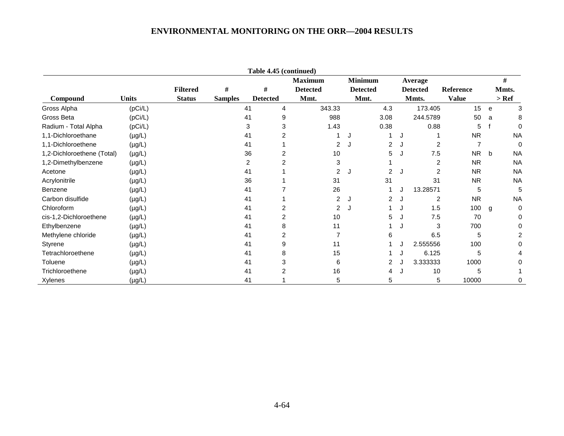| Table 4.45 (continued)     |              |                 |                |                 |                 |                |                 |         |                 |                |   |           |
|----------------------------|--------------|-----------------|----------------|-----------------|-----------------|----------------|-----------------|---------|-----------------|----------------|---|-----------|
|                            |              |                 |                |                 | <b>Maximum</b>  | <b>Minimum</b> |                 | Average |                 |                | # |           |
|                            |              | <b>Filtered</b> | #              | #               | <b>Detected</b> |                | <b>Detected</b> |         | <b>Detected</b> | Reference      |   | Mmts.     |
| Compound                   | <b>Units</b> | <b>Status</b>   | <b>Samples</b> | <b>Detected</b> | Mmt.            |                | Mmt.            |         | Mmts.           | <b>Value</b>   |   | $>$ Ref   |
| Gross Alpha                | (pCi/L)      |                 |                | 41<br>4         | 343.33          |                | 4.3             |         | 173.405         | 15             | e | 3         |
| Gross Beta                 | (pCi/L)      |                 |                | 41<br>9         | 988             |                | 3.08            |         | 244.5789        | 50             | a | 8         |
| Radium - Total Alpha       | (pCi/L)      |                 |                | 3<br>3          | 1.43            |                | 0.38            |         | 0.88            | 5              |   | 0         |
| 1,1-Dichloroethane         | $(\mu g/L)$  |                 |                | 41              |                 |                |                 |         |                 | <b>NR</b>      |   | <b>NA</b> |
| 1,1-Dichloroethene         | $(\mu g/L)$  |                 |                | 41              | 2               | J              | $\overline{2}$  |         | 2               | $\overline{7}$ |   | 0         |
| 1,2-Dichloroethene (Total) | $(\mu g/L)$  |                 |                | 36              | 10              |                | 5               |         | 7.5             | <b>NR</b>      | b | <b>NA</b> |
| 1,2-Dimethylbenzene        | $(\mu g/L)$  |                 |                | 2               | 3               |                |                 |         | 2               | <b>NR</b>      |   | <b>NA</b> |
| Acetone                    | $(\mu g/L)$  |                 |                | 41              | 2               | J.             | 2               |         | 2               | <b>NR</b>      |   | <b>NA</b> |
| Acrylonitrile              | $(\mu g/L)$  |                 |                | 36              | 31              |                | 31              |         | 31              | <b>NR</b>      |   | <b>NA</b> |
| Benzene                    | $(\mu g/L)$  |                 |                | 41              | 26              |                |                 |         | 13.28571        | 5              |   | 5         |
| Carbon disulfide           | $(\mu g/L)$  |                 |                | 41              | 2               | J              | 2               |         | 2               | <b>NR</b>      |   | <b>NA</b> |
| Chloroform                 | $(\mu g/L)$  |                 |                | 41              | 2               | J.             |                 |         | 1.5             | 100            | g | 0         |
| cis-1,2-Dichloroethene     | $(\mu g/L)$  |                 |                | 41              | 10              |                | 5               |         | 7.5             | 70             |   | 0         |
| Ethylbenzene               | $(\mu g/L)$  |                 |                | 41<br>8         | 11              |                |                 |         | 3               | 700            |   |           |
| Methylene chloride         | $(\mu g/L)$  |                 |                | 41              |                 |                | 6               |         | 6.5             | 5              |   | 2         |
| Styrene                    | $(\mu g/L)$  |                 |                | 41<br>9         | 11              |                |                 |         | 2.555556        | 100            |   |           |
| Tetrachloroethene          | $(\mu g/L)$  |                 |                | 41<br>8         | 15              |                |                 |         | 6.125           | 5              |   |           |
| Toluene                    | $(\mu g/L)$  |                 |                | 41              | 6               |                | 2               |         | 3.333333        | 1000           |   | 0         |
| Trichloroethene            | $(\mu g/L)$  |                 |                | 41              | 16              |                | 4               |         | 10              | 5              |   |           |
| Xylenes                    | $(\mu g/L)$  |                 |                | 41              | 5               |                | 5               |         | 5               | 10000          |   | 0         |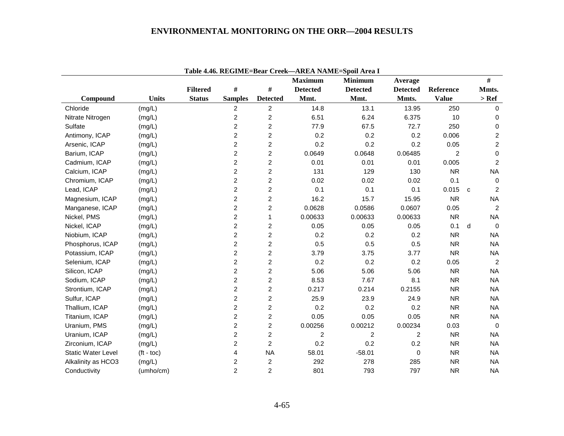|                           |              |                 |                         |                         | <b>Maximum</b>  | <b>Minimum</b>  | Average         |                |    | $\#$           |
|---------------------------|--------------|-----------------|-------------------------|-------------------------|-----------------|-----------------|-----------------|----------------|----|----------------|
|                           |              | <b>Filtered</b> | $\#$                    | $\#$                    | <b>Detected</b> | <b>Detected</b> | <b>Detected</b> | Reference      |    | Mmts.          |
| Compound                  | <b>Units</b> | <b>Status</b>   | <b>Samples</b>          | <b>Detected</b>         | Mmt.            | Mmt.            | Mmts.           | <b>Value</b>   |    | $>$ Ref        |
| Chloride                  | (mg/L)       |                 | 2                       | $\overline{c}$          | 14.8            | 13.1            | 13.95           | 250            |    | $\mathbf 0$    |
| Nitrate Nitrogen          | (mg/L)       |                 | $\overline{c}$          | $\overline{2}$          | 6.51            | 6.24            | 6.375           | 10             |    | $\Omega$       |
| Sulfate                   | (mg/L)       |                 | $\overline{c}$          | $\overline{2}$          | 77.9            | 67.5            | 72.7            | 250            |    | $\mathbf 0$    |
| Antimony, ICAP            | (mg/L)       |                 | $\overline{c}$          | $\overline{c}$          | 0.2             | 0.2             | 0.2             | 0.006          |    | $\overline{c}$ |
| Arsenic, ICAP             | (mg/L)       |                 | $\overline{c}$          | $\overline{2}$          | 0.2             | 0.2             | 0.2             | 0.05           |    | $\overline{c}$ |
| Barium, ICAP              | (mg/L)       |                 | $\overline{c}$          | $\overline{2}$          | 0.0649          | 0.0648          | 0.06485         | $\overline{2}$ |    | $\mathbf 0$    |
| Cadmium, ICAP             | (mg/L)       |                 | $\overline{c}$          | 2                       | 0.01            | 0.01            | 0.01            | 0.005          |    | $\overline{c}$ |
| Calcium, ICAP             | (mg/L)       |                 | $\overline{c}$          | $\overline{c}$          | 131             | 129             | 130             | <b>NR</b>      |    | <b>NA</b>      |
| Chromium, ICAP            | (mg/L)       |                 | $\overline{c}$          | $\overline{c}$          | 0.02            | 0.02            | 0.02            | 0.1            |    | 0              |
| Lead, ICAP                | (mg/L)       |                 | $\overline{c}$          | $\overline{c}$          | 0.1             | 0.1             | 0.1             | 0.015          | C. | 2              |
| Magnesium, ICAP           | (mg/L)       |                 | $\overline{2}$          | $\overline{c}$          | 16.2            | 15.7            | 15.95           | <b>NR</b>      |    | <b>NA</b>      |
| Manganese, ICAP           | (mg/L)       |                 | $\overline{\mathbf{c}}$ | $\overline{c}$          | 0.0628          | 0.0586          | 0.0607          | 0.05           |    | $\overline{2}$ |
| Nickel, PMS               | (mg/L)       |                 | $\overline{c}$          | 1                       | 0.00633         | 0.00633         | 0.00633         | <b>NR</b>      |    | <b>NA</b>      |
| Nickel, ICAP              | (mg/L)       |                 | $\overline{c}$          | 2                       | 0.05            | 0.05            | 0.05            | 0.1            | d  | $\mathbf 0$    |
| Niobium, ICAP             | (mg/L)       |                 | $\overline{2}$          | $\overline{c}$          | 0.2             | 0.2             | 0.2             | <b>NR</b>      |    | <b>NA</b>      |
| Phosphorus, ICAP          | (mg/L)       |                 | 2                       | $\overline{c}$          | 0.5             | 0.5             | 0.5             | <b>NR</b>      |    | <b>NA</b>      |
| Potassium, ICAP           | (mg/L)       |                 | $\overline{\mathbf{c}}$ | $\overline{\mathbf{c}}$ | 3.79            | 3.75            | 3.77            | <b>NR</b>      |    | <b>NA</b>      |
| Selenium, ICAP            | (mg/L)       |                 | $\overline{c}$          | 2                       | 0.2             | 0.2             | 0.2             | 0.05           |    | $\overline{2}$ |
| Silicon, ICAP             | (mg/L)       |                 | $\overline{c}$          | $\overline{2}$          | 5.06            | 5.06            | 5.06            | <b>NR</b>      |    | <b>NA</b>      |
| Sodium, ICAP              | (mg/L)       |                 | 2                       | $\overline{\mathbf{c}}$ | 8.53            | 7.67            | 8.1             | <b>NR</b>      |    | <b>NA</b>      |
| Strontium, ICAP           | (mg/L)       |                 | $\overline{c}$          | $\overline{2}$          | 0.217           | 0.214           | 0.2155          | <b>NR</b>      |    | <b>NA</b>      |
| Sulfur, ICAP              | (mg/L)       |                 | $\overline{c}$          | $\overline{2}$          | 25.9            | 23.9            | 24.9            | <b>NR</b>      |    | <b>NA</b>      |
| Thallium, ICAP            | (mg/L)       |                 | $\overline{c}$          | $\overline{2}$          | 0.2             | 0.2             | 0.2             | <b>NR</b>      |    | <b>NA</b>      |
| Titanium, ICAP            | (mg/L)       |                 | 2                       | $\overline{2}$          | 0.05            | 0.05            | 0.05            | <b>NR</b>      |    | <b>NA</b>      |
| Uranium, PMS              | (mg/L)       |                 | $\overline{c}$          | $\overline{c}$          | 0.00256         | 0.00212         | 0.00234         | 0.03           |    | $\Omega$       |
| Uranium, ICAP             | (mg/L)       |                 | $\overline{2}$          | $\overline{2}$          | $\overline{2}$  | $\overline{2}$  | $\overline{2}$  | <b>NR</b>      |    | <b>NA</b>      |
| Zirconium, ICAP           | (mg/L)       |                 | $\overline{c}$          | $\overline{c}$          | 0.2             | 0.2             | 0.2             | <b>NR</b>      |    | <b>NA</b>      |
| <b>Static Water Level</b> | $(t - toc)$  |                 | 4                       | <b>NA</b>               | 58.01           | $-58.01$        | 0               | <b>NR</b>      |    | <b>NA</b>      |
| Alkalinity as HCO3        | (mg/L)       |                 | 2                       | $\overline{c}$          | 292             | 278             | 285             | <b>NR</b>      |    | <b>NA</b>      |
| Conductivity              | (umho/cm)    |                 | $\overline{2}$          | $\overline{c}$          | 801             | 793             | 797             | <b>NR</b>      |    | <b>NA</b>      |

**Table 4.46. REGIME=Bear Creek—AREA NAME=Spoil Area I**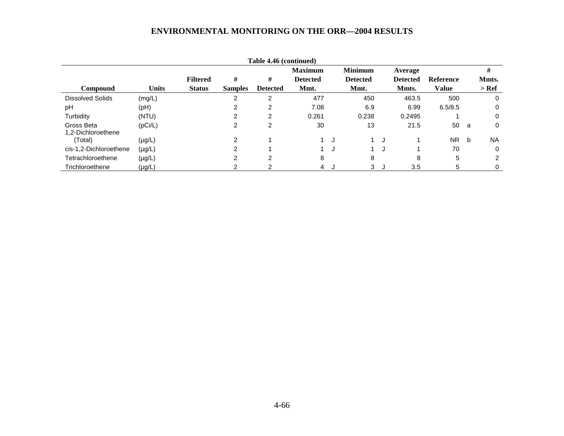|                                  |              |                 |                | Table 4.46 (continued) |                 |   |                 |    |                 |                  |              |           |
|----------------------------------|--------------|-----------------|----------------|------------------------|-----------------|---|-----------------|----|-----------------|------------------|--------------|-----------|
|                                  |              |                 |                |                        | <b>Maximum</b>  |   | <b>Minimum</b>  |    | Average         |                  |              | #         |
|                                  |              | <b>Filtered</b> | #              | #                      | <b>Detected</b> |   | <b>Detected</b> |    | <b>Detected</b> | <b>Reference</b> |              | Mmts.     |
| <b>Compound</b>                  | <b>Units</b> | <b>Status</b>   | <b>Samples</b> | <b>Detected</b>        | Mmt.            |   | Mmt.            |    | Mmts.           | Value            |              | $>$ Ref   |
| <b>Dissolved Solids</b>          | (mg/L)       |                 | 2              | $\overline{c}$         | 477             |   | 450             |    | 463.5           | 500              |              | 0         |
| pH                               | (Hq)         |                 | 2              | $\overline{c}$         | 7.08            |   | 6.9             |    | 6.99            | 6.5/8.5          |              | 0         |
| Turbidity                        | (NTU)        |                 | 2              | $\overline{2}$         | 0.261           |   | 0.238           |    | 0.2495          |                  |              | 0         |
| Gross Beta<br>1.2-Dichloroethene | (pCi/L)      |                 | 2              | 2                      | 30              |   | 13              |    | 21.5            | 50               | - a          | 0         |
| (Total)                          | $(\mu g/L)$  |                 | ົ              |                        |                 | J |                 | J  |                 | <b>NR</b>        | <sub>b</sub> | <b>NA</b> |
| cis-1,2-Dichloroethene           | $(\mu g/L)$  |                 | ົ              |                        |                 | J |                 | J  |                 | 70               |              | 0         |
| Tetrachloroethene                | $(\mu g/L)$  |                 | 2              | 2                      | 8               |   | 8               |    | 8               | 5                |              | 2         |
| Trichloroethene                  | $(\mu g/L)$  |                 | ົ              |                        | $\overline{4}$  |   | 3               | J. | 3.5             | 5                |              | 0         |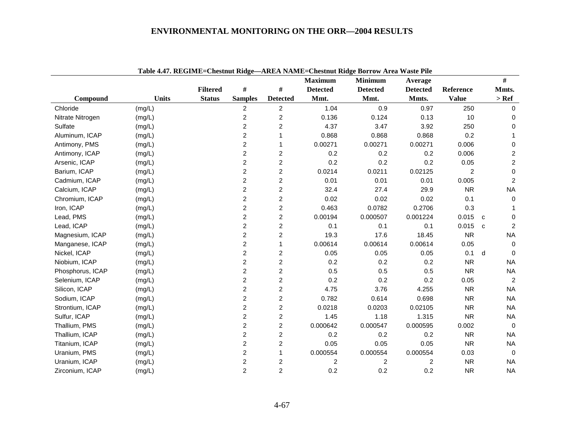|                  |              | 7.77. REGIME-CACSUM RIGGO |                |                         | <b>Maximum</b>  | AKEA NAME-CIRSHIII KRIGE DOLLOW ALLA WASIC LIIU<br><b>Minimum</b> | Average         |                |              | $\#$           |
|------------------|--------------|---------------------------|----------------|-------------------------|-----------------|-------------------------------------------------------------------|-----------------|----------------|--------------|----------------|
|                  |              | <b>Filtered</b>           | $\#$           | $\#$                    | <b>Detected</b> | <b>Detected</b>                                                   | <b>Detected</b> | Reference      |              | Mmts.          |
| Compound         | <b>Units</b> | <b>Status</b>             | <b>Samples</b> | <b>Detected</b>         | Mmt.            | Mmt.                                                              | Mmts.           | <b>Value</b>   |              | $>$ Ref        |
| Chloride         | (mg/L)       |                           | $\overline{2}$ | $\overline{2}$          | 1.04            | 0.9                                                               | 0.97            | 250            |              | $\Omega$       |
| Nitrate Nitrogen | (mg/L)       |                           | $\overline{c}$ | $\overline{c}$          | 0.136           | 0.124                                                             | 0.13            | 10             |              | 0              |
| Sulfate          | (mg/L)       |                           | $\overline{c}$ | 2                       | 4.37            | 3.47                                                              | 3.92            | 250            |              | $\Omega$       |
| Aluminum, ICAP   | (mg/L)       |                           | 2              | 1                       | 0.868           | 0.868                                                             | 0.868           | 0.2            |              |                |
| Antimony, PMS    | (mg/L)       |                           | $\overline{c}$ | 1                       | 0.00271         | 0.00271                                                           | 0.00271         | 0.006          |              | 0              |
| Antimony, ICAP   | (mg/L)       |                           | $\overline{c}$ | $\overline{2}$          | 0.2             | 0.2                                                               | 0.2             | 0.006          |              | $\overline{c}$ |
| Arsenic, ICAP    | (mg/L)       |                           | $\overline{c}$ | $\overline{2}$          | 0.2             | 0.2                                                               | 0.2             | 0.05           |              | $\overline{c}$ |
| Barium, ICAP     | (mg/L)       |                           | $\overline{c}$ | $\overline{c}$          | 0.0214          | 0.0211                                                            | 0.02125         | $\overline{2}$ |              | $\pmb{0}$      |
| Cadmium, ICAP    | (mg/L)       |                           | 2              | $\overline{c}$          | 0.01            | 0.01                                                              | 0.01            | 0.005          |              | $\overline{c}$ |
| Calcium, ICAP    | (mg/L)       |                           | $\overline{2}$ | $\overline{c}$          | 32.4            | 27.4                                                              | 29.9            | <b>NR</b>      |              | <b>NA</b>      |
| Chromium, ICAP   | (mg/L)       |                           | $\overline{c}$ | 2                       | 0.02            | 0.02                                                              | 0.02            | 0.1            |              | $\Omega$       |
| Iron, ICAP       | (mg/L)       |                           | $\overline{c}$ | $\overline{c}$          | 0.463           | 0.0782                                                            | 0.2706          | 0.3            |              |                |
| Lead, PMS        | (mg/L)       |                           | $\overline{c}$ | $\overline{c}$          | 0.00194         | 0.000507                                                          | 0.001224        | 0.015          | $\mathbf{C}$ | $\Omega$       |
| Lead, ICAP       | (mg/L)       |                           | $\overline{c}$ | $\overline{\mathbf{c}}$ | 0.1             | 0.1                                                               | 0.1             | 0.015          | $\mathbf{C}$ | $\overline{2}$ |
| Magnesium, ICAP  | (mg/L)       |                           | $\overline{c}$ | $\overline{c}$          | 19.3            | 17.6                                                              | 18.45           | <b>NR</b>      |              | <b>NA</b>      |
| Manganese, ICAP  | (mg/L)       |                           | $\overline{c}$ | 1                       | 0.00614         | 0.00614                                                           | 0.00614         | 0.05           |              | $\mathbf 0$    |
| Nickel, ICAP     | (mg/L)       |                           | 2              | $\overline{c}$          | 0.05            | 0.05                                                              | 0.05            | 0.1            | d            | $\Omega$       |
| Niobium, ICAP    | (mg/L)       |                           | 2              | 2                       | 0.2             | 0.2                                                               | 0.2             | <b>NR</b>      |              | <b>NA</b>      |
| Phosphorus, ICAP | (mg/L)       |                           | $\overline{c}$ | $\overline{c}$          | 0.5             | 0.5                                                               | 0.5             | <b>NR</b>      |              | <b>NA</b>      |
| Selenium, ICAP   | (mg/L)       |                           | $\overline{c}$ | $\overline{c}$          | 0.2             | 0.2                                                               | 0.2             | 0.05           |              | 2              |
| Silicon, ICAP    | (mg/L)       |                           | $\overline{c}$ | $\overline{c}$          | 4.75            | 3.76                                                              | 4.255           | <b>NR</b>      |              | <b>NA</b>      |
| Sodium, ICAP     | (mg/L)       |                           | $\overline{c}$ | $\overline{c}$          | 0.782           | 0.614                                                             | 0.698           | <b>NR</b>      |              | <b>NA</b>      |
| Strontium, ICAP  | (mg/L)       |                           | 2              | $\overline{c}$          | 0.0218          | 0.0203                                                            | 0.02105         | <b>NR</b>      |              | <b>NA</b>      |
| Sulfur, ICAP     | (mg/L)       |                           | 2              | $\overline{c}$          | 1.45            | 1.18                                                              | 1.315           | <b>NR</b>      |              | <b>NA</b>      |
| Thallium, PMS    | (mg/L)       |                           | 2              | $\overline{c}$          | 0.000642        | 0.000547                                                          | 0.000595        | 0.002          |              | $\overline{0}$ |
| Thallium, ICAP   | (mg/L)       |                           | 2              | $\overline{\mathbf{c}}$ | 0.2             | 0.2                                                               | 0.2             | <b>NR</b>      |              | <b>NA</b>      |
| Titanium, ICAP   | (mg/L)       |                           | $\overline{2}$ | $\overline{c}$          | 0.05            | 0.05                                                              | 0.05            | <b>NR</b>      |              | <b>NA</b>      |
| Uranium, PMS     | (mg/L)       |                           | 2              | 1                       | 0.000554        | 0.000554                                                          | 0.000554        | 0.03           |              | $\Omega$       |
| Uranium, ICAP    | (mg/L)       |                           | 2              | 2                       | 2               | 2                                                                 | 2               | <b>NR</b>      |              | <b>NA</b>      |
| Zirconium, ICAP  | (mg/L)       |                           | $\overline{2}$ | $\overline{2}$          | 0.2             | 0.2                                                               | 0.2             | <b>NR</b>      |              | <b>NA</b>      |

|--|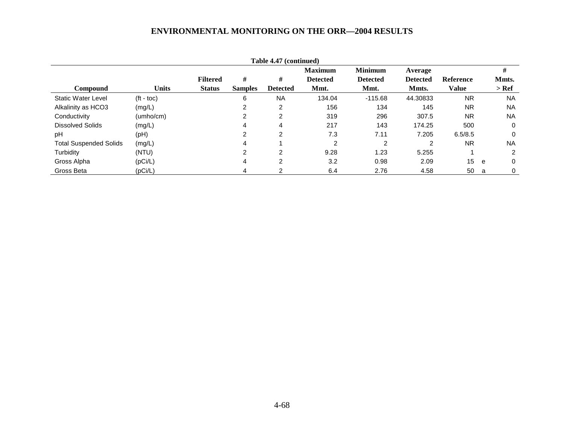|                               |                    |                 |                | Table 4.47 (continued) |                 |                 |                 |                  |   |           |
|-------------------------------|--------------------|-----------------|----------------|------------------------|-----------------|-----------------|-----------------|------------------|---|-----------|
|                               |                    |                 |                |                        | <b>Maximum</b>  | <b>Minimum</b>  | Average         |                  |   | #         |
|                               |                    | <b>Filtered</b> | #              | #                      | <b>Detected</b> | <b>Detected</b> | <b>Detected</b> | <b>Reference</b> |   | Mmts.     |
| <b>Compound</b>               | Units              | <b>Status</b>   | <b>Samples</b> | <b>Detected</b>        | Mmt.            | Mmt.            | Mmts.           | Value            |   | $>$ Ref   |
| <b>Static Water Level</b>     | $(t - \text{toc})$ |                 | 6              | <b>NA</b>              | 134.04          | $-115.68$       | 44.30833        | <b>NR</b>        |   | <b>NA</b> |
| Alkalinity as HCO3            | (mg/L)             |                 | ົ              | 2                      | 156             | 134             | 145             | <b>NR</b>        |   | <b>NA</b> |
| Conductivity                  | (umho/cm)          |                 | າ              | 2                      | 319             | 296             | 307.5           | <b>NR</b>        |   | <b>NA</b> |
| <b>Dissolved Solids</b>       | (mg/L)             |                 |                | 4                      | 217             | 143             | 174.25          | 500              |   | 0         |
| рH                            | (Hq)               |                 | າ              | $\overline{2}$         | 7.3             | 7.11            | 7.205           | 6.5/8.5          |   | $\Omega$  |
| <b>Total Suspended Solids</b> | (mg/L)             |                 | 4              |                        | 2               | 2               | 2               | <b>NR</b>        |   | <b>NA</b> |
| Turbidity                     | (NTU)              |                 | 2              | 2                      | 9.28            | 1.23            | 5.255           |                  |   | 2         |
| Gross Alpha                   | (pCi/L)            |                 | 4              | 2                      | 3.2             | 0.98            | 2.09            | 15               | e | $\Omega$  |
| Gross Beta                    | (pCi/L)            |                 | 4              |                        | 6.4             | 2.76            | 4.58            | 50               | a | 0         |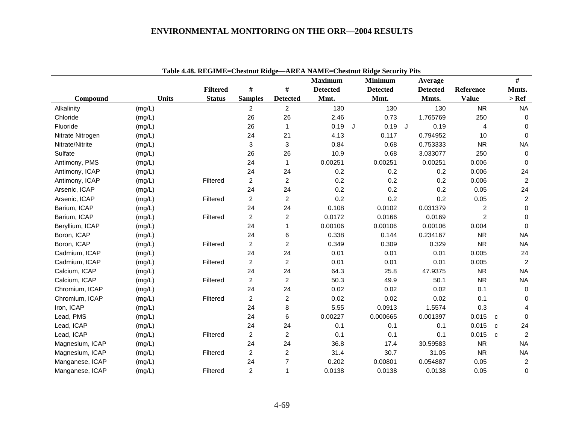|                  |              |                 |                |                 | <b>Maximum</b>  |   | <b>Minimum</b>  |   | Average         |                |             | #                |
|------------------|--------------|-----------------|----------------|-----------------|-----------------|---|-----------------|---|-----------------|----------------|-------------|------------------|
|                  |              | <b>Filtered</b> | $\#$           | #               | <b>Detected</b> |   | <b>Detected</b> |   | <b>Detected</b> | Reference      |             | Mmts.            |
| Compound         | <b>Units</b> | <b>Status</b>   | <b>Samples</b> | <b>Detected</b> | Mmt.            |   | Mmt.            |   | Mmts.           | <b>Value</b>   |             | $>$ Ref          |
| Alkalinity       | (mg/L)       |                 | $\overline{c}$ | $\overline{2}$  | 130             |   | 130             |   | 130             | <b>NR</b>      |             | <b>NA</b>        |
| Chloride         | (mg/L)       |                 | 26             | 26              | 2.46            |   | 0.73            |   | 1.765769        | 250            |             | 0                |
| Fluoride         | (mg/L)       |                 | 26             | 1               | 0.19            | J | 0.19            | J | 0.19            | $\overline{4}$ |             | $\mathbf 0$      |
| Nitrate Nitrogen | (mg/L)       |                 | 24             | 21              | 4.13            |   | 0.117           |   | 0.794952        | 10             |             | $\Omega$         |
| Nitrate/Nitrite  | (mg/L)       |                 | 3              | 3               | 0.84            |   | 0.68            |   | 0.753333        | <b>NR</b>      |             | <b>NA</b>        |
| Sulfate          | (mg/L)       |                 | 26             | 26              | 10.9            |   | 0.68            |   | 3.033077        | 250            |             | $\mathbf 0$      |
| Antimony, PMS    | (mg/L)       |                 | 24             | 1               | 0.00251         |   | 0.00251         |   | 0.00251         | 0.006          |             | 0                |
| Antimony, ICAP   | (mg/L)       |                 | 24             | 24              | 0.2             |   | 0.2             |   | 0.2             | 0.006          |             | 24               |
| Antimony, ICAP   | (mg/L)       | Filtered        | $\overline{2}$ | $\overline{a}$  | 0.2             |   | 0.2             |   | 0.2             | 0.006          |             | $\sqrt{2}$       |
| Arsenic, ICAP    | (mg/L)       |                 | 24             | 24              | 0.2             |   | 0.2             |   | 0.2             | 0.05           |             | 24               |
| Arsenic, ICAP    | (mg/L)       | Filtered        | $\overline{c}$ | $\overline{a}$  | 0.2             |   | 0.2             |   | 0.2             | 0.05           |             | $\boldsymbol{2}$ |
| Barium, ICAP     | (mg/L)       |                 | 24             | 24              | 0.108           |   | 0.0102          |   | 0.031379        | $\overline{c}$ |             | $\mathbf 0$      |
| Barium, ICAP     | (mg/L)       | Filtered        | $\overline{2}$ | $\overline{a}$  | 0.0172          |   | 0.0166          |   | 0.0169          | $\overline{c}$ |             | 0                |
| Beryllium, ICAP  | (mg/L)       |                 | 24             |                 | 0.00106         |   | 0.00106         |   | 0.00106         | 0.004          |             | $\Omega$         |
| Boron, ICAP      | (mg/L)       |                 | 24             | 6               | 0.338           |   | 0.144           |   | 0.234167        | <b>NR</b>      |             | <b>NA</b>        |
| Boron, ICAP      | (mg/L)       | Filtered        | $\overline{2}$ | $\overline{a}$  | 0.349           |   | 0.309           |   | 0.329           | <b>NR</b>      |             | <b>NA</b>        |
| Cadmium, ICAP    | (mg/L)       |                 | 24             | 24              | 0.01            |   | 0.01            |   | 0.01            | 0.005          |             | 24               |
| Cadmium, ICAP    | (mg/L)       | Filtered        | $\overline{2}$ | $\overline{2}$  | 0.01            |   | 0.01            |   | 0.01            | 0.005          |             | $\overline{c}$   |
| Calcium, ICAP    | (mg/L)       |                 | 24             | 24              | 64.3            |   | 25.8            |   | 47.9375         | <b>NR</b>      |             | <b>NA</b>        |
| Calcium, ICAP    | (mg/L)       | Filtered        | $\overline{c}$ | $\overline{c}$  | 50.3            |   | 49.9            |   | 50.1            | ${\sf NR}$     |             | <b>NA</b>        |
| Chromium, ICAP   | (mg/L)       |                 | 24             | 24              | 0.02            |   | 0.02            |   | 0.02            | 0.1            |             | $\mathbf 0$      |
| Chromium, ICAP   | (mg/L)       | Filtered        | $\overline{c}$ | $\overline{a}$  | 0.02            |   | 0.02            |   | 0.02            | 0.1            |             | $\mathbf 0$      |
| Iron, ICAP       | (mg/L)       |                 | 24             | 8               | 5.55            |   | 0.0913          |   | 1.5574          | 0.3            |             | 4                |
| Lead, PMS        | (mg/L)       |                 | 24             | 6               | 0.00227         |   | 0.000665        |   | 0.001397        | 0.015          | $\mathbf c$ | $\mathbf 0$      |
| Lead, ICAP       | (mg/L)       |                 | 24             | 24              | 0.1             |   | 0.1             |   | 0.1             | 0.015          | C           | 24               |
| Lead, ICAP       | (mg/L)       | Filtered        | $\overline{c}$ | $\overline{a}$  | 0.1             |   | 0.1             |   | 0.1             | 0.015          | $\mathbf c$ | 2                |
| Magnesium, ICAP  | (mg/L)       |                 | 24             | 24              | 36.8            |   | 17.4            |   | 30.59583        | <b>NR</b>      |             | <b>NA</b>        |
| Magnesium, ICAP  | (mg/L)       | Filtered        | $\overline{c}$ | $\overline{c}$  | 31.4            |   | 30.7            |   | 31.05           | <b>NR</b>      |             | <b>NA</b>        |
| Manganese, ICAP  | (mg/L)       |                 | 24             | $\overline{7}$  | 0.202           |   | 0.00801         |   | 0.054887        | 0.05           |             | $\boldsymbol{2}$ |
| Manganese, ICAP  | (mg/L)       | Filtered        | $\overline{c}$ | 1               | 0.0138          |   | 0.0138          |   | 0.0138          | 0.05           |             | 0                |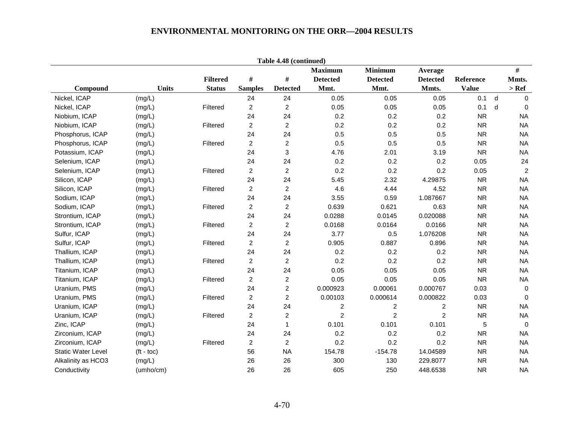|                           |                    |                 |                | Table 4.48 (continued) |                 |                 |                 |              |   |                  |
|---------------------------|--------------------|-----------------|----------------|------------------------|-----------------|-----------------|-----------------|--------------|---|------------------|
|                           |                    |                 |                |                        | <b>Maximum</b>  | <b>Minimum</b>  | Average         |              |   | $\#$             |
|                           |                    | <b>Filtered</b> | $\#$           | $\#$                   | <b>Detected</b> | <b>Detected</b> | <b>Detected</b> | Reference    |   | Mmts.            |
| Compound                  | <b>Units</b>       | <b>Status</b>   | <b>Samples</b> | <b>Detected</b>        | Mmt.            | Mmt.            | Mmts.           | <b>Value</b> |   | $>$ Ref          |
| Nickel, ICAP              | (mg/L)             |                 | 24             | 24                     | 0.05            | 0.05            | 0.05            | 0.1          | d | $\Omega$         |
| Nickel, ICAP              | (mg/L)             | Filtered        | $\overline{c}$ | $\boldsymbol{2}$       | 0.05            | 0.05            | 0.05            | 0.1          | d | $\Omega$         |
| Niobium, ICAP             | (mg/L)             |                 | 24             | 24                     | 0.2             | 0.2             | 0.2             | <b>NR</b>    |   | <b>NA</b>        |
| Niobium, ICAP             | (mg/L)             | Filtered        | $\overline{a}$ | $\overline{c}$         | 0.2             | 0.2             | 0.2             | <b>NR</b>    |   | <b>NA</b>        |
| Phosphorus, ICAP          | (mg/L)             |                 | 24             | 24                     | 0.5             | 0.5             | 0.5             | <b>NR</b>    |   | <b>NA</b>        |
| Phosphorus, ICAP          | (mg/L)             | Filtered        | $\overline{a}$ | $\overline{2}$         | 0.5             | 0.5             | 0.5             | <b>NR</b>    |   | <b>NA</b>        |
| Potassium, ICAP           | (mg/L)             |                 | 24             | $\mathbf 3$            | 4.76            | 2.01            | 3.19            | <b>NR</b>    |   | <b>NA</b>        |
| Selenium, ICAP            | (mg/L)             |                 | 24             | 24                     | 0.2             | 0.2             | 0.2             | 0.05         |   | 24               |
| Selenium, ICAP            | (mg/L)             | Filtered        | $\overline{a}$ | $\overline{c}$         | 0.2             | 0.2             | 0.2             | 0.05         |   | $\boldsymbol{2}$ |
| Silicon, ICAP             | (mg/L)             |                 | 24             | 24                     | 5.45            | 2.32            | 4.29875         | <b>NR</b>    |   | <b>NA</b>        |
| Silicon, ICAP             | (mg/L)             | Filtered        | $\overline{a}$ | $\overline{c}$         | 4.6             | 4.44            | 4.52            | <b>NR</b>    |   | <b>NA</b>        |
| Sodium, ICAP              | (mg/L)             |                 | 24             | 24                     | 3.55            | 0.59            | 1.087667        | <b>NR</b>    |   | <b>NA</b>        |
| Sodium, ICAP              | (mg/L)             | Filtered        | $\overline{a}$ | $\overline{c}$         | 0.639           | 0.621           | 0.63            | <b>NR</b>    |   | <b>NA</b>        |
| Strontium, ICAP           | (mg/L)             |                 | 24             | 24                     | 0.0288          | 0.0145          | 0.020088        | <b>NR</b>    |   | <b>NA</b>        |
| Strontium, ICAP           | (mg/L)             | Filtered        | $\overline{c}$ | $\overline{2}$         | 0.0168          | 0.0164          | 0.0166          | <b>NR</b>    |   | <b>NA</b>        |
| Sulfur, ICAP              | (mg/L)             |                 | 24             | 24                     | 3.77            | 0.5             | 1.076208        | <b>NR</b>    |   | <b>NA</b>        |
| Sulfur, ICAP              | (mg/L)             | Filtered        | $\overline{c}$ | $\overline{c}$         | 0.905           | 0.887           | 0.896           | <b>NR</b>    |   | <b>NA</b>        |
| Thallium, ICAP            | (mg/L)             |                 | 24             | 24                     | 0.2             | 0.2             | 0.2             | <b>NR</b>    |   | <b>NA</b>        |
| Thallium, ICAP            | (mg/L)             | Filtered        | $\overline{a}$ | $\overline{c}$         | 0.2             | 0.2             | 0.2             | <b>NR</b>    |   | <b>NA</b>        |
| Titanium, ICAP            | (mg/L)             |                 | 24             | 24                     | 0.05            | 0.05            | 0.05            | <b>NR</b>    |   | <b>NA</b>        |
| Titanium, ICAP            | (mg/L)             | Filtered        | $\overline{2}$ | $\overline{c}$         | 0.05            | 0.05            | 0.05            | <b>NR</b>    |   | <b>NA</b>        |
| Uranium, PMS              | (mg/L)             |                 | 24             | $\boldsymbol{2}$       | 0.000923        | 0.00061         | 0.000767        | 0.03         |   | $\mathbf 0$      |
| Uranium, PMS              | (mg/L)             | Filtered        | $\overline{2}$ | $\overline{c}$         | 0.00103         | 0.000614        | 0.000822        | 0.03         |   | $\Omega$         |
| Uranium, ICAP             | (mg/L)             |                 | 24             | 24                     | $\overline{c}$  | 2               | $\overline{c}$  | <b>NR</b>    |   | <b>NA</b>        |
| Uranium, ICAP             | (mg/L)             | Filtered        | $\overline{a}$ | $\boldsymbol{2}$       | $\overline{c}$  | $\overline{c}$  | $\overline{2}$  | <b>NR</b>    |   | <b>NA</b>        |
| Zinc, ICAP                | (mg/L)             |                 | 24             | $\mathbf{1}$           | 0.101           | 0.101           | 0.101           | $\mathbf 5$  |   | $\mathbf 0$      |
| Zirconium, ICAP           | (mg/L)             |                 | 24             | 24                     | 0.2             | 0.2             | 0.2             | <b>NR</b>    |   | <b>NA</b>        |
| Zirconium, ICAP           | (mg/L)             | Filtered        | $\overline{a}$ | $\overline{2}$         | 0.2             | 0.2             | 0.2             | <b>NR</b>    |   | <b>NA</b>        |
| <b>Static Water Level</b> | $(t - \text{toc})$ |                 | 56             | <b>NA</b>              | 154.78          | $-154.78$       | 14.04589        | <b>NR</b>    |   | <b>NA</b>        |
| Alkalinity as HCO3        | (mg/L)             |                 | 26             | 26                     | 300             | 130             | 229.8077        | <b>NR</b>    |   | <b>NA</b>        |
| Conductivity              | (umho/cm)          |                 | 26             | 26                     | 605             | 250             | 448.6538        | <b>NR</b>    |   | <b>NA</b>        |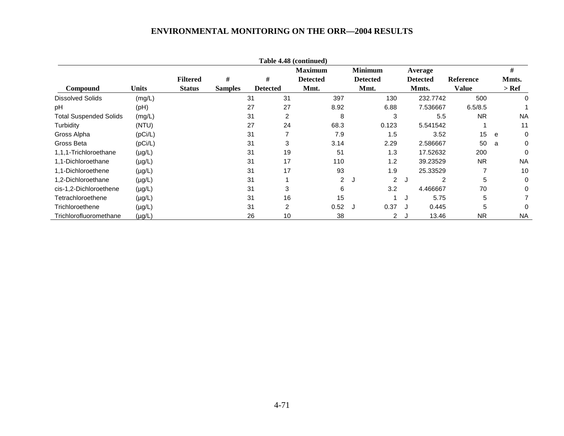|                               |              |                 |                |                 |                          | Table 4.48 (continued) |                |                     |                 |                  |   |           |
|-------------------------------|--------------|-----------------|----------------|-----------------|--------------------------|------------------------|----------------|---------------------|-----------------|------------------|---|-----------|
|                               |              |                 |                |                 |                          | <b>Maximum</b>         |                | <b>Minimum</b>      | Average         |                  |   | #         |
|                               |              | <b>Filtered</b> | #              | #               |                          | <b>Detected</b>        |                | <b>Detected</b>     | <b>Detected</b> | <b>Reference</b> |   | Mmts.     |
| Compound                      | <b>Units</b> | <b>Status</b>   | <b>Samples</b> | <b>Detected</b> |                          | Mmt.                   |                | Mmt.                | Mmts.           | <b>Value</b>     |   | $>$ Ref   |
| <b>Dissolved Solids</b>       | (mg/L)       |                 |                | 31              | 31                       |                        | 397            | 130                 | 232.7742        | 500              |   | 0         |
| pH                            | (pH)         |                 |                | 27              | 27                       |                        | 8.92           | 6.88                | 7.536667        | 6.5/8.5          |   |           |
| <b>Total Suspended Solids</b> | (mg/L)       |                 |                | 31              | $\overline{2}$           |                        | 8              | 3                   | 5.5             | <b>NR</b>        |   | <b>NA</b> |
| Turbidity                     | (NTU)        |                 |                | 27              | 24                       |                        | 68.3           | 0.123               | 5.541542        |                  |   | 11        |
| Gross Alpha                   | (pCi/L)      |                 |                | 31              | $\overline{\phantom{a}}$ |                        | 7.9            | 1.5                 | 3.52            | 15               | e | 0         |
| Gross Beta                    | (pCi/L)      |                 |                | 31              | 3                        |                        | 3.14           | 2.29                | 2.586667        | 50               | a | 0         |
| 1,1,1-Trichloroethane         | $(\mu g/L)$  |                 |                | 31              | 19                       |                        | 51             | 1.3                 | 17.52632        | 200              |   | 0         |
| 1,1-Dichloroethane            | $(\mu g/L)$  |                 |                | 31              | 17                       |                        | 110            | 1.2                 | 39.23529        | NR.              |   | <b>NA</b> |
| 1,1-Dichloroethene            | $(\mu g/L)$  |                 |                | 31              | 17                       |                        | 93             | 1.9                 | 25.33529        |                  |   | 10        |
| 1,2-Dichloroethane            | $(\mu g/L)$  |                 |                | 31              |                          |                        | $\overline{2}$ | $\overline{2}$<br>J | J               | 5<br>2           |   | 0         |
| cis-1,2-Dichloroethene        | $(\mu g/L)$  |                 |                | 31              | 3                        |                        | 6              | 3.2                 | 4.466667        | 70               |   | 0         |
| Tetrachloroethene             | $(\mu g/L)$  |                 |                | 31              | 16                       |                        | 15             |                     | 5.75<br>J       | 5                |   |           |
| Trichloroethene               | $(\mu g/L)$  |                 |                | 31              | 2                        |                        | 0.52           | 0.37<br>J           | 0.445           | 5                |   | 0         |
| Trichlorofluoromethane        | $(\mu g/L)$  |                 |                | 26              | 10                       |                        | 38             |                     | 13.46<br>2 J    | <b>NR</b>        |   | <b>NA</b> |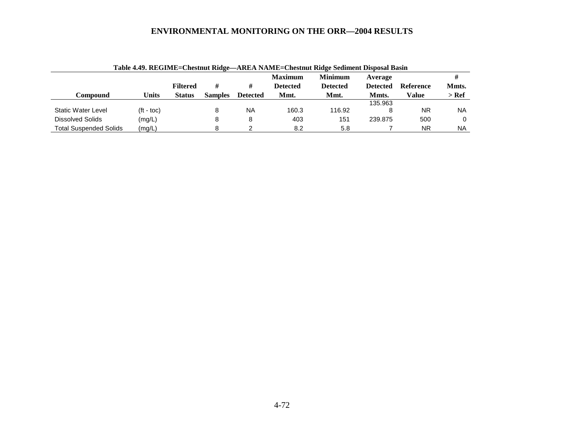|                               |                    |                 |                |                 | <b>Maximum</b>  | <b>Minimum</b>  | Average         |                  |       |
|-------------------------------|--------------------|-----------------|----------------|-----------------|-----------------|-----------------|-----------------|------------------|-------|
|                               |                    | <b>Filtered</b> |                | #               | <b>Detected</b> | <b>Detected</b> | <b>Detected</b> | <b>Reference</b> | Mmts. |
| Compound                      | Units              | <b>Status</b>   | <b>Samples</b> | <b>Detected</b> | Mmt.            | Mmt.            | Mmts.           | Value            | > Ref |
|                               |                    |                 |                |                 |                 |                 | 135.963         |                  |       |
| <b>Static Water Level</b>     | $(t - \text{toc})$ |                 | 8              | <b>NA</b>       | 160.3           | 116.92          |                 | <b>NR</b>        | ΝA    |
| Dissolved Solids              | (mg/L)             |                 | 8              | 8               | 403             | 151             | 239.875         | 500              |       |
| <b>Total Suspended Solids</b> | (mg/L)             |                 | 8              |                 | 8.2             | 5.8             |                 | <b>NR</b>        | NA    |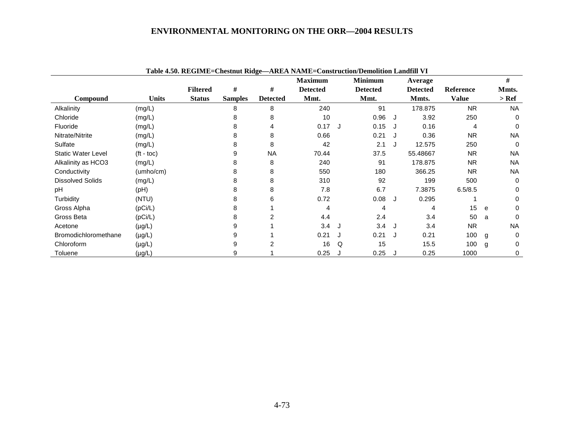|                           |                    |                 |                |                 | Table 4.50. REGIME=Chestnut Ridge-AREA NAME=Construction/Demolition Landfill VI |     |                 |    |                 |              |   |           |
|---------------------------|--------------------|-----------------|----------------|-----------------|---------------------------------------------------------------------------------|-----|-----------------|----|-----------------|--------------|---|-----------|
|                           |                    |                 |                |                 | <b>Maximum</b>                                                                  |     | <b>Minimum</b>  |    | Average         |              |   | #         |
|                           |                    | <b>Filtered</b> | #              | #               | <b>Detected</b>                                                                 |     | <b>Detected</b> |    | <b>Detected</b> | Reference    |   | Mmts.     |
| Compound                  | <b>Units</b>       | <b>Status</b>   | <b>Samples</b> | <b>Detected</b> | Mmt.                                                                            |     | Mmt.            |    | Mmts.           | <b>Value</b> |   | $>$ Ref   |
| Alkalinity                | (mg/L)             |                 | 8              | 8               | 240                                                                             |     | 91              |    | 178.875         | <b>NR</b>    |   | <b>NA</b> |
| Chloride                  | (mg/L)             |                 | 8              | 8               | 10                                                                              |     | 0.96            | J. | 3.92            | 250          |   | 0         |
| Fluoride                  | (mg/L)             |                 |                | 4               | 0.17                                                                            | . J | 0.15            |    | 0.16            | 4            |   | $\Omega$  |
| Nitrate/Nitrite           | (mg/L)             |                 | 8              | 8               | 0.66                                                                            |     | 0.21            |    | 0.36            | <b>NR</b>    |   | <b>NA</b> |
| Sulfate                   | (mg/L)             |                 | 8              | 8               | 42                                                                              |     | 2.1             | J  | 12.575          | 250          |   | 0         |
| <b>Static Water Level</b> | $(t - \text{toc})$ |                 | 9              | <b>NA</b>       | 70.44                                                                           |     | 37.5            |    | 55.48667        | <b>NR</b>    |   | <b>NA</b> |
| Alkalinity as HCO3        | (mg/L)             |                 | 8              | 8               | 240                                                                             |     | 91              |    | 178.875         | <b>NR</b>    |   | <b>NA</b> |
| Conductivity              | (umho/cm)          |                 | 8              | 8               | 550                                                                             |     | 180             |    | 366.25          | <b>NR</b>    |   | <b>NA</b> |
| <b>Dissolved Solids</b>   | (mg/L)             |                 | 8              | 8               | 310                                                                             |     | 92              |    | 199             | 500          |   | $\Omega$  |
| рH                        | (pH)               |                 | 8              | 8               | 7.8                                                                             |     | 6.7             |    | 7.3875          | 6.5/8.5      |   | 0         |
| Turbidity                 | (NTU)              |                 | 8              | 6               | 0.72                                                                            |     | 0.08            | J. | 0.295           |              |   | 0         |
| Gross Alpha               | (pCi/L)            |                 | 8              |                 | 4                                                                               |     | 4               |    | 4               | 15           | e | 0         |
| Gross Beta                | (pCi/L)            |                 | 8              | 2               | 4.4                                                                             |     | 2.4             |    | 3.4             | 50           | a | 0         |
| Acetone                   | $(\mu g/L)$        |                 | 9              |                 | 3.4                                                                             | ل - | 3.4             | J. | 3.4             | <b>NR</b>    |   | <b>NA</b> |
| Bromodichloromethane      | $(\mu g/L)$        |                 | 9              |                 | 0.21                                                                            |     | 0.21            |    | 0.21            | 100          | g | 0         |
| Chloroform                | $(\mu g/L)$        |                 | 9              | 2               | 16                                                                              | Q   | 15              |    | 15.5            | 100          | g | 0         |
| Toluene                   | $(\mu g/L)$        |                 | 9              |                 | 0.25                                                                            |     | 0.25            | J  | 0.25            | 1000         |   | 0         |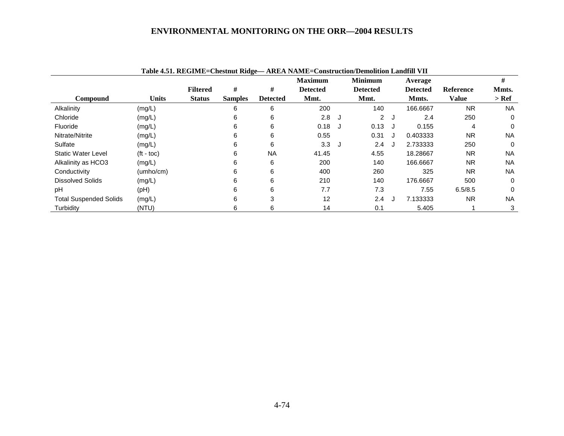|                               |                    |                 |                |                 | Table 4.51. REGIME=Chestnut Ridge— AREA NAME=Construction/Demolition Landfill VII |   |                 |   |                 |                  |           |
|-------------------------------|--------------------|-----------------|----------------|-----------------|-----------------------------------------------------------------------------------|---|-----------------|---|-----------------|------------------|-----------|
|                               |                    |                 |                |                 | <b>Maximum</b>                                                                    |   | <b>Minimum</b>  |   | Average         |                  | #         |
|                               |                    | <b>Filtered</b> | #              | #               | <b>Detected</b>                                                                   |   | <b>Detected</b> |   | <b>Detected</b> | <b>Reference</b> | Mmts.     |
| Compound                      | <b>Units</b>       | <b>Status</b>   | <b>Samples</b> | <b>Detected</b> | Mmt.                                                                              |   | Mmt.            |   | Mmts.           | <b>Value</b>     | $>$ Ref   |
| Alkalinity                    | (mg/L)             |                 | 6              | 6               | 200                                                                               |   | 140             |   | 166.6667        | <b>NR</b>        | <b>NA</b> |
| Chloride                      | (mg/L)             |                 | 6              | 6               | 2.8                                                                               | J | $\overline{2}$  | J | 2.4             | 250              | $\Omega$  |
| Fluoride                      | (mg/L)             |                 | 6              | 6               | 0.18                                                                              | J | 0.13            |   | 0.155           | 4                | $\Omega$  |
| Nitrate/Nitrite               | (mg/L)             |                 | 6              | 6               | 0.55                                                                              |   | 0.31            |   | 0.403333        | <b>NR</b>        | <b>NA</b> |
| Sulfate                       | (mg/L)             |                 | 6              | 6               | 3.3                                                                               | J | 2.4             |   | 2.733333        | 250              | $\Omega$  |
| <b>Static Water Level</b>     | $(t - \text{toc})$ |                 | 6              | <b>NA</b>       | 41.45                                                                             |   | 4.55            |   | 18.28667        | NR.              | <b>NA</b> |
| Alkalinity as HCO3            | (mg/L)             |                 | 6              | 6               | 200                                                                               |   | 140             |   | 166.6667        | <b>NR</b>        | <b>NA</b> |
| Conductivity                  | (umbo/cm)          |                 | 6              | 6               | 400                                                                               |   | 260             |   | 325             | <b>NR</b>        | <b>NA</b> |
| <b>Dissolved Solids</b>       | (mg/L)             |                 | 6              | 6               | 210                                                                               |   | 140             |   | 176.6667        | 500              | $\Omega$  |
| pH                            | (PH)               |                 | 6              | 6               | 7.7                                                                               |   | 7.3             |   | 7.55            | 6.5/8.5          | 0         |
| <b>Total Suspended Solids</b> | (mg/L)             |                 | 6              | 3               | 12                                                                                |   | 2.4             |   | 7.133333        | NR.              | <b>NA</b> |
| Turbidity                     | (NTU)              |                 | 6              | 6               | 14                                                                                |   | 0.1             |   | 5.405           |                  | 3         |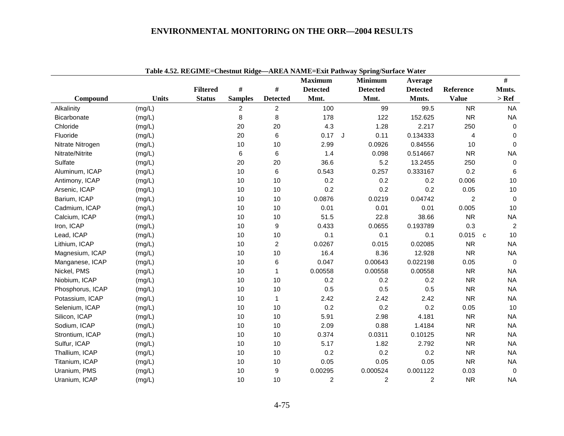|                  |              |                 |                |                 |                 | Table 4.52. REGIME=Chestnut Ridge—AREA NAME=EXit Pathway Spring/Surface Water |                 |                |              |                |
|------------------|--------------|-----------------|----------------|-----------------|-----------------|-------------------------------------------------------------------------------|-----------------|----------------|--------------|----------------|
|                  |              |                 |                |                 | <b>Maximum</b>  | <b>Minimum</b>                                                                | Average         |                |              | $\#$           |
|                  |              | <b>Filtered</b> | $\#$           | $\#$            | <b>Detected</b> | <b>Detected</b>                                                               | <b>Detected</b> | Reference      |              | Mmts.          |
| Compound         | <b>Units</b> | <b>Status</b>   | <b>Samples</b> | <b>Detected</b> | Mmt.            | Mmt.                                                                          | Mmts.           | <b>Value</b>   |              | $>$ Ref        |
| Alkalinity       | (mg/L)       |                 | $\overline{2}$ | $\overline{c}$  | 100             | 99                                                                            | 99.5            | <b>NR</b>      |              | <b>NA</b>      |
| Bicarbonate      | (mg/L)       |                 | 8              | 8               | 178             | 122                                                                           | 152.625         | <b>NR</b>      |              | <b>NA</b>      |
| Chloride         | (mg/L)       |                 | 20             | 20              | 4.3             | 1.28                                                                          | 2.217           | 250            |              | $\Omega$       |
| Fluoride         | (mg/L)       |                 | 20             | 6               | $0.17$ J        | 0.11                                                                          | 0.134333        | 4              |              | $\mathbf 0$    |
| Nitrate Nitrogen | (mg/L)       |                 | 10             | 10              | 2.99            | 0.0926                                                                        | 0.84556         | 10             |              | $\mathbf 0$    |
| Nitrate/Nitrite  | (mg/L)       |                 | 6              | 6               | 1.4             | 0.098                                                                         | 0.514667        | <b>NR</b>      |              | <b>NA</b>      |
| Sulfate          | (mg/L)       |                 | 20             | 20              | 36.6            | 5.2                                                                           | 13.2455         | 250            |              | $\mathbf 0$    |
| Aluminum, ICAP   | (mg/L)       |                 | 10             | 6               | 0.543           | 0.257                                                                         | 0.333167        | 0.2            |              | 6              |
| Antimony, ICAP   | (mg/L)       |                 | 10             | 10              | 0.2             | 0.2                                                                           | 0.2             | 0.006          |              | 10             |
| Arsenic, ICAP    | (mg/L)       |                 | 10             | 10              | 0.2             | 0.2                                                                           | 0.2             | 0.05           |              | $10$           |
| Barium, ICAP     | (mg/L)       |                 | 10             | 10              | 0.0876          | 0.0219                                                                        | 0.04742         | $\overline{2}$ |              | $\Omega$       |
| Cadmium, ICAP    | (mg/L)       |                 | 10             | 10              | 0.01            | 0.01                                                                          | 0.01            | 0.005          |              | 10             |
| Calcium, ICAP    | (mg/L)       |                 | 10             | 10              | 51.5            | 22.8                                                                          | 38.66           | <b>NR</b>      |              | <b>NA</b>      |
| Iron, ICAP       | (mg/L)       |                 | 10             | 9               | 0.433           | 0.0655                                                                        | 0.193789        | 0.3            |              | $\overline{2}$ |
| Lead, ICAP       | (mg/L)       |                 | 10             | 10              | 0.1             | 0.1                                                                           | 0.1             | 0.015          | $\mathbf{C}$ | 10             |
| Lithium, ICAP    | (mg/L)       |                 | 10             | $\overline{c}$  | 0.0267          | 0.015                                                                         | 0.02085         | <b>NR</b>      |              | <b>NA</b>      |
| Magnesium, ICAP  | (mg/L)       |                 | 10             | 10              | 16.4            | 8.36                                                                          | 12.928          | <b>NR</b>      |              | <b>NA</b>      |
| Manganese, ICAP  | (mg/L)       |                 | 10             | 6               | 0.047           | 0.00643                                                                       | 0.022198        | 0.05           |              | $\overline{0}$ |
| Nickel, PMS      | (mg/L)       |                 | 10             | 1               | 0.00558         | 0.00558                                                                       | 0.00558         | <b>NR</b>      |              | <b>NA</b>      |
| Niobium, ICAP    | (mg/L)       |                 | 10             | 10              | 0.2             | 0.2                                                                           | 0.2             | <b>NR</b>      |              | <b>NA</b>      |
| Phosphorus, ICAP | (mg/L)       |                 | 10             | 10              | 0.5             | 0.5                                                                           | 0.5             | <b>NR</b>      |              | <b>NA</b>      |
| Potassium, ICAP  | (mg/L)       |                 | 10             | $\mathbf{1}$    | 2.42            | 2.42                                                                          | 2.42            | <b>NR</b>      |              | <b>NA</b>      |
| Selenium, ICAP   | (mg/L)       |                 | 10             | 10              | 0.2             | 0.2                                                                           | 0.2             | 0.05           |              | 10             |
| Silicon, ICAP    | (mg/L)       |                 | 10             | 10              | 5.91            | 2.98                                                                          | 4.181           | <b>NR</b>      |              | <b>NA</b>      |
| Sodium, ICAP     | (mg/L)       |                 | 10             | 10              | 2.09            | 0.88                                                                          | 1.4184          | <b>NR</b>      |              | <b>NA</b>      |
| Strontium, ICAP  | (mg/L)       |                 | 10             | 10              | 0.374           | 0.0311                                                                        | 0.10125         | <b>NR</b>      |              | <b>NA</b>      |
| Sulfur, ICAP     | (mg/L)       |                 | 10             | 10              | 5.17            | 1.82                                                                          | 2.792           | <b>NR</b>      |              | <b>NA</b>      |
| Thallium, ICAP   | (mg/L)       |                 | 10             | 10              | 0.2             | 0.2                                                                           | 0.2             | <b>NR</b>      |              | <b>NA</b>      |
| Titanium, ICAP   | (mg/L)       |                 | 10             | 10              | 0.05            | 0.05                                                                          | 0.05            | <b>NR</b>      |              | <b>NA</b>      |
| Uranium, PMS     | (mg/L)       |                 | 10             | 9               | 0.00295         | 0.000524                                                                      | 0.001122        | 0.03           |              | $\mathbf 0$    |
| Uranium, ICAP    | (mg/L)       |                 | 10             | 10              | $\overline{c}$  | $\mathbf 2$                                                                   | $\overline{2}$  | <b>NR</b>      |              | <b>NA</b>      |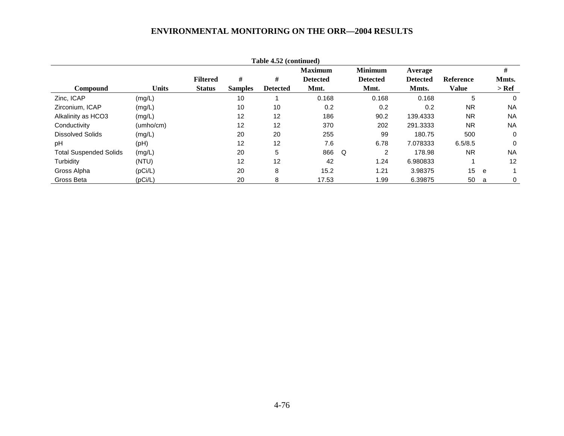| Table 4.52 (continued)        |              |                 |                |                 |                 |   |                 |                 |                  |   |           |  |  |
|-------------------------------|--------------|-----------------|----------------|-----------------|-----------------|---|-----------------|-----------------|------------------|---|-----------|--|--|
|                               |              |                 |                |                 | <b>Maximum</b>  |   | <b>Minimum</b>  | Average         |                  |   | #         |  |  |
|                               |              | <b>Filtered</b> | #              | #               | <b>Detected</b> |   | <b>Detected</b> | <b>Detected</b> | <b>Reference</b> |   | Mmts.     |  |  |
| <b>Compound</b>               | <b>Units</b> | <b>Status</b>   | <b>Samples</b> | <b>Detected</b> | Mmt.            |   | Mmt.            | Mmts.           | Value            |   | > Ref     |  |  |
| Zinc, ICAP                    | (mg/L)       |                 | 10             |                 | 0.168           |   | 0.168           | 0.168           | 5                |   | $\Omega$  |  |  |
| Zirconium, ICAP               | (mg/L)       |                 | 10             | 10              | 0.2             |   | 0.2             | 0.2             | <b>NR</b>        |   | <b>NA</b> |  |  |
| Alkalinity as HCO3            | (mg/L)       |                 | 12             | 12              | 186             |   | 90.2            | 139.4333        | <b>NR</b>        |   | <b>NA</b> |  |  |
| Conductivity                  | (umho/cm)    |                 | 12             | 12              | 370             |   | 202             | 291.3333        | <b>NR</b>        |   | <b>NA</b> |  |  |
| Dissolved Solids              | (mg/L)       |                 | 20             | 20              | 255             |   | 99              | 180.75          | 500              |   | 0         |  |  |
| рH                            | (Hq)         |                 | 12             | 12              | 7.6             |   | 6.78            | 7.078333        | 6.5/8.5          |   | $\Omega$  |  |  |
| <b>Total Suspended Solids</b> | (mg/L)       |                 | 20             | 5               | 866             | Q | 2               | 178.98          | <b>NR</b>        |   | <b>NA</b> |  |  |
| Turbidity                     | (NTU)        |                 | 12             | 12              | 42              |   | 1.24            | 6.980833        |                  |   | 12        |  |  |
| Gross Alpha                   | (pCi/L)      |                 | 20             | 8               | 15.2            |   | 1.21            | 3.98375         | 15 <sub>1</sub>  | e |           |  |  |
| Gross Beta                    | (pCi/L)      |                 | 20             | 8               | 17.53           |   | 1.99            | 6.39875         | 50               | a | 0         |  |  |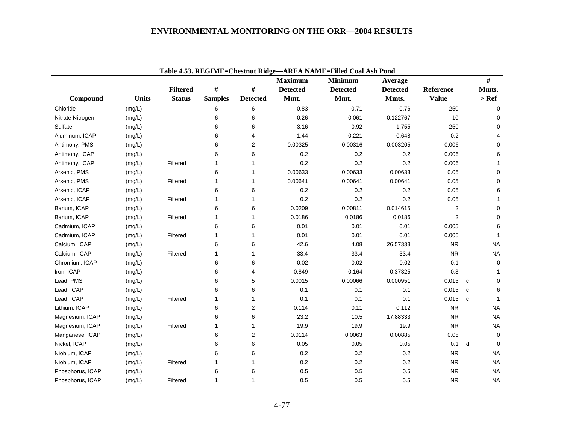|                  | Table 4.53. REGIME=Chestnut Ridge-AREA NAME=Filled Coal Ash Pond<br>#<br><b>Maximum</b><br><b>Minimum</b><br>Average<br>$\#$<br>$\#$<br><b>Filtered</b><br><b>Detected</b><br><b>Detected</b><br><b>Detected</b><br>Reference<br>Mmts. |               |                |                         |         |         |          |                |                              |  |  |  |  |  |
|------------------|----------------------------------------------------------------------------------------------------------------------------------------------------------------------------------------------------------------------------------------|---------------|----------------|-------------------------|---------|---------|----------|----------------|------------------------------|--|--|--|--|--|
|                  |                                                                                                                                                                                                                                        |               |                |                         |         |         |          |                |                              |  |  |  |  |  |
|                  |                                                                                                                                                                                                                                        |               |                |                         |         |         |          |                |                              |  |  |  |  |  |
| Compound         | <b>Units</b>                                                                                                                                                                                                                           | <b>Status</b> | <b>Samples</b> | <b>Detected</b>         | Mmt.    | Mmt.    | Mmts.    | <b>Value</b>   | $>$ Ref                      |  |  |  |  |  |
| Chloride         | (mg/L)                                                                                                                                                                                                                                 |               | 6              | 6                       | 0.83    | 0.71    | 0.76     | 250            | $\mathbf 0$                  |  |  |  |  |  |
| Nitrate Nitrogen | (mg/L)                                                                                                                                                                                                                                 |               | 6              | 6                       | 0.26    | 0.061   | 0.122767 | 10             | $\Omega$                     |  |  |  |  |  |
| Sulfate          | (mg/L)                                                                                                                                                                                                                                 |               | 6              | 6                       | 3.16    | 0.92    | 1.755    | 250            | $\mathbf 0$                  |  |  |  |  |  |
| Aluminum, ICAP   | (mg/L)                                                                                                                                                                                                                                 |               | 6              | 4                       | 1.44    | 0.221   | 0.648    | 0.2            | 4                            |  |  |  |  |  |
| Antimony, PMS    | (mg/L)                                                                                                                                                                                                                                 |               | 6              | $\overline{\mathbf{c}}$ | 0.00325 | 0.00316 | 0.003205 | 0.006          | $\mathbf 0$                  |  |  |  |  |  |
| Antimony, ICAP   | (mg/L)                                                                                                                                                                                                                                 |               | 6              | 6                       | 0.2     | 0.2     | 0.2      | 0.006          | 6                            |  |  |  |  |  |
| Antimony, ICAP   | (mg/L)                                                                                                                                                                                                                                 | Filtered      | 1              | 1                       | 0.2     | 0.2     | 0.2      | 0.006          | $\mathbf{1}$                 |  |  |  |  |  |
| Arsenic, PMS     | (mg/L)                                                                                                                                                                                                                                 |               | 6              | 1                       | 0.00633 | 0.00633 | 0.00633  | 0.05           | 0                            |  |  |  |  |  |
| Arsenic, PMS     | (mg/L)                                                                                                                                                                                                                                 | Filtered      | 1              | 1                       | 0.00641 | 0.00641 | 0.00641  | 0.05           | $\mathbf 0$                  |  |  |  |  |  |
| Arsenic, ICAP    | (mg/L)                                                                                                                                                                                                                                 |               | 6              | 6                       | 0.2     | 0.2     | 0.2      | 0.05           | 6                            |  |  |  |  |  |
| Arsenic, ICAP    | (mg/L)                                                                                                                                                                                                                                 | Filtered      | 1              | 1                       | 0.2     | 0.2     | 0.2      | 0.05           | $\mathbf{1}$                 |  |  |  |  |  |
| Barium, ICAP     | (mg/L)                                                                                                                                                                                                                                 |               | 6              | 6                       | 0.0209  | 0.00811 | 0.014615 | $\overline{2}$ | $\Omega$                     |  |  |  |  |  |
| Barium, ICAP     | (mg/L)                                                                                                                                                                                                                                 | Filtered      | 1              | $\mathbf{1}$            | 0.0186  | 0.0186  | 0.0186   | $\overline{2}$ | $\Omega$                     |  |  |  |  |  |
| Cadmium, ICAP    | (mg/L)                                                                                                                                                                                                                                 |               | 6              | 6                       | 0.01    | 0.01    | 0.01     | 0.005          | 6                            |  |  |  |  |  |
| Cadmium, ICAP    | (mg/L)                                                                                                                                                                                                                                 | Filtered      | 1              | 1                       | 0.01    | 0.01    | 0.01     | 0.005          | $\mathbf{1}$                 |  |  |  |  |  |
| Calcium, ICAP    | (mg/L)                                                                                                                                                                                                                                 |               | 6              | 6                       | 42.6    | 4.08    | 26.57333 | <b>NR</b>      | <b>NA</b>                    |  |  |  |  |  |
| Calcium, ICAP    | (mg/L)                                                                                                                                                                                                                                 | Filtered      | $\mathbf{1}$   | 1                       | 33.4    | 33.4    | 33.4     | <b>NR</b>      | <b>NA</b>                    |  |  |  |  |  |
| Chromium, ICAP   | (mg/L)                                                                                                                                                                                                                                 |               | 6              | 6                       | 0.02    | 0.02    | 0.02     | 0.1            | $\Omega$                     |  |  |  |  |  |
| Iron, ICAP       | (mg/L)                                                                                                                                                                                                                                 |               | 6              | 4                       | 0.849   | 0.164   | 0.37325  | 0.3            | $\mathbf 1$                  |  |  |  |  |  |
| Lead, PMS        | (mg/L)                                                                                                                                                                                                                                 |               | 6              | 5                       | 0.0015  | 0.00066 | 0.000951 | 0.015          | $\mathbf 0$<br>$\mathbf{C}$  |  |  |  |  |  |
| Lead, ICAP       | (mg/L)                                                                                                                                                                                                                                 |               | 6              | 6                       | 0.1     | 0.1     | 0.1      | 0.015          | 6<br>C                       |  |  |  |  |  |
| Lead, ICAP       | (mg/L)                                                                                                                                                                                                                                 | Filtered      | $\mathbf{1}$   | $\mathbf{1}$            | 0.1     | 0.1     | 0.1      | 0.015          | $\mathbf{1}$<br><sub>c</sub> |  |  |  |  |  |
| Lithium, ICAP    | (mg/L)                                                                                                                                                                                                                                 |               | 6              | $\overline{2}$          | 0.114   | 0.11    | 0.112    | <b>NR</b>      | <b>NA</b>                    |  |  |  |  |  |
| Magnesium, ICAP  | (mg/L)                                                                                                                                                                                                                                 |               | 6              | 6                       | 23.2    | 10.5    | 17.88333 | <b>NR</b>      | <b>NA</b>                    |  |  |  |  |  |
| Magnesium, ICAP  | (mg/L)                                                                                                                                                                                                                                 | Filtered      | $\mathbf{1}$   | 1                       | 19.9    | 19.9    | 19.9     | <b>NR</b>      | NA.                          |  |  |  |  |  |
| Manganese, ICAP  | (mg/L)                                                                                                                                                                                                                                 |               | 6              | 2                       | 0.0114  | 0.0063  | 0.00885  | 0.05           | $\mathbf 0$                  |  |  |  |  |  |
| Nickel, ICAP     | (mg/L)                                                                                                                                                                                                                                 |               | 6              | 6                       | 0.05    | 0.05    | 0.05     | 0.1            | d<br>$\Omega$                |  |  |  |  |  |
| Niobium, ICAP    | (mg/L)                                                                                                                                                                                                                                 |               | 6              | 6                       | 0.2     | 0.2     | 0.2      | <b>NR</b>      | <b>NA</b>                    |  |  |  |  |  |
| Niobium, ICAP    | (mg/L)                                                                                                                                                                                                                                 | Filtered      | 1              | 1                       | $0.2\,$ | 0.2     | 0.2      | <b>NR</b>      | NA                           |  |  |  |  |  |
| Phosphorus, ICAP | (mg/L)                                                                                                                                                                                                                                 |               | 6              | 6                       | 0.5     | 0.5     | 0.5      | <b>NR</b>      | NA.                          |  |  |  |  |  |
| Phosphorus, ICAP | (mg/L)                                                                                                                                                                                                                                 | Filtered      | $\mathbf{1}$   | 1                       | 0.5     | 0.5     | 0.5      | <b>NR</b>      | <b>NA</b>                    |  |  |  |  |  |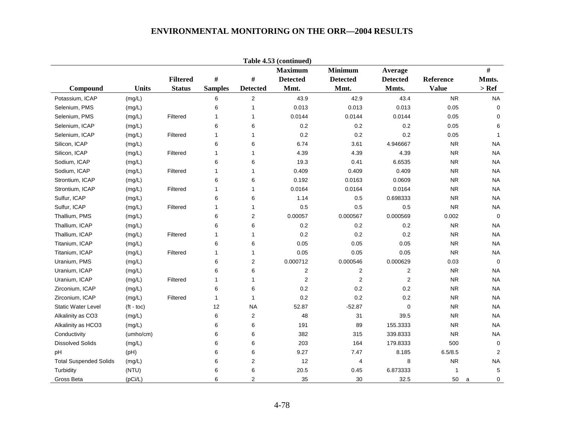| Table 4.53 (continued)        |                    |                 |                |                         |                 |                         |                         |              |                |  |  |  |  |
|-------------------------------|--------------------|-----------------|----------------|-------------------------|-----------------|-------------------------|-------------------------|--------------|----------------|--|--|--|--|
|                               |                    |                 |                |                         | <b>Maximum</b>  | <b>Minimum</b>          | Average                 |              | $\#$           |  |  |  |  |
|                               |                    | <b>Filtered</b> | $\#$           | $\#$                    | <b>Detected</b> | <b>Detected</b>         | <b>Detected</b>         | Reference    | Mmts.          |  |  |  |  |
| Compound                      | <b>Units</b>       | <b>Status</b>   | <b>Samples</b> | <b>Detected</b>         | Mmt.            | Mmt.                    | Mmts.                   | <b>Value</b> | $>$ Ref        |  |  |  |  |
| Potassium, ICAP               | (mg/L)             |                 | 6              | $\mathbf{2}$            | 43.9            | 42.9                    | 43.4                    | <b>NR</b>    | <b>NA</b>      |  |  |  |  |
| Selenium, PMS                 | (mg/L)             |                 | 6              | $\mathbf{1}$            | 0.013           | 0.013                   | 0.013                   | 0.05         | $\mathbf 0$    |  |  |  |  |
| Selenium, PMS                 | (mg/L)             | Filtered        | 1              | $\mathbf{1}$            | 0.0144          | 0.0144                  | 0.0144                  | 0.05         | $\mathbf 0$    |  |  |  |  |
| Selenium, ICAP                | (mg/L)             |                 | 6              | 6                       | 0.2             | 0.2                     | 0.2                     | 0.05         | 6              |  |  |  |  |
| Selenium, ICAP                | (mg/L)             | Filtered        | 1              | 1                       | 0.2             | 0.2                     | 0.2                     | 0.05         | $\overline{1}$ |  |  |  |  |
| Silicon, ICAP                 | (mg/L)             |                 | 6              | 6                       | 6.74            | 3.61                    | 4.946667                | <b>NR</b>    | <b>NA</b>      |  |  |  |  |
| Silicon, ICAP                 | (mg/L)             | Filtered        | 1              | 1                       | 4.39            | 4.39                    | 4.39                    | <b>NR</b>    | <b>NA</b>      |  |  |  |  |
| Sodium, ICAP                  | (mg/L)             |                 | 6              | 6                       | 19.3            | 0.41                    | 6.6535                  | <b>NR</b>    | <b>NA</b>      |  |  |  |  |
| Sodium, ICAP                  | (mg/L)             | Filtered        | 1              | $\mathbf{1}$            | 0.409           | 0.409                   | 0.409                   | <b>NR</b>    | <b>NA</b>      |  |  |  |  |
| Strontium, ICAP               | (mg/L)             |                 | 6              | 6                       | 0.192           | 0.0163                  | 0.0609                  | <b>NR</b>    | <b>NA</b>      |  |  |  |  |
| Strontium, ICAP               | (mg/L)             | Filtered        | 1              | $\mathbf{1}$            | 0.0164          | 0.0164                  | 0.0164                  | <b>NR</b>    | <b>NA</b>      |  |  |  |  |
| Sulfur, ICAP                  | (mg/L)             |                 | 6              | 6                       | 1.14            | 0.5                     | 0.698333                | <b>NR</b>    | <b>NA</b>      |  |  |  |  |
| Sulfur, ICAP                  | (mg/L)             | Filtered        | 1              | $\mathbf{1}$            | 0.5             | 0.5                     | 0.5                     | <b>NR</b>    | <b>NA</b>      |  |  |  |  |
| Thallium, PMS                 | (mg/L)             |                 | 6              | $\mathbf{2}$            | 0.00057         | 0.000567                | 0.000569                | 0.002        | $\mathbf 0$    |  |  |  |  |
| Thallium, ICAP                | (mg/L)             |                 | 6              | 6                       | 0.2             | 0.2                     | 0.2                     | <b>NR</b>    | <b>NA</b>      |  |  |  |  |
| Thallium, ICAP                | (mg/L)             | Filtered        | 1              | $\mathbf{1}$            | 0.2             | 0.2                     | 0.2                     | <b>NR</b>    | <b>NA</b>      |  |  |  |  |
| Titanium, ICAP                | (mg/L)             |                 | 6              | 6                       | 0.05            | 0.05                    | 0.05                    | <b>NR</b>    | <b>NA</b>      |  |  |  |  |
| Titanium, ICAP                | (mg/L)             | Filtered        | 1              | 1                       | 0.05            | 0.05                    | 0.05                    | <b>NR</b>    | <b>NA</b>      |  |  |  |  |
| Uranium, PMS                  | (mg/L)             |                 | 6              | $\overline{\mathbf{c}}$ | 0.000712        | 0.000546                | 0.000629                | 0.03         | $\mathbf 0$    |  |  |  |  |
| Uranium, ICAP                 | (mg/L)             |                 | 6              | 6                       | 2               | $\overline{\mathbf{c}}$ | $\overline{\mathbf{c}}$ | <b>NR</b>    | <b>NA</b>      |  |  |  |  |
| Uranium, ICAP                 | (mg/L)             | Filtered        | 1              | 1                       | $\sqrt{2}$      | $\overline{\mathbf{c}}$ | $\boldsymbol{2}$        | <b>NR</b>    | <b>NA</b>      |  |  |  |  |
| Zirconium, ICAP               | (mg/L)             |                 | 6              | 6                       | 0.2             | 0.2                     | 0.2                     | <b>NR</b>    | <b>NA</b>      |  |  |  |  |
| Zirconium, ICAP               | (mg/L)             | Filtered        | 1              | $\mathbf{1}$            | 0.2             | 0.2                     | 0.2                     | <b>NR</b>    | <b>NA</b>      |  |  |  |  |
| <b>Static Water Level</b>     | $(t - \text{toc})$ |                 | 12             | <b>NA</b>               | 52.87           | $-52.87$                | $\mathbf 0$             | <b>NR</b>    | <b>NA</b>      |  |  |  |  |
| Alkalinity as CO3             | (mg/L)             |                 | 6              | $\overline{2}$          | 48              | 31                      | 39.5                    | <b>NR</b>    | NA.            |  |  |  |  |
| Alkalinity as HCO3            | (mg/L)             |                 | 6              | 6                       | 191             | 89                      | 155.3333                | <b>NR</b>    | <b>NA</b>      |  |  |  |  |
| Conductivity                  | (umho/cm)          |                 | 6              | 6                       | 382             | 315                     | 339.8333                | <b>NR</b>    | <b>NA</b>      |  |  |  |  |
| <b>Dissolved Solids</b>       | (mg/L)             |                 | 6              | 6                       | 203             | 164                     | 179.8333                | 500          | $\mathbf 0$    |  |  |  |  |
| pH                            | (Hq)               |                 | 6              | 6                       | 9.27            | 7.47                    | 8.185                   | 6.5/8.5      | 2              |  |  |  |  |
| <b>Total Suspended Solids</b> | (mg/L)             |                 | 6              | $\overline{c}$          | 12              | 4                       | 8                       | ${\sf NR}$   | <b>NA</b>      |  |  |  |  |
| Turbidity                     | (NTU)              |                 | 6              | 6                       | 20.5            | 0.45                    | 6.873333                | 1            | $\,$ 5 $\,$    |  |  |  |  |
| Gross Beta                    | (pCi/L)            |                 | 6              | $\overline{2}$          | 35              | 30                      | 32.5                    | 50           | 0<br>a         |  |  |  |  |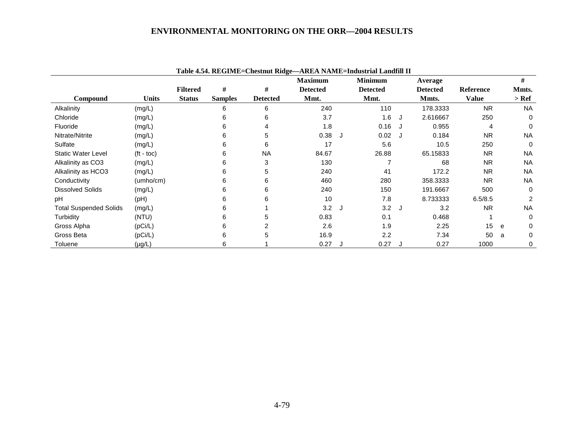|                               |                    |                 |                |                 | Table 4.54. REGIME=Chestnut Ridge—AREA NAME=Industrial Landfill II |     |                 |    |                 |                  |   |           |
|-------------------------------|--------------------|-----------------|----------------|-----------------|--------------------------------------------------------------------|-----|-----------------|----|-----------------|------------------|---|-----------|
|                               |                    |                 |                |                 | <b>Maximum</b>                                                     |     | <b>Minimum</b>  |    | Average         |                  |   | #         |
|                               |                    | <b>Filtered</b> | #              | #               | <b>Detected</b>                                                    |     | <b>Detected</b> |    | <b>Detected</b> | <b>Reference</b> |   | Mmts.     |
| Compound                      | <b>Units</b>       | <b>Status</b>   | <b>Samples</b> | <b>Detected</b> | Mmt.                                                               |     | Mmt.            |    | Mmts.           | <b>Value</b>     |   | $>$ Ref   |
| Alkalinity                    | (mg/L)             |                 | 6              | 6               | 240                                                                |     | 110             |    | 178.3333        | <b>NR</b>        |   | <b>NA</b> |
| Chloride                      | (mg/L)             |                 | 6              | 6               | 3.7                                                                |     | 1.6             | ل. | 2.616667        | 250              |   | 0         |
| Fluoride                      | (mg/L)             |                 | 6              | 4               | 1.8                                                                |     | 0.16            |    | 0.955           | 4                |   | 0         |
| Nitrate/Nitrite               | (mg/L)             |                 | 6              | 5               | 0.38                                                               | – J | 0.02 J          |    | 0.184           | <b>NR</b>        |   | <b>NA</b> |
| Sulfate                       | (mg/L)             |                 | 6              | 6               | 17                                                                 |     | 5.6             |    | 10.5            | 250              |   | $\Omega$  |
| <b>Static Water Level</b>     | $(t - \text{toc})$ |                 | 6              | <b>NA</b>       | 84.67                                                              |     | 26.88           |    | 65.15833        | <b>NR</b>        |   | <b>NA</b> |
| Alkalinity as CO3             | (mg/L)             |                 | 6              | 3               | 130                                                                |     |                 |    | 68              | <b>NR</b>        |   | <b>NA</b> |
| Alkalinity as HCO3            | (mg/L)             |                 | 6              | 5               | 240                                                                |     | 41              |    | 172.2           | <b>NR</b>        |   | <b>NA</b> |
| Conductivity                  | (umho/cm)          |                 | 6              | 6               | 460                                                                |     | 280             |    | 358.3333        | <b>NR</b>        |   | <b>NA</b> |
| <b>Dissolved Solids</b>       | (mg/L)             |                 | 6              | 6               | 240                                                                |     | 150             |    | 191.6667        | 500              |   | 0         |
| pH                            | (Hq)               |                 | 6              | 6               | 10                                                                 |     | 7.8             |    | 8.733333        | 6.5/8.5          |   | 2         |
| <b>Total Suspended Solids</b> | (mg/L)             |                 | 6              |                 | 3.2                                                                | ل - | 3.2J            |    | 3.2             | <b>NR</b>        |   | <b>NA</b> |
| Turbidity                     | (NTU)              |                 | 6              | 5               | 0.83                                                               |     | 0.1             |    | 0.468           |                  |   | 0         |
| Gross Alpha                   | (pCi/L)            |                 | 6              | 2               | 2.6                                                                |     | 1.9             |    | 2.25            | 15               | e | 0         |
| Gross Beta                    | (pCi/L)            |                 | 6              | 5               | 16.9                                                               |     | 2.2             |    | 7.34            | 50               | a | 0         |
| Toluene                       | $(\mu g/L)$        |                 | 6              |                 | 0.27                                                               |     | 0.27            |    | 0.27            | 1000             |   | 0         |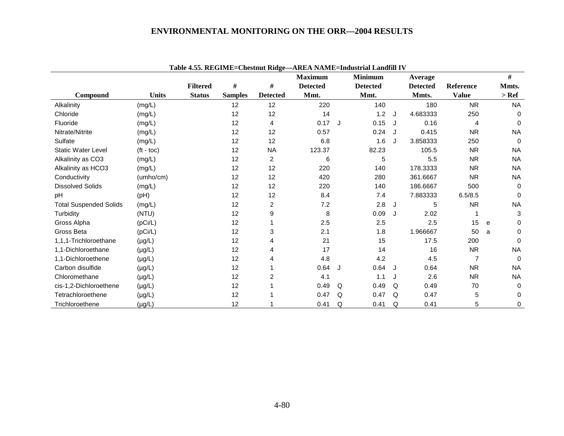|                               |                    | <b>Report The Charles of Collection</b> |                   |                 | линде какие-шишени вищиш г<br><b>Maximum</b> |   | <b>Minimum</b>  |   | Average         |              |   | #         |
|-------------------------------|--------------------|-----------------------------------------|-------------------|-----------------|----------------------------------------------|---|-----------------|---|-----------------|--------------|---|-----------|
|                               |                    | <b>Filtered</b>                         | #                 | #               | <b>Detected</b>                              |   | <b>Detected</b> |   | <b>Detected</b> | Reference    |   | Mmts.     |
| Compound                      | <b>Units</b>       | <b>Status</b>                           | <b>Samples</b>    | <b>Detected</b> | Mmt.                                         |   | Mmt.            |   | Mmts.           | <b>Value</b> |   | $>$ Ref   |
| Alkalinity                    | (mg/L)             |                                         | 12                | 12              | 220                                          |   | 140             |   | 180             | <b>NR</b>    |   | <b>NA</b> |
| Chloride                      | (mg/L)             |                                         | 12                | 12              | 14                                           |   | 1.2             |   | 4.683333        | 250          |   | 0         |
| Fluoride                      | (mg/L)             |                                         | 12                | 4               | 0.17                                         | J | 0.15            | J | 0.16            | 4            |   | 0         |
| Nitrate/Nitrite               | (mg/L)             |                                         | 12                | 12              | 0.57                                         |   | 0.24            | J | 0.415           | <b>NR</b>    |   | <b>NA</b> |
| Sulfate                       |                    |                                         | 12                | 12              | 6.8                                          |   | 1.6             | J | 3.858333        | 250          |   | $\Omega$  |
| <b>Static Water Level</b>     | (mg/L)             |                                         | $12 \overline{ }$ |                 |                                              |   |                 |   | 105.5           | <b>NR</b>    |   | <b>NA</b> |
|                               | $(t - \text{toc})$ |                                         |                   | <b>NA</b>       | 123.37                                       |   | 82.23           |   |                 |              |   |           |
| Alkalinity as CO3             | (mg/L)             |                                         | 12                | 2               | 6                                            |   | 5               |   | 5.5             | <b>NR</b>    |   | <b>NA</b> |
| Alkalinity as HCO3            | (mg/L)             |                                         | 12                | 12              | 220                                          |   | 140             |   | 178.3333        | <b>NR</b>    |   | <b>NA</b> |
| Conductivity                  | (umho/cm)          |                                         | 12                | 12              | 420                                          |   | 280             |   | 361.6667        | <b>NR</b>    |   | <b>NA</b> |
| <b>Dissolved Solids</b>       | (mg/L)             |                                         | 12                | 12              | 220                                          |   | 140             |   | 186.6667        | 500          |   | 0         |
| pH                            | (PH)               |                                         | 12                | 12              | 8.4                                          |   | 7.4             |   | 7.883333        | 6.5/8.5      |   | 0         |
| <b>Total Suspended Solids</b> | (mg/L)             |                                         | 12                | 2               | 7.2                                          |   | 2.8             | J | 5               | <b>NR</b>    |   | <b>NA</b> |
| Turbidity                     | (NTU)              |                                         | 12                | 9               | 8                                            |   | 0.09            | J | 2.02            |              |   | 3         |
| Gross Alpha                   | (pCi/L)            |                                         | 12                |                 | 2.5                                          |   | 2.5             |   | 2.5             | 15           | e | 0         |
| Gross Beta                    | (pCi/L)            |                                         | 12                | 3               | 2.1                                          |   | 1.8             |   | 1.966667        | 50           | a | 0         |
| 1,1,1-Trichloroethane         | $(\mu g/L)$        |                                         | $12 \overline{ }$ | 4               | 21                                           |   | 15              |   | 17.5            | 200          |   | $\Omega$  |
| 1,1-Dichloroethane            | $(\mu g/L)$        |                                         | 12                | 4               | 17                                           |   | 14              |   | 16              | <b>NR</b>    |   | <b>NA</b> |
| 1.1-Dichloroethene            | $(\mu g/L)$        |                                         | $12 \overline{ }$ | 4               | 4.8                                          |   | 4.2             |   | 4.5             | 7            |   | $\Omega$  |
| Carbon disulfide              | $(\mu g/L)$        |                                         | 12                |                 | 0.64                                         | J | 0.64            | J | 0.64            | <b>NR</b>    |   | <b>NA</b> |
| Chloromethane                 | $(\mu g/L)$        |                                         | 12                | 2               | 4.1                                          |   | 1.1             | J | 2.6             | <b>NR</b>    |   | <b>NA</b> |
| cis-1,2-Dichloroethene        | $(\mu g/L)$        |                                         | 12                |                 | 0.49                                         | Q | 0.49            | Q | 0.49            | 70           |   | 0         |
| Tetrachloroethene             | $(\mu g/L)$        |                                         | 12                |                 | 0.47                                         | Q | 0.47            | Q | 0.47            | 5            |   | 0         |
| Trichloroethene               | $(\mu g/L)$        |                                         | 12                |                 | 0.41                                         | Q | 0.41            | Q | 0.41            | 5            |   | 0         |

**Table 4.55. REGIME=Chestnut Ridge—AREA NAME=Industrial Landfill IV**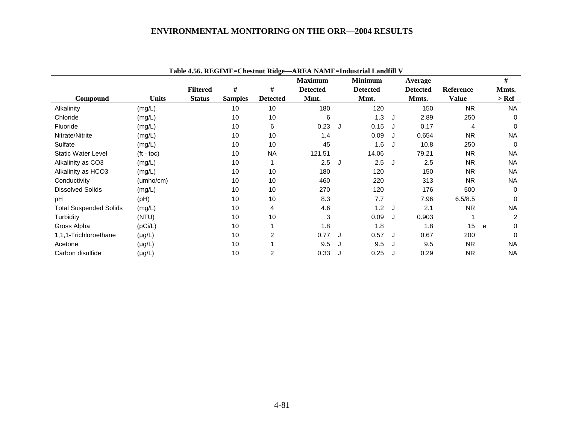|                               |                    |                 |                |                 | Tadie 4.50. KEGIME=Chesinul Kidge—AKEA NAME=Industrial Landhii V |   |                 |   |                 |              |   |           |
|-------------------------------|--------------------|-----------------|----------------|-----------------|------------------------------------------------------------------|---|-----------------|---|-----------------|--------------|---|-----------|
|                               |                    |                 |                |                 | <b>Maximum</b>                                                   |   | <b>Minimum</b>  |   | Average         |              |   | #         |
|                               |                    | <b>Filtered</b> | #              | #               | <b>Detected</b>                                                  |   | <b>Detected</b> |   | <b>Detected</b> | Reference    |   | Mmts.     |
| Compound                      | <b>Units</b>       | <b>Status</b>   | <b>Samples</b> | <b>Detected</b> | Mmt.                                                             |   | Mmt.            |   | Mmts.           | <b>Value</b> |   | > Ref     |
| Alkalinity                    | (mg/L)             |                 | 10             | 10              | 180                                                              |   | 120             |   | 150             | <b>NR</b>    |   | <b>NA</b> |
| Chloride                      | (mg/L)             |                 | 10             | 10              | 6                                                                |   | 1.3             | J | 2.89            | 250          |   | $\Omega$  |
| Fluoride                      | (mg/L)             |                 | 10             | 6               | 0.23                                                             | J | 0.15            |   | 0.17            | 4            |   | 0         |
| Nitrate/Nitrite               | (mg/L)             |                 | 10             | 10              | 1.4                                                              |   | 0.09            |   | 0.654           | <b>NR</b>    |   | <b>NA</b> |
| Sulfate                       | (mg/L)             |                 | 10             | 10              | 45                                                               |   | 1.6             |   | 10.8            | 250          |   | $\Omega$  |
| Static Water Level            | $(t - \text{toc})$ |                 | 10             | <b>NA</b>       | 121.51                                                           |   | 14.06           |   | 79.21           | <b>NR</b>    |   | <b>NA</b> |
| Alkalinity as CO3             | (mg/L)             |                 | 10             |                 | 2.5                                                              | J | 2.5             | J | 2.5             | <b>NR</b>    |   | <b>NA</b> |
| Alkalinity as HCO3            | (mg/L)             |                 | 10             | 10              | 180                                                              |   | 120             |   | 150             | <b>NR</b>    |   | <b>NA</b> |
| Conductivity                  | (umbo/cm)          |                 | 10             | 10              | 460                                                              |   | 220             |   | 313             | <b>NR</b>    |   | <b>NA</b> |
| <b>Dissolved Solids</b>       | (mg/L)             |                 | 10             | 10              | 270                                                              |   | 120             |   | 176             | 500          |   | $\Omega$  |
| pH                            | (Hq)               |                 | 10             | 10              | 8.3                                                              |   | 7.7             |   | 7.96            | 6.5/8.5      |   | 0         |
| <b>Total Suspended Solids</b> | (mg/L)             |                 | 10             | 4               | 4.6                                                              |   | 1.2             | J | 2.1             | <b>NR</b>    |   | <b>NA</b> |
| Turbidity                     | (NTU)              |                 | 10             | 10              | 3                                                                |   | 0.09            |   | 0.903           |              |   | 2         |
| Gross Alpha                   | (pCi/L)            |                 | 10             |                 | 1.8                                                              |   | 1.8             |   | 1.8             | 15           | e | 0         |
| 1,1,1-Trichloroethane         | $(\mu g/L)$        |                 | 10             | 2               | 0.77                                                             |   | 0.57            |   | 0.67            | 200          |   | $\Omega$  |
| Acetone                       | $(\mu g/L)$        |                 | 10             |                 | 9.5                                                              | J | 9.5             |   | 9.5             | <b>NR</b>    |   | <b>NA</b> |
| Carbon disulfide              | $(\mu g/L)$        |                 | 10             | 2               | 0.33                                                             |   | 0.25            |   | 0.29            | <b>NR</b>    |   | <b>NA</b> |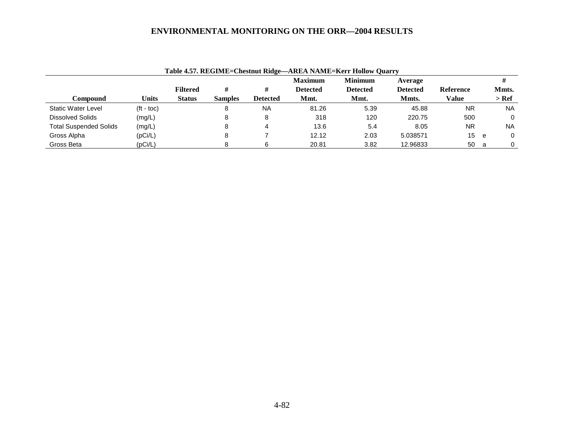|                               | Table 4.57. REGIME=Chestnut Ridge—AREA NAME=Kerr Hollow Quarry |                 |                |           |                 |                 |                 |                  |     |           |  |  |  |
|-------------------------------|----------------------------------------------------------------|-----------------|----------------|-----------|-----------------|-----------------|-----------------|------------------|-----|-----------|--|--|--|
|                               |                                                                |                 |                |           | <b>Maximum</b>  | <b>Minimum</b>  | Average         |                  |     |           |  |  |  |
|                               |                                                                | <b>Filtered</b> | #              |           | <b>Detected</b> | <b>Detected</b> | <b>Detected</b> | <b>Reference</b> |     | Mmts.     |  |  |  |
| Compound                      | Units                                                          | <b>Status</b>   | <b>Samples</b> | Detected  | Mmt.            | Mmt.            | Mmts.           | Value            |     | $>$ Ref   |  |  |  |
| Static Water Level            | $({\rm ft - toc})$                                             |                 |                | <b>NA</b> | 81.26           | 5.39            | 45.88           | <b>NR</b>        |     | <b>NA</b> |  |  |  |
| <b>Dissolved Solids</b>       | (mg/L)                                                         |                 |                | 8         | 318             | 120             | 220.75          | 500              |     | 0         |  |  |  |
| <b>Total Suspended Solids</b> | (mg/L)                                                         |                 |                |           | 13.6            | 5.4             | 8.05            | NR.              |     | <b>NA</b> |  |  |  |
| Gross Alpha                   | (pCi/L)                                                        |                 |                |           | 12.12           | 2.03            | 5.038571        | 15               | e   | 0         |  |  |  |
| Gross Beta                    | (pCi/L)                                                        |                 |                | 6         | 20.81           | 3.82            | 12.96833        | 50               | - a | 0         |  |  |  |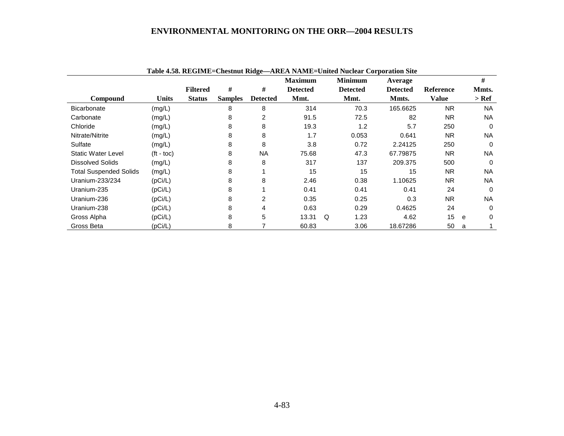|                               |              |                 |                |                 | <b>Maximum</b>  |          | <b>Minimum</b>  | Average         |           | #             |
|-------------------------------|--------------|-----------------|----------------|-----------------|-----------------|----------|-----------------|-----------------|-----------|---------------|
|                               |              | <b>Filtered</b> | #              | #               | <b>Detected</b> |          | <b>Detected</b> | <b>Detected</b> | Reference | Mmts.         |
| <b>Compound</b>               | <b>Units</b> | <b>Status</b>   | <b>Samples</b> | <b>Detected</b> | Mmt.            |          | Mmt.            | Mmts.           | Value     | $>$ Ref       |
| <b>Bicarbonate</b>            | (mg/L)       |                 | 8              | 8               | 314             |          | 70.3            | 165.6625        | <b>NR</b> | NA.           |
| Carbonate                     | (mg/L)       |                 | 8              | 2               | 91.5            |          | 72.5            | 82              | <b>NR</b> | <b>NA</b>     |
| Chloride                      | (mg/L)       |                 | 8              | 8               | 19.3            |          | 1.2             | 5.7             | 250       | $\Omega$      |
| Nitrate/Nitrite               | (mg/L)       |                 | 8              | 8               | 1.7             |          | 0.053           | 0.641           | <b>NR</b> | <b>NA</b>     |
| Sulfate                       | (mg/L)       |                 | 8              | 8               | 3.8             |          | 0.72            | 2.24125         | 250       | $\Omega$      |
| Static Water Level            | $(t - toc)$  |                 | 8              | <b>NA</b>       | 75.68           |          | 47.3            | 67.79875        | <b>NR</b> | NA            |
| <b>Dissolved Solids</b>       | (mg/L)       |                 | 8              | 8               | 317             |          | 137             | 209.375         | 500       | $\Omega$      |
| <b>Total Suspended Solids</b> | (mg/L)       |                 | 8              |                 | 15              |          | 15              | 15              | <b>NR</b> | <b>NA</b>     |
| Uranium-233/234               | (pCi/L)      |                 | 8              | 8               | 2.46            |          | 0.38            | 1.10625         | <b>NR</b> | NA.           |
| Uranium-235                   | (pCi/L)      |                 | 8              |                 | 0.41            |          | 0.41            | 0.41            | 24        | 0             |
| Uranium-236                   | (pCi/L)      |                 | 8              | 2               | 0.35            |          | 0.25            | 0.3             | <b>NR</b> | NA.           |
| Uranium-238                   | (pCi/L)      |                 | 8              | 4               | 0.63            |          | 0.29            | 0.4625          | 24        | $\Omega$      |
| Gross Alpha                   | (pCi/L)      |                 | 8              | 5               | 13.31           | $\Omega$ | 1.23            | 4.62            | 15        | $\Omega$<br>e |
| Gross Beta                    | (pCi/L)      |                 | 8              |                 | 60.83           |          | 3.06            | 18.67286        | 50        | a             |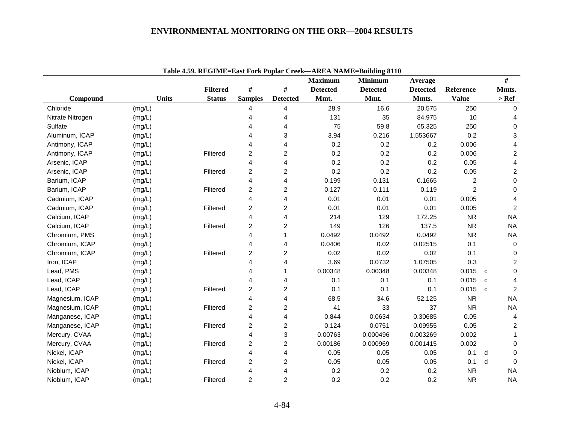|                  |              |                 |                         |                         | <b>Maximum</b>  | <b>Minimum</b>  | Average         |                | $\#$                             |
|------------------|--------------|-----------------|-------------------------|-------------------------|-----------------|-----------------|-----------------|----------------|----------------------------------|
|                  |              | <b>Filtered</b> | $\#$                    | $\#$                    | <b>Detected</b> | <b>Detected</b> | <b>Detected</b> | Reference      | Mmts.                            |
| Compound         | <b>Units</b> | <b>Status</b>   | <b>Samples</b>          | <b>Detected</b>         | Mmt.            | Mmt.            | Mmts.           | <b>Value</b>   | $>$ Ref                          |
| Chloride         | (mg/L)       |                 | 4                       | 4                       | 28.9            | 16.6            | 20.575          | 250            | 0                                |
| Nitrate Nitrogen | (mg/L)       |                 | 4                       | 4                       | 131             | 35              | 84.975          | 10             | 4                                |
| Sulfate          | (mg/L)       |                 | 4                       | 4                       | 75              | 59.8            | 65.325          | 250            | 0                                |
| Aluminum, ICAP   | (mg/L)       |                 | 4                       | 3                       | 3.94            | 0.216           | 1.553667        | 0.2            | 3                                |
| Antimony, ICAP   | (mg/L)       |                 | Δ                       | 4                       | 0.2             | 0.2             | 0.2             | 0.006          | 4                                |
| Antimony, ICAP   | (mg/L)       | Filtered        | $\boldsymbol{2}$        | $\overline{\mathbf{c}}$ | 0.2             | 0.2             | 0.2             | 0.006          | $\overline{c}$                   |
| Arsenic, ICAP    | (mg/L)       |                 | $\overline{\mathbf{4}}$ | 4                       | 0.2             | 0.2             | 0.2             | 0.05           | 4                                |
| Arsenic, ICAP    | (mg/L)       | Filtered        | $\boldsymbol{2}$        | $\overline{c}$          | 0.2             | 0.2             | 0.2             | 0.05           | $\overline{c}$                   |
| Barium, ICAP     | (mg/L)       |                 | 4                       | 4                       | 0.199           | 0.131           | 0.1665          | $\overline{c}$ | $\pmb{0}$                        |
| Barium, ICAP     | (mg/L)       | Filtered        | 2                       | $\overline{c}$          | 0.127           | 0.111           | 0.119           | $\overline{2}$ | $\mathbf 0$                      |
| Cadmium, ICAP    | (mg/L)       |                 | 4                       | 4                       | 0.01            | 0.01            | 0.01            | 0.005          | $\overline{4}$                   |
| Cadmium, ICAP    | (mg/L)       | Filtered        | $\overline{c}$          | $\overline{c}$          | 0.01            | 0.01            | 0.01            | 0.005          | $\overline{c}$                   |
| Calcium, ICAP    | (mg/L)       |                 | 4                       | 4                       | 214             | 129             | 172.25          | <b>NR</b>      | <b>NA</b>                        |
| Calcium, ICAP    | (mg/L)       | Filtered        | $\overline{c}$          | $\overline{c}$          | 149             | 126             | 137.5           | <b>NR</b>      | <b>NA</b>                        |
| Chromium, PMS    | (mg/L)       |                 | 4                       | 1                       | 0.0492          | 0.0492          | 0.0492          | <b>NR</b>      | <b>NA</b>                        |
| Chromium, ICAP   | (mg/L)       |                 | 4                       | 4                       | 0.0406          | 0.02            | 0.02515         | 0.1            | $\mathbf 0$                      |
| Chromium, ICAP   | (mg/L)       | Filtered        | $\overline{\mathbf{c}}$ | $\overline{c}$          | 0.02            | 0.02            | 0.02            | 0.1            | 0                                |
| Iron, ICAP       | (mg/L)       |                 | 4                       | 4                       | 3.69            | 0.0732          | 1.07505         | 0.3            | $\overline{c}$                   |
| Lead, PMS        | (mg/L)       |                 | 4                       | 1                       | 0.00348         | 0.00348         | 0.00348         | 0.015          | 0<br>$\mathbf{C}$                |
| Lead, ICAP       | (mg/L)       |                 | 4                       | 4                       | 0.1             | 0.1             | 0.1             | 0.015          | 4<br>$\mathbf{C}$                |
| Lead, ICAP       | (mg/L)       | Filtered        | $\overline{\mathbf{c}}$ | $\overline{c}$          | 0.1             | 0.1             | 0.1             | 0.015          | $\boldsymbol{2}$<br>$\mathbf{C}$ |
| Magnesium, ICAP  | (mg/L)       |                 | 4                       | 4                       | 68.5            | 34.6            | 52.125          | <b>NR</b>      | <b>NA</b>                        |
| Magnesium, ICAP  | (mg/L)       | Filtered        | 2                       | $\overline{c}$          | 41              | 33              | 37              | <b>NR</b>      | <b>NA</b>                        |
| Manganese, ICAP  | (mg/L)       |                 | 4                       | 4                       | 0.844           | 0.0634          | 0.30685         | 0.05           | 4                                |
| Manganese, ICAP  | (mg/L)       | Filtered        | $\overline{c}$          | $\overline{c}$          | 0.124           | 0.0751          | 0.09955         | 0.05           | 2                                |
| Mercury, CVAA    | (mg/L)       |                 | $\overline{\mathbf{4}}$ | 3                       | 0.00763         | 0.000496        | 0.003269        | 0.002          | $\mathbf 1$                      |
| Mercury, CVAA    | (mg/L)       | Filtered        | $\overline{c}$          | $\boldsymbol{2}$        | 0.00186         | 0.000969        | 0.001415        | 0.002          | $\Omega$                         |
| Nickel, ICAP     | (mg/L)       |                 | 4                       | 4                       | 0.05            | 0.05            | 0.05            | 0.1            | $\Omega$<br>d                    |
| Nickel, ICAP     | (mg/L)       | Filtered        | 2                       | $\overline{\mathbf{c}}$ | 0.05            | 0.05            | 0.05            | 0.1            | d<br>$\Omega$                    |
| Niobium, ICAP    | (mg/L)       |                 | 4                       | 4                       | 0.2             | 0.2             | 0.2             | <b>NR</b>      | <b>NA</b>                        |
| Niobium, ICAP    | (mg/L)       | Filtered        | $\overline{c}$          | $\overline{2}$          | 0.2             | 0.2             | 0.2             | <b>NR</b>      | <b>NA</b>                        |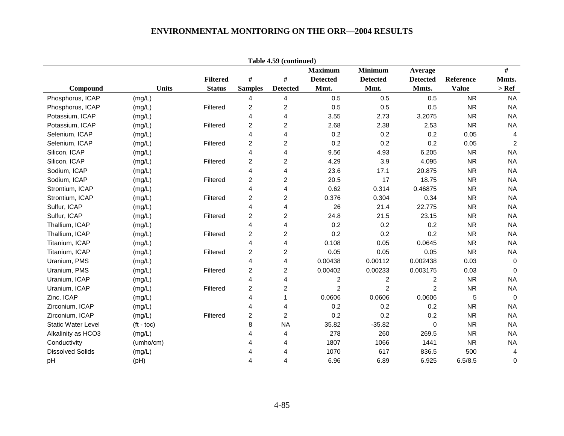| Table 4.59 (continued)    |                    |                 |                         |                  |                 |                 |                         |              |                |  |  |  |
|---------------------------|--------------------|-----------------|-------------------------|------------------|-----------------|-----------------|-------------------------|--------------|----------------|--|--|--|
|                           |                    |                 |                         |                  | <b>Maximum</b>  | <b>Minimum</b>  | Average                 |              | #              |  |  |  |
|                           |                    | <b>Filtered</b> | $\#$                    | $\#$             | <b>Detected</b> | <b>Detected</b> | <b>Detected</b>         | Reference    | Mmts.          |  |  |  |
| Compound                  | <b>Units</b>       | <b>Status</b>   | <b>Samples</b>          | <b>Detected</b>  | Mmt.            | Mmt.            | Mmts.                   | <b>Value</b> | $>$ Ref $\,$   |  |  |  |
| Phosphorus, ICAP          | (mg/L)             |                 | 4                       | 4                | 0.5             | 0.5             | 0.5                     | <b>NR</b>    | <b>NA</b>      |  |  |  |
| Phosphorus, ICAP          | (mg/L)             | Filtered        | 2                       | $\overline{c}$   | 0.5             | 0.5             | 0.5                     | <b>NR</b>    | <b>NA</b>      |  |  |  |
| Potassium, ICAP           | (mg/L)             |                 | 4                       | $\overline{4}$   | 3.55            | 2.73            | 3.2075                  | <b>NR</b>    | <b>NA</b>      |  |  |  |
| Potassium, ICAP           | (mg/L)             | Filtered        | $\overline{c}$          | $\overline{c}$   | 2.68            | 2.38            | 2.53                    | <b>NR</b>    | <b>NA</b>      |  |  |  |
| Selenium, ICAP            | (mg/L)             |                 | 4                       | 4                | 0.2             | 0.2             | 0.2                     | 0.05         | $\overline{4}$ |  |  |  |
| Selenium, ICAP            | (mg/L)             | Filtered        | $\overline{c}$          | $\overline{c}$   | 0.2             | 0.2             | 0.2                     | 0.05         | $\sqrt{2}$     |  |  |  |
| Silicon, ICAP             | (mg/L)             |                 | 4                       | $\overline{4}$   | 9.56            | 4.93            | 6.205                   | <b>NR</b>    | <b>NA</b>      |  |  |  |
| Silicon, ICAP             | (mg/L)             | Filtered        | 2                       | $\overline{c}$   | 4.29            | 3.9             | 4.095                   | <b>NR</b>    | <b>NA</b>      |  |  |  |
| Sodium, ICAP              | (mg/L)             |                 | 4                       | 4                | 23.6            | 17.1            | 20.875                  | <b>NR</b>    | <b>NA</b>      |  |  |  |
| Sodium, ICAP              | (mg/L)             | Filtered        | 2                       | $\overline{c}$   | 20.5            | 17              | 18.75                   | <b>NR</b>    | <b>NA</b>      |  |  |  |
| Strontium, ICAP           | (mg/L)             |                 | 4                       | 4                | 0.62            | 0.314           | 0.46875                 | <b>NR</b>    | <b>NA</b>      |  |  |  |
| Strontium, ICAP           | (mg/L)             | Filtered        | $\overline{c}$          | $\boldsymbol{2}$ | 0.376           | 0.304           | 0.34                    | <b>NR</b>    | <b>NA</b>      |  |  |  |
| Sulfur, ICAP              | (mg/L)             |                 | 4                       | $\overline{4}$   | 26              | 21.4            | 22.775                  | <b>NR</b>    | <b>NA</b>      |  |  |  |
| Sulfur, ICAP              | (mg/L)             | Filtered        | 2                       | 2                | 24.8            | 21.5            | 23.15                   | <b>NR</b>    | <b>NA</b>      |  |  |  |
| Thallium, ICAP            | (mg/L)             |                 | 4                       | 4                | 0.2             | 0.2             | 0.2                     | <b>NR</b>    | <b>NA</b>      |  |  |  |
| Thallium, ICAP            | (mg/L)             | Filtered        | $\overline{c}$          | $\overline{c}$   | 0.2             | 0.2             | 0.2                     | <b>NR</b>    | <b>NA</b>      |  |  |  |
| Titanium, ICAP            | (mg/L)             |                 | 4                       | $\overline{4}$   | 0.108           | 0.05            | 0.0645                  | <b>NR</b>    | <b>NA</b>      |  |  |  |
| Titanium, ICAP            | (mg/L)             | Filtered        | $\overline{\mathbf{c}}$ | $\overline{c}$   | 0.05            | 0.05            | 0.05                    | <b>NR</b>    | <b>NA</b>      |  |  |  |
| Uranium, PMS              | (mg/L)             |                 | 4                       | $\overline{4}$   | 0.00438         | 0.00112         | 0.002438                | 0.03         | $\mathbf 0$    |  |  |  |
| Uranium, PMS              | (mg/L)             | Filtered        | 2                       | 2                | 0.00402         | 0.00233         | 0.003175                | 0.03         | $\mathbf 0$    |  |  |  |
| Uranium, ICAP             | (mg/L)             |                 | 4                       | 4                | $\overline{c}$  | $\overline{c}$  | $\overline{\mathbf{c}}$ | <b>NR</b>    | <b>NA</b>      |  |  |  |
| Uranium, ICAP             | (mg/L)             | Filtered        | $\overline{c}$          | $\overline{c}$   | $\overline{2}$  | $\overline{c}$  | $\overline{c}$          | <b>NR</b>    | <b>NA</b>      |  |  |  |
| Zinc, ICAP                | (mg/L)             |                 | 4                       | 1                | 0.0606          | 0.0606          | 0.0606                  | 5            | $\overline{0}$ |  |  |  |
| Zirconium, ICAP           | (mg/L)             |                 | 4                       | 4                | 0.2             | 0.2             | 0.2                     | <b>NR</b>    | <b>NA</b>      |  |  |  |
| Zirconium, ICAP           | (mg/L)             | Filtered        | 2                       | $\overline{c}$   | 0.2             | 0.2             | 0.2                     | <b>NR</b>    | <b>NA</b>      |  |  |  |
| <b>Static Water Level</b> | $(t - \text{toc})$ |                 | 8                       | <b>NA</b>        | 35.82           | $-35.82$        | 0                       | <b>NR</b>    | <b>NA</b>      |  |  |  |
| Alkalinity as HCO3        | (mg/L)             |                 |                         | 4                | 278             | 260             | 269.5                   | <b>NR</b>    | <b>NA</b>      |  |  |  |
| Conductivity              | (umho/cm)          |                 | 4                       | 4                | 1807            | 1066            | 1441                    | <b>NR</b>    | <b>NA</b>      |  |  |  |
| <b>Dissolved Solids</b>   | (mg/L)             |                 | Δ                       | 4                | 1070            | 617             | 836.5                   | 500          | 4              |  |  |  |
| pH                        | (pH)               |                 | 4                       | 4                | 6.96            | 6.89            | 6.925                   | 6.5/8.5      | 0              |  |  |  |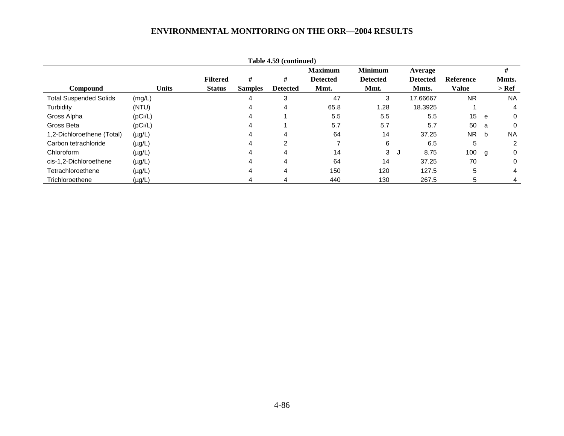| Table 4.59 (continued)        |             |              |                 |                |                 |                 |                 |                    |                  |   |           |  |
|-------------------------------|-------------|--------------|-----------------|----------------|-----------------|-----------------|-----------------|--------------------|------------------|---|-----------|--|
|                               |             |              |                 |                |                 | <b>Maximum</b>  | <b>Minimum</b>  | Average            |                  |   | #         |  |
|                               |             |              | <b>Filtered</b> | #              | #               | <b>Detected</b> | <b>Detected</b> | <b>Detected</b>    | <b>Reference</b> |   | Mmts.     |  |
| <b>Compound</b>               |             | <b>Units</b> | <b>Status</b>   | <b>Samples</b> | <b>Detected</b> | Mmt.            | Mmt.            | Mmts.              | <b>Value</b>     |   | $>$ Ref   |  |
| <b>Total Suspended Solids</b> | (mg/L)      |              |                 | 4              | 3               | 47              | 3               | 17.66667           | <b>NR</b>        |   | <b>NA</b> |  |
| Turbidity                     | (NTU)       |              |                 | 4              | 4               | 65.8            | 1.28            | 18.3925            |                  |   | 4         |  |
| Gross Alpha                   | (pCi/L)     |              |                 | 4              |                 | 5.5             | 5.5             | 5.5                | 15               | e | 0         |  |
| Gross Beta                    | (pCi/L)     |              |                 | 4              |                 | 5.7             | 5.7             | 5.7                | 50               | a | $\Omega$  |  |
| 1,2-Dichloroethene (Total)    | $(\mu g/L)$ |              |                 | 4              | 4               | 64              | 14              | 37.25              | <b>NR</b>        | b | <b>NA</b> |  |
| Carbon tetrachloride          | $(\mu g/L)$ |              |                 | 4              | 2               |                 | 6               | 6.5                | 5                |   | 2         |  |
| Chloroform                    | $(\mu g/L)$ |              |                 | 4              | 4               | 14              | 3               | 8.75<br><b>ل</b> ا | 100              | g | 0         |  |
| cis-1,2-Dichloroethene        | $(\mu g/L)$ |              |                 | 4              | 4               | 64              | 14              | 37.25              | 70               |   | 0         |  |
| Tetrachloroethene             | $(\mu g/L)$ |              |                 | 4              | 4               | 150             | 120             | 127.5              | 5                |   | 4         |  |
| Trichloroethene               | $(\mu g/L)$ |              |                 | 4              |                 | 440             | 130             | 267.5              | 5                |   |           |  |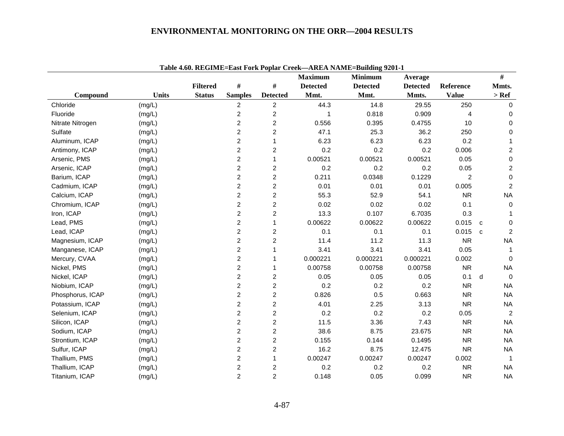|                  |              | Table 7.00. REGIME-East FULL Opial Creek |                         |                         | <b>Maximum</b>  | $\neg$ ANE/A RANALE-Dunumg 2201-1<br><b>Minimum</b> | Average         |                |              | #              |
|------------------|--------------|------------------------------------------|-------------------------|-------------------------|-----------------|-----------------------------------------------------|-----------------|----------------|--------------|----------------|
|                  |              | <b>Filtered</b>                          | #                       | $\#$                    | <b>Detected</b> | <b>Detected</b>                                     | <b>Detected</b> | Reference      |              | Mmts.          |
| Compound         | <b>Units</b> | <b>Status</b>                            | <b>Samples</b>          | <b>Detected</b>         | Mmt.            | Mmt.                                                | Mmts.           | <b>Value</b>   |              | $>$ Ref        |
| Chloride         | (mg/L)       |                                          | $\overline{c}$          | $\overline{c}$          | 44.3            | 14.8                                                | 29.55           | 250            |              | $\mathbf{0}$   |
| Fluoride         | (mg/L)       |                                          | $\overline{\mathbf{c}}$ | $\overline{\mathbf{c}}$ |                 | 0.818                                               | 0.909           | 4              |              | $\mathbf 0$    |
| Nitrate Nitrogen | (mg/L)       |                                          | $\overline{c}$          | $\overline{c}$          | 0.556           | 0.395                                               | 0.4755          | 10             |              | 0              |
| Sulfate          | (mg/L)       |                                          | $\overline{c}$          | $\overline{c}$          | 47.1            | 25.3                                                | 36.2            | 250            |              | 0              |
| Aluminum, ICAP   | (mg/L)       |                                          | $\overline{c}$          | $\mathbf{1}$            | 6.23            | 6.23                                                | 6.23            | 0.2            |              | $\mathbf{1}$   |
| Antimony, ICAP   | (mg/L)       |                                          | $\overline{2}$          | $\overline{\mathbf{c}}$ | 0.2             | 0.2                                                 | 0.2             | 0.006          |              | $\overline{2}$ |
| Arsenic, PMS     | (mg/L)       |                                          | $\overline{\mathbf{c}}$ | 1                       | 0.00521         | 0.00521                                             | 0.00521         | 0.05           |              | $\,0\,$        |
| Arsenic, ICAP    | (mg/L)       |                                          | $\overline{c}$          | $\overline{c}$          | 0.2             | 0.2                                                 | 0.2             | 0.05           |              | $\overline{2}$ |
| Barium, ICAP     | (mg/L)       |                                          | $\overline{c}$          | $\overline{c}$          | 0.211           | 0.0348                                              | 0.1229          | $\overline{c}$ |              | 0              |
| Cadmium, ICAP    | (mg/L)       |                                          | $\overline{c}$          | $\overline{c}$          | 0.01            | 0.01                                                | 0.01            | 0.005          |              | $\overline{2}$ |
| Calcium, ICAP    | (mg/L)       |                                          | $\overline{2}$          | $\overline{c}$          | 55.3            | 52.9                                                | 54.1            | <b>NR</b>      |              | <b>NA</b>      |
| Chromium, ICAP   | (mg/L)       |                                          | $\overline{c}$          | 2                       | 0.02            | 0.02                                                | 0.02            | 0.1            |              | $\mathbf 0$    |
| Iron, ICAP       | (mg/L)       |                                          | $\overline{c}$          | $\overline{c}$          | 13.3            | 0.107                                               | 6.7035          | 0.3            |              | 1              |
| Lead, PMS        | (mg/L)       |                                          | $\overline{c}$          | 1                       | 0.00622         | 0.00622                                             | 0.00622         | 0.015          | $\mathbf{C}$ | $\mathbf 0$    |
| Lead, ICAP       | (mg/L)       |                                          | $\overline{c}$          | 2                       | 0.1             | 0.1                                                 | 0.1             | 0.015          | $\mathbf{c}$ | 2              |
| Magnesium, ICAP  | (mg/L)       |                                          | $\overline{c}$          | $\overline{c}$          | 11.4            | 11.2                                                | 11.3            | <b>NR</b>      |              | <b>NA</b>      |
| Manganese, ICAP  | (mg/L)       |                                          | $\overline{c}$          | 1                       | 3.41            | 3.41                                                | 3.41            | 0.05           |              | -1             |
| Mercury, CVAA    | (mg/L)       |                                          | $\overline{\mathbf{c}}$ | 1                       | 0.000221        | 0.000221                                            | 0.000221        | 0.002          |              | $\Omega$       |
| Nickel, PMS      | (mg/L)       |                                          | $\overline{c}$          | 1                       | 0.00758         | 0.00758                                             | 0.00758         | <b>NR</b>      |              | <b>NA</b>      |
| Nickel, ICAP     | (mg/L)       |                                          | $\overline{c}$          | 2                       | 0.05            | 0.05                                                | 0.05            | 0.1            | d            | $\mathbf 0$    |
| Niobium, ICAP    | (mg/L)       |                                          | $\overline{c}$          | $\overline{c}$          | 0.2             | 0.2                                                 | 0.2             | <b>NR</b>      |              | <b>NA</b>      |
| Phosphorus, ICAP | (mg/L)       |                                          | $\overline{2}$          | $\overline{c}$          | 0.826           | 0.5                                                 | 0.663           | <b>NR</b>      |              | <b>NA</b>      |
| Potassium, ICAP  | (mg/L)       |                                          | $\overline{c}$          | $\overline{c}$          | 4.01            | 2.25                                                | 3.13            | <b>NR</b>      |              | <b>NA</b>      |
| Selenium, ICAP   | (mg/L)       |                                          | $\overline{\mathbf{c}}$ | $\overline{c}$          | 0.2             | 0.2                                                 | 0.2             | 0.05           |              | 2              |
| Silicon, ICAP    | (mg/L)       |                                          | $\overline{2}$          | $\overline{c}$          | 11.5            | 3.36                                                | 7.43            | <b>NR</b>      |              | <b>NA</b>      |
| Sodium, ICAP     | (mg/L)       |                                          | $\overline{2}$          | $\overline{c}$          | 38.6            | 8.75                                                | 23.675          | <b>NR</b>      |              | <b>NA</b>      |
| Strontium, ICAP  | (mg/L)       |                                          | $\overline{c}$          | $\overline{c}$          | 0.155           | 0.144                                               | 0.1495          | <b>NR</b>      |              | <b>NA</b>      |
| Sulfur, ICAP     | (mg/L)       |                                          | $\overline{c}$          | $\overline{c}$          | 16.2            | 8.75                                                | 12.475          | <b>NR</b>      |              | <b>NA</b>      |
| Thallium, PMS    | (mg/L)       |                                          | $\overline{\mathbf{c}}$ | 1                       | 0.00247         | 0.00247                                             | 0.00247         | 0.002          |              | $\mathbf 1$    |
| Thallium, ICAP   | (mg/L)       |                                          | $\overline{\mathbf{c}}$ | $\overline{c}$          | 0.2             | 0.2                                                 | 0.2             | <b>NR</b>      |              | <b>NA</b>      |
| Titanium, ICAP   | (mg/L)       |                                          | $\overline{2}$          | $\overline{2}$          | 0.148           | 0.05                                                | 0.099           | <b>NR</b>      |              | <b>NA</b>      |

**Table 4.60. REGIME=East Fork Poplar Creek—AREA NAME=Building 9201-1**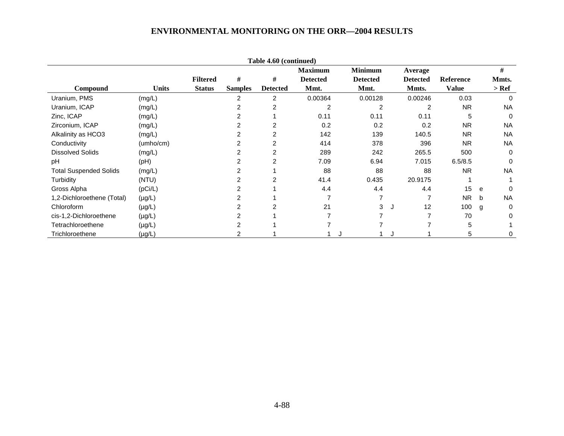| Table 4.60 (continued)        |              |                 |                |                 |                 |                 |                 |              |       |           |  |  |
|-------------------------------|--------------|-----------------|----------------|-----------------|-----------------|-----------------|-----------------|--------------|-------|-----------|--|--|
|                               |              |                 |                |                 | <b>Maximum</b>  | <b>Minimum</b>  | Average         |              | #     |           |  |  |
|                               |              | <b>Filtered</b> | #              | #               | <b>Detected</b> | <b>Detected</b> | <b>Detected</b> | Reference    | Mmts. |           |  |  |
| Compound                      | <b>Units</b> | <b>Status</b>   | <b>Samples</b> | <b>Detected</b> | Mmt.            | Mmt.            | Mmts.           | <b>Value</b> | > Ref |           |  |  |
| Uranium, PMS                  | (mg/L)       |                 | 2              | 2               | 0.00364         | 0.00128         | 0.00246         | 0.03         |       | $\Omega$  |  |  |
| Uranium, ICAP                 | (mg/L)       |                 | 2              | 2               | 2               | 2               | 2               | <b>NR</b>    |       | <b>NA</b> |  |  |
| Zinc, ICAP                    | (mg/L)       |                 | 2              |                 | 0.11            | 0.11            | 0.11            | 5            |       | $\Omega$  |  |  |
| Zirconium, ICAP               | (mg/L)       |                 | 2              | 2               | 0.2             | 0.2             | 0.2             | <b>NR</b>    |       | <b>NA</b> |  |  |
| Alkalinity as HCO3            | (mg/L)       |                 | 2              | 2               | 142             | 139             | 140.5           | <b>NR</b>    |       | <b>NA</b> |  |  |
| Conductivity                  | (umho/cm)    |                 | 2              | 2               | 414             | 378             | 396             | <b>NR</b>    |       | <b>NA</b> |  |  |
| <b>Dissolved Solids</b>       | (mg/L)       |                 | 2              | 2               | 289             | 242             | 265.5           | 500          |       | $\Omega$  |  |  |
| pH                            | (Hq)         |                 | 2              | 2               | 7.09            | 6.94            | 7.015           | 6.5/8.5      |       | $\Omega$  |  |  |
| <b>Total Suspended Solids</b> | (mg/L)       |                 | 2              |                 | 88              | 88              | 88              | <b>NR</b>    |       | <b>NA</b> |  |  |
| Turbidity                     | (NTU)        |                 | 2              | 2               | 41.4            | 0.435           | 20.9175         |              |       |           |  |  |
| Gross Alpha                   | (pCi/L)      |                 | 2              |                 | 4.4             | 4.4             | 4.4             | 15           | e     | $\Omega$  |  |  |
| 1,2-Dichloroethene (Total)    | $(\mu g/L)$  |                 |                |                 |                 |                 |                 | <b>NR</b>    | b     | <b>NA</b> |  |  |
| Chloroform                    | $(\mu g/L)$  |                 |                |                 | 21              | 3               | 12<br>J         | 100          | g     | 0         |  |  |
| cis-1,2-Dichloroethene        | $(\mu g/L)$  |                 |                |                 |                 |                 |                 | 70           |       | 0         |  |  |
| Tetrachloroethene             | $(\mu g/L)$  |                 | 2              |                 |                 |                 |                 | 5            |       |           |  |  |
| Trichloroethene               | $(\mu g/L)$  |                 |                |                 |                 |                 |                 | 5            |       | 0         |  |  |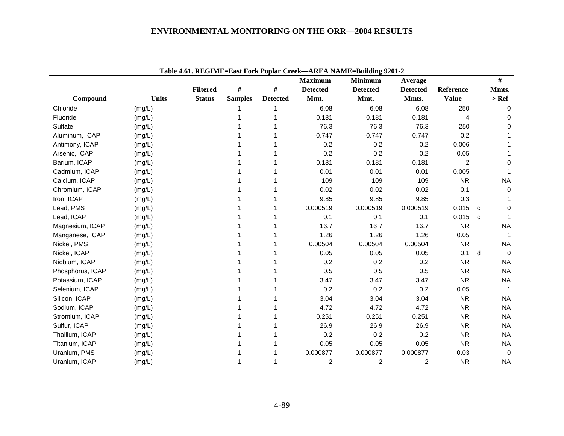|                  |              |                 |                |                 | <b>Maximum</b>  | <b>Minimum</b>  | Average         |                | #            |              |
|------------------|--------------|-----------------|----------------|-----------------|-----------------|-----------------|-----------------|----------------|--------------|--------------|
|                  |              | <b>Filtered</b> | $\#$           | $\#$            | <b>Detected</b> | <b>Detected</b> | <b>Detected</b> | Reference      | Mmts.        |              |
| Compound         | <b>Units</b> | <b>Status</b>   | <b>Samples</b> | <b>Detected</b> | Mmt.            | Mmt.            | Mmts.           | <b>Value</b>   | $>$ Ref      |              |
| Chloride         | (mg/L)       |                 |                |                 | 6.08            | 6.08            | 6.08            | 250            |              | $\Omega$     |
| Fluoride         | (mg/L)       |                 |                |                 | 0.181           | 0.181           | 0.181           | 4              |              | 0            |
| Sulfate          | (mg/L)       |                 |                |                 | 76.3            | 76.3            | 76.3            | 250            |              | 0            |
| Aluminum, ICAP   | (mg/L)       |                 |                |                 | 0.747           | 0.747           | 0.747           | 0.2            |              |              |
| Antimony, ICAP   | (mg/L)       |                 |                |                 | 0.2             | 0.2             | 0.2             | 0.006          |              |              |
| Arsenic, ICAP    | (mg/L)       |                 |                |                 | 0.2             | 0.2             | 0.2             | 0.05           |              |              |
| Barium, ICAP     | (mg/L)       |                 |                |                 | 0.181           | 0.181           | 0.181           | $\overline{2}$ |              | 0            |
| Cadmium, ICAP    | (mg/L)       |                 |                |                 | 0.01            | 0.01            | 0.01            | 0.005          |              | 1            |
| Calcium, ICAP    | (mg/L)       |                 |                |                 | 109             | 109             | 109             | <b>NR</b>      |              | <b>NA</b>    |
| Chromium, ICAP   | (mg/L)       |                 |                |                 | 0.02            | 0.02            | 0.02            | 0.1            |              | $\mathbf 0$  |
| Iron, ICAP       | (mg/L)       |                 |                |                 | 9.85            | 9.85            | 9.85            | 0.3            |              |              |
| Lead, PMS        | (mg/L)       |                 |                |                 | 0.000519        | 0.000519        | 0.000519        | 0.015          | $\mathbf{C}$ | $\Omega$     |
| Lead, ICAP       | (mg/L)       |                 |                |                 | 0.1             | 0.1             | 0.1             | 0.015          | C            |              |
| Magnesium, ICAP  | (mg/L)       |                 |                |                 | 16.7            | 16.7            | 16.7            | <b>NR</b>      |              | <b>NA</b>    |
| Manganese, ICAP  | (mg/L)       |                 |                |                 | 1.26            | 1.26            | 1.26            | 0.05           |              | 1            |
| Nickel, PMS      | (mg/L)       |                 |                |                 | 0.00504         | 0.00504         | 0.00504         | <b>NR</b>      |              | <b>NA</b>    |
| Nickel, ICAP     | (mg/L)       |                 |                |                 | 0.05            | 0.05            | 0.05            | 0.1            | d            | $\mathbf 0$  |
| Niobium, ICAP    | (mg/L)       |                 |                |                 | 0.2             | 0.2             | 0.2             | <b>NR</b>      |              | <b>NA</b>    |
| Phosphorus, ICAP | (mg/L)       |                 |                |                 | 0.5             | 0.5             | 0.5             | <b>NR</b>      |              | <b>NA</b>    |
| Potassium, ICAP  | (mg/L)       |                 |                |                 | 3.47            | 3.47            | 3.47            | <b>NR</b>      |              | <b>NA</b>    |
| Selenium, ICAP   | (mg/L)       |                 |                |                 | 0.2             | 0.2             | 0.2             | 0.05           |              | $\mathbf{1}$ |
| Silicon, ICAP    | (mg/L)       |                 |                |                 | 3.04            | 3.04            | 3.04            | <b>NR</b>      |              | <b>NA</b>    |
| Sodium, ICAP     | (mg/L)       |                 |                |                 | 4.72            | 4.72            | 4.72            | <b>NR</b>      |              | <b>NA</b>    |
| Strontium, ICAP  | (mg/L)       |                 |                |                 | 0.251           | 0.251           | 0.251           | <b>NR</b>      |              | <b>NA</b>    |
| Sulfur, ICAP     | (mg/L)       |                 |                |                 | 26.9            | 26.9            | 26.9            | <b>NR</b>      |              | <b>NA</b>    |
| Thallium, ICAP   | (mg/L)       |                 |                |                 | 0.2             | 0.2             | 0.2             | <b>NR</b>      |              | <b>NA</b>    |
| Titanium, ICAP   | (mg/L)       |                 |                |                 | 0.05            | 0.05            | 0.05            | <b>NR</b>      |              | <b>NA</b>    |
| Uranium, PMS     | (mg/L)       |                 |                |                 | 0.000877        | 0.000877        | 0.000877        | 0.03           |              | $\mathbf 0$  |
| Uranium, ICAP    | (mg/L)       |                 |                |                 | $\overline{c}$  | 2               | 2               | <b>NR</b>      |              | <b>NA</b>    |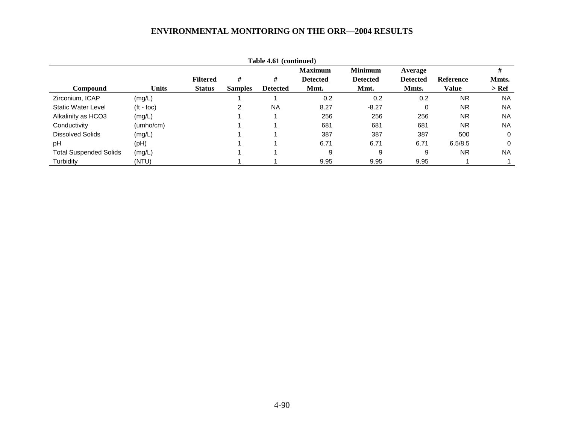| Table 4.61 (continued)        |                    |                 |                |                 |                 |                 |                 |                  |           |  |  |  |
|-------------------------------|--------------------|-----------------|----------------|-----------------|-----------------|-----------------|-----------------|------------------|-----------|--|--|--|
|                               |                    |                 |                |                 | <b>Maximum</b>  | <b>Minimum</b>  | Average         |                  | #         |  |  |  |
|                               |                    | <b>Filtered</b> | #              | #               | <b>Detected</b> | <b>Detected</b> | <b>Detected</b> | <b>Reference</b> | Mmts.     |  |  |  |
| <b>Compound</b>               | <b>Units</b>       | <b>Status</b>   | <b>Samples</b> | <b>Detected</b> | Mmt.            | Mmt.            | Mmts.           | Value            | > Ref     |  |  |  |
| Zirconium, ICAP               | (mg/L)             |                 |                |                 | 0.2             | 0.2             | 0.2             | <b>NR</b>        | <b>NA</b> |  |  |  |
| <b>Static Water Level</b>     | $(t - \text{toc})$ |                 | 2              | <b>NA</b>       | 8.27            | $-8.27$         | 0               | <b>NR</b>        | <b>NA</b> |  |  |  |
| Alkalinity as HCO3            | (mg/L)             |                 |                |                 | 256             | 256             | 256             | <b>NR</b>        | <b>NA</b> |  |  |  |
| Conductivity                  | (umbo/cm)          |                 |                |                 | 681             | 681             | 681             | <b>NR</b>        | <b>NA</b> |  |  |  |
| Dissolved Solids              | (mg/L)             |                 |                |                 | 387             | 387             | 387             | 500              | 0         |  |  |  |
| pH                            | (PH)               |                 |                |                 | 6.71            | 6.71            | 6.71            | 6.5/8.5          | 0         |  |  |  |
| <b>Total Suspended Solids</b> | (mg/L)             |                 |                |                 | 9               | 9               | 9               | <b>NR</b>        | <b>NA</b> |  |  |  |
| Turbidity                     | (NTU)              |                 |                |                 | 9.95            | 9.95            | 9.95            |                  |           |  |  |  |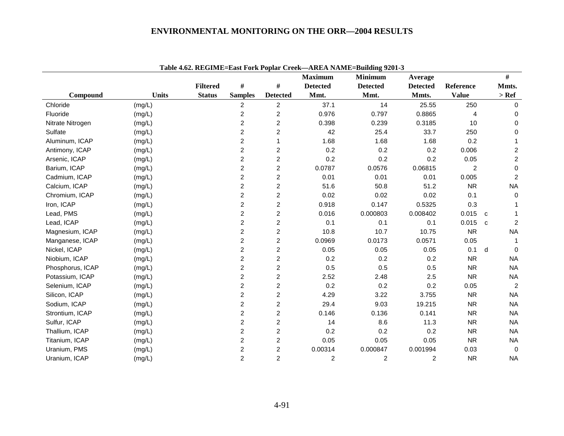|                  |              | Tubit work KLOHML-Lubt I of KT opture Creek |                |                         | <b>Maximum</b>  | $\frac{1}{2}$<br><b>Minimum</b> | Average         |                | #         |                |
|------------------|--------------|---------------------------------------------|----------------|-------------------------|-----------------|---------------------------------|-----------------|----------------|-----------|----------------|
|                  |              | <b>Filtered</b>                             | #              | #                       | <b>Detected</b> | <b>Detected</b>                 | <b>Detected</b> | Reference      | Mmts.     |                |
| Compound         | <b>Units</b> | <b>Status</b>                               | <b>Samples</b> | <b>Detected</b>         | Mmt.            | Mmt.                            | Mmts.           | <b>Value</b>   | $>$ Ref   |                |
| Chloride         | (mg/L)       |                                             | $\overline{c}$ | $\overline{c}$          | 37.1            | 14                              | 25.55           | 250            |           | $\Omega$       |
| Fluoride         | (mg/L)       |                                             | $\overline{c}$ | $\overline{c}$          | 0.976           | 0.797                           | 0.8865          | $\overline{4}$ |           | 0              |
| Nitrate Nitrogen | (mg/L)       |                                             | $\overline{c}$ | $\overline{c}$          | 0.398           | 0.239                           | 0.3185          | 10             |           | 0              |
| Sulfate          | (mg/L)       |                                             | $\overline{c}$ | 2                       | 42              | 25.4                            | 33.7            | 250            |           | 0              |
| Aluminum, ICAP   | (mg/L)       |                                             | $\overline{c}$ |                         | 1.68            | 1.68                            | 1.68            | 0.2            |           |                |
| Antimony, ICAP   | (mg/L)       |                                             | $\overline{c}$ | $\overline{\mathbf{c}}$ | 0.2             | 0.2                             | 0.2             | 0.006          |           | $\overline{c}$ |
| Arsenic, ICAP    | (mg/L)       |                                             | $\overline{c}$ | $\overline{c}$          | 0.2             | 0.2                             | 0.2             | 0.05           |           | $\overline{c}$ |
| Barium, ICAP     | (mg/L)       |                                             | $\overline{2}$ | $\overline{c}$          | 0.0787          | 0.0576                          | 0.06815         | 2              |           | $\mathbf 0$    |
| Cadmium, ICAP    | (mg/L)       |                                             | $\overline{c}$ | 2                       | 0.01            | 0.01                            | 0.01            | 0.005          |           | 2              |
| Calcium, ICAP    | (mg/L)       |                                             | $\overline{c}$ | 2                       | 51.6            | 50.8                            | 51.2            | <b>NR</b>      | <b>NA</b> |                |
| Chromium, ICAP   | (mg/L)       |                                             | $\overline{c}$ | $\overline{c}$          | 0.02            | 0.02                            | 0.02            | 0.1            |           | 0              |
| Iron, ICAP       | (mg/L)       |                                             | $\overline{c}$ | $\overline{c}$          | 0.918           | 0.147                           | 0.5325          | 0.3            |           |                |
| Lead, PMS        | (mg/L)       |                                             | $\overline{c}$ | $\overline{2}$          | 0.016           | 0.000803                        | 0.008402        | 0.015          | C         |                |
| Lead, ICAP       | (mg/L)       |                                             | $\overline{c}$ | $\overline{c}$          | 0.1             | 0.1                             | 0.1             | 0.015          | C         | 2              |
| Magnesium, ICAP  | (mg/L)       |                                             | $\overline{2}$ | $\overline{2}$          | 10.8            | 10.7                            | 10.75           | <b>NR</b>      | <b>NA</b> |                |
| Manganese, ICAP  | (mg/L)       |                                             | $\overline{c}$ | $\overline{c}$          | 0.0969          | 0.0173                          | 0.0571          | 0.05           |           |                |
| Nickel, ICAP     | (mg/L)       |                                             | $\overline{c}$ | $\overline{c}$          | 0.05            | 0.05                            | 0.05            | 0.1            | d         | $\Omega$       |
| Niobium, ICAP    | (mg/L)       |                                             | $\overline{c}$ | 2                       | 0.2             | 0.2                             | 0.2             | <b>NR</b>      | <b>NA</b> |                |
| Phosphorus, ICAP | (mg/L)       |                                             | $\overline{c}$ | 2                       | 0.5             | 0.5                             | 0.5             | <b>NR</b>      | <b>NA</b> |                |
| Potassium, ICAP  | (mg/L)       |                                             | $\overline{c}$ | $\overline{c}$          | 2.52            | 2.48                            | 2.5             | <b>NR</b>      | <b>NA</b> |                |
| Selenium, ICAP   | (mg/L)       |                                             | $\overline{c}$ | 2                       | 0.2             | 0.2                             | 0.2             | 0.05           |           | 2              |
| Silicon, ICAP    | (mg/L)       |                                             | $\overline{c}$ | $\overline{c}$          | 4.29            | 3.22                            | 3.755           | <b>NR</b>      | <b>NA</b> |                |
| Sodium, ICAP     | (mg/L)       |                                             | $\overline{c}$ | $\overline{c}$          | 29.4            | 9.03                            | 19.215          | <b>NR</b>      | <b>NA</b> |                |
| Strontium, ICAP  | (mg/L)       |                                             | $\overline{c}$ | $\overline{2}$          | 0.146           | 0.136                           | 0.141           | <b>NR</b>      | <b>NA</b> |                |
| Sulfur, ICAP     | (mg/L)       |                                             | $\overline{c}$ | 2                       | 14              | 8.6                             | 11.3            | <b>NR</b>      | <b>NA</b> |                |
| Thallium, ICAP   | (mg/L)       |                                             | $\overline{c}$ | $\overline{\mathbf{c}}$ | 0.2             | 0.2                             | 0.2             | <b>NR</b>      | <b>NA</b> |                |
| Titanium, ICAP   | (mg/L)       |                                             | $\overline{2}$ | $\overline{c}$          | 0.05            | 0.05                            | 0.05            | <b>NR</b>      | <b>NA</b> |                |
| Uranium, PMS     | (mg/L)       |                                             | $\overline{c}$ | $\overline{2}$          | 0.00314         | 0.000847                        | 0.001994        | 0.03           |           | $\mathbf 0$    |
| Uranium, ICAP    | (mg/L)       |                                             | $\overline{2}$ | $\overline{c}$          | 2               | $\overline{c}$                  | $\overline{c}$  | <b>NR</b>      | <b>NA</b> |                |

**Table 4.62. REGIME=East Fork Poplar Creek—AREA NAME=Building 9201-3**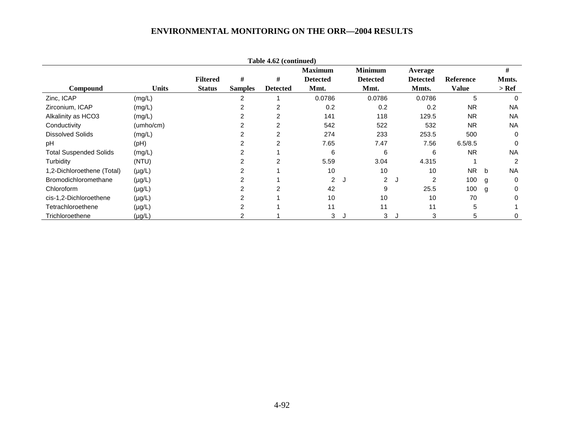| Table 4.62 (continued)        |              |                 |                |                 |                 |    |                 |   |                 |                  |   |           |
|-------------------------------|--------------|-----------------|----------------|-----------------|-----------------|----|-----------------|---|-----------------|------------------|---|-----------|
|                               |              |                 |                |                 | <b>Maximum</b>  |    | <b>Minimum</b>  |   | Average         |                  |   | #         |
|                               |              | <b>Filtered</b> | #              | #               | <b>Detected</b> |    | <b>Detected</b> |   | <b>Detected</b> | <b>Reference</b> |   | Mmts.     |
| Compound                      | <b>Units</b> | <b>Status</b>   | <b>Samples</b> | <b>Detected</b> | Mmt.            |    | Mmt.            |   | Mmts.           | <b>Value</b>     |   | $>$ Ref   |
| Zinc, ICAP                    | (mg/L)       |                 | 2              |                 | 0.0786          |    | 0.0786          |   | 0.0786          | 5                |   | $\Omega$  |
| Zirconium, ICAP               | (mg/L)       |                 |                |                 | 0.2             |    | 0.2             |   | 0.2             | <b>NR</b>        |   | <b>NA</b> |
| Alkalinity as HCO3            | (mg/L)       |                 | 2              | 2               | 141             |    | 118             |   | 129.5           | <b>NR</b>        |   | <b>NA</b> |
| Conductivity                  | (umho/cm)    |                 |                | $\overline{2}$  | 542             |    | 522             |   | 532             | <b>NR</b>        |   | <b>NA</b> |
| <b>Dissolved Solids</b>       | (mg/L)       |                 |                |                 | 274             |    | 233             |   | 253.5           | 500              |   | 0         |
| pH                            | (Hq)         |                 |                |                 | 7.65            |    | 7.47            |   | 7.56            | 6.5/8.5          |   | 0         |
| <b>Total Suspended Solids</b> | (mg/L)       |                 |                |                 | 6               |    | 6               |   | 6               | <b>NR</b>        |   | <b>NA</b> |
| Turbidity                     | (NTU)        |                 |                | 2               | 5.59            |    | 3.04            |   | 4.315           |                  |   | 2         |
| 1,2-Dichloroethene (Total)    | $(\mu g/L)$  |                 |                |                 | 10              |    | 10              |   | 10              | <b>NR</b>        | b | <b>NA</b> |
| Bromodichloromethane          | $(\mu g/L)$  |                 |                |                 | $\overline{2}$  | IJ | $\overline{2}$  | J | 2               | 100              | g | 0         |
| Chloroform                    | $(\mu g/L)$  |                 |                |                 | 42              |    | 9               |   | 25.5            | 100              | g | 0         |
| cis-1,2-Dichloroethene        | $(\mu g/L)$  |                 |                |                 | 10              |    | 10              |   | 10              | 70               |   | 0         |
| Tetrachloroethene             | $(\mu g/L)$  |                 |                |                 | 11              |    | 11              |   | 11              | 5                |   |           |
| Trichloroethene               | $(\mu g/L)$  |                 |                |                 | 3               |    | 3               |   | 3               | 5                |   | 0         |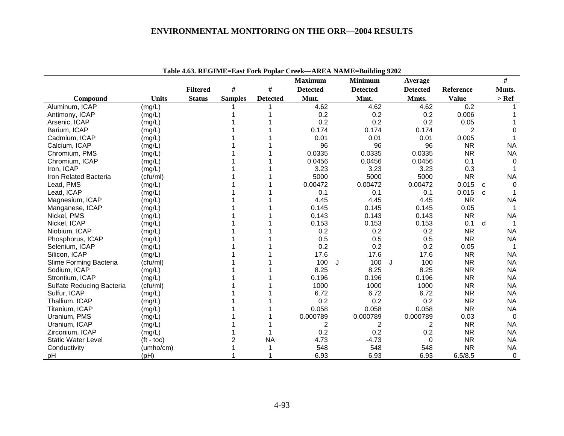|                           |              |                 |                |                 | <b>Maximum</b>  | <b>Minimum</b>  |         |   | Average         |              |              | #              |
|---------------------------|--------------|-----------------|----------------|-----------------|-----------------|-----------------|---------|---|-----------------|--------------|--------------|----------------|
|                           |              | <b>Filtered</b> | #              | #               | <b>Detected</b> | <b>Detected</b> |         |   | <b>Detected</b> | Reference    |              | Mmts.          |
| Compound                  | <b>Units</b> | <b>Status</b>   | <b>Samples</b> | <b>Detected</b> | Mmt.            | Mmt.            |         |   | Mmts.           | <b>Value</b> |              | $>$ Ref        |
| Aluminum, ICAP            | (mg/L)       |                 |                |                 | 4.62            |                 | 4.62    |   | 4.62            | 0.2          |              |                |
| Antimony, ICAP            | (mg/L)       |                 |                |                 | 0.2             |                 | 0.2     |   | 0.2             | 0.006        |              |                |
| Arsenic, ICAP             | (mg/L)       |                 |                |                 | 0.2             |                 | 0.2     |   | 0.2             | 0.05         |              |                |
| Barium, ICAP              | (mg/L)       |                 |                |                 | 0.174           |                 | 0.174   |   | 0.174           | 2            |              | $\Omega$       |
| Cadmium, ICAP             | (mg/L)       |                 |                |                 | 0.01            |                 | 0.01    |   | 0.01            | 0.005        |              |                |
| Calcium, ICAP             | (mg/L)       |                 |                |                 | 96              |                 | 96      |   | 96              | <b>NR</b>    |              | <b>NA</b>      |
| Chromium, PMS             | (mg/L)       |                 |                |                 | 0.0335          |                 | 0.0335  |   | 0.0335          | <b>NR</b>    |              | <b>NA</b>      |
| Chromium, ICAP            | (mg/L)       |                 |                |                 | 0.0456          |                 | 0.0456  |   | 0.0456          | 0.1          |              | $\Omega$       |
| Iron, ICAP                | (mg/L)       |                 |                |                 | 3.23            |                 | 3.23    |   | 3.23            | 0.3          |              |                |
| Iron Related Bacteria     | (cfu/ml)     |                 |                |                 | 5000            |                 | 5000    |   | 5000            | <b>NR</b>    |              | <b>NA</b>      |
| Lead, PMS                 | (mg/L)       |                 |                |                 | 0.00472         |                 | 0.00472 |   | 0.00472         | 0.015        | $\mathbf{C}$ | $\Omega$       |
| Lead, ICAP                | (mg/L)       |                 |                |                 | 0.1             |                 | 0.1     |   | 0.1             | 0.015        | $\mathbf{C}$ |                |
| Magnesium, ICAP           | (mg/L)       |                 |                |                 | 4.45            |                 | 4.45    |   | 4.45            | <b>NR</b>    |              | <b>NA</b>      |
| Manganese, ICAP           | (mg/L)       |                 |                |                 | 0.145           |                 | 0.145   |   | 0.145           | 0.05         |              |                |
| Nickel, PMS               | (mg/L)       |                 |                |                 | 0.143           |                 | 0.143   |   | 0.143           | <b>NR</b>    |              | <b>NA</b>      |
| Nickel, ICAP              | (mg/L)       |                 |                |                 | 0.153           |                 | 0.153   |   | 0.153           | 0.1          | d            |                |
| Niobium, ICAP             | (mg/L)       |                 |                |                 | 0.2             |                 | 0.2     |   | 0.2             | <b>NR</b>    |              | <b>NA</b>      |
| Phosphorus, ICAP          | (mg/L)       |                 |                |                 | 0.5             |                 | 0.5     |   | 0.5             | <b>NR</b>    |              | <b>NA</b>      |
| Selenium, ICAP            | (mg/L)       |                 |                |                 | 0.2             |                 | 0.2     |   | 0.2             | 0.05         |              |                |
| Silicon, ICAP             | (mg/L)       |                 |                |                 | 17.6            |                 | 17.6    |   | 17.6            | <b>NR</b>    |              | <b>NA</b>      |
| Slime Forming Bacteria    | (cfu/ml)     |                 |                |                 | 100             | J               | 100     | J | 100             | <b>NR</b>    |              | <b>NA</b>      |
| Sodium, ICAP              | (mg/L)       |                 |                |                 | 8.25            |                 | 8.25    |   | 8.25            | <b>NR</b>    |              | <b>NA</b>      |
| Strontium, ICAP           | (mg/L)       |                 |                |                 | 0.196           |                 | 0.196   |   | 0.196           | <b>NR</b>    |              | <b>NA</b>      |
| Sulfate Reducing Bacteria | (cfu/ml)     |                 |                |                 | 1000            |                 | 1000    |   | 1000            | <b>NR</b>    |              | <b>NA</b>      |
| Sulfur, ICAP              | (mg/L)       |                 |                |                 | 6.72            |                 | 6.72    |   | 6.72            | <b>NR</b>    |              | <b>NA</b>      |
| Thallium, ICAP            | (mg/L)       |                 |                |                 | 0.2             |                 | 0.2     |   | 0.2             | <b>NR</b>    |              | <b>NA</b>      |
| Titanium, ICAP            | (mg/L)       |                 |                |                 | 0.058           |                 | 0.058   |   | 0.058           | <b>NR</b>    |              | <b>NA</b>      |
| Uranium, PMS              | (mg/L)       |                 |                |                 | 0.000789        | 0.000789        |         |   | 0.000789        | 0.03         |              | $\overline{0}$ |
| Uranium, ICAP             | (mg/L)       |                 |                |                 | 2               |                 | 2       |   | 2               | <b>NR</b>    |              | <b>NA</b>      |
| Zirconium, ICAP           | (mg/L)       |                 |                |                 | 0.2             |                 | 0.2     |   | 0.2             | <b>NR</b>    |              | <b>NA</b>      |
| <b>Static Water Level</b> | $(t - toc)$  |                 | 2              | <b>NA</b>       | 4.73            |                 | $-4.73$ |   | $\Omega$        | <b>NR</b>    |              | <b>NA</b>      |
| Conductivity              | (umho/cm)    |                 |                |                 | 548             |                 | 548     |   | 548             | <b>NR</b>    |              | <b>NA</b>      |
| pH                        | (pH)         |                 |                |                 | 6.93            |                 | 6.93    |   | 6.93            | 6.5/8.5      |              | $\Omega$       |

**Table 4.63. REGIME=East Fork Poplar Creek—AREA NAME=Building 9202**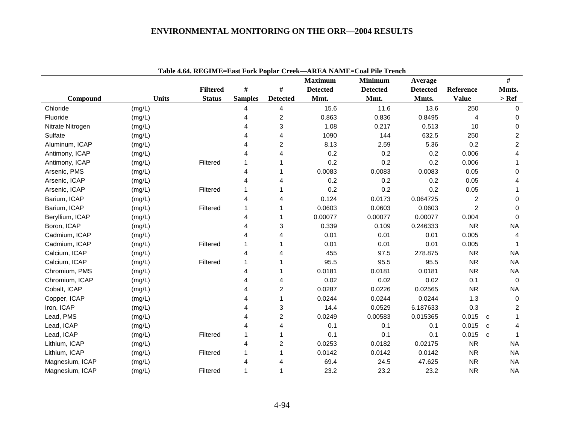|                  |              |                 |                |                         | <b>Maximum</b>  | <b>Minimum</b>  | Average         |                |              | $\#$                    |
|------------------|--------------|-----------------|----------------|-------------------------|-----------------|-----------------|-----------------|----------------|--------------|-------------------------|
|                  |              | <b>Filtered</b> | #              | #                       | <b>Detected</b> | <b>Detected</b> | <b>Detected</b> | Reference      |              | Mmts.                   |
| Compound         | <b>Units</b> | <b>Status</b>   | <b>Samples</b> | <b>Detected</b>         | Mmt.            | Mmt.            | Mmts.           | <b>Value</b>   |              | $>$ Ref                 |
| Chloride         | (mg/L)       |                 | 4              | 4                       | 15.6            | 11.6            | 13.6            | 250            |              | 0                       |
| Fluoride         | (mg/L)       |                 | 4              | $\overline{\mathbf{c}}$ | 0.863           | 0.836           | 0.8495          | 4              |              | 0                       |
| Nitrate Nitrogen | (mg/L)       |                 | 4              | 3                       | 1.08            | 0.217           | 0.513           | 10             |              | $\Omega$                |
| Sulfate          | (mg/L)       |                 | 4              | 4                       | 1090            | 144             | 632.5           | 250            |              | $\overline{c}$          |
| Aluminum, ICAP   | (mg/L)       |                 | 4              | 2                       | 8.13            | 2.59            | 5.36            | 0.2            |              | $\overline{\mathbf{c}}$ |
| Antimony, ICAP   | (mg/L)       |                 | 4              | 4                       | 0.2             | 0.2             | 0.2             | 0.006          |              | 4                       |
| Antimony, ICAP   | (mg/L)       | Filtered        |                | 1                       | 0.2             | 0.2             | 0.2             | 0.006          |              |                         |
| Arsenic, PMS     | (mg/L)       |                 | 4              | 1                       | 0.0083          | 0.0083          | 0.0083          | 0.05           |              | 0                       |
| Arsenic, ICAP    | (mg/L)       |                 | 4              | 4                       | 0.2             | 0.2             | 0.2             | 0.05           |              | 4                       |
| Arsenic, ICAP    | (mg/L)       | Filtered        |                | 1                       | 0.2             | 0.2             | 0.2             | 0.05           |              |                         |
| Barium, ICAP     | (mg/L)       |                 | 4              | 4                       | 0.124           | 0.0173          | 0.064725        | $\overline{c}$ |              | 0                       |
| Barium, ICAP     | (mg/L)       | Filtered        |                | 1                       | 0.0603          | 0.0603          | 0.0603          | $\overline{c}$ |              | $\mathbf 0$             |
| Beryllium, ICAP  | (mg/L)       |                 | 4              | 1                       | 0.00077         | 0.00077         | 0.00077         | 0.004          |              | $\mathbf 0$             |
| Boron, ICAP      | (mg/L)       |                 | 4              | 3                       | 0.339           | 0.109           | 0.246333        | <b>NR</b>      |              | <b>NA</b>               |
| Cadmium, ICAP    | (mg/L)       |                 | 4              | 4                       | 0.01            | 0.01            | 0.01            | 0.005          |              | 4                       |
| Cadmium, ICAP    | (mg/L)       | Filtered        |                | 1                       | 0.01            | 0.01            | 0.01            | 0.005          |              |                         |
| Calcium, ICAP    | (mg/L)       |                 | 4              | 4                       | 455             | 97.5            | 278.875         | <b>NR</b>      |              | <b>NA</b>               |
| Calcium, ICAP    | (mg/L)       | Filtered        |                | 1                       | 95.5            | 95.5            | 95.5            | <b>NR</b>      |              | <b>NA</b>               |
| Chromium, PMS    | (mg/L)       |                 | 4              | 1                       | 0.0181          | 0.0181          | 0.0181          | <b>NR</b>      |              | <b>NA</b>               |
| Chromium, ICAP   | (mg/L)       |                 | 4              | 4                       | 0.02            | 0.02            | 0.02            | 0.1            |              | 0                       |
| Cobalt, ICAP     | (mg/L)       |                 | 4              | 2                       | 0.0287          | 0.0226          | 0.02565         | <b>NR</b>      |              | <b>NA</b>               |
| Copper, ICAP     | (mg/L)       |                 | 4              | 1                       | 0.0244          | 0.0244          | 0.0244          | 1.3            |              | 0                       |
| Iron, ICAP       | (mg/L)       |                 | 4              | 3                       | 14.4            | 0.0529          | 6.187633        | 0.3            |              | 2                       |
| Lead, PMS        | (mg/L)       |                 | 4              | $\overline{c}$          | 0.0249          | 0.00583         | 0.015365        | 0.015          | $\mathbf{C}$ |                         |
| Lead, ICAP       | (mg/L)       |                 | 4              | 4                       | 0.1             | 0.1             | 0.1             | 0.015          | C.           | 4                       |
| Lead, ICAP       | (mg/L)       | Filtered        |                | 1                       | 0.1             | 0.1             | 0.1             | 0.015          | $\mathbf{C}$ |                         |
| Lithium, ICAP    | (mg/L)       |                 | 4              | $\overline{c}$          | 0.0253          | 0.0182          | 0.02175         | <b>NR</b>      |              | <b>NA</b>               |
| Lithium, ICAP    | (mg/L)       | Filtered        |                | 1                       | 0.0142          | 0.0142          | 0.0142          | <b>NR</b>      |              | NA                      |
| Magnesium, ICAP  | (mg/L)       |                 | 4              | 4                       | 69.4            | 24.5            | 47.625          | <b>NR</b>      |              | <b>NA</b>               |
| Magnesium, ICAP  | (mg/L)       | Filtered        | 1              | 1                       | 23.2            | 23.2            | 23.2            | <b>NR</b>      |              | <b>NA</b>               |

4-94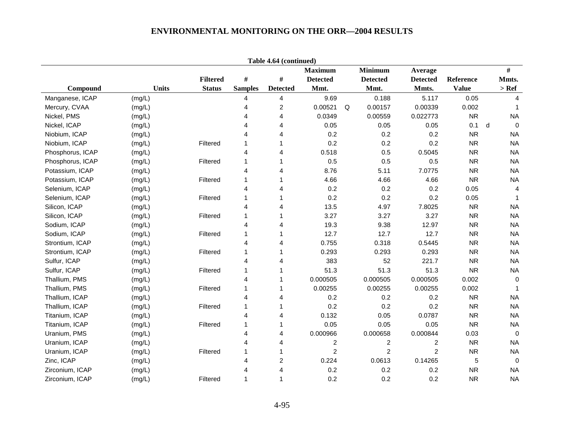|                  |              |                 |                | Table 4.64 (continued)  |                  |   |                 |                  |              |   |                |
|------------------|--------------|-----------------|----------------|-------------------------|------------------|---|-----------------|------------------|--------------|---|----------------|
|                  |              |                 |                |                         | <b>Maximum</b>   |   | <b>Minimum</b>  | Average          |              |   | #              |
|                  |              | <b>Filtered</b> | $\#$           | $\#$                    | <b>Detected</b>  |   | <b>Detected</b> | <b>Detected</b>  | Reference    |   | Mmts.          |
| Compound         | <b>Units</b> | <b>Status</b>   | <b>Samples</b> | <b>Detected</b>         | Mmt.             |   | Mmt.            | Mmts.            | <b>Value</b> |   | $>$ Ref        |
| Manganese, ICAP  | (mg/L)       |                 | 4              | 4                       | 9.69             |   | 0.188           | 5.117            | 0.05         |   | 4              |
| Mercury, CVAA    | (mg/L)       |                 | 4              | $\overline{\mathbf{c}}$ | 0.00521          | Q | 0.00157         | 0.00339          | 0.002        |   | 1              |
| Nickel, PMS      | (mg/L)       |                 | 4              | 4                       | 0.0349           |   | 0.00559         | 0.022773         | <b>NR</b>    |   | <b>NA</b>      |
| Nickel, ICAP     | (mg/L)       |                 | 4              | 4                       | 0.05             |   | 0.05            | 0.05             | 0.1          | d | $\mathbf 0$    |
| Niobium, ICAP    | (mg/L)       |                 | 4              | 4                       | 0.2              |   | 0.2             | 0.2              | <b>NR</b>    |   | <b>NA</b>      |
| Niobium, ICAP    | (mg/L)       | Filtered        | 1              | 1                       | 0.2              |   | 0.2             | 0.2              | <b>NR</b>    |   | <b>NA</b>      |
| Phosphorus, ICAP | (mg/L)       |                 | 4              | 4                       | 0.518            |   | 0.5             | 0.5045           | <b>NR</b>    |   | <b>NA</b>      |
| Phosphorus, ICAP | (mg/L)       | Filtered        | 1              | 1                       | 0.5              |   | 0.5             | 0.5              | <b>NR</b>    |   | <b>NA</b>      |
| Potassium, ICAP  | (mg/L)       |                 | $\overline{4}$ | 4                       | 8.76             |   | 5.11            | 7.0775           | <b>NR</b>    |   | <b>NA</b>      |
| Potassium, ICAP  | (mg/L)       | Filtered        | 1              | 1                       | 4.66             |   | 4.66            | 4.66             | <b>NR</b>    |   | <b>NA</b>      |
| Selenium, ICAP   | (mg/L)       |                 | 4              | 4                       | 0.2              |   | 0.2             | 0.2              | 0.05         |   | $\overline{4}$ |
| Selenium, ICAP   | (mg/L)       | Filtered        | 1              | 1                       | 0.2              |   | 0.2             | 0.2              | 0.05         |   | $\mathbf 1$    |
| Silicon, ICAP    | (mg/L)       |                 | 4              | 4                       | 13.5             |   | 4.97            | 7.8025           | <b>NR</b>    |   | <b>NA</b>      |
| Silicon, ICAP    | (mg/L)       | Filtered        | 1              | 1                       | 3.27             |   | 3.27            | 3.27             | <b>NR</b>    |   | <b>NA</b>      |
| Sodium, ICAP     | (mg/L)       |                 | 4              | 4                       | 19.3             |   | 9.38            | 12.97            | <b>NR</b>    |   | <b>NA</b>      |
| Sodium, ICAP     | (mg/L)       | Filtered        | 1              | 1                       | 12.7             |   | 12.7            | 12.7             | <b>NR</b>    |   | <b>NA</b>      |
| Strontium, ICAP  | (mg/L)       |                 | 4              | 4                       | 0.755            |   | 0.318           | 0.5445           | <b>NR</b>    |   | <b>NA</b>      |
| Strontium, ICAP  | (mg/L)       | Filtered        | 1              | 1                       | 0.293            |   | 0.293           | 0.293            | <b>NR</b>    |   | <b>NA</b>      |
| Sulfur, ICAP     | (mg/L)       |                 | 4              | 4                       | 383              |   | 52              | 221.7            | <b>NR</b>    |   | <b>NA</b>      |
| Sulfur, ICAP     | (mg/L)       | Filtered        | 1              | 1                       | 51.3             |   | 51.3            | 51.3             | <b>NR</b>    |   | <b>NA</b>      |
| Thallium, PMS    | (mg/L)       |                 | 4              | 1                       | 0.000505         |   | 0.000505        | 0.000505         | 0.002        |   | $\mathbf 0$    |
| Thallium, PMS    | (mg/L)       | Filtered        | 1              | 1                       | 0.00255          |   | 0.00255         | 0.00255          | 0.002        |   | $\mathbf 1$    |
| Thallium, ICAP   | (mg/L)       |                 | 4              | 4                       | 0.2              |   | 0.2             | 0.2              | <b>NR</b>    |   | <b>NA</b>      |
| Thallium, ICAP   | (mg/L)       | Filtered        | 1              | 1                       | 0.2              |   | 0.2             | 0.2              | <b>NR</b>    |   | <b>NA</b>      |
| Titanium, ICAP   | (mg/L)       |                 | $\overline{4}$ | 4                       | 0.132            |   | 0.05            | 0.0787           | <b>NR</b>    |   | <b>NA</b>      |
| Titanium, ICAP   | (mg/L)       | Filtered        | 1              | 1                       | 0.05             |   | 0.05            | 0.05             | <b>NR</b>    |   | <b>NA</b>      |
| Uranium, PMS     | (mg/L)       |                 | 4              | 4                       | 0.000966         |   | 0.000658        | 0.000844         | 0.03         |   | $\mathbf 0$    |
| Uranium, ICAP    | (mg/L)       |                 | 4              | 4                       | $\boldsymbol{2}$ |   | 2               | $\boldsymbol{2}$ | <b>NR</b>    |   | <b>NA</b>      |
| Uranium, ICAP    | (mg/L)       | Filtered        | 1              | 1                       | $\overline{c}$   |   | $\overline{c}$  | $\overline{c}$   | <b>NR</b>    |   | <b>NA</b>      |
| Zinc, ICAP       | (mg/L)       |                 | 4              | 2                       | 0.224            |   | 0.0613          | 0.14265          | 5            |   | $\mathbf 0$    |
| Zirconium, ICAP  | (mg/L)       |                 | 4              | 4                       | 0.2              |   | 0.2             | 0.2              | <b>NR</b>    |   | <b>NA</b>      |
| Zirconium, ICAP  | (mg/L)       | Filtered        | 1              | $\mathbf{1}$            | 0.2              |   | 0.2             | 0.2              | <b>NR</b>    |   | <b>NA</b>      |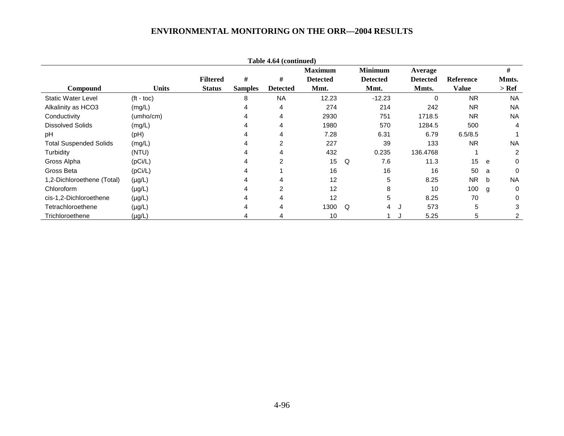|                               |                    |                 |                | Table 4.64 (continued) |                 |          |                 |   |                 |                  |             |              |
|-------------------------------|--------------------|-----------------|----------------|------------------------|-----------------|----------|-----------------|---|-----------------|------------------|-------------|--------------|
|                               |                    |                 |                |                        | <b>Maximum</b>  |          | <b>Minimum</b>  |   | Average         |                  |             | #            |
|                               |                    | <b>Filtered</b> | #              | #                      | <b>Detected</b> |          | <b>Detected</b> |   | <b>Detected</b> | <b>Reference</b> |             | Mmts.        |
| <b>Compound</b>               | <b>Units</b>       | <b>Status</b>   | <b>Samples</b> | <b>Detected</b>        | Mmt.            |          | Mmt.            |   | Mmts.           | <b>Value</b>     |             | $>$ Ref      |
| <b>Static Water Level</b>     | $(t - \text{toc})$ |                 | 8              | <b>NA</b>              | 12.23           |          | $-12.23$        |   | $\Omega$        | <b>NR</b>        |             | <b>NA</b>    |
| Alkalinity as HCO3            | (mg/L)             |                 |                | 4                      | 274             |          | 214             |   | 242             | <b>NR</b>        |             | <b>NA</b>    |
| Conductivity                  | (umho/cm)          |                 | 4              | 4                      | 2930            |          | 751             |   | 1718.5          | <b>NR</b>        |             | <b>NA</b>    |
| <b>Dissolved Solids</b>       | (mg/L)             |                 | 4              | 4                      | 1980            |          | 570             |   | 1284.5          | 500              |             | 4            |
| pH                            | (pH)               |                 | 4              | 4                      | 7.28            |          | 6.31            |   | 6.79            | 6.5/8.5          |             |              |
| <b>Total Suspended Solids</b> | (mg/L)             |                 |                | $\overline{2}$         | 227             |          | 39              |   | 133             | <b>NR</b>        |             | <b>NA</b>    |
| Turbidity                     | (NTU)              |                 |                |                        | 432             |          | 0.235           |   | 136.4768        |                  |             | 2            |
| Gross Alpha                   | (pCi/L)            |                 |                | 2                      | 15              | Q        | 7.6             |   | 11.3            | 15               | e           | 0            |
| Gross Beta                    | (pCi/L)            |                 |                |                        | 16              |          | 16              |   | 16              | 50               | a           | $\Omega$     |
| 1,2-Dichloroethene (Total)    | $(\mu g/L)$        |                 | 4              | 4                      | 12              |          | 5               |   | 8.25            | <b>NR</b>        | $\mathbf b$ | <b>NA</b>    |
| Chloroform                    | $(\mu g/L)$        |                 | 4              | $\overline{2}$         | 12              |          | 8               |   | 10              | 100              | g           | 0            |
| cis-1,2-Dichloroethene        | $(\mu g/L)$        |                 |                | 4                      | 12              |          | 5               |   | 8.25            | 70               |             | $\mathbf{0}$ |
| Tetrachloroethene             | $(\mu g/L)$        |                 |                | 4                      | 1300            | $\Omega$ | 4               | J | 573             | 5                |             | 3            |
| Trichloroethene               | $(\mu g/L)$        |                 |                |                        | 10              |          |                 |   | 5.25            | 5                |             |              |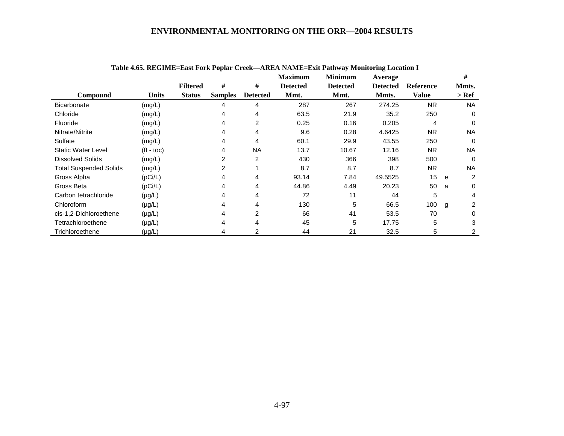|                               | Table 4.65. REGIME=East Fork Poplar Creek—AREA NAME=Exit Pathway Monitoring Location I |                 |                |                 |                 |                 |                 |                  |   |           |  |  |  |
|-------------------------------|----------------------------------------------------------------------------------------|-----------------|----------------|-----------------|-----------------|-----------------|-----------------|------------------|---|-----------|--|--|--|
|                               |                                                                                        |                 |                |                 | <b>Maximum</b>  | <b>Minimum</b>  | Average         |                  |   | #         |  |  |  |
|                               |                                                                                        | <b>Filtered</b> | #              | #               | <b>Detected</b> | <b>Detected</b> | <b>Detected</b> | <b>Reference</b> |   | Mmts.     |  |  |  |
| Compound                      | <b>Units</b>                                                                           | <b>Status</b>   | <b>Samples</b> | <b>Detected</b> | Mmt.            | Mmt.            | Mmts.           | <b>Value</b>     |   | $>$ Ref   |  |  |  |
| <b>Bicarbonate</b>            | (mg/L)                                                                                 |                 | 4              | 4               | 287             | 267             | 274.25          | <b>NR</b>        |   | NA.       |  |  |  |
| Chloride                      | (mg/L)                                                                                 |                 | 4              | 4               | 63.5            | 21.9            | 35.2            | 250              |   | $\Omega$  |  |  |  |
| Fluoride                      | (mg/L)                                                                                 |                 | 4              | $\overline{2}$  | 0.25            | 0.16            | 0.205           | 4                |   | $\Omega$  |  |  |  |
| Nitrate/Nitrite               | (mg/L)                                                                                 |                 | 4              | 4               | 9.6             | 0.28            | 4.6425          | <b>NR</b>        |   | NA        |  |  |  |
| Sulfate                       | (mg/L)                                                                                 |                 | 4              | 4               | 60.1            | 29.9            | 43.55           | 250              |   | $\Omega$  |  |  |  |
| <b>Static Water Level</b>     | $(tt - toc)$                                                                           |                 | 4              | <b>NA</b>       | 13.7            | 10.67           | 12.16           | NR.              |   | <b>NA</b> |  |  |  |
| <b>Dissolved Solids</b>       | (mg/L)                                                                                 |                 | 2              | $\overline{2}$  | 430             | 366             | 398             | 500              |   | $\Omega$  |  |  |  |
| <b>Total Suspended Solids</b> | (mg/L)                                                                                 |                 | 2              |                 | 8.7             | 8.7             | 8.7             | <b>NR</b>        |   | <b>NA</b> |  |  |  |
| Gross Alpha                   | (pCi/L)                                                                                |                 | 4              | 4               | 93.14           | 7.84            | 49.5525         | 15               | e | 2         |  |  |  |
| Gross Beta                    | (pCi/L)                                                                                |                 | 4              | 4               | 44.86           | 4.49            | 20.23           | 50               | a | $\Omega$  |  |  |  |
| Carbon tetrachloride          | $(\mu g/L)$                                                                            |                 | 4              | 4               | 72              | 11              | 44              | 5                |   | 4         |  |  |  |
| Chloroform                    | $(\mu g/L)$                                                                            |                 | 4              | 4               | 130             | 5               | 66.5            | 100              | g | 2         |  |  |  |
| cis-1,2-Dichloroethene        | $(\mu g/L)$                                                                            |                 | 4              | 2               | 66              | 41              | 53.5            | 70               |   | 0         |  |  |  |
| Tetrachloroethene             | $(\mu g/L)$                                                                            |                 | 4              | 4               | 45              | 5               | 17.75           | 5                |   | 3         |  |  |  |
| Trichloroethene               | $(\mu g/L)$                                                                            |                 | 4              | 2               | 44              | 21              | 32.5            | 5                |   |           |  |  |  |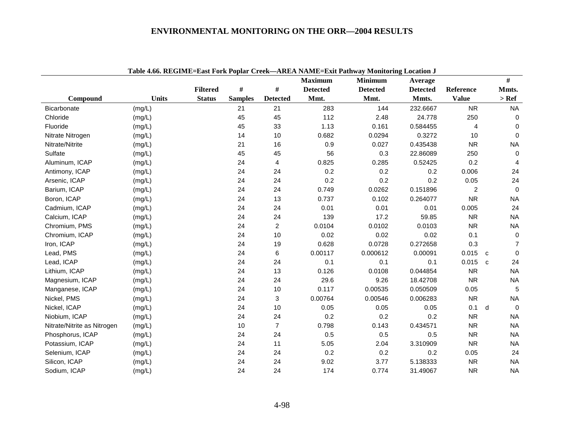|                             |              |                 |                |                 |                 | Table 4.66. REGIME=East Fork Poplar Creek-AREA NAME=Exit Pathway Monitoring Location J |                 |                |                   |
|-----------------------------|--------------|-----------------|----------------|-----------------|-----------------|----------------------------------------------------------------------------------------|-----------------|----------------|-------------------|
|                             |              |                 |                |                 | <b>Maximum</b>  | <b>Minimum</b>                                                                         | Average         |                | #                 |
|                             |              | <b>Filtered</b> | #              | $\#$            | <b>Detected</b> | <b>Detected</b>                                                                        | <b>Detected</b> | Reference      | Mmts.             |
| Compound                    | <b>Units</b> | <b>Status</b>   | <b>Samples</b> | <b>Detected</b> | Mmt.            | Mmt.                                                                                   | Mmts.           | <b>Value</b>   | $>$ Ref           |
| Bicarbonate                 | (mg/L)       |                 | 21             | 21              | 283             | 144                                                                                    | 232.6667        | <b>NR</b>      | <b>NA</b>         |
| Chloride                    | (mg/L)       |                 | 45             | 45              | 112             | 2.48                                                                                   | 24.778          | 250            | $\mathbf 0$       |
| Fluoride                    | (mg/L)       |                 | 45             | 33              | 1.13            | 0.161                                                                                  | 0.584455        | $\overline{4}$ | $\mathbf 0$       |
| Nitrate Nitrogen            | (mg/L)       |                 | 14             | 10              | 0.682           | 0.0294                                                                                 | 0.3272          | 10             | $\mathbf 0$       |
| Nitrate/Nitrite             | (mg/L)       |                 | 21             | 16              | 0.9             | 0.027                                                                                  | 0.435438        | <b>NR</b>      | <b>NA</b>         |
| Sulfate                     | (mg/L)       |                 | 45             | 45              | 56              | 0.3                                                                                    | 22.86089        | 250            | $\mathbf 0$       |
| Aluminum, ICAP              | (mg/L)       |                 | 24             | 4               | 0.825           | 0.285                                                                                  | 0.52425         | 0.2            | 4                 |
| Antimony, ICAP              | (mg/L)       |                 | 24             | 24              | 0.2             | 0.2                                                                                    | 0.2             | 0.006          | 24                |
| Arsenic, ICAP               | (mg/L)       |                 | 24             | 24              | 0.2             | 0.2                                                                                    | 0.2             | 0.05           | 24                |
| Barium, ICAP                | (mg/L)       |                 | 24             | 24              | 0.749           | 0.0262                                                                                 | 0.151896        | $\overline{2}$ | $\mathbf 0$       |
| Boron, ICAP                 | (mg/L)       |                 | 24             | 13              | 0.737           | 0.102                                                                                  | 0.264077        | <b>NR</b>      | <b>NA</b>         |
| Cadmium, ICAP               | (mg/L)       |                 | 24             | 24              | 0.01            | 0.01                                                                                   | 0.01            | 0.005          | 24                |
| Calcium, ICAP               | (mg/L)       |                 | 24             | 24              | 139             | 17.2                                                                                   | 59.85           | ${\sf NR}$     | <b>NA</b>         |
| Chromium, PMS               | (mg/L)       |                 | 24             | $\overline{2}$  | 0.0104          | 0.0102                                                                                 | 0.0103          | <b>NR</b>      | <b>NA</b>         |
| Chromium, ICAP              | (mg/L)       |                 | 24             | 10              | 0.02            | 0.02                                                                                   | 0.02            | 0.1            | $\mathbf 0$       |
| Iron, ICAP                  | (mg/L)       |                 | 24             | 19              | 0.628           | 0.0728                                                                                 | 0.272658        | 0.3            | $\overline{7}$    |
| Lead, PMS                   | (mg/L)       |                 | 24             | 6               | 0.00117         | 0.000612                                                                               | 0.00091         | 0.015          | 0<br>C            |
| Lead, ICAP                  | (mg/L)       |                 | 24             | 24              | 0.1             | 0.1                                                                                    | 0.1             | 0.015          | 24<br>$\mathbf c$ |
| Lithium, ICAP               | (mg/L)       |                 | 24             | 13              | 0.126           | 0.0108                                                                                 | 0.044854        | <b>NR</b>      | <b>NA</b>         |
| Magnesium, ICAP             | (mg/L)       |                 | 24             | 24              | 29.6            | 9.26                                                                                   | 18.42708        | <b>NR</b>      | <b>NA</b>         |
| Manganese, ICAP             | (mg/L)       |                 | 24             | 10              | 0.117           | 0.00535                                                                                | 0.050509        | 0.05           | 5                 |
| Nickel, PMS                 | (mg/L)       |                 | 24             | 3               | 0.00764         | 0.00546                                                                                | 0.006283        | <b>NR</b>      | <b>NA</b>         |
| Nickel, ICAP                | (mg/L)       |                 | 24             | 10              | 0.05            | 0.05                                                                                   | 0.05            | 0.1            | $\mathbf 0$<br>d  |
| Niobium, ICAP               | (mg/L)       |                 | 24             | 24              | 0.2             | 0.2                                                                                    | 0.2             | <b>NR</b>      | <b>NA</b>         |
| Nitrate/Nitrite as Nitrogen | (mg/L)       |                 | $10$           | $\overline{7}$  | 0.798           | 0.143                                                                                  | 0.434571        | <b>NR</b>      | <b>NA</b>         |
| Phosphorus, ICAP            | (mg/L)       |                 | 24             | 24              | 0.5             | 0.5                                                                                    | 0.5             | <b>NR</b>      | <b>NA</b>         |
| Potassium, ICAP             | (mg/L)       |                 | 24             | 11              | 5.05            | 2.04                                                                                   | 3.310909        | <b>NR</b>      | <b>NA</b>         |
| Selenium, ICAP              | (mg/L)       |                 | 24             | 24              | 0.2             | 0.2                                                                                    | 0.2             | 0.05           | 24                |
| Silicon, ICAP               | (mg/L)       |                 | 24             | 24              | 9.02            | 3.77                                                                                   | 5.138333        | <b>NR</b>      | <b>NA</b>         |
| Sodium, ICAP                | (mg/L)       |                 | 24             | 24              | 174             | 0.774                                                                                  | 31.49067        | <b>NR</b>      | <b>NA</b>         |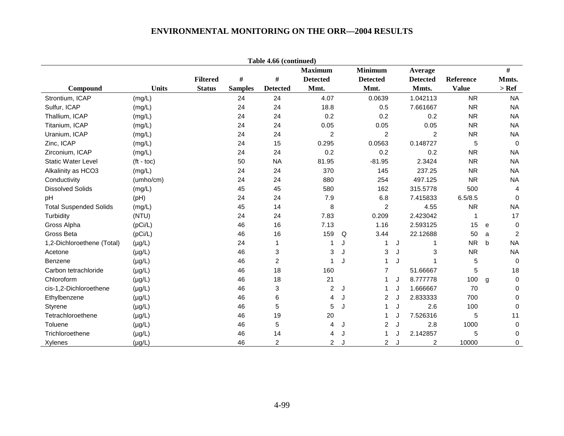|                               |                    |                 |                | Table 4.66 (continued) |                 |   |                 |   |                 |              |   |                |
|-------------------------------|--------------------|-----------------|----------------|------------------------|-----------------|---|-----------------|---|-----------------|--------------|---|----------------|
|                               |                    |                 |                |                        | <b>Maximum</b>  |   | <b>Minimum</b>  |   | Average         |              |   | #              |
|                               |                    | <b>Filtered</b> | #              | #                      | <b>Detected</b> |   | <b>Detected</b> |   | <b>Detected</b> | Reference    |   | Mmts.          |
| Compound                      | <b>Units</b>       | <b>Status</b>   | <b>Samples</b> | <b>Detected</b>        | Mmt.            |   | Mmt.            |   | Mmts.           | <b>Value</b> |   | $>$ Ref        |
| Strontium, ICAP               | (mg/L)             |                 | 24             | 24                     | 4.07            |   | 0.0639          |   | 1.042113        | <b>NR</b>    |   | <b>NA</b>      |
| Sulfur, ICAP                  | (mg/L)             |                 | 24             | 24                     | 18.8            |   | 0.5             |   | 7.661667        | <b>NR</b>    |   | <b>NA</b>      |
| Thallium, ICAP                | (mg/L)             |                 | 24             | 24                     | 0.2             |   | 0.2             |   | 0.2             | <b>NR</b>    |   | <b>NA</b>      |
| Titanium, ICAP                | (mg/L)             |                 | 24             | 24                     | 0.05            |   | 0.05            |   | 0.05            | <b>NR</b>    |   | <b>NA</b>      |
| Uranium, ICAP                 | (mg/L)             |                 | 24             | 24                     | $\overline{2}$  |   | $\overline{2}$  |   | 2               | <b>NR</b>    |   | <b>NA</b>      |
| Zinc, ICAP                    | (mg/L)             |                 | 24             | 15                     | 0.295           |   | 0.0563          |   | 0.148727        | 5            |   | $\mathbf 0$    |
| Zirconium, ICAP               | (mg/L)             |                 | 24             | 24                     | 0.2             |   | 0.2             |   | 0.2             | <b>NR</b>    |   | <b>NA</b>      |
| <b>Static Water Level</b>     | $(t - \text{toc})$ |                 | 50             | <b>NA</b>              | 81.95           |   | $-81.95$        |   | 2.3424          | <b>NR</b>    |   | <b>NA</b>      |
| Alkalinity as HCO3            | (mg/L)             |                 | 24             | 24                     | 370             |   | 145             |   | 237.25          | <b>NR</b>    |   | <b>NA</b>      |
| Conductivity                  | (umho/cm)          |                 | 24             | 24                     | 880             |   | 254             |   | 497.125         | <b>NR</b>    |   | <b>NA</b>      |
| <b>Dissolved Solids</b>       | (mg/L)             |                 | 45             | 45                     | 580             |   | 162             |   | 315.5778        | 500          |   | $\overline{4}$ |
| рH                            | (Hq)               |                 | 24             | 24                     | 7.9             |   | 6.8             |   | 7.415833        | 6.5/8.5      |   | $\mathbf 0$    |
| <b>Total Suspended Solids</b> | (mg/L)             |                 | 45             | 14                     | 8               |   | $\overline{2}$  |   | 4.55            | <b>NR</b>    |   | <b>NA</b>      |
| Turbidity                     | (NTU)              |                 | 24             | 24                     | 7.83            |   | 0.209           |   | 2.423042        | 1            |   | 17             |
| Gross Alpha                   | (pCi/L)            |                 | 46             | 16                     | 7.13            |   | 1.16            |   | 2.593125        | 15           | e | $\mathbf 0$    |
| Gross Beta                    | (pCi/L)            |                 | 46             | 16                     | 159             | Q | 3.44            |   | 22.12688        | 50           | a | 2              |
| 1,2-Dichloroethene (Total)    | $(\mu g/L)$        |                 | 24             | 1                      | 1               | J | 1               | J | 1               | <b>NR</b>    | b | <b>NA</b>      |
| Acetone                       | $(\mu g/L)$        |                 | 46             | 3                      | 3               | J | 3               | J | 3               | <b>NR</b>    |   | <b>NA</b>      |
| Benzene                       | $(\mu g/L)$        |                 | 46             | $\overline{c}$         | 1               |   | 1               | J | 1               | 5            |   | $\mathbf 0$    |
| Carbon tetrachloride          | $(\mu g/L)$        |                 | 46             | 18                     | 160             |   | $\overline{7}$  |   | 51.66667        | 5            |   | 18             |
| Chloroform                    | $(\mu g/L)$        |                 | 46             | 18                     | 21              |   | 1               | J | 8.777778        | 100          | g | $\mathbf 0$    |
| cis-1,2-Dichloroethene        | $(\mu g/L)$        |                 | 46             | 3                      | $\overline{c}$  | J | 1               | J | 1.666667        | 70           |   | $\mathbf 0$    |
| Ethylbenzene                  | $(\mu g/L)$        |                 | 46             | 6                      | 4               | J | $\overline{2}$  | J | 2.833333        | 700          |   | $\mathbf 0$    |
| Styrene                       | $(\mu g/L)$        |                 | 46             | 5                      | 5               |   |                 | J | 2.6             | 100          |   | 0              |
| Tetrachloroethene             | $(\mu g/L)$        |                 | 46             | 19                     | 20              |   |                 | J | 7.526316        | 5            |   | 11             |
| Toluene                       | $(\mu g/L)$        |                 | 46             | 5                      | 4               | J | $\overline{2}$  | J | 2.8             | 1000         |   | $\mathbf 0$    |
| Trichloroethene               | $(\mu g/L)$        |                 | 46             | 14                     | 4               |   | 1               |   | 2.142857        | 5            |   | 0              |
| Xylenes                       | $(\mu g/L)$        |                 | 46             | $\overline{2}$         | $\overline{2}$  |   | $\overline{2}$  |   | $\overline{c}$  | 10000        |   | 0              |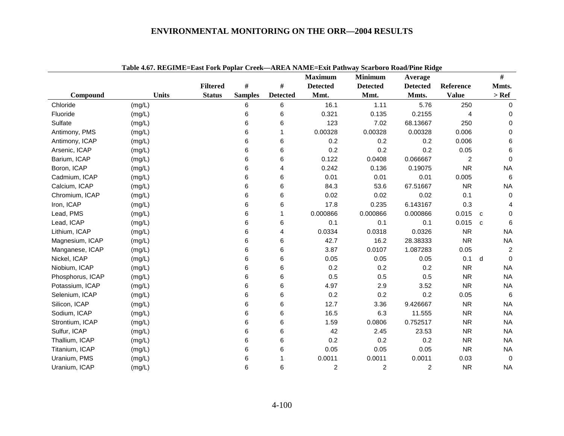|                  | Table 4.07. Reglivill-last Fulk I uplat Creek—AREA IVAMIC-lait I athway Scarburu Ruau/I life Riuge |                 |                |                 | <b>Maximum</b>  | <b>Minimum</b>  | Average         |                |   | $\#$           |
|------------------|----------------------------------------------------------------------------------------------------|-----------------|----------------|-----------------|-----------------|-----------------|-----------------|----------------|---|----------------|
|                  |                                                                                                    | <b>Filtered</b> | #              | #               | <b>Detected</b> | <b>Detected</b> | <b>Detected</b> | Reference      |   | Mmts.          |
| Compound         | <b>Units</b>                                                                                       | <b>Status</b>   | <b>Samples</b> | <b>Detected</b> | Mmt.            | Mmt.            | Mmts.           | <b>Value</b>   |   | $>$ Ref        |
| Chloride         | (mg/L)                                                                                             |                 | 6              | 6               | 16.1            | 1.11            | 5.76            | 250            |   | $\Omega$       |
| Fluoride         | (mg/L)                                                                                             |                 | 6              | 6               | 0.321           | 0.135           | 0.2155          | 4              |   | 0              |
| Sulfate          | (mg/L)                                                                                             |                 | 6              | 6               | 123             | 7.02            | 68.13667        | 250            |   | $\Omega$       |
| Antimony, PMS    | (mg/L)                                                                                             |                 | 6              | 1               | 0.00328         | 0.00328         | 0.00328         | 0.006          |   | 0              |
| Antimony, ICAP   | (mg/L)                                                                                             |                 | 6              | 6               | 0.2             | 0.2             | 0.2             | 0.006          |   | 6              |
| Arsenic, ICAP    | (mg/L)                                                                                             |                 | 6              | 6               | 0.2             | 0.2             | 0.2             | 0.05           |   | 6              |
| Barium, ICAP     | (mg/L)                                                                                             |                 | 6              | 6               | 0.122           | 0.0408          | 0.066667        | $\overline{c}$ |   | $\Omega$       |
| Boron, ICAP      | (mg/L)                                                                                             |                 | 6              | 4               | 0.242           | 0.136           | 0.19075         | <b>NR</b>      |   | <b>NA</b>      |
| Cadmium, ICAP    | (mg/L)                                                                                             |                 | 6              | 6               | 0.01            | 0.01            | 0.01            | 0.005          |   | 6              |
| Calcium, ICAP    | (mg/L)                                                                                             |                 | 6              | 6               | 84.3            | 53.6            | 67.51667        | <b>NR</b>      |   | <b>NA</b>      |
| Chromium, ICAP   | (mg/L)                                                                                             |                 | 6              | 6               | 0.02            | 0.02            | 0.02            | 0.1            |   | $\mathbf 0$    |
| Iron, ICAP       | (mg/L)                                                                                             |                 | 6              | 6               | 17.8            | 0.235           | 6.143167        | 0.3            |   | 4              |
| Lead, PMS        | (mg/L)                                                                                             |                 | 6              | 1               | 0.000866        | 0.000866        | 0.000866        | 0.015          | C | 0              |
| Lead, ICAP       | (mg/L)                                                                                             |                 | 6              | 6               | 0.1             | 0.1             | 0.1             | 0.015          | C | 6              |
| Lithium, ICAP    | (mg/L)                                                                                             |                 | 6              | 4               | 0.0334          | 0.0318          | 0.0326          | <b>NR</b>      |   | <b>NA</b>      |
| Magnesium, ICAP  | (mg/L)                                                                                             |                 | 6              | 6               | 42.7            | 16.2            | 28.38333        | <b>NR</b>      |   | <b>NA</b>      |
| Manganese, ICAP  | (mg/L)                                                                                             |                 | 6              | 6               | 3.87            | 0.0107          | 1.087283        | 0.05           |   | $\overline{2}$ |
| Nickel, ICAP     | (mg/L)                                                                                             |                 | 6              | 6               | 0.05            | 0.05            | 0.05            | 0.1            | d | $\Omega$       |
| Niobium, ICAP    | (mg/L)                                                                                             |                 | 6              | 6               | 0.2             | 0.2             | 0.2             | <b>NR</b>      |   | <b>NA</b>      |
| Phosphorus, ICAP | (mg/L)                                                                                             |                 | 6              | 6               | 0.5             | 0.5             | 0.5             | <b>NR</b>      |   | <b>NA</b>      |
| Potassium, ICAP  | (mg/L)                                                                                             |                 | 6              | 6               | 4.97            | 2.9             | 3.52            | <b>NR</b>      |   | <b>NA</b>      |
| Selenium, ICAP   | (mg/L)                                                                                             |                 | 6              | 6               | 0.2             | 0.2             | 0.2             | 0.05           |   | 6              |
| Silicon, ICAP    | (mg/L)                                                                                             |                 | 6              | 6               | 12.7            | 3.36            | 9.426667        | <b>NR</b>      |   | <b>NA</b>      |
| Sodium, ICAP     | (mg/L)                                                                                             |                 | 6              | 6               | 16.5            | 6.3             | 11.555          | <b>NR</b>      |   | <b>NA</b>      |
| Strontium, ICAP  | (mg/L)                                                                                             |                 | 6              | 6               | 1.59            | 0.0806          | 0.752517        | <b>NR</b>      |   | <b>NA</b>      |
| Sulfur, ICAP     | (mg/L)                                                                                             |                 | 6              | 6               | 42              | 2.45            | 23.53           | <b>NR</b>      |   | <b>NA</b>      |
| Thallium, ICAP   | (mg/L)                                                                                             |                 | 6              | 6               | 0.2             | 0.2             | 0.2             | <b>NR</b>      |   | <b>NA</b>      |
| Titanium, ICAP   | (mg/L)                                                                                             |                 | 6              | 6               | 0.05            | 0.05            | 0.05            | <b>NR</b>      |   | <b>NA</b>      |
| Uranium, PMS     | (mg/L)                                                                                             |                 | 6              |                 | 0.0011          | 0.0011          | 0.0011          | 0.03           |   | $\Omega$       |
| Uranium, ICAP    | (mg/L)                                                                                             |                 | 6              | 6               | $\overline{c}$  | $\overline{c}$  | 2               | <b>NR</b>      |   | <b>NA</b>      |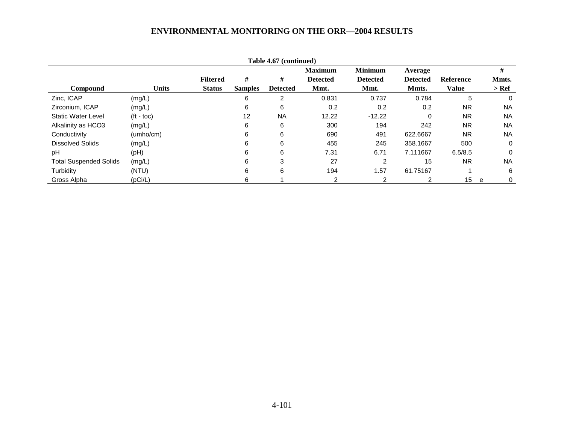| Table 4.67 (continued)        |              |                 |                |                 |                 |                 |                 |                  |           |
|-------------------------------|--------------|-----------------|----------------|-----------------|-----------------|-----------------|-----------------|------------------|-----------|
|                               |              |                 |                |                 | <b>Maximum</b>  | <b>Minimum</b>  | Average         |                  | #         |
|                               |              | <b>Filtered</b> | #              | #               | <b>Detected</b> | <b>Detected</b> | <b>Detected</b> | <b>Reference</b> | Mmts.     |
| <b>Compound</b>               | <b>Units</b> | <b>Status</b>   | <b>Samples</b> | <b>Detected</b> | Mmt.            | Mmt.            | Mmts.           | <b>Value</b>     | $>$ Ref   |
| Zinc, ICAP                    | (mg/L)       |                 | 6              | 2               | 0.831           | 0.737           | 0.784           | 5                | 0         |
| Zirconium, ICAP               | (mg/L)       |                 | 6              | 6               | 0.2             | 0.2             | 0.2             | <b>NR</b>        | <b>NA</b> |
| <b>Static Water Level</b>     | $(t - toc)$  |                 | 12             | <b>NA</b>       | 12.22           | $-12.22$        | 0               | <b>NR</b>        | <b>NA</b> |
| Alkalinity as HCO3            | (mg/L)       |                 | 6              | 6               | 300             | 194             | 242             | <b>NR</b>        | <b>NA</b> |
| Conductivity                  | (umbo/cm)    |                 | 6              | 6               | 690             | 491             | 622.6667        | <b>NR</b>        | <b>NA</b> |
| <b>Dissolved Solids</b>       | (mg/L)       |                 | 6              | 6               | 455             | 245             | 358.1667        | 500              | 0         |
| pH                            | (pH)         |                 | 6              | 6               | 7.31            | 6.71            | 7.111667        | 6.5/8.5          | 0         |
| <b>Total Suspended Solids</b> | (mg/L)       |                 | 6              | 3               | 27              | 2               | 15              | <b>NR</b>        | <b>NA</b> |
| Turbidity                     | (NTU)        |                 | 6              | 6               | 194             | 1.57            | 61.75167        |                  | 6         |
| Gross Alpha                   | (pCi/L)      |                 | 6.             |                 | 2               | $\overline{2}$  |                 | 15 <sub>1</sub>  | 0<br>e    |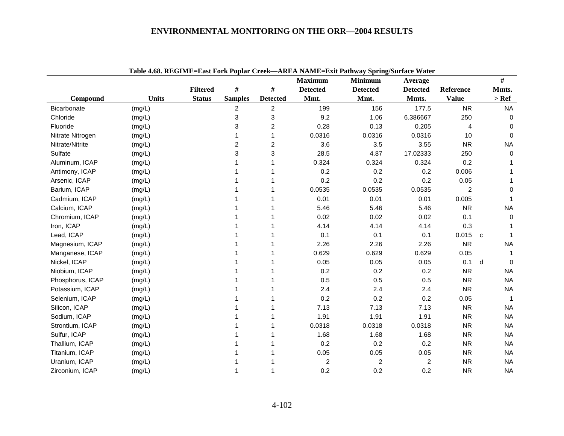|                    |              |                 |                |                 | <b>Maximum</b>  | <b>Minimum</b>          | Average                 |                | #              |
|--------------------|--------------|-----------------|----------------|-----------------|-----------------|-------------------------|-------------------------|----------------|----------------|
|                    |              | <b>Filtered</b> | #              | #               | <b>Detected</b> | <b>Detected</b>         | <b>Detected</b>         | Reference      | Mmts.          |
| Compound           | <b>Units</b> | <b>Status</b>   | <b>Samples</b> | <b>Detected</b> | Mmt.            | Mmt.                    | Mmts.                   | <b>Value</b>   | $>$ Ref        |
| <b>Bicarbonate</b> | (mg/L)       |                 | 2              | $\overline{2}$  | 199             | 156                     | 177.5                   | <b>NR</b>      | <b>NA</b>      |
| Chloride           | (mg/L)       |                 | 3              | 3               | 9.2             | 1.06                    | 6.386667                | 250            | $\mathbf 0$    |
| Fluoride           | (mg/L)       |                 | 3              | 2               | 0.28            | 0.13                    | 0.205                   | 4              | 0              |
| Nitrate Nitrogen   | (mg/L)       |                 | 1              |                 | 0.0316          | 0.0316                  | 0.0316                  | 10             | 0              |
| Nitrate/Nitrite    | (mg/L)       |                 | 2              | 2               | 3.6             | 3.5                     | 3.55                    | <b>NR</b>      | <b>NA</b>      |
| Sulfate            | (mg/L)       |                 | 3              | 3               | 28.5            | 4.87                    | 17.02333                | 250            | $\Omega$       |
| Aluminum, ICAP     | (mg/L)       |                 | 1              |                 | 0.324           | 0.324                   | 0.324                   | 0.2            |                |
| Antimony, ICAP     | (mg/L)       |                 |                |                 | 0.2             | 0.2                     | 0.2                     | 0.006          |                |
| Arsenic, ICAP      | (mg/L)       |                 |                |                 | 0.2             | 0.2                     | 0.2                     | 0.05           |                |
| Barium, ICAP       | (mg/L)       |                 |                |                 | 0.0535          | 0.0535                  | 0.0535                  | $\overline{2}$ | 0              |
| Cadmium, ICAP      | (mg/L)       |                 |                |                 | 0.01            | 0.01                    | 0.01                    | 0.005          |                |
| Calcium, ICAP      | (mg/L)       |                 |                |                 | 5.46            | 5.46                    | 5.46                    | <b>NR</b>      | <b>NA</b>      |
| Chromium, ICAP     | (mg/L)       |                 |                |                 | 0.02            | 0.02                    | 0.02                    | 0.1            | 0              |
| Iron, ICAP         | (mg/L)       |                 |                |                 | 4.14            | 4.14                    | 4.14                    | 0.3            |                |
| Lead, ICAP         | (mg/L)       |                 |                |                 | 0.1             | 0.1                     | 0.1                     | 0.015          | $\mathbf{C}$   |
| Magnesium, ICAP    | (mg/L)       |                 |                |                 | 2.26            | 2.26                    | 2.26                    | <b>NR</b>      | <b>NA</b>      |
| Manganese, ICAP    | (mg/L)       |                 |                |                 | 0.629           | 0.629                   | 0.629                   | 0.05           |                |
| Nickel, ICAP       | (mg/L)       |                 |                |                 | 0.05            | 0.05                    | 0.05                    | 0.1            | d<br>$\Omega$  |
| Niobium, ICAP      | (mg/L)       |                 |                |                 | 0.2             | 0.2                     | 0.2                     | <b>NR</b>      | <b>NA</b>      |
| Phosphorus, ICAP   | (mg/L)       |                 |                |                 | 0.5             | 0.5                     | 0.5                     | <b>NR</b>      | <b>NA</b>      |
| Potassium, ICAP    | (mg/L)       |                 |                |                 | 2.4             | 2.4                     | 2.4                     | <b>NR</b>      | <b>NA</b>      |
| Selenium, ICAP     | (mg/L)       |                 |                |                 | 0.2             | 0.2                     | 0.2                     | 0.05           | $\overline{1}$ |
| Silicon, ICAP      | (mg/L)       |                 |                |                 | 7.13            | 7.13                    | 7.13                    | <b>NR</b>      | <b>NA</b>      |
| Sodium, ICAP       | (mg/L)       |                 |                |                 | 1.91            | 1.91                    | 1.91                    | <b>NR</b>      | <b>NA</b>      |
| Strontium, ICAP    | (mg/L)       |                 |                |                 | 0.0318          | 0.0318                  | 0.0318                  | <b>NR</b>      | <b>NA</b>      |
| Sulfur, ICAP       | (mg/L)       |                 |                |                 | 1.68            | 1.68                    | 1.68                    | <b>NR</b>      | <b>NA</b>      |
| Thallium, ICAP     | (mg/L)       |                 |                |                 | 0.2             | 0.2                     | 0.2                     | <b>NR</b>      | <b>NA</b>      |
| Titanium, ICAP     | (mg/L)       |                 |                |                 | 0.05            | 0.05                    | 0.05                    | <b>NR</b>      | <b>NA</b>      |
| Uranium, ICAP      | (mg/L)       |                 |                |                 | $\overline{c}$  | $\overline{\mathbf{c}}$ | $\overline{\mathbf{c}}$ | <b>NR</b>      | <b>NA</b>      |
| Zirconium, ICAP    | (mg/L)       |                 |                |                 | 0.2             | 0.2                     | 0.2                     | <b>NR</b>      | <b>NA</b>      |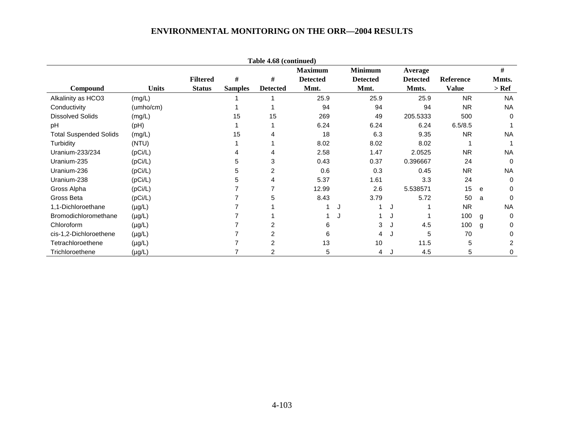|                               |              |                 |                | Table 4.68 (continued) |                 |   |                 |                 |              |   |           |
|-------------------------------|--------------|-----------------|----------------|------------------------|-----------------|---|-----------------|-----------------|--------------|---|-----------|
|                               |              |                 |                |                        | <b>Maximum</b>  |   | <b>Minimum</b>  | Average         |              |   | #         |
|                               |              | <b>Filtered</b> | #              | #                      | <b>Detected</b> |   | <b>Detected</b> | <b>Detected</b> | Reference    |   | Mmts.     |
| Compound                      | <b>Units</b> | <b>Status</b>   | <b>Samples</b> | <b>Detected</b>        | Mmt.            |   | Mmt.            | Mmts.           | <b>Value</b> |   | $>$ Ref   |
| Alkalinity as HCO3            | (mg/L)       |                 |                |                        | 25.9            |   | 25.9            | 25.9            | <b>NR</b>    |   | <b>NA</b> |
| Conductivity                  | (umho/cm)    |                 |                |                        | 94              |   | 94              | 94              | <b>NR</b>    |   | <b>NA</b> |
| <b>Dissolved Solids</b>       | (mg/L)       |                 | 15             | 15                     | 269             |   | 49              | 205.5333        | 500          |   | 0         |
| pH                            | (Hq)         |                 |                |                        | 6.24            |   | 6.24            | 6.24            | 6.5/8.5      |   |           |
| <b>Total Suspended Solids</b> | (mg/L)       |                 | 15             | 4                      | 18              |   | 6.3             | 9.35            | <b>NR</b>    |   | <b>NA</b> |
| Turbidity                     | (NTU)        |                 |                |                        | 8.02            |   | 8.02            | 8.02            |              |   |           |
| Uranium-233/234               | (pCi/L)      |                 |                | 4                      | 2.58            |   | 1.47            | 2.0525          | <b>NR</b>    |   | <b>NA</b> |
| Uranium-235                   | (pCi/L)      |                 | 5              | 3                      | 0.43            |   | 0.37            | 0.396667        | 24           |   | $\Omega$  |
| Uranium-236                   | (pCi/L)      |                 | 5              | 2                      | 0.6             |   | 0.3             | 0.45            | NR.          |   | <b>NA</b> |
| Uranium-238                   | (pCi/L)      |                 | 5              | 4                      | 5.37            |   | 1.61            | 3.3             | 24           |   | 0         |
| Gross Alpha                   | (pCi/L)      |                 |                |                        | 12.99           |   | 2.6             | 5.538571        | 15           | e | 0         |
| Gross Beta                    | (pCi/L)      |                 |                | 5                      | 8.43            |   | 3.79            | 5.72            | 50           | a | 0         |
| 1,1-Dichloroethane            | $(\mu g/L)$  |                 |                |                        |                 | J |                 |                 | <b>NR</b>    |   | <b>NA</b> |
| Bromodichloromethane          | $(\mu g/L)$  |                 |                |                        |                 | J |                 |                 | 100          | g | 0         |
| Chloroform                    | $(\mu g/L)$  |                 |                |                        | 6               |   | 3               | 4.5             | 100          | g | 0         |
| cis-1,2-Dichloroethene        | $(\mu g/L)$  |                 |                | 2                      | 6               |   | 4               | 5               | 70           |   | ი         |
| Tetrachloroethene             | $(\mu g/L)$  |                 |                | 2                      | 13              |   | 10              | 11.5            | 5            |   | 2         |
| Trichloroethene               | $(\mu g/L)$  |                 |                | 2                      | 5               |   | 4               | 4.5             | 5            |   | 0         |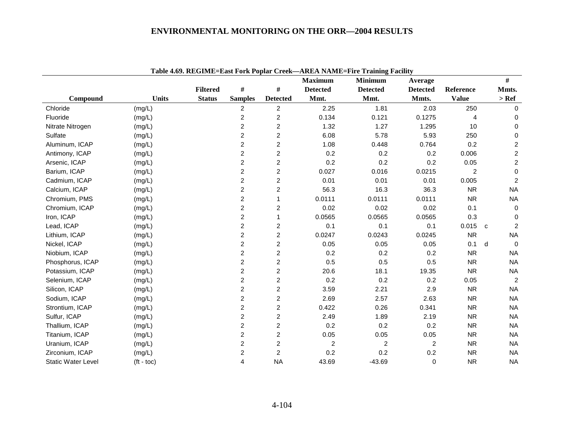|                           |                    | <b>Filtered</b> | #                       | #                       | <b>Maximum</b><br><b>Detected</b> | <b>Minimum</b><br><b>Detected</b> | Average<br><b>Detected</b> | Reference      | $\#$<br>Mmts.                  |
|---------------------------|--------------------|-----------------|-------------------------|-------------------------|-----------------------------------|-----------------------------------|----------------------------|----------------|--------------------------------|
| Compound                  | <b>Units</b>       | <b>Status</b>   | <b>Samples</b>          | <b>Detected</b>         | Mmt.                              | Mmt.                              | Mmts.                      | <b>Value</b>   | $>$ Ref                        |
| Chloride                  | (mg/L)             |                 | $\overline{c}$          | 2                       | 2.25                              | 1.81                              | 2.03                       | 250            | $\Omega$                       |
| Fluoride                  | (mg/L)             |                 | $\overline{c}$          | $\overline{2}$          | 0.134                             | 0.121                             | 0.1275                     | $\overline{4}$ | $\mathbf 0$                    |
| Nitrate Nitrogen          | (mg/L)             |                 | $\boldsymbol{2}$        | $\overline{c}$          | 1.32                              | 1.27                              | 1.295                      | 10             | $\mathbf 0$                    |
| Sulfate                   | (mg/L)             |                 | $\overline{c}$          | $\overline{2}$          | 6.08                              | 5.78                              | 5.93                       | 250            | $\mathbf 0$                    |
| Aluminum, ICAP            | (mg/L)             |                 | $\overline{c}$          | $\overline{2}$          | 1.08                              | 0.448                             | 0.764                      | 0.2            | $\boldsymbol{2}$               |
| Antimony, ICAP            | (mg/L)             |                 | 2                       | $\overline{\mathbf{c}}$ | 0.2                               | 0.2                               | 0.2                        | 0.006          | $\overline{c}$                 |
| Arsenic, ICAP             | (mg/L)             |                 | $\overline{c}$          | $\overline{c}$          | 0.2                               | 0.2                               | 0.2                        | 0.05           | $\boldsymbol{2}$               |
| Barium, ICAP              | (mg/L)             |                 | $\overline{c}$          | $\overline{2}$          | 0.027                             | 0.016                             | 0.0215                     | 2              | $\mathbf 0$                    |
| Cadmium, ICAP             | (mg/L)             |                 | $\overline{c}$          | $\overline{a}$          | 0.01                              | 0.01                              | 0.01                       | 0.005          | $\overline{c}$                 |
| Calcium, ICAP             | (mg/L)             |                 | $\overline{c}$          | $\overline{c}$          | 56.3                              | 16.3                              | 36.3                       | <b>NR</b>      | <b>NA</b>                      |
| Chromium, PMS             | (mg/L)             |                 | 2                       | 1                       | 0.0111                            | 0.0111                            | 0.0111                     | <b>NR</b>      | <b>NA</b>                      |
| Chromium, ICAP            | (mg/L)             |                 | $\overline{c}$          | $\overline{\mathbf{c}}$ | 0.02                              | 0.02                              | 0.02                       | 0.1            | 0                              |
| Iron, ICAP                | (mg/L)             |                 | $\boldsymbol{2}$        |                         | 0.0565                            | 0.0565                            | 0.0565                     | 0.3            | $\mathbf 0$                    |
| Lead, ICAP                | (mg/L)             |                 | $\overline{c}$          | $\overline{2}$          | 0.1                               | 0.1                               | 0.1                        | 0.015          | $\overline{2}$<br>$\mathbf{C}$ |
| Lithium, ICAP             | (mg/L)             |                 | $\overline{2}$          | $\overline{2}$          | 0.0247                            | 0.0243                            | 0.0245                     | <b>NR</b>      | <b>NA</b>                      |
| Nickel, ICAP              | (mg/L)             |                 | $\overline{c}$          | $\overline{c}$          | 0.05                              | 0.05                              | 0.05                       | 0.1            | d<br>$\Omega$                  |
| Niobium, ICAP             | (mg/L)             |                 | 2                       | $\overline{a}$          | 0.2                               | 0.2                               | 0.2                        | <b>NR</b>      | <b>NA</b>                      |
| Phosphorus, ICAP          | (mg/L)             |                 | $\overline{c}$          | $\overline{c}$          | 0.5                               | 0.5                               | 0.5                        | <b>NR</b>      | <b>NA</b>                      |
| Potassium, ICAP           | (mg/L)             |                 | $\overline{c}$          | $\overline{c}$          | 20.6                              | 18.1                              | 19.35                      | <b>NR</b>      | <b>NA</b>                      |
| Selenium, ICAP            | (mg/L)             |                 | $\overline{c}$          | $\overline{a}$          | 0.2                               | 0.2                               | 0.2                        | 0.05           | $\overline{c}$                 |
| Silicon, ICAP             | (mg/L)             |                 | $\overline{c}$          | $\overline{c}$          | 3.59                              | 2.21                              | 2.9                        | <b>NR</b>      | <b>NA</b>                      |
| Sodium, ICAP              | (mg/L)             |                 | $\boldsymbol{2}$        | $\overline{c}$          | 2.69                              | 2.57                              | 2.63                       | <b>NR</b>      | <b>NA</b>                      |
| Strontium, ICAP           | (mg/L)             |                 | $\overline{c}$          | $\overline{c}$          | 0.422                             | 0.26                              | 0.341                      | <b>NR</b>      | <b>NA</b>                      |
| Sulfur, ICAP              | (mg/L)             |                 | $\overline{c}$          | $\overline{2}$          | 2.49                              | 1.89                              | 2.19                       | <b>NR</b>      | <b>NA</b>                      |
| Thallium, ICAP            | (mg/L)             |                 | $\overline{c}$          | $\overline{c}$          | 0.2                               | 0.2                               | 0.2                        | <b>NR</b>      | <b>NA</b>                      |
| Titanium, ICAP            | (mg/L)             |                 | 2                       | $\overline{c}$          | 0.05                              | 0.05                              | 0.05                       | <b>NR</b>      | <b>NA</b>                      |
| Uranium, ICAP             | (mg/L)             |                 | $\overline{2}$          | $\overline{2}$          | 2                                 | 2                                 | 2                          | <b>NR</b>      | <b>NA</b>                      |
| Zirconium, ICAP           | (mg/L)             |                 | $\overline{\mathbf{c}}$ | $\overline{\mathbf{c}}$ | 0.2                               | 0.2                               | 0.2                        | <b>NR</b>      | <b>NA</b>                      |
| <b>Static Water Level</b> | $(t - \text{toc})$ |                 | 4                       | <b>NA</b>               | 43.69                             | $-43.69$                          | 0                          | <b>NR</b>      | <b>NA</b>                      |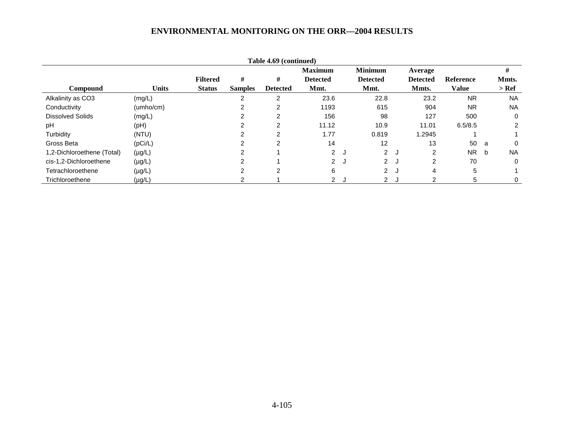|                            |              |                 |                | Table 4.69 (continued) |                 |   |                   |     |                 |                  |   |                |
|----------------------------|--------------|-----------------|----------------|------------------------|-----------------|---|-------------------|-----|-----------------|------------------|---|----------------|
|                            |              |                 |                |                        | <b>Maximum</b>  |   | <b>Minimum</b>    |     | Average         |                  |   | #              |
|                            |              | <b>Filtered</b> | #              | #                      | <b>Detected</b> |   | <b>Detected</b>   |     | <b>Detected</b> | <b>Reference</b> |   | Mmts.          |
| <b>Compound</b>            | <b>Units</b> | <b>Status</b>   | <b>Samples</b> | <b>Detected</b>        | Mmt.            |   | Mmt.              |     | Mmts.           | <b>Value</b>     |   | > Ref          |
| Alkalinity as CO3          | (mg/L)       |                 |                | 2                      | 23.6            |   | 22.8              |     | 23.2            | <b>NR</b>        |   | <b>NA</b>      |
| Conductivity               | (umbo/cm)    |                 | 2              | 2                      | 1193            |   | 615               |     | 904             | <b>NR</b>        |   | <b>NA</b>      |
| <b>Dissolved Solids</b>    | (mg/L)       |                 |                | 2                      | 156             |   | 98                |     | 127             | 500              |   | 0              |
| pH                         | (pH)         |                 |                | 2                      | 11.12           |   | 10.9              |     | 11.01           | 6.5/8.5          |   | $\overline{2}$ |
| Turbidity                  | (NTU)        |                 | ົ              | 2                      | 1.77            |   | 0.819             |     | 1.2945          |                  |   |                |
| Gross Beta                 | (pCi/L)      |                 |                | $\overline{2}$         | 14              |   | $12 \overline{ }$ |     | 13              | 50               | a | 0              |
| 1,2-Dichloroethene (Total) | $(\mu g/L)$  |                 |                |                        | 2J              |   | 2J                |     | 2               | <b>NR</b>        | b | <b>NA</b>      |
| cis-1,2-Dichloroethene     | $(\mu g/L)$  |                 |                |                        | $\overline{2}$  | J | $\overline{2}$    | ം   | $\mathcal{P}$   | 70               |   | 0              |
| Tetrachloroethene          | $(\mu g/L)$  |                 | 2              | 2                      | 6               |   | $\overline{2}$    | - 1 | 4               | 5                |   |                |
| Trichloroethene            | $(\mu g/L)$  |                 |                |                        | 2 J             |   | 2J                |     |                 | 5                |   | 0              |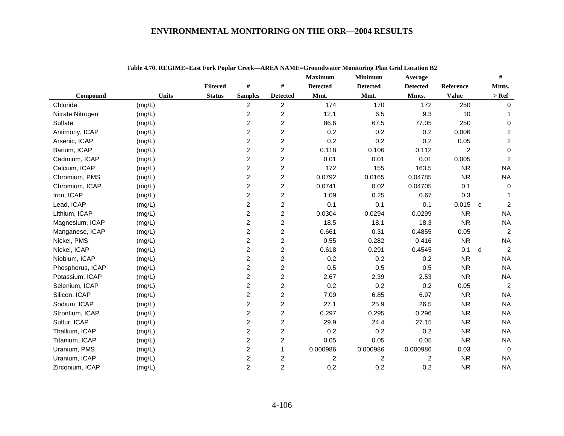|                  | Table 4.70. REGIME-EASt FOLK FORM Creek—AREA INAME-Groundwater Monitoring Flan Grid Location D2 |                 |                         |                         | <b>Maximum</b>  | <b>Minimum</b>  | Average         |                |              | #                       |
|------------------|-------------------------------------------------------------------------------------------------|-----------------|-------------------------|-------------------------|-----------------|-----------------|-----------------|----------------|--------------|-------------------------|
|                  |                                                                                                 | <b>Filtered</b> | $\#$                    | $\#$                    | <b>Detected</b> | <b>Detected</b> | <b>Detected</b> | Reference      |              | Mmts.                   |
| Compound         | <b>Units</b>                                                                                    | <b>Status</b>   | <b>Samples</b>          | <b>Detected</b>         | Mmt.            | Mmt.            | Mmts.           | <b>Value</b>   |              | $>$ Ref                 |
| Chloride         | (mg/L)                                                                                          |                 | 2                       | $\overline{c}$          | 174             | 170             | 172             | 250            |              | 0                       |
| Nitrate Nitrogen | (mg/L)                                                                                          |                 | $\overline{c}$          | $\boldsymbol{2}$        | 12.1            | 6.5             | 9.3             | 10             |              | 1                       |
| Sulfate          | (mg/L)                                                                                          |                 | $\overline{c}$          | $\overline{2}$          | 86.6            | 67.5            | 77.05           | 250            |              | 0                       |
| Antimony, ICAP   | (mg/L)                                                                                          |                 | $\overline{c}$          | $\overline{c}$          | 0.2             | 0.2             | 0.2             | 0.006          |              | $\overline{\mathbf{c}}$ |
| Arsenic, ICAP    | (mg/L)                                                                                          |                 | $\overline{\mathbf{c}}$ | $\boldsymbol{2}$        | 0.2             | 0.2             | 0.2             | 0.05           |              | $\overline{c}$          |
| Barium, ICAP     | (mg/L)                                                                                          |                 | $\overline{2}$          | $\overline{c}$          | 0.118           | 0.106           | 0.112           | $\overline{c}$ |              | $\pmb{0}$               |
| Cadmium, ICAP    | (mg/L)                                                                                          |                 | $\overline{c}$          | $\overline{c}$          | 0.01            | 0.01            | 0.01            | 0.005          |              | $\overline{c}$          |
| Calcium, ICAP    | (mg/L)                                                                                          |                 | $\overline{c}$          | $\overline{c}$          | 172             | 155             | 163.5           | <b>NR</b>      |              | <b>NA</b>               |
| Chromium, PMS    | (mg/L)                                                                                          |                 | $\overline{c}$          | $\overline{c}$          | 0.0792          | 0.0165          | 0.04785         | <b>NR</b>      |              | <b>NA</b>               |
| Chromium, ICAP   | (mg/L)                                                                                          |                 | $\overline{2}$          | $\overline{c}$          | 0.0741          | 0.02            | 0.04705         | 0.1            |              | $\mathbf 0$             |
| Iron, ICAP       | (mg/L)                                                                                          |                 | $\overline{c}$          | $\boldsymbol{2}$        | 1.09            | 0.25            | 0.67            | 0.3            |              | 1                       |
| Lead, ICAP       | (mg/L)                                                                                          |                 | $\overline{c}$          | $\overline{c}$          | 0.1             | 0.1             | 0.1             | 0.015          | $\mathbf{C}$ | $\overline{2}$          |
| Lithium, ICAP    | (mg/L)                                                                                          |                 | $\overline{c}$          | $\overline{c}$          | 0.0304          | 0.0294          | 0.0299          | <b>NR</b>      |              | <b>NA</b>               |
| Magnesium, ICAP  | (mg/L)                                                                                          |                 | $\overline{c}$          | $\overline{\mathbf{c}}$ | 18.5            | 18.1            | 18.3            | <b>NR</b>      |              | <b>NA</b>               |
| Manganese, ICAP  | (mg/L)                                                                                          |                 | $\overline{c}$          | $\boldsymbol{2}$        | 0.661           | 0.31            | 0.4855          | 0.05           |              | $\boldsymbol{2}$        |
| Nickel, PMS      | (mg/L)                                                                                          |                 | $\overline{c}$          | $\overline{c}$          | 0.55            | 0.282           | 0.416           | <b>NR</b>      |              | <b>NA</b>               |
| Nickel, ICAP     | (mg/L)                                                                                          |                 | $\boldsymbol{2}$        | $\boldsymbol{2}$        | 0.618           | 0.291           | 0.4545          | 0.1            | d            | $\overline{c}$          |
| Niobium, ICAP    | (mg/L)                                                                                          |                 | $\overline{c}$          | $\overline{c}$          | 0.2             | 0.2             | 0.2             | <b>NR</b>      |              | <b>NA</b>               |
| Phosphorus, ICAP | (mg/L)                                                                                          |                 | $\overline{c}$          | $\boldsymbol{2}$        | 0.5             | 0.5             | 0.5             | <b>NR</b>      |              | <b>NA</b>               |
| Potassium, ICAP  | (mg/L)                                                                                          |                 | $\overline{c}$          | $\overline{c}$          | 2.67            | 2.39            | 2.53            | <b>NR</b>      |              | <b>NA</b>               |
| Selenium, ICAP   | (mg/L)                                                                                          |                 | $\boldsymbol{2}$        | $\overline{c}$          | 0.2             | 0.2             | 0.2             | 0.05           |              | $\overline{c}$          |
| Silicon, ICAP    | (mg/L)                                                                                          |                 | $\overline{c}$          | $\overline{c}$          | 7.09            | 6.85            | 6.97            | <b>NR</b>      |              | <b>NA</b>               |
| Sodium, ICAP     | (mg/L)                                                                                          |                 | $\overline{2}$          | $\overline{c}$          | 27.1            | 25.9            | 26.5            | <b>NR</b>      |              | <b>NA</b>               |
| Strontium, ICAP  | (mg/L)                                                                                          |                 | $\overline{c}$          | $\overline{c}$          | 0.297           | 0.295           | 0.296           | <b>NR</b>      |              | <b>NA</b>               |
| Sulfur, ICAP     | (mg/L)                                                                                          |                 | $\boldsymbol{2}$        | $\overline{c}$          | 29.9            | 24.4            | 27.15           | <b>NR</b>      |              | <b>NA</b>               |
| Thallium, ICAP   | (mg/L)                                                                                          |                 | $\overline{c}$          | $\overline{c}$          | 0.2             | 0.2             | 0.2             | <b>NR</b>      |              | <b>NA</b>               |
| Titanium, ICAP   | (mg/L)                                                                                          |                 | $\overline{c}$          | $\overline{c}$          | 0.05            | 0.05            | 0.05            | <b>NR</b>      |              | <b>NA</b>               |
| Uranium, PMS     | (mg/L)                                                                                          |                 | $\overline{c}$          | 1                       | 0.000986        | 0.000986        | 0.000986        | 0.03           |              | $\mathbf 0$             |
| Uranium, ICAP    | (mg/L)                                                                                          |                 | $\overline{\mathbf{c}}$ | 2                       | 2               | 2               | 2               | <b>NR</b>      |              | <b>NA</b>               |
| Zirconium, ICAP  | (mg/L)                                                                                          |                 | $\overline{c}$          | $\overline{c}$          | 0.2             | 0.2             | 0.2             | <b>NR</b>      |              | <b>NA</b>               |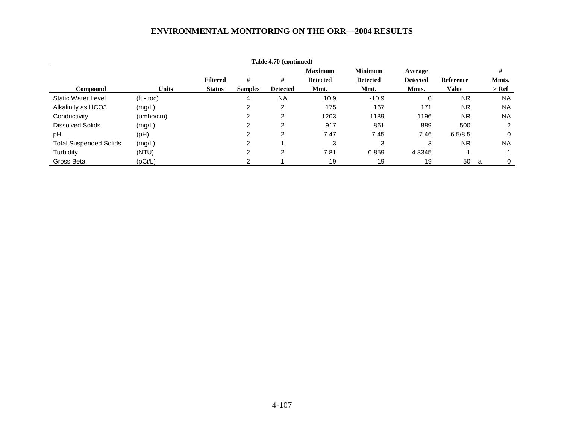|                               |                    |                 |                | Table 4.70 (continued) |                 |                 |                 |                  |           |
|-------------------------------|--------------------|-----------------|----------------|------------------------|-----------------|-----------------|-----------------|------------------|-----------|
|                               |                    |                 |                |                        | <b>Maximum</b>  | <b>Minimum</b>  | Average         |                  | #         |
|                               |                    | <b>Filtered</b> | #              | #                      | <b>Detected</b> | <b>Detected</b> | <b>Detected</b> | <b>Reference</b> | Mmts.     |
| Compound                      | <b>Units</b>       | <b>Status</b>   | <b>Samples</b> | <b>Detected</b>        | Mmt.            | Mmt.            | Mmts.           | <b>Value</b>     | $>$ Ref   |
| <b>Static Water Level</b>     | $(t - \text{toc})$ |                 | 4              | <b>NA</b>              | 10.9            | $-10.9$         | 0               | <b>NR</b>        | <b>NA</b> |
| Alkalinity as HCO3            | (mg/L)             |                 | 2              | 2                      | 175             | 167             | 171             | <b>NR</b>        | <b>NA</b> |
| Conductivity                  | (umho/cm)          |                 | 2              | 2                      | 1203            | 1189            | 1196            | <b>NR</b>        | <b>NA</b> |
| <b>Dissolved Solids</b>       | (mg/L)             |                 | າ              | 2                      | 917             | 861             | 889             | 500              | 2         |
| pH                            | (pH)               |                 | C.             | 2                      | 7.47            | 7.45            | 7.46            | 6.5/8.5          | 0         |
| <b>Total Suspended Solids</b> | (mg/L)             |                 | 2              |                        | 3               | 3               | 3               | <b>NR</b>        | <b>NA</b> |
| Turbidity                     | (NTU)              |                 | າ              | 2                      | 7.81            | 0.859           | 4.3345          |                  |           |
| Gross Beta                    | (pCi/L)            |                 | ົ              |                        | 19              | 19              | 19              | 50               | 0<br>a    |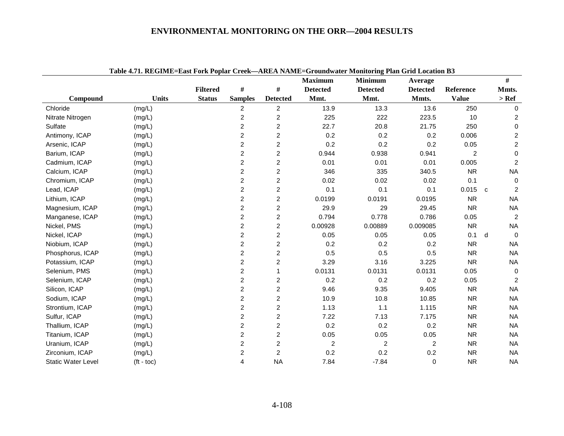|                           | Table 4.71. REGIME=East Fork Popiar Creek—AREA NAME=Groundwater Monitoring Pian Grid Location B3 |                 |                         |                         | <b>Maximum</b>  | <b>Minimum</b>  | Average         |                |             | $\#$                |
|---------------------------|--------------------------------------------------------------------------------------------------|-----------------|-------------------------|-------------------------|-----------------|-----------------|-----------------|----------------|-------------|---------------------|
|                           |                                                                                                  | <b>Filtered</b> | $\#$                    | $\#$                    | <b>Detected</b> | <b>Detected</b> | <b>Detected</b> | Reference      |             | Mmts.               |
| Compound                  | <b>Units</b>                                                                                     | <b>Status</b>   | <b>Samples</b>          | <b>Detected</b>         | Mmt.            | Mmt.            | Mmts.           | <b>Value</b>   |             | $>$ Ref             |
| Chloride                  | (mg/L)                                                                                           |                 | $\overline{c}$          | $\overline{2}$          | 13.9            | 13.3            | 13.6            | 250            |             | 0                   |
| Nitrate Nitrogen          | (mg/L)                                                                                           |                 | $\overline{c}$          | $\overline{c}$          | 225             | 222             | 223.5           | 10             |             | $\overline{c}$      |
| Sulfate                   | (mg/L)                                                                                           |                 | $\overline{c}$          | $\overline{c}$          | 22.7            | 20.8            | 21.75           | 250            |             | 0                   |
| Antimony, ICAP            | (mg/L)                                                                                           |                 | $\overline{2}$          | $\overline{c}$          | 0.2             | 0.2             | 0.2             | 0.006          |             | 2                   |
| Arsenic, ICAP             | (mg/L)                                                                                           |                 | $\overline{c}$          | $\overline{c}$          | 0.2             | 0.2             | 0.2             | 0.05           |             | $\boldsymbol{2}$    |
| Barium, ICAP              | (mg/L)                                                                                           |                 | $\overline{2}$          | $\overline{c}$          | 0.944           | 0.938           | 0.941           | $\overline{c}$ |             | $\mathsf{O}\xspace$ |
| Cadmium, ICAP             | (mg/L)                                                                                           |                 | $\overline{2}$          | $\overline{c}$          | 0.01            | 0.01            | 0.01            | 0.005          |             | $\overline{c}$      |
| Calcium, ICAP             | (mg/L)                                                                                           |                 | 2                       | 2                       | 346             | 335             | 340.5           | <b>NR</b>      |             | <b>NA</b>           |
| Chromium, ICAP            | (mg/L)                                                                                           |                 | $\overline{2}$          | $\overline{c}$          | 0.02            | 0.02            | 0.02            | 0.1            |             | 0                   |
| Lead, ICAP                | (mg/L)                                                                                           |                 | $\overline{2}$          | $\overline{2}$          | 0.1             | 0.1             | 0.1             | 0.015          | $\mathbf c$ | $\overline{c}$      |
| Lithium, ICAP             | (mg/L)                                                                                           |                 | $\overline{2}$          | $\overline{c}$          | 0.0199          | 0.0191          | 0.0195          | <b>NR</b>      |             | <b>NA</b>           |
| Magnesium, ICAP           | (mg/L)                                                                                           |                 | $\overline{c}$          | $\overline{\mathbf{c}}$ | 29.9            | 29              | 29.45           | <b>NR</b>      |             | <b>NA</b>           |
| Manganese, ICAP           | (mg/L)                                                                                           |                 | $\overline{2}$          | $\overline{c}$          | 0.794           | 0.778           | 0.786           | 0.05           |             | $\overline{2}$      |
| Nickel, PMS               | (mg/L)                                                                                           |                 | $\overline{2}$          | $\overline{c}$          | 0.00928         | 0.00889         | 0.009085        | <b>NR</b>      |             | <b>NA</b>           |
| Nickel, ICAP              | (mg/L)                                                                                           |                 | $\overline{\mathbf{c}}$ | $\overline{c}$          | 0.05            | 0.05            | 0.05            | 0.1            | d           | $\mathbf 0$         |
| Niobium, ICAP             | (mg/L)                                                                                           |                 | $\overline{2}$          | $\boldsymbol{2}$        | 0.2             | 0.2             | 0.2             | <b>NR</b>      |             | <b>NA</b>           |
| Phosphorus, ICAP          | (mg/L)                                                                                           |                 | $\overline{2}$          | $\overline{c}$          | 0.5             | 0.5             | 0.5             | <b>NR</b>      |             | <b>NA</b>           |
| Potassium, ICAP           | (mg/L)                                                                                           |                 | $\overline{\mathbf{c}}$ | 2                       | 3.29            | 3.16            | 3.225           | <b>NR</b>      |             | <b>NA</b>           |
| Selenium, PMS             | (mg/L)                                                                                           |                 | $\overline{2}$          | 1                       | 0.0131          | 0.0131          | 0.0131          | 0.05           |             | $\mathbf 0$         |
| Selenium, ICAP            | (mg/L)                                                                                           |                 | $\overline{2}$          | $\overline{c}$          | 0.2             | 0.2             | 0.2             | 0.05           |             | $\overline{2}$      |
| Silicon, ICAP             | (mg/L)                                                                                           |                 | $\overline{c}$          | $\overline{c}$          | 9.46            | 9.35            | 9.405           | <b>NR</b>      |             | <b>NA</b>           |
| Sodium, ICAP              | (mg/L)                                                                                           |                 | $\overline{c}$          | $\overline{\mathbf{c}}$ | 10.9            | 10.8            | 10.85           | <b>NR</b>      |             | <b>NA</b>           |
| Strontium, ICAP           | (mg/L)                                                                                           |                 | $\overline{2}$          | $\boldsymbol{2}$        | 1.13            | 1.1             | 1.115           | <b>NR</b>      |             | <b>NA</b>           |
| Sulfur, ICAP              | (mg/L)                                                                                           |                 | $\overline{2}$          | $\overline{c}$          | 7.22            | 7.13            | 7.175           | <b>NR</b>      |             | <b>NA</b>           |
| Thallium, ICAP            | (mg/L)                                                                                           |                 | $\overline{c}$          | 2                       | 0.2             | 0.2             | 0.2             | <b>NR</b>      |             | <b>NA</b>           |
| Titanium, ICAP            | (mg/L)                                                                                           |                 | $\overline{2}$          | $\overline{c}$          | 0.05            | 0.05            | 0.05            | <b>NR</b>      |             | <b>NA</b>           |
| Uranium, ICAP             | (mg/L)                                                                                           |                 | $\overline{2}$          | $\overline{a}$          | $\overline{2}$  | $\overline{c}$  | $\overline{2}$  | <b>NR</b>      |             | <b>NA</b>           |
| Zirconium, ICAP           | (mg/L)                                                                                           |                 | $\overline{\mathbf{c}}$ | $\overline{c}$          | 0.2             | 0.2             | 0.2             | <b>NR</b>      |             | <b>NA</b>           |
| <b>Static Water Level</b> | $({\rm ft - toc})$                                                                               |                 | 4                       | <b>NA</b>               | 7.84            | $-7.84$         | 0               | <b>NR</b>      |             | <b>NA</b>           |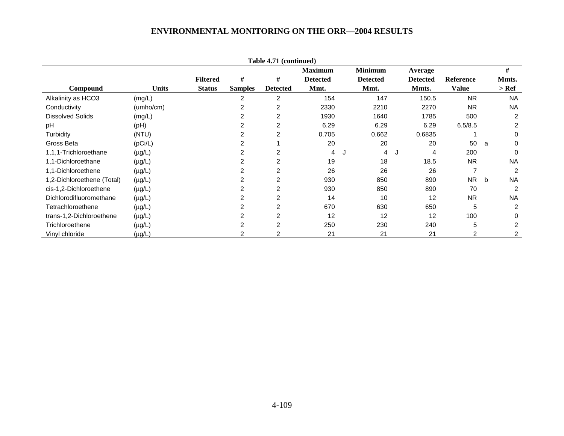|                            |              |                 |                | Table 4.71 (continued) |                 |                 |                 |              |   |                |
|----------------------------|--------------|-----------------|----------------|------------------------|-----------------|-----------------|-----------------|--------------|---|----------------|
|                            |              |                 |                |                        | <b>Maximum</b>  | <b>Minimum</b>  | Average         |              |   | #              |
|                            |              | <b>Filtered</b> | #              | #                      | <b>Detected</b> | <b>Detected</b> | <b>Detected</b> | Reference    |   | Mmts.          |
| Compound                   | <b>Units</b> | <b>Status</b>   | <b>Samples</b> | <b>Detected</b>        | Mmt.            | Mmt.            | Mmts.           | <b>Value</b> |   | > Ref          |
| Alkalinity as HCO3         | (mg/L)       |                 | 2              | 2                      | 154             | 147             | 150.5           | <b>NR</b>    |   | <b>NA</b>      |
| Conductivity               | (umho/cm)    |                 | 2              | 2                      | 2330            | 2210            | 2270            | <b>NR</b>    |   | <b>NA</b>      |
| <b>Dissolved Solids</b>    | (mg/L)       |                 | 2              | 2                      | 1930            | 1640            | 1785            | 500          |   | 2              |
| pH                         | (Hq)         |                 | 2              | $\overline{2}$         | 6.29            | 6.29            | 6.29            | 6.5/8.5      |   | 2              |
| Turbidity                  | (NTU)        |                 | 2              | 2                      | 0.705           | 0.662           | 0.6835          |              |   | 0              |
| Gross Beta                 | (pCi/L)      |                 | 2              |                        | 20              | 20              | 20              | 50           | a | 0              |
| 1,1,1-Trichloroethane      | $(\mu g/L)$  |                 | 2              | 2                      | 4               | 4               | 4<br>J          | 200          |   | 0              |
| 1,1-Dichloroethane         | $(\mu g/L)$  |                 | 2              | $\overline{2}$         | 19              | 18              | 18.5            | <b>NR</b>    |   | <b>NA</b>      |
| 1,1-Dichloroethene         | $(\mu g/L)$  |                 | 2              | 2                      | 26              | 26              | 26              | 7            |   | $\overline{2}$ |
| 1,2-Dichloroethene (Total) | $(\mu g/L)$  |                 | 2              | $\overline{2}$         | 930             | 850             | 890             | <b>NR</b>    | b | <b>NA</b>      |
| cis-1,2-Dichloroethene     | $(\mu g/L)$  |                 |                | 2                      | 930             | 850             | 890             | 70           |   | $\overline{2}$ |
| Dichlorodifluoromethane    | $(\mu g/L)$  |                 |                | 2                      | 14              | 10              | 12              | <b>NR</b>    |   | <b>NA</b>      |
| Tetrachloroethene          | $(\mu g/L)$  |                 |                | 2                      | 670             | 630             | 650             | 5            |   | 2              |
| trans-1,2-Dichloroethene   | $(\mu g/L)$  |                 |                | $\overline{2}$         | 12              | 12              | 12              | 100          |   | 0              |
| Trichloroethene            | $(\mu g/L)$  |                 | $\overline{2}$ | $\overline{2}$         | 250             | 230             | 240             | 5            |   | 2              |
| Vinyl chloride             | $(\mu g/L)$  |                 |                |                        | 21              | 21              | 21              | 2            |   | 2              |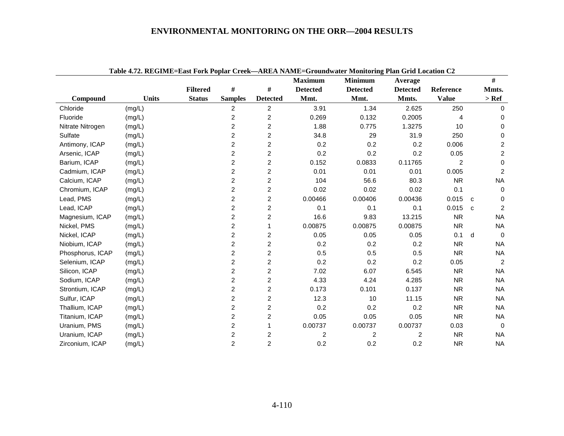|                  | Table 4.72. REGIME=East Fork Poplar Creek—AREA NAME=Groundwater Monitoring Plan Grid Location C2 |                 |                |                 |                 |                 |                         |                |              |                |
|------------------|--------------------------------------------------------------------------------------------------|-----------------|----------------|-----------------|-----------------|-----------------|-------------------------|----------------|--------------|----------------|
|                  |                                                                                                  |                 |                |                 | <b>Maximum</b>  | <b>Minimum</b>  | Average                 |                |              | #              |
|                  |                                                                                                  | <b>Filtered</b> | $\#$           | $\#$            | <b>Detected</b> | <b>Detected</b> | <b>Detected</b>         | Reference      |              | Mmts.          |
| Compound         | <b>Units</b>                                                                                     | <b>Status</b>   | <b>Samples</b> | <b>Detected</b> | Mmt.            | Mmt.            | Mmts.                   | <b>Value</b>   |              | $>$ Ref        |
| Chloride         | (mg/L)                                                                                           |                 | $\overline{2}$ | 2               | 3.91            | 1.34            | 2.625                   | 250            |              | $\Omega$       |
| Fluoride         | (mg/L)                                                                                           |                 | $\overline{c}$ | $\overline{c}$  | 0.269           | 0.132           | 0.2005                  | 4              |              | 0              |
| Nitrate Nitrogen | (mg/L)                                                                                           |                 | $\overline{c}$ | $\overline{c}$  | 1.88            | 0.775           | 1.3275                  | 10             |              | 0              |
| Sulfate          | (mg/L)                                                                                           |                 | $\overline{2}$ | $\overline{c}$  | 34.8            | 29              | 31.9                    | 250            |              | 0              |
| Antimony, ICAP   | (mg/L)                                                                                           |                 | $\overline{c}$ | $\overline{c}$  | 0.2             | 0.2             | 0.2                     | 0.006          |              | $\overline{c}$ |
| Arsenic, ICAP    | (mg/L)                                                                                           |                 | 2              | $\overline{c}$  | 0.2             | 0.2             | 0.2                     | 0.05           |              | $\overline{a}$ |
| Barium, ICAP     | (mg/L)                                                                                           |                 | $\overline{c}$ | $\overline{c}$  | 0.152           | 0.0833          | 0.11765                 | $\overline{2}$ |              | 0              |
| Cadmium, ICAP    | (mg/L)                                                                                           |                 | $\overline{c}$ | $\overline{c}$  | 0.01            | 0.01            | 0.01                    | 0.005          |              | $\overline{2}$ |
| Calcium, ICAP    | (mg/L)                                                                                           |                 | $\overline{c}$ | $\overline{c}$  | 104             | 56.6            | 80.3                    | <b>NR</b>      |              | <b>NA</b>      |
| Chromium, ICAP   | (mg/L)                                                                                           |                 | $\overline{2}$ | $\overline{2}$  | 0.02            | 0.02            | 0.02                    | 0.1            |              | $\Omega$       |
| Lead, PMS        | (mg/L)                                                                                           |                 | $\overline{c}$ | $\overline{c}$  | 0.00466         | 0.00406         | 0.00436                 | 0.015          | C.           | $\mathbf{0}$   |
| Lead, ICAP       | (mg/L)                                                                                           |                 | $\overline{c}$ | 2               | 0.1             | 0.1             | 0.1                     | 0.015          | $\mathbf{c}$ | $\overline{2}$ |
| Magnesium, ICAP  | (mg/L)                                                                                           |                 | $\overline{c}$ | $\overline{c}$  | 16.6            | 9.83            | 13.215                  | <b>NR</b>      |              | <b>NA</b>      |
| Nickel, PMS      | (mg/L)                                                                                           |                 | $\overline{c}$ | $\mathbf 1$     | 0.00875         | 0.00875         | 0.00875                 | <b>NR</b>      |              | <b>NA</b>      |
| Nickel, ICAP     | (mg/L)                                                                                           |                 | 2              | $\overline{c}$  | 0.05            | 0.05            | 0.05                    | 0.1            | d            | $\Omega$       |
| Niobium, ICAP    | (mg/L)                                                                                           |                 | $\overline{2}$ | $\overline{2}$  | 0.2             | 0.2             | 0.2                     | <b>NR</b>      |              | <b>NA</b>      |
| Phosphorus, ICAP | (mg/L)                                                                                           |                 | $\overline{c}$ | $\overline{c}$  | 0.5             | 0.5             | 0.5                     | <b>NR</b>      |              | <b>NA</b>      |
| Selenium, ICAP   | (mg/L)                                                                                           |                 | $\overline{c}$ | 2               | 0.2             | 0.2             | 0.2                     | 0.05           |              | 2              |
| Silicon, ICAP    | (mg/L)                                                                                           |                 | $\overline{2}$ | $\overline{2}$  | 7.02            | 6.07            | 6.545                   | <b>NR</b>      |              | <b>NA</b>      |
| Sodium, ICAP     | (mg/L)                                                                                           |                 | $\overline{c}$ | $\overline{c}$  | 4.33            | 4.24            | 4.285                   | <b>NR</b>      |              | <b>NA</b>      |
| Strontium, ICAP  | (mg/L)                                                                                           |                 | $\overline{2}$ | 2               | 0.173           | 0.101           | 0.137                   | <b>NR</b>      |              | NA             |
| Sulfur, ICAP     | (mg/L)                                                                                           |                 | $\overline{c}$ | $\overline{c}$  | 12.3            | 10              | 11.15                   | <b>NR</b>      |              | <b>NA</b>      |
| Thallium, ICAP   | (mg/L)                                                                                           |                 | $\overline{c}$ | $\overline{c}$  | 0.2             | 0.2             | 0.2                     | <b>NR</b>      |              | <b>NA</b>      |
| Titanium, ICAP   | (mg/L)                                                                                           |                 | 2              | $\overline{c}$  | 0.05            | 0.05            | 0.05                    | <b>NR</b>      |              | <b>NA</b>      |
| Uranium, PMS     | (mg/L)                                                                                           |                 | $\overline{c}$ |                 | 0.00737         | 0.00737         | 0.00737                 | 0.03           |              | $\Omega$       |
| Uranium, ICAP    | (mg/L)                                                                                           |                 | $\overline{c}$ | 2               | 2               | 2               | $\overline{\mathbf{c}}$ | <b>NR</b>      |              | <b>NA</b>      |
| Zirconium, ICAP  | (mg/L)                                                                                           |                 | $\overline{2}$ | $\overline{2}$  | 0.2             | 0.2             | 0.2                     | <b>NR</b>      |              | <b>NA</b>      |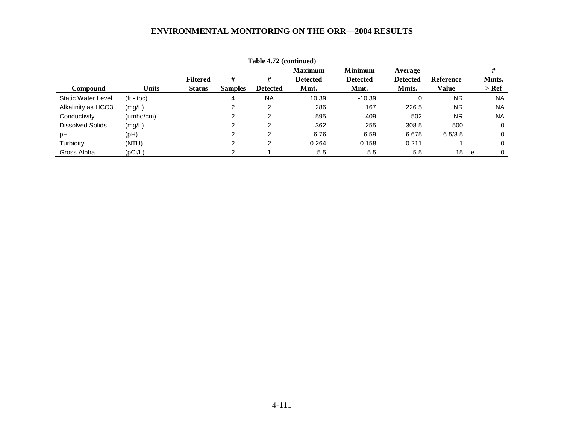|                           |                    |                 |                | Table 4.72 (continued) |                 |                 |                 |                  |           |
|---------------------------|--------------------|-----------------|----------------|------------------------|-----------------|-----------------|-----------------|------------------|-----------|
|                           |                    |                 |                |                        | <b>Maximum</b>  | <b>Minimum</b>  | Average         |                  | #         |
|                           |                    | <b>Filtered</b> | #              | #                      | <b>Detected</b> | <b>Detected</b> | <b>Detected</b> | <b>Reference</b> | Mmts.     |
| Compound                  | <b>Units</b>       | <b>Status</b>   | <b>Samples</b> | <b>Detected</b>        | Mmt.            | Mmt.            | Mmts.           | Value            | > Ref     |
| <b>Static Water Level</b> | $({\rm ft - toc})$ |                 | 4              | <b>NA</b>              | 10.39           | $-10.39$        | 0               | <b>NR</b>        | <b>NA</b> |
| Alkalinity as HCO3        | (mg/L)             |                 |                | 2                      | 286             | 167             | 226.5           | <b>NR</b>        | <b>NA</b> |
| Conductivity              | (umho/cm)          |                 | ົ              | 2                      | 595             | 409             | 502             | <b>NR</b>        | <b>NA</b> |
| <b>Dissolved Solids</b>   | (mg/L)             |                 | ⌒              | າ                      | 362             | 255             | 308.5           | 500              | $\Omega$  |
| pH                        | (PH)               |                 | っ              | 2                      | 6.76            | 6.59            | 6.675           | 6.5/8.5          | $\Omega$  |
| Turbidity                 | (NTU)              |                 | ົ              | 2                      | 0.264           | 0.158           | 0.211           |                  | 0         |
| Gross Alpha               | (pCi/L)            |                 | ⌒              |                        | 5.5             | 5.5             | 5.5             | 15               | 0<br>e    |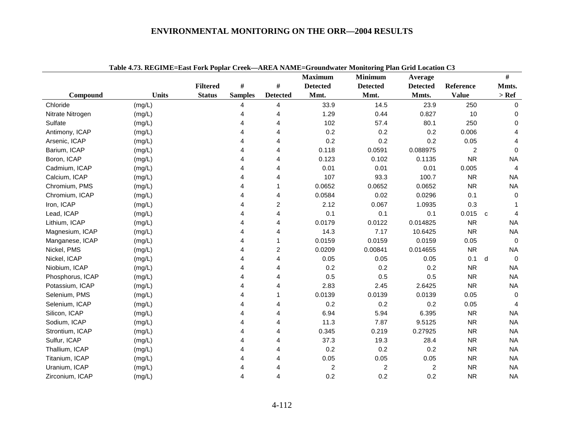|                  | Table 4.75. KEGIME=East FOFK FOPIaF CFeek—AKEA NAME=GF0undwatef Monitoring Fian Grid Location C5 |                 |                |                 | <b>Maximum</b>  | <b>Minimum</b>          | Average         |              | #                 |
|------------------|--------------------------------------------------------------------------------------------------|-----------------|----------------|-----------------|-----------------|-------------------------|-----------------|--------------|-------------------|
|                  |                                                                                                  | <b>Filtered</b> | #              | $\#$            | <b>Detected</b> | <b>Detected</b>         | <b>Detected</b> | Reference    | Mmts.             |
| Compound         | Units                                                                                            | <b>Status</b>   | <b>Samples</b> | <b>Detected</b> | Mmt.            | Mmt.                    | Mmts.           | <b>Value</b> | $>$ Ref           |
| Chloride         | (mg/L)                                                                                           |                 | 4              | 4               | 33.9            | 14.5                    | 23.9            | 250          | $\Omega$          |
| Nitrate Nitrogen | (mg/L)                                                                                           |                 |                | 4               | 1.29            | 0.44                    | 0.827           | 10           | 0                 |
| Sulfate          | (mg/L)                                                                                           |                 |                | 4               | 102             | 57.4                    | 80.1            | 250          | 0                 |
| Antimony, ICAP   | (mg/L)                                                                                           |                 | 4              | 4               | 0.2             | 0.2                     | 0.2             | 0.006        | 4                 |
| Arsenic, ICAP    | (mg/L)                                                                                           |                 | Δ              | 4               | 0.2             | 0.2                     | 0.2             | 0.05         | 4                 |
| Barium, ICAP     | (mg/L)                                                                                           |                 | Δ              | 4               | 0.118           | 0.0591                  | 0.088975        | 2            | 0                 |
| Boron, ICAP      | (mg/L)                                                                                           |                 | Δ              | 4               | 0.123           | 0.102                   | 0.1135          | <b>NR</b>    | <b>NA</b>         |
| Cadmium, ICAP    | (mg/L)                                                                                           |                 | 4              | 4               | 0.01            | 0.01                    | 0.01            | 0.005        | 4                 |
| Calcium, ICAP    | (mg/L)                                                                                           |                 | 4              | 4               | 107             | 93.3                    | 100.7           | <b>NR</b>    | <b>NA</b>         |
| Chromium, PMS    | (mg/L)                                                                                           |                 | Δ              |                 | 0.0652          | 0.0652                  | 0.0652          | <b>NR</b>    | <b>NA</b>         |
| Chromium, ICAP   | (mg/L)                                                                                           |                 | 4              | 4               | 0.0584          | 0.02                    | 0.0296          | 0.1          | $\mathbf 0$       |
| Iron, ICAP       | (mg/L)                                                                                           |                 | 4              | $\overline{c}$  | 2.12            | 0.067                   | 1.0935          | 0.3          | -1                |
| Lead, ICAP       | (mg/L)                                                                                           |                 | Δ              | 4               | 0.1             | 0.1                     | 0.1             | 0.015        | $\mathbf{c}$<br>4 |
| Lithium, ICAP    | (mg/L)                                                                                           |                 |                | 4               | 0.0179          | 0.0122                  | 0.014825        | <b>NR</b>    | <b>NA</b>         |
| Magnesium, ICAP  | (mg/L)                                                                                           |                 | 4              | 4               | 14.3            | 7.17                    | 10.6425         | <b>NR</b>    | <b>NA</b>         |
| Manganese, ICAP  | (mg/L)                                                                                           |                 | Δ              | 1               | 0.0159          | 0.0159                  | 0.0159          | 0.05         | $\Omega$          |
| Nickel, PMS      | (mg/L)                                                                                           |                 | 4              | 2               | 0.0209          | 0.00841                 | 0.014655        | <b>NR</b>    | <b>NA</b>         |
| Nickel, ICAP     | (mg/L)                                                                                           |                 | 4              | 4               | 0.05            | 0.05                    | 0.05            | 0.1          | $\mathbf 0$<br>d  |
| Niobium, ICAP    | (mg/L)                                                                                           |                 |                | 4               | 0.2             | 0.2                     | 0.2             | <b>NR</b>    | <b>NA</b>         |
| Phosphorus, ICAP | (mg/L)                                                                                           |                 | 4              | 4               | 0.5             | 0.5                     | 0.5             | <b>NR</b>    | <b>NA</b>         |
| Potassium, ICAP  | (mg/L)                                                                                           |                 | 4              | 4               | 2.83            | 2.45                    | 2.6425          | <b>NR</b>    | <b>NA</b>         |
| Selenium, PMS    | (mg/L)                                                                                           |                 | Δ              |                 | 0.0139          | 0.0139                  | 0.0139          | 0.05         | $\mathbf 0$       |
| Selenium, ICAP   | (mg/L)                                                                                           |                 | 4              | 4               | 0.2             | 0.2                     | 0.2             | 0.05         | 4                 |
| Silicon, ICAP    | (mg/L)                                                                                           |                 | Δ              | 4               | 6.94            | 5.94                    | 6.395           | <b>NR</b>    | <b>NA</b>         |
| Sodium, ICAP     | (mg/L)                                                                                           |                 |                | 4               | 11.3            | 7.87                    | 9.5125          | <b>NR</b>    | <b>NA</b>         |
| Strontium, ICAP  | (mg/L)                                                                                           |                 |                | 4               | 0.345           | 0.219                   | 0.27925         | <b>NR</b>    | <b>NA</b>         |
| Sulfur, ICAP     | (mg/L)                                                                                           |                 | 4              | 4               | 37.3            | 19.3                    | 28.4            | <b>NR</b>    | <b>NA</b>         |
| Thallium, ICAP   | (mg/L)                                                                                           |                 |                | 4               | 0.2             | 0.2                     | 0.2             | <b>NR</b>    | <b>NA</b>         |
| Titanium, ICAP   | (mg/L)                                                                                           |                 | Δ              | 4               | 0.05            | 0.05                    | 0.05            | <b>NR</b>    | <b>NA</b>         |
| Uranium, ICAP    | (mg/L)                                                                                           |                 |                | 4               | $\overline{c}$  | $\overline{\mathbf{c}}$ | $\overline{c}$  | <b>NR</b>    | <b>NA</b>         |
| Zirconium, ICAP  | (mg/L)                                                                                           |                 | 4              | 4               | 0.2             | 0.2                     | 0.2             | <b>NR</b>    | <b>NA</b>         |

**Table 4.73. REGIME=East Fork Poplar Creek—AREA NAME=Groundwater Monitoring Plan Grid Location C3**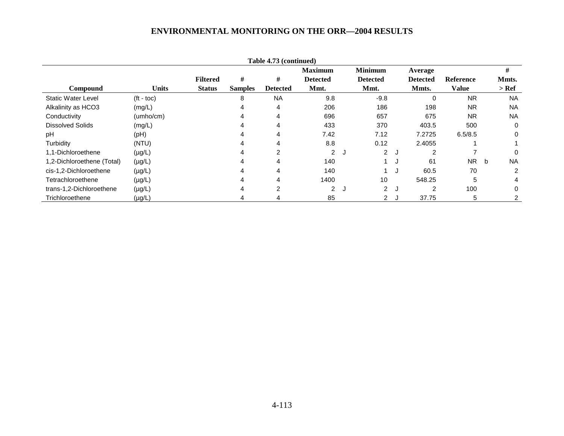|                            |                    |                 |                | Table 4.73 (continued) |                 |     |                 |   |                 |                  |   |           |
|----------------------------|--------------------|-----------------|----------------|------------------------|-----------------|-----|-----------------|---|-----------------|------------------|---|-----------|
|                            |                    |                 |                |                        | <b>Maximum</b>  |     | <b>Minimum</b>  |   | Average         |                  |   | #         |
|                            |                    | <b>Filtered</b> | #              | #                      | <b>Detected</b> |     | <b>Detected</b> |   | <b>Detected</b> | <b>Reference</b> |   | Mmts.     |
| <b>Compound</b>            | <b>Units</b>       | <b>Status</b>   | <b>Samples</b> | <b>Detected</b>        | Mmt.            |     | Mmt.            |   | Mmts.           | Value            |   | $>$ Ref   |
| <b>Static Water Level</b>  | $(t - \text{toc})$ |                 | 8              | <b>NA</b>              | 9.8             |     | $-9.8$          |   | 0               | <b>NR</b>        |   | <b>NA</b> |
| Alkalinity as HCO3         | (mg/L)             |                 |                | 4                      | 206             |     | 186             |   | 198             | <b>NR</b>        |   | <b>NA</b> |
| Conductivity               | (umbo/cm)          |                 |                | $\overline{4}$         | 696             |     | 657             |   | 675             | <b>NR</b>        |   | <b>NA</b> |
| <b>Dissolved Solids</b>    | (mg/L)             |                 |                | 4                      | 433             |     | 370             |   | 403.5           | 500              |   | $\Omega$  |
| рH                         | (pH)               |                 |                | 4                      | 7.42            |     | 7.12            |   | 7.2725          | 6.5/8.5          |   | $\Omega$  |
| Turbidity                  | (NTU)              |                 |                | 4                      | 8.8             |     | 0.12            |   | 2.4055          |                  |   |           |
| 1,1-Dichloroethene         | $(\mu g/L)$        |                 |                | $\overline{2}$         | $\overline{2}$  | ل ا | $2^{\circ}$     | J | 2               |                  |   | $\Omega$  |
| 1,2-Dichloroethene (Total) | $(\mu g/L)$        |                 |                | 4                      | 140             |     |                 | J | 61              | <b>NR</b>        | b | <b>NA</b> |
| cis-1,2-Dichloroethene     | $(\mu g/L)$        |                 |                | 4                      | 140             |     |                 | J | 60.5            | 70               |   | 2         |
| Tetrachloroethene          | $(\mu g/L)$        |                 |                | 4                      | 1400            |     | 10              |   | 548.25          | 5                |   | 4         |
| trans-1,2-Dichloroethene   | $(\mu g/L)$        |                 | 4              | 2                      | $\overline{2}$  | ل.  | $\overline{2}$  | J | 2               | 100              |   | 0         |
| Trichloroethene            | $(\mu g/L)$        |                 |                |                        | 85              |     | 2 J             |   | 37.75           | 5                |   |           |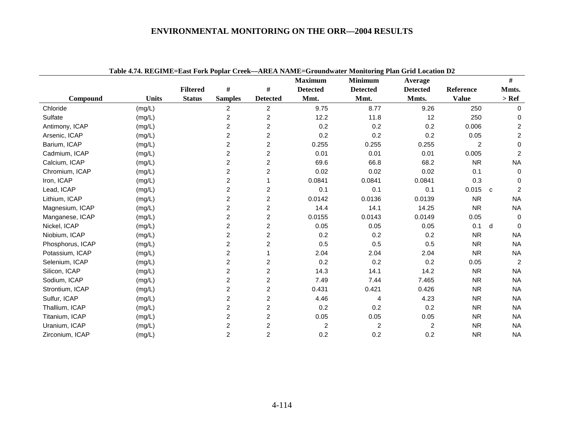| Table 4.74. REGIME=East Fork Poplar Creek—AREA NAME=Groundwater Monitoring Plan Grid Location D2<br>#<br><b>Maximum</b><br><b>Minimum</b><br>Average<br>#<br>#<br><b>Filtered</b><br>Reference<br>Mmts.<br><b>Detected</b><br><b>Detected</b><br><b>Detected</b> |              |               |                |                  |                |                |                |                |              |                |  |
|------------------------------------------------------------------------------------------------------------------------------------------------------------------------------------------------------------------------------------------------------------------|--------------|---------------|----------------|------------------|----------------|----------------|----------------|----------------|--------------|----------------|--|
|                                                                                                                                                                                                                                                                  |              |               |                |                  |                |                |                |                |              |                |  |
|                                                                                                                                                                                                                                                                  |              |               |                |                  |                |                |                |                |              |                |  |
| Compound                                                                                                                                                                                                                                                         | <b>Units</b> | <b>Status</b> | <b>Samples</b> | <b>Detected</b>  | Mmt.           | Mmt.           | Mmts.          | <b>Value</b>   |              | $>$ Ref        |  |
| Chloride                                                                                                                                                                                                                                                         | (mg/L)       |               | $\overline{2}$ | $\overline{c}$   | 9.75           | 8.77           | 9.26           | 250            |              | $\Omega$       |  |
| Sulfate                                                                                                                                                                                                                                                          | (mg/L)       |               | 2              | 2                | 12.2           | 11.8           | 12             | 250            |              | 0              |  |
| Antimony, ICAP                                                                                                                                                                                                                                                   | (mg/L)       |               | $\overline{2}$ | 2                | 0.2            | 0.2            | 0.2            | 0.006          |              | 2              |  |
| Arsenic, ICAP                                                                                                                                                                                                                                                    | (mg/L)       |               | $\overline{2}$ | $\overline{c}$   | 0.2            | 0.2            | 0.2            | 0.05           |              | 2              |  |
| Barium, ICAP                                                                                                                                                                                                                                                     | (mg/L)       |               | 2              | $\overline{c}$   | 0.255          | 0.255          | 0.255          | $\overline{2}$ |              | $\Omega$       |  |
| Cadmium, ICAP                                                                                                                                                                                                                                                    | (mg/L)       |               | $\overline{c}$ | 2                | 0.01           | 0.01           | 0.01           | 0.005          |              | 2              |  |
| Calcium, ICAP                                                                                                                                                                                                                                                    | (mg/L)       |               | $\overline{c}$ | $\overline{c}$   | 69.6           | 66.8           | 68.2           | <b>NR</b>      |              | <b>NA</b>      |  |
| Chromium, ICAP                                                                                                                                                                                                                                                   | (mg/L)       |               | $\overline{c}$ | 2                | 0.02           | 0.02           | 0.02           | 0.1            |              | $\Omega$       |  |
| Iron, ICAP                                                                                                                                                                                                                                                       | (mg/L)       |               | $\overline{c}$ |                  | 0.0841         | 0.0841         | 0.0841         | 0.3            |              | $\Omega$       |  |
| Lead, ICAP                                                                                                                                                                                                                                                       | (mg/L)       |               | 2              | 2                | 0.1            | 0.1            | 0.1            | 0.015          | $\mathbf{C}$ | 2              |  |
| Lithium, ICAP                                                                                                                                                                                                                                                    | (mg/L)       |               | 2              | 2                | 0.0142         | 0.0136         | 0.0139         | <b>NR</b>      |              | <b>NA</b>      |  |
| Magnesium, ICAP                                                                                                                                                                                                                                                  | (mg/L)       |               | $\overline{2}$ | $\overline{c}$   | 14.4           | 14.1           | 14.25          | <b>NR</b>      |              | <b>NA</b>      |  |
| Manganese, ICAP                                                                                                                                                                                                                                                  | (mg/L)       |               | 2              | 2                | 0.0155         | 0.0143         | 0.0149         | 0.05           |              | $\Omega$       |  |
| Nickel, ICAP                                                                                                                                                                                                                                                     | (mg/L)       |               | $\overline{c}$ | 2                | 0.05           | 0.05           | 0.05           | 0.1            | d            | $\Omega$       |  |
| Niobium, ICAP                                                                                                                                                                                                                                                    | (mg/L)       |               | $\overline{c}$ | $\overline{c}$   | 0.2            | 0.2            | 0.2            | <b>NR</b>      |              | <b>NA</b>      |  |
| Phosphorus, ICAP                                                                                                                                                                                                                                                 | (mg/L)       |               | $\overline{c}$ | 2                | 0.5            | 0.5            | 0.5            | <b>NR</b>      |              | <b>NA</b>      |  |
| Potassium, ICAP                                                                                                                                                                                                                                                  | (mg/L)       |               | $\overline{c}$ |                  | 2.04           | 2.04           | 2.04           | <b>NR</b>      |              | <b>NA</b>      |  |
| Selenium, ICAP                                                                                                                                                                                                                                                   | (mg/L)       |               | $\overline{c}$ | 2                | 0.2            | 0.2            | 0.2            | 0.05           |              | $\overline{2}$ |  |
| Silicon, ICAP                                                                                                                                                                                                                                                    | (mg/L)       |               | $\overline{c}$ | $\overline{c}$   | 14.3           | 14.1           | 14.2           | <b>NR</b>      |              | <b>NA</b>      |  |
| Sodium, ICAP                                                                                                                                                                                                                                                     | (mg/L)       |               | $\overline{c}$ | $\overline{c}$   | 7.49           | 7.44           | 7.465          | <b>NR</b>      |              | <b>NA</b>      |  |
| Strontium, ICAP                                                                                                                                                                                                                                                  | (mg/L)       |               | 2              | $\overline{c}$   | 0.431          | 0.421          | 0.426          | <b>NR</b>      |              | <b>NA</b>      |  |
| Sulfur, ICAP                                                                                                                                                                                                                                                     | (mg/L)       |               | $\overline{c}$ | 2                | 4.46           | 4              | 4.23           | <b>NR</b>      |              | <b>NA</b>      |  |
| Thallium, ICAP                                                                                                                                                                                                                                                   | (mg/L)       |               | 2              | $\boldsymbol{2}$ | 0.2            | 0.2            | 0.2            | <b>NR</b>      |              | <b>NA</b>      |  |
| Titanium, ICAP                                                                                                                                                                                                                                                   | (mg/L)       |               | 2              | $\overline{c}$   | 0.05           | 0.05           | 0.05           | <b>NR</b>      |              | <b>NA</b>      |  |
| Uranium, ICAP                                                                                                                                                                                                                                                    | (mg/L)       |               | 2              | $\overline{c}$   | $\overline{c}$ | $\overline{c}$ | $\overline{2}$ | <b>NR</b>      |              | <b>NA</b>      |  |
| Zirconium, ICAP                                                                                                                                                                                                                                                  | (mg/L)       |               | $\overline{c}$ | $\overline{c}$   | 0.2            | 0.2            | 0.2            | <b>NR</b>      |              | <b>NA</b>      |  |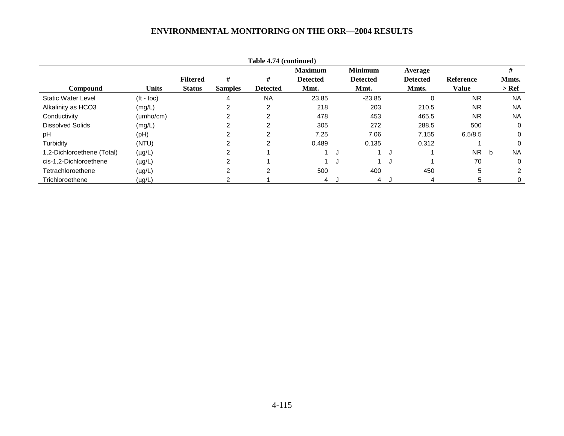| Table 4.74 (continued)     |                    |                 |                |                 |                 |  |                 |   |                 |                  |   |           |
|----------------------------|--------------------|-----------------|----------------|-----------------|-----------------|--|-----------------|---|-----------------|------------------|---|-----------|
|                            |                    |                 |                |                 | <b>Maximum</b>  |  | <b>Minimum</b>  |   | Average         |                  |   | #         |
|                            |                    | <b>Filtered</b> | #              | #               | <b>Detected</b> |  | <b>Detected</b> |   | <b>Detected</b> | <b>Reference</b> |   | Mmts.     |
| <b>Compound</b>            | <b>Units</b>       | <b>Status</b>   | <b>Samples</b> | <b>Detected</b> | Mmt.            |  | Mmt.            |   | Mmts.           | <b>Value</b>     |   | $>$ Ref   |
| <b>Static Water Level</b>  | $(t - \text{toc})$ |                 | 4              | <b>NA</b>       | 23.85           |  | $-23.85$        |   | 0               | <b>NR</b>        |   | <b>NA</b> |
| Alkalinity as HCO3         | (mg/L)             |                 | ົ              | 2               | 218             |  | 203             |   | 210.5           | <b>NR</b>        |   | <b>NA</b> |
| Conductivity               | (umbo/cm)          |                 |                | 2               | 478             |  | 453             |   | 465.5           | <b>NR</b>        |   | <b>NA</b> |
| <b>Dissolved Solids</b>    | (mg/L)             |                 |                | 2               | 305             |  | 272             |   | 288.5           | 500              |   | 0         |
| pH                         | (Hq)               |                 | ົ              | 2               | 7.25            |  | 7.06            |   | 7.155           | 6.5/8.5          |   | 0         |
| Turbidity                  | (NTU)              |                 |                | 2               | 0.489           |  | 0.135           |   | 0.312           |                  |   | 0         |
| 1,2-Dichloroethene (Total) | $(\mu g/L)$        |                 |                |                 |                 |  |                 | J |                 | <b>NR</b>        | b | <b>NA</b> |
| cis-1,2-Dichloroethene     | $(\mu g/L)$        |                 |                |                 |                 |  |                 | J |                 | 70               |   | 0         |
| Tetrachloroethene          | $(\mu g/L)$        |                 | ົ              | $\overline{c}$  | 500             |  | 400             |   | 450             | 5                |   | 2         |
| Trichloroethene            | $(\mu g/L)$        |                 |                |                 | 4 J             |  | 4               |   | 4               | 5                |   | 0         |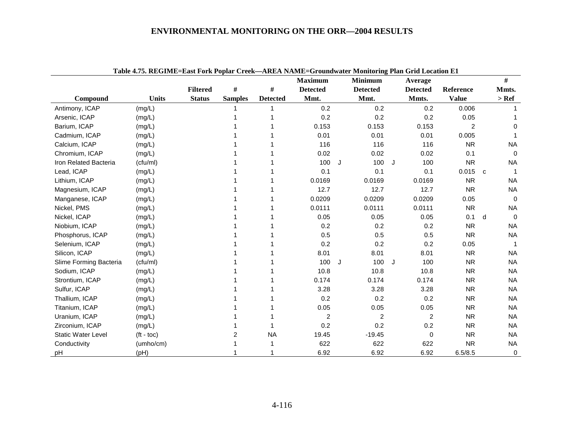|                           | Table 4.75. REGIME=East Fork Poplar Creek—AREA NAME=Groundwater Monitoring Plan Grid Location E1 |                 |                |                 |                         |    |                 |   |                  |                |              |             |
|---------------------------|--------------------------------------------------------------------------------------------------|-----------------|----------------|-----------------|-------------------------|----|-----------------|---|------------------|----------------|--------------|-------------|
|                           |                                                                                                  |                 |                |                 | <b>Maximum</b>          |    | <b>Minimum</b>  |   | Average          |                |              | #           |
|                           |                                                                                                  | <b>Filtered</b> | #              | $\#$            | <b>Detected</b>         |    | <b>Detected</b> |   | <b>Detected</b>  | Reference      |              | Mmts.       |
| Compound                  | <b>Units</b>                                                                                     | <b>Status</b>   | <b>Samples</b> | <b>Detected</b> | Mmt.                    |    | Mmt.            |   | Mmts.            | <b>Value</b>   |              | $>$ Ref     |
| Antimony, ICAP            | (mg/L)                                                                                           |                 |                |                 | 0.2                     |    | 0.2             |   | 0.2              | 0.006          |              |             |
| Arsenic, ICAP             | (mg/L)                                                                                           |                 |                |                 | 0.2                     |    | 0.2             |   | 0.2              | 0.05           |              |             |
| Barium, ICAP              | (mg/L)                                                                                           |                 |                |                 | 0.153                   |    | 0.153           |   | 0.153            | $\overline{2}$ |              | $\mathbf 0$ |
| Cadmium, ICAP             | (mg/L)                                                                                           |                 |                |                 | 0.01                    |    | 0.01            |   | 0.01             | 0.005          |              |             |
| Calcium, ICAP             | (mg/L)                                                                                           |                 |                |                 | 116                     |    | 116             |   | 116              | <b>NR</b>      |              | <b>NA</b>   |
| Chromium, ICAP            | (mg/L)                                                                                           |                 |                |                 | 0.02                    |    | 0.02            |   | 0.02             | 0.1            |              | $\Omega$    |
| Iron Related Bacteria     | (cfu/ml)                                                                                         |                 |                |                 | 100                     | J. | 100             | J | 100              | <b>NR</b>      |              | <b>NA</b>   |
| Lead, ICAP                | (mg/L)                                                                                           |                 |                |                 | 0.1                     |    | 0.1             |   | 0.1              | $0.015$ c      |              |             |
| Lithium, ICAP             | (mg/L)                                                                                           |                 |                |                 | 0.0169                  |    | 0.0169          |   | 0.0169           | <b>NR</b>      |              | <b>NA</b>   |
| Magnesium, ICAP           | (mg/L)                                                                                           |                 |                |                 | 12.7                    |    | 12.7            |   | 12.7             | <b>NR</b>      |              | <b>NA</b>   |
| Manganese, ICAP           | (mg/L)                                                                                           |                 |                |                 | 0.0209                  |    | 0.0209          |   | 0.0209           | 0.05           |              | $\Omega$    |
| Nickel, PMS               | (mg/L)                                                                                           |                 |                |                 | 0.0111                  |    | 0.0111          |   | 0.0111           | <b>NR</b>      |              | <b>NA</b>   |
| Nickel, ICAP              | (mg/L)                                                                                           |                 |                |                 | 0.05                    |    | 0.05            |   | 0.05             | 0.1            | $\mathsf{d}$ | $\Omega$    |
| Niobium, ICAP             | (mg/L)                                                                                           |                 |                |                 | 0.2                     |    | 0.2             |   | 0.2              | <b>NR</b>      |              | <b>NA</b>   |
| Phosphorus, ICAP          | (mg/L)                                                                                           |                 |                |                 | 0.5                     |    | 0.5             |   | 0.5              | <b>NR</b>      |              | <b>NA</b>   |
| Selenium, ICAP            | (mg/L)                                                                                           |                 |                |                 | 0.2                     |    | 0.2             |   | 0.2              | 0.05           |              |             |
| Silicon, ICAP             | (mg/L)                                                                                           |                 |                |                 | 8.01                    |    | 8.01            |   | 8.01             | <b>NR</b>      |              | <b>NA</b>   |
| Slime Forming Bacteria    | (cfu/ml)                                                                                         |                 |                |                 | 100                     | J. | 100             | J | 100              | <b>NR</b>      |              | <b>NA</b>   |
| Sodium, ICAP              | (mg/L)                                                                                           |                 |                |                 | 10.8                    |    | 10.8            |   | 10.8             | <b>NR</b>      |              | <b>NA</b>   |
| Strontium, ICAP           | (mg/L)                                                                                           |                 |                |                 | 0.174                   |    | 0.174           |   | 0.174            | <b>NR</b>      |              | <b>NA</b>   |
| Sulfur, ICAP              | (mg/L)                                                                                           |                 |                |                 | 3.28                    |    | 3.28            |   | 3.28             | <b>NR</b>      |              | <b>NA</b>   |
| Thallium, ICAP            | (mg/L)                                                                                           |                 |                |                 | 0.2                     |    | 0.2             |   | 0.2              | <b>NR</b>      |              | <b>NA</b>   |
| Titanium, ICAP            | (mg/L)                                                                                           |                 |                |                 | 0.05                    |    | 0.05            |   | 0.05             | <b>NR</b>      |              | <b>NA</b>   |
| Uranium, ICAP             | (mg/L)                                                                                           |                 |                |                 | $\overline{\mathbf{c}}$ |    | 2               |   | $\boldsymbol{2}$ | <b>NR</b>      |              | <b>NA</b>   |
| Zirconium, ICAP           | (mg/L)                                                                                           |                 |                | 1               | 0.2                     |    | 0.2             |   | 0.2              | <b>NR</b>      |              | <b>NA</b>   |
| <b>Static Water Level</b> | $(t - \text{toc})$                                                                               |                 | 2              | <b>NA</b>       | 19.45                   |    | $-19.45$        |   | 0                | <b>NR</b>      |              | <b>NA</b>   |
| Conductivity              | (umho/cm)                                                                                        |                 |                | 1               | 622                     |    | 622             |   | 622              | <b>NR</b>      |              | <b>NA</b>   |
| pH                        | (Hq)                                                                                             |                 |                |                 | 6.92                    |    | 6.92            |   | 6.92             | 6.5/8.5        |              | $\mathbf 0$ |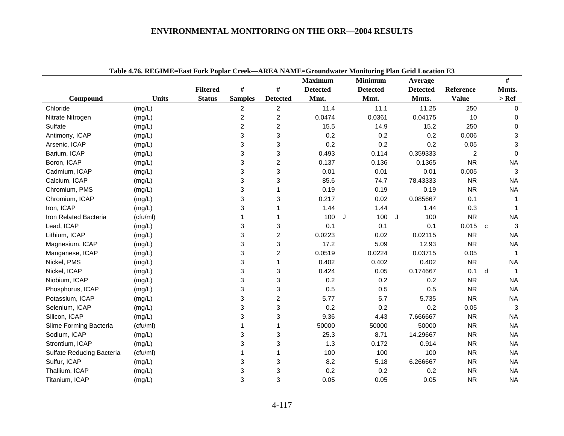|                           |              |                 |                |                 | <b>Maximum</b>  | <b>Minimum</b>  | Average         |                |   | #                         |
|---------------------------|--------------|-----------------|----------------|-----------------|-----------------|-----------------|-----------------|----------------|---|---------------------------|
|                           |              | <b>Filtered</b> | $\#$           | #               | <b>Detected</b> | <b>Detected</b> | <b>Detected</b> | Reference      |   | Mmts.                     |
| Compound                  | <b>Units</b> | <b>Status</b>   | <b>Samples</b> | <b>Detected</b> | Mmt.            | Mmt.            | Mmts.           | <b>Value</b>   |   | $>$ Ref                   |
| Chloride                  | (mg/L)       |                 | $\overline{c}$ | $\overline{a}$  | 11.4            | 11.1            | 11.25           | 250            |   | $\mathbf 0$               |
| Nitrate Nitrogen          | (mg/L)       |                 | $\overline{c}$ | $\overline{2}$  | 0.0474          | 0.0361          | 0.04175         | 10             |   | 0                         |
| Sulfate                   | (mg/L)       |                 | $\overline{c}$ | $\overline{c}$  | 15.5            | 14.9            | 15.2            | 250            |   | $\mathbf 0$               |
| Antimony, ICAP            | (mg/L)       |                 | 3              | 3               | 0.2             | 0.2             | 0.2             | 0.006          |   | $\ensuremath{\mathsf{3}}$ |
| Arsenic, ICAP             | (mg/L)       |                 | 3              | 3               | 0.2             | 0.2             | 0.2             | 0.05           |   | 3                         |
| Barium, ICAP              | (mg/L)       |                 | 3              | 3               | 0.493           | 0.114           | 0.359333        | $\overline{c}$ |   | $\mathbf 0$               |
| Boron, ICAP               | (mg/L)       |                 | 3              | 2               | 0.137           | 0.136           | 0.1365          | <b>NR</b>      |   | <b>NA</b>                 |
| Cadmium, ICAP             | (mg/L)       |                 | 3              | 3               | 0.01            | 0.01            | 0.01            | 0.005          |   | 3                         |
| Calcium, ICAP             | (mg/L)       |                 | 3              | 3               | 85.6            | 74.7            | 78.43333        | <b>NR</b>      |   | <b>NA</b>                 |
| Chromium, PMS             | (mg/L)       |                 | 3              | 1               | 0.19            | 0.19            | 0.19            | <b>NR</b>      |   | <b>NA</b>                 |
| Chromium, ICAP            | (mg/L)       |                 | 3              | 3               | 0.217           | 0.02            | 0.085667        | 0.1            |   | 1                         |
| Iron, ICAP                | (mg/L)       |                 | 3              | 1               | 1.44            | 1.44            | 1.44            | 0.3            |   |                           |
| Iron Related Bacteria     | (cfu/ml)     |                 |                | 1               | 100             | J<br>100        | J<br>100        | <b>NR</b>      |   | <b>NA</b>                 |
| Lead, ICAP                | (mg/L)       |                 | 3              | 3               | 0.1             | 0.1             | 0.1             | $0.015$ c      |   | 3                         |
| Lithium, ICAP             | (mg/L)       |                 | 3              | $\overline{c}$  | 0.0223          | 0.02            | 0.02115         | <b>NR</b>      |   | <b>NA</b>                 |
| Magnesium, ICAP           | (mg/L)       |                 | 3              | 3               | 17.2            | 5.09            | 12.93           | <b>NR</b>      |   | <b>NA</b>                 |
| Manganese, ICAP           | (mg/L)       |                 | 3              | 2               | 0.0519          | 0.0224          | 0.03715         | 0.05           |   | 1                         |
| Nickel, PMS               | (mg/L)       |                 | 3              | $\mathbf 1$     | 0.402           | 0.402           | 0.402           | <b>NR</b>      |   | <b>NA</b>                 |
| Nickel, ICAP              | (mg/L)       |                 | 3              | 3               | 0.424           | 0.05            | 0.174667        | 0.1            | d | $\overline{1}$            |
| Niobium, ICAP             | (mg/L)       |                 | 3              | 3               | 0.2             | 0.2             | 0.2             | <b>NR</b>      |   | <b>NA</b>                 |
| Phosphorus, ICAP          | (mg/L)       |                 | 3              | 3               | 0.5             | 0.5             | 0.5             | <b>NR</b>      |   | <b>NA</b>                 |
| Potassium, ICAP           | (mg/L)       |                 | 3              | $\overline{c}$  | 5.77            | 5.7             | 5.735           | <b>NR</b>      |   | <b>NA</b>                 |
| Selenium, ICAP            | (mg/L)       |                 | 3              | 3               | 0.2             | 0.2             | 0.2             | 0.05           |   | $\mathbf{3}$              |
| Silicon, ICAP             | (mg/L)       |                 | 3              | 3               | 9.36            | 4.43            | 7.666667        | <b>NR</b>      |   | <b>NA</b>                 |
| Slime Forming Bacteria    | (cfu/ml)     |                 | 1              | 1               | 50000           | 50000           | 50000           | <b>NR</b>      |   | <b>NA</b>                 |
| Sodium, ICAP              | (mg/L)       |                 | 3              | 3               | 25.3            | 8.71            | 14.29667        | <b>NR</b>      |   | <b>NA</b>                 |
| Strontium, ICAP           | (mg/L)       |                 | 3              | 3               | 1.3             | 0.172           | 0.914           | <b>NR</b>      |   | <b>NA</b>                 |
| Sulfate Reducing Bacteria | (cfu/ml)     |                 | 1              | 1               | 100             | 100             | 100             | <b>NR</b>      |   | <b>NA</b>                 |
| Sulfur, ICAP              | (mg/L)       |                 | 3              | 3               | 8.2             | 5.18            | 6.266667        | <b>NR</b>      |   | <b>NA</b>                 |
| Thallium, ICAP            | (mg/L)       |                 | 3              | 3               | 0.2             | 0.2             | 0.2             | <b>NR</b>      |   | <b>NA</b>                 |
| Titanium, ICAP            | (mg/L)       |                 | 3              | 3               | 0.05            | 0.05            | 0.05            | <b>NR</b>      |   | <b>NA</b>                 |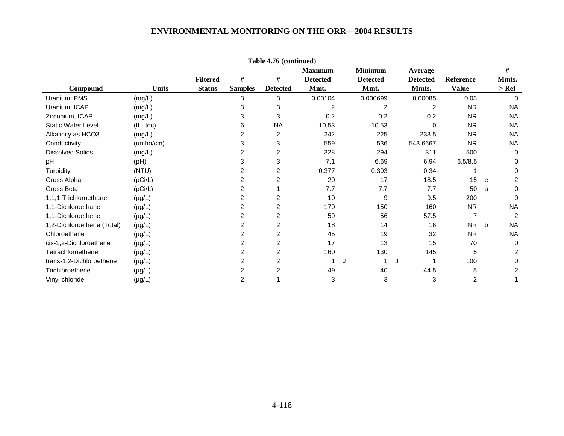|                            |                    |                 |                | Table 4.76 (continued) |                 |   |                 |                 |                |   |                |
|----------------------------|--------------------|-----------------|----------------|------------------------|-----------------|---|-----------------|-----------------|----------------|---|----------------|
|                            |                    |                 |                |                        | <b>Maximum</b>  |   | <b>Minimum</b>  | Average         |                |   | #              |
|                            |                    | <b>Filtered</b> | #              | $\#$                   | <b>Detected</b> |   | <b>Detected</b> | <b>Detected</b> | Reference      |   | Mmts.          |
| Compound                   | <b>Units</b>       | <b>Status</b>   | <b>Samples</b> | <b>Detected</b>        | Mmt.            |   | Mmt.            | Mmts.           | <b>Value</b>   |   | $>$ Ref        |
| Uranium, PMS               | (mg/L)             |                 | 3              | 3                      | 0.00104         |   | 0.000699        | 0.00085         | 0.03           |   | $\Omega$       |
| Uranium, ICAP              | (mg/L)             |                 | 3              | 3                      | $\overline{2}$  |   | 2               | 2               | <b>NR</b>      |   | <b>NA</b>      |
| Zirconium, ICAP            | (mg/L)             |                 | 3              | 3                      | 0.2             |   | 0.2             | 0.2             | <b>NR</b>      |   | <b>NA</b>      |
| <b>Static Water Level</b>  | $(t - \text{toc})$ |                 | 6              | <b>NA</b>              | 10.53           |   | $-10.53$        | 0               | <b>NR</b>      |   | <b>NA</b>      |
| Alkalinity as HCO3         | (mg/L)             |                 | 2              | 2                      | 242             |   | 225             | 233.5           | <b>NR</b>      |   | <b>NA</b>      |
| Conductivity               | (umbo/cm)          |                 | 3              | 3                      | 559             |   | 536             | 543.6667        | <b>NR</b>      |   | <b>NA</b>      |
| <b>Dissolved Solids</b>    | (mg/L)             |                 | 2              | $\overline{c}$         | 328             |   | 294             | 311             | 500            |   | 0              |
| pH                         | (Hq)               |                 | 3              | 3                      | 7.1             |   | 6.69            | 6.94            | 6.5/8.5        |   | 0              |
| Turbidity                  | (NTU)              |                 | 2              | $\overline{2}$         | 0.377           |   | 0.303           | 0.34            |                |   | 0              |
| Gross Alpha                | (pCi/L)            |                 | $\overline{2}$ | $\overline{2}$         | 20              |   | 17              | 18.5            | 15             | e | $\overline{2}$ |
| Gross Beta                 | (pCi/L)            |                 | 2              |                        | 7.7             |   | 7.7             | 7.7             | 50             | a | $\mathbf 0$    |
| 1.1.1-Trichloroethane      | $(\mu g/L)$        |                 | 2              | $\overline{2}$         | 10              |   | 9               | 9.5             | 200            |   | $\Omega$       |
| 1,1-Dichloroethane         | $(\mu g/L)$        |                 | 2              | 2                      | 170             |   | 150             | 160             | <b>NR</b>      |   | <b>NA</b>      |
| 1,1-Dichloroethene         | $(\mu g/L)$        |                 | 2              | 2                      | 59              |   | 56              | 57.5            |                |   | 2              |
| 1,2-Dichloroethene (Total) | $(\mu g/L)$        |                 | 2              | 2                      | 18              |   | 14              | 16              | <b>NR</b>      | b | <b>NA</b>      |
| Chloroethane               | $(\mu g/L)$        |                 | $\overline{c}$ | 2                      | 45              |   | 19              | 32              | <b>NR</b>      |   | <b>NA</b>      |
| cis-1,2-Dichloroethene     | $(\mu g/L)$        |                 | 2              | 2                      | 17              |   | 13              | 15              | 70             |   | $\Omega$       |
| Tetrachloroethene          | $(\mu g/L)$        |                 | 2              | 2                      | 160             |   | 130             | 145             | 5              |   | $\overline{2}$ |
| trans-1,2-Dichloroethene   | $(\mu g/L)$        |                 | 2              | 2                      |                 | J |                 | J               | 100            |   | 0              |
| Trichloroethene            | $(\mu g/L)$        |                 | 2              | $\overline{2}$         | 49              |   | 40              | 44.5            | 5              |   | 2              |
| Vinyl chloride             | $(\mu g/L)$        |                 | $\overline{2}$ |                        | 3               |   | 3               | 3               | $\overline{2}$ |   |                |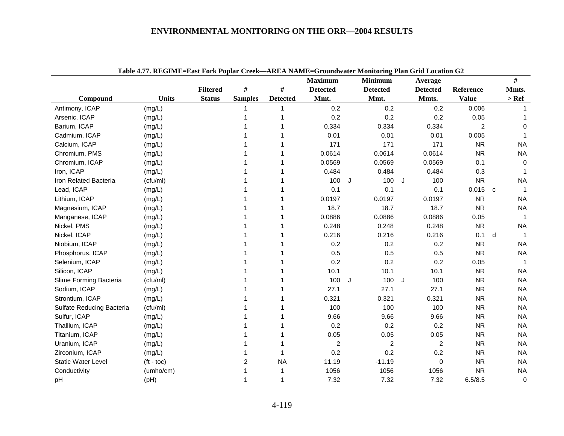|                           | Table 4.77. KEGIME-EASt FOLK I OPIAL CLEEK—AKEA IVANIE-GLOUIQWATEL MOINOLING LIAN GLIU LOCATON G2 |                 |                |                 | <b>Maximum</b>  |   | <b>Minimum</b>  |   | Average         |                  |              | $\#$        |
|---------------------------|---------------------------------------------------------------------------------------------------|-----------------|----------------|-----------------|-----------------|---|-----------------|---|-----------------|------------------|--------------|-------------|
|                           |                                                                                                   | <b>Filtered</b> | #              | $\#$            | <b>Detected</b> |   | <b>Detected</b> |   | <b>Detected</b> | <b>Reference</b> |              | Mmts.       |
| Compound                  | <b>Units</b>                                                                                      | <b>Status</b>   | <b>Samples</b> | <b>Detected</b> | Mmt.            |   | Mmt.            |   | Mmts.           | <b>Value</b>     |              | $>$ Ref     |
| Antimony, ICAP            | (mg/L)                                                                                            |                 |                |                 | 0.2             |   | 0.2             |   | 0.2             | 0.006            |              |             |
| Arsenic, ICAP             | (mg/L)                                                                                            |                 |                |                 | 0.2             |   | 0.2             |   | 0.2             | 0.05             |              |             |
| Barium, ICAP              | (mg/L)                                                                                            |                 |                |                 | 0.334           |   | 0.334           |   | 0.334           | 2                |              | $\mathbf 0$ |
| Cadmium, ICAP             | (mg/L)                                                                                            |                 |                |                 | 0.01            |   | 0.01            |   | 0.01            | 0.005            |              | 1           |
| Calcium, ICAP             | (mg/L)                                                                                            |                 |                |                 | 171             |   | 171             |   | 171             | <b>NR</b>        |              | <b>NA</b>   |
| Chromium, PMS             | (mg/L)                                                                                            |                 |                |                 | 0.0614          |   | 0.0614          |   | 0.0614          | <b>NR</b>        |              | <b>NA</b>   |
| Chromium, ICAP            | (mg/L)                                                                                            |                 |                |                 | 0.0569          |   | 0.0569          |   | 0.0569          | 0.1              |              | $\Omega$    |
| Iron, ICAP                | (mg/L)                                                                                            |                 |                |                 | 0.484           |   | 0.484           |   | 0.484           | 0.3              |              | 1           |
| Iron Related Bacteria     | (cfu/ml)                                                                                          |                 |                |                 | 100             | J | 100             | J | 100             | <b>NR</b>        |              | <b>NA</b>   |
| Lead, ICAP                | (mg/L)                                                                                            |                 |                |                 | 0.1             |   | 0.1             |   | 0.1             | 0.015            | $\mathbf{c}$ | $\mathbf 1$ |
| Lithium, ICAP             | (mg/L)                                                                                            |                 |                |                 | 0.0197          |   | 0.0197          |   | 0.0197          | <b>NR</b>        |              | <b>NA</b>   |
| Magnesium, ICAP           | (mg/L)                                                                                            |                 |                |                 | 18.7            |   | 18.7            |   | 18.7            | <b>NR</b>        |              | <b>NA</b>   |
| Manganese, ICAP           | (mg/L)                                                                                            |                 |                |                 | 0.0886          |   | 0.0886          |   | 0.0886          | 0.05             |              | -1          |
| Nickel, PMS               | (mg/L)                                                                                            |                 |                |                 | 0.248           |   | 0.248           |   | 0.248           | <b>NR</b>        |              | <b>NA</b>   |
| Nickel, ICAP              | (mg/L)                                                                                            |                 |                |                 | 0.216           |   | 0.216           |   | 0.216           | 0.1              | d            | -1          |
| Niobium, ICAP             | (mg/L)                                                                                            |                 |                |                 | 0.2             |   | 0.2             |   | 0.2             | <b>NR</b>        |              | <b>NA</b>   |
| Phosphorus, ICAP          | (mg/L)                                                                                            |                 |                |                 | 0.5             |   | 0.5             |   | 0.5             | <b>NR</b>        |              | <b>NA</b>   |
| Selenium, ICAP            | (mg/L)                                                                                            |                 |                |                 | 0.2             |   | 0.2             |   | 0.2             | 0.05             |              |             |
| Silicon, ICAP             | (mg/L)                                                                                            |                 |                |                 | 10.1            |   | 10.1            |   | 10.1            | <b>NR</b>        |              | <b>NA</b>   |
| Slime Forming Bacteria    | (cfu/ml)                                                                                          |                 |                |                 | 100             | J | 100             | J | 100             | <b>NR</b>        |              | <b>NA</b>   |
| Sodium, ICAP              | (mg/L)                                                                                            |                 |                |                 | 27.1            |   | 27.1            |   | 27.1            | <b>NR</b>        |              | <b>NA</b>   |
| Strontium, ICAP           | (mg/L)                                                                                            |                 |                |                 | 0.321           |   | 0.321           |   | 0.321           | <b>NR</b>        |              | <b>NA</b>   |
| Sulfate Reducing Bacteria | (cfu/ml)                                                                                          |                 |                |                 | 100             |   | 100             |   | 100             | <b>NR</b>        |              | <b>NA</b>   |
| Sulfur, ICAP              | (mg/L)                                                                                            |                 |                |                 | 9.66            |   | 9.66            |   | 9.66            | <b>NR</b>        |              | <b>NA</b>   |
| Thallium, ICAP            | (mg/L)                                                                                            |                 |                |                 | 0.2             |   | 0.2             |   | 0.2             | <b>NR</b>        |              | <b>NA</b>   |
| Titanium, ICAP            | (mg/L)                                                                                            |                 |                |                 | 0.05            |   | 0.05            |   | 0.05            | <b>NR</b>        |              | <b>NA</b>   |
| Uranium, ICAP             | (mg/L)                                                                                            |                 |                |                 | $\overline{2}$  |   | $\overline{c}$  |   | $\overline{2}$  | <b>NR</b>        |              | <b>NA</b>   |
| Zirconium, ICAP           | (mg/L)                                                                                            |                 |                |                 | 0.2             |   | 0.2             |   | 0.2             | <b>NR</b>        |              | <b>NA</b>   |
| <b>Static Water Level</b> | $(t - \text{toc})$                                                                                |                 | 2              | <b>NA</b>       | 11.19           |   | $-11.19$        |   | 0               | <b>NR</b>        |              | <b>NA</b>   |
| Conductivity              | (umho/cm)                                                                                         |                 |                | 1               | 1056            |   | 1056            |   | 1056            | <b>NR</b>        |              | <b>NA</b>   |
| pH                        | (Hq)                                                                                              |                 |                |                 | 7.32            |   | 7.32            |   | 7.32            | 6.5/8.5          |              | $\mathbf 0$ |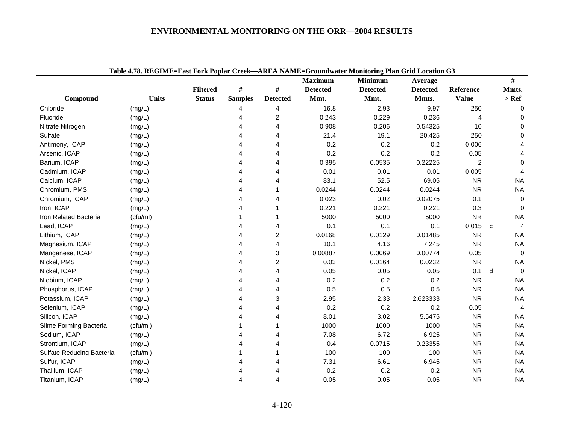| Table 4.78. REGIME=East Fork Poplar Creek—AREA NAME=Groundwater Monitoring Plan Grid Location G3 |              |                 |                |                         |                 |                 |                 |              |   |                |  |
|--------------------------------------------------------------------------------------------------|--------------|-----------------|----------------|-------------------------|-----------------|-----------------|-----------------|--------------|---|----------------|--|
|                                                                                                  |              |                 |                |                         | <b>Maximum</b>  | <b>Minimum</b>  | Average         |              |   | $\#$           |  |
|                                                                                                  |              | <b>Filtered</b> | $\#$           | $\#$                    | <b>Detected</b> | <b>Detected</b> | <b>Detected</b> | Reference    |   | Mmts.          |  |
| Compound                                                                                         | <b>Units</b> | <b>Status</b>   | <b>Samples</b> | <b>Detected</b>         | Mmt.            | Mmt.            | Mmts.           | <b>Value</b> |   | $>$ Ref        |  |
| Chloride                                                                                         | (mg/L)       |                 | 4              | 4                       | 16.8            | 2.93            | 9.97            | 250          |   | $\mathbf 0$    |  |
| Fluoride                                                                                         | (mg/L)       |                 | 4              | 2                       | 0.243           | 0.229           | 0.236           | 4            |   | 0              |  |
| Nitrate Nitrogen                                                                                 | (mg/L)       |                 | 4              | 4                       | 0.908           | 0.206           | 0.54325         | 10           |   | 0              |  |
| Sulfate                                                                                          | (mg/L)       |                 | 4              | 4                       | 21.4            | 19.1            | 20.425          | 250          |   | $\mathbf 0$    |  |
| Antimony, ICAP                                                                                   | (mg/L)       |                 | 4              | 4                       | 0.2             | 0.2             | 0.2             | 0.006        |   | 4              |  |
| Arsenic, ICAP                                                                                    | (mg/L)       |                 | 4              | 4                       | 0.2             | 0.2             | 0.2             | 0.05         |   | 4              |  |
| Barium, ICAP                                                                                     | (mg/L)       |                 | 4              |                         | 0.395           | 0.0535          | 0.22225         | 2            |   | $\mathbf 0$    |  |
| Cadmium, ICAP                                                                                    | (mg/L)       |                 | 4              | 4                       | 0.01            | 0.01            | 0.01            | 0.005        |   | $\overline{4}$ |  |
| Calcium, ICAP                                                                                    | (mg/L)       |                 | 4              | 4                       | 83.1            | 52.5            | 69.05           | <b>NR</b>    |   | <b>NA</b>      |  |
| Chromium, PMS                                                                                    | (mg/L)       |                 |                |                         | 0.0244          | 0.0244          | 0.0244          | <b>NR</b>    |   | <b>NA</b>      |  |
| Chromium, ICAP                                                                                   | (mg/L)       |                 | Δ              | 4                       | 0.023           | 0.02            | 0.02075         | 0.1          |   | $\mathbf 0$    |  |
| Iron, ICAP                                                                                       | (mg/L)       |                 | 4              |                         | 0.221           | 0.221           | 0.221           | 0.3          |   | $\Omega$       |  |
| Iron Related Bacteria                                                                            | (cfu/ml)     |                 |                | 1                       | 5000            | 5000            | 5000            | <b>NR</b>    |   | <b>NA</b>      |  |
| Lead, ICAP                                                                                       | (mg/L)       |                 | 4              | 4                       | 0.1             | 0.1             | 0.1             | $0.015$ c    |   | $\overline{4}$ |  |
| Lithium, ICAP                                                                                    | (mg/L)       |                 | 4              | $\overline{\mathbf{c}}$ | 0.0168          | 0.0129          | 0.01485         | <b>NR</b>    |   | <b>NA</b>      |  |
| Magnesium, ICAP                                                                                  | (mg/L)       |                 | 4              | 4                       | 10.1            | 4.16            | 7.245           | <b>NR</b>    |   | <b>NA</b>      |  |
| Manganese, ICAP                                                                                  | (mg/L)       |                 | 4              | 3                       | 0.00887         | 0.0069          | 0.00774         | 0.05         |   | $\mathbf 0$    |  |
| Nickel, PMS                                                                                      | (mg/L)       |                 | 4              | $\overline{c}$          | 0.03            | 0.0164          | 0.0232          | <b>NR</b>    |   | <b>NA</b>      |  |
| Nickel, ICAP                                                                                     | (mg/L)       |                 | 4              | 4                       | 0.05            | 0.05            | 0.05            | 0.1          | d | $\overline{0}$ |  |
| Niobium, ICAP                                                                                    | (mg/L)       |                 | 4              | 4                       | 0.2             | 0.2             | 0.2             | <b>NR</b>    |   | <b>NA</b>      |  |
| Phosphorus, ICAP                                                                                 | (mg/L)       |                 | 4              | 4                       | 0.5             | 0.5             | 0.5             | <b>NR</b>    |   | <b>NA</b>      |  |
| Potassium, ICAP                                                                                  | (mg/L)       |                 | 4              | 3                       | 2.95            | 2.33            | 2.623333        | <b>NR</b>    |   | <b>NA</b>      |  |
| Selenium, ICAP                                                                                   | (mg/L)       |                 | 4              |                         | 0.2             | 0.2             | 0.2             | 0.05         |   | $\overline{4}$ |  |
| Silicon, ICAP                                                                                    | (mg/L)       |                 |                |                         | 8.01            | 3.02            | 5.5475          | <b>NR</b>    |   | <b>NA</b>      |  |
| Slime Forming Bacteria                                                                           | (cfu/ml)     |                 |                |                         | 1000            | 1000            | 1000            | <b>NR</b>    |   | <b>NA</b>      |  |
| Sodium, ICAP                                                                                     | (mg/L)       |                 | Δ              | 4                       | 7.08            | 6.72            | 6.925           | <b>NR</b>    |   | <b>NA</b>      |  |
| Strontium, ICAP                                                                                  | (mg/L)       |                 | 4              | 4                       | 0.4             | 0.0715          | 0.23355         | <b>NR</b>    |   | <b>NA</b>      |  |
| Sulfate Reducing Bacteria                                                                        | (cfu/ml)     |                 |                | 1                       | 100             | 100             | 100             | <b>NR</b>    |   | <b>NA</b>      |  |
| Sulfur, ICAP                                                                                     | (mg/L)       |                 | Δ              |                         | 7.31            | 6.61            | 6.945           | <b>NR</b>    |   | <b>NA</b>      |  |
| Thallium, ICAP                                                                                   | (mg/L)       |                 |                |                         | 0.2             | 0.2             | 0.2             | <b>NR</b>    |   | <b>NA</b>      |  |
| Titanium, ICAP                                                                                   | (mg/L)       |                 | 4              | 4                       | 0.05            | 0.05            | 0.05            | <b>NR</b>    |   | <b>NA</b>      |  |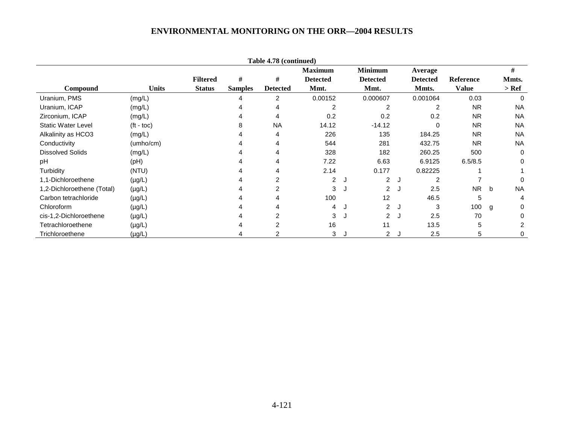| Table 4.78 (continued)     |              |                 |                |                 |                 |   |                 |   |                 |              |   |           |
|----------------------------|--------------|-----------------|----------------|-----------------|-----------------|---|-----------------|---|-----------------|--------------|---|-----------|
|                            |              |                 |                |                 | <b>Maximum</b>  |   | <b>Minimum</b>  |   | Average         |              |   | $\#$      |
|                            |              | <b>Filtered</b> | #              | #               | <b>Detected</b> |   | <b>Detected</b> |   | <b>Detected</b> | Reference    |   | Mmts.     |
| Compound                   | <b>Units</b> | <b>Status</b>   | <b>Samples</b> | <b>Detected</b> | Mmt.            |   | Mmt.            |   | Mmts.           | <b>Value</b> |   | > Ref     |
| Uranium, PMS               | (mg/L)       |                 |                | $\overline{2}$  | 0.00152         |   | 0.000607        |   | 0.001064        | 0.03         |   | 0         |
| Uranium, ICAP              | (mg/L)       |                 |                | 4               |                 |   | 2               |   | 2               | <b>NR</b>    |   | <b>NA</b> |
| Zirconium, ICAP            | (mg/L)       |                 |                | 4               | 0.2             |   | 0.2             |   | 0.2             | <b>NR</b>    |   | <b>NA</b> |
| <b>Static Water Level</b>  | $(t - toc)$  |                 |                | <b>NA</b>       | 14.12           |   | $-14.12$        |   | 0               | <b>NR</b>    |   | <b>NA</b> |
| Alkalinity as HCO3         | (mg/L)       |                 |                | 4               | 226             |   | 135             |   | 184.25          | <b>NR</b>    |   | <b>NA</b> |
| Conductivity               | (umho/cm)    |                 |                | 4               | 544             |   | 281             |   | 432.75          | <b>NR</b>    |   | <b>NA</b> |
| <b>Dissolved Solids</b>    | (mg/L)       |                 |                | 4               | 328             |   | 182             |   | 260.25          | 500          |   | $\Omega$  |
| pH                         | (Hq)         |                 |                | 4               | 7.22            |   | 6.63            |   | 6.9125          | 6.5/8.5      |   | 0         |
| Turbidity                  | (NTU)        |                 |                |                 | 2.14            |   | 0.177           |   | 0.82225         |              |   |           |
| 1,1-Dichloroethene         | $(\mu g/L)$  |                 |                |                 | $\overline{2}$  | J | $\overline{2}$  | J | $\overline{2}$  |              |   | 0         |
| 1,2-Dichloroethene (Total) | $(\mu g/L)$  |                 |                | 2               | 3               | J | $\overline{2}$  | J | 2.5             | <b>NR</b>    | b | <b>NA</b> |
| Carbon tetrachloride       | $(\mu g/L)$  |                 |                |                 | 100             |   | 12              |   | 46.5            | 5            |   | 4         |
| Chloroform                 | $(\mu g/L)$  |                 |                |                 | 4               |   | $\overline{2}$  | J | 3               | 100          | g | 0         |
| cis-1,2-Dichloroethene     | $(\mu g/L)$  |                 |                | $\mathfrak{p}$  | 3               | J | $\overline{2}$  | J | 2.5             | 70           |   | 0         |
| Tetrachloroethene          | $(\mu g/L)$  |                 |                | $\overline{2}$  | 16              |   | 11              |   | 13.5            | 5            |   | 2         |
| Trichloroethene            | (µg/L)       |                 |                |                 | 3               |   | $\overline{2}$  | J | 2.5             | 5            |   | 0         |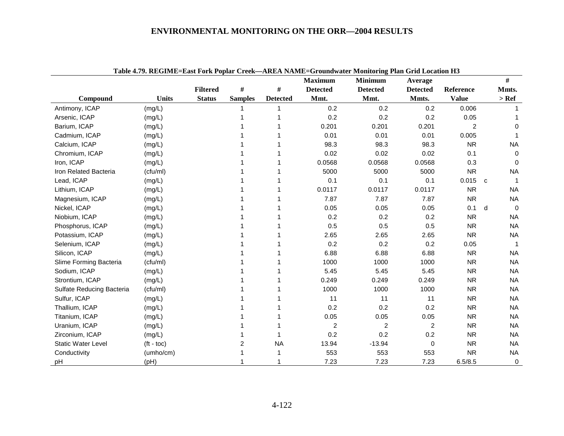| Table 4.79. REGIME=East Fork Poplar Creek-AREA NAME=Groundwater Monitoring Plan Grid Location H3 |                    |                 |                |                 |                 |                 |                 |              |   |             |  |
|--------------------------------------------------------------------------------------------------|--------------------|-----------------|----------------|-----------------|-----------------|-----------------|-----------------|--------------|---|-------------|--|
|                                                                                                  |                    |                 |                |                 | <b>Maximum</b>  | <b>Minimum</b>  | Average         |              |   | #           |  |
|                                                                                                  |                    | <b>Filtered</b> | $\#$           | $\#$            | <b>Detected</b> | <b>Detected</b> | <b>Detected</b> | Reference    |   | Mmts.       |  |
| Compound                                                                                         | <b>Units</b>       | <b>Status</b>   | <b>Samples</b> | <b>Detected</b> | Mmt.            | Mmt.            | Mmts.           | <b>Value</b> |   | $>$ Ref     |  |
| Antimony, ICAP                                                                                   | (mg/L)             |                 |                |                 | 0.2             | 0.2             | 0.2             | 0.006        |   |             |  |
| Arsenic, ICAP                                                                                    | (mg/L)             |                 |                |                 | 0.2             | 0.2             | 0.2             | 0.05         |   |             |  |
| Barium, ICAP                                                                                     | (mg/L)             |                 |                |                 | 0.201           | 0.201           | 0.201           | 2            |   | $\Omega$    |  |
| Cadmium, ICAP                                                                                    | (mg/L)             |                 |                |                 | 0.01            | 0.01            | 0.01            | 0.005        |   |             |  |
| Calcium, ICAP                                                                                    | (mg/L)             |                 |                |                 | 98.3            | 98.3            | 98.3            | <b>NR</b>    |   | <b>NA</b>   |  |
| Chromium, ICAP                                                                                   | (mg/L)             |                 |                |                 | 0.02            | 0.02            | 0.02            | 0.1          |   | 0           |  |
| Iron, ICAP                                                                                       | (mg/L)             |                 |                |                 | 0.0568          | 0.0568          | 0.0568          | 0.3          |   | 0           |  |
| Iron Related Bacteria                                                                            | (cfu/ml)           |                 |                |                 | 5000            | 5000            | 5000            | <b>NR</b>    |   | <b>NA</b>   |  |
| Lead, ICAP                                                                                       | (mg/L)             |                 |                |                 | 0.1             | 0.1             | 0.1             | 0.015        | C |             |  |
| Lithium, ICAP                                                                                    | (mg/L)             |                 |                |                 | 0.0117          | 0.0117          | 0.0117          | <b>NR</b>    |   | <b>NA</b>   |  |
| Magnesium, ICAP                                                                                  | (mg/L)             |                 |                |                 | 7.87            | 7.87            | 7.87            | <b>NR</b>    |   | <b>NA</b>   |  |
| Nickel, ICAP                                                                                     | (mg/L)             |                 |                |                 | 0.05            | 0.05            | 0.05            | 0.1          | d | $\Omega$    |  |
| Niobium, ICAP                                                                                    | (mg/L)             |                 |                |                 | 0.2             | 0.2             | 0.2             | <b>NR</b>    |   | <b>NA</b>   |  |
| Phosphorus, ICAP                                                                                 | (mg/L)             |                 |                |                 | 0.5             | 0.5             | 0.5             | <b>NR</b>    |   | <b>NA</b>   |  |
| Potassium, ICAP                                                                                  | (mg/L)             |                 |                |                 | 2.65            | 2.65            | 2.65            | <b>NR</b>    |   | <b>NA</b>   |  |
| Selenium, ICAP                                                                                   | (mg/L)             |                 |                |                 | 0.2             | 0.2             | 0.2             | 0.05         |   | $\mathbf 1$ |  |
| Silicon, ICAP                                                                                    | (mg/L)             |                 |                |                 | 6.88            | 6.88            | 6.88            | <b>NR</b>    |   | <b>NA</b>   |  |
| Slime Forming Bacteria                                                                           | (cfu/ml)           |                 |                |                 | 1000            | 1000            | 1000            | <b>NR</b>    |   | <b>NA</b>   |  |
| Sodium, ICAP                                                                                     | (mg/L)             |                 |                |                 | 5.45            | 5.45            | 5.45            | <b>NR</b>    |   | <b>NA</b>   |  |
| Strontium, ICAP                                                                                  | (mg/L)             |                 |                |                 | 0.249           | 0.249           | 0.249           | <b>NR</b>    |   | <b>NA</b>   |  |
| Sulfate Reducing Bacteria                                                                        | (cfu/ml)           |                 |                |                 | 1000            | 1000            | 1000            | <b>NR</b>    |   | <b>NA</b>   |  |
| Sulfur, ICAP                                                                                     | (mg/L)             |                 |                |                 | 11              | 11              | 11              | <b>NR</b>    |   | <b>NA</b>   |  |
| Thallium, ICAP                                                                                   | (mg/L)             |                 |                |                 | 0.2             | 0.2             | 0.2             | <b>NR</b>    |   | <b>NA</b>   |  |
| Titanium, ICAP                                                                                   | (mg/L)             |                 |                |                 | 0.05            | 0.05            | 0.05            | <b>NR</b>    |   | <b>NA</b>   |  |
| Uranium, ICAP                                                                                    | (mg/L)             |                 |                |                 | $\overline{c}$  | $\overline{c}$  | $\overline{c}$  | <b>NR</b>    |   | <b>NA</b>   |  |
| Zirconium, ICAP                                                                                  | (mg/L)             |                 |                |                 | 0.2             | 0.2             | 0.2             | <b>NR</b>    |   | <b>NA</b>   |  |
| <b>Static Water Level</b>                                                                        | $(t - \text{toc})$ |                 | 2              | <b>NA</b>       | 13.94           | $-13.94$        | 0               | <b>NR</b>    |   | <b>NA</b>   |  |
| Conductivity                                                                                     | (umho/cm)          |                 |                |                 | 553             | 553             | 553             | <b>NR</b>    |   | <b>NA</b>   |  |
| pH                                                                                               | (Hq)               |                 |                |                 | 7.23            | 7.23            | 7.23            | 6.5/8.5      |   | $\mathbf 0$ |  |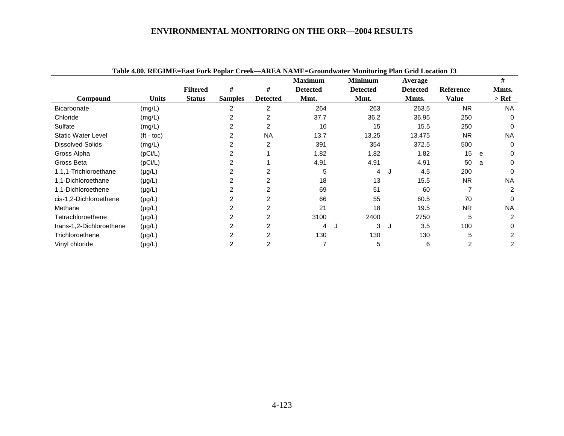|                           |                    |                 |                |                 |                 | Tadie 4.80. KEGIME=EASt FOTK FOPIAT CTEEK—AKEA INAME=GTOUNQWAteF MONITOFING FIAN GTM LOCATION J3 |         |                 |                  |   |           |
|---------------------------|--------------------|-----------------|----------------|-----------------|-----------------|--------------------------------------------------------------------------------------------------|---------|-----------------|------------------|---|-----------|
|                           |                    |                 |                |                 | <b>Maximum</b>  | <b>Minimum</b>                                                                                   |         | Average         |                  |   | #         |
|                           |                    | <b>Filtered</b> | #              | #               | <b>Detected</b> | <b>Detected</b>                                                                                  |         | <b>Detected</b> | <b>Reference</b> |   | Mmts.     |
| Compound                  | Units              | <b>Status</b>   | <b>Samples</b> | <b>Detected</b> | Mmt.            | Mmt.                                                                                             |         | Mmts.           | <b>Value</b>     |   | $>$ Ref   |
| <b>Bicarbonate</b>        | (mg/L)             |                 | 2              | 2               | 264             | 263                                                                                              |         | 263.5           | <b>NR</b>        |   | <b>NA</b> |
| Chloride                  | (mg/L)             |                 | 2              | 2               | 37.7            | 36.2                                                                                             |         | 36.95           | 250              |   | $\Omega$  |
| Sulfate                   | (mg/L)             |                 |                | 2               | 16              | 15                                                                                               |         | 15.5            | 250              |   | $\Omega$  |
| <b>Static Water Level</b> | $(t - \text{toc})$ |                 |                | <b>NA</b>       | 13.7            | 13.25                                                                                            |         | 13.475          | <b>NR</b>        |   | <b>NA</b> |
| <b>Dissolved Solids</b>   | (mg/L)             |                 | 2              | $\overline{2}$  | 391             | 354                                                                                              |         | 372.5           | 500              |   | $\Omega$  |
| Gross Alpha               | (pCi/L)            |                 | 2              |                 | 1.82            | 1.82                                                                                             |         | 1.82            | 15               | e | 0         |
| Gross Beta                | (pCi/L)            |                 | 2              |                 | 4.91            | 4.91                                                                                             |         | 4.91            | 50               | a | 0         |
| 1,1,1-Trichloroethane     | $(\mu g/L)$        |                 |                |                 | 5               | 4                                                                                                | IJ      | 4.5             | 200              |   | $\Omega$  |
| 1,1-Dichloroethane        | $(\mu g/L)$        |                 |                |                 | 18              | 13                                                                                               |         | 15.5            | <b>NR</b>        |   | <b>NA</b> |
| 1,1-Dichloroethene        | $(\mu g/L)$        |                 |                | 2               | 69              | 51                                                                                               |         | 60              |                  |   | 2         |
| cis-1,2-Dichloroethene    | $(\mu g/L)$        |                 |                | 2               | 66              | 55                                                                                               |         | 60.5            | 70               |   | 0         |
| Methane                   | $(\mu g/L)$        |                 |                | $\overline{2}$  | 21              | 18                                                                                               |         | 19.5            | <b>NR</b>        |   | <b>NA</b> |
| Tetrachloroethene         | $(\mu g/L)$        |                 |                | 2               | 3100            | 2400                                                                                             |         | 2750            | 5                |   | 2         |
| trans-1,2-Dichloroethene  | $(\mu g/L)$        |                 |                |                 | 4               | 3                                                                                                | $\cdot$ | 3.5             | 100              |   |           |
| Trichloroethene           | $(\mu g/L)$        |                 | 2              | $\overline{2}$  | 130             | 130                                                                                              |         | 130             | 5                |   | 2         |
| Vinyl chloride            | $(\mu g/L)$        |                 |                |                 |                 | 5                                                                                                |         | 6               |                  |   | 2         |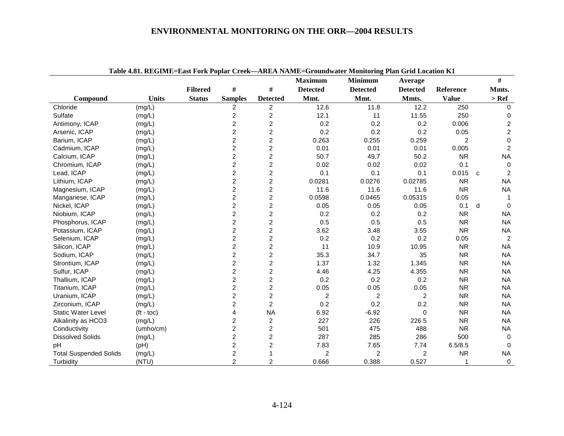| Table 4.81. REGIME=East Fork Poplar Creek—AREA NAME=Groundwater Monitoring Plan Grid Location K1 |                    |                 |                         |                         |                 |                 |                 |                |              |                         |
|--------------------------------------------------------------------------------------------------|--------------------|-----------------|-------------------------|-------------------------|-----------------|-----------------|-----------------|----------------|--------------|-------------------------|
|                                                                                                  |                    |                 |                         |                         | <b>Maximum</b>  | <b>Minimum</b>  | Average         |                |              | #                       |
|                                                                                                  |                    | <b>Filtered</b> | $\#$                    | $\#$                    | <b>Detected</b> | <b>Detected</b> | <b>Detected</b> | Reference      |              | Mmts.                   |
| Compound                                                                                         | <b>Units</b>       | <b>Status</b>   | <b>Samples</b>          | <b>Detected</b>         | Mmt.            | Mmt.            | Mmts.           | <b>Value</b>   |              | $>$ Ref                 |
| Chloride                                                                                         | (mg/L)             |                 | 2                       | 2                       | 12.6            | 11.8            | 12.2            | 250            |              | 0                       |
| Sulfate                                                                                          | (mg/L)             |                 | $\overline{\mathbf{c}}$ | $\overline{\mathbf{c}}$ | 12.1            | 11              | 11.55           | 250            |              | 0                       |
| Antimony, ICAP                                                                                   | (mg/L)             |                 | $\overline{c}$          | $\overline{c}$          | 0.2             | 0.2             | 0.2             | 0.006          |              | $\overline{\mathbf{c}}$ |
| Arsenic, ICAP                                                                                    | (mg/L)             |                 | $\overline{c}$          | $\overline{c}$          | 0.2             | 0.2             | 0.2             | 0.05           |              | $\overline{\mathbf{c}}$ |
| Barium, ICAP                                                                                     | (mg/L)             |                 | $\overline{c}$          | $\overline{c}$          | 0.263           | 0.255           | 0.259           | $\overline{2}$ |              | $\mathbf 0$             |
| Cadmium, ICAP                                                                                    | (mg/L)             |                 | $\overline{c}$          | $\overline{c}$          | 0.01            | 0.01            | 0.01            | 0.005          |              | $\overline{2}$          |
| Calcium, ICAP                                                                                    | (mg/L)             |                 | $\overline{c}$          | $\overline{c}$          | 50.7            | 49.7            | 50.2            | <b>NR</b>      |              | <b>NA</b>               |
| Chromium, ICAP                                                                                   | (mg/L)             |                 | $\overline{c}$          | $\overline{c}$          | 0.02            | 0.02            | 0.02            | 0.1            |              | $\mathbf 0$             |
| Lead, ICAP                                                                                       | (mg/L)             |                 | $\overline{c}$          | $\overline{2}$          | 0.1             | 0.1             | 0.1             | 0.015          | $\mathbf{C}$ | $\overline{c}$          |
| Lithium, ICAP                                                                                    | (mg/L)             |                 | $\overline{2}$          | $\overline{2}$          | 0.0281          | 0.0276          | 0.02785         | <b>NR</b>      |              | <b>NA</b>               |
| Magnesium, ICAP                                                                                  | (mg/L)             |                 | $\overline{c}$          | $\overline{c}$          | 11.6            | 11.6            | 11.6            | <b>NR</b>      |              | <b>NA</b>               |
| Manganese, ICAP                                                                                  | (mg/L)             |                 | $\overline{2}$          | $\overline{2}$          | 0.0598          | 0.0465          | 0.05315         | 0.05           |              | 1                       |
| Nickel, ICAP                                                                                     | (mg/L)             |                 | $\overline{c}$          | $\overline{c}$          | 0.05            | 0.05            | 0.05            | 0.1            | d            | $\Omega$                |
| Niobium, ICAP                                                                                    | (mg/L)             |                 | $\overline{c}$          | $\overline{c}$          | 0.2             | 0.2             | 0.2             | <b>NR</b>      |              | <b>NA</b>               |
| Phosphorus, ICAP                                                                                 | (mg/L)             |                 | $\overline{c}$          | $\overline{c}$          | 0.5             | 0.5             | 0.5             | <b>NR</b>      |              | <b>NA</b>               |
| Potassium, ICAP                                                                                  | (mg/L)             |                 | $\overline{c}$          | $\overline{c}$          | 3.62            | 3.48            | 3.55            | <b>NR</b>      |              | <b>NA</b>               |
| Selenium, ICAP                                                                                   | (mg/L)             |                 | $\boldsymbol{2}$        | $\boldsymbol{2}$        | 0.2             | 0.2             | 0.2             | 0.05           |              | $\overline{c}$          |
| Silicon, ICAP                                                                                    | (mg/L)             |                 | $\overline{c}$          | $\overline{c}$          | 11              | 10.9            | 10.95           | <b>NR</b>      |              | <b>NA</b>               |
| Sodium, ICAP                                                                                     | (mg/L)             |                 | $\overline{c}$          | $\boldsymbol{2}$        | 35.3            | 34.7            | 35              | <b>NR</b>      |              | <b>NA</b>               |
| Strontium, ICAP                                                                                  | (mg/L)             |                 | $\overline{c}$          | $\overline{c}$          | 1.37            | 1.32            | 1.345           | <b>NR</b>      |              | <b>NA</b>               |
| Sulfur, ICAP                                                                                     | (mg/L)             |                 | $\boldsymbol{2}$        | $\overline{\mathbf{c}}$ | 4.46            | 4.25            | 4.355           | <b>NR</b>      |              | <b>NA</b>               |
| Thallium, ICAP                                                                                   | (mg/L)             |                 | $\overline{c}$          | $\overline{2}$          | 0.2             | 0.2             | 0.2             | <b>NR</b>      |              | <b>NA</b>               |
| Titanium, ICAP                                                                                   | (mg/L)             |                 | $\overline{c}$          | $\overline{c}$          | 0.05            | 0.05            | 0.05            | <b>NR</b>      |              | <b>NA</b>               |
| Uranium, ICAP                                                                                    | (mg/L)             |                 | $\overline{c}$          | $\overline{c}$          | $\overline{c}$  | 2               | 2               | <b>NR</b>      |              | <b>NA</b>               |
| Zirconium, ICAP                                                                                  | (mg/L)             |                 | $\overline{c}$          | $\overline{2}$          | 0.2             | 0.2             | 0.2             | <b>NR</b>      |              | <b>NA</b>               |
| <b>Static Water Level</b>                                                                        | $(t - \text{toc})$ |                 | 4                       | <b>NA</b>               | 6.92            | $-6.92$         | $\Omega$        | <b>NR</b>      |              | <b>NA</b>               |
| Alkalinity as HCO3                                                                               | (mg/L)             |                 | $\overline{c}$          | 2                       | 227             | 226             | 226.5           | <b>NR</b>      |              | <b>NA</b>               |
| Conductivity                                                                                     | (umho/cm)          |                 | $\overline{c}$          | $\overline{c}$          | 501             | 475             | 488             | <b>NR</b>      |              | <b>NA</b>               |
| <b>Dissolved Solids</b>                                                                          | (mg/L)             |                 | $\overline{c}$          | 2                       | 287             | 285             | 286             | 500            |              | $\mathbf 0$             |
| pH                                                                                               | (pH)               |                 | $\overline{c}$          | $\overline{c}$          | 7.83            | 7.65            | 7.74            | 6.5/8.5        |              | $\Omega$                |
| <b>Total Suspended Solids</b>                                                                    | (mg/L)             |                 | $\overline{c}$          |                         | $\overline{c}$  | 2               | 2               | <b>NR</b>      |              | <b>NA</b>               |
| Turbidity                                                                                        | (NTU)              |                 | $\overline{2}$          | $\overline{2}$          | 0.666           | 0.388           | 0.527           | 1              |              | $\mathbf 0$             |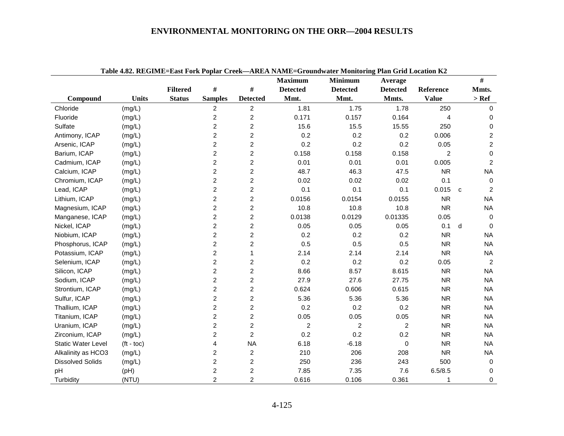| Table 4.82. REGIME=East Fork Poplar Creek—AREA NAME=Groundwater Monitoring Plan Grid Location K2 |              |                 |                         |                         |                 |                 |                 |                |                  |  |  |
|--------------------------------------------------------------------------------------------------|--------------|-----------------|-------------------------|-------------------------|-----------------|-----------------|-----------------|----------------|------------------|--|--|
|                                                                                                  |              |                 |                         |                         | <b>Maximum</b>  | <b>Minimum</b>  | Average         |                | #                |  |  |
|                                                                                                  |              | <b>Filtered</b> | #                       | $\#$                    | <b>Detected</b> | <b>Detected</b> | <b>Detected</b> | Reference      | Mmts.            |  |  |
| Compound                                                                                         | <b>Units</b> | <b>Status</b>   | <b>Samples</b>          | <b>Detected</b>         | Mmt.            | Mmt.            | Mmts.           | <b>Value</b>   | $>$ Ref          |  |  |
| Chloride                                                                                         | (mg/L)       |                 | $\overline{c}$          | $\overline{c}$          | 1.81            | 1.75            | 1.78            | 250            | 0                |  |  |
| Fluoride                                                                                         | (mg/L)       |                 | $\overline{\mathbf{c}}$ | $\overline{c}$          | 0.171           | 0.157           | 0.164           | 4              | 0                |  |  |
| Sulfate                                                                                          | (mg/L)       |                 | 2                       | $\overline{2}$          | 15.6            | 15.5            | 15.55           | 250            | 0                |  |  |
| Antimony, ICAP                                                                                   | (mg/L)       |                 | 2                       | $\overline{c}$          | 0.2             | 0.2             | 0.2             | 0.006          | $\overline{c}$   |  |  |
| Arsenic, ICAP                                                                                    | (mg/L)       |                 | 2                       | 2                       | 0.2             | 0.2             | 0.2             | 0.05           | $\overline{c}$   |  |  |
| Barium, ICAP                                                                                     | (mg/L)       |                 | $\overline{c}$          | $\overline{c}$          | 0.158           | 0.158           | 0.158           | $\overline{c}$ | $\mathbf 0$      |  |  |
| Cadmium, ICAP                                                                                    | (mg/L)       |                 | $\overline{2}$          | $\overline{2}$          | 0.01            | 0.01            | 0.01            | 0.005          | $\overline{2}$   |  |  |
| Calcium, ICAP                                                                                    | (mg/L)       |                 | $\overline{2}$          | $\overline{c}$          | 48.7            | 46.3            | 47.5            | <b>NR</b>      | <b>NA</b>        |  |  |
| Chromium, ICAP                                                                                   | (mg/L)       |                 | $\overline{2}$          | $\overline{c}$          | 0.02            | 0.02            | 0.02            | 0.1            | $\mathbf 0$      |  |  |
| Lead, ICAP                                                                                       | (mg/L)       |                 | $\overline{c}$          | $\overline{2}$          | 0.1             | 0.1             | 0.1             | 0.015          | 2<br>$\mathbf c$ |  |  |
| Lithium, ICAP                                                                                    | (mg/L)       |                 | 2                       | $\overline{2}$          | 0.0156          | 0.0154          | 0.0155          | <b>NR</b>      | <b>NA</b>        |  |  |
| Magnesium, ICAP                                                                                  | (mg/L)       |                 | 2                       | $\overline{\mathbf{c}}$ | 10.8            | 10.8            | 10.8            | <b>NR</b>      | <b>NA</b>        |  |  |
| Manganese, ICAP                                                                                  | (mg/L)       |                 | 2                       | $\overline{c}$          | 0.0138          | 0.0129          | 0.01335         | 0.05           | 0                |  |  |
| Nickel, ICAP                                                                                     | (mg/L)       |                 | $\overline{2}$          | $\overline{c}$          | 0.05            | 0.05            | 0.05            | 0.1            | d<br>$\Omega$    |  |  |
| Niobium, ICAP                                                                                    | (mg/L)       |                 | $\overline{2}$          | $\overline{c}$          | 0.2             | 0.2             | 0.2             | <b>NR</b>      | <b>NA</b>        |  |  |
| Phosphorus, ICAP                                                                                 | (mg/L)       |                 | $\overline{2}$          | $\overline{c}$          | 0.5             | 0.5             | 0.5             | <b>NR</b>      | <b>NA</b>        |  |  |
| Potassium, ICAP                                                                                  | (mg/L)       |                 | $\overline{2}$          | $\mathbf{1}$            | 2.14            | 2.14            | 2.14            | <b>NR</b>      | <b>NA</b>        |  |  |
| Selenium, ICAP                                                                                   | (mg/L)       |                 | $\overline{2}$          | $\overline{2}$          | 0.2             | 0.2             | 0.2             | 0.05           | $\overline{c}$   |  |  |
| Silicon, ICAP                                                                                    | (mg/L)       |                 | $\overline{2}$          | $\overline{c}$          | 8.66            | 8.57            | 8.615           | <b>NR</b>      | <b>NA</b>        |  |  |
| Sodium, ICAP                                                                                     | (mg/L)       |                 | 2                       | $\overline{\mathbf{c}}$ | 27.9            | 27.6            | 27.75           | <b>NR</b>      | <b>NA</b>        |  |  |
| Strontium, ICAP                                                                                  | (mg/L)       |                 | 2                       | $\overline{c}$          | 0.624           | 0.606           | 0.615           | <b>NR</b>      | <b>NA</b>        |  |  |
| Sulfur, ICAP                                                                                     | (mg/L)       |                 | $\overline{c}$          | $\overline{\mathbf{c}}$ | 5.36            | 5.36            | 5.36            | <b>NR</b>      | NA               |  |  |
| Thallium, ICAP                                                                                   | (mg/L)       |                 | $\overline{2}$          | $\overline{c}$          | 0.2             | 0.2             | 0.2             | <b>NR</b>      | <b>NA</b>        |  |  |
| Titanium, ICAP                                                                                   | (mg/L)       |                 | $\overline{2}$          | $\overline{c}$          | 0.05            | 0.05            | 0.05            | <b>NR</b>      | <b>NA</b>        |  |  |
| Uranium, ICAP                                                                                    | (mg/L)       |                 | $\overline{2}$          | $\overline{2}$          | $\overline{c}$  | $\overline{c}$  | $\overline{c}$  | <b>NR</b>      | <b>NA</b>        |  |  |
| Zirconium, ICAP                                                                                  | (mg/L)       |                 | $\overline{2}$          | $\overline{2}$          | 0.2             | 0.2             | 0.2             | <b>NR</b>      | <b>NA</b>        |  |  |
| <b>Static Water Level</b>                                                                        | $(t - toc)$  |                 | 4                       | <b>NA</b>               | 6.18            | $-6.18$         | 0               | <b>NR</b>      | <b>NA</b>        |  |  |
| Alkalinity as HCO3                                                                               | (mg/L)       |                 | 2                       | $\overline{c}$          | 210             | 206             | 208             | <b>NR</b>      | <b>NA</b>        |  |  |
| <b>Dissolved Solids</b>                                                                          | (mg/L)       |                 | 2                       | $\overline{c}$          | 250             | 236             | 243             | 500            | 0                |  |  |
| pH                                                                                               | (pH)         |                 | $\overline{c}$          | $\overline{\mathbf{c}}$ | 7.85            | 7.35            | 7.6             | 6.5/8.5        | 0                |  |  |
| Turbidity                                                                                        | (NTU)        |                 | $\overline{2}$          | $\overline{2}$          | 0.616           | 0.106           | 0.361           | 1              | $\mathbf 0$      |  |  |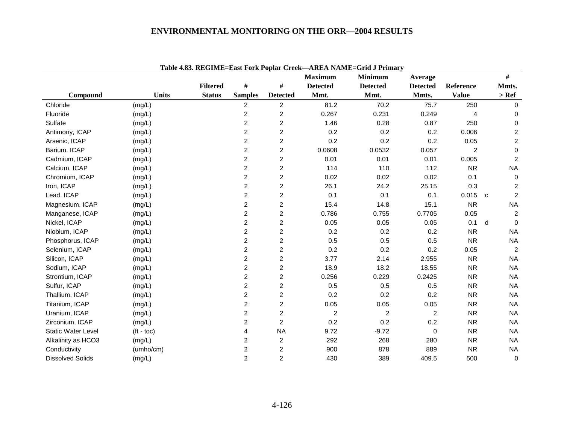|                           |                    | ruon noot killomine luuvi oln rophur ortem |                |                         | <b>Maximum</b>  | <b>Minimum</b>  | Average         |                |   | #                |
|---------------------------|--------------------|--------------------------------------------|----------------|-------------------------|-----------------|-----------------|-----------------|----------------|---|------------------|
|                           |                    | <b>Filtered</b>                            | #              | $\#$                    | <b>Detected</b> | <b>Detected</b> | <b>Detected</b> | Reference      |   | Mmts.            |
| Compound                  | <b>Units</b>       | <b>Status</b>                              | <b>Samples</b> | <b>Detected</b>         | Mmt.            | Mmt.            | Mmts.           | <b>Value</b>   |   | $>$ Ref          |
| Chloride                  | (mg/L)             |                                            | 2              | $\overline{2}$          | 81.2            | 70.2            | 75.7            | 250            |   | $\Omega$         |
| Fluoride                  | (mg/L)             |                                            | $\overline{c}$ | $\overline{2}$          | 0.267           | 0.231           | 0.249           | 4              |   | 0                |
| Sulfate                   | (mg/L)             |                                            | $\overline{c}$ | 2                       | 1.46            | 0.28            | 0.87            | 250            |   | 0                |
| Antimony, ICAP            | (mg/L)             |                                            | $\overline{c}$ | $\overline{c}$          | 0.2             | 0.2             | 0.2             | 0.006          |   | $\boldsymbol{2}$ |
| Arsenic, ICAP             | (mg/L)             |                                            | $\overline{c}$ | 2                       | 0.2             | 0.2             | 0.2             | 0.05           |   | $\overline{c}$   |
| Barium, ICAP              | (mg/L)             |                                            | $\overline{c}$ | 2                       | 0.0608          | 0.0532          | 0.057           | $\overline{2}$ |   | 0                |
| Cadmium, ICAP             | (mg/L)             |                                            | $\overline{c}$ | $\overline{c}$          | 0.01            | 0.01            | 0.01            | 0.005          |   | $\overline{c}$   |
| Calcium, ICAP             | (mg/L)             |                                            | $\overline{c}$ | $\overline{2}$          | 114             | 110             | 112             | <b>NR</b>      |   | <b>NA</b>        |
| Chromium, ICAP            | (mg/L)             |                                            | $\overline{c}$ | $\overline{c}$          | 0.02            | 0.02            | 0.02            | 0.1            |   | $\mathbf 0$      |
| Iron, ICAP                | (mg/L)             |                                            | $\overline{c}$ | $\overline{\mathbf{c}}$ | 26.1            | 24.2            | 25.15           | 0.3            |   | $\overline{c}$   |
| Lead, ICAP                | (mg/L)             |                                            | $\overline{c}$ | $\overline{c}$          | 0.1             | 0.1             | 0.1             | 0.015          | C | $\overline{c}$   |
| Magnesium, ICAP           | (mg/L)             |                                            | $\overline{c}$ | $\overline{c}$          | 15.4            | 14.8            | 15.1            | <b>NR</b>      |   | <b>NA</b>        |
| Manganese, ICAP           | (mg/L)             |                                            | $\overline{c}$ | 2                       | 0.786           | 0.755           | 0.7705          | 0.05           |   | $\overline{2}$   |
| Nickel, ICAP              | (mg/L)             |                                            | $\overline{c}$ | 2                       | 0.05            | 0.05            | 0.05            | 0.1            | d | $\Omega$         |
| Niobium, ICAP             | (mg/L)             |                                            | $\overline{c}$ | $\overline{c}$          | 0.2             | 0.2             | 0.2             | <b>NR</b>      |   | <b>NA</b>        |
| Phosphorus, ICAP          | (mg/L)             |                                            | $\overline{c}$ | 2                       | 0.5             | 0.5             | 0.5             | <b>NR</b>      |   | <b>NA</b>        |
| Selenium, ICAP            | (mg/L)             |                                            | $\overline{c}$ | $\overline{c}$          | 0.2             | 0.2             | 0.2             | 0.05           |   | $\overline{2}$   |
| Silicon, ICAP             | (mg/L)             |                                            | $\overline{c}$ | $\overline{c}$          | 3.77            | 2.14            | 2.955           | <b>NR</b>      |   | <b>NA</b>        |
| Sodium, ICAP              | (mg/L)             |                                            | $\overline{c}$ | 2                       | 18.9            | 18.2            | 18.55           | <b>NR</b>      |   | <b>NA</b>        |
| Strontium, ICAP           | (mg/L)             |                                            | $\overline{c}$ | $\overline{c}$          | 0.256           | 0.229           | 0.2425          | <b>NR</b>      |   | <b>NA</b>        |
| Sulfur, ICAP              | (mg/L)             |                                            | $\overline{c}$ | $\overline{c}$          | 0.5             | 0.5             | 0.5             | <b>NR</b>      |   | <b>NA</b>        |
| Thallium, ICAP            | (mg/L)             |                                            | $\overline{c}$ | 2                       | 0.2             | 0.2             | 0.2             | <b>NR</b>      |   | <b>NA</b>        |
| Titanium, ICAP            | (mg/L)             |                                            | $\overline{c}$ | 2                       | 0.05            | 0.05            | 0.05            | <b>NR</b>      |   | <b>NA</b>        |
| Uranium, ICAP             | (mg/L)             |                                            | $\overline{c}$ | 2                       | $\overline{2}$  | $\overline{c}$  | $\overline{c}$  | <b>NR</b>      |   | <b>NA</b>        |
| Zirconium, ICAP           | (mg/L)             |                                            | $\overline{c}$ | $\overline{2}$          | 0.2             | 0.2             | 0.2             | <b>NR</b>      |   | <b>NA</b>        |
| <b>Static Water Level</b> | $(t - \text{toc})$ |                                            | 4              | <b>NA</b>               | 9.72            | $-9.72$         | $\pmb{0}$       | <b>NR</b>      |   | <b>NA</b>        |
| Alkalinity as HCO3        | (mg/L)             |                                            | $\overline{c}$ | $\overline{c}$          | 292             | 268             | 280             | <b>NR</b>      |   | <b>NA</b>        |
| Conductivity              | (umho/cm)          |                                            | $\overline{c}$ | 2                       | 900             | 878             | 889             | <b>NR</b>      |   | <b>NA</b>        |
| <b>Dissolved Solids</b>   | (mg/L)             |                                            | $\overline{2}$ | $\overline{2}$          | 430             | 389             | 409.5           | 500            |   | $\pmb{0}$        |

**Table 4.83. REGIME=East Fork Poplar Creek—AREA NAME=Grid J Primary**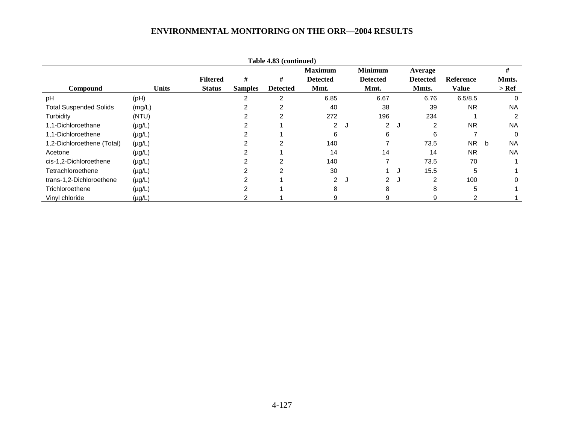|                               |              |                 |                | Table 4.83 (continued) |                 |                 |    |                 |              |   |           |
|-------------------------------|--------------|-----------------|----------------|------------------------|-----------------|-----------------|----|-----------------|--------------|---|-----------|
|                               |              |                 |                |                        | <b>Maximum</b>  | <b>Minimum</b>  |    | Average         |              |   | #         |
|                               |              | <b>Filtered</b> | #              | #                      | <b>Detected</b> | <b>Detected</b> |    | <b>Detected</b> | Reference    |   | Mmts.     |
| Compound                      | <b>Units</b> | <b>Status</b>   | <b>Samples</b> | <b>Detected</b>        | Mmt.            | Mmt.            |    | Mmts.           | <b>Value</b> |   | $>$ Ref   |
| pH                            | (pH)         |                 |                | $\overline{2}$         | 6.85            | 6.67            |    | 6.76            | 6.5/8.5      |   | $\Omega$  |
| <b>Total Suspended Solids</b> | (mg/L)       |                 |                | 2                      | 40              | 38              |    | 39              | <b>NR</b>    |   | <b>NA</b> |
| Turbidity                     | (NTU)        |                 |                | 2                      | 272             | 196             |    | 234             |              |   | 2         |
| 1,1-Dichloroethane            | $(\mu g/L)$  |                 |                |                        | $\overline{2}$  | $\overline{2}$  | J. | $\mathcal{P}$   | <b>NR</b>    |   | <b>NA</b> |
| 1,1-Dichloroethene            | $(\mu g/L)$  |                 |                |                        | 6               | 6               |    | 6               |              |   | $\Omega$  |
| 1,2-Dichloroethene (Total)    | $(\mu g/L)$  |                 |                | 2                      | 140             |                 |    | 73.5            | <b>NR</b>    | b | <b>NA</b> |
| Acetone                       | $(\mu g/L)$  |                 |                |                        | 14              | 14              |    | 14              | <b>NR</b>    |   | <b>NA</b> |
| cis-1,2-Dichloroethene        | $(\mu g/L)$  |                 |                | 2                      | 140             | 7               |    | 73.5            | 70           |   |           |
| Tetrachloroethene             | $(\mu g/L)$  |                 |                | $\mathfrak{p}$         | 30              |                 |    | 15.5            | 5            |   |           |
| trans-1,2-Dichloroethene      | $(\mu g/L)$  |                 |                |                        | $\overline{2}$  | $\overline{2}$  |    | $\mathcal{P}$   | 100          |   |           |
| Trichloroethene               | $(\mu g/L)$  |                 |                |                        | 8               | 8               |    | 8               | 5            |   |           |
| Vinyl chloride                | $(\mu g/L)$  |                 |                |                        |                 | 9               |    | 9               |              |   |           |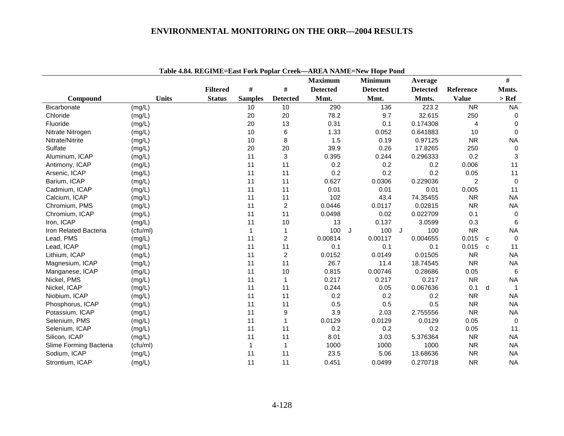|                        |              |                 |                |                  |                 | Table 4.84. REGIME=East Fork Popiar Creek—AREA NAME=New Hope Pond |                 |                |                    |
|------------------------|--------------|-----------------|----------------|------------------|-----------------|-------------------------------------------------------------------|-----------------|----------------|--------------------|
|                        |              |                 |                |                  | <b>Maximum</b>  | <b>Minimum</b>                                                    | Average         |                | $\#$               |
|                        |              | <b>Filtered</b> | #              | #                | <b>Detected</b> | <b>Detected</b>                                                   | <b>Detected</b> | Reference      | Mmts.              |
| Compound               | <b>Units</b> | <b>Status</b>   | <b>Samples</b> | <b>Detected</b>  | Mmt.            | Mmt.                                                              | Mmts.           | <b>Value</b>   | $>$ Ref            |
| <b>Bicarbonate</b>     | (mg/L)       |                 | 10             | 10               | 290             | 136                                                               | 223.2           | <b>NR</b>      | <b>NA</b>          |
| Chloride               | (mg/L)       |                 | 20             | 20               | 78.2            | 9.7                                                               | 32.615          | 250            | 0                  |
| Fluoride               | (mg/L)       |                 | 20             | 13               | 0.31            | 0.1                                                               | 0.174308        | $\overline{4}$ | 0                  |
| Nitrate Nitrogen       | (mg/L)       |                 | 10             | 6                | 1.33            | 0.052                                                             | 0.641883        | 10             | $\mathbf 0$        |
| Nitrate/Nitrite        | (mg/L)       |                 | 10             | 8                | 1.5             | 0.19                                                              | 0.97125         | <b>NR</b>      | <b>NA</b>          |
| Sulfate                | (mg/L)       |                 | 20             | 20               | 39.9            | 0.26                                                              | 17.8265         | 250            | 0                  |
| Aluminum, ICAP         | (mg/L)       |                 | 11             | 3                | 0.395           | 0.244                                                             | 0.296333        | 0.2            | 3                  |
| Antimony, ICAP         | (mg/L)       |                 | 11             | 11               | 0.2             | 0.2                                                               | 0.2             | 0.006          | 11                 |
| Arsenic, ICAP          | (mg/L)       |                 | 11             | 11               | 0.2             | 0.2                                                               | 0.2             | 0.05           | 11                 |
| Barium, ICAP           | (mg/L)       |                 | 11             | 11               | 0.627           | 0.0306                                                            | 0.229036        | $\overline{c}$ | $\mathbf 0$        |
| Cadmium, ICAP          | (mg/L)       |                 | 11             | 11               | 0.01            | 0.01                                                              | 0.01            | 0.005          | 11                 |
| Calcium, ICAP          | (mg/L)       |                 | 11             | 11               | 102             | 43.4                                                              | 74.35455        | <b>NR</b>      | <b>NA</b>          |
| Chromium, PMS          | (mg/L)       |                 | 11             | $\overline{c}$   | 0.0446          | 0.0117                                                            | 0.02815         | <b>NR</b>      | <b>NA</b>          |
| Chromium, ICAP         | (mg/L)       |                 | 11             | 11               | 0.0498          | 0.02                                                              | 0.022709        | 0.1            | $\mathbf 0$        |
| Iron, ICAP             | (mg/L)       |                 | 11             | 10               | 13              | 0.137                                                             | 3.0599          | 0.3            | 6                  |
| Iron Related Bacteria  | (cfu/ml)     |                 | $\mathbf{1}$   | 1                | 100             | 100<br>J                                                          | 100<br>J        | <b>NR</b>      | <b>NA</b>          |
| Lead, PMS              | (mg/L)       |                 | 11             | $\boldsymbol{2}$ | 0.00814         | 0.00117                                                           | 0.004655        | 0.015          | $\mathbf 0$<br>C   |
| Lead, ICAP             | (mg/L)       |                 | 11             | 11               | 0.1             | 0.1                                                               | 0.1             | 0.015          | 11<br>$\mathbf{C}$ |
| Lithium, ICAP          | (mg/L)       |                 | 11             | 2                | 0.0152          | 0.0149                                                            | 0.01505         | <b>NR</b>      | <b>NA</b>          |
| Magnesium, ICAP        | (mg/L)       |                 | 11             | 11               | 26.7            | 11.4                                                              | 18.74545        | <b>NR</b>      | <b>NA</b>          |
| Manganese, ICAP        | (mg/L)       |                 | 11             | 10               | 0.815           | 0.00746                                                           | 0.28686         | 0.05           | 6                  |
| Nickel, PMS            | (mg/L)       |                 | 11             | 1                | 0.217           | 0.217                                                             | 0.217           | ${\sf NR}$     | <b>NA</b>          |
| Nickel, ICAP           | (mg/L)       |                 | 11             | 11               | 0.244           | 0.05                                                              | 0.067636        | 0.1            | d<br>-1            |
| Niobium, ICAP          | (mg/L)       |                 | 11             | 11               | 0.2             | 0.2                                                               | 0.2             | ${\sf NR}$     | <b>NA</b>          |
| Phosphorus, ICAP       | (mg/L)       |                 | 11             | 11               | 0.5             | 0.5                                                               | 0.5             | <b>NR</b>      | <b>NA</b>          |
| Potassium, ICAP        | (mg/L)       |                 | 11             | 9                | 3.9             | 2.03                                                              | 2.755556        | <b>NR</b>      | <b>NA</b>          |
| Selenium, PMS          | (mg/L)       |                 | 11             | $\mathbf{1}$     | 0.0129          | 0.0129                                                            | 0.0129          | 0.05           | $\mathbf 0$        |
| Selenium, ICAP         | (mg/L)       |                 | 11             | 11               | 0.2             | 0.2                                                               | 0.2             | 0.05           | 11                 |
| Silicon, ICAP          | (mg/L)       |                 | 11             | 11               | 8.01            | 3.03                                                              | 5.376364        | <b>NR</b>      | <b>NA</b>          |
| Slime Forming Bacteria | (cfu/ml)     |                 | 1              | 1                | 1000            | 1000                                                              | 1000            | <b>NR</b>      | <b>NA</b>          |
| Sodium, ICAP           | (mg/L)       |                 | 11             | 11               | 23.5            | 5.06                                                              | 13.68636        | <b>NR</b>      | <b>NA</b>          |
| Strontium, ICAP        | (mg/L)       |                 | 11             | 11               | 0.451           | 0.0499                                                            | 0.270718        | <b>NR</b>      | <b>NA</b>          |

**Table 4.84. REGIME=East Fork Poplar Creek—AREA NAME=New Hope Pond**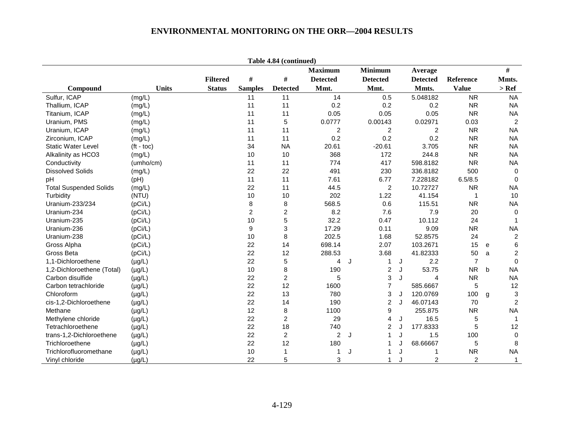|                               |                    |                 |                         | Table 4.84 (continued) |                 |                   |   |                 |                |   |                           |
|-------------------------------|--------------------|-----------------|-------------------------|------------------------|-----------------|-------------------|---|-----------------|----------------|---|---------------------------|
|                               |                    |                 |                         |                        | <b>Maximum</b>  | <b>Minimum</b>    |   | Average         |                |   | $\#$                      |
|                               |                    | <b>Filtered</b> | $\#$                    | #                      | <b>Detected</b> | <b>Detected</b>   |   | <b>Detected</b> | Reference      |   | Mmts.                     |
| Compound                      | <b>Units</b>       | <b>Status</b>   | <b>Samples</b>          | <b>Detected</b>        | Mmt.            | Mmt.              |   | Mmts.           | <b>Value</b>   |   | $>$ Ref                   |
| Sulfur, ICAP                  | (mg/L)             |                 | 11                      | 11                     | 14              | 0.5               |   | 5.048182        | <b>NR</b>      |   | <b>NA</b>                 |
| Thallium, ICAP                | (mg/L)             |                 | 11                      | 11                     | 0.2             | 0.2               |   | 0.2             | <b>NR</b>      |   | <b>NA</b>                 |
| Titanium, ICAP                | (mg/L)             |                 | 11                      | 11                     | 0.05            | 0.05              |   | 0.05            | <b>NR</b>      |   | <b>NA</b>                 |
| Uranium, PMS                  | (mg/L)             |                 | 11                      | 5                      | 0.0777          | 0.00143           |   | 0.02971         | 0.03           |   | $\overline{2}$            |
| Uranium, ICAP                 | (mg/L)             |                 | 11                      | 11                     | $\overline{2}$  | $\overline{c}$    |   | $\overline{c}$  | <b>NR</b>      |   | <b>NA</b>                 |
| Zirconium, ICAP               | (mg/L)             |                 | 11                      | 11                     | 0.2             | 0.2               |   | 0.2             | <b>NR</b>      |   | <b>NA</b>                 |
| <b>Static Water Level</b>     | $(t - \text{toc})$ |                 | 34                      | <b>NA</b>              | 20.61           | $-20.61$          |   | 3.705           | <b>NR</b>      |   | <b>NA</b>                 |
| Alkalinity as HCO3            | (mg/L)             |                 | 10                      | 10                     | 368             | 172               |   | 244.8           | <b>NR</b>      |   | <b>NA</b>                 |
| Conductivity                  | (umho/cm)          |                 | 11                      | 11                     | 774             | 417               |   | 598.8182        | <b>NR</b>      |   | <b>NA</b>                 |
| <b>Dissolved Solids</b>       | (mg/L)             |                 | 22                      | 22                     | 491             | 230               |   | 336.8182        | 500            |   | $\mathbf 0$               |
| pH                            | (Hq)               |                 | 11                      | 11                     | 7.61            | 6.77              |   | 7.228182        | 6.5/8.5        |   | $\mathbf 0$               |
| <b>Total Suspended Solids</b> | (mg/L)             |                 | 22                      | 11                     | 44.5            | $\overline{c}$    |   | 10.72727        | <b>NR</b>      |   | <b>NA</b>                 |
| Turbidity                     | (NTU)              |                 | 10                      | 10                     | 202             | 1.22              |   | 41.154          | $\mathbf{1}$   |   | 10                        |
| Uranium-233/234               | (pCi/L)            |                 | 8                       | 8                      | 568.5           | 0.6               |   | 115.51          | <b>NR</b>      |   | <b>NA</b>                 |
| Uranium-234                   | (pCi/L)            |                 | $\overline{\mathbf{c}}$ | 2                      | 8.2             | 7.6               |   | 7.9             | 20             |   | 0                         |
| Uranium-235                   | (pCi/L)            |                 | 10                      | 5                      | 32.2            | 0.47              |   | 10.112          | 24             |   | $\mathbf{1}$              |
| Uranium-236                   | (pCi/L)            |                 | 9                       | 3                      | 17.29           | 0.11              |   | 9.09            | <b>NR</b>      |   | <b>NA</b>                 |
| Uranium-238                   | (pCi/L)            |                 | 10                      | 8                      | 202.5           | 1.68              |   | 52.8575         | 24             |   | $\overline{c}$            |
| Gross Alpha                   | (pCi/L)            |                 | 22                      | 14                     | 698.14          | 2.07              |   | 103.2671        | 15             | e | 6                         |
| Gross Beta                    | (pCi/L)            |                 | 22                      | 12                     | 288.53          | 3.68              |   | 41.82333        | 50             | a | $\overline{c}$            |
| 1.1-Dichloroethene            | $(\mu g/L)$        |                 | 22                      | 5                      | 4               | $\mathbf{1}$<br>J | J | 2.2             | $\overline{7}$ |   | $\Omega$                  |
| 1,2-Dichloroethene (Total)    | $(\mu g/L)$        |                 | 10                      | 8                      | 190             | $\overline{c}$    | J | 53.75           | <b>NR</b>      | b | <b>NA</b>                 |
| Carbon disulfide              | $(\mu g/L)$        |                 | 22                      | 2                      | 5               | 3                 | J | $\overline{4}$  | <b>NR</b>      |   | <b>NA</b>                 |
| Carbon tetrachloride          | $(\mu g/L)$        |                 | 22                      | 12                     | 1600            | $\overline{7}$    |   | 585.6667        | 5              |   | 12                        |
| Chloroform                    | $(\mu g/L)$        |                 | 22                      | 13                     | 780             | 3                 | J | 120.0769        | 100            | g | $\ensuremath{\mathsf{3}}$ |
| cis-1,2-Dichloroethene        | $(\mu g/L)$        |                 | 22                      | 14                     | 190             | $\overline{c}$    | J | 46.07143        | 70             |   | $\overline{c}$            |
| Methane                       | $(\mu g/L)$        |                 | 12                      | 8                      | 1100            | 9                 |   | 255.875         | <b>NR</b>      |   | <b>NA</b>                 |
| Methylene chloride            | $(\mu g/L)$        |                 | 22                      | $\overline{c}$         | 29              | $\overline{4}$    | J | 16.5            | 5              |   | $\mathbf 1$               |
| Tetrachloroethene             | $(\mu g/L)$        |                 | 22                      | 18                     | 740             | $\overline{c}$    |   | 177.8333        | 5              |   | 12                        |
| trans-1,2-Dichloroethene      | $(\mu g/L)$        |                 | 22                      | $\overline{c}$         | 2               | $\mathbf{1}$<br>J | J | 1.5             | 100            |   | 0                         |
| Trichloroethene               | $(\mu g/L)$        |                 | 22                      | 12                     | 180             | 1                 |   | 68.66667        | 5              |   | 8                         |
| Trichlorofluoromethane        | $(\mu g/L)$        |                 | 10                      | 1                      | 1               | 1<br>J            | J | 1               | <b>NR</b>      |   | <b>NA</b>                 |
| Vinyl chloride                | $(\mu g/L)$        |                 | 22                      | 5                      | 3               | 1                 |   | $\overline{c}$  | $\overline{c}$ |   | $\mathbf{1}$              |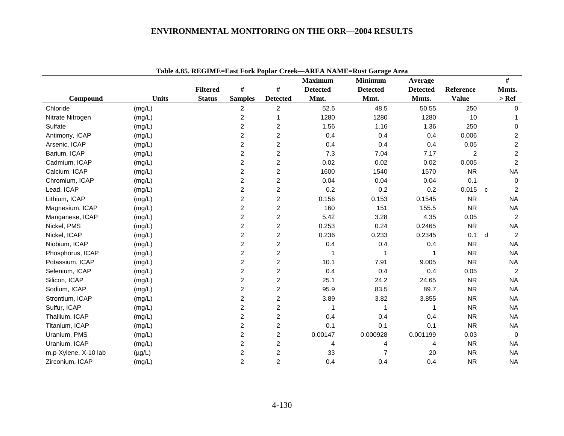|                      |              |                 |                         |                 |                 | Table 4.85. REGIME=East Fork Poplar Creek--AREA NAME=Rust Garage Area |                 |                |              |                  |
|----------------------|--------------|-----------------|-------------------------|-----------------|-----------------|-----------------------------------------------------------------------|-----------------|----------------|--------------|------------------|
|                      |              |                 |                         |                 | <b>Maximum</b>  | <b>Minimum</b>                                                        | Average         |                |              | $\#$             |
|                      |              | <b>Filtered</b> | $\#$                    | #               | <b>Detected</b> | <b>Detected</b>                                                       | <b>Detected</b> | Reference      |              | Mmts.            |
| Compound             | <b>Units</b> | <b>Status</b>   | <b>Samples</b>          | <b>Detected</b> | Mmt.            | Mmt.                                                                  | Mmts.           | <b>Value</b>   |              | $>$ Ref          |
| Chloride             | (mg/L)       |                 | $\overline{c}$          | $\overline{c}$  | 52.6            | 48.5                                                                  | 50.55           | 250            |              | $\mathbf 0$      |
| Nitrate Nitrogen     | (mg/L)       |                 | $\overline{c}$          |                 | 1280            | 1280                                                                  | 1280            | 10             |              |                  |
| Sulfate              | (mg/L)       |                 | $\overline{\mathbf{c}}$ | $\overline{c}$  | 1.56            | 1.16                                                                  | 1.36            | 250            |              | $\mathbf 0$      |
| Antimony, ICAP       | (mg/L)       |                 | 2                       | $\overline{c}$  | 0.4             | 0.4                                                                   | 0.4             | 0.006          |              | 2                |
| Arsenic, ICAP        | (mg/L)       |                 | $\overline{c}$          | $\overline{2}$  | 0.4             | 0.4                                                                   | 0.4             | 0.05           |              | $\overline{c}$   |
| Barium, ICAP         | (mg/L)       |                 | $\overline{c}$          | $\overline{c}$  | 7.3             | 7.04                                                                  | 7.17            | $\overline{c}$ |              | $\boldsymbol{2}$ |
| Cadmium, ICAP        | (mg/L)       |                 | $\overline{c}$          | $\overline{c}$  | 0.02            | 0.02                                                                  | 0.02            | 0.005          |              | $\overline{c}$   |
| Calcium, ICAP        | (mg/L)       |                 | $\overline{c}$          | $\overline{c}$  | 1600            | 1540                                                                  | 1570            | <b>NR</b>      |              | <b>NA</b>        |
| Chromium, ICAP       | (mg/L)       |                 | $\boldsymbol{2}$        | $\overline{c}$  | 0.04            | 0.04                                                                  | 0.04            | 0.1            |              | 0                |
| Lead, ICAP           | (mg/L)       |                 | $\overline{c}$          | $\overline{c}$  | 0.2             | 0.2                                                                   | 0.2             | 0.015          | $\mathtt{C}$ | 2                |
| Lithium, ICAP        | (mg/L)       |                 | $\overline{2}$          | $\overline{2}$  | 0.156           | 0.153                                                                 | 0.1545          | <b>NR</b>      |              | <b>NA</b>        |
| Magnesium, ICAP      | (mg/L)       |                 | $\overline{c}$          | 2               | 160             | 151                                                                   | 155.5           | <b>NR</b>      |              | <b>NA</b>        |
| Manganese, ICAP      | (mg/L)       |                 | $\overline{c}$          | $\overline{c}$  | 5.42            | 3.28                                                                  | 4.35            | 0.05           |              | $\overline{c}$   |
| Nickel, PMS          | (mg/L)       |                 | $\overline{\mathbf{c}}$ | $\overline{c}$  | 0.253           | 0.24                                                                  | 0.2465          | <b>NR</b>      |              | <b>NA</b>        |
| Nickel, ICAP         | (mg/L)       |                 | $\overline{2}$          | $\overline{2}$  | 0.236           | 0.233                                                                 | 0.2345          | 0.1            | d            | 2                |
| Niobium, ICAP        | (mg/L)       |                 | $\overline{c}$          | 2               | 0.4             | 0.4                                                                   | 0.4             | <b>NR</b>      |              | <b>NA</b>        |
| Phosphorus, ICAP     | (mg/L)       |                 | $\overline{2}$          | $\overline{c}$  |                 |                                                                       | 1               | <b>NR</b>      |              | <b>NA</b>        |
| Potassium, ICAP      | (mg/L)       |                 | $\overline{c}$          | 2               | 10.1            | 7.91                                                                  | 9.005           | <b>NR</b>      |              | <b>NA</b>        |
| Selenium, ICAP       | (mg/L)       |                 | $\overline{c}$          | 2               | 0.4             | 0.4                                                                   | 0.4             | 0.05           |              | 2                |
| Silicon, ICAP        | (mg/L)       |                 | $\boldsymbol{2}$        | $\overline{c}$  | 25.1            | 24.2                                                                  | 24.65           | <b>NR</b>      |              | <b>NA</b>        |
| Sodium, ICAP         | (mg/L)       |                 | $\overline{2}$          | $\overline{c}$  | 95.9            | 83.5                                                                  | 89.7            | <b>NR</b>      |              | <b>NA</b>        |
| Strontium, ICAP      | (mg/L)       |                 | $\overline{2}$          | $\overline{c}$  | 3.89            | 3.82                                                                  | 3.855           | <b>NR</b>      |              | <b>NA</b>        |
| Sulfur, ICAP         | (mg/L)       |                 | $\overline{2}$          | 2               |                 | 1                                                                     | 1               | <b>NR</b>      |              | <b>NA</b>        |
| Thallium, ICAP       | (mg/L)       |                 | $\overline{c}$          | $\overline{c}$  | 0.4             | 0.4                                                                   | 0.4             | <b>NR</b>      |              | <b>NA</b>        |
| Titanium, ICAP       | (mg/L)       |                 | $\overline{2}$          | $\overline{2}$  | 0.1             | 0.1                                                                   | 0.1             | <b>NR</b>      |              | <b>NA</b>        |
| Uranium, PMS         | (mg/L)       |                 | $\overline{2}$          | $\overline{c}$  | 0.00147         | 0.000928                                                              | 0.001199        | 0.03           |              | $\Omega$         |
| Uranium, ICAP        | (mg/L)       |                 | 2                       | 2               | 4               | 4                                                                     | 4               | <b>NR</b>      |              | <b>NA</b>        |
| m,p-Xylene, X-10 lab | $(\mu g/L)$  |                 | $\overline{c}$          | $\overline{2}$  | 33              | 7                                                                     | 20              | <b>NR</b>      |              | <b>NA</b>        |
| Zirconium, ICAP      | (mg/L)       |                 | $\overline{2}$          | $\overline{c}$  | 0.4             | 0.4                                                                   | 0.4             | <b>NR</b>      |              | <b>NA</b>        |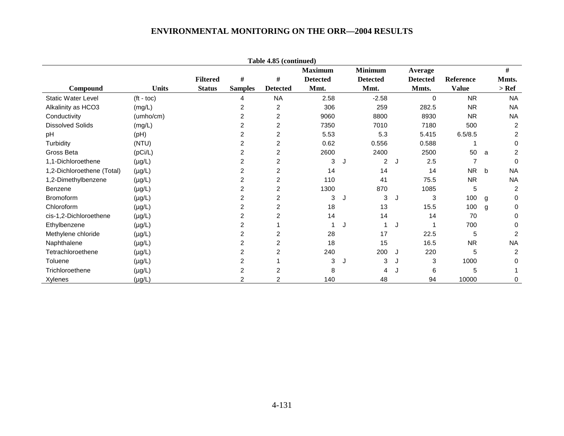|                            |              |                 |                | Table 4.85 (continued)  |                 |   |                 |   |                 |                |   |                |
|----------------------------|--------------|-----------------|----------------|-------------------------|-----------------|---|-----------------|---|-----------------|----------------|---|----------------|
|                            |              |                 |                |                         | <b>Maximum</b>  |   | <b>Minimum</b>  |   | Average         |                |   | $\#$           |
|                            |              | <b>Filtered</b> | #              | #                       | <b>Detected</b> |   | <b>Detected</b> |   | <b>Detected</b> | Reference      |   | Mmts.          |
| Compound                   | <b>Units</b> | <b>Status</b>   | <b>Samples</b> | <b>Detected</b>         | Mmt.            |   | Mmt.            |   | Mmts.           | <b>Value</b>   |   | $>$ Ref        |
| <b>Static Water Level</b>  | $(t - toc)$  |                 | 4              | <b>NA</b>               | 2.58            |   | $-2.58$         |   | 0               | <b>NR</b>      |   | <b>NA</b>      |
| Alkalinity as HCO3         | (mg/L)       |                 | 2              | 2                       | 306             |   | 259             |   | 282.5           | <b>NR</b>      |   | <b>NA</b>      |
| Conductivity               | (umho/cm)    |                 | 2              | 2                       | 9060            |   | 8800            |   | 8930            | <b>NR</b>      |   | <b>NA</b>      |
| <b>Dissolved Solids</b>    | (mg/L)       |                 | 2              | $\overline{c}$          | 7350            |   | 7010            |   | 7180            | 500            |   | 2              |
| pH                         | (pH)         |                 | 2              | 2                       | 5.53            |   | 5.3             |   | 5.415           | 6.5/8.5        |   | 2              |
| Turbidity                  | (NTU)        |                 | 2              | $\overline{\mathbf{c}}$ | 0.62            |   | 0.556           |   | 0.588           |                |   | 0              |
| Gross Beta                 | (pCi/L)      |                 | 2              | $\overline{c}$          | 2600            |   | 2400            |   | 2500            | 50             | a | 2              |
| 1,1-Dichloroethene         | $(\mu g/L)$  |                 | 2              | $\overline{2}$          | 3               | J | 2               | J | 2.5             | 7              |   | $\Omega$       |
| 1,2-Dichloroethene (Total) | $(\mu g/L)$  |                 | 2              | $\overline{c}$          | 14              |   | 14              |   | 14              | N <sub>R</sub> | b | <b>NA</b>      |
| 1,2-Dimethylbenzene        | $(\mu g/L)$  |                 | 2              | $\overline{c}$          | 110             |   | 41              |   | 75.5            | <b>NR</b>      |   | <b>NA</b>      |
| <b>Benzene</b>             | $(\mu g/L)$  |                 | 2              | $\overline{2}$          | 1300            |   | 870             |   | 1085            | 5              |   | 2              |
| <b>Bromoform</b>           | $(\mu g/L)$  |                 | 2              | $\overline{2}$          | 3               | J | 3               | J | 3               | 100            | g | 0              |
| Chloroform                 | $(\mu g/L)$  |                 | 2              | $\overline{c}$          | 18              |   | 13              |   | 15.5            | 100            | g | 0              |
| cis-1,2-Dichloroethene     | $(\mu g/L)$  |                 | 2              | $\overline{2}$          | 14              |   | 14              |   | 14              | 70             |   | $\Omega$       |
| Ethylbenzene               | $(\mu g/L)$  |                 | 2              |                         |                 | J |                 | J |                 | 700            |   | 0              |
| Methylene chloride         | $(\mu g/L)$  |                 | 2              | 2                       | 28              |   | 17              |   | 22.5            | 5              |   | $\overline{c}$ |
| Naphthalene                | $(\mu g/L)$  |                 | 2              | 2                       | 18              |   | 15              |   | 16.5            | <b>NR</b>      |   | <b>NA</b>      |
| Tetrachloroethene          | $(\mu g/L)$  |                 | 2              | $\overline{2}$          | 240             |   | 200             | J | 220             | 5              |   | 2              |
| Toluene                    | $(\mu g/L)$  |                 | $\overline{2}$ |                         | 3               | J | 3               | J | 3               | 1000           |   | 0              |
| Trichloroethene            | $(\mu g/L)$  |                 | 2              | $\overline{c}$          | 8               |   | 4               |   | 6               | 5              |   |                |
| Xylenes                    | $(\mu g/L)$  |                 | 2              | $\overline{2}$          | 140             |   | 48              |   | 94              | 10000          |   | 0              |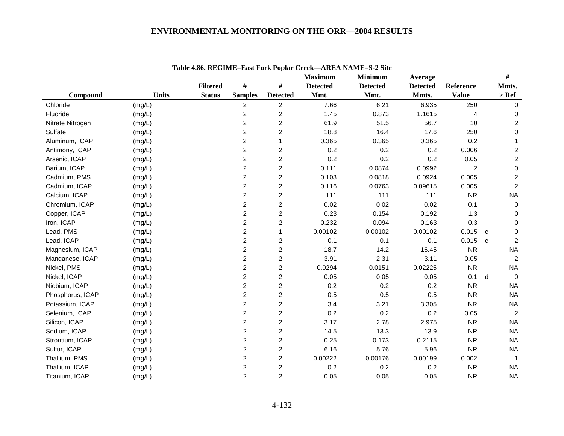|                  |              |                 |                         |                         | <b>Maximum</b>  | <b>Minimum</b>  | Average         |                | #                              |
|------------------|--------------|-----------------|-------------------------|-------------------------|-----------------|-----------------|-----------------|----------------|--------------------------------|
|                  |              | <b>Filtered</b> | $\#$                    | #                       | <b>Detected</b> | <b>Detected</b> | <b>Detected</b> | Reference      | Mmts.                          |
| Compound         | <b>Units</b> | <b>Status</b>   | <b>Samples</b>          | <b>Detected</b>         | Mmt.            | Mmt.            | Mmts.           | <b>Value</b>   | $>$ Ref                        |
| Chloride         | (mg/L)       |                 | 2                       | $\overline{c}$          | 7.66            | 6.21            | 6.935           | 250            | 0                              |
| Fluoride         | (mg/L)       |                 | 2                       | 2                       | 1.45            | 0.873           | 1.1615          | 4              | 0                              |
| Nitrate Nitrogen | (mg/L)       |                 | $\overline{c}$          | $\overline{c}$          | 61.9            | 51.5            | 56.7            | 10             | $\overline{c}$                 |
| Sulfate          | (mg/L)       |                 | 2                       | $\overline{c}$          | 18.8            | 16.4            | 17.6            | 250            | 0                              |
| Aluminum, ICAP   | (mg/L)       |                 | $\overline{c}$          | 1                       | 0.365           | 0.365           | 0.365           | 0.2            | 1                              |
| Antimony, ICAP   | (mg/L)       |                 | $\overline{2}$          | 2                       | 0.2             | 0.2             | 0.2             | 0.006          | $\overline{\mathbf{c}}$        |
| Arsenic, ICAP    | (mg/L)       |                 | $\overline{c}$          | $\overline{c}$          | 0.2             | 0.2             | 0.2             | 0.05           | $\overline{c}$                 |
| Barium, ICAP     | (mg/L)       |                 | 2                       | $\overline{c}$          | 0.111           | 0.0874          | 0.0992          | $\overline{c}$ | 0                              |
| Cadmium, PMS     | (mg/L)       |                 | $\overline{c}$          | $\overline{c}$          | 0.103           | 0.0818          | 0.0924          | 0.005          | $\overline{c}$                 |
| Cadmium, ICAP    | (mg/L)       |                 | $\overline{c}$          | $\overline{c}$          | 0.116           | 0.0763          | 0.09615         | 0.005          | $\overline{2}$                 |
| Calcium, ICAP    | (mg/L)       |                 | $\overline{c}$          | $\overline{c}$          | 111             | 111             | 111             | <b>NR</b>      | <b>NA</b>                      |
| Chromium, ICAP   | (mg/L)       |                 | $\overline{c}$          | $\overline{c}$          | 0.02            | 0.02            | 0.02            | 0.1            | 0                              |
| Copper, ICAP     | (mg/L)       |                 | 2                       | $\overline{c}$          | 0.23            | 0.154           | 0.192           | 1.3            | 0                              |
| Iron, ICAP       | (mg/L)       |                 | $\overline{c}$          | $\overline{c}$          | 0.232           | 0.094           | 0.163           | 0.3            | 0                              |
| Lead, PMS        | (mg/L)       |                 | 2                       | $\mathbf{1}$            | 0.00102         | 0.00102         | 0.00102         | 0.015          | 0<br>C                         |
| Lead, ICAP       | (mg/L)       |                 | $\overline{c}$          | $\overline{\mathbf{c}}$ | 0.1             | 0.1             | 0.1             | 0.015          | $\overline{c}$<br>$\mathbf{C}$ |
| Magnesium, ICAP  | (mg/L)       |                 | $\overline{2}$          | $\overline{c}$          | 18.7            | 14.2            | 16.45           | <b>NR</b>      | <b>NA</b>                      |
| Manganese, ICAP  | (mg/L)       |                 | $\overline{c}$          | $\overline{c}$          | 3.91            | 2.31            | 3.11            | 0.05           | 2                              |
| Nickel, PMS      | (mg/L)       |                 | $\overline{\mathbf{c}}$ | $\overline{\mathbf{c}}$ | 0.0294          | 0.0151          | 0.02225         | <b>NR</b>      | <b>NA</b>                      |
| Nickel, ICAP     | (mg/L)       |                 | $\overline{c}$          | $\overline{c}$          | 0.05            | 0.05            | 0.05            | 0.1            | d<br>$\mathbf 0$               |
| Niobium, ICAP    | (mg/L)       |                 | $\overline{c}$          | $\overline{c}$          | 0.2             | 0.2             | 0.2             | ${\sf NR}$     | <b>NA</b>                      |
| Phosphorus, ICAP | (mg/L)       |                 | $\overline{2}$          | $\overline{c}$          | 0.5             | 0.5             | 0.5             | ${\sf NR}$     | <b>NA</b>                      |
| Potassium, ICAP  | (mg/L)       |                 | $\overline{c}$          | $\overline{c}$          | 3.4             | 3.21            | 3.305           | <b>NR</b>      | <b>NA</b>                      |
| Selenium, ICAP   | (mg/L)       |                 | $\overline{c}$          | $\overline{c}$          | 0.2             | 0.2             | 0.2             | 0.05           | $\overline{c}$                 |
| Silicon, ICAP    | (mg/L)       |                 | $\overline{c}$          | $\overline{c}$          | 3.17            | 2.78            | 2.975           | <b>NR</b>      | <b>NA</b>                      |
| Sodium, ICAP     | (mg/L)       |                 | $\overline{c}$          | $\overline{c}$          | 14.5            | 13.3            | 13.9            | <b>NR</b>      | <b>NA</b>                      |
| Strontium, ICAP  | (mg/L)       |                 | 2                       | $\overline{c}$          | 0.25            | 0.173           | 0.2115          | <b>NR</b>      | <b>NA</b>                      |
| Sulfur, ICAP     | (mg/L)       |                 | $\overline{c}$          | $\overline{c}$          | 6.16            | 5.76            | 5.96            | ${\sf NR}$     | <b>NA</b>                      |
| Thallium, PMS    | (mg/L)       |                 | $\overline{c}$          | $\overline{c}$          | 0.00222         | 0.00176         | 0.00199         | 0.002          |                                |
| Thallium, ICAP   | (mg/L)       |                 | $\overline{\mathbf{c}}$ | $\overline{c}$          | 0.2             | 0.2             | 0.2             | <b>NR</b>      | <b>NA</b>                      |
| Titanium, ICAP   | (mg/L)       |                 | $\overline{2}$          | $\overline{2}$          | 0.05            | 0.05            | 0.05            | <b>NR</b>      | <b>NA</b>                      |

**Table 4.86. REGIME=East Fork Poplar Creek—AREA NAME=S-2 Site**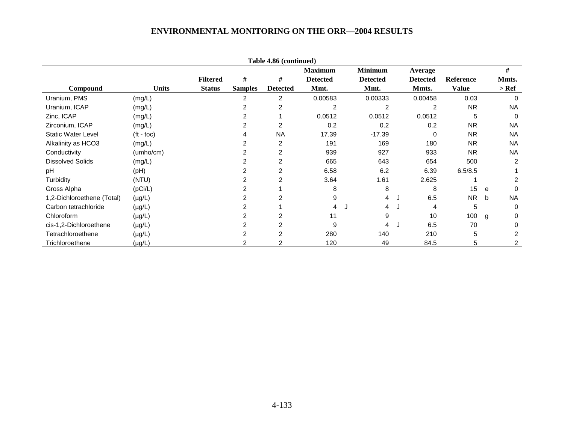|                            |                    |                 |                | Table 4.86 (continued) |                 |                 |                 |              |   |                |
|----------------------------|--------------------|-----------------|----------------|------------------------|-----------------|-----------------|-----------------|--------------|---|----------------|
|                            |                    |                 |                |                        | <b>Maximum</b>  | <b>Minimum</b>  | Average         |              |   | #              |
|                            |                    | <b>Filtered</b> | #              | #                      | <b>Detected</b> | <b>Detected</b> | <b>Detected</b> | Reference    |   | Mmts.          |
| Compound                   | <b>Units</b>       | <b>Status</b>   | <b>Samples</b> | <b>Detected</b>        | Mmt.            | Mmt.            | Mmts.           | <b>Value</b> |   | $>$ Ref        |
| Uranium, PMS               | (mg/L)             |                 | 2              | 2                      | 0.00583         | 0.00333         | 0.00458         | 0.03         |   | 0              |
| Uranium, ICAP              | (mg/L)             |                 |                |                        |                 |                 |                 | <b>NR</b>    |   | <b>NA</b>      |
| Zinc, ICAP                 | (mg/L)             |                 | 2              |                        | 0.0512          | 0.0512          | 0.0512          | 5            |   | 0              |
| Zirconium, ICAP            | (mg/L)             |                 |                | 2                      | 0.2             | 0.2             | 0.2             | <b>NR</b>    |   | <b>NA</b>      |
| <b>Static Water Level</b>  | $({\rm ft - toc})$ |                 |                | <b>NA</b>              | 17.39           | $-17.39$        | 0               | <b>NR</b>    |   | <b>NA</b>      |
| Alkalinity as HCO3         | (mg/L)             |                 |                | $\overline{c}$         | 191             | 169             | 180             | <b>NR</b>    |   | <b>NA</b>      |
| Conductivity               | (umho/cm)          |                 |                | 2                      | 939             | 927             | 933             | <b>NR</b>    |   | <b>NA</b>      |
| <b>Dissolved Solids</b>    | (mg/L)             |                 |                | $\overline{2}$         | 665             | 643             | 654             | 500          |   | $\overline{2}$ |
| pH                         | (PH)               |                 |                | 2                      | 6.58            | 6.2             | 6.39            | 6.5/8.5      |   |                |
| Turbidity                  | (NTU)              |                 |                | 2                      | 3.64            | 1.61            | 2.625           |              |   | 2              |
| Gross Alpha                | (pCi/L)            |                 |                |                        | 8               | 8               | 8               | 15           | e | 0              |
| 1,2-Dichloroethene (Total) | $(\mu g/L)$        |                 |                | 2                      | 9               | 4               | 6.5<br>J        | NR.          | b | <b>NA</b>      |
| Carbon tetrachloride       | $(\mu g/L)$        |                 |                |                        | 4               | 4               | 4<br>J.         | 5            |   | 0              |
| Chloroform                 | $(\mu g/L)$        |                 |                | 2                      | 11              | 9               | 10              | 100          | g | 0              |
| cis-1,2-Dichloroethene     | $(\mu g/L)$        |                 |                | 2                      | 9               | 4               | 6.5<br>J        | 70           |   | 0              |
| Tetrachloroethene          | $(\mu g/L)$        |                 |                | 2                      | 280             | 140             | 210             | 5            |   | 2              |
| Trichloroethene            | $(\mu g/L)$        |                 |                |                        | 120             | 49              | 84.5            | 5            |   | 2              |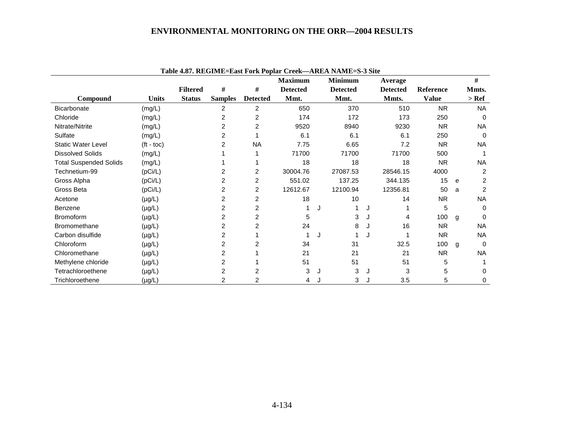|                               |                    |                 |                |                 | <b>Maximum</b>  |   | <b>Minimum</b>  | Average         |                  |              | #              |
|-------------------------------|--------------------|-----------------|----------------|-----------------|-----------------|---|-----------------|-----------------|------------------|--------------|----------------|
|                               |                    | <b>Filtered</b> | $\#$           | #               | <b>Detected</b> |   | <b>Detected</b> | <b>Detected</b> | <b>Reference</b> |              | Mmts.          |
| Compound                      | <b>Units</b>       | <b>Status</b>   | <b>Samples</b> | <b>Detected</b> | Mmt.            |   | Mmt.            | Mmts.           | <b>Value</b>     |              | $>$ Ref        |
| <b>Bicarbonate</b>            | (mg/L)             |                 | 2              | $\overline{2}$  | 650             |   | 370             | 510             | <b>NR</b>        |              | <b>NA</b>      |
| Chloride                      | (mg/L)             |                 | 2              | 2               | 174             |   | 172             | 173             | 250              |              | $\Omega$       |
| Nitrate/Nitrite               | (mg/L)             |                 | 2              | $\overline{2}$  | 9520            |   | 8940            | 9230            | <b>NR</b>        |              | <b>NA</b>      |
| Sulfate                       | (mg/L)             |                 | 2              |                 | 6.1             |   | 6.1             | 6.1             | 250              |              | $\Omega$       |
| <b>Static Water Level</b>     | $(t - \text{toc})$ |                 | 2              | <b>NA</b>       | 7.75            |   | 6.65            | 7.2             | <b>NR</b>        |              | <b>NA</b>      |
| <b>Dissolved Solids</b>       | (mg/L)             |                 |                |                 | 71700           |   | 71700           | 71700           | 500              |              |                |
| <b>Total Suspended Solids</b> | (mg/L)             |                 |                |                 | 18              |   | 18              | 18              | <b>NR</b>        |              | NA.            |
| Technetium-99                 | (pCi/L)            |                 | 2              | $\overline{c}$  | 30004.76        |   | 27087.53        | 28546.15        | 4000             |              | $\overline{2}$ |
| Gross Alpha                   | (pCi/L)            |                 | 2              | $\overline{c}$  | 551.02          |   | 137.25          | 344.135         | 15               | e            | 2              |
| Gross Beta                    | (pCi/L)            |                 | 2              | $\overline{2}$  | 12612.67        |   | 12100.94        | 12356.81        | 50               | a            | 2              |
| Acetone                       | $(\mu g/L)$        |                 | 2              | 2               | 18              |   | 10              | 14              | <b>NR</b>        |              | <b>NA</b>      |
| Benzene                       | $(\mu g/L)$        |                 | 2              | $\overline{2}$  |                 |   |                 |                 | 5                |              | $\Omega$       |
| <b>Bromoform</b>              | $(\mu g/L)$        |                 | $\overline{2}$ | $\overline{c}$  | 5               |   | 3               | 4               | 100              | $\mathsf{q}$ | $\Omega$       |
| <b>Bromomethane</b>           | $(\mu g/L)$        |                 | 2              | $\overline{2}$  | 24              |   | 8               | 16              | <b>NR</b>        |              | <b>NA</b>      |
| Carbon disulfide              | $(\mu g/L)$        |                 | 2              |                 |                 | J |                 |                 | <b>NR</b>        |              | NA.            |
| Chloroform                    | $(\mu g/L)$        |                 | 2              | 2               | 34              |   | 31              | 32.5            | 100              | g            | $\Omega$       |
| Chloromethane                 | $(\mu g/L)$        |                 | 2              |                 | 21              |   | 21              | 21              | <b>NR</b>        |              | <b>NA</b>      |
| Methylene chloride            | $(\mu g/L)$        |                 | 2              |                 | 51              |   | 51              | 51              | 5                |              |                |
| Tetrachloroethene             | $(\mu g/L)$        |                 | 2              | 2               | 3               |   | 3               | 3               | 5                |              | $\Omega$       |
| Trichloroethene               | $(\mu g/L)$        |                 | 2              |                 | 4               |   | 3               | 3.5             | 5                |              | 0              |

**Table 4.87. REGIME=East Fork Poplar Creek—AREA NAME=S-3 Site**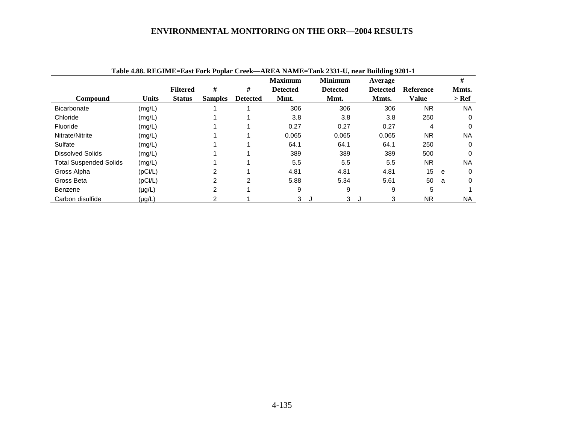|                               |              |                 |                |                 | <b>Maximum</b>  | Table 4.88. REGIME=East Fork Poplar Creek—AREA NAME=Tank 2331-U, near Building 9201-1<br><b>Minimum</b> | Average         |                  |   | #         |
|-------------------------------|--------------|-----------------|----------------|-----------------|-----------------|---------------------------------------------------------------------------------------------------------|-----------------|------------------|---|-----------|
|                               |              | <b>Filtered</b> | #              | #               | <b>Detected</b> | <b>Detected</b>                                                                                         | <b>Detected</b> | <b>Reference</b> |   | Mmts.     |
| <b>Compound</b>               | <b>Units</b> | <b>Status</b>   | <b>Samples</b> | <b>Detected</b> | Mmt.            | Mmt.                                                                                                    | Mmts.           | <b>Value</b>     |   | > Ref     |
| <b>Bicarbonate</b>            | (mg/L)       |                 |                |                 | 306             | 306                                                                                                     | 306             | <b>NR</b>        |   | <b>NA</b> |
| Chloride                      | (mg/L)       |                 |                |                 | 3.8             | 3.8                                                                                                     | 3.8             | 250              |   | $\Omega$  |
| Fluoride                      | (mg/L)       |                 |                |                 | 0.27            | 0.27                                                                                                    | 0.27            | 4                |   | $\Omega$  |
| Nitrate/Nitrite               | (mg/L)       |                 |                |                 | 0.065           | 0.065                                                                                                   | 0.065           | <b>NR</b>        |   | <b>NA</b> |
| Sulfate                       | (mg/L)       |                 |                |                 | 64.1            | 64.1                                                                                                    | 64.1            | 250              |   | 0         |
| <b>Dissolved Solids</b>       | (mg/L)       |                 |                |                 | 389             | 389                                                                                                     | 389             | 500              |   | $\Omega$  |
| <b>Total Suspended Solids</b> | (mg/L)       |                 |                |                 | 5.5             | 5.5                                                                                                     | 5.5             | <b>NR</b>        |   | <b>NA</b> |
| Gross Alpha                   | (pCi/L)      |                 | $\sim$         |                 | 4.81            | 4.81                                                                                                    | 4.81            | 15               | e | $\Omega$  |
| Gross Beta                    | (pCi/L)      |                 | 2              | $\overline{2}$  | 5.88            | 5.34                                                                                                    | 5.61            | 50               | a | $\Omega$  |
| Benzene                       | $(\mu g/L)$  |                 | ົ              |                 | 9               | 9                                                                                                       | 9               | 5                |   |           |
| Carbon disulfide              | $(\mu g/L)$  |                 |                |                 | 3               | 3<br>J                                                                                                  | 3<br>J          | NR.              |   | <b>NA</b> |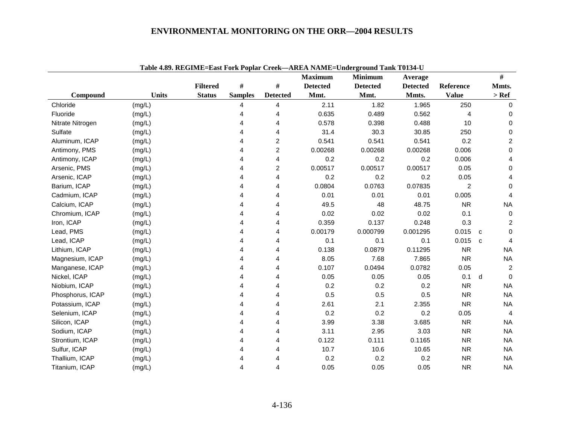|                  |              |                 |                |                 | <b>Maximum</b>  | Tadie 4.07. KEGHVIE–EASt FUIK I UPIAL CTEEK—AKEA TAMIE–UHGERFUHN TAHK TULP4°U<br><b>Minimum</b> | Average         |                |   | $\#$           |
|------------------|--------------|-----------------|----------------|-----------------|-----------------|-------------------------------------------------------------------------------------------------|-----------------|----------------|---|----------------|
|                  |              | <b>Filtered</b> | #              | #               | <b>Detected</b> | <b>Detected</b>                                                                                 | <b>Detected</b> | Reference      |   | Mmts.          |
| Compound         | <b>Units</b> | <b>Status</b>   | <b>Samples</b> | <b>Detected</b> | Mmt.            | Mmt.                                                                                            | Mmts.           | <b>Value</b>   |   | $>$ Ref        |
| Chloride         | (mg/L)       |                 | 4              | 4               | 2.11            | 1.82                                                                                            | 1.965           | 250            |   | $\Omega$       |
| Fluoride         | (mg/L)       |                 | 4              | 4               | 0.635           | 0.489                                                                                           | 0.562           | 4              |   | $\Omega$       |
| Nitrate Nitrogen | (mg/L)       |                 | 4              | 4               | 0.578           | 0.398                                                                                           | 0.488           | 10             |   | $\Omega$       |
| Sulfate          | (mg/L)       |                 |                | 4               | 31.4            | 30.3                                                                                            | 30.85           | 250            |   | $\Omega$       |
| Aluminum, ICAP   | (mg/L)       |                 |                | 2               | 0.541           | 0.541                                                                                           | 0.541           | 0.2            |   | $\overline{c}$ |
| Antimony, PMS    | (mg/L)       |                 |                | 2               | 0.00268         | 0.00268                                                                                         | 0.00268         | 0.006          |   | 0              |
| Antimony, ICAP   | (mg/L)       |                 | 4              | 4               | 0.2             | 0.2                                                                                             | 0.2             | 0.006          |   | 4              |
| Arsenic, PMS     | (mg/L)       |                 | 4              | 2               | 0.00517         | 0.00517                                                                                         | 0.00517         | 0.05           |   | $\Omega$       |
| Arsenic, ICAP    | (mg/L)       |                 | 4              | 4               | 0.2             | 0.2                                                                                             | 0.2             | 0.05           |   |                |
| Barium, ICAP     | (mg/L)       |                 |                | 4               | 0.0804          | 0.0763                                                                                          | 0.07835         | $\overline{2}$ |   | $\Omega$       |
| Cadmium, ICAP    | (mg/L)       |                 | 4              | 4               | 0.01            | 0.01                                                                                            | 0.01            | 0.005          |   | 4              |
| Calcium, ICAP    | (mg/L)       |                 | 4              | 4               | 49.5            | 48                                                                                              | 48.75           | <b>NR</b>      |   | <b>NA</b>      |
| Chromium, ICAP   | (mg/L)       |                 | 4              | 4               | 0.02            | 0.02                                                                                            | 0.02            | 0.1            |   | $\Omega$       |
| Iron, ICAP       | (mg/L)       |                 | 4              | 4               | 0.359           | 0.137                                                                                           | 0.248           | 0.3            |   | 2              |
| Lead, PMS        | (mg/L)       |                 | 4              | 4               | 0.00179         | 0.000799                                                                                        | 0.001295        | 0.015          | C | $\Omega$       |
| Lead, ICAP       | (mg/L)       |                 | 4              | 4               | 0.1             | 0.1                                                                                             | 0.1             | 0.015          | C | 4              |
| Lithium, ICAP    | (mg/L)       |                 |                | 4               | 0.138           | 0.0879                                                                                          | 0.11295         | <b>NR</b>      |   | <b>NA</b>      |
| Magnesium, ICAP  | (mg/L)       |                 |                | 4               | 8.05            | 7.68                                                                                            | 7.865           | <b>NR</b>      |   | <b>NA</b>      |
| Manganese, ICAP  | (mg/L)       |                 |                | 4               | 0.107           | 0.0494                                                                                          | 0.0782          | 0.05           |   | 2              |
| Nickel, ICAP     | (mg/L)       |                 | 4              | 4               | 0.05            | 0.05                                                                                            | 0.05            | 0.1            | d | $\Omega$       |
| Niobium, ICAP    | (mg/L)       |                 |                | 4               | 0.2             | 0.2                                                                                             | 0.2             | <b>NR</b>      |   | <b>NA</b>      |
| Phosphorus, ICAP | (mg/L)       |                 | 4              | 4               | 0.5             | 0.5                                                                                             | 0.5             | <b>NR</b>      |   | <b>NA</b>      |
| Potassium, ICAP  | (mg/L)       |                 | 4              | 4               | 2.61            | 2.1                                                                                             | 2.355           | <b>NR</b>      |   | <b>NA</b>      |
| Selenium, ICAP   | (mg/L)       |                 | 4              | 4               | 0.2             | 0.2                                                                                             | 0.2             | 0.05           |   | 4              |
| Silicon, ICAP    | (mg/L)       |                 |                | 4               | 3.99            | 3.38                                                                                            | 3.685           | <b>NR</b>      |   | <b>NA</b>      |
| Sodium, ICAP     | (mg/L)       |                 |                | 4               | 3.11            | 2.95                                                                                            | 3.03            | <b>NR</b>      |   | <b>NA</b>      |
| Strontium, ICAP  | (mg/L)       |                 |                | 4               | 0.122           | 0.111                                                                                           | 0.1165          | <b>NR</b>      |   | <b>NA</b>      |
| Sulfur, ICAP     | (mg/L)       |                 |                | 4               | 10.7            | 10.6                                                                                            | 10.65           | <b>NR</b>      |   | <b>NA</b>      |
| Thallium, ICAP   | (mg/L)       |                 |                | 4               | 0.2             | 0.2                                                                                             | 0.2             | <b>NR</b>      |   | <b>NA</b>      |
| Titanium, ICAP   | (mg/L)       |                 | 4              | 4               | 0.05            | 0.05                                                                                            | 0.05            | <b>NR</b>      |   | <b>NA</b>      |

**Table 4.89. REGIME=East Fork Poplar Creek—AREA NAME=Underground Tank T0134-U**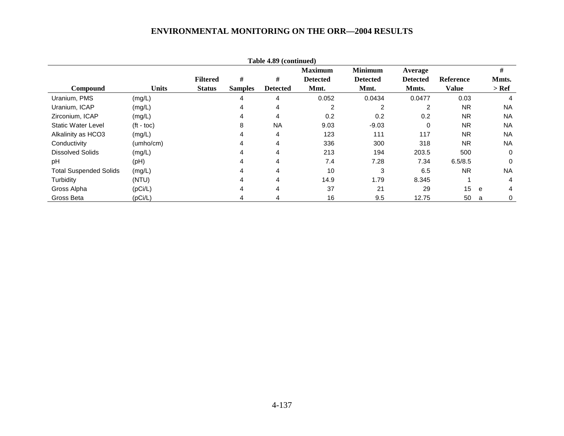|                               |                    |                 |                | Table 4.89 (continued) |                 |                 |                 |                  |           |
|-------------------------------|--------------------|-----------------|----------------|------------------------|-----------------|-----------------|-----------------|------------------|-----------|
|                               |                    |                 |                |                        | <b>Maximum</b>  | <b>Minimum</b>  | Average         |                  | #         |
|                               |                    | <b>Filtered</b> | #              | #                      | <b>Detected</b> | <b>Detected</b> | <b>Detected</b> | <b>Reference</b> | Mmts.     |
| <b>Compound</b>               | <b>Units</b>       | <b>Status</b>   | <b>Samples</b> | <b>Detected</b>        | Mmt.            | Mmt.            | Mmts.           | <b>Value</b>     | $>$ Ref   |
| Uranium, PMS                  | (mg/L)             |                 | 4              | 4                      | 0.052           | 0.0434          | 0.0477          | 0.03             | 4         |
| Uranium, ICAP                 | (mg/L)             |                 | 4              | 4                      | 2               | 2               | $\overline{2}$  | <b>NR</b>        | <b>NA</b> |
| Zirconium, ICAP               | (mg/L)             |                 | 4              | 4                      | 0.2             | 0.2             | 0.2             | <b>NR</b>        | <b>NA</b> |
| <b>Static Water Level</b>     | $(t - \text{toc})$ |                 | 8              | <b>NA</b>              | 9.03            | $-9.03$         | $\Omega$        | <b>NR</b>        | <b>NA</b> |
| Alkalinity as HCO3            | (mg/L)             |                 | 4              | 4                      | 123             | 111             | 117             | <b>NR</b>        | <b>NA</b> |
| Conductivity                  | (umbo/cm)          |                 | 4              | 4                      | 336             | 300             | 318             | <b>NR</b>        | <b>NA</b> |
| <b>Dissolved Solids</b>       | (mg/L)             |                 | 4              | 4                      | 213             | 194             | 203.5           | 500              | 0         |
| pH                            | (Hq)               |                 | 4              | 4                      | 7.4             | 7.28            | 7.34            | 6.5/8.5          | 0         |
| <b>Total Suspended Solids</b> | (mg/L)             |                 |                | 4                      | 10              | 3               | 6.5             | <b>NR</b>        | <b>NA</b> |
| Turbidity                     | (NTU)              |                 | 4              | 4                      | 14.9            | 1.79            | 8.345           |                  | 4         |
| Gross Alpha                   | (pCi/L)            |                 | 4              | 4                      | 37              | 21              | 29              | 15               | 4<br>e    |
| Gross Beta                    | (pCi/L)            |                 |                |                        | 16              | 9.5             | 12.75           | 50               | 0<br>a    |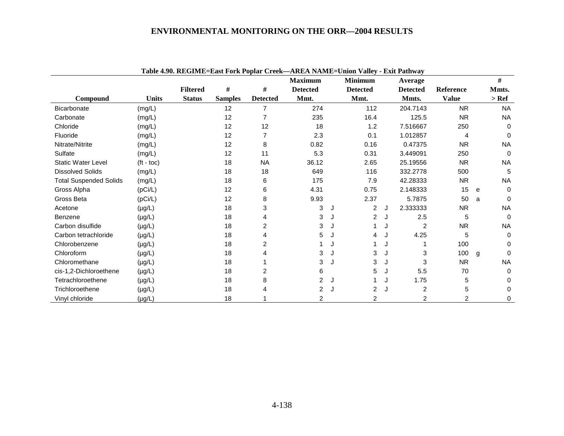|                               |                    |                 |                |                 | Table 4.70. Regardle-east Fork I opial Creek—AREA FAMIL-Chron Vancy |   |                 |   | - шли і ашіма   |                  |   |           |
|-------------------------------|--------------------|-----------------|----------------|-----------------|---------------------------------------------------------------------|---|-----------------|---|-----------------|------------------|---|-----------|
|                               |                    |                 |                |                 | <b>Maximum</b>                                                      |   | <b>Minimum</b>  |   | Average         |                  |   | #         |
|                               |                    | <b>Filtered</b> | #              | #               | <b>Detected</b>                                                     |   | <b>Detected</b> |   | <b>Detected</b> | <b>Reference</b> |   | Mmts.     |
| Compound                      | <b>Units</b>       | <b>Status</b>   | <b>Samples</b> | <b>Detected</b> | Mmt.                                                                |   | Mmt.            |   | Mmts.           | <b>Value</b>     |   | $>$ Ref   |
| <b>Bicarbonate</b>            | (mg/L)             |                 | 12             | 7               | 274                                                                 |   | 112             |   | 204.7143        | <b>NR</b>        |   | <b>NA</b> |
| Carbonate                     | (mg/L)             |                 | 12             | 7               | 235                                                                 |   | 16.4            |   | 125.5           | <b>NR</b>        |   | <b>NA</b> |
| Chloride                      | (mg/L)             |                 | 12             | 12              | 18                                                                  |   | 1.2             |   | 7.516667        | 250              |   | 0         |
| Fluoride                      | (mg/L)             |                 | 12             | 7               | 2.3                                                                 |   | 0.1             |   | 1.012857        | 4                |   | 0         |
| Nitrate/Nitrite               | (mg/L)             |                 | 12             | 8               | 0.82                                                                |   | 0.16            |   | 0.47375         | <b>NR</b>        |   | <b>NA</b> |
| Sulfate                       | (mg/L)             |                 | 12             | 11              | 5.3                                                                 |   | 0.31            |   | 3.449091        | 250              |   | $\Omega$  |
| <b>Static Water Level</b>     | $(t - \text{toc})$ |                 | 18             | <b>NA</b>       | 36.12                                                               |   | 2.65            |   | 25.19556        | <b>NR</b>        |   | <b>NA</b> |
| <b>Dissolved Solids</b>       | (mg/L)             |                 | 18             | 18              | 649                                                                 |   | 116             |   | 332.2778        | 500              |   | 5         |
| <b>Total Suspended Solids</b> | (mg/L)             |                 | 18             | 6               | 175                                                                 |   | 7.9             |   | 42.28333        | <b>NR</b>        |   | <b>NA</b> |
| Gross Alpha                   | (pCi/L)            |                 | 12             | 6               | 4.31                                                                |   | 0.75            |   | 2.148333        | 15               | e | $\Omega$  |
| Gross Beta                    | (pCi/L)            |                 | 12             | 8               | 9.93                                                                |   | 2.37            |   | 5.7875          | 50               | a | $\Omega$  |
| Acetone                       | $(\mu g/L)$        |                 | 18             | 3               | 3                                                                   | J | 2               | J | 2.333333        | <b>NR</b>        |   | <b>NA</b> |
| Benzene                       | $(\mu g/L)$        |                 | 18             |                 | 3                                                                   | J | 2               | J | 2.5             | 5                |   | $\Omega$  |
| Carbon disulfide              | $(\mu g/L)$        |                 | 18             | 2               | 3                                                                   | J |                 | J | $\overline{2}$  | <b>NR</b>        |   | <b>NA</b> |
| Carbon tetrachloride          | $(\mu g/L)$        |                 | 18             |                 | 5                                                                   | J | 4               | J | 4.25            | 5                |   | $\Omega$  |
| Chlorobenzene                 | $(\mu g/L)$        |                 | 18             | 2               |                                                                     | J |                 | J |                 | 100              |   | 0         |
| Chloroform                    | $(\mu g/L)$        |                 | 18             |                 | 3                                                                   | J | 3               | J | 3               | 100              | g | $\Omega$  |
| Chloromethane                 | $(\mu g/L)$        |                 | 18             |                 | 3                                                                   | J | 3               | J | 3               | <b>NR</b>        |   | <b>NA</b> |
| cis-1,2-Dichloroethene        | $(\mu g/L)$        |                 | 18             |                 | 6                                                                   |   | 5               | J | 5.5             | 70               |   | $\Omega$  |
| Tetrachloroethene             | $(\mu g/L)$        |                 | 18             | 8               | 2                                                                   | J |                 | J | 1.75            | 5                |   | 0         |
| Trichloroethene               | $(\mu g/L)$        |                 | 18             |                 | 2                                                                   |   | $\overline{2}$  | J | 2               | 5                |   | 0         |
| Vinyl chloride                | $(\mu g/L)$        |                 | 18             |                 | 2                                                                   |   | $\overline{2}$  |   | 2               | 2                |   | 0         |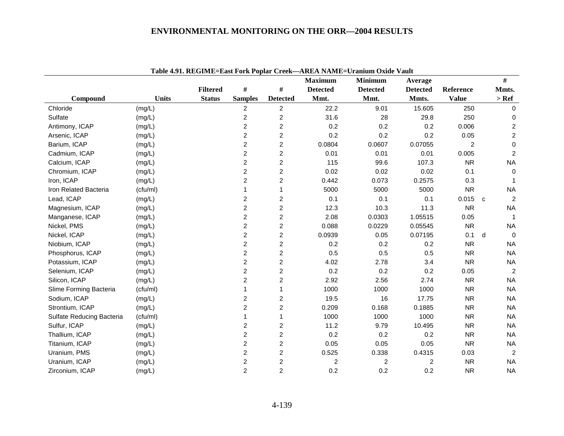| Table 4.91. REGIME=East Fork Poplar Creek-AREA NAME=Uranium Oxide Vault |              |                 |                |                         |                  |                         |                 |                |              |                  |
|-------------------------------------------------------------------------|--------------|-----------------|----------------|-------------------------|------------------|-------------------------|-----------------|----------------|--------------|------------------|
|                                                                         |              |                 |                |                         | <b>Maximum</b>   | <b>Minimum</b>          | Average         |                |              | #                |
|                                                                         |              | <b>Filtered</b> | $\#$           | $\#$                    | <b>Detected</b>  | <b>Detected</b>         | <b>Detected</b> | Reference      |              | Mmts.            |
| Compound                                                                | <b>Units</b> | <b>Status</b>   | <b>Samples</b> | <b>Detected</b>         | Mmt.             | Mmt.                    | Mmts.           | <b>Value</b>   |              | $>$ Ref          |
| Chloride                                                                | (mg/L)       |                 | $\overline{2}$ | $\overline{c}$          | 22.2             | 9.01                    | 15.605          | 250            |              | $\mathbf 0$      |
| Sulfate                                                                 | (mg/L)       |                 | $\overline{c}$ | $\overline{c}$          | 31.6             | 28                      | 29.8            | 250            |              | 0                |
| Antimony, ICAP                                                          | (mg/L)       |                 | $\overline{c}$ | $\overline{c}$          | 0.2              | 0.2                     | 0.2             | 0.006          |              | $\overline{c}$   |
| Arsenic, ICAP                                                           | (mg/L)       |                 | $\overline{c}$ | 2                       | 0.2              | 0.2                     | 0.2             | 0.05           |              | $\boldsymbol{2}$ |
| Barium, ICAP                                                            | (mg/L)       |                 | $\overline{c}$ | $\overline{c}$          | 0.0804           | 0.0607                  | 0.07055         | $\overline{2}$ |              | $\mathbf 0$      |
| Cadmium, ICAP                                                           | (mg/L)       |                 | $\overline{c}$ | 2                       | 0.01             | 0.01                    | 0.01            | 0.005          |              | $\overline{c}$   |
| Calcium, ICAP                                                           | (mg/L)       |                 | $\overline{c}$ | $\overline{c}$          | 115              | 99.6                    | 107.3           | <b>NR</b>      |              | <b>NA</b>        |
| Chromium, ICAP                                                          | (mg/L)       |                 | $\overline{c}$ | $\overline{c}$          | 0.02             | 0.02                    | 0.02            | 0.1            |              | $\mathbf 0$      |
| Iron, ICAP                                                              | (mg/L)       |                 | $\overline{c}$ | $\overline{c}$          | 0.442            | 0.073                   | 0.2575          | 0.3            |              | -1               |
| Iron Related Bacteria                                                   | (cfu/ml)     |                 | 1              | 1                       | 5000             | 5000                    | 5000            | <b>NR</b>      |              | <b>NA</b>        |
| Lead, ICAP                                                              | (mg/L)       |                 | $\overline{c}$ | 2                       | 0.1              | 0.1                     | 0.1             | 0.015          | $\mathbf{c}$ | $\overline{c}$   |
| Magnesium, ICAP                                                         | (mg/L)       |                 | $\overline{c}$ | $\overline{c}$          | 12.3             | 10.3                    | 11.3            | <b>NR</b>      |              | <b>NA</b>        |
| Manganese, ICAP                                                         | (mg/L)       |                 | $\overline{c}$ | $\overline{c}$          | 2.08             | 0.0303                  | 1.05515         | 0.05           |              |                  |
| Nickel, PMS                                                             | (mg/L)       |                 | $\overline{c}$ | 2                       | 0.088            | 0.0229                  | 0.05545         | <b>NR</b>      |              | <b>NA</b>        |
| Nickel, ICAP                                                            | (mg/L)       |                 | $\overline{c}$ | $\overline{c}$          | 0.0939           | 0.05                    | 0.07195         | 0.1            | d            | $\Omega$         |
| Niobium, ICAP                                                           | (mg/L)       |                 | $\overline{c}$ | 2                       | 0.2              | 0.2                     | 0.2             | <b>NR</b>      |              | <b>NA</b>        |
| Phosphorus, ICAP                                                        | (mg/L)       |                 | $\overline{c}$ | $\overline{c}$          | 0.5              | 0.5                     | 0.5             | <b>NR</b>      |              | <b>NA</b>        |
| Potassium, ICAP                                                         | (mg/L)       |                 | $\overline{c}$ | $\overline{c}$          | 4.02             | 2.78                    | 3.4             | <b>NR</b>      |              | <b>NA</b>        |
| Selenium, ICAP                                                          | (mg/L)       |                 | $\overline{c}$ | $\overline{c}$          | 0.2              | 0.2                     | 0.2             | 0.05           |              | $\overline{2}$   |
| Silicon, ICAP                                                           | (mg/L)       |                 | $\overline{c}$ | $\overline{c}$          | 2.92             | 2.56                    | 2.74            | <b>NR</b>      |              | <b>NA</b>        |
| Slime Forming Bacteria                                                  | (cfu/ml)     |                 | 1              | 1                       | 1000             | 1000                    | 1000            | <b>NR</b>      |              | <b>NA</b>        |
| Sodium, ICAP                                                            | (mg/L)       |                 | $\overline{c}$ | 2                       | 19.5             | 16                      | 17.75           | <b>NR</b>      |              | <b>NA</b>        |
| Strontium, ICAP                                                         | (mg/L)       |                 | $\overline{c}$ | $\overline{c}$          | 0.209            | 0.168                   | 0.1885          | <b>NR</b>      |              | <b>NA</b>        |
| Sulfate Reducing Bacteria                                               | (cfu/ml)     |                 | 1              | 1                       | 1000             | 1000                    | 1000            | <b>NR</b>      |              | <b>NA</b>        |
| Sulfur, ICAP                                                            | (mg/L)       |                 | $\overline{c}$ | $\overline{c}$          | 11.2             | 9.79                    | 10.495          | <b>NR</b>      |              | <b>NA</b>        |
| Thallium, ICAP                                                          | (mg/L)       |                 | $\overline{c}$ | $\overline{2}$          | 0.2              | 0.2                     | 0.2             | <b>NR</b>      |              | <b>NA</b>        |
| Titanium, ICAP                                                          | (mg/L)       |                 | $\overline{c}$ | $\overline{2}$          | 0.05             | 0.05                    | 0.05            | <b>NR</b>      |              | <b>NA</b>        |
| Uranium, PMS                                                            | (mg/L)       |                 | $\overline{c}$ | $\overline{c}$          | 0.525            | 0.338                   | 0.4315          | 0.03           |              | $\overline{2}$   |
| Uranium, ICAP                                                           | (mg/L)       |                 | $\overline{c}$ | $\overline{\mathbf{c}}$ | $\boldsymbol{2}$ | $\overline{\mathbf{c}}$ | $\overline{c}$  | <b>NR</b>      |              | <b>NA</b>        |
| Zirconium, ICAP                                                         | (mg/L)       |                 | $\overline{c}$ | $\overline{c}$          | 0.2              | 0.2                     | 0.2             | <b>NR</b>      |              | <b>NA</b>        |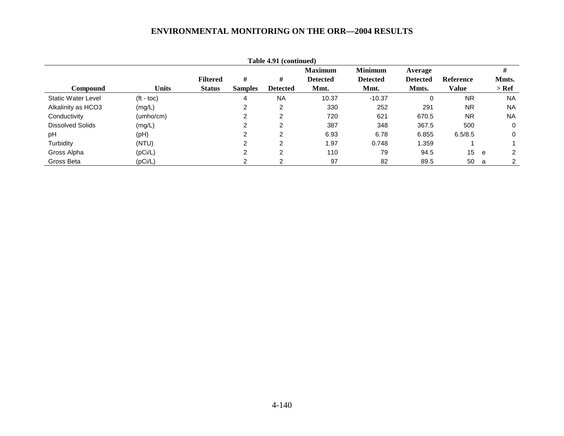| Table 4.91 (continued)  |                    |                 |                |                 |                 |                 |                 |                  |     |               |
|-------------------------|--------------------|-----------------|----------------|-----------------|-----------------|-----------------|-----------------|------------------|-----|---------------|
|                         |                    |                 |                |                 | <b>Maximum</b>  | <b>Minimum</b>  | Average         |                  |     | #             |
|                         |                    | <b>Filtered</b> | #              | #               | <b>Detected</b> | <b>Detected</b> | <b>Detected</b> | <b>Reference</b> |     | Mmts.         |
| <b>Compound</b>         | <b>Units</b>       | <b>Status</b>   | <b>Samples</b> | <b>Detected</b> | Mmt.            | Mmt.            | Mmts.           | <b>Value</b>     |     | > Ref         |
| Static Water Level      | $(t - \text{toc})$ |                 | 4              | <b>NA</b>       | 10.37           | $-10.37$        | $\Omega$        | <b>NR</b>        |     | <b>NA</b>     |
| Alkalinity as HCO3      | (mg/L)             |                 | 2              | 2               | 330             | 252             | 291             | <b>NR</b>        |     | <b>NA</b>     |
| Conductivity            | (umho/cm)          |                 | າ              | າ               | 720             | 621             | 670.5           | <b>NR</b>        |     | <b>NA</b>     |
| <b>Dissolved Solids</b> | (mg/L)             |                 | າ              | C               | 387             | 348             | 367.5           | 500              |     | 0             |
| pH                      | (pH)               |                 | ົ              | 2               | 6.93            | 6.78            | 6.855           | 6.5/8.5          |     | 0             |
| Turbidity               | (NTU)              |                 | ⌒              | 2               | 1.97            | 0.748           | 1.359           |                  |     |               |
| Gross Alpha             | (pCi/L)            |                 | າ              | 2               | 110             | 79              | 94.5            | 15               | e e | $\mathcal{P}$ |
| Gross Beta              | (pCi/L)            |                 |                |                 | 97              | 82              | 89.5            | 50               | a   |               |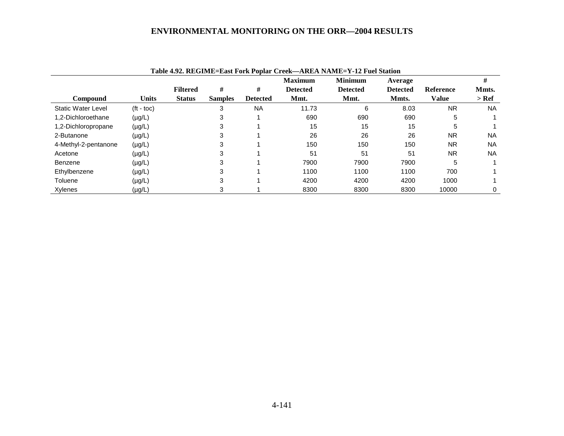|                           |                    | Table 4.92. REGIME=East Fork Poplar Creek—AREA NAME=Y-12 Fuel Station<br><b>Minimum</b><br><b>Maximum</b><br>Average |                |                 |                 |                 |                 | #                |           |
|---------------------------|--------------------|----------------------------------------------------------------------------------------------------------------------|----------------|-----------------|-----------------|-----------------|-----------------|------------------|-----------|
|                           |                    | <b>Filtered</b>                                                                                                      | #              | #               | <b>Detected</b> | <b>Detected</b> | <b>Detected</b> | <b>Reference</b> | Mmts.     |
| <b>Compound</b>           | <b>Units</b>       | <b>Status</b>                                                                                                        | <b>Samples</b> | <b>Detected</b> | Mmt.            | Mmt.            | Mmts.           | Value            | $>$ Ref   |
| <b>Static Water Level</b> | $(t - \text{toc})$ |                                                                                                                      | 3              | <b>NA</b>       | 11.73           | 6               | 8.03            | <b>NR</b>        | NA.       |
| 1,2-Dichloroethane        | $(\mu g/L)$        |                                                                                                                      | 3              |                 | 690             | 690             | 690             | 5                |           |
| 1,2-Dichloropropane       | $(\mu g/L)$        |                                                                                                                      | 3              |                 | 15              | 15              | 15              | 5                |           |
| 2-Butanone                | $(\mu g/L)$        |                                                                                                                      | 3              |                 | 26              | 26              | 26              | <b>NR</b>        | NA.       |
| 4-Methyl-2-pentanone      | $(\mu g/L)$        |                                                                                                                      | 3              |                 | 150             | 150             | 150             | <b>NR</b>        | <b>NA</b> |
| Acetone                   | $(\mu g/L)$        |                                                                                                                      | 3              |                 | 51              | 51              | 51              | <b>NR</b>        | NA.       |
| Benzene                   | $(\mu g/L)$        |                                                                                                                      | 3              |                 | 7900            | 7900            | 7900            | 5                |           |
| Ethylbenzene              | $(\mu g/L)$        |                                                                                                                      | 3              |                 | 1100            | 1100            | 1100            | 700              |           |
| Toluene                   | $(\mu g/L)$        |                                                                                                                      | 3              |                 | 4200            | 4200            | 4200            | 1000             |           |
| Xylenes                   | (µg/L)             |                                                                                                                      | 3              |                 | 8300            | 8300            | 8300            | 10000            | 0         |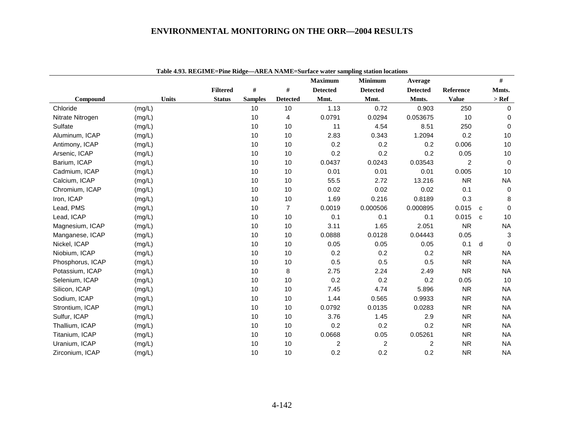|                  |              |                 |                |                 | <b>Maximum</b>          | <b>Minimum</b>          | Average         |              |              | $\#$        |
|------------------|--------------|-----------------|----------------|-----------------|-------------------------|-------------------------|-----------------|--------------|--------------|-------------|
|                  |              | <b>Filtered</b> | $\#$           | $\#$            | <b>Detected</b>         | <b>Detected</b>         | <b>Detected</b> | Reference    |              | Mmts.       |
| Compound         | <b>Units</b> | <b>Status</b>   | <b>Samples</b> | <b>Detected</b> | Mmt.                    | Mmt.                    | Mmts.           | <b>Value</b> |              | $>$ Ref     |
| Chloride         | (mg/L)       |                 | 10             | 10              | 1.13                    | 0.72                    | 0.903           | 250          |              | 0           |
| Nitrate Nitrogen | (mg/L)       |                 | 10             | 4               | 0.0791                  | 0.0294                  | 0.053675        | 10           |              | 0           |
| Sulfate          | (mg/L)       |                 | 10             | 10              | 11                      | 4.54                    | 8.51            | 250          |              | $\mathbf 0$ |
| Aluminum, ICAP   | (mg/L)       |                 | 10             | 10              | 2.83                    | 0.343                   | 1.2094          | 0.2          |              | 10          |
| Antimony, ICAP   | (mg/L)       |                 | 10             | 10              | 0.2                     | 0.2                     | 0.2             | 0.006        |              | 10          |
| Arsenic, ICAP    | (mg/L)       |                 | 10             | 10              | 0.2                     | 0.2                     | 0.2             | 0.05         |              | 10          |
| Barium, ICAP     | (mg/L)       |                 | 10             | 10              | 0.0437                  | 0.0243                  | 0.03543         | 2            |              | $\mathbf 0$ |
| Cadmium, ICAP    | (mg/L)       |                 | 10             | 10              | 0.01                    | 0.01                    | 0.01            | 0.005        |              | 10          |
| Calcium, ICAP    | (mg/L)       |                 | 10             | 10              | 55.5                    | 2.72                    | 13.216          | <b>NR</b>    |              | <b>NA</b>   |
| Chromium, ICAP   | (mg/L)       |                 | 10             | 10              | 0.02                    | 0.02                    | 0.02            | 0.1          |              | $\mathbf 0$ |
| Iron, ICAP       | (mg/L)       |                 | 10             | 10              | 1.69                    | 0.216                   | 0.8189          | 0.3          |              | 8           |
| Lead, PMS        | (mg/L)       |                 | 10             | $\overline{7}$  | 0.0019                  | 0.000506                | 0.000895        | 0.015        | C            | $\Omega$    |
| Lead, ICAP       | (mg/L)       |                 | 10             | 10              | 0.1                     | 0.1                     | 0.1             | 0.015        | $\mathbf{C}$ | 10          |
| Magnesium, ICAP  | (mg/L)       |                 | 10             | 10              | 3.11                    | 1.65                    | 2.051           | <b>NR</b>    |              | <b>NA</b>   |
| Manganese, ICAP  | (mg/L)       |                 | 10             | 10              | 0.0888                  | 0.0128                  | 0.04443         | 0.05         |              | 3           |
| Nickel, ICAP     | (mg/L)       |                 | 10             | 10              | 0.05                    | 0.05                    | 0.05            | 0.1          | d            | $\Omega$    |
| Niobium, ICAP    | (mg/L)       |                 | 10             | 10              | 0.2                     | 0.2                     | 0.2             | <b>NR</b>    |              | <b>NA</b>   |
| Phosphorus, ICAP | (mg/L)       |                 | 10             | 10              | 0.5                     | 0.5                     | 0.5             | <b>NR</b>    |              | <b>NA</b>   |
| Potassium, ICAP  | (mg/L)       |                 | 10             | 8               | 2.75                    | 2.24                    | 2.49            | <b>NR</b>    |              | <b>NA</b>   |
| Selenium, ICAP   | (mg/L)       |                 | 10             | 10              | 0.2                     | 0.2                     | 0.2             | 0.05         |              | 10          |
| Silicon, ICAP    | (mg/L)       |                 | 10             | 10              | 7.45                    | 4.74                    | 5.896           | <b>NR</b>    |              | <b>NA</b>   |
| Sodium, ICAP     | (mg/L)       |                 | 10             | 10              | 1.44                    | 0.565                   | 0.9933          | <b>NR</b>    |              | <b>NA</b>   |
| Strontium, ICAP  | (mg/L)       |                 | 10             | 10              | 0.0792                  | 0.0135                  | 0.0283          | <b>NR</b>    |              | <b>NA</b>   |
| Sulfur, ICAP     | (mg/L)       |                 | 10             | 10              | 3.76                    | 1.45                    | 2.9             | <b>NR</b>    |              | <b>NA</b>   |
| Thallium, ICAP   | (mg/L)       |                 | 10             | 10              | 0.2                     | 0.2                     | 0.2             | <b>NR</b>    |              | <b>NA</b>   |
| Titanium, ICAP   | (mg/L)       |                 | 10             | 10              | 0.0668                  | 0.05                    | 0.05261         | <b>NR</b>    |              | <b>NA</b>   |
| Uranium, ICAP    | (mg/L)       |                 | 10             | 10              | $\overline{\mathbf{c}}$ | $\overline{\mathbf{c}}$ | $\overline{c}$  | <b>NR</b>    |              | <b>NA</b>   |
| Zirconium, ICAP  | (mg/L)       |                 | 10             | 10              | 0.2                     | 0.2                     | 0.2             | <b>NR</b>    |              | <b>NA</b>   |

**Table 4.93. REGIME=Pine Ridge—AREA NAME=Surface water sampling station locations**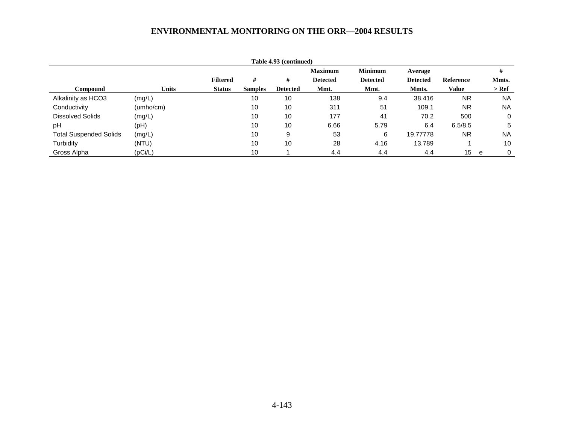| Table 4.93 (continued)        |              |                 |                |                 |                 |                 |                 |                  |           |
|-------------------------------|--------------|-----------------|----------------|-----------------|-----------------|-----------------|-----------------|------------------|-----------|
|                               |              |                 |                |                 | <b>Maximum</b>  | <b>Minimum</b>  | Average         |                  | #         |
|                               |              | <b>Filtered</b> | #              | #               | <b>Detected</b> | <b>Detected</b> | <b>Detected</b> | <b>Reference</b> | Mmts.     |
| Compound                      | <b>Units</b> | <b>Status</b>   | <b>Samples</b> | <b>Detected</b> | Mmt.            | Mmt.            | Mmts.           | Value            | $>$ Ref   |
| Alkalinity as HCO3            | (mg/L)       |                 | 10             | 10              | 138             | 9.4             | 38.416          | <b>NR</b>        | <b>NA</b> |
| Conductivity                  | (umho/cm)    |                 | 10             | 10              | 311             | 51              | 109.1           | <b>NR</b>        | <b>NA</b> |
| <b>Dissolved Solids</b>       | (mg/L)       |                 | 10             | 10              | 177             | 41              | 70.2            | 500              | 0         |
| pH                            | (PH)         |                 | 10             | 10              | 6.66            | 5.79            | 6.4             | 6.5/8.5          | 5         |
| <b>Total Suspended Solids</b> | (mg/L)       |                 | 10             | 9               | 53              | 6               | 19,77778        | <b>NR</b>        | <b>NA</b> |
| Turbidity                     | (NTU)        |                 | 10             | 10              | 28              | 4.16            | 13.789          |                  | 10        |
| Gross Alpha                   | (pCi/L)      |                 | 10             |                 | 4.4             | 4.4             | 4.4             | 15               | 0<br>e    |